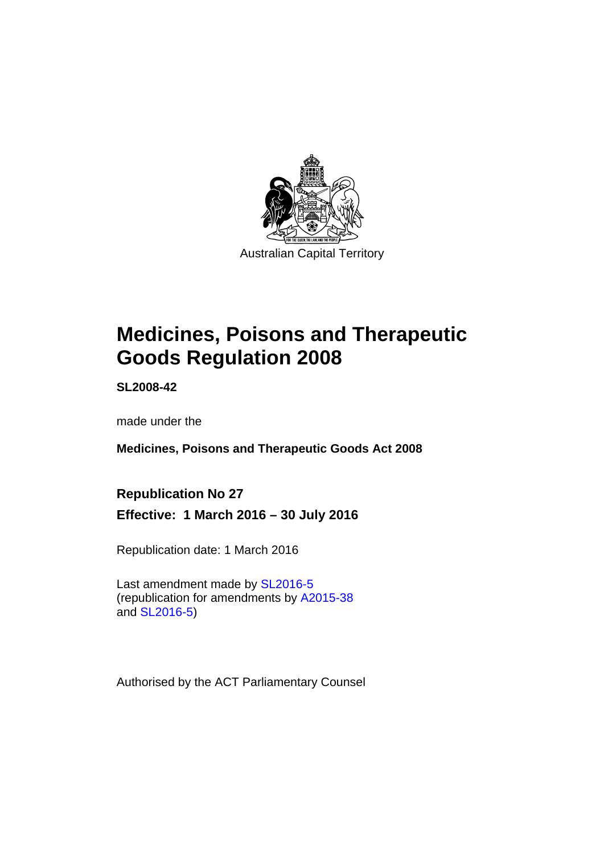

# **Medicines, Poisons and Therapeutic Goods Regulation 2008**

**SL2008-42** 

made under the

**Medicines, Poisons and Therapeutic Goods Act 2008** 

# **Republication No 27**

**Effective: 1 March 2016 – 30 July 2016** 

Republication date: 1 March 2016

Last amendment made by [SL2016-5](http://www.legislation.act.gov.au/sl/2016-5) (republication for amendments by [A2015-38](http://www.legislation.act.gov.au/a/2015-38) and [SL2016-5](http://www.legislation.act.gov.au/sl/2016-5))

Authorised by the ACT Parliamentary Counsel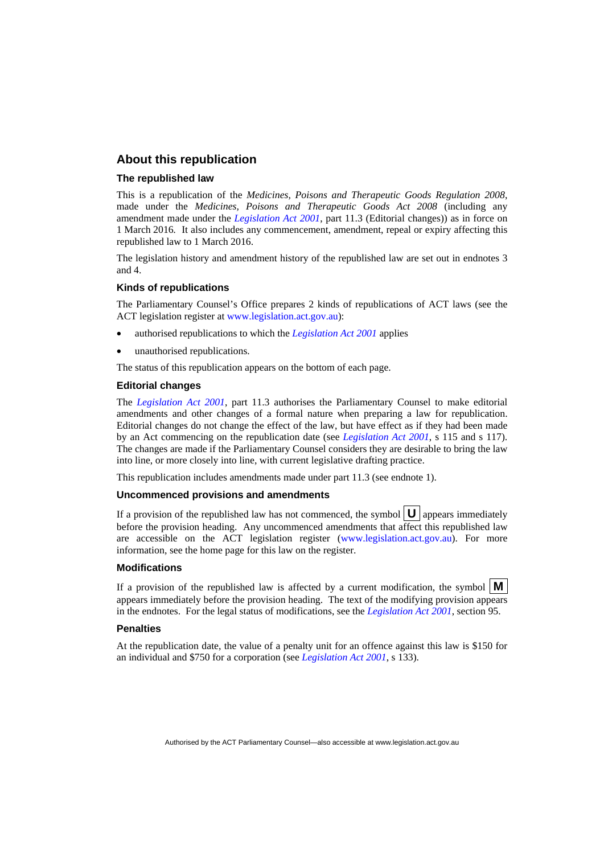#### **About this republication**

#### **The republished law**

This is a republication of the *Medicines, Poisons and Therapeutic Goods Regulation 2008*, made under the *Medicines, Poisons and Therapeutic Goods Act 2008* (including any amendment made under the *[Legislation Act 2001](http://www.legislation.act.gov.au/a/2001-14)*, part 11.3 (Editorial changes)) as in force on 1 March 2016*.* It also includes any commencement, amendment, repeal or expiry affecting this republished law to 1 March 2016.

The legislation history and amendment history of the republished law are set out in endnotes 3 and 4.

#### **Kinds of republications**

The Parliamentary Counsel's Office prepares 2 kinds of republications of ACT laws (see the ACT legislation register at [www.legislation.act.gov.au](http://www.legislation.act.gov.au/)):

- authorised republications to which the *[Legislation Act 2001](http://www.legislation.act.gov.au/a/2001-14)* applies
- unauthorised republications.

The status of this republication appears on the bottom of each page.

#### **Editorial changes**

The *[Legislation Act 2001](http://www.legislation.act.gov.au/a/2001-14)*, part 11.3 authorises the Parliamentary Counsel to make editorial amendments and other changes of a formal nature when preparing a law for republication. Editorial changes do not change the effect of the law, but have effect as if they had been made by an Act commencing on the republication date (see *[Legislation Act 2001](http://www.legislation.act.gov.au/a/2001-14)*, s 115 and s 117). The changes are made if the Parliamentary Counsel considers they are desirable to bring the law into line, or more closely into line, with current legislative drafting practice.

This republication includes amendments made under part 11.3 (see endnote 1).

#### **Uncommenced provisions and amendments**

If a provision of the republished law has not commenced, the symbol  $\mathbf{U}$  appears immediately before the provision heading. Any uncommenced amendments that affect this republished law are accessible on the ACT legislation register [\(www.legislation.act.gov.au\)](http://www.legislation.act.gov.au/). For more information, see the home page for this law on the register.

#### **Modifications**

If a provision of the republished law is affected by a current modification, the symbol  $\mathbf{M}$ appears immediately before the provision heading. The text of the modifying provision appears in the endnotes. For the legal status of modifications, see the *[Legislation Act 2001](http://www.legislation.act.gov.au/a/2001-14)*, section 95.

#### **Penalties**

At the republication date, the value of a penalty unit for an offence against this law is \$150 for an individual and \$750 for a corporation (see *[Legislation Act 2001](http://www.legislation.act.gov.au/a/2001-14)*, s 133).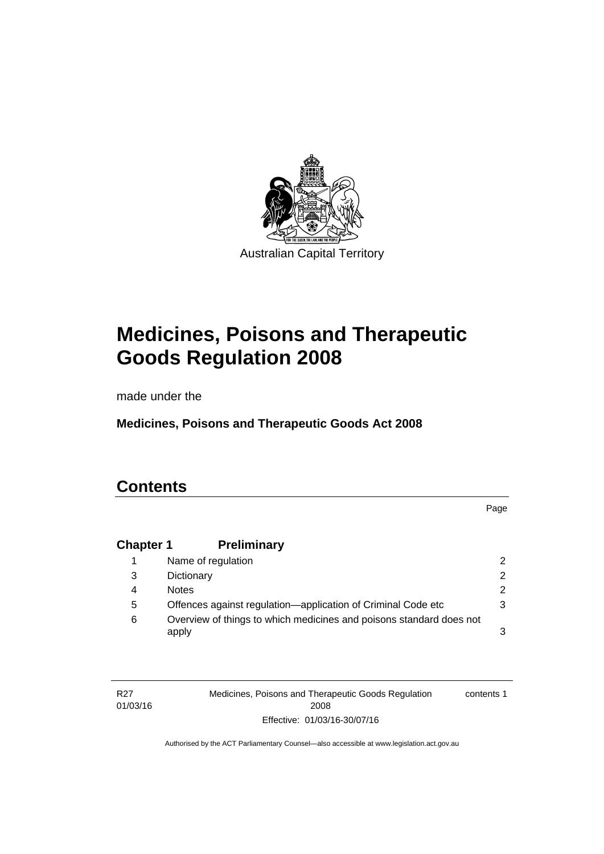

# **Medicines, Poisons and Therapeutic Goods Regulation 2008**

made under the

**Medicines, Poisons and Therapeutic Goods Act 2008** 

# **Contents**

Page

# **Chapter 1 [Preliminary](#page-25-0)**

|   | Name of regulation                                                           | $\mathcal{P}$ |
|---|------------------------------------------------------------------------------|---------------|
| 3 | Dictionary                                                                   | $\mathcal{P}$ |
| 4 | <b>Notes</b>                                                                 | $\mathcal{P}$ |
| 5 | Offences against regulation—application of Criminal Code etc                 | 3             |
| 6 | Overview of things to which medicines and poisons standard does not<br>apply | 3             |

| R <sub>27</sub> | Medicines, Poisons and Therapeutic Goods Regulation | contents 1 |
|-----------------|-----------------------------------------------------|------------|
| 01/03/16        | 2008                                                |            |
|                 | Effective: 01/03/16-30/07/16                        |            |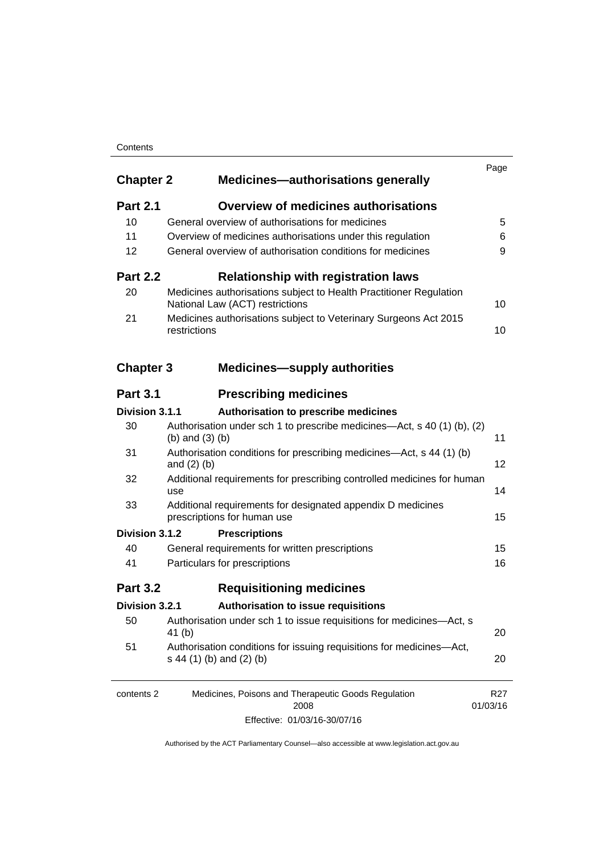#### **Contents**

| <b>Chapter 2</b> | <b>Medicines-authorisations generally</b>                                                             | Page                        |
|------------------|-------------------------------------------------------------------------------------------------------|-----------------------------|
| <b>Part 2.1</b>  | <b>Overview of medicines authorisations</b>                                                           |                             |
| 10               | General overview of authorisations for medicines                                                      | 5                           |
| 11               | Overview of medicines authorisations under this regulation                                            | 6                           |
| 12               | General overview of authorisation conditions for medicines                                            | 9                           |
| <b>Part 2.2</b>  | <b>Relationship with registration laws</b>                                                            |                             |
| 20               | Medicines authorisations subject to Health Practitioner Regulation<br>National Law (ACT) restrictions | 10                          |
| 21               | Medicines authorisations subject to Veterinary Surgeons Act 2015<br>restrictions                      | 10                          |
| <b>Chapter 3</b> | <b>Medicines-supply authorities</b>                                                                   |                             |
| <b>Part 3.1</b>  | <b>Prescribing medicines</b>                                                                          |                             |
| Division 3.1.1   | Authorisation to prescribe medicines                                                                  |                             |
| 30               | Authorisation under sch 1 to prescribe medicines—Act, s 40 (1) (b), (2)<br>(b) and $(3)$ (b)          | 11                          |
| 31               | Authorisation conditions for prescribing medicines—Act, s 44 (1) (b)<br>and $(2)$ $(b)$               | 12                          |
| 32               | Additional requirements for prescribing controlled medicines for human<br>use                         | 14                          |
| 33               | Additional requirements for designated appendix D medicines<br>prescriptions for human use            | 15                          |
| Division 3.1.2   | <b>Prescriptions</b>                                                                                  |                             |
| 40               | General requirements for written prescriptions                                                        | 15                          |
| 41               | Particulars for prescriptions                                                                         | 16                          |
| <b>Part 3.2</b>  | <b>Requisitioning medicines</b>                                                                       |                             |
| Division 3.2.1   | Authorisation to issue requisitions                                                                   |                             |
| 50               | Authorisation under sch 1 to issue requisitions for medicines-Act, s<br>41 (b)                        | 20                          |
| 51               | Authorisation conditions for issuing requisitions for medicines-Act,<br>s 44 (1) (b) and (2) (b)      | 20                          |
| contents 2       | Medicines, Poisons and Therapeutic Goods Regulation<br>2008                                           | R <sub>27</sub><br>01/03/16 |
|                  |                                                                                                       |                             |

Effective: 01/03/16-30/07/16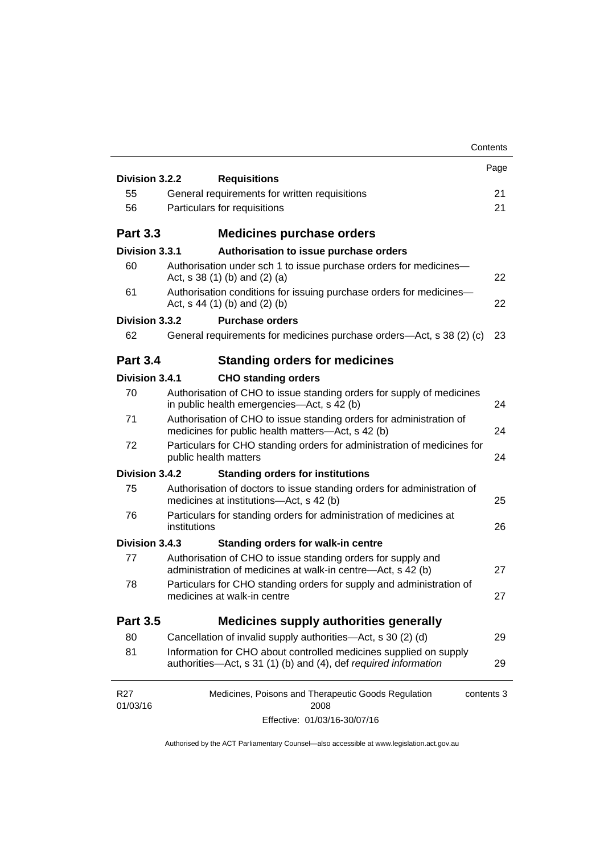|                                                                                                                                      | Contents                                                                                                                                                                                                                               |
|--------------------------------------------------------------------------------------------------------------------------------------|----------------------------------------------------------------------------------------------------------------------------------------------------------------------------------------------------------------------------------------|
|                                                                                                                                      | Page                                                                                                                                                                                                                                   |
|                                                                                                                                      | 21                                                                                                                                                                                                                                     |
|                                                                                                                                      | 21                                                                                                                                                                                                                                     |
|                                                                                                                                      |                                                                                                                                                                                                                                        |
| <b>Medicines purchase orders</b>                                                                                                     |                                                                                                                                                                                                                                        |
| Authorisation to issue purchase orders                                                                                               |                                                                                                                                                                                                                                        |
| Authorisation under sch 1 to issue purchase orders for medicines-<br>Act, $s$ 38 (1) (b) and (2) (a)                                 | 22                                                                                                                                                                                                                                     |
| Authorisation conditions for issuing purchase orders for medicines-<br>Act, $s$ 44 (1) (b) and (2) (b)                               | 22                                                                                                                                                                                                                                     |
| <b>Purchase orders</b>                                                                                                               |                                                                                                                                                                                                                                        |
| General requirements for medicines purchase orders—Act, s 38 (2) (c)                                                                 | 23                                                                                                                                                                                                                                     |
| <b>Standing orders for medicines</b>                                                                                                 |                                                                                                                                                                                                                                        |
| <b>CHO standing orders</b>                                                                                                           |                                                                                                                                                                                                                                        |
| Authorisation of CHO to issue standing orders for supply of medicines<br>in public health emergencies—Act, s 42 (b)                  | 24                                                                                                                                                                                                                                     |
| Authorisation of CHO to issue standing orders for administration of<br>medicines for public health matters-Act, s 42 (b)             | 24                                                                                                                                                                                                                                     |
| Particulars for CHO standing orders for administration of medicines for<br>public health matters                                     | 24                                                                                                                                                                                                                                     |
| <b>Standing orders for institutions</b>                                                                                              |                                                                                                                                                                                                                                        |
| Authorisation of doctors to issue standing orders for administration of<br>medicines at institutions-Act, s 42 (b)                   | 25                                                                                                                                                                                                                                     |
| Particulars for standing orders for administration of medicines at<br>institutions                                                   | 26                                                                                                                                                                                                                                     |
| <b>Standing orders for walk-in centre</b>                                                                                            |                                                                                                                                                                                                                                        |
| Authorisation of CHO to issue standing orders for supply and<br>administration of medicines at walk-in centre-Act, s 42 (b)          | 27                                                                                                                                                                                                                                     |
| Particulars for CHO standing orders for supply and administration of<br>medicines at walk-in centre                                  | 27                                                                                                                                                                                                                                     |
| <b>Medicines supply authorities generally</b>                                                                                        |                                                                                                                                                                                                                                        |
| Cancellation of invalid supply authorities—Act, s 30 (2) (d)                                                                         | 29                                                                                                                                                                                                                                     |
| Information for CHO about controlled medicines supplied on supply<br>authorities—Act, s 31 (1) (b) and (4), def required information | 29                                                                                                                                                                                                                                     |
| Medicines, Poisons and Therapeutic Goods Regulation                                                                                  |                                                                                                                                                                                                                                        |
| Effective: 01/03/16-30/07/16                                                                                                         |                                                                                                                                                                                                                                        |
|                                                                                                                                      | Division 3.2.2<br><b>Requisitions</b><br>General requirements for written requisitions<br>Particulars for requisitions<br>Division 3.3.1<br>Division 3.3.2<br>Division 3.4.1<br>Division 3.4.2<br>Division 3.4.3<br>contents 3<br>2008 |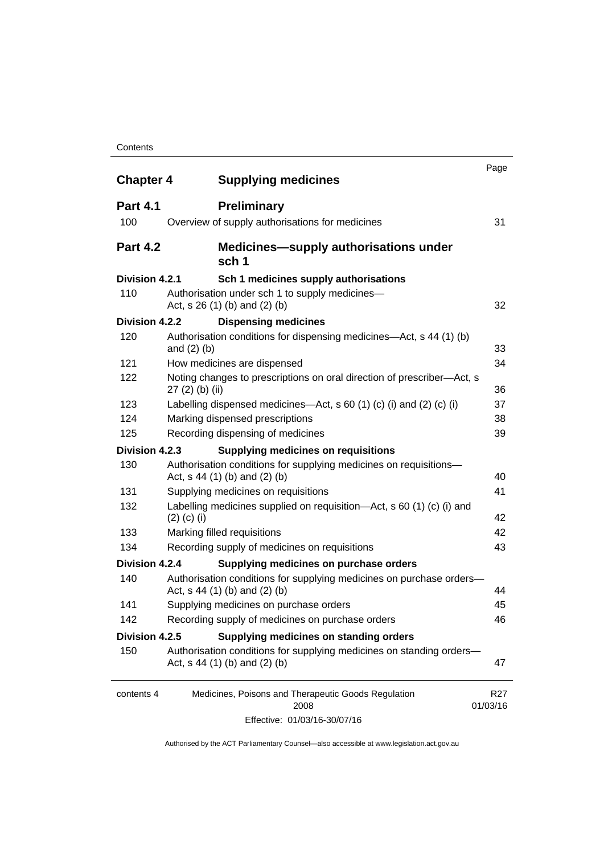#### **Contents**

| <b>Chapter 4</b> | <b>Supplying medicines</b>                                                                              | Page                        |
|------------------|---------------------------------------------------------------------------------------------------------|-----------------------------|
| <b>Part 4.1</b>  | <b>Preliminary</b>                                                                                      |                             |
| 100              | Overview of supply authorisations for medicines                                                         | 31                          |
| <b>Part 4.2</b>  | <b>Medicines—supply authorisations under</b><br>sch 1                                                   |                             |
| Division 4.2.1   | Sch 1 medicines supply authorisations                                                                   |                             |
| 110              | Authorisation under sch 1 to supply medicines-<br>Act, s 26 (1) (b) and (2) (b)                         | 32                          |
| Division 4.2.2   | <b>Dispensing medicines</b>                                                                             |                             |
| 120              | Authorisation conditions for dispensing medicines—Act, s 44 (1) (b)<br>and $(2)$ $(b)$                  | 33                          |
| 121              | How medicines are dispensed                                                                             | 34                          |
| 122              | Noting changes to prescriptions on oral direction of prescriber-Act, s<br>$27(2)$ (b) (ii)              | 36                          |
| 123              | Labelling dispensed medicines—Act, s 60 (1) (c) (i) and (2) (c) (i)                                     | 37                          |
| 124              | Marking dispensed prescriptions                                                                         | 38                          |
| 125              | Recording dispensing of medicines                                                                       | 39                          |
| Division 4.2.3   | <b>Supplying medicines on requisitions</b>                                                              |                             |
| 130              | Authorisation conditions for supplying medicines on requisitions-<br>Act, $s$ 44 (1) (b) and (2) (b)    | 40                          |
| 131              | Supplying medicines on requisitions                                                                     | 41                          |
| 132              | Labelling medicines supplied on requisition-Act, s 60 (1) (c) (i) and<br>$(2)$ (c) (i)                  | 42                          |
| 133              | Marking filled requisitions                                                                             | 42                          |
| 134              | Recording supply of medicines on requisitions                                                           | 43                          |
| Division 4.2.4   | Supplying medicines on purchase orders                                                                  |                             |
| 140              | Authorisation conditions for supplying medicines on purchase orders-<br>Act, $s$ 44 (1) (b) and (2) (b) | 44                          |
| 141              | Supplying medicines on purchase orders                                                                  | 45                          |
| 142              | Recording supply of medicines on purchase orders                                                        | 46                          |
| Division 4.2.5   | Supplying medicines on standing orders                                                                  |                             |
| 150              | Authorisation conditions for supplying medicines on standing orders-<br>Act, $s$ 44 (1) (b) and (2) (b) | 47                          |
| contents 4       | Medicines, Poisons and Therapeutic Goods Regulation<br>2008                                             | R <sub>27</sub><br>01/03/16 |
|                  | Effective: 01/03/16-30/07/16                                                                            |                             |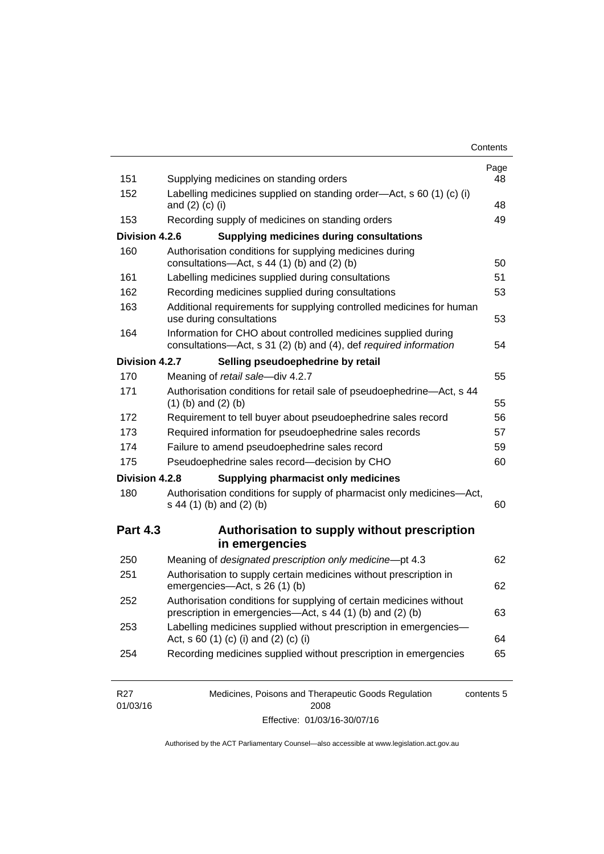| Contents |
|----------|
|----------|

| 151             | Supplying medicines on standing orders                                                                                              | Page<br>48 |
|-----------------|-------------------------------------------------------------------------------------------------------------------------------------|------------|
| 152             | Labelling medicines supplied on standing order-Act, s 60 (1) (c) (i)<br>and $(2)$ $(c)$ $(i)$                                       | 48         |
| 153             | Recording supply of medicines on standing orders                                                                                    | 49         |
| Division 4.2.6  | <b>Supplying medicines during consultations</b>                                                                                     |            |
| 160             | Authorisation conditions for supplying medicines during<br>consultations-Act, s 44 (1) (b) and (2) (b)                              | 50         |
| 161             | Labelling medicines supplied during consultations                                                                                   | 51         |
| 162             | Recording medicines supplied during consultations                                                                                   | 53         |
| 163             | Additional requirements for supplying controlled medicines for human<br>use during consultations                                    | 53         |
| 164             | Information for CHO about controlled medicines supplied during<br>consultations-Act, s 31 (2) (b) and (4), def required information | 54         |
| Division 4.2.7  | Selling pseudoephedrine by retail                                                                                                   |            |
| 170             | Meaning of retail sale-div 4.2.7                                                                                                    | 55         |
| 171             | Authorisation conditions for retail sale of pseudoephedrine-Act, s 44<br>$(1)$ (b) and $(2)$ (b)                                    | 55         |
| 172             | Requirement to tell buyer about pseudoephedrine sales record                                                                        | 56         |
| 173             | Required information for pseudoephedrine sales records                                                                              | 57         |
| 174             | Failure to amend pseudoephedrine sales record                                                                                       | 59         |
| 175             | Pseudoephedrine sales record-decision by CHO                                                                                        | 60         |
| Division 4.2.8  | <b>Supplying pharmacist only medicines</b>                                                                                          |            |
| 180             | Authorisation conditions for supply of pharmacist only medicines-Act,<br>s 44 (1) (b) and (2) (b)                                   | 60         |
| <b>Part 4.3</b> | Authorisation to supply without prescription<br>in emergencies                                                                      |            |
| 250             | Meaning of designated prescription only medicine-pt 4.3                                                                             | 62         |
| 251             | Authorisation to supply certain medicines without prescription in<br>emergencies-Act, s 26 (1) (b)                                  | 62         |
| 252             | Authorisation conditions for supplying of certain medicines without                                                                 | 63         |
|                 | prescription in emergencies—Act, s 44 (1) (b) and (2) (b)                                                                           |            |
| 253             | Labelling medicines supplied without prescription in emergencies-<br>Act, s 60 (1) (c) (i) and (2) (c) (i)                          | 64         |

| R27      | Medicines, Poisons and Therapeutic Goods Regulation | contents 5 |
|----------|-----------------------------------------------------|------------|
| 01/03/16 | 2008                                                |            |
|          | Effective: 01/03/16-30/07/16                        |            |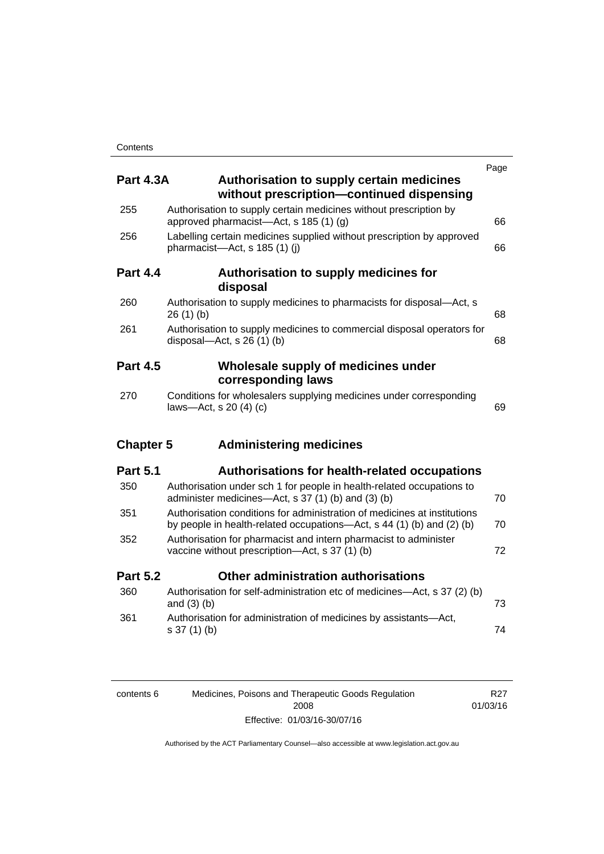|                  |                                                                                                                                                   | Page |
|------------------|---------------------------------------------------------------------------------------------------------------------------------------------------|------|
| <b>Part 4.3A</b> | Authorisation to supply certain medicines<br>without prescription-continued dispensing                                                            |      |
| 255              | Authorisation to supply certain medicines without prescription by<br>approved pharmacist—Act, s 185 (1) (g)                                       | 66   |
| 256              | Labelling certain medicines supplied without prescription by approved<br>pharmacist-Act, s 185 (1) (j)                                            | 66   |
| <b>Part 4.4</b>  | Authorisation to supply medicines for<br>disposal                                                                                                 |      |
| 260              | Authorisation to supply medicines to pharmacists for disposal-Act, s<br>26(1)(b)                                                                  | 68   |
| 261              | Authorisation to supply medicines to commercial disposal operators for<br>disposal- $Act$ , s 26 (1) (b)                                          | 68   |
| <b>Part 4.5</b>  | Wholesale supply of medicines under<br>corresponding laws                                                                                         |      |
| 270              | Conditions for wholesalers supplying medicines under corresponding<br>laws-Act, s 20 (4) (c)                                                      | 69   |
| <b>Chapter 5</b> | <b>Administering medicines</b>                                                                                                                    |      |
| <b>Part 5.1</b>  | <b>Authorisations for health-related occupations</b>                                                                                              |      |
| 350              | Authorisation under sch 1 for people in health-related occupations to<br>administer medicines—Act, s 37 (1) (b) and (3) (b)                       | 70   |
| 351              | Authorisation conditions for administration of medicines at institutions<br>by people in health-related occupations—Act, s 44 (1) (b) and (2) (b) | 70   |
| 352              | Authorisation for pharmacist and intern pharmacist to administer<br>vaccine without prescription-Act, s 37 (1) (b)                                | 72   |
| <b>Part 5.2</b>  | Other administration authorisations                                                                                                               |      |
| 360              | Authorisation for self-administration etc of medicines-Act, s 37 (2) (b)<br>and $(3)$ $(b)$                                                       | 73   |
| 361              | Authorisation for administration of medicines by assistants-Act,<br>$s 37(1)$ (b)                                                                 | 74   |
|                  |                                                                                                                                                   |      |
|                  |                                                                                                                                                   |      |

| contents 6 | Medicines, Poisons and Therapeutic Goods Regulation | R27      |
|------------|-----------------------------------------------------|----------|
|            | 2008                                                | 01/03/16 |
|            | Effective: 01/03/16-30/07/16                        |          |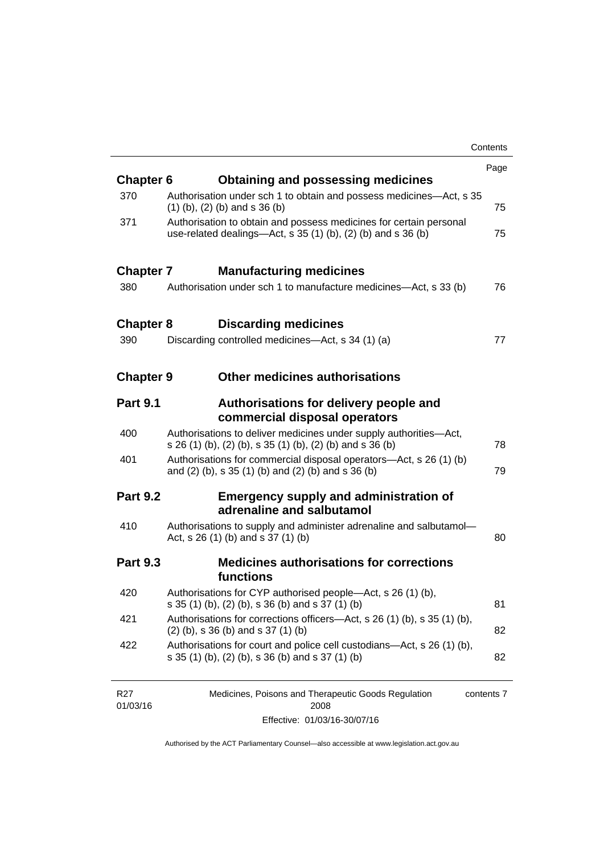|                  |                                                                                                                                       | Contents |
|------------------|---------------------------------------------------------------------------------------------------------------------------------------|----------|
|                  |                                                                                                                                       | Page     |
| <b>Chapter 6</b> | <b>Obtaining and possessing medicines</b>                                                                                             |          |
| 370              | Authorisation under sch 1 to obtain and possess medicines—Act, s 35<br>$(1)$ (b), (2) (b) and s 36 (b)                                | 75       |
| 371              | Authorisation to obtain and possess medicines for certain personal<br>use-related dealings—Act, s $35(1)(b)$ , $(2)(b)$ and s $36(b)$ | 75       |
| <b>Chapter 7</b> | <b>Manufacturing medicines</b>                                                                                                        |          |
| 380              | Authorisation under sch 1 to manufacture medicines—Act, s 33 (b)                                                                      | 76       |
| <b>Chapter 8</b> | <b>Discarding medicines</b>                                                                                                           |          |
| 390              | Discarding controlled medicines—Act, s 34 (1) (a)                                                                                     | 77       |
| <b>Chapter 9</b> | <b>Other medicines authorisations</b>                                                                                                 |          |
| <b>Part 9.1</b>  | Authorisations for delivery people and<br>commercial disposal operators                                                               |          |
| 400              | Authorisations to deliver medicines under supply authorities-Act,<br>s 26 (1) (b), (2) (b), s 35 (1) (b), (2) (b) and s 36 (b)        | 78       |
| 401              | Authorisations for commercial disposal operators-Act, s 26 (1) (b)<br>and (2) (b), s 35 (1) (b) and (2) (b) and s 36 (b)              | 79       |
| <b>Part 9.2</b>  | <b>Emergency supply and administration of</b><br>adrenaline and salbutamol                                                            |          |
| 410              | Authorisations to supply and administer adrenaline and salbutamol-<br>Act, s 26 (1) (b) and s 37 (1) (b)                              | 80       |
| <b>Part 9.3</b>  | <b>Medicines authorisations for corrections</b><br>functions                                                                          |          |
| 420              | Authorisations for CYP authorised people-Act, s 26 (1) (b),<br>s 35 (1) (b), (2) (b), s 36 (b) and s 37 (1) (b)                       | 81       |
| 421              | Authorisations for corrections officers-Act, s 26 (1) (b), s 35 (1) (b),<br>$(2)$ (b), s 36 (b) and s 37 (1) (b)                      | 82       |
| 422              | Authorisations for court and police cell custodians—Act, s 26 (1) (b),<br>s 35 (1) (b), (2) (b), s 36 (b) and s 37 (1) (b)            | 82       |
|                  |                                                                                                                                       |          |

| R27      | Medicines, Poisons and Therapeutic Goods Regulation | contents 7 |
|----------|-----------------------------------------------------|------------|
| 01/03/16 | 2008                                                |            |
|          | Effective: 01/03/16-30/07/16                        |            |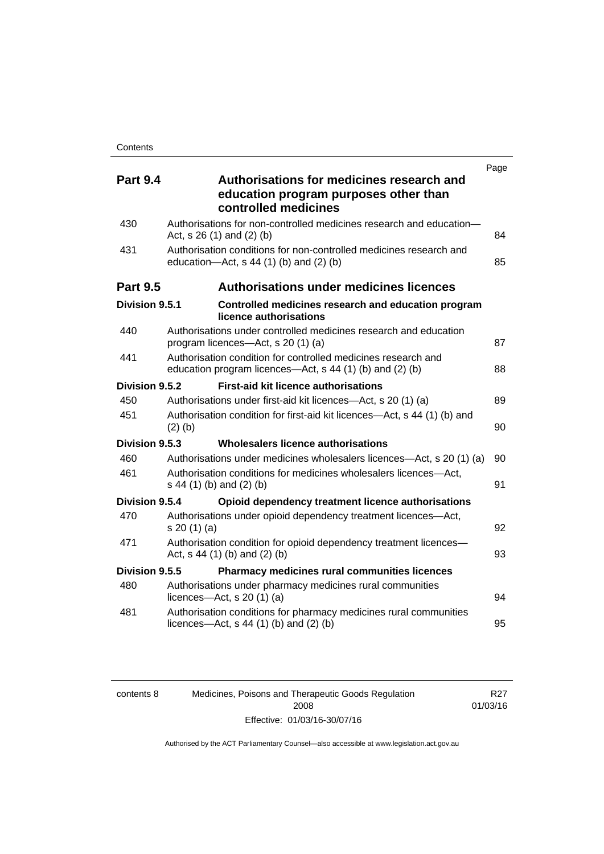| <b>Part 9.4</b> | Authorisations for medicines research and<br>education program purposes other than<br>controlled medicines                | Page |
|-----------------|---------------------------------------------------------------------------------------------------------------------------|------|
| 430             | Authorisations for non-controlled medicines research and education-<br>Act, $s$ 26 (1) and (2) (b)                        | 84   |
| 431             | Authorisation conditions for non-controlled medicines research and<br>education- $Act$ , s 44 (1) (b) and (2) (b)         | 85   |
| <b>Part 9.5</b> | <b>Authorisations under medicines licences</b>                                                                            |      |
| Division 9.5.1  | Controlled medicines research and education program<br>licence authorisations                                             |      |
| 440             | Authorisations under controlled medicines research and education<br>program licences—Act, s 20 (1) (a)                    | 87   |
| 441             | Authorisation condition for controlled medicines research and<br>education program licences—Act, s 44 (1) (b) and (2) (b) | 88   |
| Division 9.5.2  | <b>First-aid kit licence authorisations</b>                                                                               |      |
| 450             | Authorisations under first-aid kit licences—Act, s 20 (1) (a)                                                             | 89   |
| 451             | Authorisation condition for first-aid kit licences—Act, s 44 (1) (b) and<br>$(2)$ (b)                                     | 90   |
| Division 9.5.3  | Wholesalers licence authorisations                                                                                        |      |
| 460             | Authorisations under medicines wholesalers licences—Act, s 20 (1) (a)                                                     | 90   |
| 461             | Authorisation conditions for medicines wholesalers licences-Act,<br>s 44 (1) (b) and (2) (b)                              | 91   |
| Division 9.5.4  | Opioid dependency treatment licence authorisations                                                                        |      |
| 470             | Authorisations under opioid dependency treatment licences-Act,<br>s 20(1)(a)                                              | 92   |
| 471             | Authorisation condition for opioid dependency treatment licences-<br>Act, $s$ 44 (1) (b) and (2) (b)                      | 93   |
| Division 9.5.5  | Pharmacy medicines rural communities licences                                                                             |      |
| 480             | Authorisations under pharmacy medicines rural communities<br>licences- $-\text{Act}$ , s 20 (1) (a)                       | 94   |
| 481             | Authorisation conditions for pharmacy medicines rural communities<br>licences—Act, $s$ 44 (1) (b) and (2) (b)             | 95   |

| contents 8 |  |
|------------|--|
|            |  |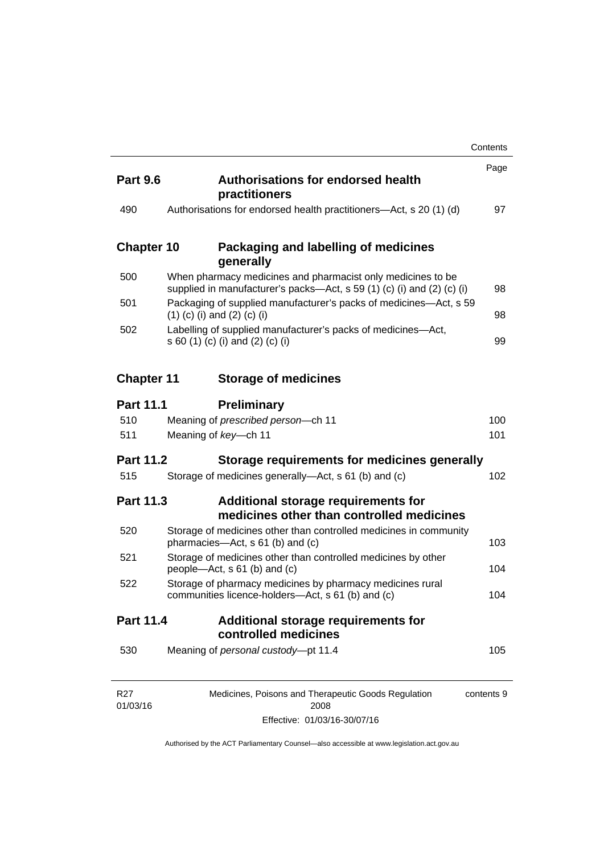|                             |                                                                                                                                       | Contents   |
|-----------------------------|---------------------------------------------------------------------------------------------------------------------------------------|------------|
| <b>Part 9.6</b>             | <b>Authorisations for endorsed health</b><br>practitioners                                                                            | Page       |
| 490                         | Authorisations for endorsed health practitioners—Act, s 20 (1) (d)                                                                    | 97         |
| <b>Chapter 10</b>           | Packaging and labelling of medicines<br>generally                                                                                     |            |
| 500                         | When pharmacy medicines and pharmacist only medicines to be<br>supplied in manufacturer's packs—Act, s 59 (1) (c) (i) and (2) (c) (i) | 98         |
| 501                         | Packaging of supplied manufacturer's packs of medicines—Act, s 59<br>$(1)$ (c) (i) and (2) (c) (i)                                    | 98         |
| 502                         | Labelling of supplied manufacturer's packs of medicines-Act,<br>s 60 (1) (c) (i) and (2) (c) (i)                                      | 99         |
| <b>Chapter 11</b>           | <b>Storage of medicines</b>                                                                                                           |            |
| <b>Part 11.1</b>            | <b>Preliminary</b>                                                                                                                    |            |
| 510                         | Meaning of prescribed person-ch 11                                                                                                    | 100        |
| 511                         | Meaning of key-ch 11                                                                                                                  | 101        |
| <b>Part 11.2</b>            | Storage requirements for medicines generally                                                                                          |            |
| 515                         | Storage of medicines generally-Act, s 61 (b) and (c)                                                                                  | 102        |
| <b>Part 11.3</b>            | Additional storage requirements for<br>medicines other than controlled medicines                                                      |            |
| 520                         | Storage of medicines other than controlled medicines in community<br>pharmacies—Act, s 61 (b) and (c)                                 | 103        |
| 521                         | Storage of medicines other than controlled medicines by other<br>people—Act, s 61 (b) and (c)                                         | 104        |
| 522                         | Storage of pharmacy medicines by pharmacy medicines rural<br>communities licence-holders—Act, s 61 (b) and (c)                        | 104        |
| Part 11.4                   | Additional storage requirements for<br>controlled medicines                                                                           |            |
| 530                         | Meaning of personal custody-pt 11.4                                                                                                   | 105        |
| R <sub>27</sub><br>01/03/16 | Medicines, Poisons and Therapeutic Goods Regulation<br>2008                                                                           | contents 9 |

Effective: 01/03/16-30/07/16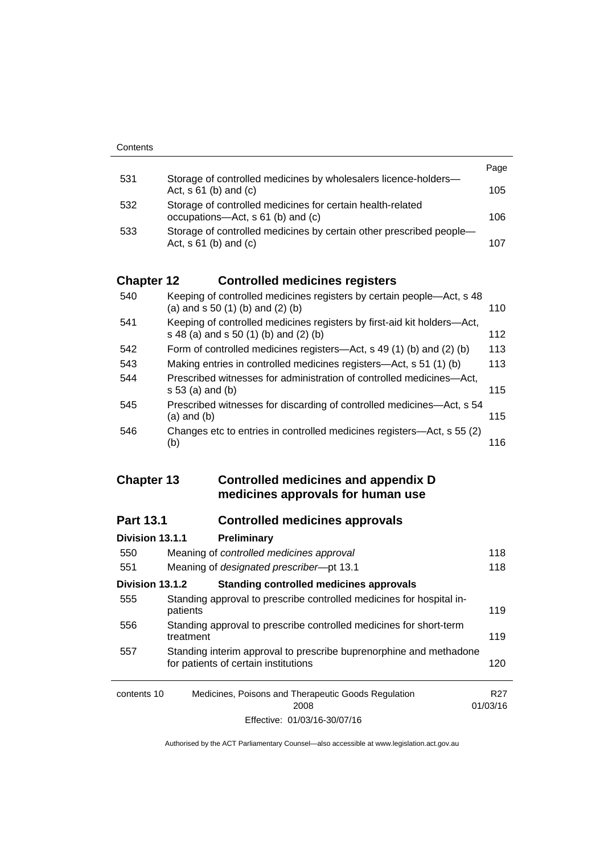|     |                                                                                                   | Page |
|-----|---------------------------------------------------------------------------------------------------|------|
| 531 | Storage of controlled medicines by wholesalers licence-holders-<br>Act, $s \, 61$ (b) and (c)     | 105  |
| 532 | Storage of controlled medicines for certain health-related<br>occupations—Act, s 61 (b) and (c)   | 106  |
| 533 | Storage of controlled medicines by certain other prescribed people-<br>Act, $s \, 61$ (b) and (c) | 107  |

# **Chapter 12 [Controlled medicines registers](#page-133-0)**

| 540 | Keeping of controlled medicines registers by certain people—Act, s 48<br>(a) and $s$ 50 (1) (b) and (2) (b)      | 110 |
|-----|------------------------------------------------------------------------------------------------------------------|-----|
| 541 | Keeping of controlled medicines registers by first-aid kit holders-Act,<br>s 48 (a) and s 50 (1) (b) and (2) (b) | 112 |
| 542 | Form of controlled medicines registers—Act, s 49 (1) (b) and (2) (b)                                             | 113 |
| 543 | Making entries in controlled medicines registers-Act, s 51 (1) (b)                                               | 113 |
| 544 | Prescribed witnesses for administration of controlled medicines—Act,<br>$s 53$ (a) and (b)                       | 115 |
| 545 | Prescribed witnesses for discarding of controlled medicines—Act, s 54<br>$(a)$ and $(b)$                         | 115 |
| 546 | Changes etc to entries in controlled medicines registers—Act, s 55 (2)<br>(b)                                    | 116 |

### **Chapter 13 [Controlled medicines and appendix D](#page-141-0)  [medicines approvals for human use](#page-141-0)**

# **Part 13.1 [Controlled medicines approvals](#page-141-1)**

| Division 13.1.1 | Preliminary                                                                                                |                 |
|-----------------|------------------------------------------------------------------------------------------------------------|-----------------|
| 550             | Meaning of controlled medicines approval                                                                   | 118             |
| 551             | Meaning of designated prescriber-pt 13.1                                                                   | 118             |
| Division 13.1.2 | <b>Standing controlled medicines approvals</b>                                                             |                 |
| 555             | Standing approval to prescribe controlled medicines for hospital in-<br>patients                           | 119             |
| 556             | Standing approval to prescribe controlled medicines for short-term<br>treatment                            | 119             |
| 557             | Standing interim approval to prescribe buprenorphine and methadone<br>for patients of certain institutions | 120             |
| contents 10     | Medicines, Poisons and Therapeutic Goods Regulation<br>2008                                                | R27<br>01/03/16 |
|                 | Effective: 01/03/16-30/07/16                                                                               |                 |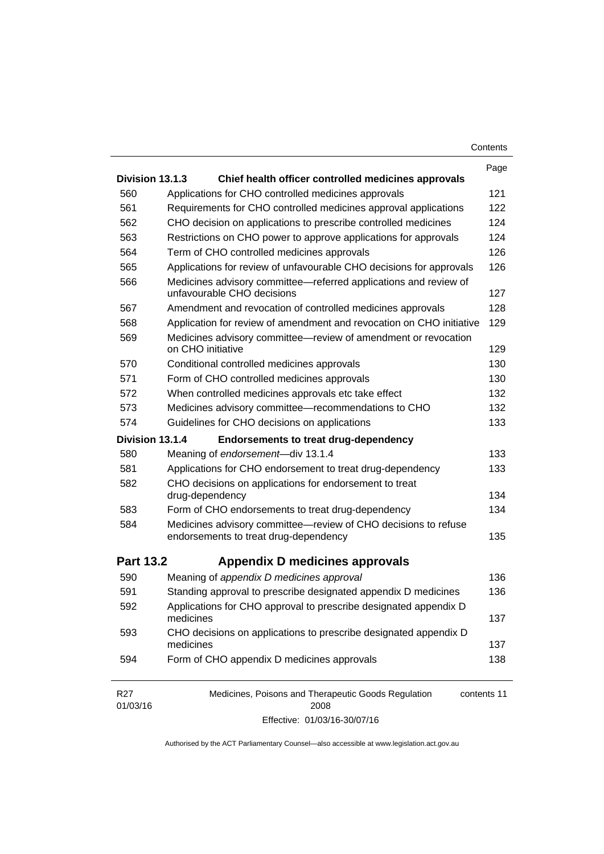| Contents |
|----------|
|----------|

|                             |                                                                                                | Page        |
|-----------------------------|------------------------------------------------------------------------------------------------|-------------|
| Division 13.1.3             | Chief health officer controlled medicines approvals                                            |             |
| 560                         | Applications for CHO controlled medicines approvals                                            | 121         |
| 561                         | Requirements for CHO controlled medicines approval applications                                | 122         |
| 562                         | CHO decision on applications to prescribe controlled medicines                                 | 124         |
| 563                         | Restrictions on CHO power to approve applications for approvals                                | 124         |
| 564                         | Term of CHO controlled medicines approvals                                                     | 126         |
| 565                         | Applications for review of unfavourable CHO decisions for approvals                            | 126         |
| 566                         | Medicines advisory committee-referred applications and review of<br>unfavourable CHO decisions | 127         |
| 567                         | Amendment and revocation of controlled medicines approvals                                     | 128         |
| 568                         | Application for review of amendment and revocation on CHO initiative                           | 129         |
| 569                         | Medicines advisory committee-review of amendment or revocation<br>on CHO initiative            | 129         |
| 570                         | Conditional controlled medicines approvals                                                     | 130         |
| 571                         | Form of CHO controlled medicines approvals                                                     | 130         |
| 572                         | When controlled medicines approvals etc take effect                                            | 132         |
| 573                         | Medicines advisory committee-recommendations to CHO                                            | 132         |
| 574                         | Guidelines for CHO decisions on applications                                                   | 133         |
| Division 13.1.4             | <b>Endorsements to treat drug-dependency</b>                                                   |             |
| 580                         | Meaning of endorsement-div 13.1.4                                                              | 133         |
| 581                         | Applications for CHO endorsement to treat drug-dependency                                      | 133         |
| 582                         | CHO decisions on applications for endorsement to treat<br>drug-dependency                      | 134         |
| 583                         | Form of CHO endorsements to treat drug-dependency                                              | 134         |
| 584                         | Medicines advisory committee-review of CHO decisions to refuse                                 |             |
|                             | endorsements to treat drug-dependency                                                          | 135         |
| <b>Part 13.2</b>            | Appendix D medicines approvals                                                                 |             |
| 590                         | Meaning of appendix D medicines approval                                                       | 136         |
| 591                         | Standing approval to prescribe designated appendix D medicines                                 | 136         |
| 592                         | Applications for CHO approval to prescribe designated appendix D<br>medicines                  | 137         |
| 593                         | CHO decisions on applications to prescribe designated appendix D<br>medicines                  | 137         |
| 594                         | Form of CHO appendix D medicines approvals                                                     | 138         |
| R <sub>27</sub><br>01/03/16 | Medicines, Poisons and Therapeutic Goods Regulation<br>2008                                    | contents 11 |

Effective: 01/03/16-30/07/16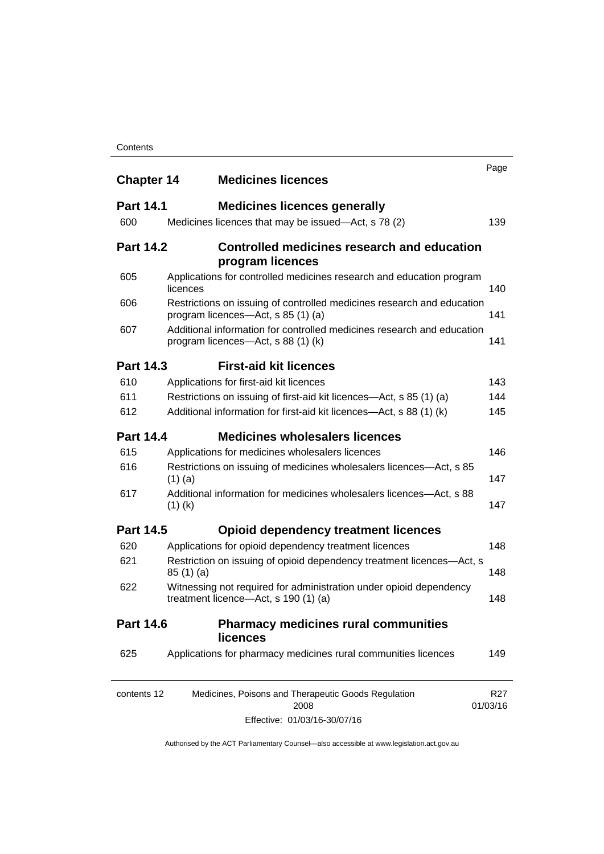#### **Contents**

| <b>Chapter 14</b> | <b>Medicines licences</b>                                                                                    | Page                        |
|-------------------|--------------------------------------------------------------------------------------------------------------|-----------------------------|
| <b>Part 14.1</b>  | <b>Medicines licences generally</b>                                                                          |                             |
| 600               | Medicines licences that may be issued—Act, s 78 (2)                                                          | 139                         |
| <b>Part 14.2</b>  | <b>Controlled medicines research and education</b><br>program licences                                       |                             |
| 605               | Applications for controlled medicines research and education program<br>licences                             | 140                         |
| 606               | Restrictions on issuing of controlled medicines research and education<br>program licences—Act, s 85 (1) (a) | 141                         |
| 607               | Additional information for controlled medicines research and education<br>program licences—Act, s 88 (1) (k) | 141                         |
| <b>Part 14.3</b>  | <b>First-aid kit licences</b>                                                                                |                             |
| 610               | Applications for first-aid kit licences                                                                      | 143                         |
| 611               | Restrictions on issuing of first-aid kit licences—Act, s 85 (1) (a)                                          | 144                         |
| 612               | Additional information for first-aid kit licences—Act, s 88 (1) (k)                                          | 145                         |
| <b>Part 14.4</b>  | <b>Medicines wholesalers licences</b>                                                                        |                             |
| 615               | Applications for medicines wholesalers licences                                                              | 146                         |
| 616               | Restrictions on issuing of medicines wholesalers licences—Act, s 85<br>$(1)$ (a)                             | 147                         |
| 617               | Additional information for medicines wholesalers licences—Act, s 88<br>$(1)$ (k)                             | 147                         |
| <b>Part 14.5</b>  | <b>Opioid dependency treatment licences</b>                                                                  |                             |
| 620               | Applications for opioid dependency treatment licences                                                        | 148                         |
| 621               | Restriction on issuing of opioid dependency treatment licences-Act, s<br>85(1)(a)                            | 148                         |
| 622               | Witnessing not required for administration under opioid dependency<br>treatment licence—Act, s 190 (1) (a)   | 148                         |
| <b>Part 14.6</b>  | <b>Pharmacy medicines rural communities</b><br>licences                                                      |                             |
| 625               | Applications for pharmacy medicines rural communities licences                                               | 149                         |
| contents 12       | Medicines, Poisons and Therapeutic Goods Regulation<br>2008                                                  | R <sub>27</sub><br>01/03/16 |

Effective: 01/03/16-30/07/16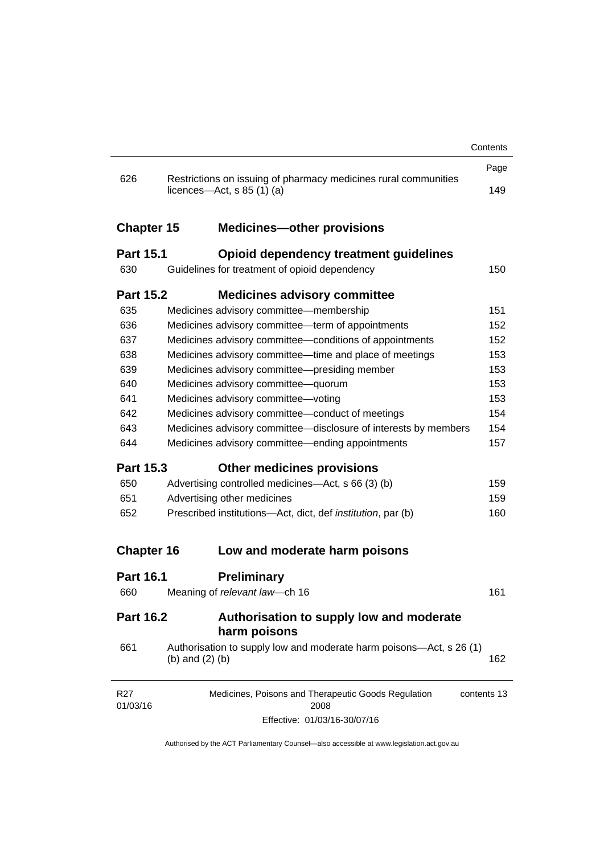|                             |                                                                                                           | Contents    |
|-----------------------------|-----------------------------------------------------------------------------------------------------------|-------------|
|                             |                                                                                                           | Page        |
| 626                         | Restrictions on issuing of pharmacy medicines rural communities<br>licences- $-\text{Act}$ , s 85 (1) (a) | 149         |
|                             |                                                                                                           |             |
| <b>Chapter 15</b>           | <b>Medicines-other provisions</b>                                                                         |             |
| <b>Part 15.1</b>            | <b>Opioid dependency treatment guidelines</b>                                                             |             |
| 630                         | Guidelines for treatment of opioid dependency                                                             | 150         |
| <b>Part 15.2</b>            | <b>Medicines advisory committee</b>                                                                       |             |
| 635                         | Medicines advisory committee-membership                                                                   | 151         |
| 636                         | Medicines advisory committee-term of appointments                                                         | 152         |
| 637                         | Medicines advisory committee-conditions of appointments                                                   | 152         |
| 638                         | Medicines advisory committee-time and place of meetings                                                   | 153         |
| 639                         | Medicines advisory committee-presiding member                                                             | 153         |
| 640                         | Medicines advisory committee-quorum                                                                       | 153         |
| 641                         | Medicines advisory committee-voting                                                                       | 153         |
| 642                         | Medicines advisory committee-conduct of meetings                                                          | 154         |
| 643                         | Medicines advisory committee-disclosure of interests by members                                           | 154         |
| 644                         | Medicines advisory committee—ending appointments                                                          | 157         |
| <b>Part 15.3</b>            | <b>Other medicines provisions</b>                                                                         |             |
| 650                         | Advertising controlled medicines—Act, s 66 (3) (b)                                                        | 159         |
| 651                         | Advertising other medicines                                                                               | 159         |
| 652                         | Prescribed institutions-Act, dict, def <i>institution</i> , par (b)                                       | 160         |
| <b>Chapter 16</b>           | Low and moderate harm poisons                                                                             |             |
| <b>Part 16.1</b>            | <b>Preliminary</b>                                                                                        |             |
| 660                         | Meaning of relevant law-ch 16                                                                             | 161         |
| <b>Part 16.2</b>            | Authorisation to supply low and moderate<br>harm poisons                                                  |             |
| 661                         | Authorisation to supply low and moderate harm poisons—Act, s 26 (1)<br>(b) and $(2)$ (b)                  | 162         |
| R <sub>27</sub><br>01/03/16 | Medicines, Poisons and Therapeutic Goods Regulation<br>2008                                               | contents 13 |
|                             | Effective: 01/03/16-30/07/16                                                                              |             |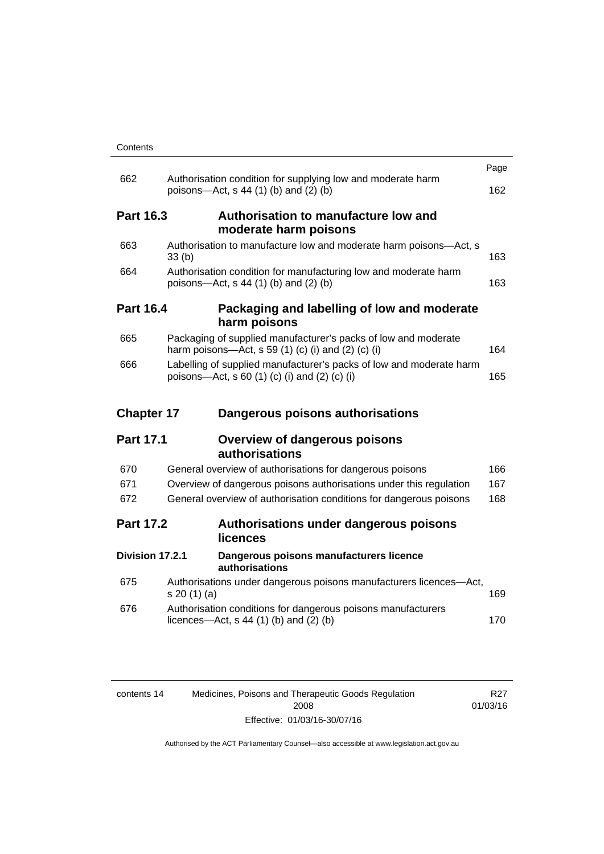| Contents |
|----------|
|----------|

|                   |                                                                                                                      | Page |
|-------------------|----------------------------------------------------------------------------------------------------------------------|------|
| 662               | Authorisation condition for supplying low and moderate harm<br>poisons—Act, s 44 (1) (b) and (2) (b)                 | 162  |
| <b>Part 16.3</b>  | Authorisation to manufacture low and<br>moderate harm poisons                                                        |      |
| 663               | Authorisation to manufacture low and moderate harm poisons-Act, s<br>33(b)                                           | 163  |
| 664               | Authorisation condition for manufacturing low and moderate harm<br>poisons—Act, s 44 (1) (b) and (2) (b)             | 163  |
| <b>Part 16.4</b>  | Packaging and labelling of low and moderate<br>harm poisons                                                          |      |
| 665               | Packaging of supplied manufacturer's packs of low and moderate<br>harm poisons-Act, s 59 (1) (c) (i) and (2) (c) (i) | 164  |
| 666               | Labelling of supplied manufacturer's packs of low and moderate harm<br>poisons-Act, s 60 (1) (c) (i) and (2) (c) (i) | 165  |
|                   |                                                                                                                      |      |
| <b>Chapter 17</b> | Dangerous poisons authorisations                                                                                     |      |
| <b>Part 17.1</b>  | <b>Overview of dangerous poisons</b><br>authorisations                                                               |      |
| 670               | General overview of authorisations for dangerous poisons                                                             | 166  |
| 671               | Overview of dangerous poisons authorisations under this regulation                                                   | 167  |
| 672               | General overview of authorisation conditions for dangerous poisons                                                   | 168  |
| <b>Part 17.2</b>  | Authorisations under dangerous poisons<br>licences                                                                   |      |
| Division 17.2.1   | Dangerous poisons manufacturers licence<br>authorisations                                                            |      |
| 675               | Authorisations under dangerous poisons manufacturers licences-Act,<br>s 20(1)(a)                                     | 169  |
| 676               | Authorisation conditions for dangerous poisons manufacturers<br>licences—Act, $s$ 44 (1) (b) and (2) (b)             | 170  |

| contents 14 | Medicines, Poisons and Therapeutic Goods Regulation | R27      |
|-------------|-----------------------------------------------------|----------|
|             | 2008                                                | 01/03/16 |
|             | Effective: 01/03/16-30/07/16                        |          |

R27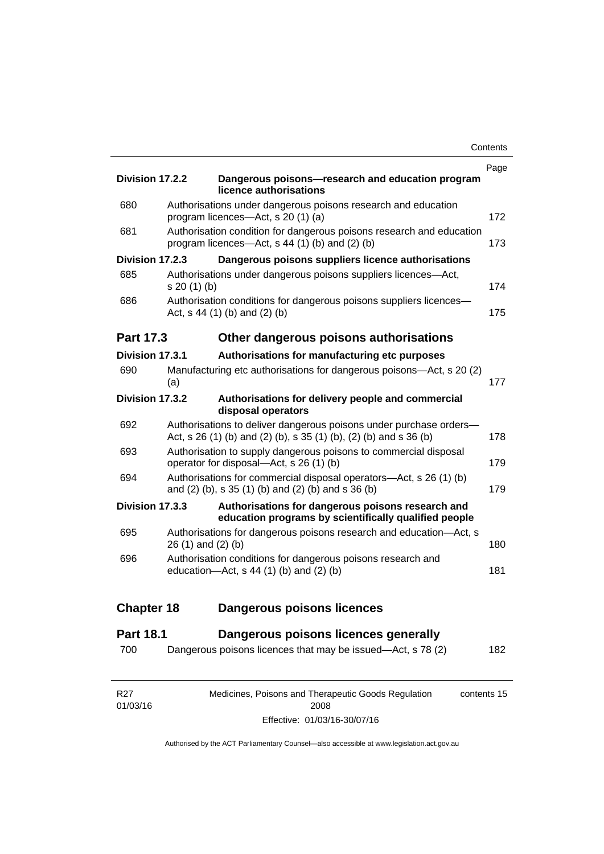| Division 17.2.2   |                    | Dangerous poisons-research and education program<br>licence authorisations                                                              | Page |
|-------------------|--------------------|-----------------------------------------------------------------------------------------------------------------------------------------|------|
| 680               |                    | Authorisations under dangerous poisons research and education<br>program licences—Act, s 20 (1) (a)                                     | 172  |
| 681               |                    | Authorisation condition for dangerous poisons research and education<br>program licences—Act, s 44 (1) (b) and (2) (b)                  | 173  |
| Division 17.2.3   |                    | Dangerous poisons suppliers licence authorisations                                                                                      |      |
| 685               | s 20 (1) (b)       | Authorisations under dangerous poisons suppliers licences-Act,                                                                          | 174  |
| 686               |                    | Authorisation conditions for dangerous poisons suppliers licences-<br>Act, s 44 (1) (b) and (2) (b)                                     | 175  |
| <b>Part 17.3</b>  |                    | Other dangerous poisons authorisations                                                                                                  |      |
| Division 17.3.1   |                    | Authorisations for manufacturing etc purposes                                                                                           |      |
| 690               | (a)                | Manufacturing etc authorisations for dangerous poisons-Act, s 20 (2)                                                                    | 177  |
| Division 17.3.2   |                    | Authorisations for delivery people and commercial<br>disposal operators                                                                 |      |
| 692               |                    | Authorisations to deliver dangerous poisons under purchase orders-<br>Act, s 26 (1) (b) and (2) (b), s 35 (1) (b), (2) (b) and s 36 (b) | 178  |
| 693               |                    | Authorisation to supply dangerous poisons to commercial disposal<br>operator for disposal-Act, s 26 (1) (b)                             | 179  |
| 694               |                    | Authorisations for commercial disposal operators—Act, s 26 (1) (b)<br>and (2) (b), s 35 (1) (b) and (2) (b) and s 36 (b)                | 179  |
| Division 17.3.3   |                    | Authorisations for dangerous poisons research and<br>education programs by scientifically qualified people                              |      |
| 695               | 26 (1) and (2) (b) | Authorisations for dangerous poisons research and education-Act, s                                                                      | 180  |
| 696               |                    | Authorisation conditions for dangerous poisons research and<br>education-Act, s 44 (1) (b) and (2) (b)                                  | 181  |
| <b>Chapter 18</b> |                    | <b>Dangerous poisons licences</b>                                                                                                       |      |
| <b>Part 18.1</b>  |                    | Dangerous poisons licences generally                                                                                                    |      |
| 700               |                    | Dangerous poisons licences that may be issued-Act, s 78 (2)                                                                             | 182  |
|                   |                    |                                                                                                                                         |      |

| R27      | Medicines, Poisons and Therapeutic Goods Regulation | contents 15 |
|----------|-----------------------------------------------------|-------------|
| 01/03/16 | 2008                                                |             |
|          | Effective: 01/03/16-30/07/16                        |             |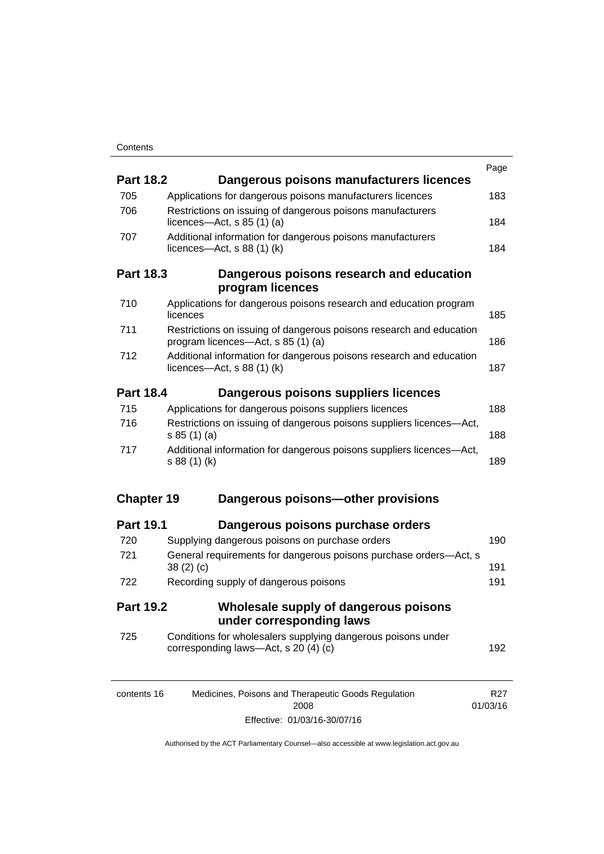|                   |                                                                                                           | Page            |
|-------------------|-----------------------------------------------------------------------------------------------------------|-----------------|
| <b>Part 18.2</b>  | Dangerous poisons manufacturers licences                                                                  |                 |
| 705               | Applications for dangerous poisons manufacturers licences                                                 | 183             |
| 706               | Restrictions on issuing of dangerous poisons manufacturers<br>licences- $-\text{Act}$ , s 85 (1) (a)      | 184             |
| 707               | Additional information for dangerous poisons manufacturers<br>licences- $-\text{Act}$ , s 88 (1) (k)      | 184             |
| <b>Part 18.3</b>  | Dangerous poisons research and education<br>program licences                                              |                 |
| 710               | Applications for dangerous poisons research and education program<br>licences                             | 185             |
| 711               | Restrictions on issuing of dangerous poisons research and education<br>program licences—Act, s 85 (1) (a) | 186             |
| 712               | Additional information for dangerous poisons research and education<br>licences—Act, $s$ 88 (1) (k)       | 187             |
| <b>Part 18.4</b>  | Dangerous poisons suppliers licences                                                                      |                 |
| 715               | Applications for dangerous poisons suppliers licences                                                     | 188             |
| 716               | Restrictions on issuing of dangerous poisons suppliers licences-Act,<br>s 85(1)(a)                        | 188             |
| 717               | Additional information for dangerous poisons suppliers licences-Act,<br>s 88 (1) (k)                      | 189             |
| <b>Chapter 19</b> | Dangerous poisons-other provisions                                                                        |                 |
| <b>Part 19.1</b>  | Dangerous poisons purchase orders                                                                         |                 |
| 720               | Supplying dangerous poisons on purchase orders                                                            | 190             |
| 721               | General requirements for dangerous poisons purchase orders-Act, s<br>38(2)(c)                             | 191             |
| 722               | Recording supply of dangerous poisons                                                                     | 191             |
| <b>Part 19.2</b>  | Wholesale supply of dangerous poisons<br>under corresponding laws                                         |                 |
| 725               | Conditions for wholesalers supplying dangerous poisons under<br>corresponding laws-Act, s 20 (4) (c)      | 192             |
| contents 16       | Medicines, Poisons and Therapeutic Goods Regulation                                                       | R <sub>27</sub> |

2008 Effective: 01/03/16-30/07/16 01/03/16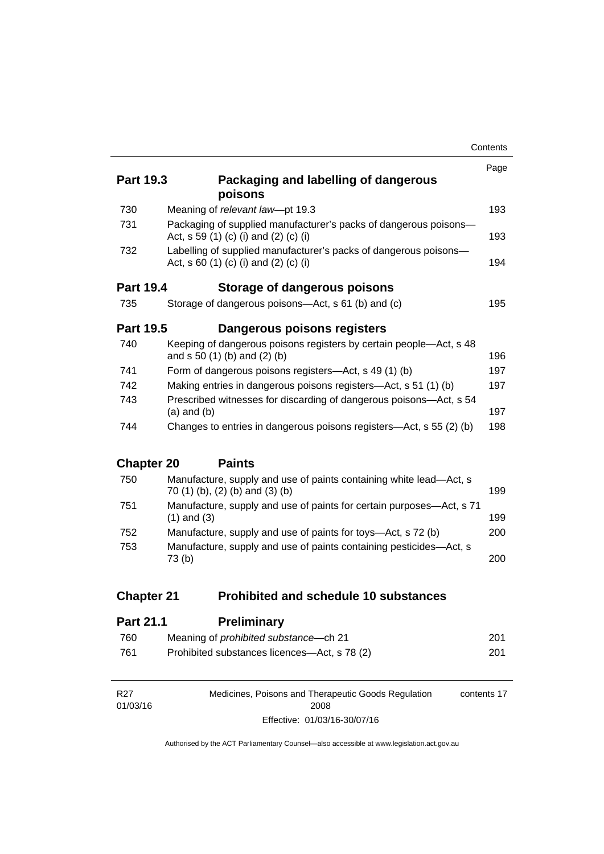|                   |                                                                                                           | Contents |
|-------------------|-----------------------------------------------------------------------------------------------------------|----------|
|                   |                                                                                                           | Page     |
| <b>Part 19.3</b>  | Packaging and labelling of dangerous<br>poisons                                                           |          |
| 730               | Meaning of relevant law-pt 19.3                                                                           | 193      |
| 731               | Packaging of supplied manufacturer's packs of dangerous poisons-<br>Act, s 59 (1) (c) (i) and (2) (c) (i) | 193      |
| 732               | Labelling of supplied manufacturer's packs of dangerous poisons-<br>Act, s 60 (1) (c) (i) and (2) (c) (i) | 194      |
| <b>Part 19.4</b>  | Storage of dangerous poisons                                                                              |          |
| 735               | Storage of dangerous poisons-Act, s 61 (b) and (c)                                                        | 195      |
| <b>Part 19.5</b>  | Dangerous poisons registers                                                                               |          |
| 740               | Keeping of dangerous poisons registers by certain people-Act, s 48<br>and s 50 (1) (b) and (2) (b)        | 196      |
| 741               | Form of dangerous poisons registers—Act, s 49 (1) (b)                                                     | 197      |
| 742               | Making entries in dangerous poisons registers—Act, s 51 (1) (b)                                           | 197      |
| 743               | Prescribed witnesses for discarding of dangerous poisons-Act, s 54<br>$(a)$ and $(b)$                     | 197      |
| 744               | Changes to entries in dangerous poisons registers—Act, s 55 (2) (b)                                       | 198      |
| <b>Chapter 20</b> | <b>Paints</b>                                                                                             |          |
| 750               | Manufacture, supply and use of paints containing white lead-Act, s<br>70 (1) (b), (2) (b) and (3) (b)     | 199      |
| 751               | Manufacture, supply and use of paints for certain purposes—Act, s 71<br>$(1)$ and $(3)$                   | 199      |
| 752               | Manufacture, supply and use of paints for toys-Act, s 72 (b)                                              | 200      |
| 753               | Manufacture, supply and use of paints containing pesticides-Act, s<br>73 <sub>(b)</sub>                   | 200      |
| <b>Chapter 21</b> | <b>Prohibited and schedule 10 substances</b>                                                              |          |
|                   |                                                                                                           |          |
| <b>Part 21.1</b>  | <b>Preliminary</b>                                                                                        |          |

|     | _______________                               |     |
|-----|-----------------------------------------------|-----|
| 760 | Meaning of <i>prohibited substance</i> —ch 21 | 201 |
| 761 | Prohibited substances licences—Act, s 78 (2)  | 201 |

| R27      | Medicines, Poisons and Therapeutic Goods Regulation | contents 17 |
|----------|-----------------------------------------------------|-------------|
| 01/03/16 | 2008                                                |             |
|          | Effective: 01/03/16-30/07/16                        |             |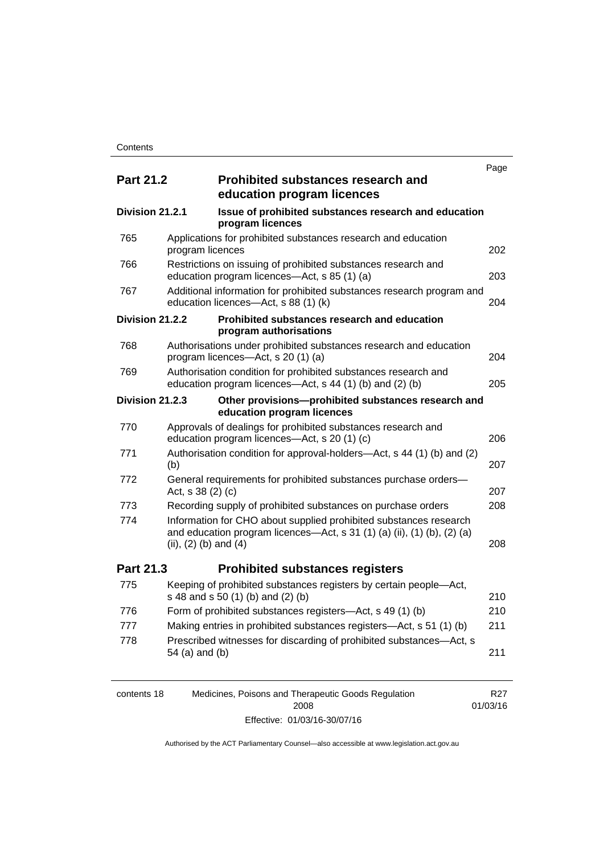|                  |                           |                                                                                                                                              | Page |
|------------------|---------------------------|----------------------------------------------------------------------------------------------------------------------------------------------|------|
| <b>Part 21.2</b> |                           | <b>Prohibited substances research and</b><br>education program licences                                                                      |      |
| Division 21.2.1  |                           | Issue of prohibited substances research and education<br>program licences                                                                    |      |
| 765              | program licences          | Applications for prohibited substances research and education                                                                                | 202  |
| 766              |                           | Restrictions on issuing of prohibited substances research and<br>education program licences-Act, s 85 (1) (a)                                | 203  |
| 767              |                           | Additional information for prohibited substances research program and<br>education licences-Act, s 88 (1) (k)                                | 204  |
| Division 21.2.2  |                           | Prohibited substances research and education<br>program authorisations                                                                       |      |
| 768              |                           | Authorisations under prohibited substances research and education<br>program licences—Act, s 20 (1) (a)                                      | 204  |
| 769              |                           | Authorisation condition for prohibited substances research and<br>education program licences—Act, s 44 (1) (b) and (2) (b)                   | 205  |
| Division 21.2.3  |                           | Other provisions-prohibited substances research and<br>education program licences                                                            |      |
| 770              |                           | Approvals of dealings for prohibited substances research and<br>education program licences-Act, s 20 (1) (c)                                 | 206  |
| 771              | (b)                       | Authorisation condition for approval-holders—Act, s 44 (1) (b) and (2)                                                                       | 207  |
| 772              | Act, s 38 (2) (c)         | General requirements for prohibited substances purchase orders-                                                                              | 207  |
| 773              |                           | Recording supply of prohibited substances on purchase orders                                                                                 | 208  |
| 774              | (ii), $(2)$ (b) and $(4)$ | Information for CHO about supplied prohibited substances research<br>and education program licences—Act, s 31 (1) (a) (ii), (1) (b), (2) (a) | 208  |
| Part 21.3        |                           | <b>Prohibited substances registers</b>                                                                                                       |      |
| 775              |                           | Keeping of prohibited substances registers by certain people-Act,<br>s 48 and s 50 (1) (b) and (2) (b)                                       | 210  |
| 776              |                           | Form of prohibited substances registers—Act, s 49 (1) (b)                                                                                    | 210  |
| 777              |                           | Making entries in prohibited substances registers-Act, s 51 (1) (b)                                                                          | 211  |
| 778              | 54 (a) and (b)            | Prescribed witnesses for discarding of prohibited substances-Act, s                                                                          | 211  |

| contents 18 | Medicines, Poisons and Therapeutic Goods Regulation | R27      |
|-------------|-----------------------------------------------------|----------|
|             | 2008                                                | 01/03/16 |
|             | Effective: 01/03/16-30/07/16                        |          |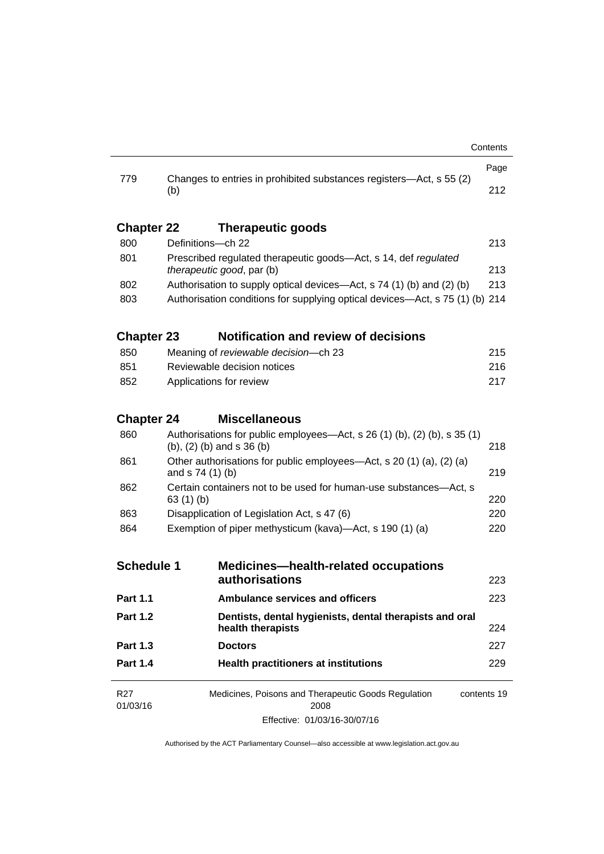|                                                                  |                                                                                                                       | Page |  |
|------------------------------------------------------------------|-----------------------------------------------------------------------------------------------------------------------|------|--|
| 779                                                              | Changes to entries in prohibited substances registers—Act, s 55 (2)<br>(b)                                            |      |  |
| <b>Chapter 22</b>                                                | <b>Therapeutic goods</b>                                                                                              |      |  |
| 800                                                              | Definitions-ch 22                                                                                                     | 213  |  |
| 801                                                              | Prescribed regulated therapeutic goods-Act, s 14, def regulated                                                       |      |  |
|                                                                  | therapeutic good, par (b)                                                                                             | 213  |  |
| 802                                                              | Authorisation to supply optical devices—Act, s 74 (1) (b) and (2) (b)                                                 | 213  |  |
| 803                                                              | Authorisation conditions for supplying optical devices—Act, s 75 (1) (b) 214                                          |      |  |
| <b>Chapter 23</b>                                                | <b>Notification and review of decisions</b>                                                                           |      |  |
| 850                                                              | Meaning of reviewable decision--- ch 23                                                                               | 215  |  |
| 851                                                              | Reviewable decision notices                                                                                           | 216  |  |
| 852                                                              | Applications for review                                                                                               |      |  |
| <b>Chapter 24</b>                                                | <b>Miscellaneous</b>                                                                                                  |      |  |
| 860                                                              | Authorisations for public employees—Act, s 26 (1) (b), (2) (b), s 35 (1)<br>$(b)$ , $(2)$ $(b)$ and s 36 $(b)$<br>218 |      |  |
| 861                                                              | Other authorisations for public employees—Act, s 20 (1) (a), (2) (a)<br>and $s$ 74 (1) (b)                            |      |  |
| 862                                                              | Certain containers not to be used for human-use substances—Act, s<br>63 $(1)$ $(b)$                                   |      |  |
| 863                                                              | Disapplication of Legislation Act, s 47 (6)                                                                           | 220  |  |
| 864                                                              | Exemption of piper methysticum (kava)—Act, s 190 (1) (a)                                                              |      |  |
| <b>Schedule 1</b><br><b>Medicines-health-related occupations</b> |                                                                                                                       |      |  |
|                                                                  | authorisations                                                                                                        | 223  |  |
| Part 1.1                                                         | <b>Ambulance services and officers</b>                                                                                | 223  |  |
| <b>Part 1.2</b>                                                  | Dentists, dental hygienists, dental therapists and oral<br>health therapists                                          | 224  |  |
| <b>Part 1.3</b>                                                  | <b>Doctors</b>                                                                                                        | 227  |  |
| <b>Part 1.4</b>                                                  | <b>Health practitioners at institutions</b>                                                                           | 229  |  |
| R <sub>27</sub><br>01/03/16                                      | Medicines, Poisons and Therapeutic Goods Regulation<br>contents 19<br>2008                                            |      |  |
|                                                                  | Effective: 01/03/16-30/07/16                                                                                          |      |  |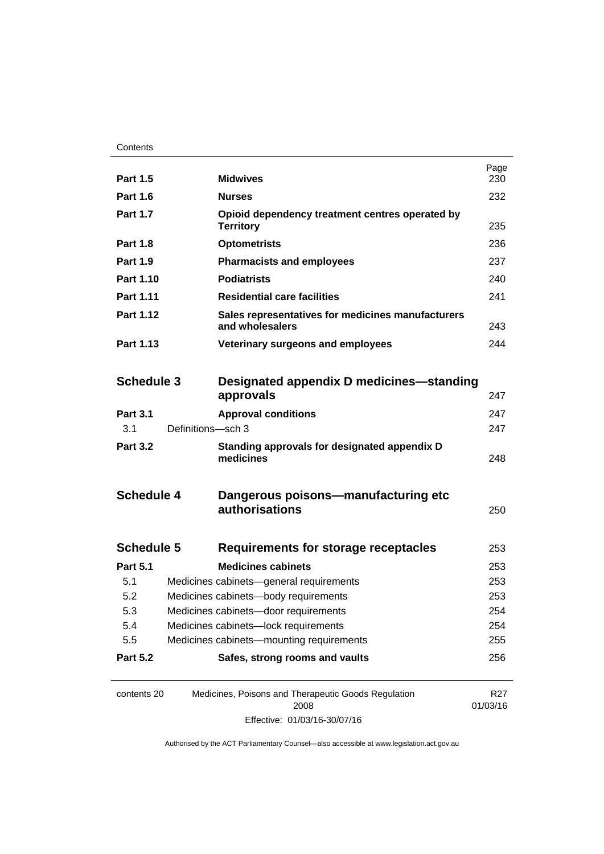| <b>Part 1.5</b>   |                   | <b>Midwives</b>                                                      | Page<br>230                 |
|-------------------|-------------------|----------------------------------------------------------------------|-----------------------------|
| <b>Part 1.6</b>   |                   | <b>Nurses</b>                                                        | 232                         |
| <b>Part 1.7</b>   |                   | Opioid dependency treatment centres operated by<br><b>Territory</b>  | 235                         |
| <b>Part 1.8</b>   |                   | <b>Optometrists</b>                                                  | 236                         |
| <b>Part 1.9</b>   |                   | <b>Pharmacists and employees</b>                                     | 237                         |
| Part 1.10         |                   | <b>Podiatrists</b>                                                   | 240                         |
| Part 1.11         |                   | <b>Residential care facilities</b>                                   | 241                         |
| Part 1.12         |                   | Sales representatives for medicines manufacturers<br>and wholesalers | 243                         |
| Part 1.13         |                   | Veterinary surgeons and employees                                    | 244                         |
|                   |                   |                                                                      |                             |
| <b>Schedule 3</b> |                   | Designated appendix D medicines—standing<br>approvals                | 247                         |
| <b>Part 3.1</b>   |                   | <b>Approval conditions</b>                                           | 247                         |
| 3.1               | Definitions-sch 3 |                                                                      | 247                         |
| <b>Part 3.2</b>   |                   | Standing approvals for designated appendix D<br>medicines            | 248                         |
| <b>Schedule 4</b> |                   | Dangerous poisons—manufacturing etc<br>authorisations                | 250                         |
| <b>Schedule 5</b> |                   | Requirements for storage receptacles                                 | 253                         |
| <b>Part 5.1</b>   |                   | <b>Medicines cabinets</b>                                            | 253                         |
| 5.1               |                   | Medicines cabinets-general requirements                              | 253                         |
| 5.2               |                   | Medicines cabinets-body requirements                                 | 253                         |
| 5.3               |                   | Medicines cabinets-door requirements                                 | 254                         |
| 5.4               |                   | Medicines cabinets-lock requirements                                 | 254                         |
| 5.5               |                   | Medicines cabinets-mounting requirements                             | 255                         |
| <b>Part 5.2</b>   |                   | Safes, strong rooms and vaults                                       | 256                         |
| contents 20       |                   | Medicines, Poisons and Therapeutic Goods Regulation<br>2008          | R <sub>27</sub><br>01/03/16 |

Effective: 01/03/16-30/07/16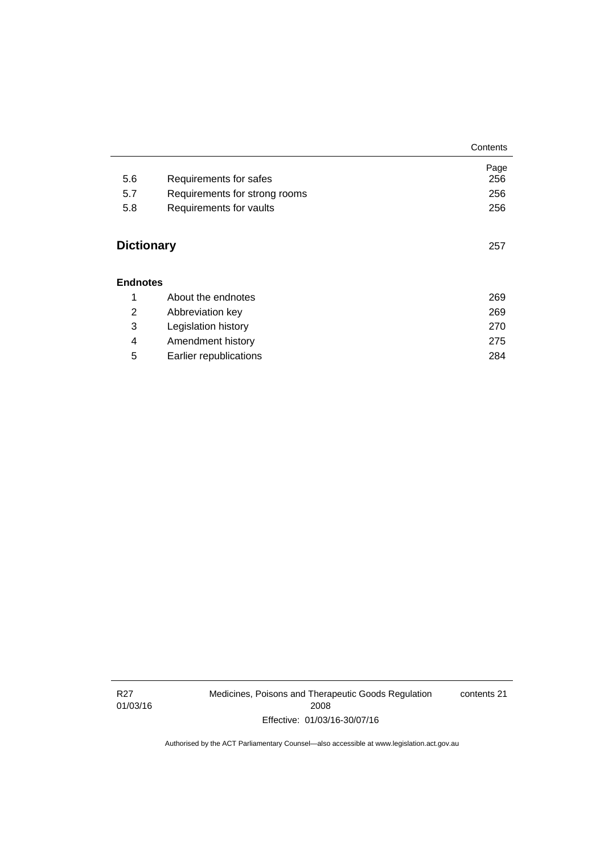|                   |                               | Contents |
|-------------------|-------------------------------|----------|
|                   |                               | Page     |
| 5.6               | Requirements for safes        | 256      |
| 5.7               | Requirements for strong rooms | 256      |
| 5.8               | Requirements for vaults       | 256      |
| <b>Dictionary</b> |                               | 257      |
| <b>Endnotes</b>   |                               |          |
| 1                 | About the endnotes            | 269      |
| 2                 | Abbreviation key              | 269      |
| 3                 | Legislation history           | 270      |
| 4                 | Amendment history             | 275      |
| 5                 | Earlier republications        | 284      |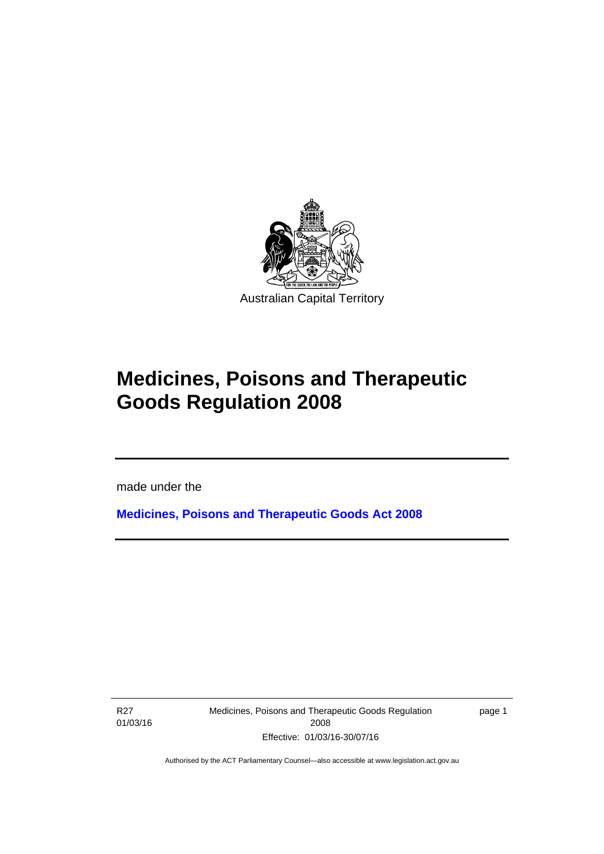

# **Medicines, Poisons and Therapeutic Goods Regulation 2008**

made under the

**[Medicines, Poisons and Therapeutic Goods Act 2008](http://www.legislation.act.gov.au/a/2008-26)**

R27 01/03/16

l

Medicines, Poisons and Therapeutic Goods Regulation 2008 Effective: 01/03/16-30/07/16

page 1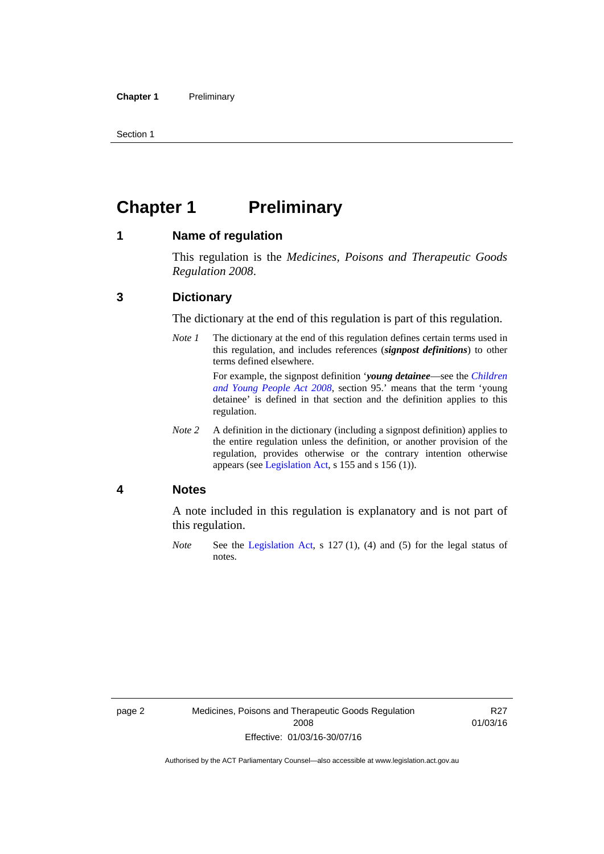Section 1

# <span id="page-25-0"></span>**Chapter 1** Preliminary

#### <span id="page-25-1"></span>**1 Name of regulation**

This regulation is the *Medicines, Poisons and Therapeutic Goods Regulation 2008*.

### <span id="page-25-2"></span>**3 Dictionary**

The dictionary at the end of this regulation is part of this regulation.

*Note 1* The dictionary at the end of this regulation defines certain terms used in this regulation, and includes references (*signpost definitions*) to other terms defined elsewhere. For example, the signpost definition '*young detainee*—see the *[Children](http://www.legislation.act.gov.au/a/2008-19)* 

*[and Young People Act 2008](http://www.legislation.act.gov.au/a/2008-19)*, section 95.' means that the term 'young detainee' is defined in that section and the definition applies to this regulation.

*Note 2* A definition in the dictionary (including a signpost definition) applies to the entire regulation unless the definition, or another provision of the regulation, provides otherwise or the contrary intention otherwise appears (see [Legislation Act,](http://www.legislation.act.gov.au/a/2001-14) s 155 and s 156 (1)).

#### <span id="page-25-3"></span>**4 Notes**

A note included in this regulation is explanatory and is not part of this regulation.

*Note* See the [Legislation Act,](http://www.legislation.act.gov.au/a/2001-14) s 127 (1), (4) and (5) for the legal status of notes.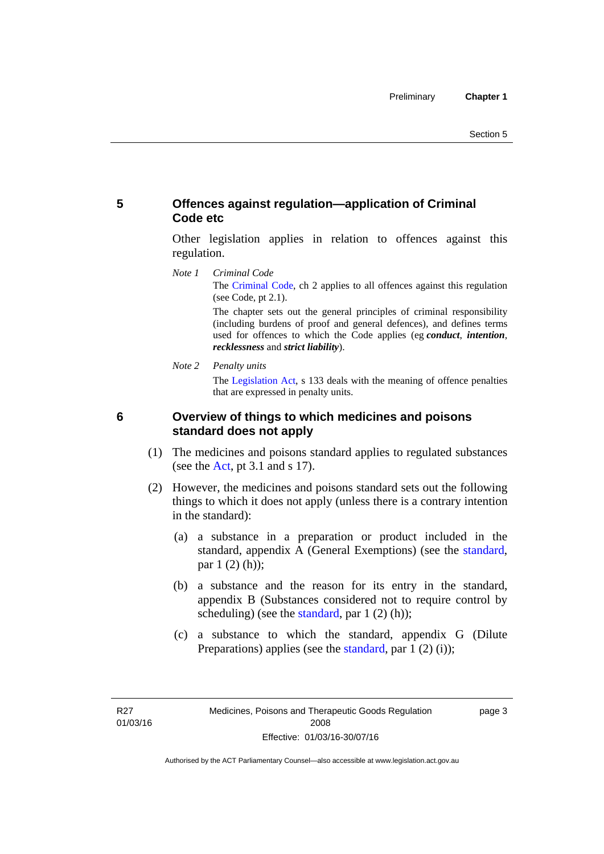## <span id="page-26-0"></span>**5 Offences against regulation—application of Criminal Code etc**

Other legislation applies in relation to offences against this regulation.

*Note 1 Criminal Code* The [Criminal Code](http://www.legislation.act.gov.au/a/2002-51), ch 2 applies to all offences against this regulation (see Code, pt 2.1).

> The chapter sets out the general principles of criminal responsibility (including burdens of proof and general defences), and defines terms used for offences to which the Code applies (eg *conduct*, *intention*, *recklessness* and *strict liability*).

*Note 2 Penalty units* 

The [Legislation Act](http://www.legislation.act.gov.au/a/2001-14), s 133 deals with the meaning of offence penalties that are expressed in penalty units.

## <span id="page-26-1"></span>**6 Overview of things to which medicines and poisons standard does not apply**

- (1) The medicines and poisons standard applies to regulated substances (see the  $Act$ , pt 3.1 and s 17).
- (2) However, the medicines and poisons standard sets out the following things to which it does not apply (unless there is a contrary intention in the standard):
	- (a) a substance in a preparation or product included in the standard, appendix A (General Exemptions) (see the [standard](http://www.comlaw.gov.au/Series/F2012L01200), par 1 (2) (h));
	- (b) a substance and the reason for its entry in the standard, appendix B (Substances considered not to require control by scheduling) (see the [standard,](http://www.comlaw.gov.au/Series/F2012L01200) par  $1(2)(h)$ );
	- (c) a substance to which the standard, appendix G (Dilute Preparations) applies (see the [standard,](http://www.comlaw.gov.au/Series/F2012L01200) par 1 (2) (i));

page 3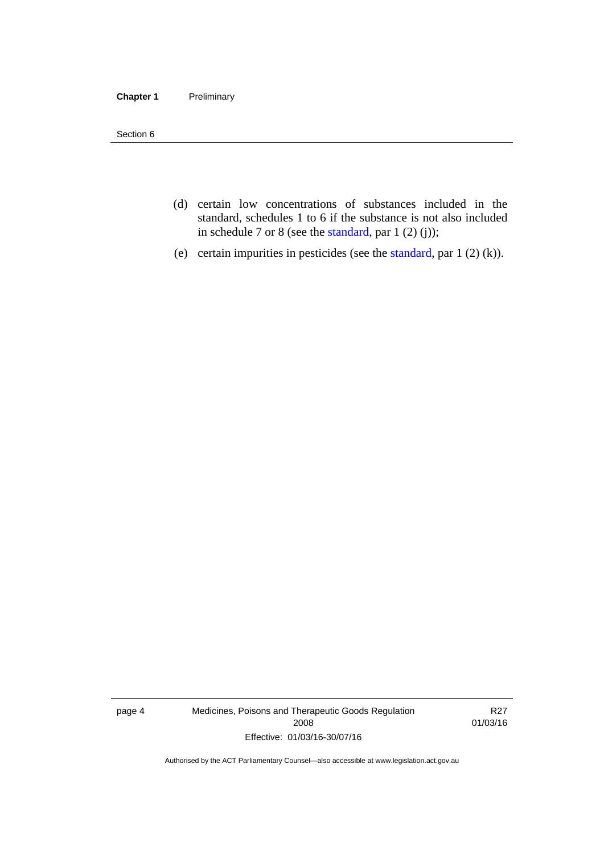#### **Chapter 1** Preliminary

Section 6

- (d) certain low concentrations of substances included in the standard, schedules 1 to 6 if the substance is not also included in schedule 7 or 8 (see the [standard,](http://www.comlaw.gov.au/Series/F2012L01200) par 1 (2) (j));
- (e) certain impurities in pesticides (see the [standard,](http://www.comlaw.gov.au/Series/F2012L01200) par  $1(2)(k)$ ).

page 4 Medicines, Poisons and Therapeutic Goods Regulation 2008 Effective: 01/03/16-30/07/16

R27 01/03/16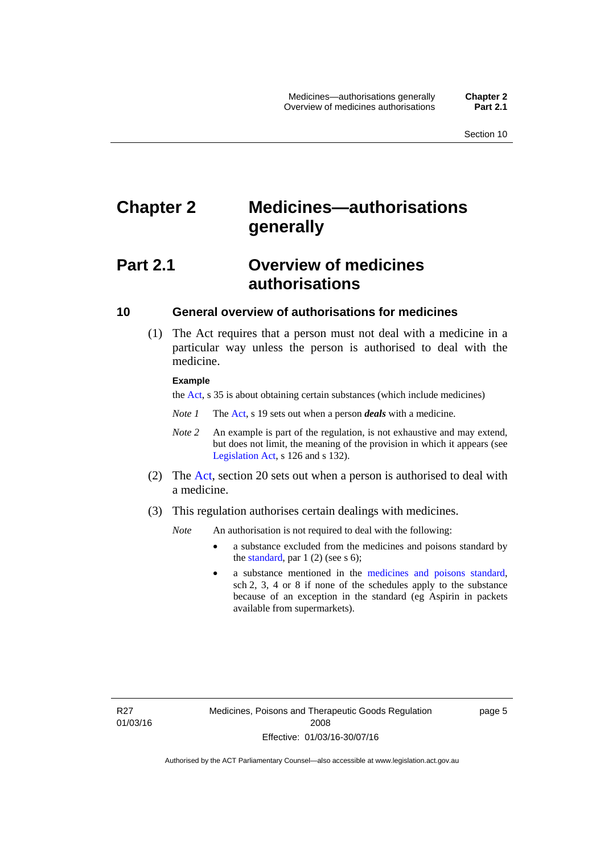# <span id="page-28-0"></span>**Chapter 2 Medicines—authorisations generally**

# <span id="page-28-1"></span>**Part 2.1 Overview of medicines authorisations**

### <span id="page-28-2"></span>**10 General overview of authorisations for medicines**

 (1) The Act requires that a person must not deal with a medicine in a particular way unless the person is authorised to deal with the medicine.

#### **Example**

the [Act](http://www.legislation.act.gov.au/a/2008-26/default.asp), s 35 is about obtaining certain substances (which include medicines)

- *Note 1* The [Act,](http://www.legislation.act.gov.au/a/2008-26/default.asp) s 19 sets out when a person *deals* with a medicine.
- *Note 2* An example is part of the regulation, is not exhaustive and may extend, but does not limit, the meaning of the provision in which it appears (see [Legislation Act,](http://www.legislation.act.gov.au/a/2001-14) s 126 and s 132).
- (2) The [Act](http://www.legislation.act.gov.au/a/2008-26/default.asp), section 20 sets out when a person is authorised to deal with a medicine.
- (3) This regulation authorises certain dealings with medicines.

*Note* An authorisation is not required to deal with the following:

- a substance excluded from the medicines and poisons standard by the [standard,](http://www.comlaw.gov.au/Series/F2012L01200) par  $1(2)$  (see s 6);
- a substance mentioned in the [medicines and poisons standard,](http://www.comlaw.gov.au/Series/F2012L01200) sch 2, 3, 4 or 8 if none of the schedules apply to the substance because of an exception in the standard (eg Aspirin in packets available from supermarkets).

R27 01/03/16 page 5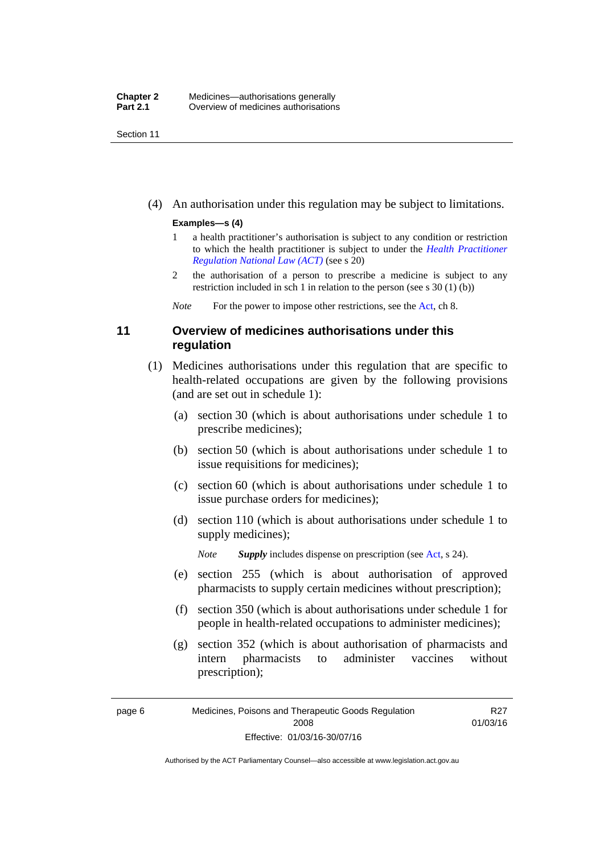Section 11

(4) An authorisation under this regulation may be subject to limitations.

#### **Examples—s (4)**

- 1 a health practitioner's authorisation is subject to any condition or restriction to which the health practitioner is subject to under the *[Health Practitioner](http://www.legislation.act.gov.au/a/db_39269/default.asp)  [Regulation National Law \(ACT\)](http://www.legislation.act.gov.au/a/db_39269/default.asp)* (see s 20)
- 2 the authorisation of a person to prescribe a medicine is subject to any restriction included in sch 1 in relation to the person (see s 30 (1) (b))

*Note* For the power to impose other restrictions, see the [Act](http://www.legislation.act.gov.au/a/2008-26/default.asp), ch 8.

## <span id="page-29-0"></span>**11 Overview of medicines authorisations under this regulation**

- (1) Medicines authorisations under this regulation that are specific to health-related occupations are given by the following provisions (and are set out in schedule 1):
	- (a) section 30 (which is about authorisations under schedule 1 to prescribe medicines);
	- (b) section 50 (which is about authorisations under schedule 1 to issue requisitions for medicines);
	- (c) section 60 (which is about authorisations under schedule 1 to issue purchase orders for medicines);
	- (d) section 110 (which is about authorisations under schedule 1 to supply medicines);

*Note Supply* includes dispense on prescription (see [Act,](http://www.legislation.act.gov.au/a/2008-26/default.asp) s 24).

- (e) section 255 (which is about authorisation of approved pharmacists to supply certain medicines without prescription);
- (f) section 350 (which is about authorisations under schedule 1 for people in health-related occupations to administer medicines);
- (g) section 352 (which is about authorisation of pharmacists and intern pharmacists to administer vaccines without prescription);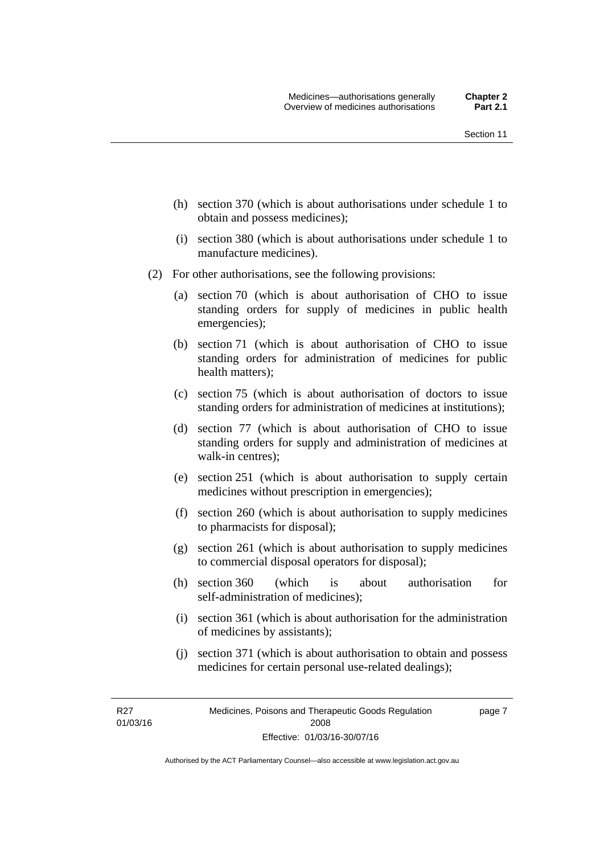- (h) section 370 (which is about authorisations under schedule 1 to obtain and possess medicines);
- (i) section 380 (which is about authorisations under schedule 1 to manufacture medicines).
- (2) For other authorisations, see the following provisions:
	- (a) section 70 (which is about authorisation of CHO to issue standing orders for supply of medicines in public health emergencies);
	- (b) section 71 (which is about authorisation of CHO to issue standing orders for administration of medicines for public health matters);
	- (c) section 75 (which is about authorisation of doctors to issue standing orders for administration of medicines at institutions);
	- (d) section 77 (which is about authorisation of CHO to issue standing orders for supply and administration of medicines at walk-in centres);
	- (e) section 251 (which is about authorisation to supply certain medicines without prescription in emergencies);
	- (f) section 260 (which is about authorisation to supply medicines to pharmacists for disposal);
	- (g) section 261 (which is about authorisation to supply medicines to commercial disposal operators for disposal);
	- (h) section 360 (which is about authorisation for self-administration of medicines);
	- (i) section 361 (which is about authorisation for the administration of medicines by assistants);
	- (j) section 371 (which is about authorisation to obtain and possess medicines for certain personal use-related dealings);

R27 01/03/16 page 7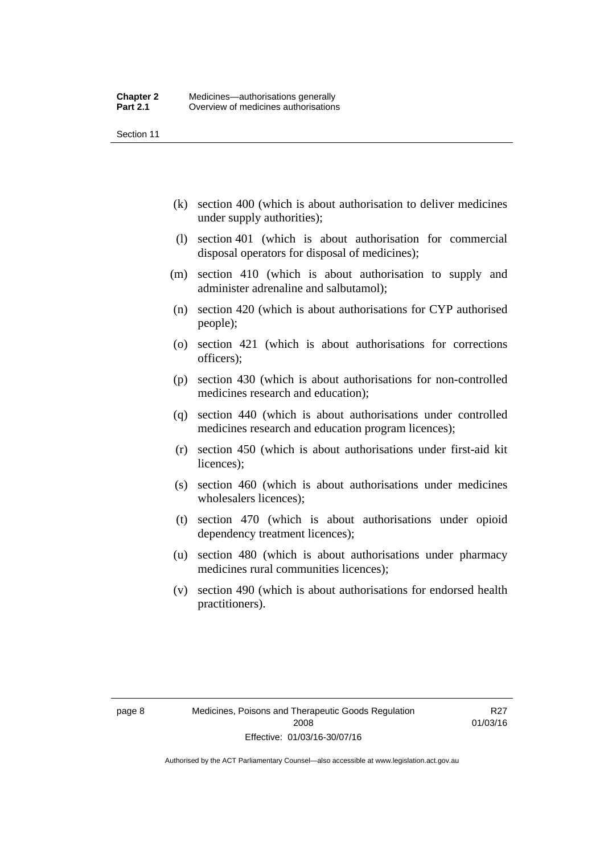Section 11

- (k) section 400 (which is about authorisation to deliver medicines under supply authorities);
- (l) section 401 (which is about authorisation for commercial disposal operators for disposal of medicines);
- (m) section 410 (which is about authorisation to supply and administer adrenaline and salbutamol);
- (n) section 420 (which is about authorisations for CYP authorised people);
- (o) section 421 (which is about authorisations for corrections officers);
- (p) section 430 (which is about authorisations for non-controlled medicines research and education);
- (q) section 440 (which is about authorisations under controlled medicines research and education program licences);
- (r) section 450 (which is about authorisations under first-aid kit licences);
- (s) section 460 (which is about authorisations under medicines wholesalers licences);
- (t) section 470 (which is about authorisations under opioid dependency treatment licences);
- (u) section 480 (which is about authorisations under pharmacy medicines rural communities licences);
- (v) section 490 (which is about authorisations for endorsed health practitioners).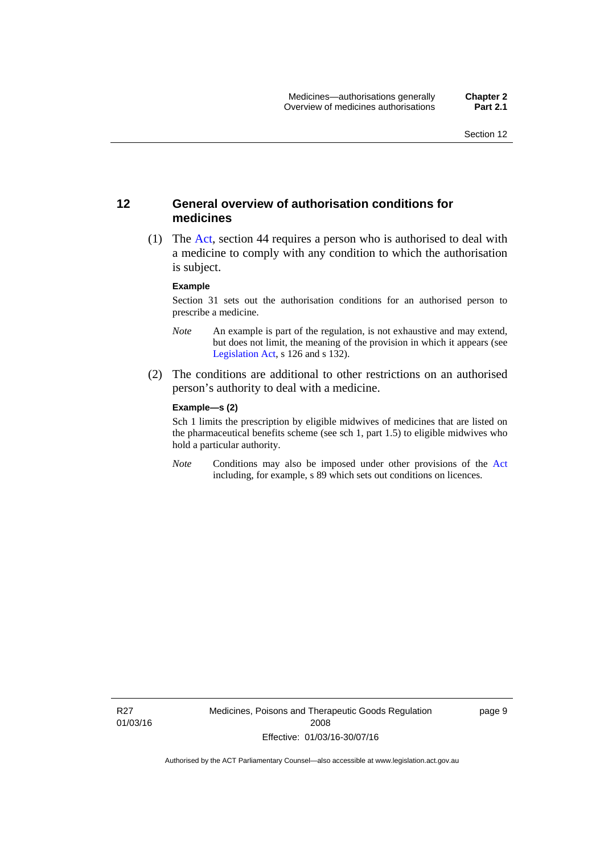### <span id="page-32-0"></span>**12 General overview of authorisation conditions for medicines**

 (1) The [Act](http://www.legislation.act.gov.au/a/2008-26/default.asp), section 44 requires a person who is authorised to deal with a medicine to comply with any condition to which the authorisation is subject.

#### **Example**

Section 31 sets out the authorisation conditions for an authorised person to prescribe a medicine.

- *Note* An example is part of the regulation, is not exhaustive and may extend, but does not limit, the meaning of the provision in which it appears (see [Legislation Act,](http://www.legislation.act.gov.au/a/2001-14) s 126 and s 132).
- (2) The conditions are additional to other restrictions on an authorised person's authority to deal with a medicine.

#### **Example—s (2)**

Sch 1 limits the prescription by eligible midwives of medicines that are listed on the pharmaceutical benefits scheme (see sch 1, part 1.5) to eligible midwives who hold a particular authority.

*Note* Conditions may also be imposed under other provisions of the [Act](http://www.legislation.act.gov.au/a/2008-26/default.asp) including, for example, s 89 which sets out conditions on licences.

R27 01/03/16 Medicines, Poisons and Therapeutic Goods Regulation 2008 Effective: 01/03/16-30/07/16

page 9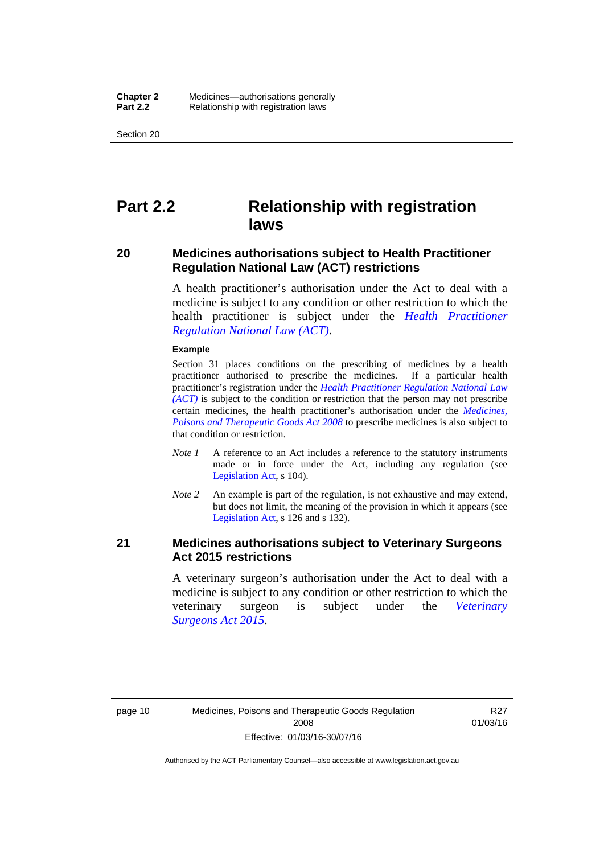Section 20

# <span id="page-33-0"></span>**Part 2.2 Relationship with registration laws**

### <span id="page-33-1"></span>**20 Medicines authorisations subject to Health Practitioner Regulation National Law (ACT) restrictions**

A health practitioner's authorisation under the Act to deal with a medicine is subject to any condition or other restriction to which the health practitioner is subject under the *[Health Practitioner](http://www.legislation.act.gov.au/a/db_39269/default.asp)  [Regulation National Law \(ACT\)](http://www.legislation.act.gov.au/a/db_39269/default.asp)*.

#### **Example**

Section 31 places conditions on the prescribing of medicines by a health practitioner authorised to prescribe the medicines. If a particular health practitioner's registration under the *[Health Practitioner Regulation National Law](http://www.legislation.act.gov.au/a/db_39269/default.asp)  [\(ACT\)](http://www.legislation.act.gov.au/a/db_39269/default.asp)* is subject to the condition or restriction that the person may not prescribe certain medicines, the health practitioner's authorisation under the *[Medicines,](http://www.legislation.act.gov.au/a/2008-26)  [Poisons and Therapeutic Goods Act 2008](http://www.legislation.act.gov.au/a/2008-26)* to prescribe medicines is also subject to that condition or restriction.

- *Note 1* A reference to an Act includes a reference to the statutory instruments made or in force under the Act, including any regulation (see [Legislation Act,](http://www.legislation.act.gov.au/a/2001-14) s 104).
- *Note 2* An example is part of the regulation, is not exhaustive and may extend, but does not limit, the meaning of the provision in which it appears (see [Legislation Act,](http://www.legislation.act.gov.au/a/2001-14) s 126 and s 132).

### <span id="page-33-2"></span>**21 Medicines authorisations subject to Veterinary Surgeons Act 2015 restrictions**

A veterinary surgeon's authorisation under the Act to deal with a medicine is subject to any condition or other restriction to which the veterinary surgeon is subject under the *[Veterinary](http://www.legislation.act.gov.au/a/2015-29/default.asp)  [Surgeons Act 2015](http://www.legislation.act.gov.au/a/2015-29/default.asp)*.

**R27** 01/03/16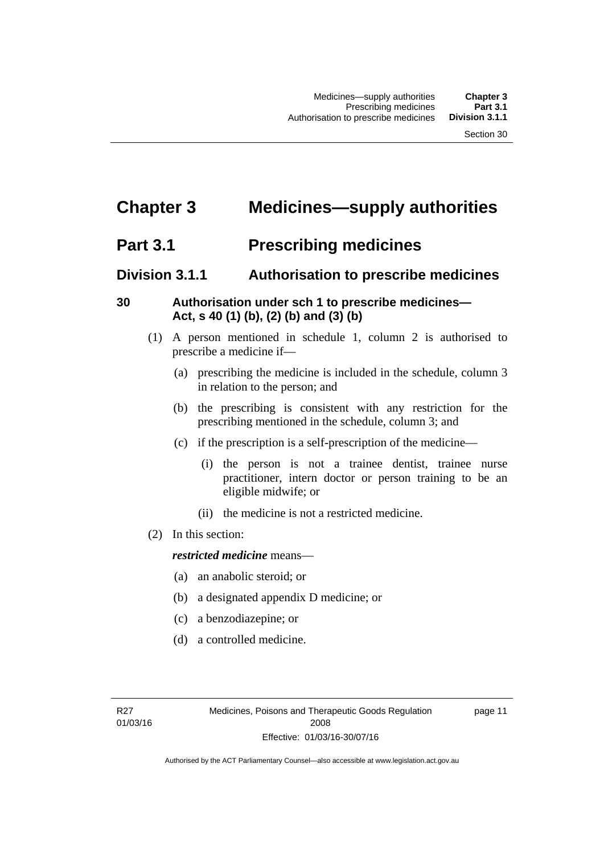# <span id="page-34-0"></span>**Chapter 3 Medicines—supply authorities**

# <span id="page-34-1"></span>**Part 3.1 Prescribing medicines**

# <span id="page-34-2"></span>**Division 3.1.1 Authorisation to prescribe medicines**

## <span id="page-34-3"></span>**30 Authorisation under sch 1 to prescribe medicines— Act, s 40 (1) (b), (2) (b) and (3) (b)**

- (1) A person mentioned in schedule 1, column 2 is authorised to prescribe a medicine if—
	- (a) prescribing the medicine is included in the schedule, column 3 in relation to the person; and
	- (b) the prescribing is consistent with any restriction for the prescribing mentioned in the schedule, column 3; and
	- (c) if the prescription is a self-prescription of the medicine—
		- (i) the person is not a trainee dentist, trainee nurse practitioner, intern doctor or person training to be an eligible midwife; or
		- (ii) the medicine is not a restricted medicine.
- (2) In this section:

### *restricted medicine* means—

- (a) an anabolic steroid; or
- (b) a designated appendix D medicine; or
- (c) a benzodiazepine; or
- (d) a controlled medicine.

page 11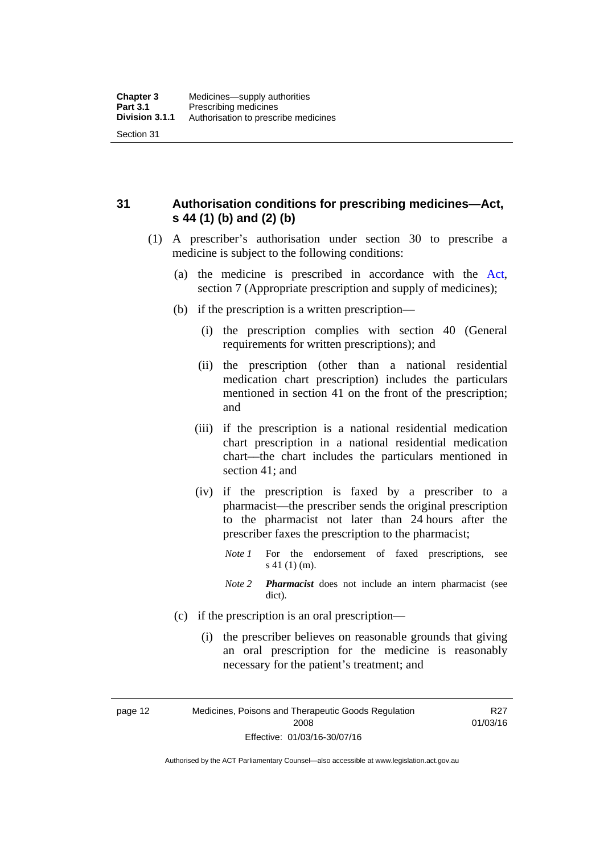<span id="page-35-0"></span>**31 Authorisation conditions for prescribing medicines—Act, s 44 (1) (b) and (2) (b)** 

- (1) A prescriber's authorisation under section 30 to prescribe a medicine is subject to the following conditions:
	- (a) the medicine is prescribed in accordance with the [Act](http://www.legislation.act.gov.au/a/2008-26/default.asp), section 7 (Appropriate prescription and supply of medicines);
	- (b) if the prescription is a written prescription—
		- (i) the prescription complies with section 40 (General requirements for written prescriptions); and
		- (ii) the prescription (other than a national residential medication chart prescription) includes the particulars mentioned in section 41 on the front of the prescription; and
		- (iii) if the prescription is a national residential medication chart prescription in a national residential medication chart––the chart includes the particulars mentioned in section 41; and
		- (iv) if the prescription is faxed by a prescriber to a pharmacist—the prescriber sends the original prescription to the pharmacist not later than 24 hours after the prescriber faxes the prescription to the pharmacist;
			- *Note 1* For the endorsement of faxed prescriptions, see s 41 (1) (m).
			- *Note 2 Pharmacist* does not include an intern pharmacist (see dict).
	- (c) if the prescription is an oral prescription—
		- (i) the prescriber believes on reasonable grounds that giving an oral prescription for the medicine is reasonably necessary for the patient's treatment; and

page 12 Medicines, Poisons and Therapeutic Goods Regulation 2008 Effective: 01/03/16-30/07/16

R27 01/03/16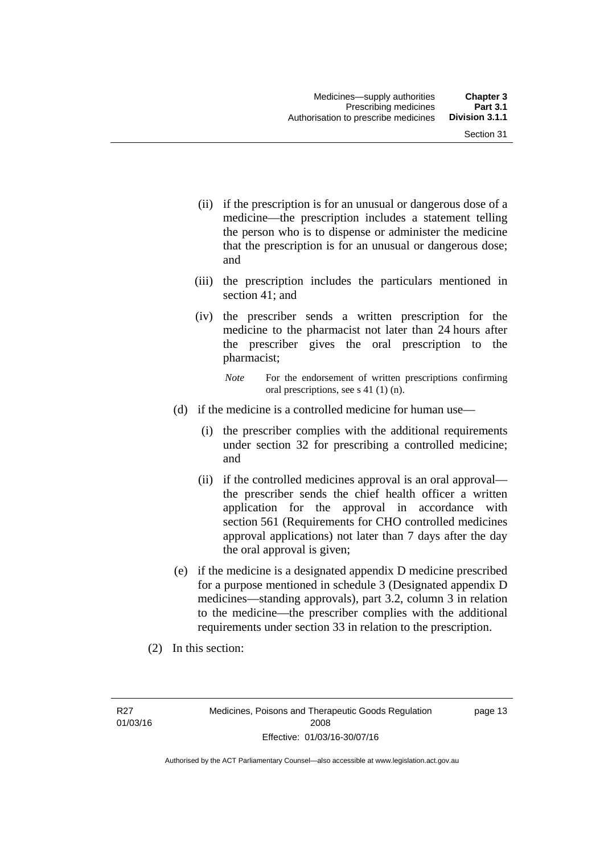- (ii) if the prescription is for an unusual or dangerous dose of a medicine—the prescription includes a statement telling the person who is to dispense or administer the medicine that the prescription is for an unusual or dangerous dose; and
- (iii) the prescription includes the particulars mentioned in section 41; and
- (iv) the prescriber sends a written prescription for the medicine to the pharmacist not later than 24 hours after the prescriber gives the oral prescription to the pharmacist;

- (d) if the medicine is a controlled medicine for human use—
	- (i) the prescriber complies with the additional requirements under section 32 for prescribing a controlled medicine; and
	- (ii) if the controlled medicines approval is an oral approval the prescriber sends the chief health officer a written application for the approval in accordance with section 561 (Requirements for CHO controlled medicines approval applications) not later than 7 days after the day the oral approval is given;
- (e) if the medicine is a designated appendix D medicine prescribed for a purpose mentioned in schedule 3 (Designated appendix D medicines—standing approvals), part 3.2, column 3 in relation to the medicine—the prescriber complies with the additional requirements under section 33 in relation to the prescription.
- (2) In this section:

page 13

*Note* For the endorsement of written prescriptions confirming oral prescriptions, see s 41 (1) (n).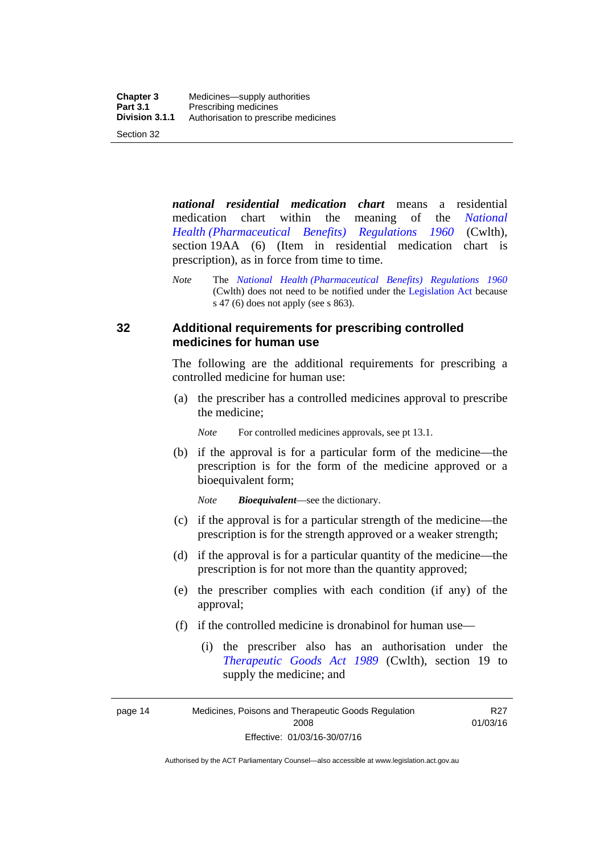*national residential medication chart* means a residential medication chart within the meaning of the *[National](http://www.comlaw.gov.au/Series/F1996B02844)  [Health \(Pharmaceutical Benefits\) Regulations 1960](http://www.comlaw.gov.au/Series/F1996B02844)* (Cwlth), section 19AA (6) (Item in residential medication chart is prescription), as in force from time to time.

#### **32 Additional requirements for prescribing controlled medicines for human use**

The following are the additional requirements for prescribing a controlled medicine for human use:

 (a) the prescriber has a controlled medicines approval to prescribe the medicine;

*Note* For controlled medicines approvals, see pt 13.1.

 (b) if the approval is for a particular form of the medicine—the prescription is for the form of the medicine approved or a bioequivalent form;

*Note Bioequivalent*—see the dictionary.

- (c) if the approval is for a particular strength of the medicine—the prescription is for the strength approved or a weaker strength;
- (d) if the approval is for a particular quantity of the medicine—the prescription is for not more than the quantity approved;
- (e) the prescriber complies with each condition (if any) of the approval;
- (f) if the controlled medicine is dronabinol for human use—
	- (i) the prescriber also has an authorisation under the *[Therapeutic Goods Act 1989](http://www.comlaw.gov.au/Series/C2004A03952)* (Cwlth), section 19 to supply the medicine; and

R27 01/03/16

page 14 Medicines, Poisons and Therapeutic Goods Regulation 2008 Effective: 01/03/16-30/07/16

*Note* The *[National Health \(Pharmaceutical Benefits\) Regulations 1960](http://www.comlaw.gov.au/Series/F1996B02844)* (Cwlth) does not need to be notified under the [Legislation Act](http://www.legislation.act.gov.au/a/2001-14) because s 47 (6) does not apply (see s 863).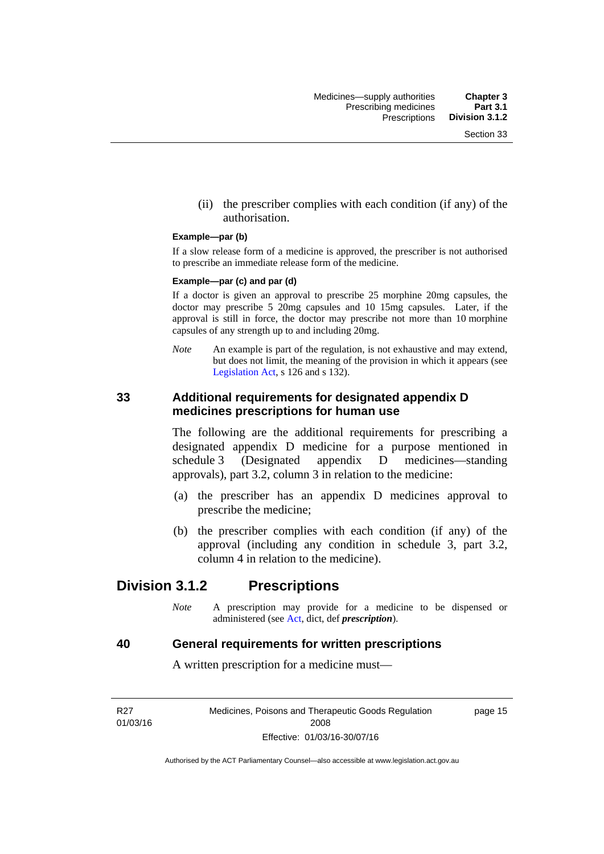(ii) the prescriber complies with each condition (if any) of the authorisation.

#### **Example—par (b)**

If a slow release form of a medicine is approved, the prescriber is not authorised to prescribe an immediate release form of the medicine.

#### **Example—par (c) and par (d)**

If a doctor is given an approval to prescribe 25 morphine 20mg capsules, the doctor may prescribe 5 20mg capsules and 10 15mg capsules. Later, if the approval is still in force, the doctor may prescribe not more than 10 morphine capsules of any strength up to and including 20mg.

*Note* An example is part of the regulation, is not exhaustive and may extend, but does not limit, the meaning of the provision in which it appears (see [Legislation Act,](http://www.legislation.act.gov.au/a/2001-14) s 126 and s 132).

#### **33 Additional requirements for designated appendix D medicines prescriptions for human use**

The following are the additional requirements for prescribing a designated appendix D medicine for a purpose mentioned in schedule 3 (Designated appendix D medicines—standing approvals), part 3.2, column 3 in relation to the medicine:

- (a) the prescriber has an appendix D medicines approval to prescribe the medicine;
- (b) the prescriber complies with each condition (if any) of the approval (including any condition in schedule 3, part 3.2, column 4 in relation to the medicine).

## **Division 3.1.2 Prescriptions**

*Note* A prescription may provide for a medicine to be dispensed or administered (see [Act](http://www.legislation.act.gov.au/a/2008-26/default.asp), dict, def *prescription*).

#### **40 General requirements for written prescriptions**

A written prescription for a medicine must—

R27 01/03/16 Medicines, Poisons and Therapeutic Goods Regulation 2008 Effective: 01/03/16-30/07/16

page 15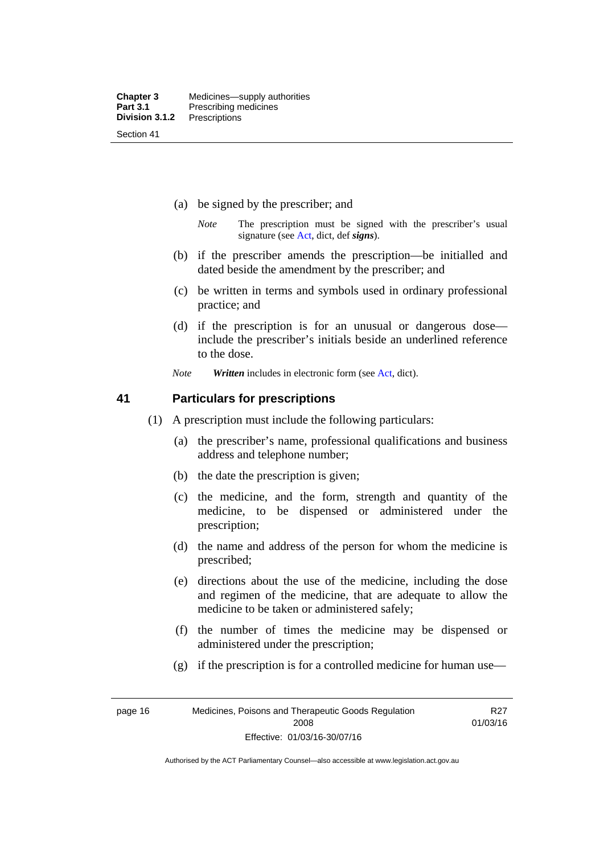- (a) be signed by the prescriber; and
	- *Note* The prescription must be signed with the prescriber's usual signature (see [Act](http://www.legislation.act.gov.au/a/2008-26/default.asp), dict, def *signs*).
- (b) if the prescriber amends the prescription—be initialled and dated beside the amendment by the prescriber; and
- (c) be written in terms and symbols used in ordinary professional practice; and
- (d) if the prescription is for an unusual or dangerous dose include the prescriber's initials beside an underlined reference to the dose.
- *Note Written* includes in electronic form (see [Act,](http://www.legislation.act.gov.au/a/2008-26/default.asp) dict).

#### **41 Particulars for prescriptions**

- (1) A prescription must include the following particulars:
	- (a) the prescriber's name, professional qualifications and business address and telephone number;
	- (b) the date the prescription is given;
	- (c) the medicine, and the form, strength and quantity of the medicine, to be dispensed or administered under the prescription;
	- (d) the name and address of the person for whom the medicine is prescribed;
	- (e) directions about the use of the medicine, including the dose and regimen of the medicine, that are adequate to allow the medicine to be taken or administered safely;
	- (f) the number of times the medicine may be dispensed or administered under the prescription;
	- (g) if the prescription is for a controlled medicine for human use—

R27 01/03/16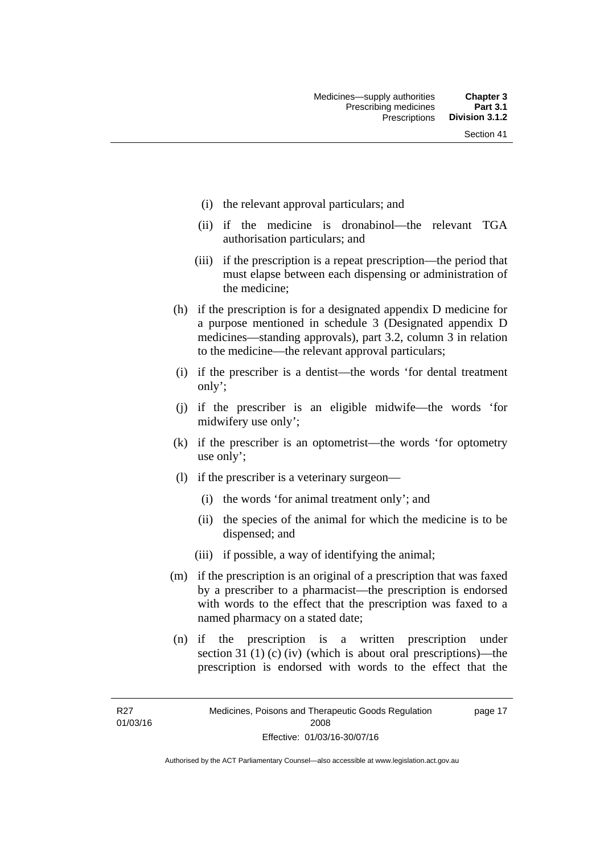- (i) the relevant approval particulars; and
- (ii) if the medicine is dronabinol—the relevant TGA authorisation particulars; and
- (iii) if the prescription is a repeat prescription—the period that must elapse between each dispensing or administration of the medicine;
- (h) if the prescription is for a designated appendix D medicine for a purpose mentioned in schedule 3 (Designated appendix D medicines—standing approvals), part 3.2, column 3 in relation to the medicine—the relevant approval particulars;
- (i) if the prescriber is a dentist—the words 'for dental treatment only';
- (j) if the prescriber is an eligible midwife—the words 'for midwifery use only';
- (k) if the prescriber is an optometrist—the words 'for optometry use only';
- (l) if the prescriber is a veterinary surgeon—
	- (i) the words 'for animal treatment only'; and
	- (ii) the species of the animal for which the medicine is to be dispensed; and
	- (iii) if possible, a way of identifying the animal;
- (m) if the prescription is an original of a prescription that was faxed by a prescriber to a pharmacist—the prescription is endorsed with words to the effect that the prescription was faxed to a named pharmacy on a stated date;
- (n) if the prescription is a written prescription under section 31 (1) (c) (iv) (which is about oral prescriptions)—the prescription is endorsed with words to the effect that the

R27 01/03/16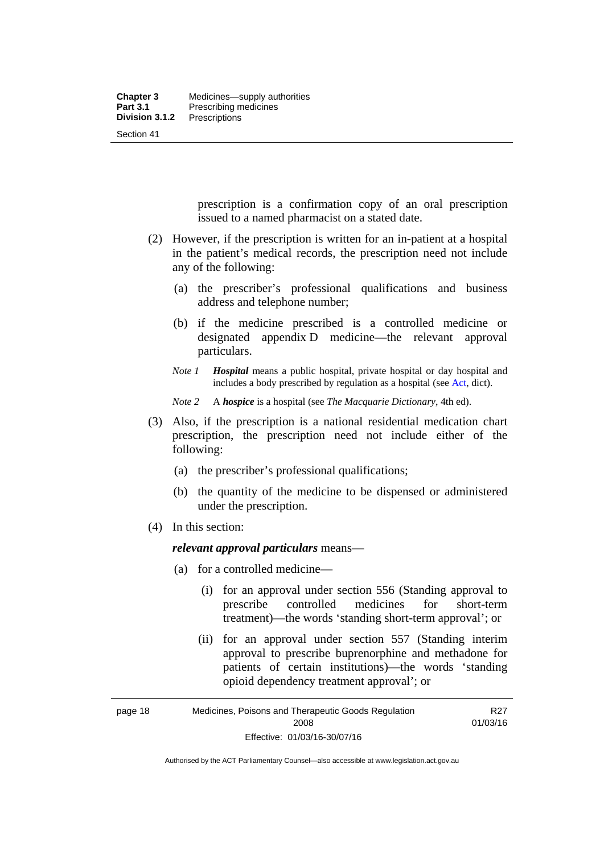prescription is a confirmation copy of an oral prescription issued to a named pharmacist on a stated date.

- (2) However, if the prescription is written for an in-patient at a hospital in the patient's medical records, the prescription need not include any of the following:
	- (a) the prescriber's professional qualifications and business address and telephone number;
	- (b) if the medicine prescribed is a controlled medicine or designated appendix D medicine—the relevant approval particulars.
	- *Note 1 Hospital* means a public hospital, private hospital or day hospital and includes a body prescribed by regulation as a hospital (see [Act,](http://www.legislation.act.gov.au/a/2008-26/default.asp) dict).

*Note 2* A *hospice* is a hospital (see *The Macquarie Dictionary*, 4th ed).

- (3) Also, if the prescription is a national residential medication chart prescription, the prescription need not include either of the following:
	- (a) the prescriber's professional qualifications;
	- (b) the quantity of the medicine to be dispensed or administered under the prescription.
- (4) In this section:

#### *relevant approval particulars* means—

- (a) for a controlled medicine—
	- (i) for an approval under section 556 (Standing approval to prescribe controlled medicines for short-term treatment)—the words 'standing short-term approval'; or
	- (ii) for an approval under section 557 (Standing interim approval to prescribe buprenorphine and methadone for patients of certain institutions)—the words 'standing opioid dependency treatment approval'; or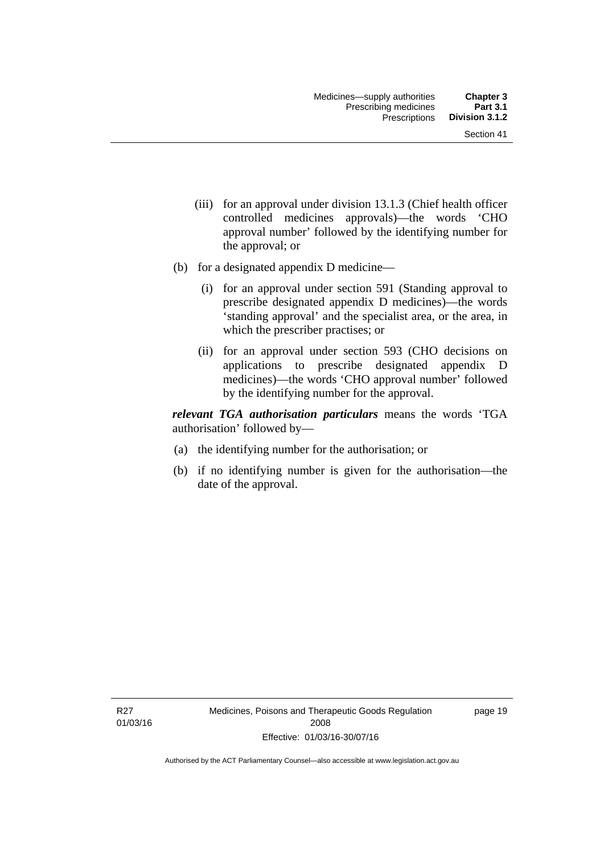- (iii) for an approval under division 13.1.3 (Chief health officer controlled medicines approvals)—the words 'CHO approval number' followed by the identifying number for the approval; or
- (b) for a designated appendix D medicine—
	- (i) for an approval under section 591 (Standing approval to prescribe designated appendix D medicines)—the words 'standing approval' and the specialist area, or the area, in which the prescriber practises; or
	- (ii) for an approval under section 593 (CHO decisions on applications to prescribe designated appendix D medicines)—the words 'CHO approval number' followed by the identifying number for the approval.

*relevant TGA authorisation particulars* means the words 'TGA authorisation' followed by—

- (a) the identifying number for the authorisation; or
- (b) if no identifying number is given for the authorisation—the date of the approval.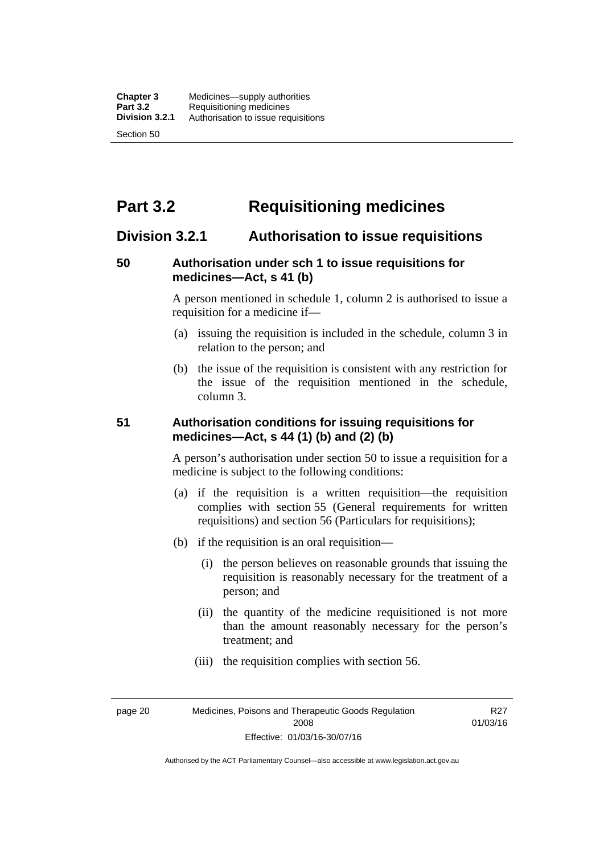# **Part 3.2 Requisitioning medicines**

## **Division 3.2.1 Authorisation to issue requisitions**

#### **50 Authorisation under sch 1 to issue requisitions for medicines—Act, s 41 (b)**

A person mentioned in schedule 1, column 2 is authorised to issue a requisition for a medicine if—

- (a) issuing the requisition is included in the schedule, column 3 in relation to the person; and
- (b) the issue of the requisition is consistent with any restriction for the issue of the requisition mentioned in the schedule, column 3.

#### **51 Authorisation conditions for issuing requisitions for medicines—Act, s 44 (1) (b) and (2) (b)**

A person's authorisation under section 50 to issue a requisition for a medicine is subject to the following conditions:

- (a) if the requisition is a written requisition—the requisition complies with section 55 (General requirements for written requisitions) and section 56 (Particulars for requisitions);
- (b) if the requisition is an oral requisition—
	- (i) the person believes on reasonable grounds that issuing the requisition is reasonably necessary for the treatment of a person; and
	- (ii) the quantity of the medicine requisitioned is not more than the amount reasonably necessary for the person's treatment; and
	- (iii) the requisition complies with section 56.

page 20 Medicines, Poisons and Therapeutic Goods Regulation 2008 Effective: 01/03/16-30/07/16

R27 01/03/16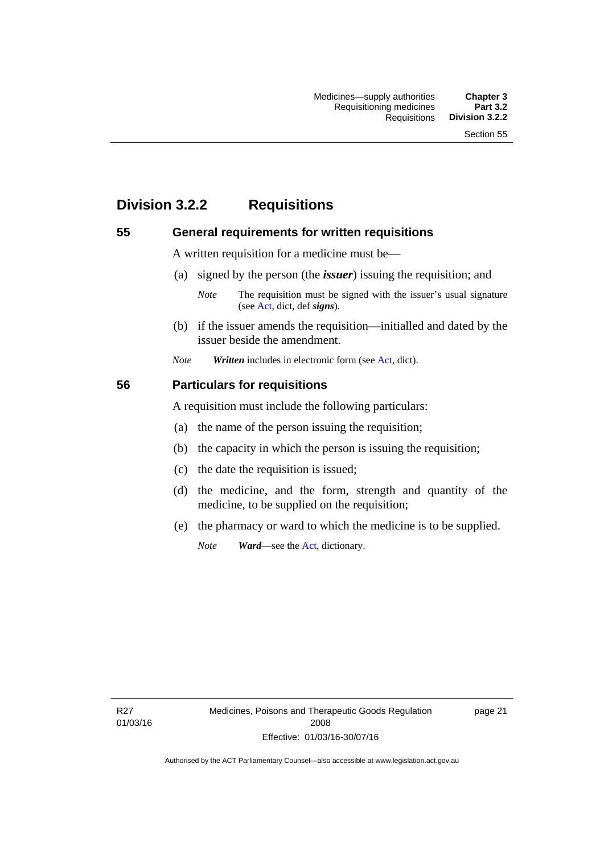# **Division 3.2.2 Requisitions**

#### **55 General requirements for written requisitions**

A written requisition for a medicine must be—

(a) signed by the person (the *issuer*) issuing the requisition; and

 (b) if the issuer amends the requisition—initialled and dated by the issuer beside the amendment.

*Note Written* includes in electronic form (see [Act,](http://www.legislation.act.gov.au/a/2008-26/default.asp) dict).

#### **56 Particulars for requisitions**

A requisition must include the following particulars:

- (a) the name of the person issuing the requisition;
- (b) the capacity in which the person is issuing the requisition;
- (c) the date the requisition is issued;
- (d) the medicine, and the form, strength and quantity of the medicine, to be supplied on the requisition;
- (e) the pharmacy or ward to which the medicine is to be supplied.

*Note Ward*—see the [Act](http://www.legislation.act.gov.au/a/2008-26/default.asp), dictionary.

R27 01/03/16 page 21

*Note* The requisition must be signed with the issuer's usual signature (see [Act](http://www.legislation.act.gov.au/a/2008-26/default.asp), dict, def *signs*).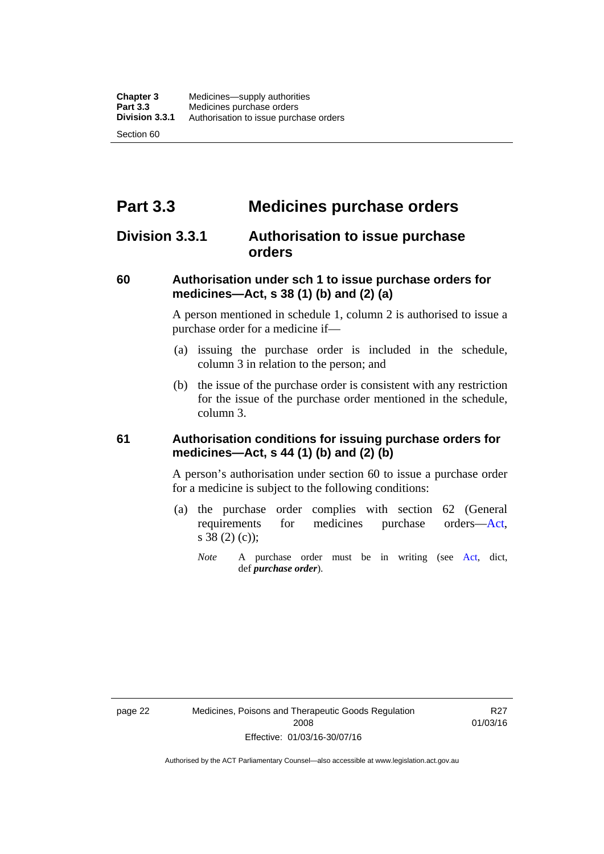# **Part 3.3 Medicines purchase orders**

## **Division 3.3.1 Authorisation to issue purchase orders**

#### **60 Authorisation under sch 1 to issue purchase orders for medicines—Act, s 38 (1) (b) and (2) (a)**

A person mentioned in schedule 1, column 2 is authorised to issue a purchase order for a medicine if—

- (a) issuing the purchase order is included in the schedule, column 3 in relation to the person; and
- (b) the issue of the purchase order is consistent with any restriction for the issue of the purchase order mentioned in the schedule, column 3.

#### **61 Authorisation conditions for issuing purchase orders for medicines—Act, s 44 (1) (b) and (2) (b)**

A person's authorisation under section 60 to issue a purchase order for a medicine is subject to the following conditions:

- (a) the purchase order complies with section 62 (General requirements for medicines purchase orders[—Act](http://www.legislation.act.gov.au/a/2008-26/default.asp), s 38 (2) (c));
	- *Note* A purchase order must be in writing (see [Act,](http://www.legislation.act.gov.au/a/2008-26/default.asp) dict, def *purchase order*).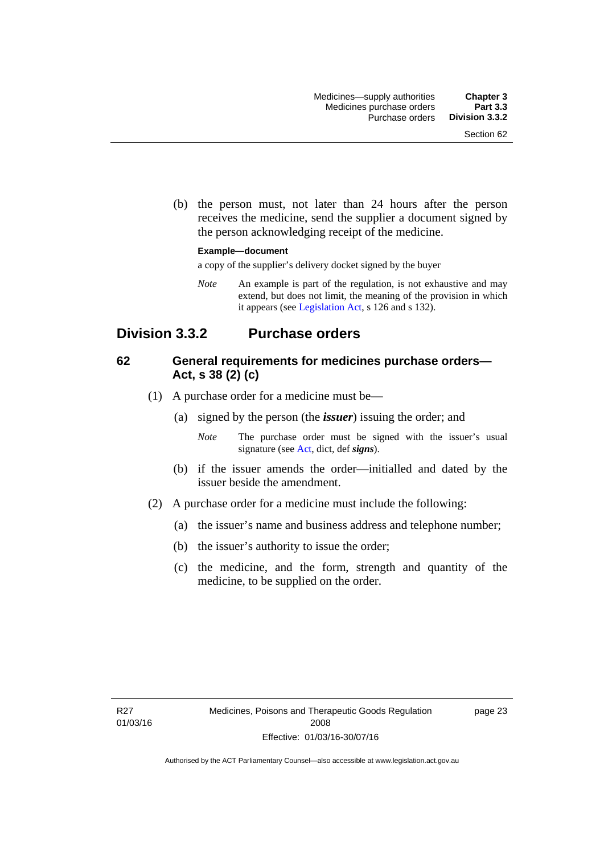(b) the person must, not later than 24 hours after the person receives the medicine, send the supplier a document signed by the person acknowledging receipt of the medicine.

#### **Example—document**

a copy of the supplier's delivery docket signed by the buyer

*Note* An example is part of the regulation, is not exhaustive and may extend, but does not limit, the meaning of the provision in which it appears (see [Legislation Act,](http://www.legislation.act.gov.au/a/2001-14) s 126 and s 132).

## **Division 3.3.2 Purchase orders**

#### **62 General requirements for medicines purchase orders— Act, s 38 (2) (c)**

- (1) A purchase order for a medicine must be—
	- (a) signed by the person (the *issuer*) issuing the order; and
		- *Note* The purchase order must be signed with the issuer's usual signature (see [Act](http://www.legislation.act.gov.au/a/2008-26/default.asp), dict, def *signs*).
	- (b) if the issuer amends the order—initialled and dated by the issuer beside the amendment.
- (2) A purchase order for a medicine must include the following:
	- (a) the issuer's name and business address and telephone number;
	- (b) the issuer's authority to issue the order;
	- (c) the medicine, and the form, strength and quantity of the medicine, to be supplied on the order.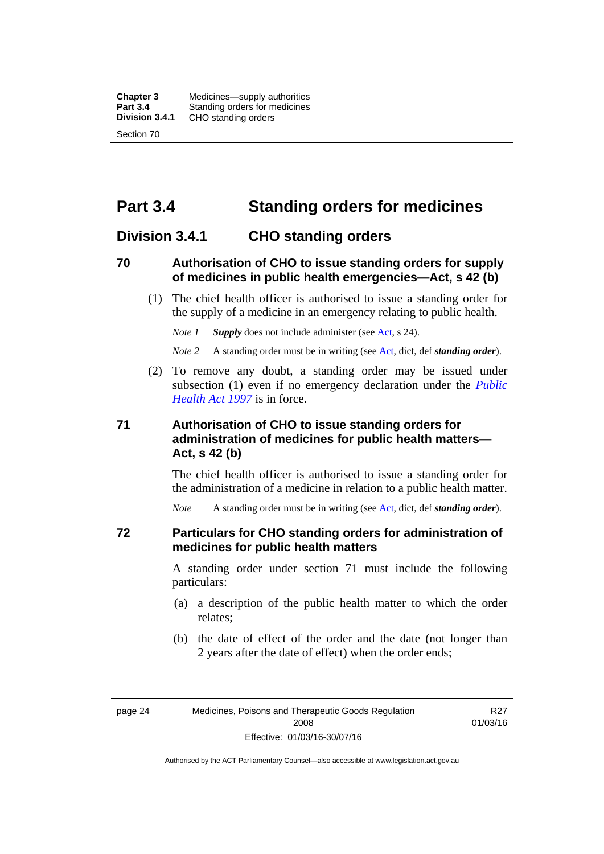**Chapter 3** Medicines—supply authorities<br>**Part 3.4** Standing orders for medicines **Part 3.4 Standing orders for medicines<br>
<b>Division 3.4.1** CHO standing orders **Division 3.4.1** CHO standing orders Section 70

# **Part 3.4 Standing orders for medicines**

#### **Division 3.4.1 CHO standing orders**

#### **70 Authorisation of CHO to issue standing orders for supply of medicines in public health emergencies—Act, s 42 (b)**

 (1) The chief health officer is authorised to issue a standing order for the supply of a medicine in an emergency relating to public health.

*Note 1 Supply* does not include administer (see [Act,](http://www.legislation.act.gov.au/a/2008-26/default.asp) s 24).

*Note 2* A standing order must be in writing (see [Act](http://www.legislation.act.gov.au/a/2008-26/default.asp), dict, def *standing order*).

 (2) To remove any doubt, a standing order may be issued under subsection (1) even if no emergency declaration under the *[Public](http://www.legislation.act.gov.au/a/1997-69)  [Health Act 1997](http://www.legislation.act.gov.au/a/1997-69)* is in force.

#### **71 Authorisation of CHO to issue standing orders for administration of medicines for public health matters— Act, s 42 (b)**

The chief health officer is authorised to issue a standing order for the administration of a medicine in relation to a public health matter.

*Note* A standing order must be in writing (see [Act](http://www.legislation.act.gov.au/a/2008-26/default.asp), dict, def *standing order*).

#### **72 Particulars for CHO standing orders for administration of medicines for public health matters**

A standing order under section 71 must include the following particulars:

- (a) a description of the public health matter to which the order relates;
- (b) the date of effect of the order and the date (not longer than 2 years after the date of effect) when the order ends;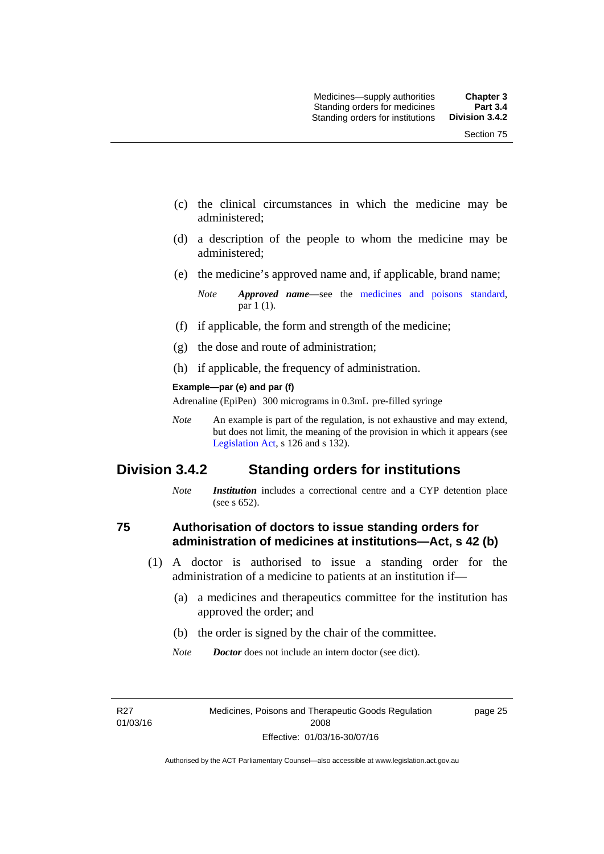- (c) the clinical circumstances in which the medicine may be administered;
- (d) a description of the people to whom the medicine may be administered;
- (e) the medicine's approved name and, if applicable, brand name;

- (f) if applicable, the form and strength of the medicine;
- (g) the dose and route of administration;
- (h) if applicable, the frequency of administration.

#### **Example—par (e) and par (f)**

Adrenaline (EpiPen) 300 micrograms in 0.3mL pre-filled syringe

*Note* An example is part of the regulation, is not exhaustive and may extend, but does not limit, the meaning of the provision in which it appears (see [Legislation Act,](http://www.legislation.act.gov.au/a/2001-14) s 126 and s 132).

## **Division 3.4.2 Standing orders for institutions**

*Note Institution* includes a correctional centre and a CYP detention place (see s 652).

#### **75 Authorisation of doctors to issue standing orders for administration of medicines at institutions—Act, s 42 (b)**

- (1) A doctor is authorised to issue a standing order for the administration of a medicine to patients at an institution if—
	- (a) a medicines and therapeutics committee for the institution has approved the order; and
	- (b) the order is signed by the chair of the committee.
	- *Note Doctor* does not include an intern doctor (see dict).

R27 01/03/16 page 25

*Note Approved name*—see the [medicines and poisons standard,](http://www.comlaw.gov.au/Series/F2012L01200) par 1 (1).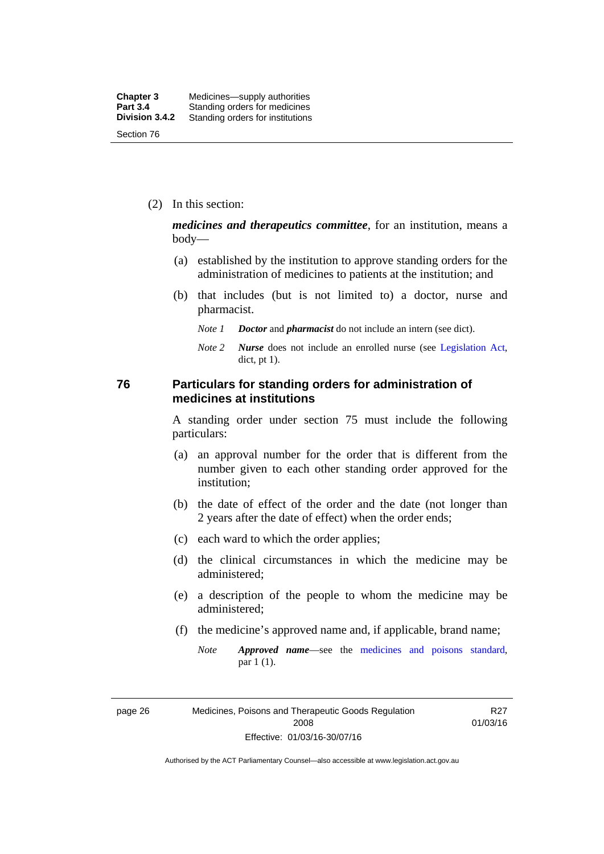(2) In this section:

*medicines and therapeutics committee*, for an institution, means a body—

- (a) established by the institution to approve standing orders for the administration of medicines to patients at the institution; and
- (b) that includes (but is not limited to) a doctor, nurse and pharmacist.
	- *Note 1 Doctor* and *pharmacist* do not include an intern (see dict).
	- *Note 2 Nurse* does not include an enrolled nurse (see [Legislation Act,](http://www.legislation.act.gov.au/a/2001-14) dict, pt 1).

#### **76 Particulars for standing orders for administration of medicines at institutions**

A standing order under section 75 must include the following particulars:

- (a) an approval number for the order that is different from the number given to each other standing order approved for the institution;
- (b) the date of effect of the order and the date (not longer than 2 years after the date of effect) when the order ends;
- (c) each ward to which the order applies;
- (d) the clinical circumstances in which the medicine may be administered;
- (e) a description of the people to whom the medicine may be administered;
- (f) the medicine's approved name and, if applicable, brand name;
	- *Note Approved name*—see the [medicines and poisons standard,](http://www.comlaw.gov.au/Series/F2012L01200) par 1 (1).

page 26 Medicines, Poisons and Therapeutic Goods Regulation 2008 Effective: 01/03/16-30/07/16

R27 01/03/16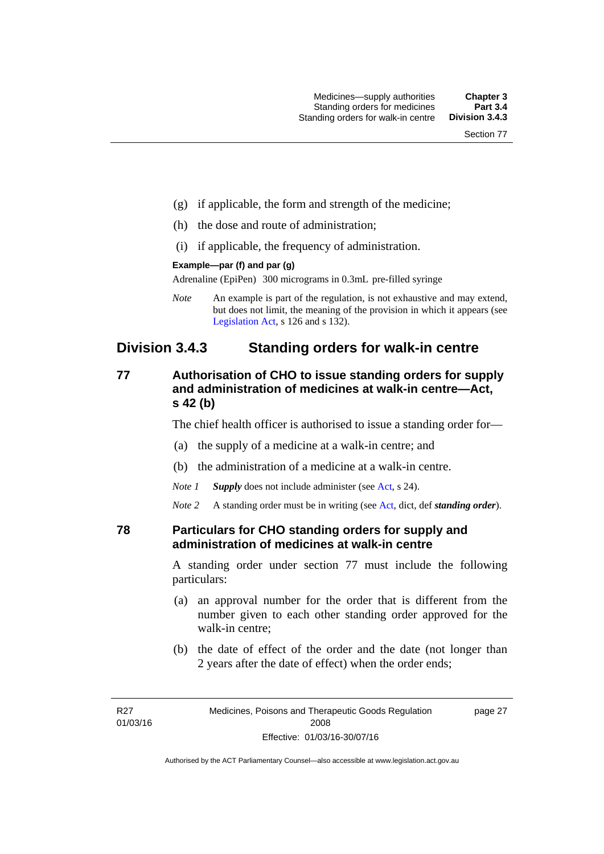- (g) if applicable, the form and strength of the medicine;
- (h) the dose and route of administration;
- (i) if applicable, the frequency of administration.

#### **Example—par (f) and par (g)**

Adrenaline (EpiPen) 300 micrograms in 0.3mL pre-filled syringe

*Note* An example is part of the regulation, is not exhaustive and may extend, but does not limit, the meaning of the provision in which it appears (see [Legislation Act,](http://www.legislation.act.gov.au/a/2001-14) s 126 and s 132).

## **Division 3.4.3 Standing orders for walk-in centre**

#### **77 Authorisation of CHO to issue standing orders for supply and administration of medicines at walk-in centre—Act, s 42 (b)**

The chief health officer is authorised to issue a standing order for—

- (a) the supply of a medicine at a walk-in centre; and
- (b) the administration of a medicine at a walk-in centre.

*Note 1 Supply* does not include administer (see [Act,](http://www.legislation.act.gov.au/a/2008-26/default.asp) s 24).

*Note 2* A standing order must be in writing (see [Act](http://www.legislation.act.gov.au/a/2008-26/default.asp), dict, def *standing order*).

#### **78 Particulars for CHO standing orders for supply and administration of medicines at walk-in centre**

A standing order under section 77 must include the following particulars:

- (a) an approval number for the order that is different from the number given to each other standing order approved for the walk-in centre;
- (b) the date of effect of the order and the date (not longer than 2 years after the date of effect) when the order ends;

page 27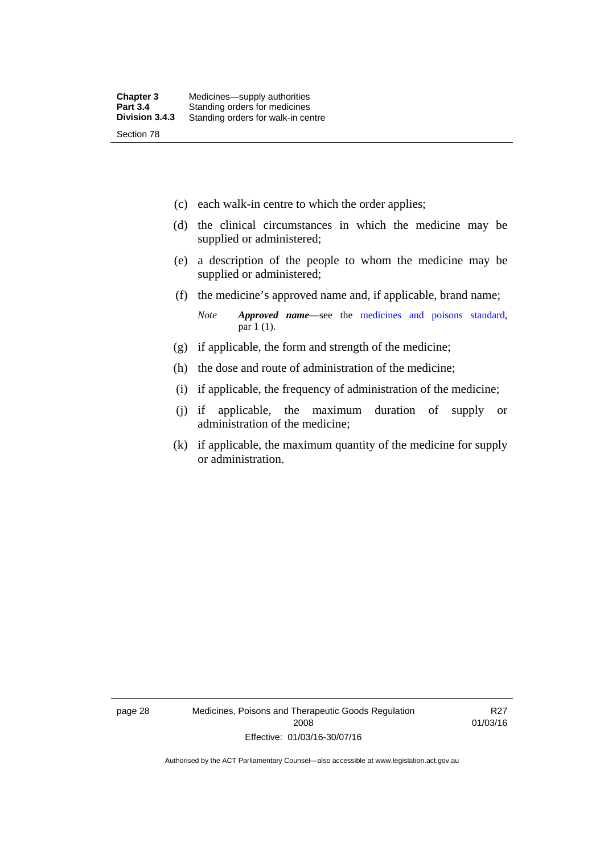- (c) each walk-in centre to which the order applies;
- (d) the clinical circumstances in which the medicine may be supplied or administered;
- (e) a description of the people to whom the medicine may be supplied or administered;
- (f) the medicine's approved name and, if applicable, brand name;

*Note Approved name*—see the [medicines and poisons standard,](http://www.comlaw.gov.au/Series/F2012L01200) par 1 (1).

- (g) if applicable, the form and strength of the medicine;
- (h) the dose and route of administration of the medicine;
- (i) if applicable, the frequency of administration of the medicine;
- (j) if applicable, the maximum duration of supply or administration of the medicine;
- (k) if applicable, the maximum quantity of the medicine for supply or administration.

page 28 Medicines, Poisons and Therapeutic Goods Regulation 2008 Effective: 01/03/16-30/07/16

R27 01/03/16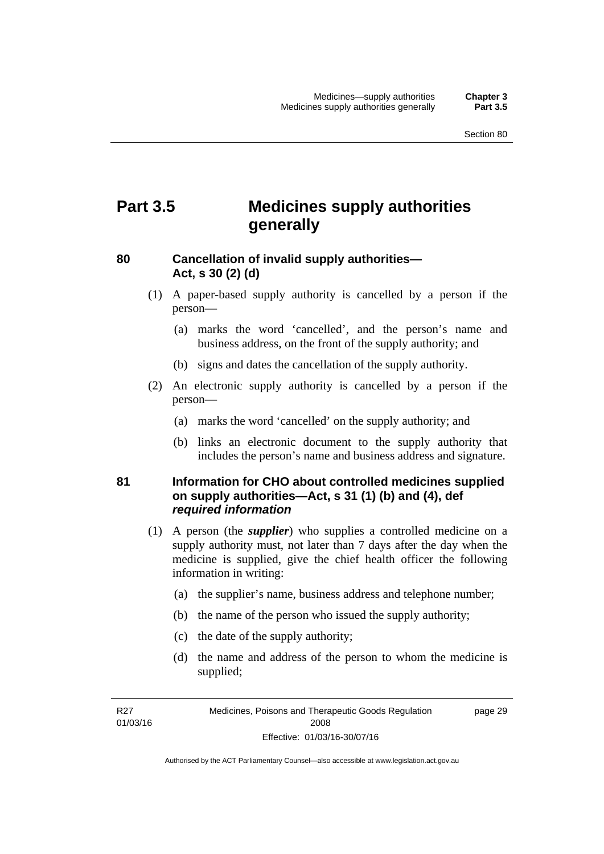# **Part 3.5 Medicines supply authorities generally**

## **80 Cancellation of invalid supply authorities— Act, s 30 (2) (d)**

- (1) A paper-based supply authority is cancelled by a person if the person—
	- (a) marks the word 'cancelled', and the person's name and business address, on the front of the supply authority; and
	- (b) signs and dates the cancellation of the supply authority.
- (2) An electronic supply authority is cancelled by a person if the person—
	- (a) marks the word 'cancelled' on the supply authority; and
	- (b) links an electronic document to the supply authority that includes the person's name and business address and signature.

#### **81 Information for CHO about controlled medicines supplied on supply authorities—Act, s 31 (1) (b) and (4), def**  *required information*

- (1) A person (the *supplier*) who supplies a controlled medicine on a supply authority must, not later than 7 days after the day when the medicine is supplied, give the chief health officer the following information in writing:
	- (a) the supplier's name, business address and telephone number;
	- (b) the name of the person who issued the supply authority;
	- (c) the date of the supply authority;
	- (d) the name and address of the person to whom the medicine is supplied;

R27 01/03/16 page 29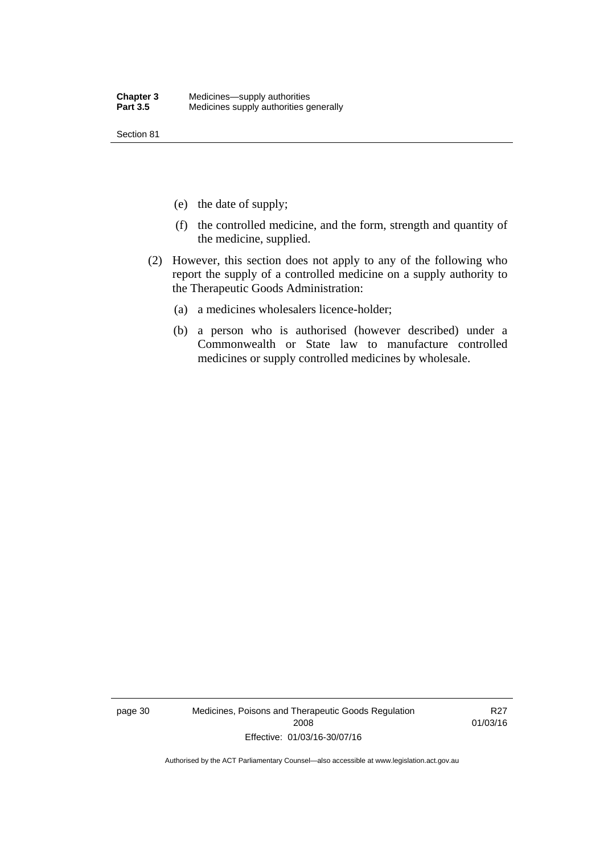Section 81

- (e) the date of supply;
- (f) the controlled medicine, and the form, strength and quantity of the medicine, supplied.
- (2) However, this section does not apply to any of the following who report the supply of a controlled medicine on a supply authority to the Therapeutic Goods Administration:
	- (a) a medicines wholesalers licence-holder;
	- (b) a person who is authorised (however described) under a Commonwealth or State law to manufacture controlled medicines or supply controlled medicines by wholesale.

page 30 Medicines, Poisons and Therapeutic Goods Regulation 2008 Effective: 01/03/16-30/07/16

R27 01/03/16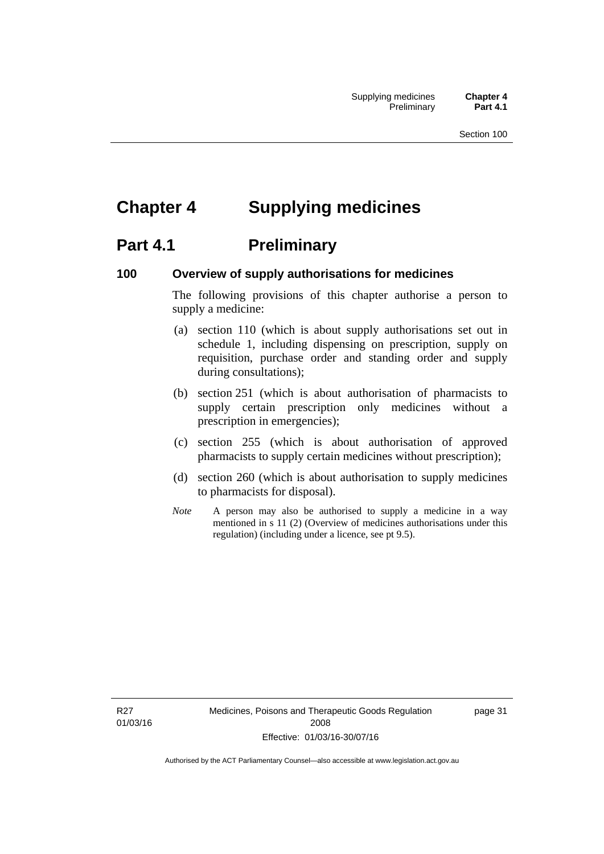# **Chapter 4 Supplying medicines**

# **Part 4.1** Preliminary

#### **100 Overview of supply authorisations for medicines**

The following provisions of this chapter authorise a person to supply a medicine:

- (a) section 110 (which is about supply authorisations set out in schedule 1, including dispensing on prescription, supply on requisition, purchase order and standing order and supply during consultations);
- (b) section 251 (which is about authorisation of pharmacists to supply certain prescription only medicines without a prescription in emergencies);
- (c) section 255 (which is about authorisation of approved pharmacists to supply certain medicines without prescription);
- (d) section 260 (which is about authorisation to supply medicines to pharmacists for disposal).
- *Note* A person may also be authorised to supply a medicine in a way mentioned in s 11 (2) (Overview of medicines authorisations under this regulation) (including under a licence, see pt 9.5).

R27 01/03/16 page 31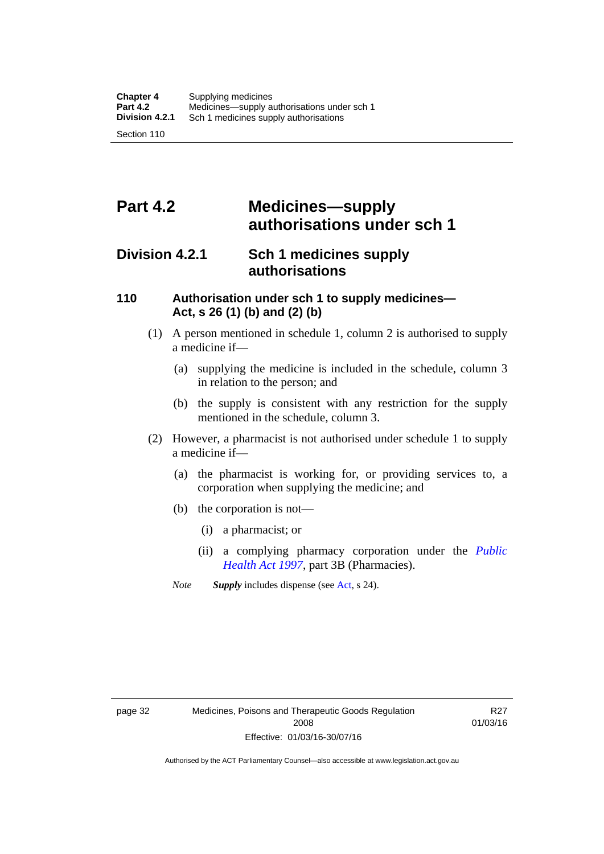# **Part 4.2 Medicines—supply authorisations under sch 1**

## **Division 4.2.1 Sch 1 medicines supply authorisations**

#### **110 Authorisation under sch 1 to supply medicines— Act, s 26 (1) (b) and (2) (b)**

- (1) A person mentioned in schedule 1, column 2 is authorised to supply a medicine if—
	- (a) supplying the medicine is included in the schedule, column 3 in relation to the person; and
	- (b) the supply is consistent with any restriction for the supply mentioned in the schedule, column 3.
- (2) However, a pharmacist is not authorised under schedule 1 to supply a medicine if—
	- (a) the pharmacist is working for, or providing services to, a corporation when supplying the medicine; and
	- (b) the corporation is not—
		- (i) a pharmacist; or
		- (ii) a complying pharmacy corporation under the *[Public](http://www.legislation.act.gov.au/a/1997-69)  [Health Act 1997](http://www.legislation.act.gov.au/a/1997-69)*, part 3B (Pharmacies).
	- *Note Supply* includes dispense (see [Act,](http://www.legislation.act.gov.au/a/2008-26/default.asp) s 24).

R27 01/03/16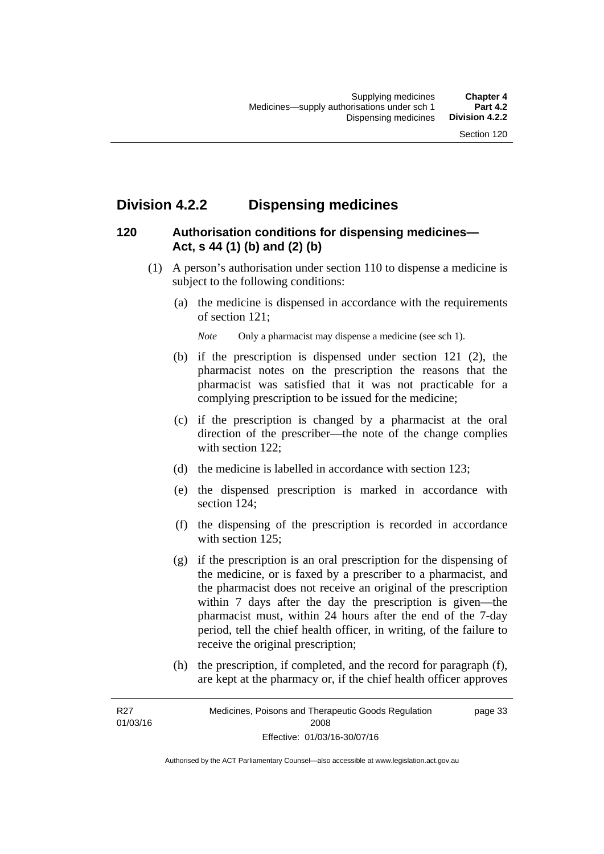# **Division 4.2.2 Dispensing medicines**

## **120 Authorisation conditions for dispensing medicines— Act, s 44 (1) (b) and (2) (b)**

- (1) A person's authorisation under section 110 to dispense a medicine is subject to the following conditions:
	- (a) the medicine is dispensed in accordance with the requirements of section 121;

*Note* Only a pharmacist may dispense a medicine (see sch 1).

- (b) if the prescription is dispensed under section 121 (2), the pharmacist notes on the prescription the reasons that the pharmacist was satisfied that it was not practicable for a complying prescription to be issued for the medicine;
- (c) if the prescription is changed by a pharmacist at the oral direction of the prescriber—the note of the change complies with section 122:
- (d) the medicine is labelled in accordance with section 123;
- (e) the dispensed prescription is marked in accordance with section 124;
- (f) the dispensing of the prescription is recorded in accordance with section 125:
- (g) if the prescription is an oral prescription for the dispensing of the medicine, or is faxed by a prescriber to a pharmacist, and the pharmacist does not receive an original of the prescription within 7 days after the day the prescription is given—the pharmacist must, within 24 hours after the end of the 7-day period, tell the chief health officer, in writing, of the failure to receive the original prescription;
- (h) the prescription, if completed, and the record for paragraph (f), are kept at the pharmacy or, if the chief health officer approves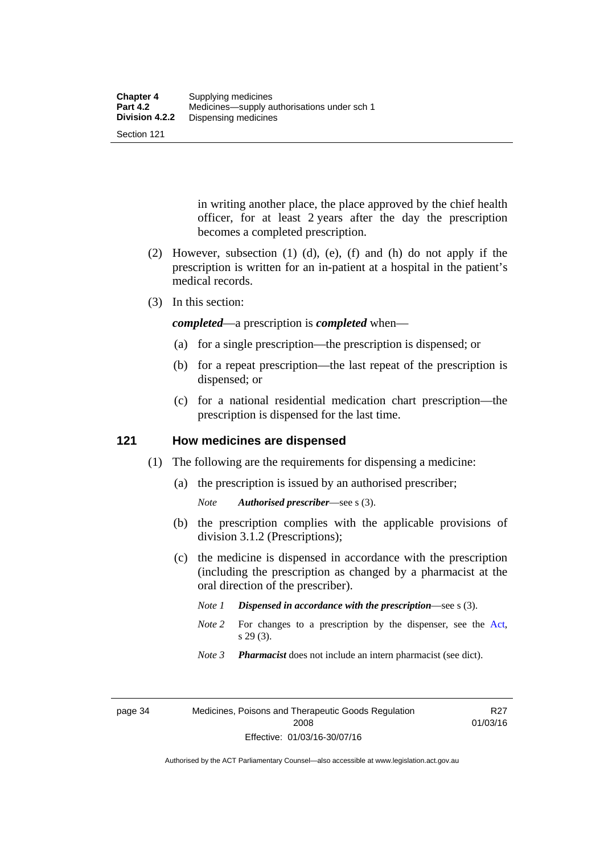Section 121

in writing another place, the place approved by the chief health officer, for at least 2 years after the day the prescription becomes a completed prescription.

- (2) However, subsection (1) (d), (e), (f) and (h) do not apply if the prescription is written for an in-patient at a hospital in the patient's medical records.
- (3) In this section:

*completed*—a prescription is *completed* when—

- (a) for a single prescription—the prescription is dispensed; or
- (b) for a repeat prescription—the last repeat of the prescription is dispensed; or
- (c) for a national residential medication chart prescription––the prescription is dispensed for the last time.

#### **121 How medicines are dispensed**

- (1) The following are the requirements for dispensing a medicine:
	- (a) the prescription is issued by an authorised prescriber;
		- *Note Authorised prescriber*—see s (3).
	- (b) the prescription complies with the applicable provisions of division 3.1.2 (Prescriptions);
	- (c) the medicine is dispensed in accordance with the prescription (including the prescription as changed by a pharmacist at the oral direction of the prescriber).
		- *Note 1 Dispensed in accordance with the prescription*—see s (3).
		- *Note* 2 For changes to a prescription by the dispenser, see the [Act,](http://www.legislation.act.gov.au/a/2008-26/default.asp) s 29 (3).
		- *Note 3 Pharmacist* does not include an intern pharmacist (see dict).

R27 01/03/16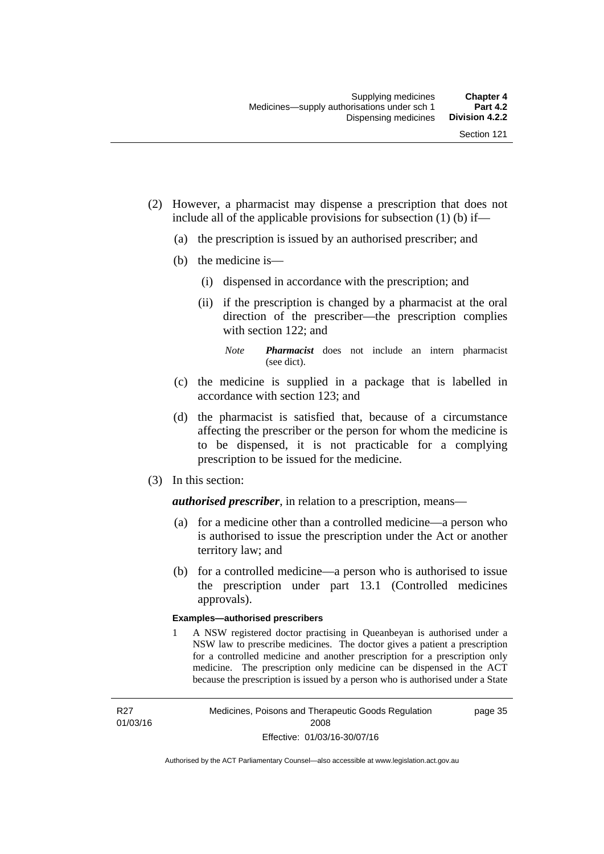- (2) However, a pharmacist may dispense a prescription that does not include all of the applicable provisions for subsection (1) (b) if—
	- (a) the prescription is issued by an authorised prescriber; and
	- (b) the medicine is—
		- (i) dispensed in accordance with the prescription; and
		- (ii) if the prescription is changed by a pharmacist at the oral direction of the prescriber—the prescription complies with section 122; and

*Note Pharmacist* does not include an intern pharmacist (see dict).

- (c) the medicine is supplied in a package that is labelled in accordance with section 123; and
- (d) the pharmacist is satisfied that, because of a circumstance affecting the prescriber or the person for whom the medicine is to be dispensed, it is not practicable for a complying prescription to be issued for the medicine.
- (3) In this section:

*authorised prescriber*, in relation to a prescription, means—

- (a) for a medicine other than a controlled medicine—a person who is authorised to issue the prescription under the Act or another territory law; and
- (b) for a controlled medicine—a person who is authorised to issue the prescription under part 13.1 (Controlled medicines approvals).

#### **Examples—authorised prescribers**

1 A NSW registered doctor practising in Queanbeyan is authorised under a NSW law to prescribe medicines. The doctor gives a patient a prescription for a controlled medicine and another prescription for a prescription only medicine. The prescription only medicine can be dispensed in the ACT because the prescription is issued by a person who is authorised under a State

R27 01/03/16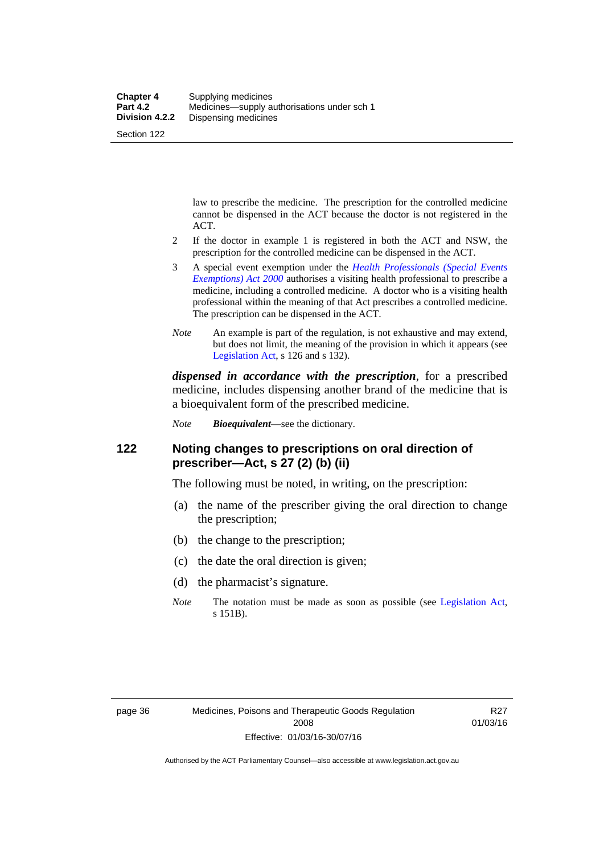law to prescribe the medicine. The prescription for the controlled medicine cannot be dispensed in the ACT because the doctor is not registered in the ACT.

- 2 If the doctor in example 1 is registered in both the ACT and NSW, the prescription for the controlled medicine can be dispensed in the ACT.
- 3 A special event exemption under the *[Health Professionals \(Special Events](http://www.legislation.act.gov.au/a/2000-25)  [Exemptions\) Act 2000](http://www.legislation.act.gov.au/a/2000-25)* authorises a visiting health professional to prescribe a medicine, including a controlled medicine. A doctor who is a visiting health professional within the meaning of that Act prescribes a controlled medicine. The prescription can be dispensed in the ACT.
- *Note* An example is part of the regulation, is not exhaustive and may extend, but does not limit, the meaning of the provision in which it appears (see [Legislation Act,](http://www.legislation.act.gov.au/a/2001-14) s 126 and s 132).

*dispensed in accordance with the prescription*, for a prescribed medicine, includes dispensing another brand of the medicine that is a bioequivalent form of the prescribed medicine.

*Note Bioequivalent*—see the dictionary.

#### **122 Noting changes to prescriptions on oral direction of prescriber—Act, s 27 (2) (b) (ii)**

The following must be noted, in writing, on the prescription:

- (a) the name of the prescriber giving the oral direction to change the prescription;
- (b) the change to the prescription;
- (c) the date the oral direction is given;
- (d) the pharmacist's signature.
- *Note* The notation must be made as soon as possible (see [Legislation Act,](http://www.legislation.act.gov.au/a/2001-14) s 151B).

R27 01/03/16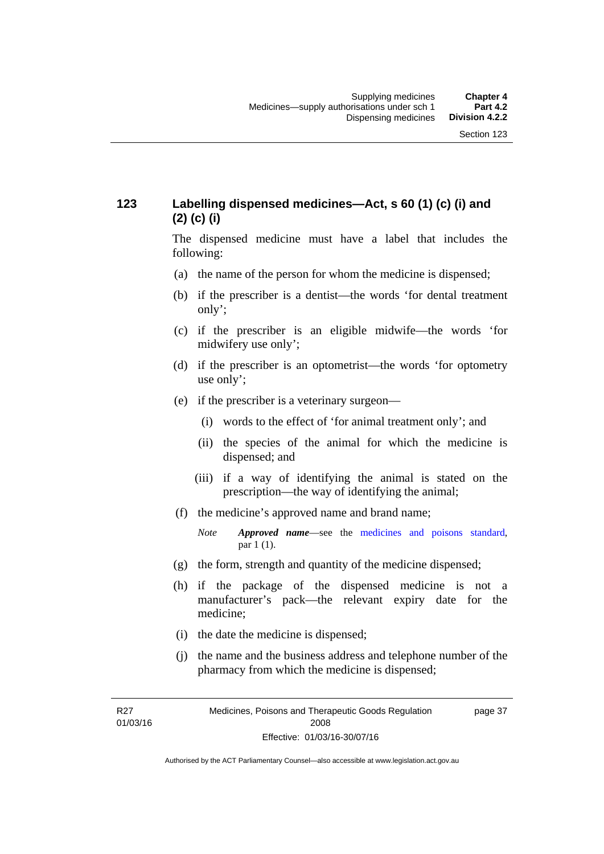## **123 Labelling dispensed medicines—Act, s 60 (1) (c) (i) and (2) (c) (i)**

The dispensed medicine must have a label that includes the following:

- (a) the name of the person for whom the medicine is dispensed;
- (b) if the prescriber is a dentist—the words 'for dental treatment only';
- (c) if the prescriber is an eligible midwife—the words 'for midwifery use only';
- (d) if the prescriber is an optometrist—the words 'for optometry use only';
- (e) if the prescriber is a veterinary surgeon—
	- (i) words to the effect of 'for animal treatment only'; and
	- (ii) the species of the animal for which the medicine is dispensed; and
	- (iii) if a way of identifying the animal is stated on the prescription—the way of identifying the animal;
- (f) the medicine's approved name and brand name;
	- *Note Approved name*—see the [medicines and poisons standard,](http://www.comlaw.gov.au/Series/F2012L01200) par 1 (1).
- (g) the form, strength and quantity of the medicine dispensed;
- (h) if the package of the dispensed medicine is not a manufacturer's pack—the relevant expiry date for the medicine;
- (i) the date the medicine is dispensed;
- (j) the name and the business address and telephone number of the pharmacy from which the medicine is dispensed;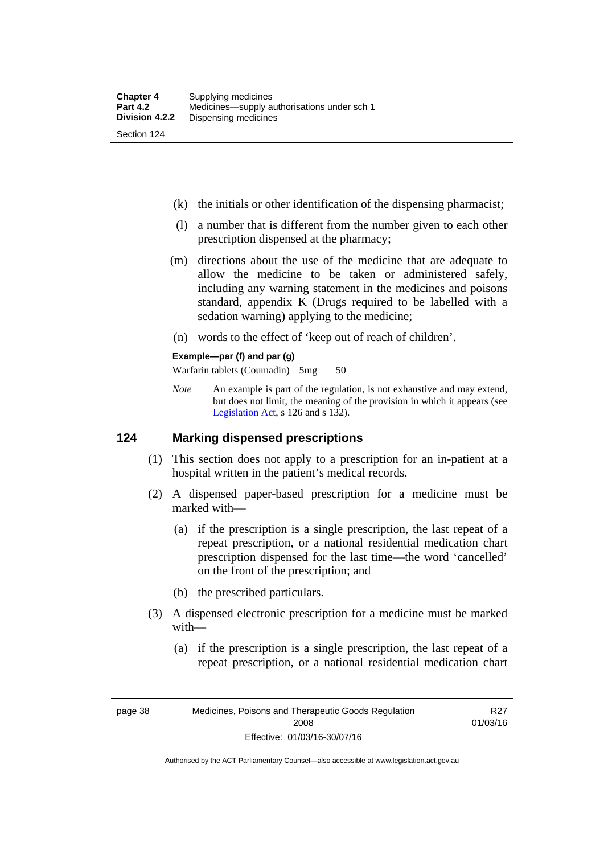- (k) the initials or other identification of the dispensing pharmacist;
- (l) a number that is different from the number given to each other prescription dispensed at the pharmacy;
- (m) directions about the use of the medicine that are adequate to allow the medicine to be taken or administered safely, including any warning statement in the medicines and poisons standard, appendix K (Drugs required to be labelled with a sedation warning) applying to the medicine;
- (n) words to the effect of 'keep out of reach of children'.

#### **Example—par (f) and par (g)**

Warfarin tablets (Coumadin) 5mg 50

*Note* An example is part of the regulation, is not exhaustive and may extend, but does not limit, the meaning of the provision in which it appears (see [Legislation Act,](http://www.legislation.act.gov.au/a/2001-14) s 126 and s 132).

#### **124 Marking dispensed prescriptions**

- (1) This section does not apply to a prescription for an in-patient at a hospital written in the patient's medical records.
- (2) A dispensed paper-based prescription for a medicine must be marked with—
	- (a) if the prescription is a single prescription, the last repeat of a repeat prescription, or a national residential medication chart prescription dispensed for the last time––the word 'cancelled' on the front of the prescription; and
	- (b) the prescribed particulars.
- (3) A dispensed electronic prescription for a medicine must be marked with—
	- (a) if the prescription is a single prescription, the last repeat of a repeat prescription, or a national residential medication chart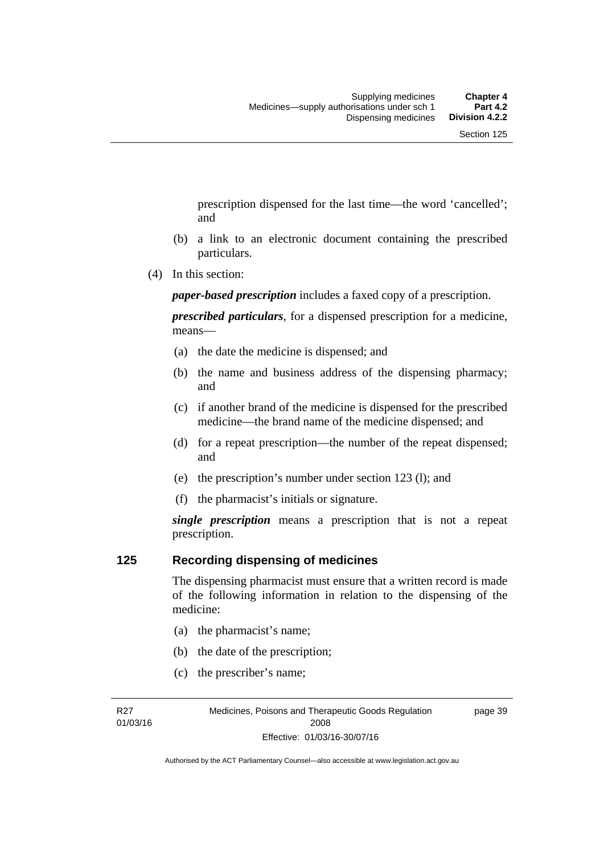prescription dispensed for the last time––the word 'cancelled'; and

- (b) a link to an electronic document containing the prescribed particulars.
- (4) In this section:

*paper-based prescription* includes a faxed copy of a prescription.

*prescribed particulars*, for a dispensed prescription for a medicine, means—

- (a) the date the medicine is dispensed; and
- (b) the name and business address of the dispensing pharmacy; and
- (c) if another brand of the medicine is dispensed for the prescribed medicine—the brand name of the medicine dispensed; and
- (d) for a repeat prescription—the number of the repeat dispensed; and
- (e) the prescription's number under section 123 (l); and
- (f) the pharmacist's initials or signature.

*single prescription* means a prescription that is not a repeat prescription.

#### **125 Recording dispensing of medicines**

The dispensing pharmacist must ensure that a written record is made of the following information in relation to the dispensing of the medicine:

- (a) the pharmacist's name;
- (b) the date of the prescription;
- (c) the prescriber's name;

R27 01/03/16 page 39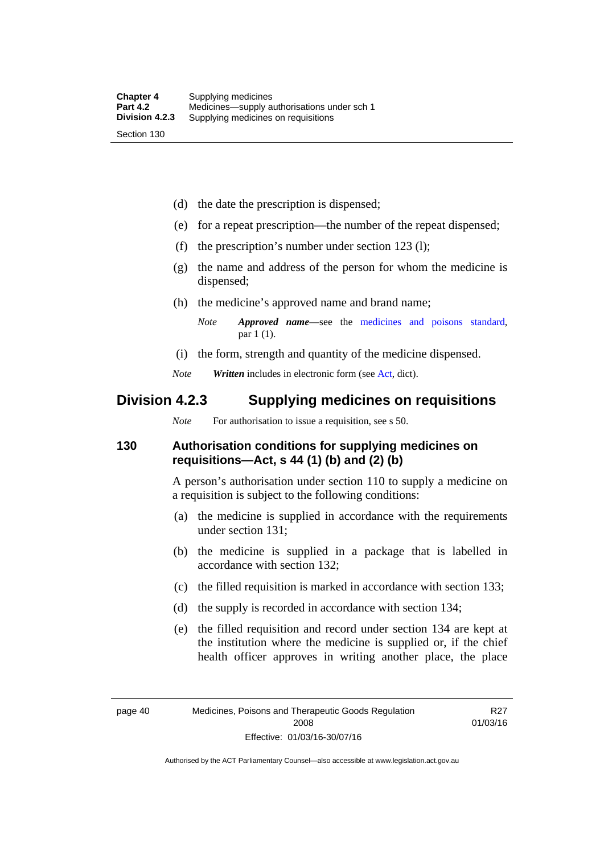(d) the date the prescription is dispensed;

- (e) for a repeat prescription—the number of the repeat dispensed;
- (f) the prescription's number under section 123 (l);
- (g) the name and address of the person for whom the medicine is dispensed;
- (h) the medicine's approved name and brand name;

- (i) the form, strength and quantity of the medicine dispensed.
- *Note Written* includes in electronic form (see [Act,](http://www.legislation.act.gov.au/a/2008-26/default.asp) dict).

## **Division 4.2.3 Supplying medicines on requisitions**

*Note* For authorisation to issue a requisition, see s 50.

#### **130 Authorisation conditions for supplying medicines on requisitions—Act, s 44 (1) (b) and (2) (b)**

A person's authorisation under section 110 to supply a medicine on a requisition is subject to the following conditions:

- (a) the medicine is supplied in accordance with the requirements under section 131;
- (b) the medicine is supplied in a package that is labelled in accordance with section 132;
- (c) the filled requisition is marked in accordance with section 133;
- (d) the supply is recorded in accordance with section 134;
- (e) the filled requisition and record under section 134 are kept at the institution where the medicine is supplied or, if the chief health officer approves in writing another place, the place

*Note Approved name*—see the [medicines and poisons standard,](http://www.comlaw.gov.au/Series/F2012L01200) par 1 (1).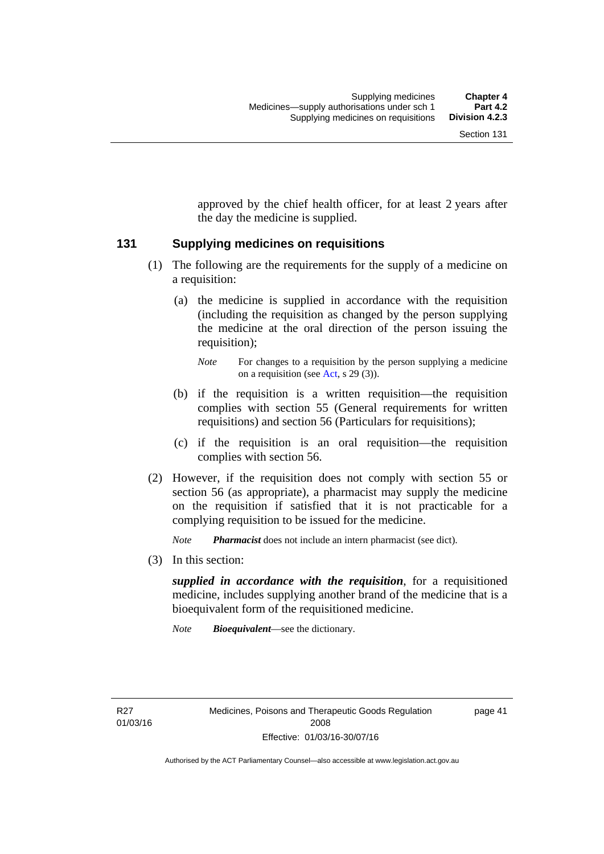approved by the chief health officer, for at least 2 years after the day the medicine is supplied.

#### **131 Supplying medicines on requisitions**

- (1) The following are the requirements for the supply of a medicine on a requisition:
	- (a) the medicine is supplied in accordance with the requisition (including the requisition as changed by the person supplying the medicine at the oral direction of the person issuing the requisition);

- (b) if the requisition is a written requisition—the requisition complies with section 55 (General requirements for written requisitions) and section 56 (Particulars for requisitions);
- (c) if the requisition is an oral requisition—the requisition complies with section 56.
- (2) However, if the requisition does not comply with section 55 or section 56 (as appropriate), a pharmacist may supply the medicine on the requisition if satisfied that it is not practicable for a complying requisition to be issued for the medicine.

*Note Pharmacist* does not include an intern pharmacist (see dict).

(3) In this section:

*supplied in accordance with the requisition*, for a requisitioned medicine, includes supplying another brand of the medicine that is a bioequivalent form of the requisitioned medicine.

*Note Bioequivalent*—see the dictionary.

R27 01/03/16 page 41

*Note* For changes to a requisition by the person supplying a medicine on a requisition (see [Act,](http://www.legislation.act.gov.au/a/2008-26/default.asp) s 29 (3)).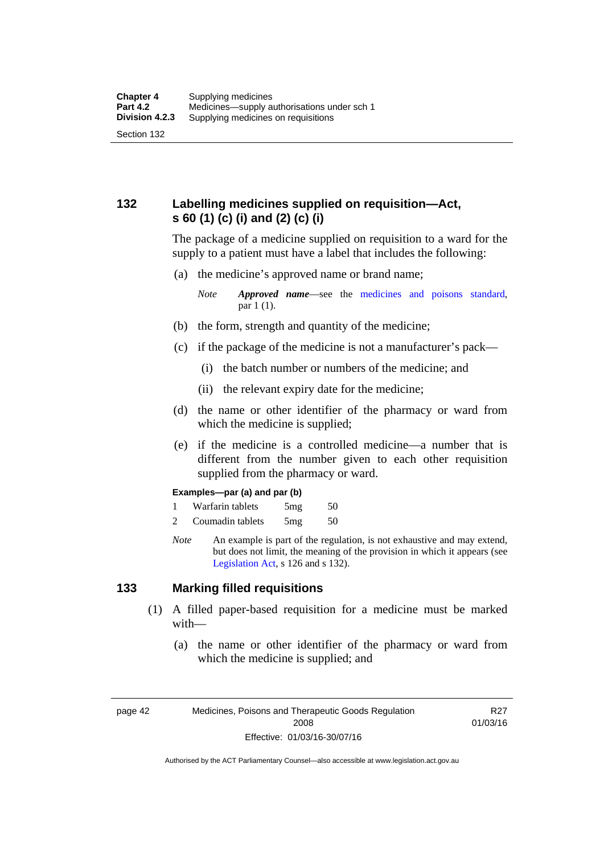## **132 Labelling medicines supplied on requisition—Act, s 60 (1) (c) (i) and (2) (c) (i)**

The package of a medicine supplied on requisition to a ward for the supply to a patient must have a label that includes the following:

(a) the medicine's approved name or brand name;

*Note Approved name*—see the [medicines and poisons standard,](http://www.comlaw.gov.au/Series/F2012L01200) par 1 (1).

- (b) the form, strength and quantity of the medicine;
- (c) if the package of the medicine is not a manufacturer's pack—
	- (i) the batch number or numbers of the medicine; and
	- (ii) the relevant expiry date for the medicine;
- (d) the name or other identifier of the pharmacy or ward from which the medicine is supplied;
- (e) if the medicine is a controlled medicine—a number that is different from the number given to each other requisition supplied from the pharmacy or ward.

#### **Examples—par (a) and par (b)**

- 1 Warfarin tablets 5mg 50
- 2 Coumadin tablets 5mg 50
- *Note* An example is part of the regulation, is not exhaustive and may extend, but does not limit, the meaning of the provision in which it appears (see [Legislation Act,](http://www.legislation.act.gov.au/a/2001-14) s 126 and s 132).

#### **133 Marking filled requisitions**

- (1) A filled paper-based requisition for a medicine must be marked with—
	- (a) the name or other identifier of the pharmacy or ward from which the medicine is supplied; and

page 42 Medicines, Poisons and Therapeutic Goods Regulation 2008 Effective: 01/03/16-30/07/16

R27 01/03/16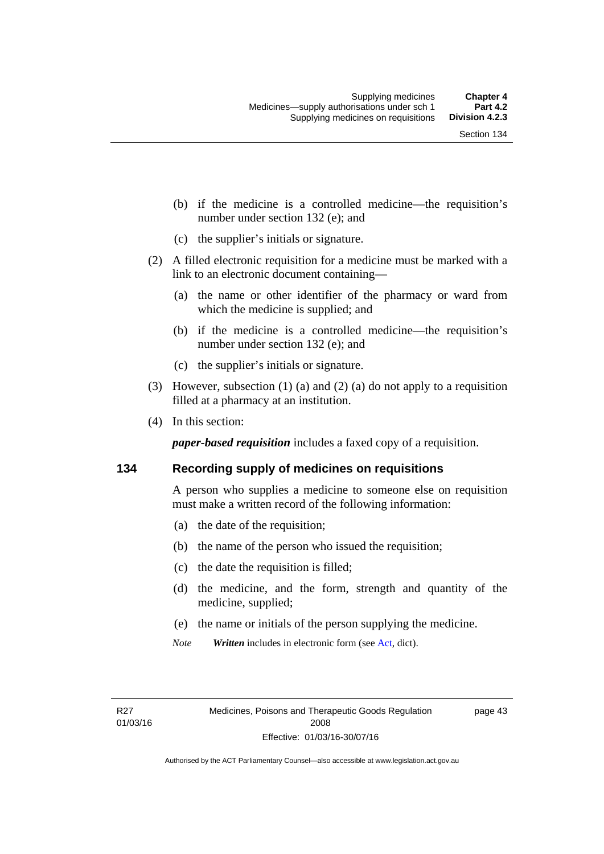- (b) if the medicine is a controlled medicine—the requisition's number under section 132 (e); and
- (c) the supplier's initials or signature.
- (2) A filled electronic requisition for a medicine must be marked with a link to an electronic document containing—
	- (a) the name or other identifier of the pharmacy or ward from which the medicine is supplied; and
	- (b) if the medicine is a controlled medicine—the requisition's number under section 132 (e); and
	- (c) the supplier's initials or signature.
- (3) However, subsection (1) (a) and (2) (a) do not apply to a requisition filled at a pharmacy at an institution.
- (4) In this section:

*paper-based requisition* includes a faxed copy of a requisition.

#### **134 Recording supply of medicines on requisitions**

A person who supplies a medicine to someone else on requisition must make a written record of the following information:

- (a) the date of the requisition;
- (b) the name of the person who issued the requisition;
- (c) the date the requisition is filled;
- (d) the medicine, and the form, strength and quantity of the medicine, supplied;
- (e) the name or initials of the person supplying the medicine.
- *Note Written* includes in electronic form (see [Act,](http://www.legislation.act.gov.au/a/2008-26/default.asp) dict).

page 43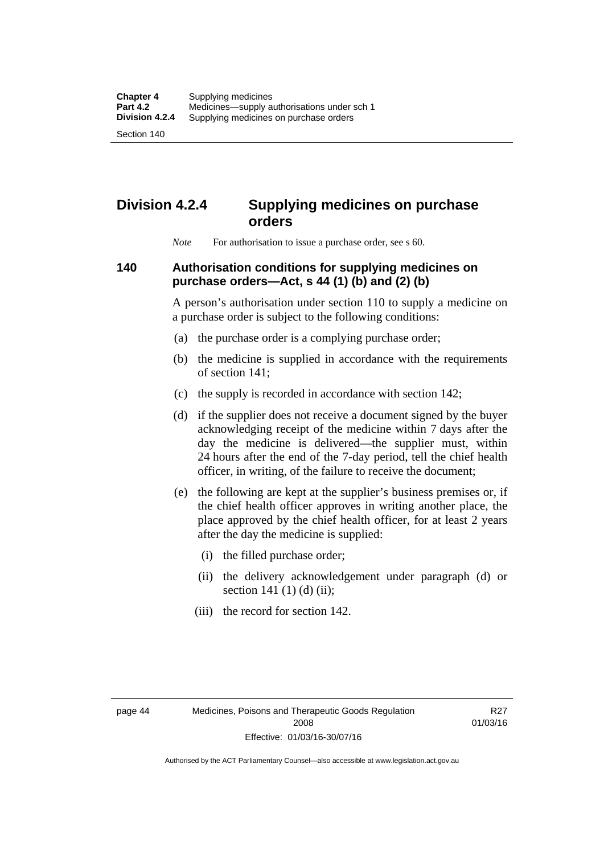Section 140

# **Division 4.2.4 Supplying medicines on purchase orders**

*Note* For authorisation to issue a purchase order, see s 60.

## **140 Authorisation conditions for supplying medicines on purchase orders—Act, s 44 (1) (b) and (2) (b)**

A person's authorisation under section 110 to supply a medicine on a purchase order is subject to the following conditions:

- (a) the purchase order is a complying purchase order;
- (b) the medicine is supplied in accordance with the requirements of section 141;
- (c) the supply is recorded in accordance with section 142;
- (d) if the supplier does not receive a document signed by the buyer acknowledging receipt of the medicine within 7 days after the day the medicine is delivered—the supplier must, within 24 hours after the end of the 7-day period, tell the chief health officer, in writing, of the failure to receive the document;
- (e) the following are kept at the supplier's business premises or, if the chief health officer approves in writing another place, the place approved by the chief health officer, for at least 2 years after the day the medicine is supplied:
	- (i) the filled purchase order;
	- (ii) the delivery acknowledgement under paragraph (d) or section 141 $(1)$  $(d)$  $(ii)$ ;
	- (iii) the record for section 142.

R27 01/03/16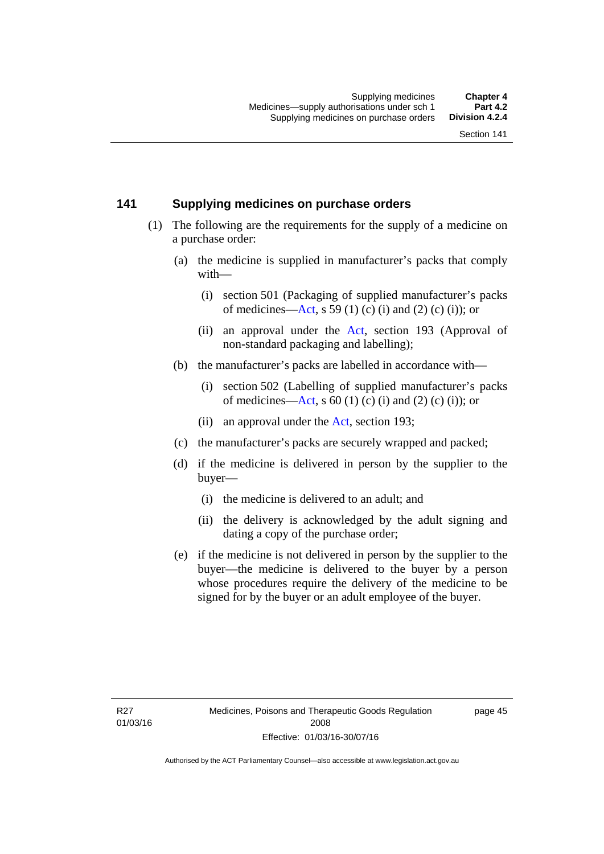#### **141 Supplying medicines on purchase orders**

- (1) The following are the requirements for the supply of a medicine on a purchase order:
	- (a) the medicine is supplied in manufacturer's packs that comply with—
		- (i) section 501 (Packaging of supplied manufacturer's packs of medicines—[Act](http://www.legislation.act.gov.au/a/2008-26/default.asp), s 59 (1) (c) (i) and (2) (c) (i)); or
		- (ii) an approval under the [Act](http://www.legislation.act.gov.au/a/2008-26/default.asp), section 193 (Approval of non-standard packaging and labelling);
	- (b) the manufacturer's packs are labelled in accordance with—
		- (i) section 502 (Labelling of supplied manufacturer's packs of medicines—[Act](http://www.legislation.act.gov.au/a/2008-26/default.asp), s  $60(1)$  (c) (i) and (2) (c) (i)); or
		- (ii) an approval under the [Act,](http://www.legislation.act.gov.au/a/2008-26/default.asp) section 193;
	- (c) the manufacturer's packs are securely wrapped and packed;
	- (d) if the medicine is delivered in person by the supplier to the buyer—
		- (i) the medicine is delivered to an adult; and
		- (ii) the delivery is acknowledged by the adult signing and dating a copy of the purchase order;
	- (e) if the medicine is not delivered in person by the supplier to the buyer—the medicine is delivered to the buyer by a person whose procedures require the delivery of the medicine to be signed for by the buyer or an adult employee of the buyer.

page 45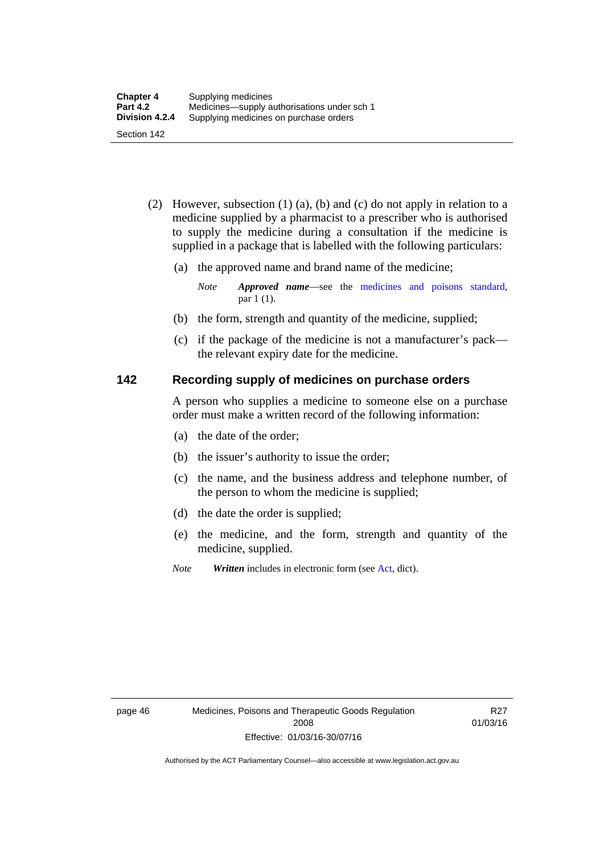- (2) However, subsection (1) (a), (b) and (c) do not apply in relation to a medicine supplied by a pharmacist to a prescriber who is authorised to supply the medicine during a consultation if the medicine is supplied in a package that is labelled with the following particulars:
	- (a) the approved name and brand name of the medicine;

*Note Approved name*—see the [medicines and poisons standard,](http://www.comlaw.gov.au/Series/F2012L01200) par 1 (1).

- (b) the form, strength and quantity of the medicine, supplied;
- (c) if the package of the medicine is not a manufacturer's pack the relevant expiry date for the medicine.

#### **142 Recording supply of medicines on purchase orders**

A person who supplies a medicine to someone else on a purchase order must make a written record of the following information:

- (a) the date of the order;
- (b) the issuer's authority to issue the order;
- (c) the name, and the business address and telephone number, of the person to whom the medicine is supplied;
- (d) the date the order is supplied;
- (e) the medicine, and the form, strength and quantity of the medicine, supplied.
- *Note Written* includes in electronic form (see [Act,](http://www.legislation.act.gov.au/a/2008-26/default.asp) dict).

R27 01/03/16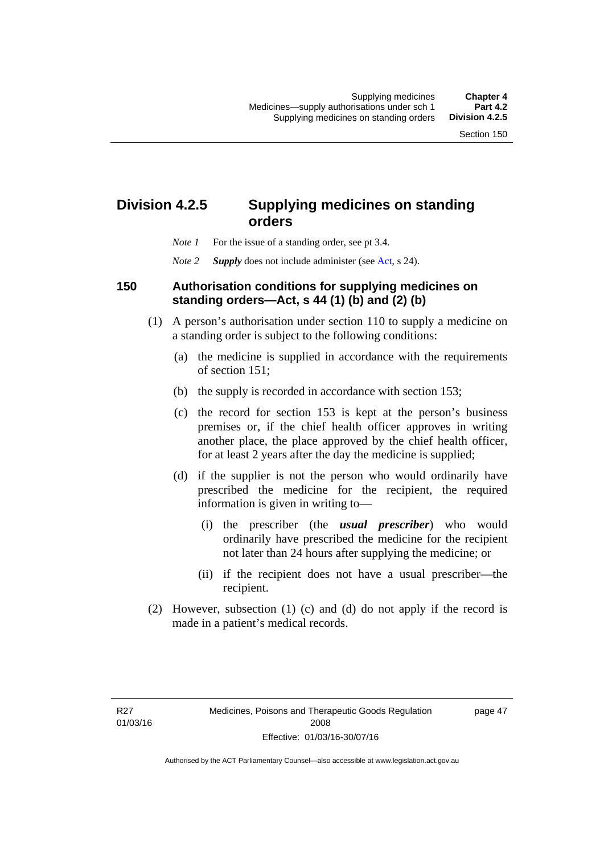## **Division 4.2.5 Supplying medicines on standing orders**

- *Note 1* For the issue of a standing order, see pt 3.4.
- *Note 2 Supply* does not include administer (see [Act,](http://www.legislation.act.gov.au/a/2008-26/default.asp) s 24).

#### **150 Authorisation conditions for supplying medicines on standing orders—Act, s 44 (1) (b) and (2) (b)**

- (1) A person's authorisation under section 110 to supply a medicine on a standing order is subject to the following conditions:
	- (a) the medicine is supplied in accordance with the requirements of section 151;
	- (b) the supply is recorded in accordance with section 153;
	- (c) the record for section 153 is kept at the person's business premises or, if the chief health officer approves in writing another place, the place approved by the chief health officer, for at least 2 years after the day the medicine is supplied;
	- (d) if the supplier is not the person who would ordinarily have prescribed the medicine for the recipient, the required information is given in writing to—
		- (i) the prescriber (the *usual prescriber*) who would ordinarily have prescribed the medicine for the recipient not later than 24 hours after supplying the medicine; or
		- (ii) if the recipient does not have a usual prescriber—the recipient.
- (2) However, subsection (1) (c) and (d) do not apply if the record is made in a patient's medical records.

page 47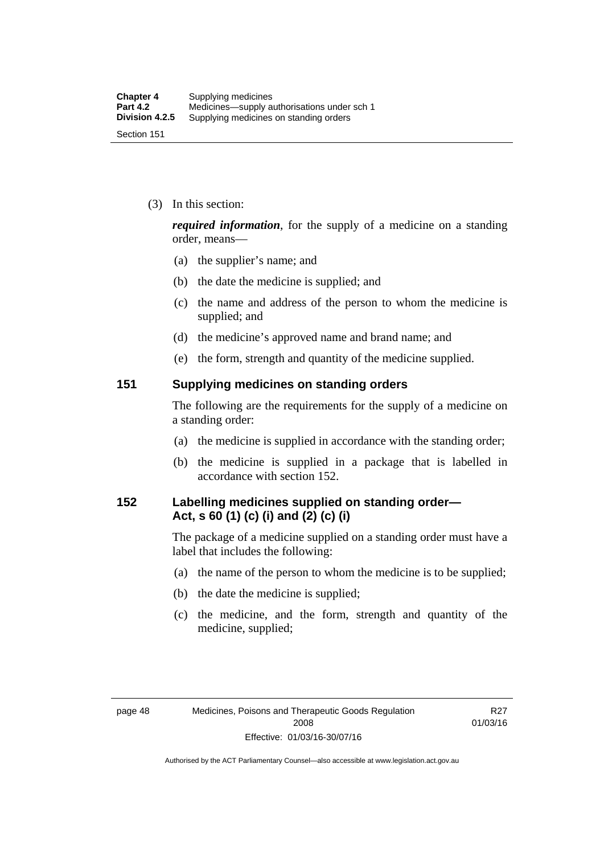(3) In this section:

*required information*, for the supply of a medicine on a standing order, means—

- (a) the supplier's name; and
- (b) the date the medicine is supplied; and
- (c) the name and address of the person to whom the medicine is supplied; and
- (d) the medicine's approved name and brand name; and
- (e) the form, strength and quantity of the medicine supplied.

#### **151 Supplying medicines on standing orders**

The following are the requirements for the supply of a medicine on a standing order:

- (a) the medicine is supplied in accordance with the standing order;
- (b) the medicine is supplied in a package that is labelled in accordance with section 152.

## **152 Labelling medicines supplied on standing order— Act, s 60 (1) (c) (i) and (2) (c) (i)**

The package of a medicine supplied on a standing order must have a label that includes the following:

- (a) the name of the person to whom the medicine is to be supplied;
- (b) the date the medicine is supplied;
- (c) the medicine, and the form, strength and quantity of the medicine, supplied;

R27 01/03/16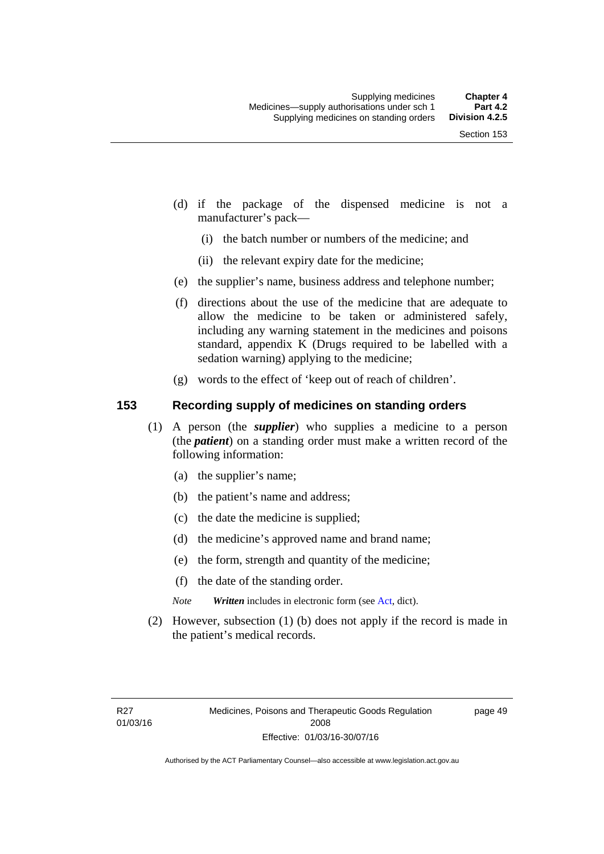- (d) if the package of the dispensed medicine is not a manufacturer's pack—
	- (i) the batch number or numbers of the medicine; and
	- (ii) the relevant expiry date for the medicine;
- (e) the supplier's name, business address and telephone number;
- (f) directions about the use of the medicine that are adequate to allow the medicine to be taken or administered safely, including any warning statement in the medicines and poisons standard, appendix K (Drugs required to be labelled with a sedation warning) applying to the medicine;
- (g) words to the effect of 'keep out of reach of children'.

### **153 Recording supply of medicines on standing orders**

- (1) A person (the *supplier*) who supplies a medicine to a person (the *patient*) on a standing order must make a written record of the following information:
	- (a) the supplier's name;
	- (b) the patient's name and address;
	- (c) the date the medicine is supplied;
	- (d) the medicine's approved name and brand name;
	- (e) the form, strength and quantity of the medicine;
	- (f) the date of the standing order.
	- *Note Written* includes in electronic form (see [Act,](http://www.legislation.act.gov.au/a/2008-26/default.asp) dict).
- (2) However, subsection (1) (b) does not apply if the record is made in the patient's medical records.

page 49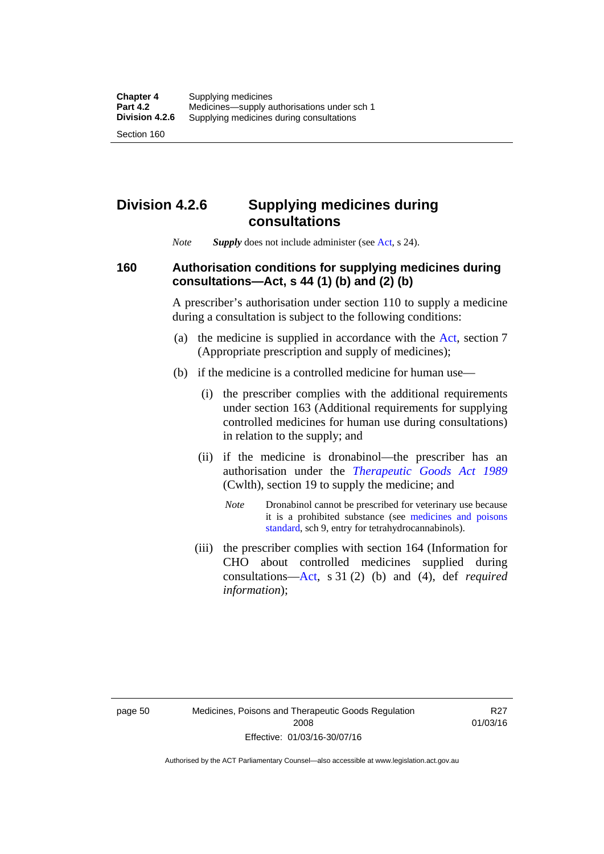## **Division 4.2.6 Supplying medicines during consultations**

*Note Supply* does not include administer (see [Act,](http://www.legislation.act.gov.au/a/2008-26/default.asp) s 24).

### **160 Authorisation conditions for supplying medicines during consultations—Act, s 44 (1) (b) and (2) (b)**

A prescriber's authorisation under section 110 to supply a medicine during a consultation is subject to the following conditions:

- (a) the medicine is supplied in accordance with the [Act](http://www.legislation.act.gov.au/a/2008-26/default.asp), section 7 (Appropriate prescription and supply of medicines);
- (b) if the medicine is a controlled medicine for human use—
	- (i) the prescriber complies with the additional requirements under section 163 (Additional requirements for supplying controlled medicines for human use during consultations) in relation to the supply; and
	- (ii) if the medicine is dronabinol—the prescriber has an authorisation under the *[Therapeutic Goods Act 1989](http://www.comlaw.gov.au/Series/C2004A03952)* (Cwlth), section 19 to supply the medicine; and
		- *Note* Dronabinol cannot be prescribed for veterinary use because it is a prohibited substance (see [medicines and poisons](http://www.comlaw.gov.au/Series/F2012L01200)  [standard,](http://www.comlaw.gov.au/Series/F2012L01200) sch 9, entry for tetrahydrocannabinols).
	- (iii) the prescriber complies with section 164 (Information for CHO about controlled medicines supplied during consultations[—Act,](http://www.legislation.act.gov.au/a/2008-26/default.asp) s 31 (2) (b) and (4), def *required information*);

R27 01/03/16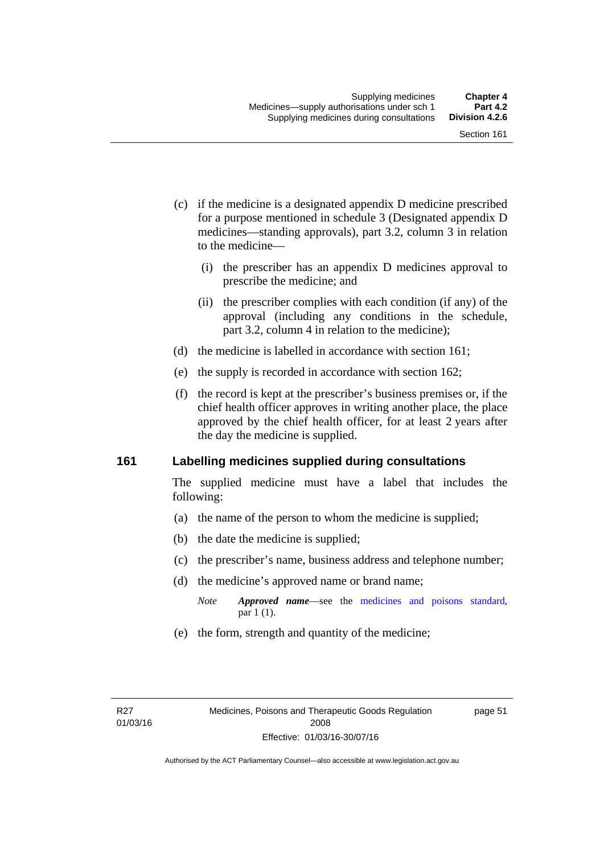- (c) if the medicine is a designated appendix D medicine prescribed for a purpose mentioned in schedule 3 (Designated appendix D medicines—standing approvals), part 3.2, column 3 in relation to the medicine—
	- (i) the prescriber has an appendix D medicines approval to prescribe the medicine; and
	- (ii) the prescriber complies with each condition (if any) of the approval (including any conditions in the schedule, part 3.2, column 4 in relation to the medicine);
- (d) the medicine is labelled in accordance with section 161;
- (e) the supply is recorded in accordance with section 162;
- (f) the record is kept at the prescriber's business premises or, if the chief health officer approves in writing another place, the place approved by the chief health officer, for at least 2 years after the day the medicine is supplied.

### **161 Labelling medicines supplied during consultations**

The supplied medicine must have a label that includes the following:

- (a) the name of the person to whom the medicine is supplied;
- (b) the date the medicine is supplied;
- (c) the prescriber's name, business address and telephone number;
- (d) the medicine's approved name or brand name;
	- *Note Approved name*—see the [medicines and poisons standard,](http://www.comlaw.gov.au/Series/F2012L01200) par 1 (1).
- (e) the form, strength and quantity of the medicine;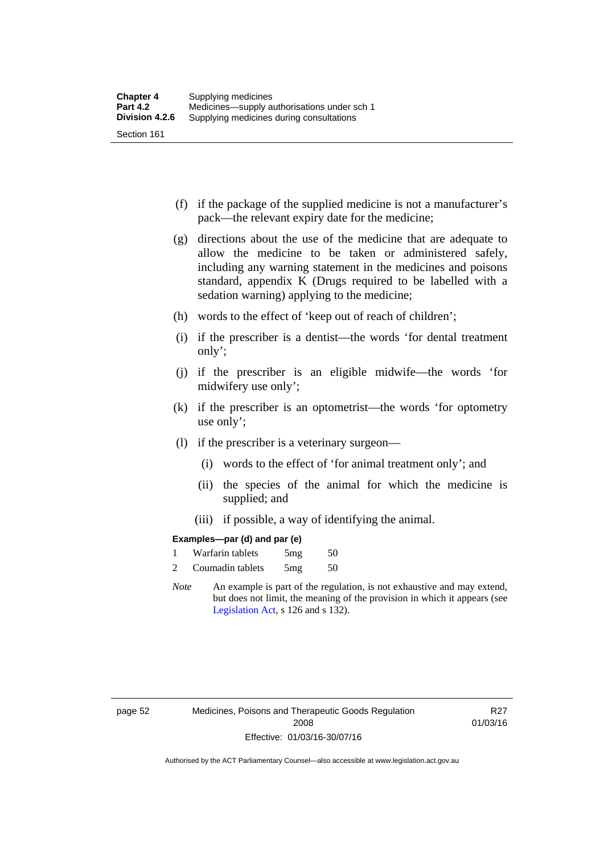- (f) if the package of the supplied medicine is not a manufacturer's pack—the relevant expiry date for the medicine;
- (g) directions about the use of the medicine that are adequate to allow the medicine to be taken or administered safely, including any warning statement in the medicines and poisons standard, appendix K (Drugs required to be labelled with a sedation warning) applying to the medicine;
- (h) words to the effect of 'keep out of reach of children';
- (i) if the prescriber is a dentist—the words 'for dental treatment only';
- (j) if the prescriber is an eligible midwife—the words 'for midwifery use only';
- (k) if the prescriber is an optometrist—the words 'for optometry use only';
- (l) if the prescriber is a veterinary surgeon—
	- (i) words to the effect of 'for animal treatment only'; and
	- (ii) the species of the animal for which the medicine is supplied; and
	- (iii) if possible, a way of identifying the animal.

### **Examples—par (d) and par (e)**

| Warfarin tablets | 5mg | 50 |
|------------------|-----|----|
| Coumadin tablets | 5mg | 50 |

*Note* An example is part of the regulation, is not exhaustive and may extend, but does not limit, the meaning of the provision in which it appears (see [Legislation Act,](http://www.legislation.act.gov.au/a/2001-14) s 126 and s 132).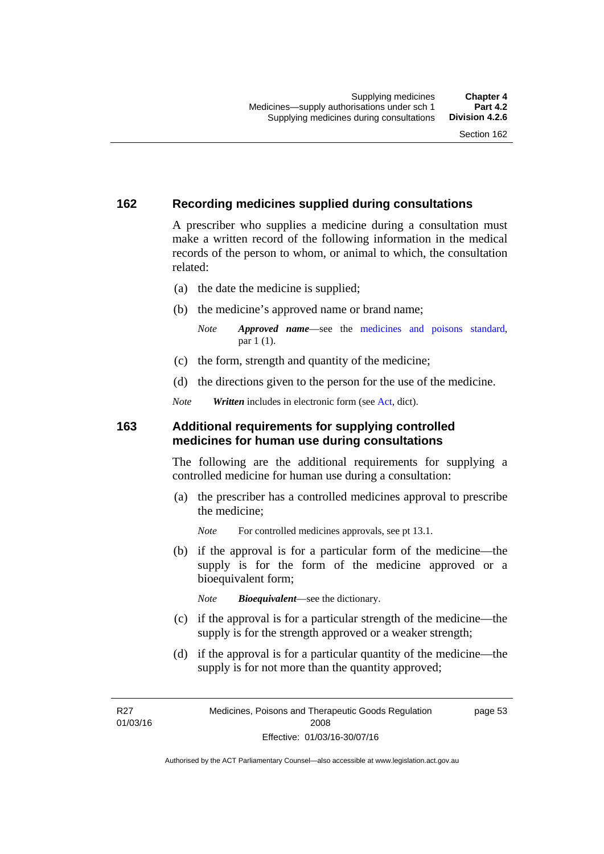### **162 Recording medicines supplied during consultations**

A prescriber who supplies a medicine during a consultation must make a written record of the following information in the medical records of the person to whom, or animal to which, the consultation related:

- (a) the date the medicine is supplied;
- (b) the medicine's approved name or brand name;

*Note Approved name*—see the [medicines and poisons standard,](http://www.comlaw.gov.au/Series/F2012L01200) par 1 (1).

- (c) the form, strength and quantity of the medicine;
- (d) the directions given to the person for the use of the medicine.

*Note Written* includes in electronic form (see [Act,](http://www.legislation.act.gov.au/a/2008-26/default.asp) dict).

### **163 Additional requirements for supplying controlled medicines for human use during consultations**

The following are the additional requirements for supplying a controlled medicine for human use during a consultation:

- (a) the prescriber has a controlled medicines approval to prescribe the medicine;
	- *Note* For controlled medicines approvals, see pt 13.1.
- (b) if the approval is for a particular form of the medicine—the supply is for the form of the medicine approved or a bioequivalent form;

*Note Bioequivalent*—see the dictionary.

- (c) if the approval is for a particular strength of the medicine—the supply is for the strength approved or a weaker strength;
- (d) if the approval is for a particular quantity of the medicine—the supply is for not more than the quantity approved;

R27 01/03/16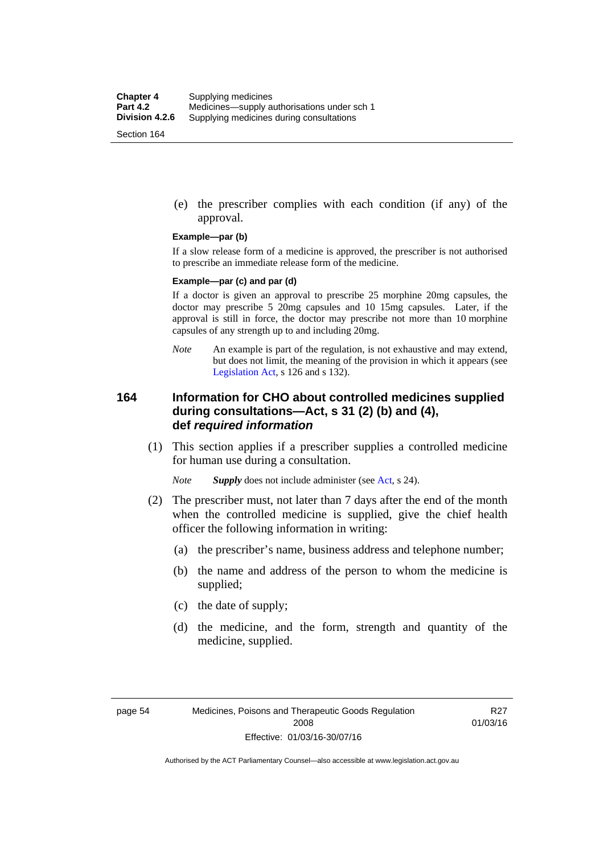(e) the prescriber complies with each condition (if any) of the approval.

#### **Example—par (b)**

If a slow release form of a medicine is approved, the prescriber is not authorised to prescribe an immediate release form of the medicine.

#### **Example—par (c) and par (d)**

If a doctor is given an approval to prescribe 25 morphine 20mg capsules, the doctor may prescribe 5 20mg capsules and 10 15mg capsules. Later, if the approval is still in force, the doctor may prescribe not more than 10 morphine capsules of any strength up to and including 20mg.

*Note* An example is part of the regulation, is not exhaustive and may extend, but does not limit, the meaning of the provision in which it appears (see [Legislation Act,](http://www.legislation.act.gov.au/a/2001-14) s 126 and s 132).

### **164 Information for CHO about controlled medicines supplied during consultations—Act, s 31 (2) (b) and (4), def** *required information*

 (1) This section applies if a prescriber supplies a controlled medicine for human use during a consultation.

*Note Supply* does not include administer (see [Act,](http://www.legislation.act.gov.au/a/2008-26/default.asp) s 24).

- (2) The prescriber must, not later than 7 days after the end of the month when the controlled medicine is supplied, give the chief health officer the following information in writing:
	- (a) the prescriber's name, business address and telephone number;
	- (b) the name and address of the person to whom the medicine is supplied;
	- (c) the date of supply;
	- (d) the medicine, and the form, strength and quantity of the medicine, supplied.

R27 01/03/16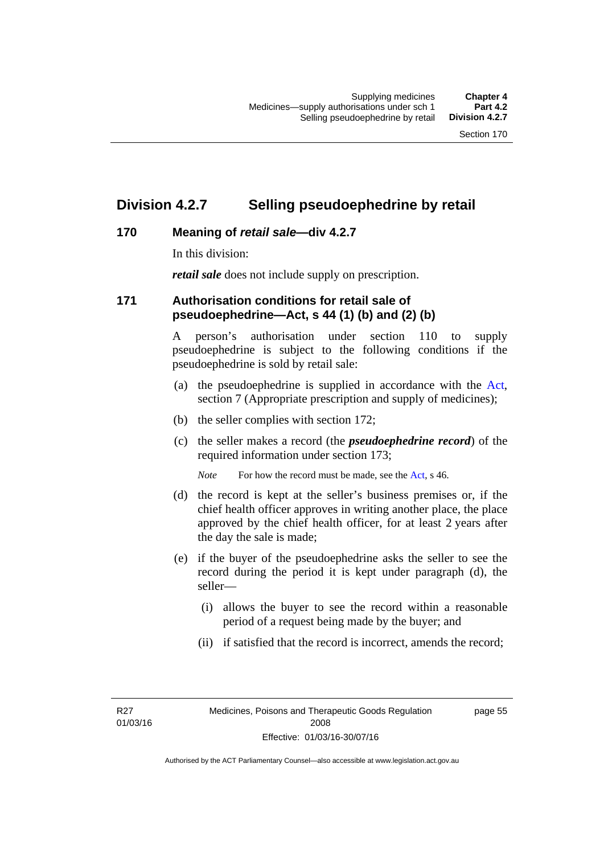## **Division 4.2.7 Selling pseudoephedrine by retail**

## **170 Meaning of** *retail sale***—div 4.2.7**

In this division:

*retail sale* does not include supply on prescription.

### **171 Authorisation conditions for retail sale of pseudoephedrine—Act, s 44 (1) (b) and (2) (b)**

A person's authorisation under section 110 to supply pseudoephedrine is subject to the following conditions if the pseudoephedrine is sold by retail sale:

- (a) the pseudoephedrine is supplied in accordance with the [Act](http://www.legislation.act.gov.au/a/2008-26/default.asp), section 7 (Appropriate prescription and supply of medicines);
- (b) the seller complies with section 172;
- (c) the seller makes a record (the *pseudoephedrine record*) of the required information under section 173;

*Note* For how the record must be made, see the [Act,](http://www.legislation.act.gov.au/a/2008-26/default.asp) s 46.

- (d) the record is kept at the seller's business premises or, if the chief health officer approves in writing another place, the place approved by the chief health officer, for at least 2 years after the day the sale is made;
- (e) if the buyer of the pseudoephedrine asks the seller to see the record during the period it is kept under paragraph (d), the seller—
	- (i) allows the buyer to see the record within a reasonable period of a request being made by the buyer; and
	- (ii) if satisfied that the record is incorrect, amends the record;

R27 01/03/16 page 55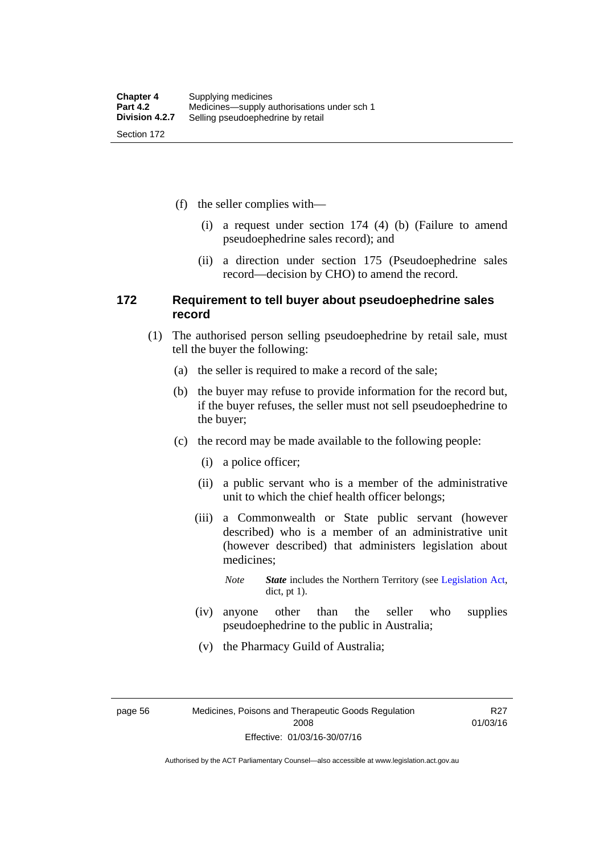(f) the seller complies with—

- (i) a request under section 174 (4) (b) (Failure to amend pseudoephedrine sales record); and
- (ii) a direction under section 175 (Pseudoephedrine sales record—decision by CHO) to amend the record.

### **172 Requirement to tell buyer about pseudoephedrine sales record**

- (1) The authorised person selling pseudoephedrine by retail sale, must tell the buyer the following:
	- (a) the seller is required to make a record of the sale;
	- (b) the buyer may refuse to provide information for the record but, if the buyer refuses, the seller must not sell pseudoephedrine to the buyer;
	- (c) the record may be made available to the following people:
		- (i) a police officer;
		- (ii) a public servant who is a member of the administrative unit to which the chief health officer belongs;
		- (iii) a Commonwealth or State public servant (however described) who is a member of an administrative unit (however described) that administers legislation about medicines;

*Note State* includes the Northern Territory (see [Legislation Act,](http://www.legislation.act.gov.au/a/2001-14) dict, pt 1).

- (iv) anyone other than the seller who supplies pseudoephedrine to the public in Australia;
- (v) the Pharmacy Guild of Australia;

page 56 Medicines, Poisons and Therapeutic Goods Regulation 2008 Effective: 01/03/16-30/07/16

R27 01/03/16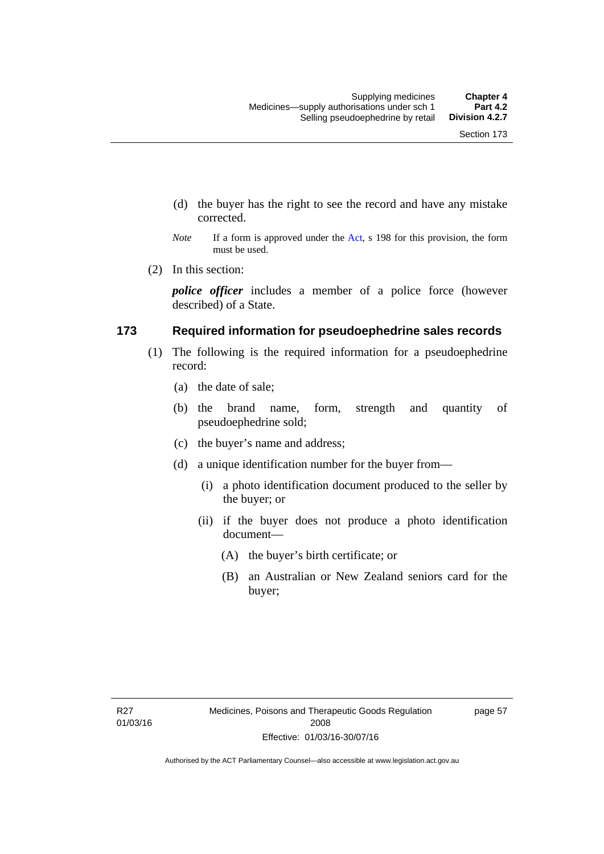- (d) the buyer has the right to see the record and have any mistake corrected.
- *Note* If a form is approved under the [Act](http://www.legislation.act.gov.au/a/2008-26/default.asp), s 198 for this provision, the form must be used.
- (2) In this section:

*police officer* includes a member of a police force (however described) of a State.

### **173 Required information for pseudoephedrine sales records**

- (1) The following is the required information for a pseudoephedrine record:
	- (a) the date of sale;
	- (b) the brand name, form, strength and quantity of pseudoephedrine sold;
	- (c) the buyer's name and address;
	- (d) a unique identification number for the buyer from—
		- (i) a photo identification document produced to the seller by the buyer; or
		- (ii) if the buyer does not produce a photo identification document—
			- (A) the buyer's birth certificate; or
			- (B) an Australian or New Zealand seniors card for the buyer;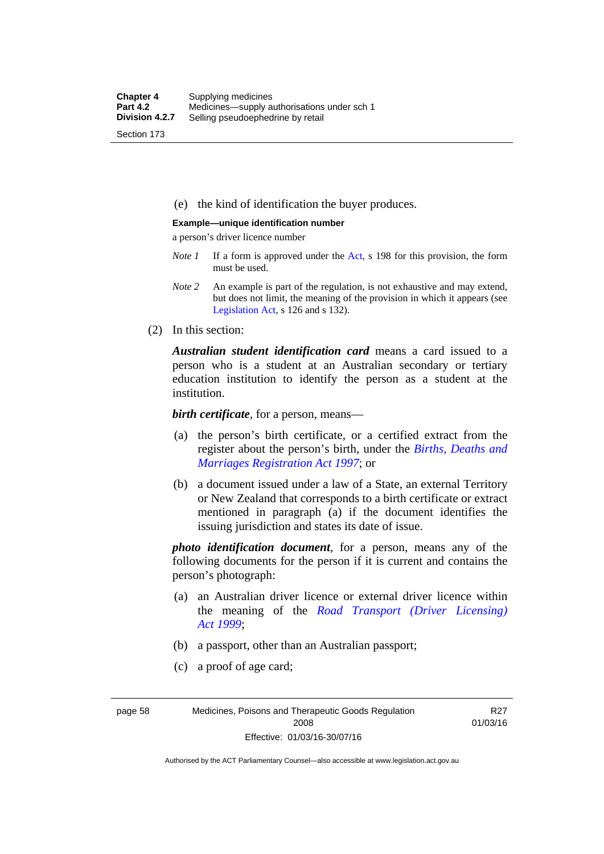(e) the kind of identification the buyer produces.

#### **Example—unique identification number**

a person's driver licence number

- *Note 1* If a form is approved under the [Act](http://www.legislation.act.gov.au/a/2008-26/default.asp), s 198 for this provision, the form must be used.
- *Note 2* An example is part of the regulation, is not exhaustive and may extend, but does not limit, the meaning of the provision in which it appears (see [Legislation Act,](http://www.legislation.act.gov.au/a/2001-14) s 126 and s 132).
- (2) In this section:

*Australian student identification card* means a card issued to a person who is a student at an Australian secondary or tertiary education institution to identify the person as a student at the institution.

*birth certificate*, for a person, means—

- (a) the person's birth certificate, or a certified extract from the register about the person's birth, under the *[Births, Deaths and](http://www.legislation.act.gov.au/a/1997-112)  [Marriages Registration Act 1997](http://www.legislation.act.gov.au/a/1997-112)*; or
- (b) a document issued under a law of a State, an external Territory or New Zealand that corresponds to a birth certificate or extract mentioned in paragraph (a) if the document identifies the issuing jurisdiction and states its date of issue.

*photo identification document*, for a person, means any of the following documents for the person if it is current and contains the person's photograph:

- (a) an Australian driver licence or external driver licence within the meaning of the *[Road Transport \(Driver Licensing\)](http://www.legislation.act.gov.au/a/1999-78)  [Act 1999](http://www.legislation.act.gov.au/a/1999-78)*;
- (b) a passport, other than an Australian passport;
- (c) a proof of age card;

page 58 Medicines, Poisons and Therapeutic Goods Regulation 2008 Effective: 01/03/16-30/07/16

R27 01/03/16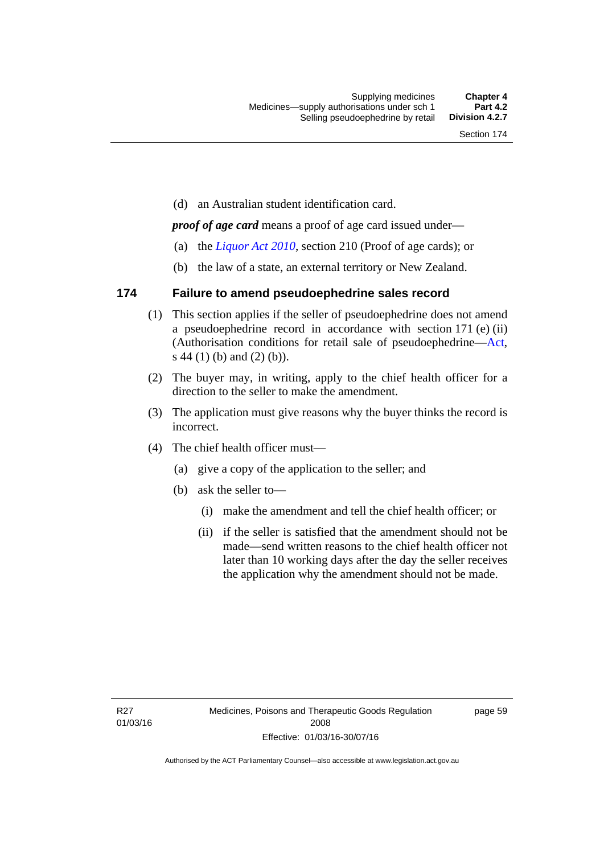(d) an Australian student identification card.

*proof of age card* means a proof of age card issued under—

- (a) the *[Liquor Act 2010](http://www.legislation.act.gov.au/a/2010-35)*, section 210 (Proof of age cards); or
- (b) the law of a state, an external territory or New Zealand.

### **174 Failure to amend pseudoephedrine sales record**

- (1) This section applies if the seller of pseudoephedrine does not amend a pseudoephedrine record in accordance with section 171 (e) (ii) (Authorisation conditions for retail sale of pseudoephedrine—[Act](http://www.legislation.act.gov.au/a/2008-26/default.asp), s 44 (1) (b) and (2) (b)).
- (2) The buyer may, in writing, apply to the chief health officer for a direction to the seller to make the amendment.
- (3) The application must give reasons why the buyer thinks the record is incorrect.
- (4) The chief health officer must—
	- (a) give a copy of the application to the seller; and
	- (b) ask the seller to—
		- (i) make the amendment and tell the chief health officer; or
		- (ii) if the seller is satisfied that the amendment should not be made—send written reasons to the chief health officer not later than 10 working days after the day the seller receives the application why the amendment should not be made.

page 59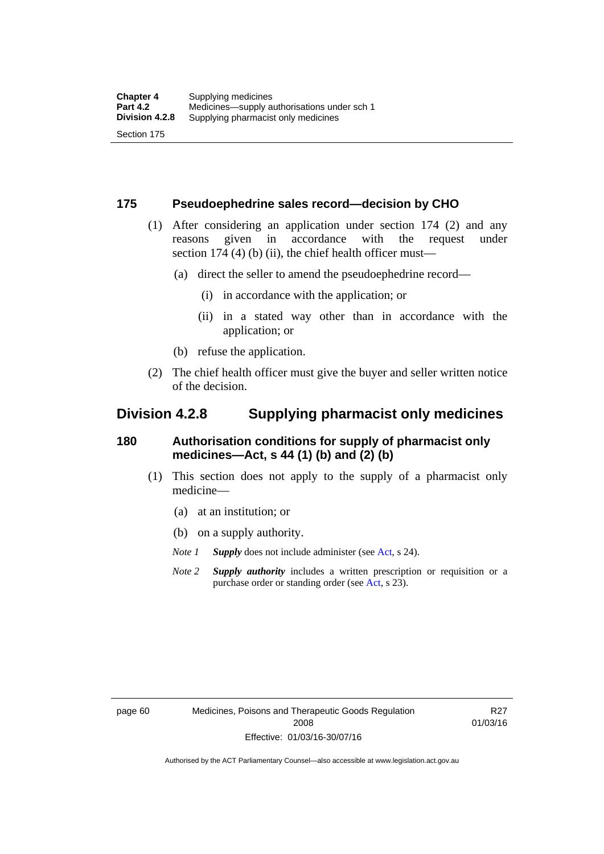### **175 Pseudoephedrine sales record—decision by CHO**

- (1) After considering an application under section 174 (2) and any reasons given in accordance with the request under section 174  $(4)$  (b)  $(ii)$ , the chief health officer must—
	- (a) direct the seller to amend the pseudoephedrine record—
		- (i) in accordance with the application; or
		- (ii) in a stated way other than in accordance with the application; or
	- (b) refuse the application.
- (2) The chief health officer must give the buyer and seller written notice of the decision.

## **Division 4.2.8 Supplying pharmacist only medicines**

### **180 Authorisation conditions for supply of pharmacist only medicines—Act, s 44 (1) (b) and (2) (b)**

- (1) This section does not apply to the supply of a pharmacist only medicine—
	- (a) at an institution; or
	- (b) on a supply authority.
	- *Note 1 Supply* does not include administer (see [Act,](http://www.legislation.act.gov.au/a/2008-26/default.asp) s 24).
	- *Note 2 Supply authority* includes a written prescription or requisition or a purchase order or standing order (see [Act,](http://www.legislation.act.gov.au/a/2008-26/default.asp) s 23).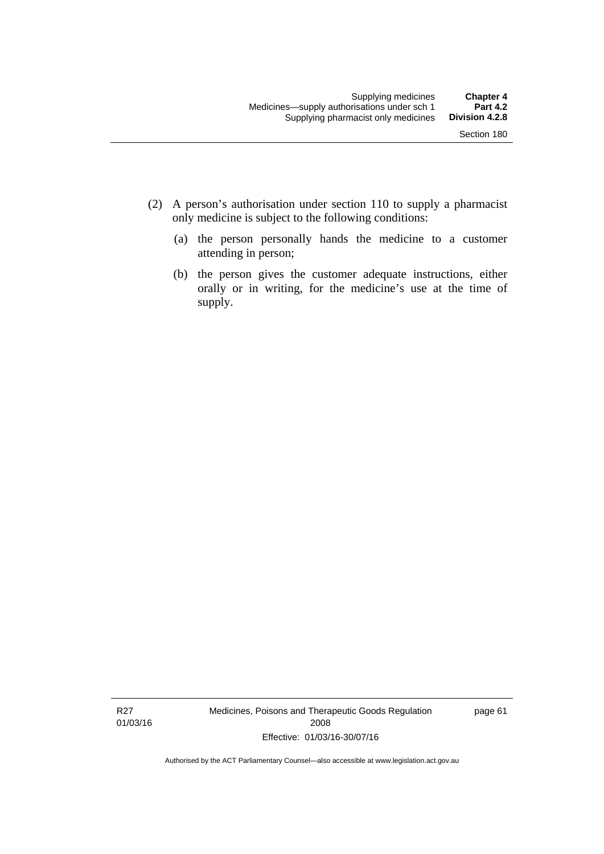- (2) A person's authorisation under section 110 to supply a pharmacist only medicine is subject to the following conditions:
	- (a) the person personally hands the medicine to a customer attending in person;
	- (b) the person gives the customer adequate instructions, either orally or in writing, for the medicine's use at the time of supply.

R27 01/03/16 Medicines, Poisons and Therapeutic Goods Regulation 2008 Effective: 01/03/16-30/07/16

page 61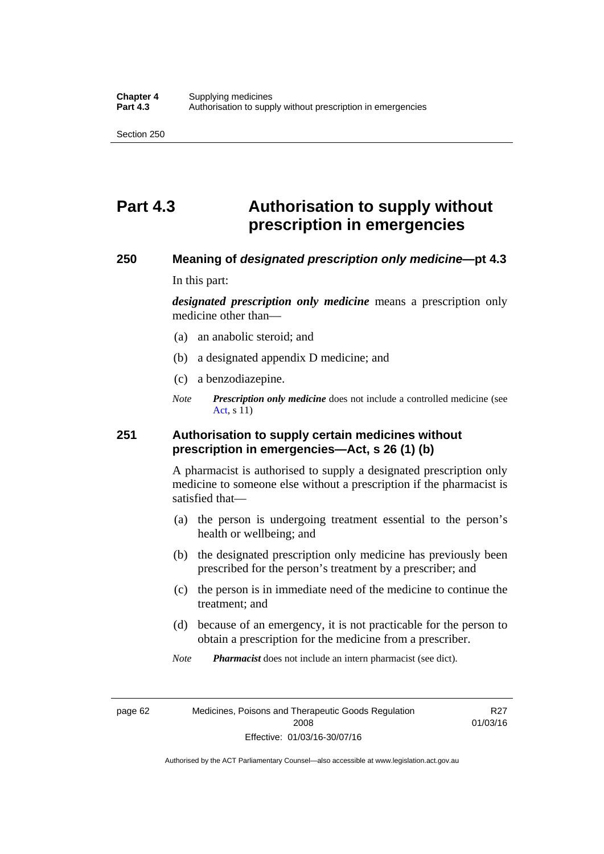# **Part 4.3 Authorisation to supply without prescription in emergencies**

### **250 Meaning of** *designated prescription only medicine***—pt 4.3**

In this part:

*designated prescription only medicine* means a prescription only medicine other than—

- (a) an anabolic steroid; and
- (b) a designated appendix D medicine; and
- (c) a benzodiazepine.
- *Note Prescription only medicine* does not include a controlled medicine (see [Act](http://www.legislation.act.gov.au/a/2008-26/default.asp), s 11)

### **251 Authorisation to supply certain medicines without prescription in emergencies—Act, s 26 (1) (b)**

A pharmacist is authorised to supply a designated prescription only medicine to someone else without a prescription if the pharmacist is satisfied that—

- (a) the person is undergoing treatment essential to the person's health or wellbeing; and
- (b) the designated prescription only medicine has previously been prescribed for the person's treatment by a prescriber; and
- (c) the person is in immediate need of the medicine to continue the treatment; and
- (d) because of an emergency, it is not practicable for the person to obtain a prescription for the medicine from a prescriber.

*Note Pharmacist* does not include an intern pharmacist (see dict).

page 62 Medicines, Poisons and Therapeutic Goods Regulation 2008 Effective: 01/03/16-30/07/16

R27 01/03/16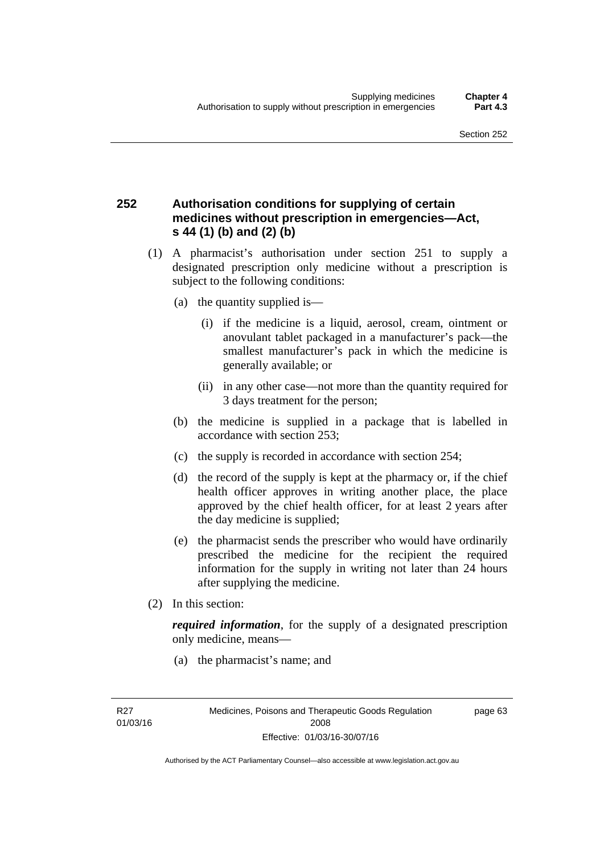## **252 Authorisation conditions for supplying of certain medicines without prescription in emergencies—Act, s 44 (1) (b) and (2) (b)**

- (1) A pharmacist's authorisation under section 251 to supply a designated prescription only medicine without a prescription is subject to the following conditions:
	- (a) the quantity supplied is—
		- (i) if the medicine is a liquid, aerosol, cream, ointment or anovulant tablet packaged in a manufacturer's pack—the smallest manufacturer's pack in which the medicine is generally available; or
		- (ii) in any other case—not more than the quantity required for 3 days treatment for the person;
	- (b) the medicine is supplied in a package that is labelled in accordance with section 253;
	- (c) the supply is recorded in accordance with section 254;
	- (d) the record of the supply is kept at the pharmacy or, if the chief health officer approves in writing another place, the place approved by the chief health officer, for at least 2 years after the day medicine is supplied;
	- (e) the pharmacist sends the prescriber who would have ordinarily prescribed the medicine for the recipient the required information for the supply in writing not later than 24 hours after supplying the medicine.
- (2) In this section:

*required information*, for the supply of a designated prescription only medicine, means—

(a) the pharmacist's name; and

page 63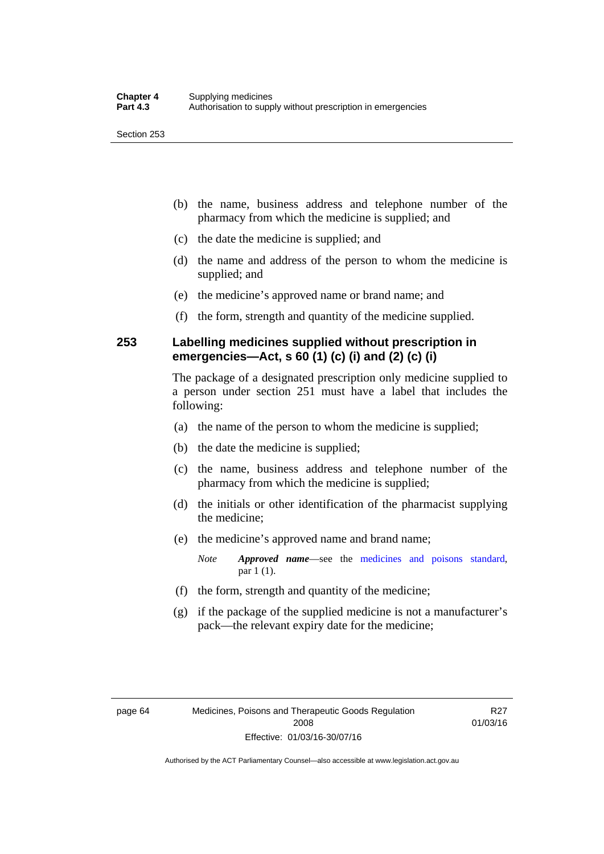- (b) the name, business address and telephone number of the pharmacy from which the medicine is supplied; and
- (c) the date the medicine is supplied; and
- (d) the name and address of the person to whom the medicine is supplied; and
- (e) the medicine's approved name or brand name; and
- (f) the form, strength and quantity of the medicine supplied.

### **253 Labelling medicines supplied without prescription in emergencies—Act, s 60 (1) (c) (i) and (2) (c) (i)**

The package of a designated prescription only medicine supplied to a person under section 251 must have a label that includes the following:

- (a) the name of the person to whom the medicine is supplied;
- (b) the date the medicine is supplied;
- (c) the name, business address and telephone number of the pharmacy from which the medicine is supplied;
- (d) the initials or other identification of the pharmacist supplying the medicine;
- (e) the medicine's approved name and brand name;

*Note Approved name*—see the [medicines and poisons standard,](http://www.comlaw.gov.au/Series/F2012L01200) par 1 (1).

- (f) the form, strength and quantity of the medicine;
- (g) if the package of the supplied medicine is not a manufacturer's pack—the relevant expiry date for the medicine;

R27 01/03/16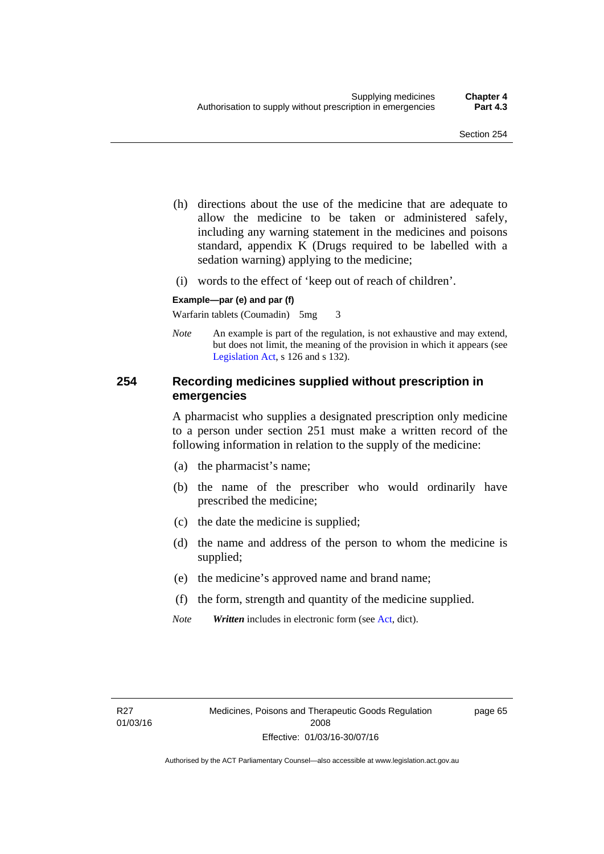- (h) directions about the use of the medicine that are adequate to allow the medicine to be taken or administered safely, including any warning statement in the medicines and poisons standard, appendix K (Drugs required to be labelled with a sedation warning) applying to the medicine;
- (i) words to the effect of 'keep out of reach of children'.

### **Example—par (e) and par (f)**

Warfarin tablets (Coumadin) 5mg 3

*Note* An example is part of the regulation, is not exhaustive and may extend, but does not limit, the meaning of the provision in which it appears (see [Legislation Act,](http://www.legislation.act.gov.au/a/2001-14) s 126 and s 132).

### **254 Recording medicines supplied without prescription in emergencies**

A pharmacist who supplies a designated prescription only medicine to a person under section 251 must make a written record of the following information in relation to the supply of the medicine:

- (a) the pharmacist's name;
- (b) the name of the prescriber who would ordinarily have prescribed the medicine;
- (c) the date the medicine is supplied;
- (d) the name and address of the person to whom the medicine is supplied;
- (e) the medicine's approved name and brand name;
- (f) the form, strength and quantity of the medicine supplied.
- *Note Written* includes in electronic form (see [Act,](http://www.legislation.act.gov.au/a/2008-26/default.asp) dict).

page 65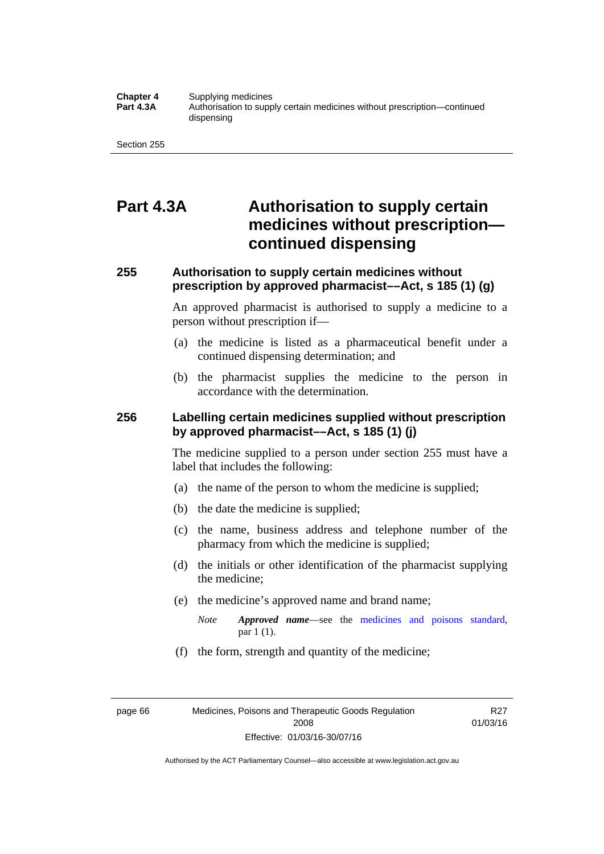#### **Chapter 4** Supplying medicines<br>**Part 4.3A** Authorisation to supp **Part 4.3A** Authorisation to supply certain medicines without prescription—continued dispensing

Section 255

# **Part 4.3A Authorisation to supply certain medicines without prescription continued dispensing**

## **255 Authorisation to supply certain medicines without prescription by approved pharmacist––Act, s 185 (1) (g)**

An approved pharmacist is authorised to supply a medicine to a person without prescription if––

- (a) the medicine is listed as a pharmaceutical benefit under a continued dispensing determination; and
- (b) the pharmacist supplies the medicine to the person in accordance with the determination.

### **256 Labelling certain medicines supplied without prescription by approved pharmacist––Act, s 185 (1) (j)**

The medicine supplied to a person under section 255 must have a label that includes the following:

- (a) the name of the person to whom the medicine is supplied;
- (b) the date the medicine is supplied;
- (c) the name, business address and telephone number of the pharmacy from which the medicine is supplied;
- (d) the initials or other identification of the pharmacist supplying the medicine;
- (e) the medicine's approved name and brand name;
	- *Note Approved name––*see the [medicines and poisons standard,](http://www.comlaw.gov.au/Series/F2012L01200) par 1 (1).
- (f) the form, strength and quantity of the medicine;

R27 01/03/16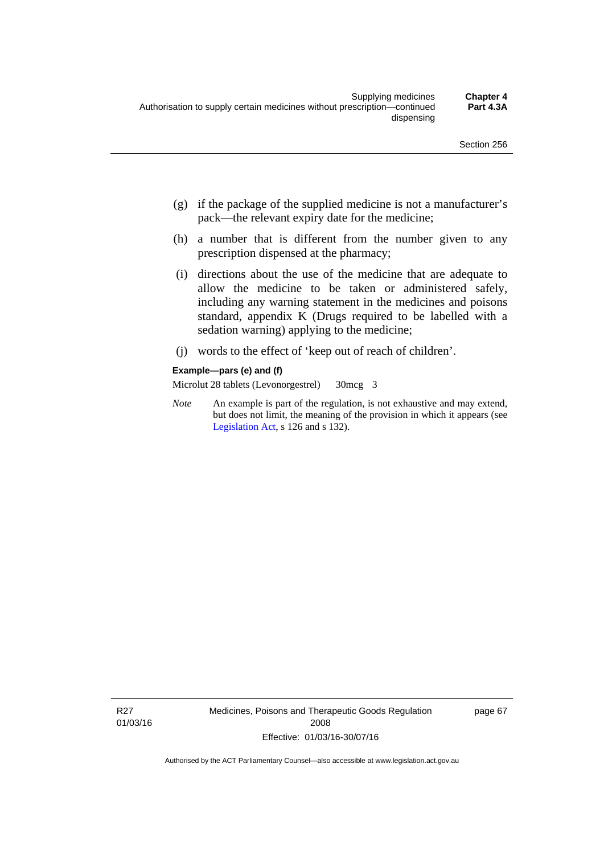- (g) if the package of the supplied medicine is not a manufacturer's pack—the relevant expiry date for the medicine;
- (h) a number that is different from the number given to any prescription dispensed at the pharmacy;
- (i) directions about the use of the medicine that are adequate to allow the medicine to be taken or administered safely, including any warning statement in the medicines and poisons standard, appendix K (Drugs required to be labelled with a sedation warning) applying to the medicine;
- (j) words to the effect of 'keep out of reach of children'.

#### **Example—pars (e) and (f)**

Microlut 28 tablets (Levonorgestrel) 30mcg 3

*Note* An example is part of the regulation, is not exhaustive and may extend, but does not limit, the meaning of the provision in which it appears (see [Legislation Act,](http://www.legislation.act.gov.au/a/2001-14) s 126 and s 132).

R27 01/03/16 Medicines, Poisons and Therapeutic Goods Regulation 2008 Effective: 01/03/16-30/07/16

page 67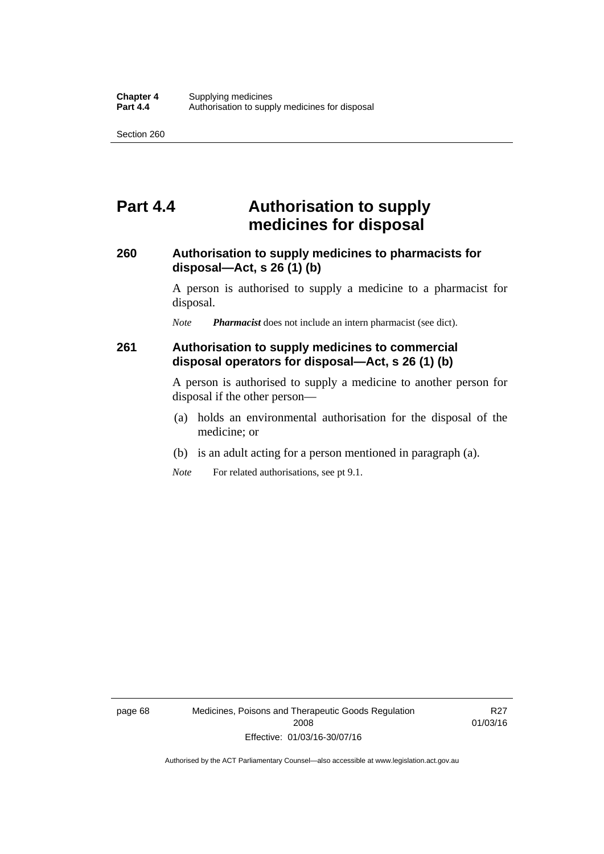## **Part 4.4 Authorisation to supply medicines for disposal**

### **260 Authorisation to supply medicines to pharmacists for disposal—Act, s 26 (1) (b)**

A person is authorised to supply a medicine to a pharmacist for disposal.

*Note Pharmacist* does not include an intern pharmacist (see dict).

### **261 Authorisation to supply medicines to commercial disposal operators for disposal—Act, s 26 (1) (b)**

A person is authorised to supply a medicine to another person for disposal if the other person—

- (a) holds an environmental authorisation for the disposal of the medicine; or
- (b) is an adult acting for a person mentioned in paragraph (a).
- *Note* For related authorisations, see pt 9.1.

page 68 Medicines, Poisons and Therapeutic Goods Regulation 2008 Effective: 01/03/16-30/07/16

R27 01/03/16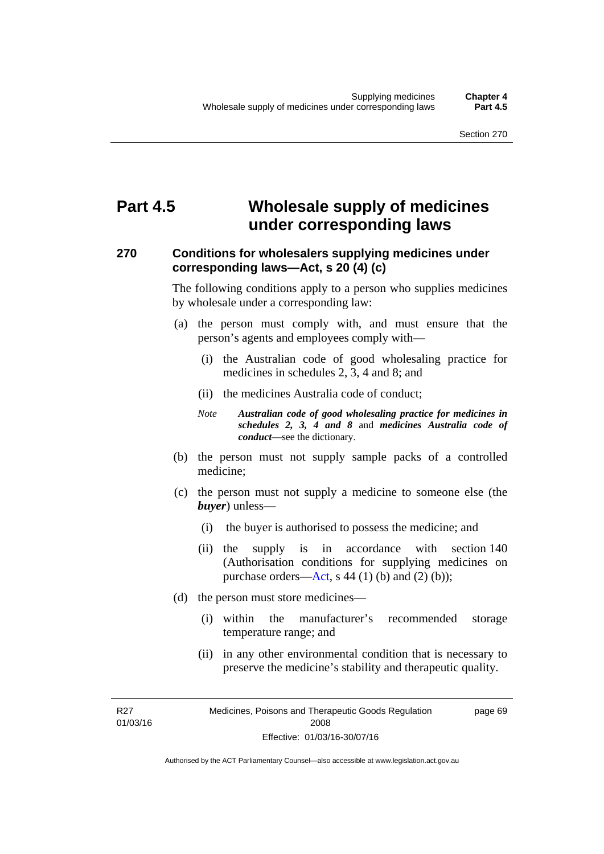# **Part 4.5 Wholesale supply of medicines under corresponding laws**

### **270 Conditions for wholesalers supplying medicines under corresponding laws—Act, s 20 (4) (c)**

The following conditions apply to a person who supplies medicines by wholesale under a corresponding law:

- (a) the person must comply with, and must ensure that the person's agents and employees comply with—
	- (i) the Australian code of good wholesaling practice for medicines in schedules 2, 3, 4 and 8; and
	- (ii) the medicines Australia code of conduct;
	- *Note Australian code of good wholesaling practice for medicines in schedules 2, 3, 4 and 8* and *medicines Australia code of conduct*—see the dictionary.
- (b) the person must not supply sample packs of a controlled medicine;
- (c) the person must not supply a medicine to someone else (the *buyer*) unless—
	- (i) the buyer is authorised to possess the medicine; and
	- (ii) the supply is in accordance with section 140 (Authorisation conditions for supplying medicines on purchase orders—[Act,](http://www.legislation.act.gov.au/a/2008-26/default.asp) s 44 (1) (b) and (2) (b));
- (d) the person must store medicines—
	- (i) within the manufacturer's recommended storage temperature range; and
	- (ii) in any other environmental condition that is necessary to preserve the medicine's stability and therapeutic quality.

R27 01/03/16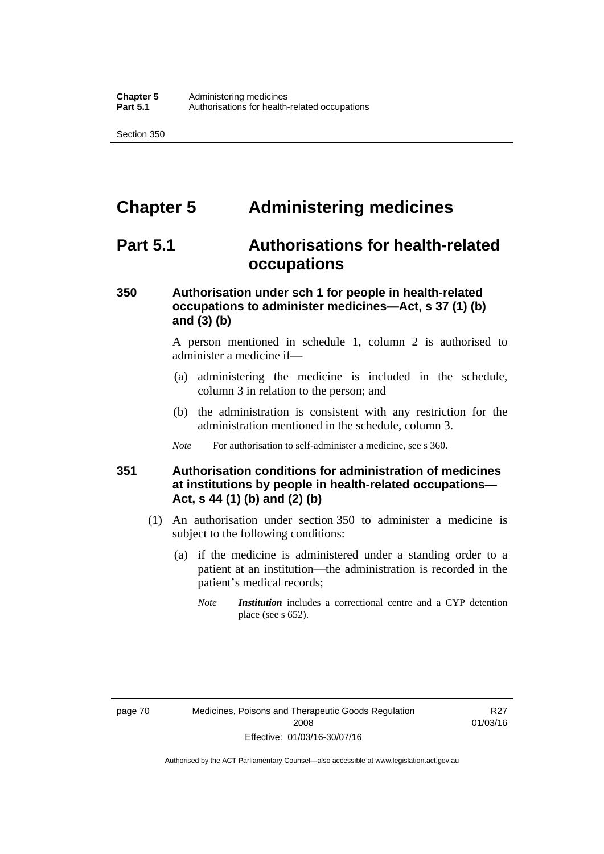# **Chapter 5 Administering medicines**

## **Part 5.1 Authorisations for health-related occupations**

### **350 Authorisation under sch 1 for people in health-related occupations to administer medicines—Act, s 37 (1) (b) and (3) (b)**

A person mentioned in schedule 1, column 2 is authorised to administer a medicine if—

- (a) administering the medicine is included in the schedule, column 3 in relation to the person; and
- (b) the administration is consistent with any restriction for the administration mentioned in the schedule, column 3.
- *Note* For authorisation to self-administer a medicine, see s 360.

### **351 Authorisation conditions for administration of medicines at institutions by people in health-related occupations— Act, s 44 (1) (b) and (2) (b)**

- (1) An authorisation under section 350 to administer a medicine is subject to the following conditions:
	- (a) if the medicine is administered under a standing order to a patient at an institution—the administration is recorded in the patient's medical records;
		- *Note Institution* includes a correctional centre and a CYP detention place (see s 652).

R27 01/03/16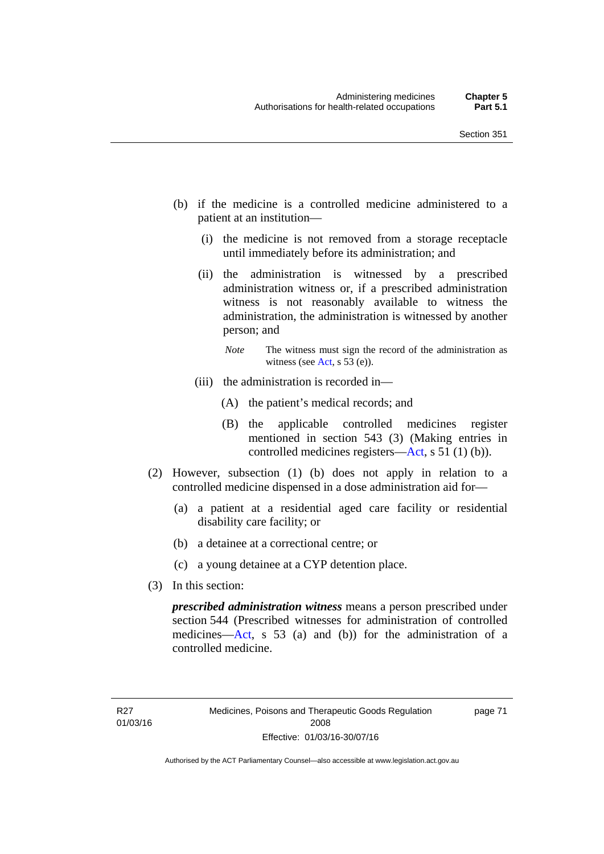- (b) if the medicine is a controlled medicine administered to a patient at an institution—
	- (i) the medicine is not removed from a storage receptacle until immediately before its administration; and
	- (ii) the administration is witnessed by a prescribed administration witness or, if a prescribed administration witness is not reasonably available to witness the administration, the administration is witnessed by another person; and
		- *Note* The witness must sign the record of the administration as witness (see [Act,](http://www.legislation.act.gov.au/a/2008-26/default.asp) s 53 (e)).
	- (iii) the administration is recorded in—
		- (A) the patient's medical records; and
		- (B) the applicable controlled medicines register mentioned in section 543 (3) (Making entries in controlled medicines registers[—Act](http://www.legislation.act.gov.au/a/2008-26/default.asp), s 51 (1) (b)).
- (2) However, subsection (1) (b) does not apply in relation to a controlled medicine dispensed in a dose administration aid for—
	- (a) a patient at a residential aged care facility or residential disability care facility; or
	- (b) a detainee at a correctional centre; or
	- (c) a young detainee at a CYP detention place.
- (3) In this section:

*prescribed administration witness* means a person prescribed under section 544 (Prescribed witnesses for administration of controlled medicines—[Act](http://www.legislation.act.gov.au/a/2008-26/default.asp), s 53 (a) and (b)) for the administration of a controlled medicine.

page 71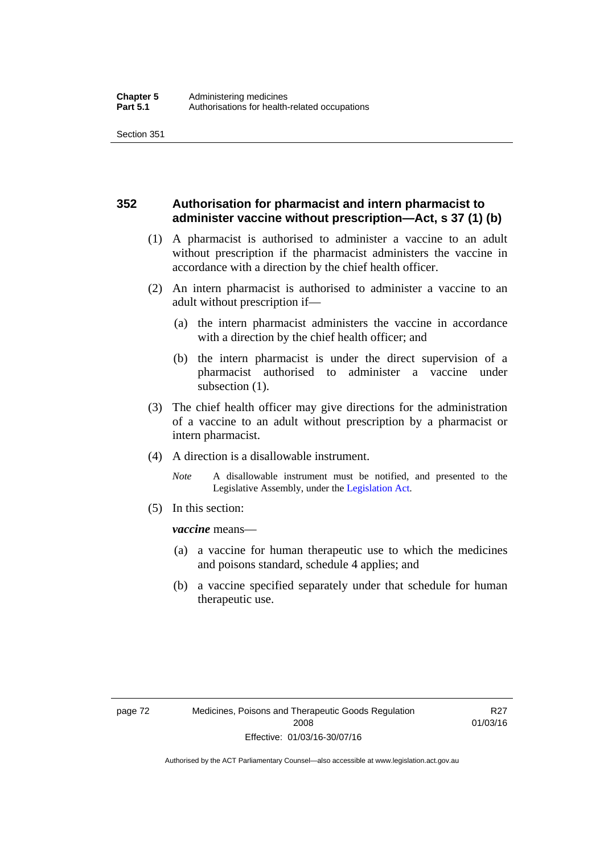### **352 Authorisation for pharmacist and intern pharmacist to administer vaccine without prescription—Act, s 37 (1) (b)**

- (1) A pharmacist is authorised to administer a vaccine to an adult without prescription if the pharmacist administers the vaccine in accordance with a direction by the chief health officer.
- (2) An intern pharmacist is authorised to administer a vaccine to an adult without prescription if—
	- (a) the intern pharmacist administers the vaccine in accordance with a direction by the chief health officer; and
	- (b) the intern pharmacist is under the direct supervision of a pharmacist authorised to administer a vaccine under subsection (1).
- (3) The chief health officer may give directions for the administration of a vaccine to an adult without prescription by a pharmacist or intern pharmacist.
- (4) A direction is a disallowable instrument.
	- *Note* A disallowable instrument must be notified, and presented to the Legislative Assembly, under the [Legislation Act.](http://www.legislation.act.gov.au/a/2001-14)
- (5) In this section:

*vaccine* means—

- (a) a vaccine for human therapeutic use to which the medicines and poisons standard, schedule 4 applies; and
- (b) a vaccine specified separately under that schedule for human therapeutic use.

R27 01/03/16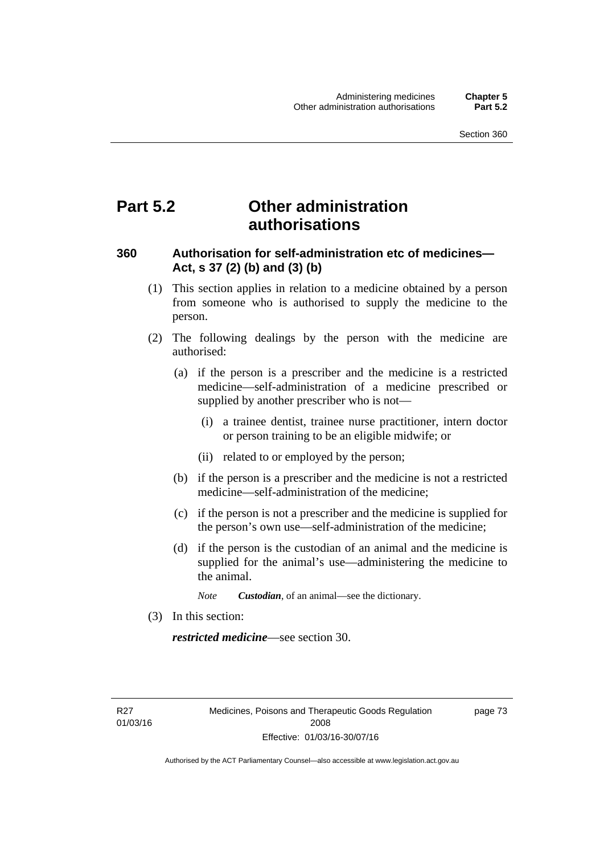# **Part 5.2 Other administration authorisations**

### **360 Authorisation for self-administration etc of medicines— Act, s 37 (2) (b) and (3) (b)**

- (1) This section applies in relation to a medicine obtained by a person from someone who is authorised to supply the medicine to the person.
- (2) The following dealings by the person with the medicine are authorised:
	- (a) if the person is a prescriber and the medicine is a restricted medicine—self-administration of a medicine prescribed or supplied by another prescriber who is not—
		- (i) a trainee dentist, trainee nurse practitioner, intern doctor or person training to be an eligible midwife; or
		- (ii) related to or employed by the person;
	- (b) if the person is a prescriber and the medicine is not a restricted medicine—self-administration of the medicine;
	- (c) if the person is not a prescriber and the medicine is supplied for the person's own use—self-administration of the medicine;
	- (d) if the person is the custodian of an animal and the medicine is supplied for the animal's use—administering the medicine to the animal.
		- *Note Custodian*, of an animal—see the dictionary.
- (3) In this section:

*restricted medicine*—see section 30.

R27 01/03/16 page 73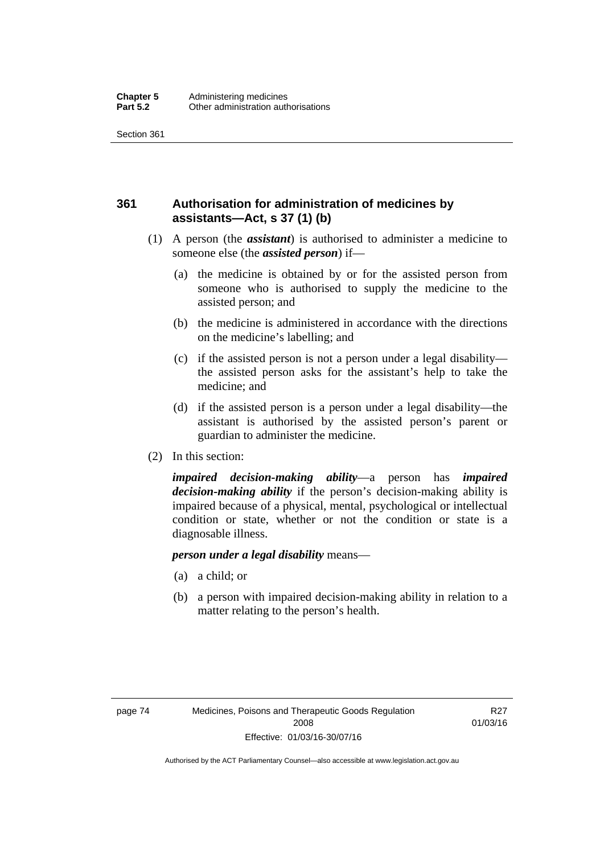## **361 Authorisation for administration of medicines by assistants—Act, s 37 (1) (b)**

- (1) A person (the *assistant*) is authorised to administer a medicine to someone else (the *assisted person*) if—
	- (a) the medicine is obtained by or for the assisted person from someone who is authorised to supply the medicine to the assisted person; and
	- (b) the medicine is administered in accordance with the directions on the medicine's labelling; and
	- (c) if the assisted person is not a person under a legal disability the assisted person asks for the assistant's help to take the medicine; and
	- (d) if the assisted person is a person under a legal disability—the assistant is authorised by the assisted person's parent or guardian to administer the medicine.
- (2) In this section:

*impaired decision-making ability*—a person has *impaired decision-making ability* if the person's decision-making ability is impaired because of a physical, mental, psychological or intellectual condition or state, whether or not the condition or state is a diagnosable illness.

### *person under a legal disability* means—

- (a) a child; or
- (b) a person with impaired decision-making ability in relation to a matter relating to the person's health.

R27 01/03/16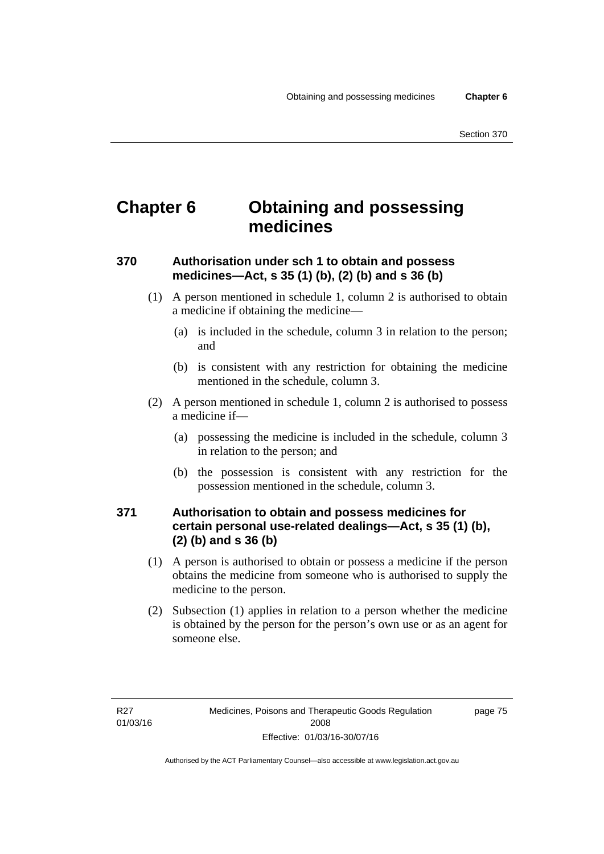# **Chapter 6 Obtaining and possessing medicines**

## **370 Authorisation under sch 1 to obtain and possess medicines—Act, s 35 (1) (b), (2) (b) and s 36 (b)**

- (1) A person mentioned in schedule 1, column 2 is authorised to obtain a medicine if obtaining the medicine—
	- (a) is included in the schedule, column 3 in relation to the person; and
	- (b) is consistent with any restriction for obtaining the medicine mentioned in the schedule, column 3.
- (2) A person mentioned in schedule 1, column 2 is authorised to possess a medicine if—
	- (a) possessing the medicine is included in the schedule, column 3 in relation to the person; and
	- (b) the possession is consistent with any restriction for the possession mentioned in the schedule, column 3.

### **371 Authorisation to obtain and possess medicines for certain personal use-related dealings—Act, s 35 (1) (b), (2) (b) and s 36 (b)**

- (1) A person is authorised to obtain or possess a medicine if the person obtains the medicine from someone who is authorised to supply the medicine to the person.
- (2) Subsection (1) applies in relation to a person whether the medicine is obtained by the person for the person's own use or as an agent for someone else.

page 75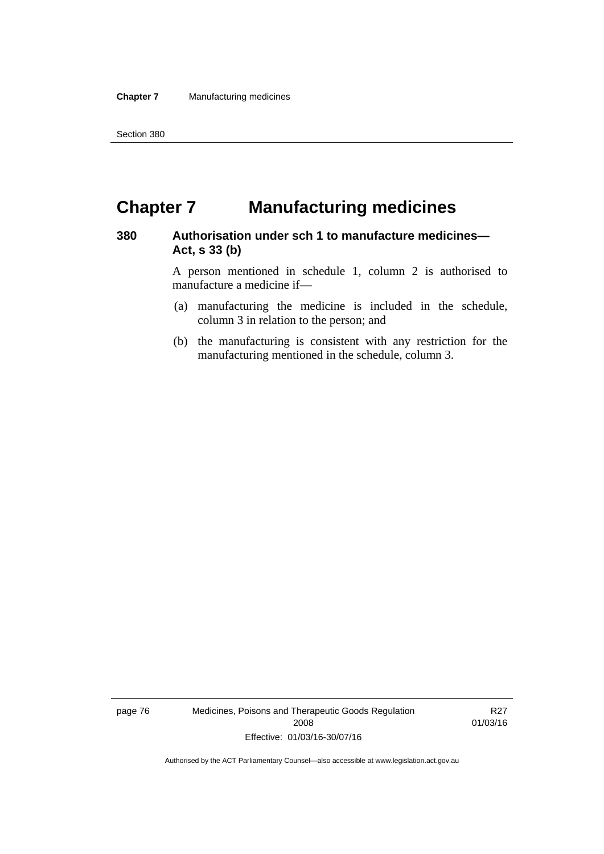# **Chapter 7 Manufacturing medicines**

### **380 Authorisation under sch 1 to manufacture medicines— Act, s 33 (b)**

A person mentioned in schedule 1, column 2 is authorised to manufacture a medicine if—

- (a) manufacturing the medicine is included in the schedule, column 3 in relation to the person; and
- (b) the manufacturing is consistent with any restriction for the manufacturing mentioned in the schedule, column 3.

page 76 Medicines, Poisons and Therapeutic Goods Regulation 2008 Effective: 01/03/16-30/07/16

R27 01/03/16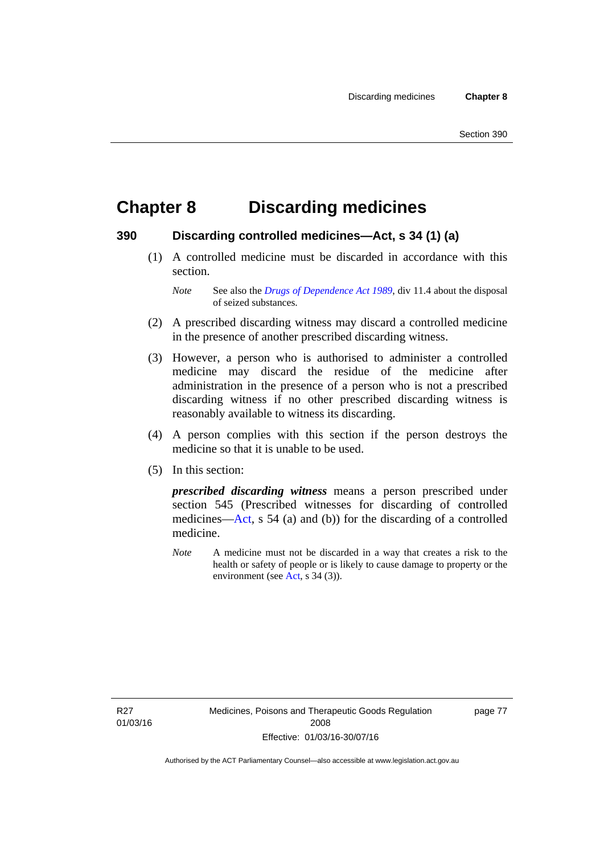# **Chapter 8 Discarding medicines**

### **390 Discarding controlled medicines—Act, s 34 (1) (a)**

 (1) A controlled medicine must be discarded in accordance with this section.

*Note* See also the *[Drugs of Dependence Act 1989](http://www.legislation.act.gov.au/a/alt_a1989-11co)*, div 11.4 about the disposal of seized substances.

- (2) A prescribed discarding witness may discard a controlled medicine in the presence of another prescribed discarding witness.
- (3) However, a person who is authorised to administer a controlled medicine may discard the residue of the medicine after administration in the presence of a person who is not a prescribed discarding witness if no other prescribed discarding witness is reasonably available to witness its discarding.
- (4) A person complies with this section if the person destroys the medicine so that it is unable to be used.
- (5) In this section:

*prescribed discarding witness* means a person prescribed under section 545 (Prescribed witnesses for discarding of controlled medicines—[Act](http://www.legislation.act.gov.au/a/2008-26/default.asp), s 54 (a) and (b)) for the discarding of a controlled medicine.

*Note* A medicine must not be discarded in a way that creates a risk to the health or safety of people or is likely to cause damage to property or the environment (see [Act](http://www.legislation.act.gov.au/a/2008-26/default.asp), s 34 (3)).

R27 01/03/16 page 77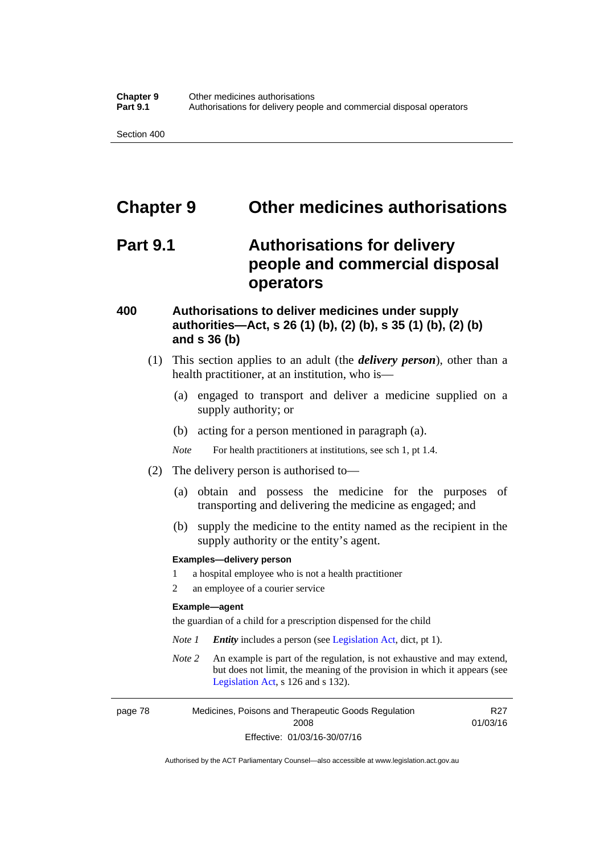# **Chapter 9 Other medicines authorisations**

## **Part 9.1 Authorisations for delivery people and commercial disposal operators**

### **400 Authorisations to deliver medicines under supply authorities—Act, s 26 (1) (b), (2) (b), s 35 (1) (b), (2) (b) and s 36 (b)**

- (1) This section applies to an adult (the *delivery person*), other than a health practitioner, at an institution, who is—
	- (a) engaged to transport and deliver a medicine supplied on a supply authority; or
	- (b) acting for a person mentioned in paragraph (a).
	- *Note* For health practitioners at institutions, see sch 1, pt 1.4.
- (2) The delivery person is authorised to—
	- (a) obtain and possess the medicine for the purposes of transporting and delivering the medicine as engaged; and
	- (b) supply the medicine to the entity named as the recipient in the supply authority or the entity's agent.

#### **Examples—delivery person**

- 1 a hospital employee who is not a health practitioner
- 2 an employee of a courier service

#### **Example—agent**

the guardian of a child for a prescription dispensed for the child

- *Note 1 Entity* includes a person (see [Legislation Act,](http://www.legislation.act.gov.au/a/2001-14) dict, pt 1).
- *Note 2* An example is part of the regulation, is not exhaustive and may extend, but does not limit, the meaning of the provision in which it appears (see [Legislation Act,](http://www.legislation.act.gov.au/a/2001-14) s 126 and s 132).

page 78 Medicines, Poisons and Therapeutic Goods Regulation 2008 Effective: 01/03/16-30/07/16

R27 01/03/16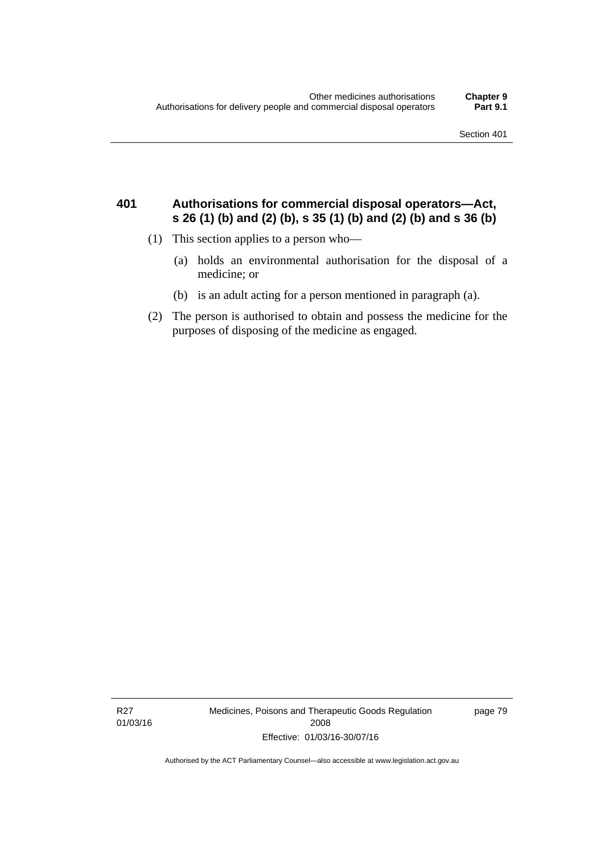### **401 Authorisations for commercial disposal operators—Act, s 26 (1) (b) and (2) (b), s 35 (1) (b) and (2) (b) and s 36 (b)**

- (1) This section applies to a person who—
	- (a) holds an environmental authorisation for the disposal of a medicine; or
	- (b) is an adult acting for a person mentioned in paragraph (a).
- (2) The person is authorised to obtain and possess the medicine for the purposes of disposing of the medicine as engaged.

R27 01/03/16 Medicines, Poisons and Therapeutic Goods Regulation 2008 Effective: 01/03/16-30/07/16

page 79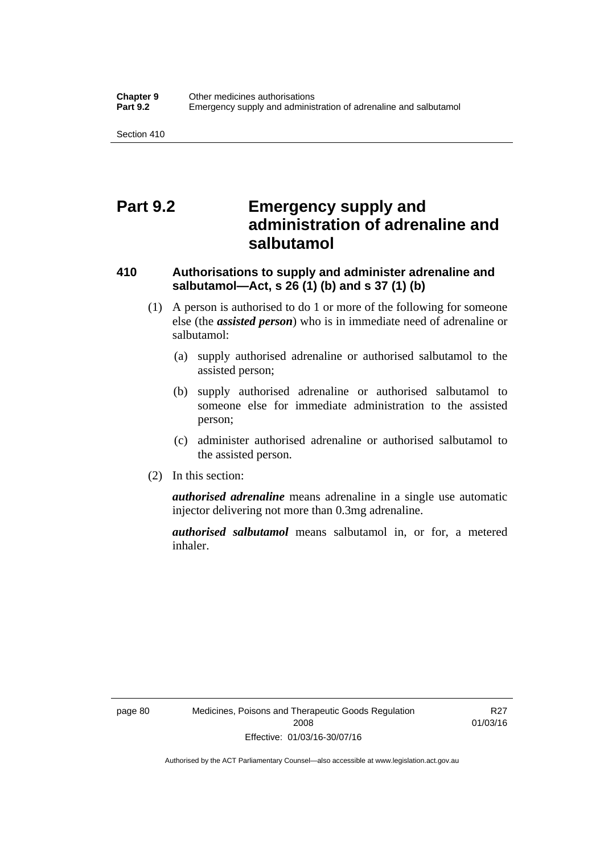## **Part 9.2 Emergency supply and administration of adrenaline and salbutamol**

## **410 Authorisations to supply and administer adrenaline and salbutamol—Act, s 26 (1) (b) and s 37 (1) (b)**

- (1) A person is authorised to do 1 or more of the following for someone else (the *assisted person*) who is in immediate need of adrenaline or salbutamol:
	- (a) supply authorised adrenaline or authorised salbutamol to the assisted person;
	- (b) supply authorised adrenaline or authorised salbutamol to someone else for immediate administration to the assisted person;
	- (c) administer authorised adrenaline or authorised salbutamol to the assisted person.
- (2) In this section:

*authorised adrenaline* means adrenaline in a single use automatic injector delivering not more than 0.3mg adrenaline.

*authorised salbutamol* means salbutamol in, or for, a metered inhaler.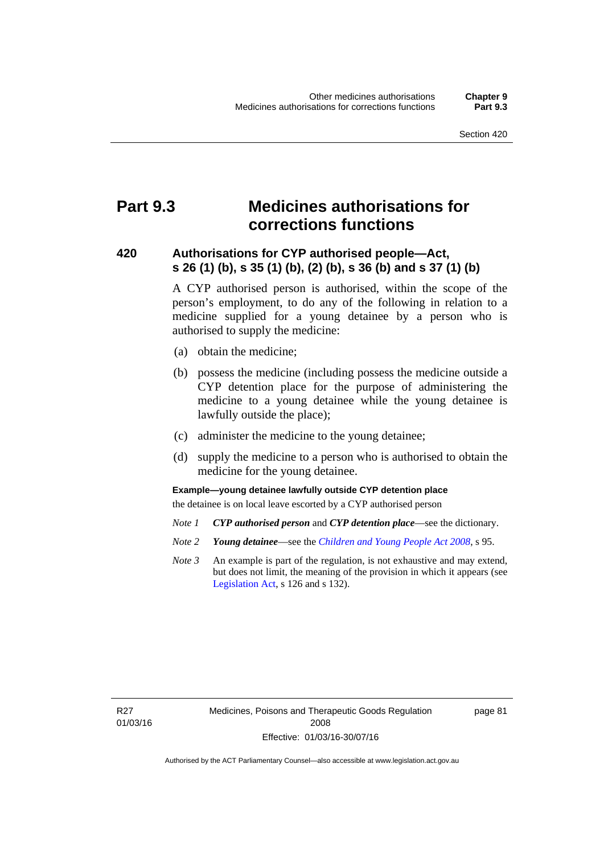# **Part 9.3 Medicines authorisations for corrections functions**

### **420 Authorisations for CYP authorised people—Act, s 26 (1) (b), s 35 (1) (b), (2) (b), s 36 (b) and s 37 (1) (b)**

A CYP authorised person is authorised, within the scope of the person's employment, to do any of the following in relation to a medicine supplied for a young detainee by a person who is authorised to supply the medicine:

- (a) obtain the medicine;
- (b) possess the medicine (including possess the medicine outside a CYP detention place for the purpose of administering the medicine to a young detainee while the young detainee is lawfully outside the place);
- (c) administer the medicine to the young detainee;
- (d) supply the medicine to a person who is authorised to obtain the medicine for the young detainee.

### **Example—young detainee lawfully outside CYP detention place**

the detainee is on local leave escorted by a CYP authorised person

- *Note 1 CYP authorised person* and *CYP detention place*—see the dictionary.
- *Note 2 Young detainee*—see the *[Children and Young People Act 2008](http://www.legislation.act.gov.au/a/2008-19)*, s 95.
- *Note 3* An example is part of the regulation, is not exhaustive and may extend, but does not limit, the meaning of the provision in which it appears (see [Legislation Act,](http://www.legislation.act.gov.au/a/2001-14) s 126 and s 132).

R27 01/03/16 page 81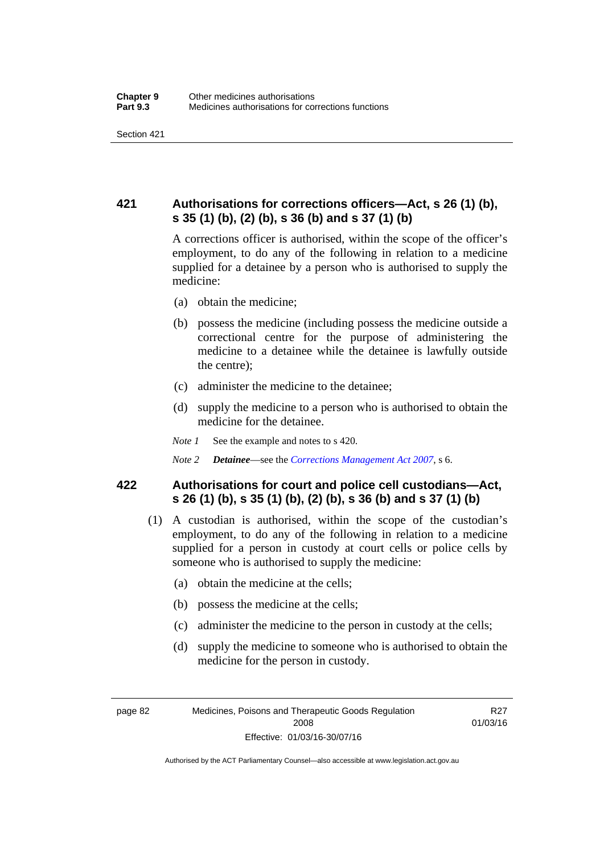## **421 Authorisations for corrections officers—Act, s 26 (1) (b), s 35 (1) (b), (2) (b), s 36 (b) and s 37 (1) (b)**

A corrections officer is authorised, within the scope of the officer's employment, to do any of the following in relation to a medicine supplied for a detainee by a person who is authorised to supply the medicine:

- (a) obtain the medicine;
- (b) possess the medicine (including possess the medicine outside a correctional centre for the purpose of administering the medicine to a detainee while the detainee is lawfully outside the centre);
- (c) administer the medicine to the detainee;
- (d) supply the medicine to a person who is authorised to obtain the medicine for the detainee.
- *Note 1* See the example and notes to s 420.
- *Note 2 Detainee*—see the *[Corrections Management Act 2007](http://www.legislation.act.gov.au/a/2007-15)*, s 6.

### **422 Authorisations for court and police cell custodians—Act, s 26 (1) (b), s 35 (1) (b), (2) (b), s 36 (b) and s 37 (1) (b)**

- (1) A custodian is authorised, within the scope of the custodian's employment, to do any of the following in relation to a medicine supplied for a person in custody at court cells or police cells by someone who is authorised to supply the medicine:
	- (a) obtain the medicine at the cells;
	- (b) possess the medicine at the cells;
	- (c) administer the medicine to the person in custody at the cells;
	- (d) supply the medicine to someone who is authorised to obtain the medicine for the person in custody.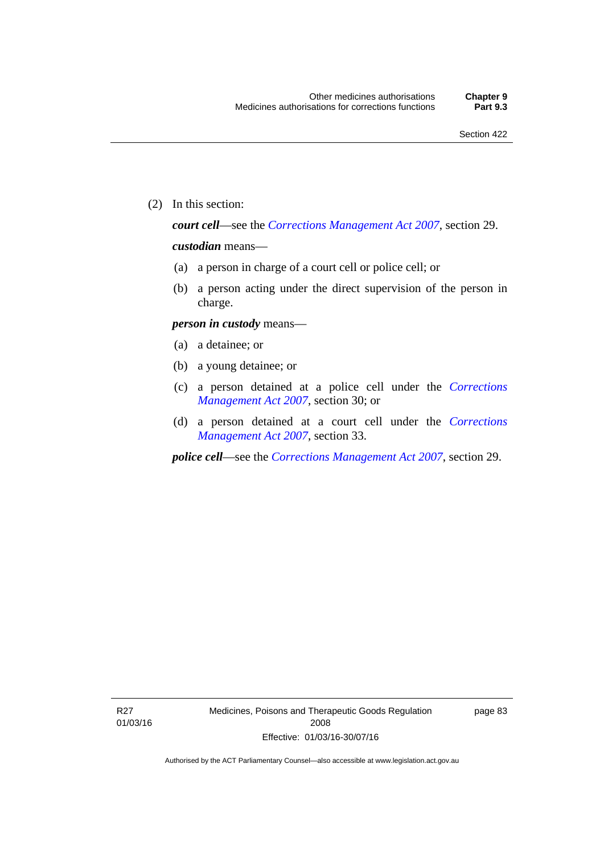(2) In this section:

*court cell*—see the *[Corrections Management Act 2007](http://www.legislation.act.gov.au/a/2007-15)*, section 29.

### *custodian* means—

- (a) a person in charge of a court cell or police cell; or
- (b) a person acting under the direct supervision of the person in charge.

#### *person in custody* means—

- (a) a detainee; or
- (b) a young detainee; or
- (c) a person detained at a police cell under the *[Corrections](http://www.legislation.act.gov.au/a/2007-15)  [Management Act 2007](http://www.legislation.act.gov.au/a/2007-15)*, section 30; or
- (d) a person detained at a court cell under the *[Corrections](http://www.legislation.act.gov.au/a/2007-15)  [Management Act 2007](http://www.legislation.act.gov.au/a/2007-15)*, section 33.

*police cell*—see the *[Corrections Management Act 2007](http://www.legislation.act.gov.au/a/2007-15)*, section 29.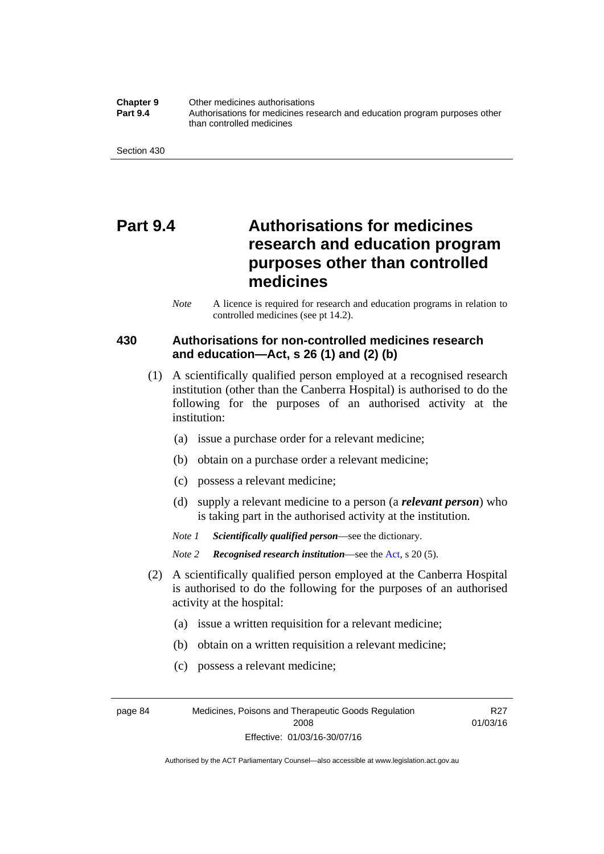**Chapter 9** Other medicines authorisations **Part 9.4** • **Authorisations for medicines research and education program purposes other** than controlled medicines

Section 430

# **Part 9.4 Authorisations for medicines research and education program purposes other than controlled medicines**

*Note* A licence is required for research and education programs in relation to controlled medicines (see pt 14.2).

### **430 Authorisations for non-controlled medicines research and education—Act, s 26 (1) and (2) (b)**

- (1) A scientifically qualified person employed at a recognised research institution (other than the Canberra Hospital) is authorised to do the following for the purposes of an authorised activity at the institution:
	- (a) issue a purchase order for a relevant medicine;
	- (b) obtain on a purchase order a relevant medicine;
	- (c) possess a relevant medicine;
	- (d) supply a relevant medicine to a person (a *relevant person*) who is taking part in the authorised activity at the institution.
	- *Note 1 Scientifically qualified person*—see the dictionary.

*Note 2 Recognised research institution*—see the [Act](http://www.legislation.act.gov.au/a/2008-26/default.asp), s 20 (5).

- (2) A scientifically qualified person employed at the Canberra Hospital is authorised to do the following for the purposes of an authorised activity at the hospital:
	- (a) issue a written requisition for a relevant medicine;
	- (b) obtain on a written requisition a relevant medicine;
	- (c) possess a relevant medicine;

R27 01/03/16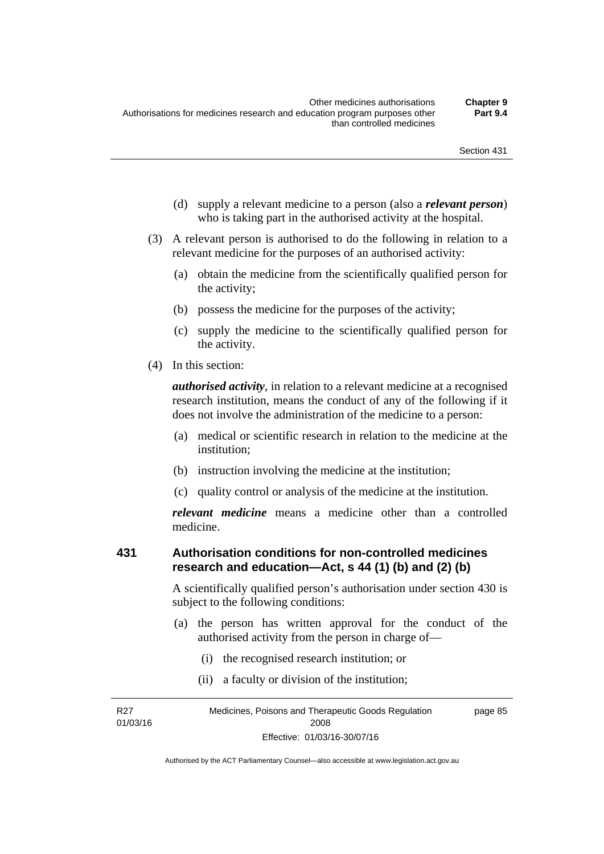- (d) supply a relevant medicine to a person (also a *relevant person*) who is taking part in the authorised activity at the hospital.
- (3) A relevant person is authorised to do the following in relation to a relevant medicine for the purposes of an authorised activity:
	- (a) obtain the medicine from the scientifically qualified person for the activity;
	- (b) possess the medicine for the purposes of the activity;
	- (c) supply the medicine to the scientifically qualified person for the activity.
- (4) In this section:

*authorised activity*, in relation to a relevant medicine at a recognised research institution, means the conduct of any of the following if it does not involve the administration of the medicine to a person:

- (a) medical or scientific research in relation to the medicine at the institution;
- (b) instruction involving the medicine at the institution;
- (c) quality control or analysis of the medicine at the institution.

*relevant medicine* means a medicine other than a controlled medicine.

### **431 Authorisation conditions for non-controlled medicines research and education—Act, s 44 (1) (b) and (2) (b)**

A scientifically qualified person's authorisation under section 430 is subject to the following conditions:

- (a) the person has written approval for the conduct of the authorised activity from the person in charge of—
	- (i) the recognised research institution; or
	- (ii) a faculty or division of the institution;

R27 01/03/16 Medicines, Poisons and Therapeutic Goods Regulation 2008 Effective: 01/03/16-30/07/16 page 85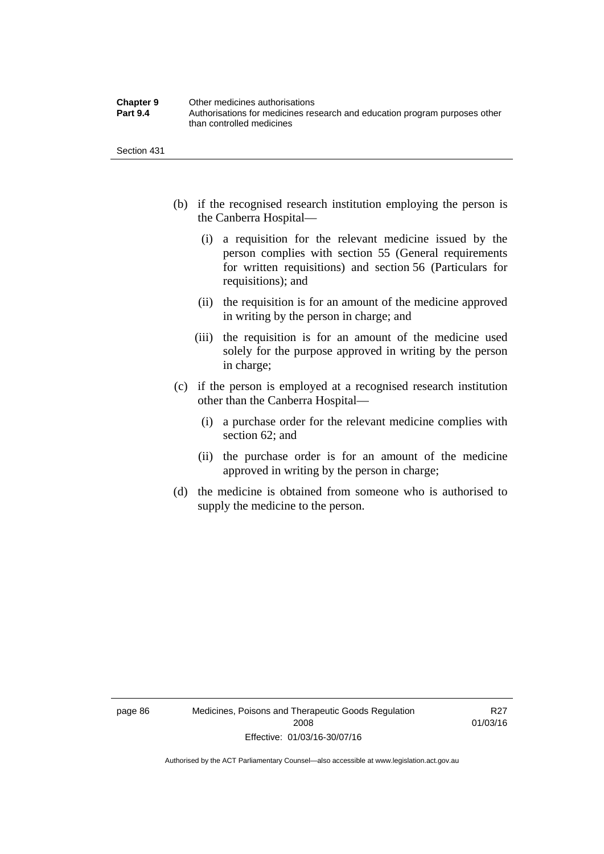| <b>Chapter 9</b> | Other medicines authorisations                                             |
|------------------|----------------------------------------------------------------------------|
| <b>Part 9.4</b>  | Authorisations for medicines research and education program purposes other |
|                  | than controlled medicines                                                  |

Section 431

- (b) if the recognised research institution employing the person is the Canberra Hospital—
	- (i) a requisition for the relevant medicine issued by the person complies with section 55 (General requirements for written requisitions) and section 56 (Particulars for requisitions); and
	- (ii) the requisition is for an amount of the medicine approved in writing by the person in charge; and
	- (iii) the requisition is for an amount of the medicine used solely for the purpose approved in writing by the person in charge;
- (c) if the person is employed at a recognised research institution other than the Canberra Hospital—
	- (i) a purchase order for the relevant medicine complies with section 62; and
	- (ii) the purchase order is for an amount of the medicine approved in writing by the person in charge;
- (d) the medicine is obtained from someone who is authorised to supply the medicine to the person.

R27 01/03/16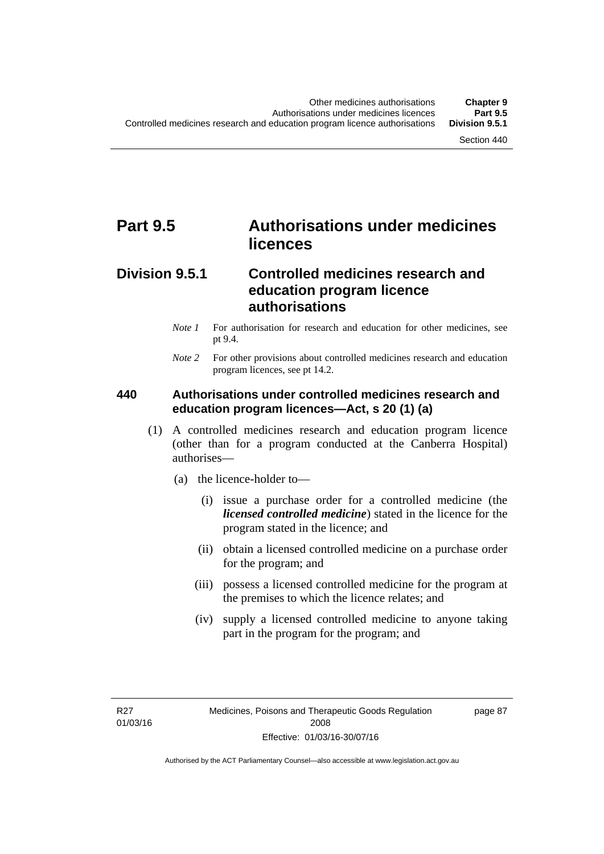# **Part 9.5 Authorisations under medicines licences**

### **Division 9.5.1 Controlled medicines research and education program licence authorisations**

- *Note 1* For authorisation for research and education for other medicines, see pt 9.4.
- *Note 2* For other provisions about controlled medicines research and education program licences, see pt 14.2.

### **440 Authorisations under controlled medicines research and education program licences—Act, s 20 (1) (a)**

- (1) A controlled medicines research and education program licence (other than for a program conducted at the Canberra Hospital) authorises—
	- (a) the licence-holder to—
		- (i) issue a purchase order for a controlled medicine (the *licensed controlled medicine*) stated in the licence for the program stated in the licence; and
		- (ii) obtain a licensed controlled medicine on a purchase order for the program; and
		- (iii) possess a licensed controlled medicine for the program at the premises to which the licence relates; and
		- (iv) supply a licensed controlled medicine to anyone taking part in the program for the program; and

R27 01/03/16 page 87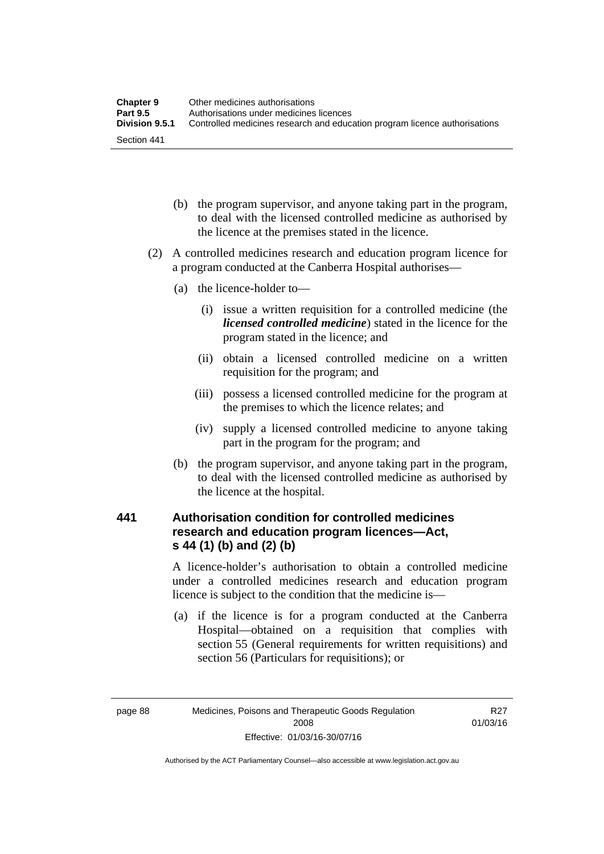| <b>Chapter 9</b> | Other medicines authorisations                                             |
|------------------|----------------------------------------------------------------------------|
| <b>Part 9.5</b>  | Authorisations under medicines licences                                    |
| Division 9.5.1   | Controlled medicines research and education program licence authorisations |
| Section 441      |                                                                            |

- (b) the program supervisor, and anyone taking part in the program, to deal with the licensed controlled medicine as authorised by the licence at the premises stated in the licence.
- (2) A controlled medicines research and education program licence for a program conducted at the Canberra Hospital authorises—
	- (a) the licence-holder to—
		- (i) issue a written requisition for a controlled medicine (the *licensed controlled medicine*) stated in the licence for the program stated in the licence; and
		- (ii) obtain a licensed controlled medicine on a written requisition for the program; and
		- (iii) possess a licensed controlled medicine for the program at the premises to which the licence relates; and
		- (iv) supply a licensed controlled medicine to anyone taking part in the program for the program; and
	- (b) the program supervisor, and anyone taking part in the program, to deal with the licensed controlled medicine as authorised by the licence at the hospital.

### **441 Authorisation condition for controlled medicines research and education program licences—Act, s 44 (1) (b) and (2) (b)**

A licence-holder's authorisation to obtain a controlled medicine under a controlled medicines research and education program licence is subject to the condition that the medicine is—

 (a) if the licence is for a program conducted at the Canberra Hospital—obtained on a requisition that complies with section 55 (General requirements for written requisitions) and section 56 (Particulars for requisitions); or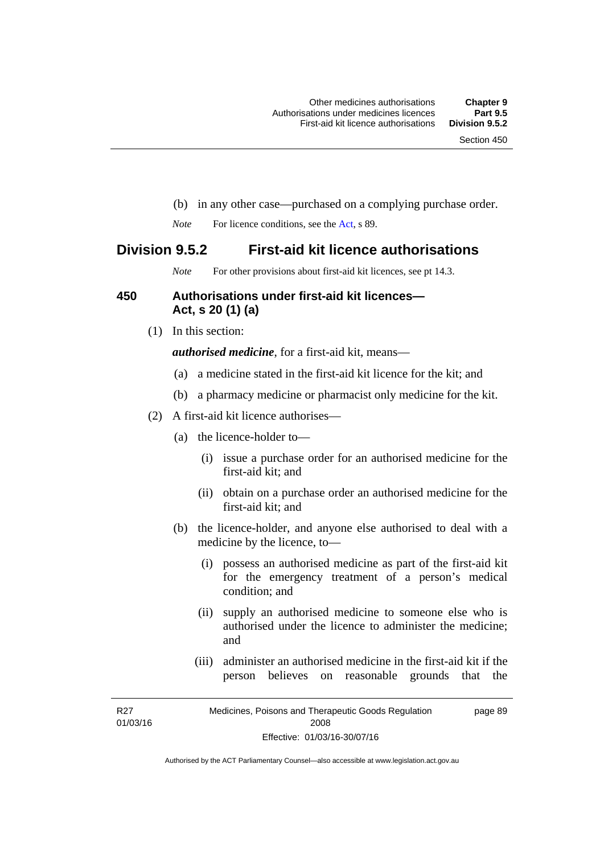- (b) in any other case—purchased on a complying purchase order.
- *Note* For licence conditions, see the [Act](http://www.legislation.act.gov.au/a/2008-26/default.asp), s 89.

### **Division 9.5.2 First-aid kit licence authorisations**

*Note* For other provisions about first-aid kit licences, see pt 14.3.

### **450 Authorisations under first-aid kit licences— Act, s 20 (1) (a)**

(1) In this section:

*authorised medicine*, for a first-aid kit, means—

- (a) a medicine stated in the first-aid kit licence for the kit; and
- (b) a pharmacy medicine or pharmacist only medicine for the kit.
- (2) A first-aid kit licence authorises—
	- (a) the licence-holder to—
		- (i) issue a purchase order for an authorised medicine for the first-aid kit; and
		- (ii) obtain on a purchase order an authorised medicine for the first-aid kit; and
	- (b) the licence-holder, and anyone else authorised to deal with a medicine by the licence, to—
		- (i) possess an authorised medicine as part of the first-aid kit for the emergency treatment of a person's medical condition; and
		- (ii) supply an authorised medicine to someone else who is authorised under the licence to administer the medicine; and
		- (iii) administer an authorised medicine in the first-aid kit if the person believes on reasonable grounds that the

R27 01/03/16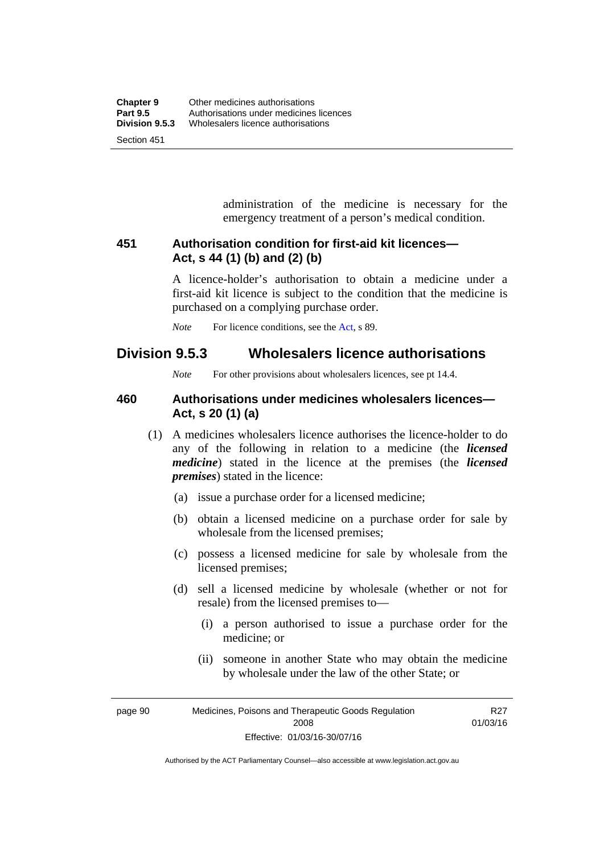administration of the medicine is necessary for the emergency treatment of a person's medical condition.

### **451 Authorisation condition for first-aid kit licences— Act, s 44 (1) (b) and (2) (b)**

A licence-holder's authorisation to obtain a medicine under a first-aid kit licence is subject to the condition that the medicine is purchased on a complying purchase order.

*Note* For licence conditions, see the [Act](http://www.legislation.act.gov.au/a/2008-26/default.asp), s 89.

### **Division 9.5.3 Wholesalers licence authorisations**

*Note* For other provisions about wholesalers licences, see pt 14.4.

### **460 Authorisations under medicines wholesalers licences— Act, s 20 (1) (a)**

- (1) A medicines wholesalers licence authorises the licence-holder to do any of the following in relation to a medicine (the *licensed medicine*) stated in the licence at the premises (the *licensed premises*) stated in the licence:
	- (a) issue a purchase order for a licensed medicine;
	- (b) obtain a licensed medicine on a purchase order for sale by wholesale from the licensed premises;
	- (c) possess a licensed medicine for sale by wholesale from the licensed premises;
	- (d) sell a licensed medicine by wholesale (whether or not for resale) from the licensed premises to—
		- (i) a person authorised to issue a purchase order for the medicine; or
		- (ii) someone in another State who may obtain the medicine by wholesale under the law of the other State; or

R27 01/03/16

page 90 Medicines, Poisons and Therapeutic Goods Regulation 2008 Effective: 01/03/16-30/07/16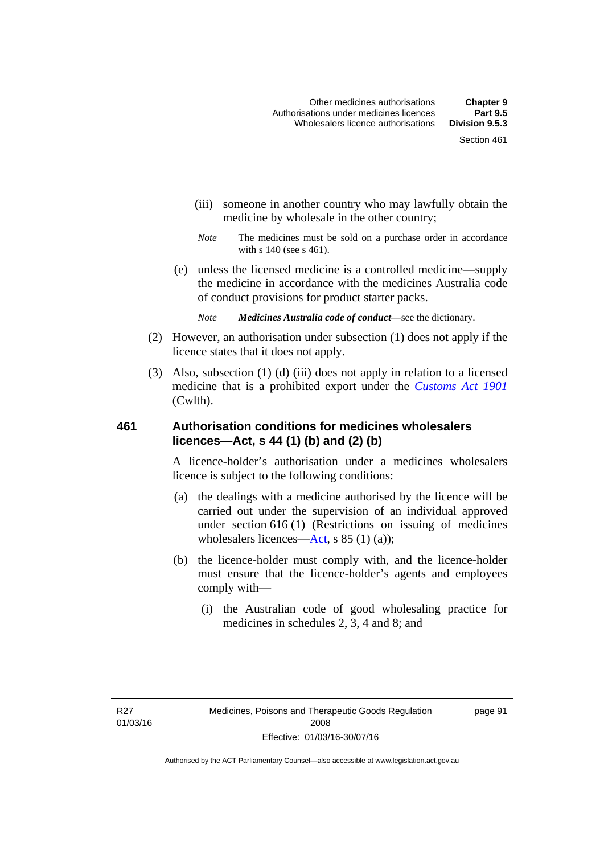- (iii) someone in another country who may lawfully obtain the medicine by wholesale in the other country;
- *Note* The medicines must be sold on a purchase order in accordance with s 140 (see s 461).
- (e) unless the licensed medicine is a controlled medicine—supply the medicine in accordance with the medicines Australia code of conduct provisions for product starter packs.
	- *Note Medicines Australia code of conduct*—see the dictionary.
- (2) However, an authorisation under subsection (1) does not apply if the licence states that it does not apply.
- (3) Also, subsection (1) (d) (iii) does not apply in relation to a licensed medicine that is a prohibited export under the *[Customs Act 1901](http://www.comlaw.gov.au/Series/C1901A00006)* (Cwlth).

### **461 Authorisation conditions for medicines wholesalers licences—Act, s 44 (1) (b) and (2) (b)**

A licence-holder's authorisation under a medicines wholesalers licence is subject to the following conditions:

- (a) the dealings with a medicine authorised by the licence will be carried out under the supervision of an individual approved under section 616 (1) (Restrictions on issuing of medicines wholesalers licences[—Act,](http://www.legislation.act.gov.au/a/2008-26/default.asp) s 85 (1) (a));
- (b) the licence-holder must comply with, and the licence-holder must ensure that the licence-holder's agents and employees comply with—
	- (i) the Australian code of good wholesaling practice for medicines in schedules 2, 3, 4 and 8; and

page 91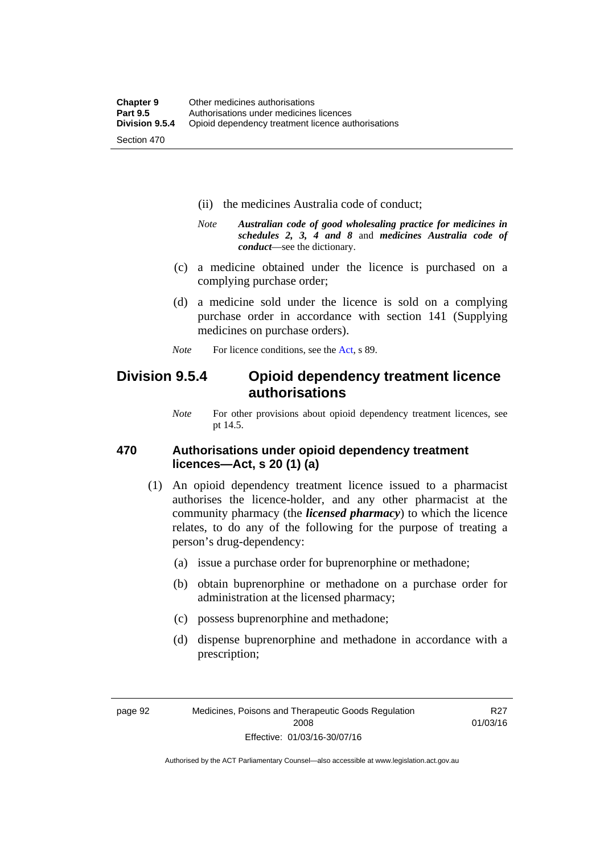- (ii) the medicines Australia code of conduct;
- *Note Australian code of good wholesaling practice for medicines in schedules 2, 3, 4 and 8* and *medicines Australia code of conduct*—see the dictionary.
- (c) a medicine obtained under the licence is purchased on a complying purchase order;
- (d) a medicine sold under the licence is sold on a complying purchase order in accordance with section 141 (Supplying medicines on purchase orders).
- *Note* For licence conditions, see the [Act](http://www.legislation.act.gov.au/a/2008-26/default.asp), s 89.

### **Division 9.5.4 Opioid dependency treatment licence authorisations**

*Note* For other provisions about opioid dependency treatment licences, see pt 14.5.

### **470 Authorisations under opioid dependency treatment licences—Act, s 20 (1) (a)**

- (1) An opioid dependency treatment licence issued to a pharmacist authorises the licence-holder, and any other pharmacist at the community pharmacy (the *licensed pharmacy*) to which the licence relates, to do any of the following for the purpose of treating a person's drug-dependency:
	- (a) issue a purchase order for buprenorphine or methadone;
	- (b) obtain buprenorphine or methadone on a purchase order for administration at the licensed pharmacy;
	- (c) possess buprenorphine and methadone;
	- (d) dispense buprenorphine and methadone in accordance with a prescription;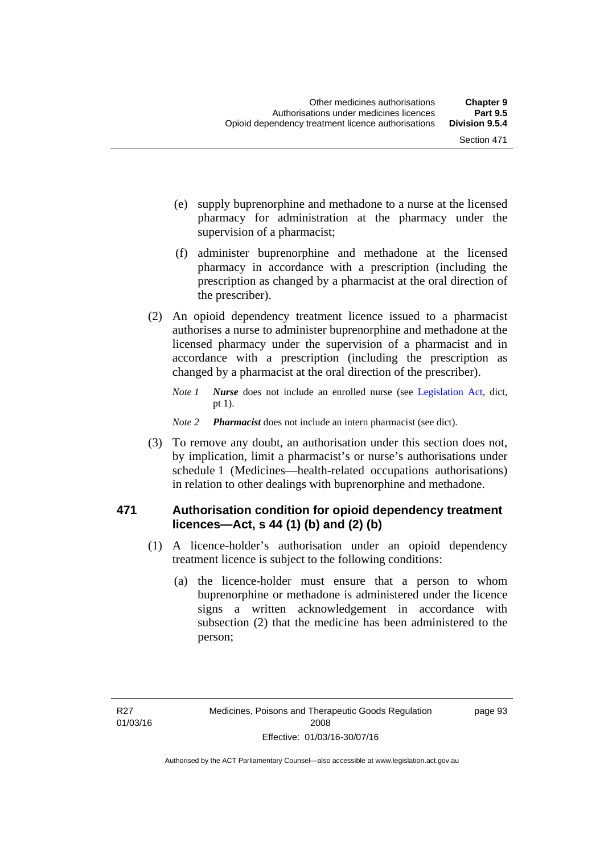- (e) supply buprenorphine and methadone to a nurse at the licensed pharmacy for administration at the pharmacy under the supervision of a pharmacist;
- (f) administer buprenorphine and methadone at the licensed pharmacy in accordance with a prescription (including the prescription as changed by a pharmacist at the oral direction of the prescriber).
- (2) An opioid dependency treatment licence issued to a pharmacist authorises a nurse to administer buprenorphine and methadone at the licensed pharmacy under the supervision of a pharmacist and in accordance with a prescription (including the prescription as changed by a pharmacist at the oral direction of the prescriber).
	- *Note 1 Nurse* does not include an enrolled nurse (see [Legislation Act,](http://www.legislation.act.gov.au/a/2001-14) dict, pt 1).
	- *Note 2 Pharmacist* does not include an intern pharmacist (see dict).
- (3) To remove any doubt, an authorisation under this section does not, by implication, limit a pharmacist's or nurse's authorisations under schedule 1 (Medicines—health-related occupations authorisations) in relation to other dealings with buprenorphine and methadone.

### **471 Authorisation condition for opioid dependency treatment licences—Act, s 44 (1) (b) and (2) (b)**

- (1) A licence-holder's authorisation under an opioid dependency treatment licence is subject to the following conditions:
	- (a) the licence-holder must ensure that a person to whom buprenorphine or methadone is administered under the licence signs a written acknowledgement in accordance with subsection (2) that the medicine has been administered to the person;

page 93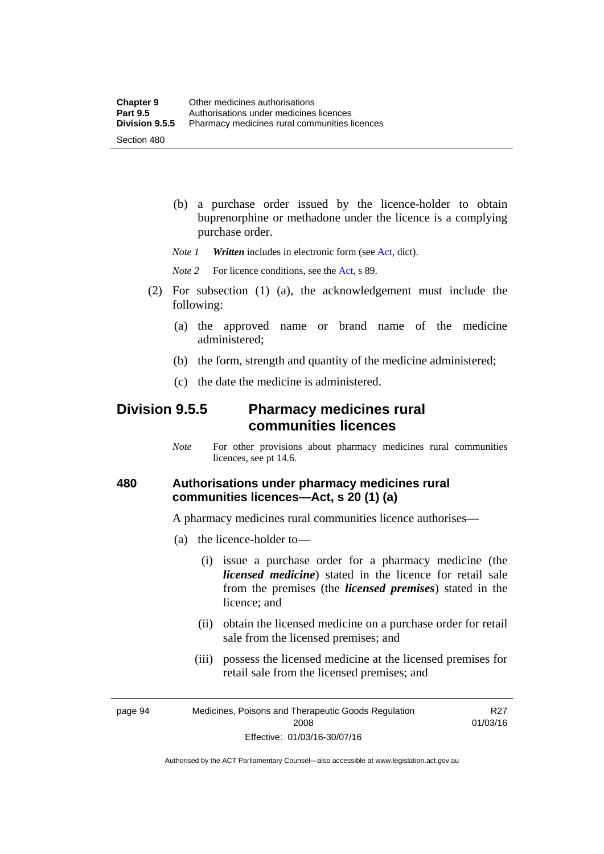(b) a purchase order issued by the licence-holder to obtain buprenorphine or methadone under the licence is a complying purchase order.

*Note 1 Written* includes in electronic form (see [Act,](http://www.legislation.act.gov.au/a/2008-26/default.asp) dict).

*Note* 2 For licence conditions, see the [Act](http://www.legislation.act.gov.au/a/2008-26/default.asp), s 89.

- (2) For subsection (1) (a), the acknowledgement must include the following:
	- (a) the approved name or brand name of the medicine administered;
	- (b) the form, strength and quantity of the medicine administered;
	- (c) the date the medicine is administered.

### **Division 9.5.5 Pharmacy medicines rural communities licences**

*Note* For other provisions about pharmacy medicines rural communities licences, see pt 14.6.

### **480 Authorisations under pharmacy medicines rural communities licences—Act, s 20 (1) (a)**

A pharmacy medicines rural communities licence authorises—

- (a) the licence-holder to—
	- (i) issue a purchase order for a pharmacy medicine (the *licensed medicine*) stated in the licence for retail sale from the premises (the *licensed premises*) stated in the licence; and
	- (ii) obtain the licensed medicine on a purchase order for retail sale from the licensed premises; and
	- (iii) possess the licensed medicine at the licensed premises for retail sale from the licensed premises; and

page 94 Medicines, Poisons and Therapeutic Goods Regulation 2008 Effective: 01/03/16-30/07/16

R27 01/03/16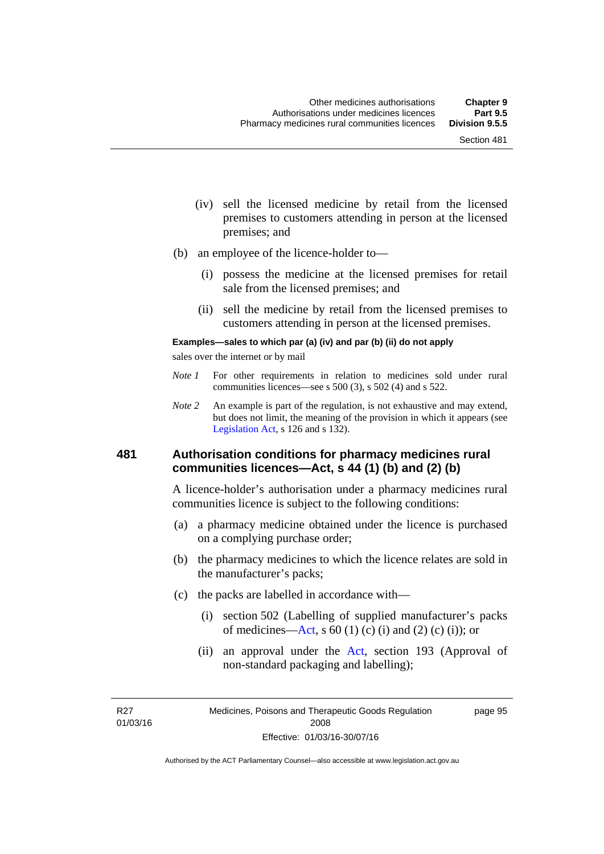- (iv) sell the licensed medicine by retail from the licensed premises to customers attending in person at the licensed premises; and
- (b) an employee of the licence-holder to—
	- (i) possess the medicine at the licensed premises for retail sale from the licensed premises; and
	- (ii) sell the medicine by retail from the licensed premises to customers attending in person at the licensed premises.

#### **Examples—sales to which par (a) (iv) and par (b) (ii) do not apply**

sales over the internet or by mail

- *Note 1* For other requirements in relation to medicines sold under rural communities licences—see s 500 (3), s 502 (4) and s 522.
- *Note 2* An example is part of the regulation, is not exhaustive and may extend, but does not limit, the meaning of the provision in which it appears (see [Legislation Act,](http://www.legislation.act.gov.au/a/2001-14) s 126 and s 132).

#### **481 Authorisation conditions for pharmacy medicines rural communities licences—Act, s 44 (1) (b) and (2) (b)**

A licence-holder's authorisation under a pharmacy medicines rural communities licence is subject to the following conditions:

- (a) a pharmacy medicine obtained under the licence is purchased on a complying purchase order;
- (b) the pharmacy medicines to which the licence relates are sold in the manufacturer's packs;
- (c) the packs are labelled in accordance with—
	- (i) section 502 (Labelling of supplied manufacturer's packs of medicines—[Act](http://www.legislation.act.gov.au/a/2008-26/default.asp), s  $60(1)$  (c) (i) and (2) (c) (i)); or
	- (ii) an approval under the [Act](http://www.legislation.act.gov.au/a/2008-26/default.asp), section 193 (Approval of non-standard packaging and labelling);

R27 01/03/16 page 95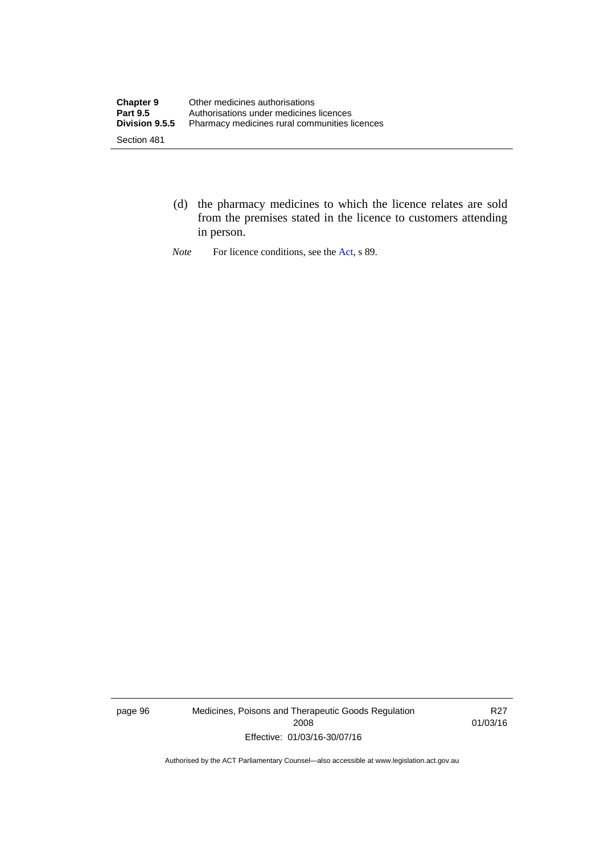- (d) the pharmacy medicines to which the licence relates are sold from the premises stated in the licence to customers attending in person.
- *Note* For licence conditions, see the [Act](http://www.legislation.act.gov.au/a/2008-26/default.asp), s 89.

page 96 Medicines, Poisons and Therapeutic Goods Regulation 2008 Effective: 01/03/16-30/07/16

R27 01/03/16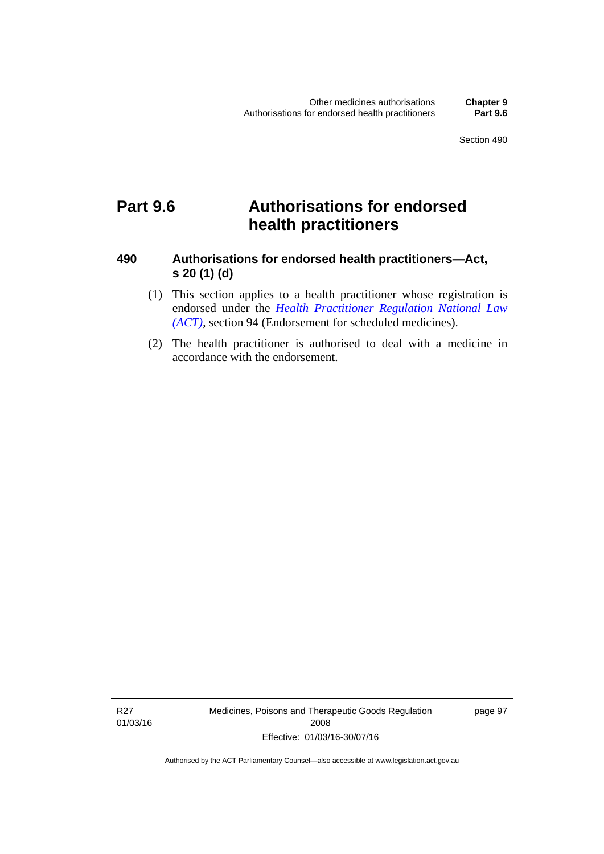## **Part 9.6 Authorisations for endorsed health practitioners**

### **490 Authorisations for endorsed health practitioners—Act, s 20 (1) (d)**

- (1) This section applies to a health practitioner whose registration is endorsed under the 5*[Health Practitioner Regulation](#page-54-0) National Law (ACT)*, section 94 (Endorsement for scheduled medicines).
- (2) The health practitioner is authorised to deal with a medicine in accordance with the endorsement.

R27 01/03/16 Medicines, Poisons and Therapeutic Goods Regulation 2008 Effective: 01/03/16-30/07/16

page 97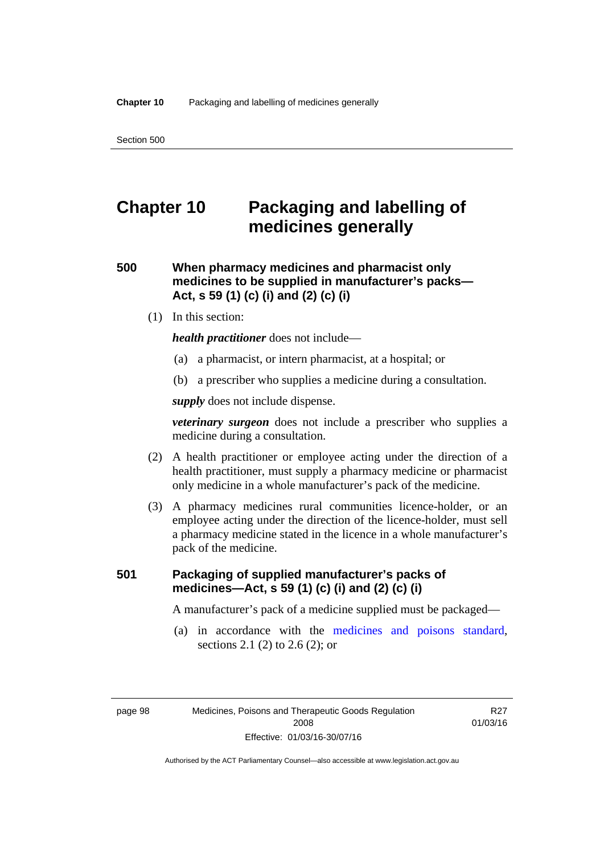# **Chapter 10 Packaging and labelling of medicines generally**

**500 When pharmacy medicines and pharmacist only medicines to be supplied in manufacturer's packs— Act, s 59 (1) (c) (i) and (2) (c) (i)** 

(1) In this section:

*health practitioner* does not include—

- (a) a pharmacist, or intern pharmacist, at a hospital; or
- (b) a prescriber who supplies a medicine during a consultation.

*supply* does not include dispense.

*veterinary surgeon* does not include a prescriber who supplies a medicine during a consultation.

- (2) A health practitioner or employee acting under the direction of a health practitioner, must supply a pharmacy medicine or pharmacist only medicine in a whole manufacturer's pack of the medicine.
- (3) A pharmacy medicines rural communities licence-holder, or an employee acting under the direction of the licence-holder, must sell a pharmacy medicine stated in the licence in a whole manufacturer's pack of the medicine.

### **501 Packaging of supplied manufacturer's packs of medicines—Act, s 59 (1) (c) (i) and (2) (c) (i)**

A manufacturer's pack of a medicine supplied must be packaged—

 (a) in accordance with the [medicines and poisons standard](http://www.comlaw.gov.au/Series/F2012L01200), sections 2.1 (2) to 2.6 (2); or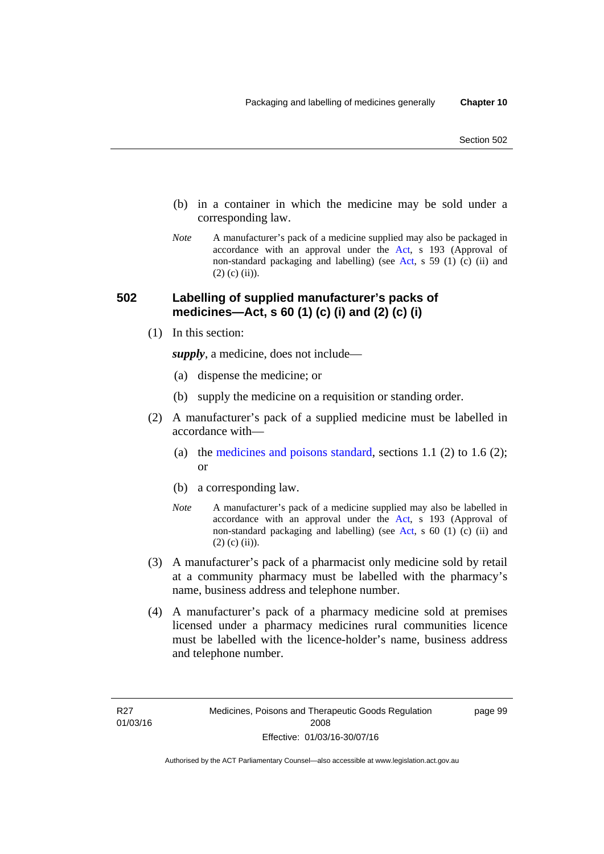- (b) in a container in which the medicine may be sold under a corresponding law.
- *Note* A manufacturer's pack of a medicine supplied may also be packaged in accordance with an approval under the [Act](http://www.legislation.act.gov.au/a/2008-26/default.asp), s 193 (Approval of non-standard packaging and labelling) (see [Act](http://www.legislation.act.gov.au/a/2008-26/default.asp), s 59 (1) (c) (ii) and  $(2)$  (c) (ii)).

### **502 Labelling of supplied manufacturer's packs of medicines—Act, s 60 (1) (c) (i) and (2) (c) (i)**

(1) In this section:

*supply*, a medicine, does not include—

- (a) dispense the medicine; or
- (b) supply the medicine on a requisition or standing order.
- (2) A manufacturer's pack of a supplied medicine must be labelled in accordance with
	- (a) the [medicines and poisons standard](http://www.comlaw.gov.au/Series/F2012L01200), sections 1.1 (2) to 1.6 (2); or
	- (b) a corresponding law.
	- *Note* A manufacturer's pack of a medicine supplied may also be labelled in accordance with an approval under the [Act](http://www.legislation.act.gov.au/a/2008-26/default.asp), s 193 (Approval of non-standard packaging and labelling) (see [Act](http://www.legislation.act.gov.au/a/2008-26/default.asp), s 60 (1) (c) (ii) and  $(2)$  (c) (ii)).
- (3) A manufacturer's pack of a pharmacist only medicine sold by retail at a community pharmacy must be labelled with the pharmacy's name, business address and telephone number.
- (4) A manufacturer's pack of a pharmacy medicine sold at premises licensed under a pharmacy medicines rural communities licence must be labelled with the licence-holder's name, business address and telephone number.

page 99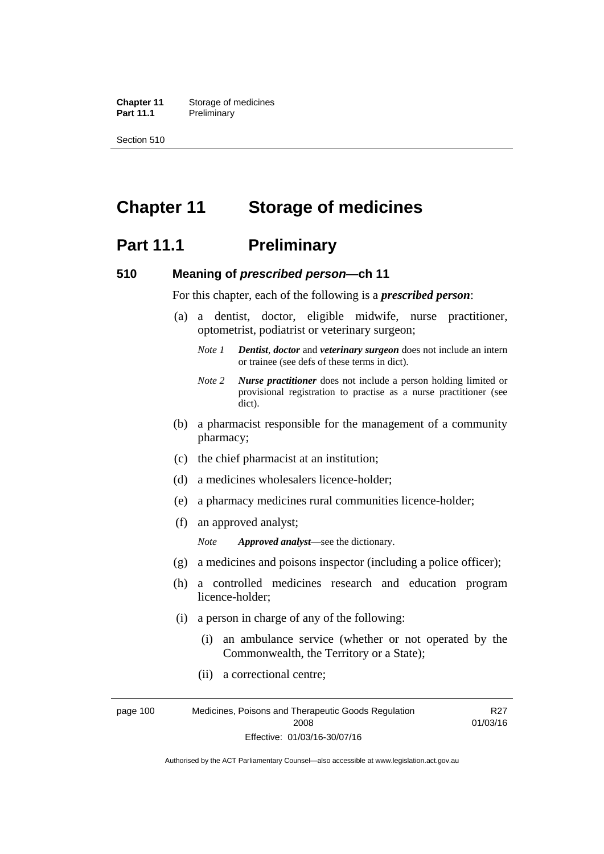**Chapter 11** Storage of medicines Part 11.1 Preliminary

Section 510

# **Chapter 11 Storage of medicines**

### **Part 11.1** Preliminary

#### **510 Meaning of** *prescribed person***—ch 11**

For this chapter, each of the following is a *prescribed person*:

- (a) a dentist, doctor, eligible midwife, nurse practitioner, optometrist, podiatrist or veterinary surgeon;
	- *Note 1 Dentist*, *doctor* and *veterinary surgeon* does not include an intern or trainee (see defs of these terms in dict).
	- *Note 2 Nurse practitioner* does not include a person holding limited or provisional registration to practise as a nurse practitioner (see dict).
- (b) a pharmacist responsible for the management of a community pharmacy;
- (c) the chief pharmacist at an institution;
- (d) a medicines wholesalers licence-holder;
- (e) a pharmacy medicines rural communities licence-holder;
- (f) an approved analyst;

*Note Approved analyst*—see the dictionary.

- (g) a medicines and poisons inspector (including a police officer);
- (h) a controlled medicines research and education program licence-holder;
- (i) a person in charge of any of the following:
	- (i) an ambulance service (whether or not operated by the Commonwealth, the Territory or a State);
	- (ii) a correctional centre;

page 100 Medicines, Poisons and Therapeutic Goods Regulation 2008 Effective: 01/03/16-30/07/16 R27 01/03/16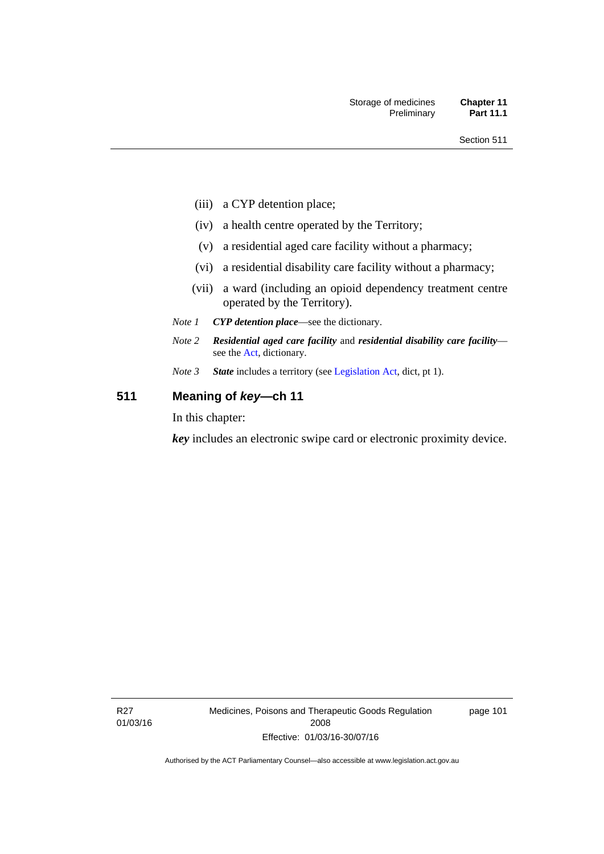- (iii) a CYP detention place;
- (iv) a health centre operated by the Territory;
- (v) a residential aged care facility without a pharmacy;
- (vi) a residential disability care facility without a pharmacy;
- (vii) a ward (including an opioid dependency treatment centre operated by the Territory).
- *Note 1 CYP detention place*—see the dictionary.
- *Note 2 Residential aged care facility* and *residential disability care facility* see the [Act](http://www.legislation.act.gov.au/a/2008-26/default.asp), dictionary.
- *Note 3 State* includes a territory (see [Legislation Act,](http://www.legislation.act.gov.au/a/2001-14) dict, pt 1).

### **511 Meaning of** *key***—ch 11**

In this chapter:

*key* includes an electronic swipe card or electronic proximity device.

R27 01/03/16 Medicines, Poisons and Therapeutic Goods Regulation 2008 Effective: 01/03/16-30/07/16

page 101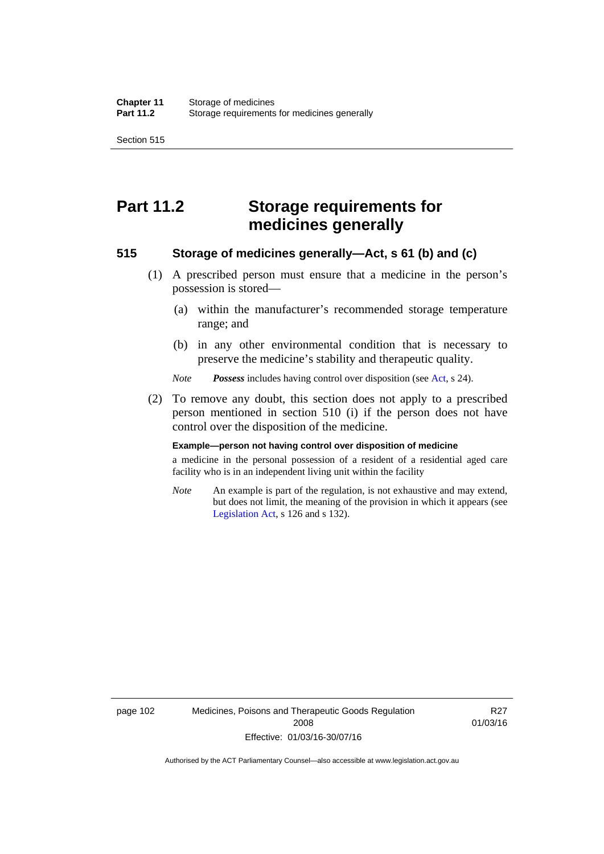Section 515

# **Part 11.2 Storage requirements for medicines generally**

### **515 Storage of medicines generally—Act, s 61 (b) and (c)**

- (1) A prescribed person must ensure that a medicine in the person's possession is stored—
	- (a) within the manufacturer's recommended storage temperature range; and
	- (b) in any other environmental condition that is necessary to preserve the medicine's stability and therapeutic quality.

*Note Possess* includes having control over disposition (see [Act,](http://www.legislation.act.gov.au/a/2008-26/default.asp) s 24).

 (2) To remove any doubt, this section does not apply to a prescribed person mentioned in section 510 (i) if the person does not have control over the disposition of the medicine.

#### **Example—person not having control over disposition of medicine**

a medicine in the personal possession of a resident of a residential aged care facility who is in an independent living unit within the facility

*Note* An example is part of the regulation, is not exhaustive and may extend, but does not limit, the meaning of the provision in which it appears (see [Legislation Act,](http://www.legislation.act.gov.au/a/2001-14) s 126 and s 132).

page 102 Medicines, Poisons and Therapeutic Goods Regulation 2008 Effective: 01/03/16-30/07/16

R27 01/03/16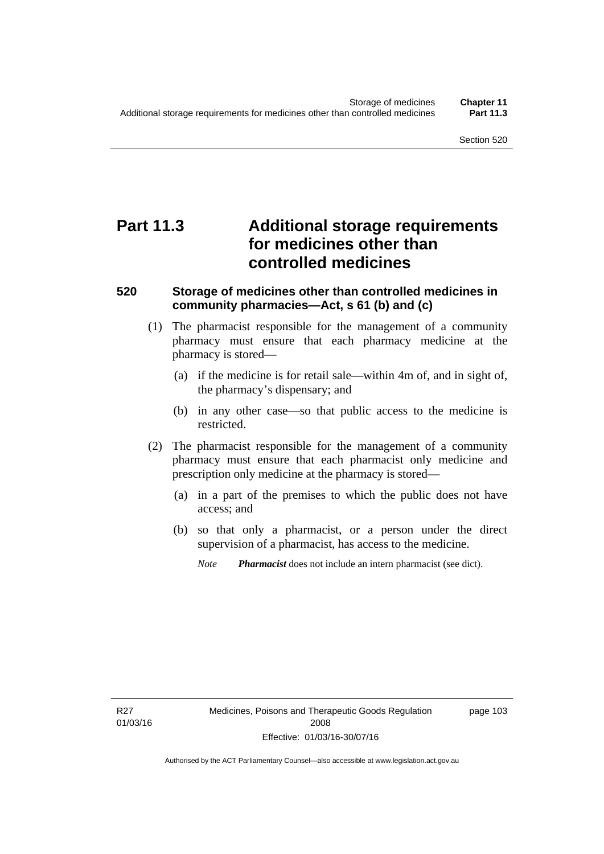# **Part 11.3 Additional storage requirements for medicines other than controlled medicines**

### **520 Storage of medicines other than controlled medicines in community pharmacies—Act, s 61 (b) and (c)**

- (1) The pharmacist responsible for the management of a community pharmacy must ensure that each pharmacy medicine at the pharmacy is stored—
	- (a) if the medicine is for retail sale—within 4m of, and in sight of, the pharmacy's dispensary; and
	- (b) in any other case—so that public access to the medicine is restricted.
- (2) The pharmacist responsible for the management of a community pharmacy must ensure that each pharmacist only medicine and prescription only medicine at the pharmacy is stored—
	- (a) in a part of the premises to which the public does not have access; and
	- (b) so that only a pharmacist, or a person under the direct supervision of a pharmacist, has access to the medicine.

page 103

*Note Pharmacist* does not include an intern pharmacist (see dict).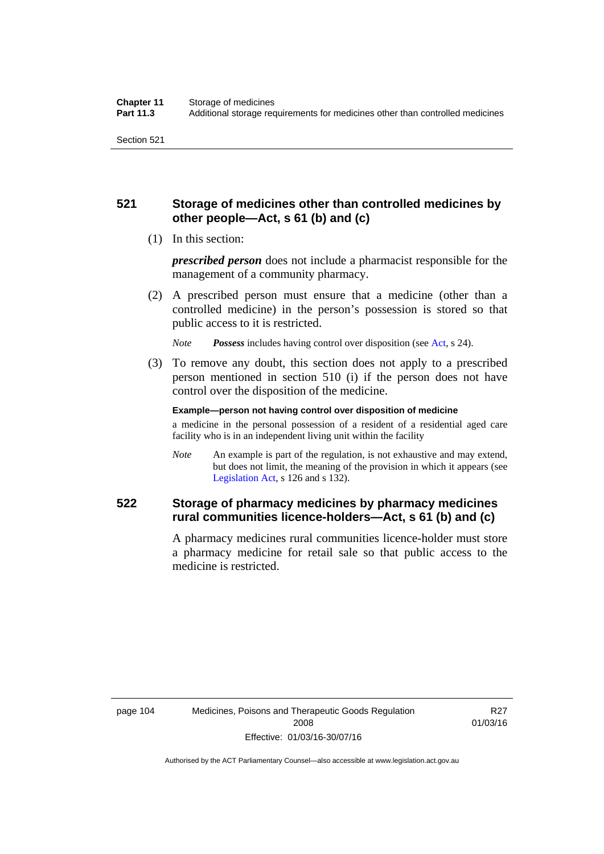### **521 Storage of medicines other than controlled medicines by other people—Act, s 61 (b) and (c)**

(1) In this section:

*prescribed person* does not include a pharmacist responsible for the management of a community pharmacy.

 (2) A prescribed person must ensure that a medicine (other than a controlled medicine) in the person's possession is stored so that public access to it is restricted.

*Note Possess* includes having control over disposition (see [Act,](http://www.legislation.act.gov.au/a/2008-26/default.asp) s 24).

 (3) To remove any doubt, this section does not apply to a prescribed person mentioned in section 510 (i) if the person does not have control over the disposition of the medicine.

**Example—person not having control over disposition of medicine** 

a medicine in the personal possession of a resident of a residential aged care facility who is in an independent living unit within the facility

*Note* An example is part of the regulation, is not exhaustive and may extend, but does not limit, the meaning of the provision in which it appears (see [Legislation Act,](http://www.legislation.act.gov.au/a/2001-14) s 126 and s 132).

### **522 Storage of pharmacy medicines by pharmacy medicines rural communities licence-holders—Act, s 61 (b) and (c)**

A pharmacy medicines rural communities licence-holder must store a pharmacy medicine for retail sale so that public access to the medicine is restricted.

**R27** 01/03/16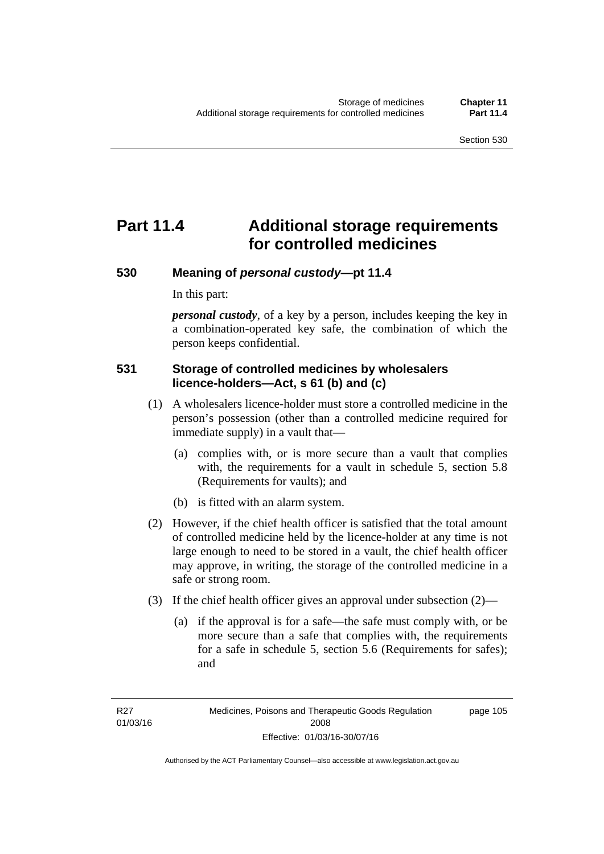# **Part 11.4 Additional storage requirements for controlled medicines**

### **530 Meaning of** *personal custody***—pt 11.4**

In this part:

*personal custody*, of a key by a person, includes keeping the key in a combination-operated key safe, the combination of which the person keeps confidential.

### **531 Storage of controlled medicines by wholesalers licence-holders—Act, s 61 (b) and (c)**

- (1) A wholesalers licence-holder must store a controlled medicine in the person's possession (other than a controlled medicine required for immediate supply) in a vault that—
	- (a) complies with, or is more secure than a vault that complies with, the requirements for a vault in schedule 5, section 5.8 (Requirements for vaults); and
	- (b) is fitted with an alarm system.
- (2) However, if the chief health officer is satisfied that the total amount of controlled medicine held by the licence-holder at any time is not large enough to need to be stored in a vault, the chief health officer may approve, in writing, the storage of the controlled medicine in a safe or strong room.
- (3) If the chief health officer gives an approval under subsection (2)—
	- (a) if the approval is for a safe—the safe must comply with, or be more secure than a safe that complies with, the requirements for a safe in schedule 5, section 5.6 (Requirements for safes); and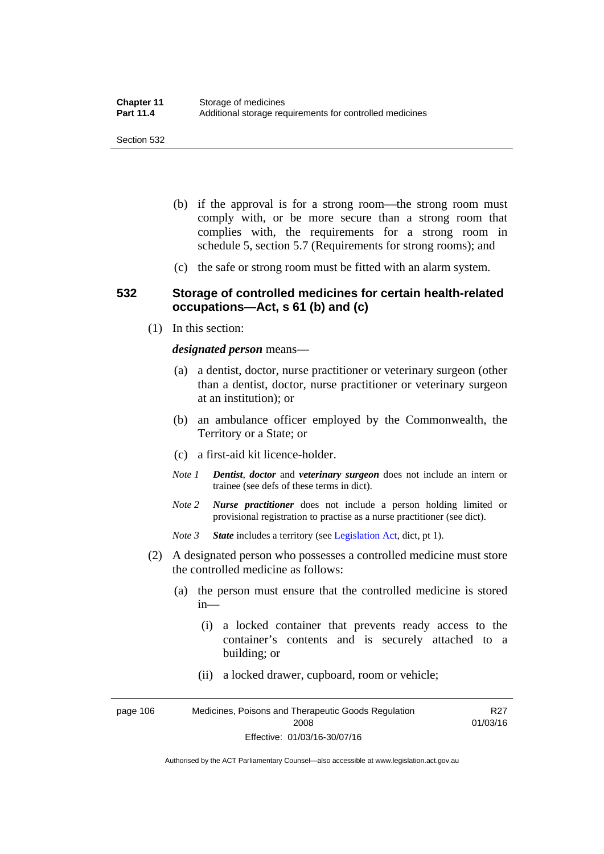- (b) if the approval is for a strong room—the strong room must comply with, or be more secure than a strong room that complies with, the requirements for a strong room in schedule 5, section 5.7 (Requirements for strong rooms); and
- (c) the safe or strong room must be fitted with an alarm system.

#### **532 Storage of controlled medicines for certain health-related occupations—Act, s 61 (b) and (c)**

(1) In this section:

#### *designated person* means—

- (a) a dentist, doctor, nurse practitioner or veterinary surgeon (other than a dentist, doctor, nurse practitioner or veterinary surgeon at an institution); or
- (b) an ambulance officer employed by the Commonwealth, the Territory or a State; or
- (c) a first-aid kit licence-holder.
- *Note 1 Dentist*, *doctor* and *veterinary surgeon* does not include an intern or trainee (see defs of these terms in dict).
- *Note 2 Nurse practitioner* does not include a person holding limited or provisional registration to practise as a nurse practitioner (see dict).
- *Note 3 State* includes a territory (see [Legislation Act,](http://www.legislation.act.gov.au/a/2001-14) dict, pt 1).
- (2) A designated person who possesses a controlled medicine must store the controlled medicine as follows:
	- (a) the person must ensure that the controlled medicine is stored in—
		- (i) a locked container that prevents ready access to the container's contents and is securely attached to a building; or
		- (ii) a locked drawer, cupboard, room or vehicle;

page 106 Medicines, Poisons and Therapeutic Goods Regulation 2008 Effective: 01/03/16-30/07/16 R27 01/03/16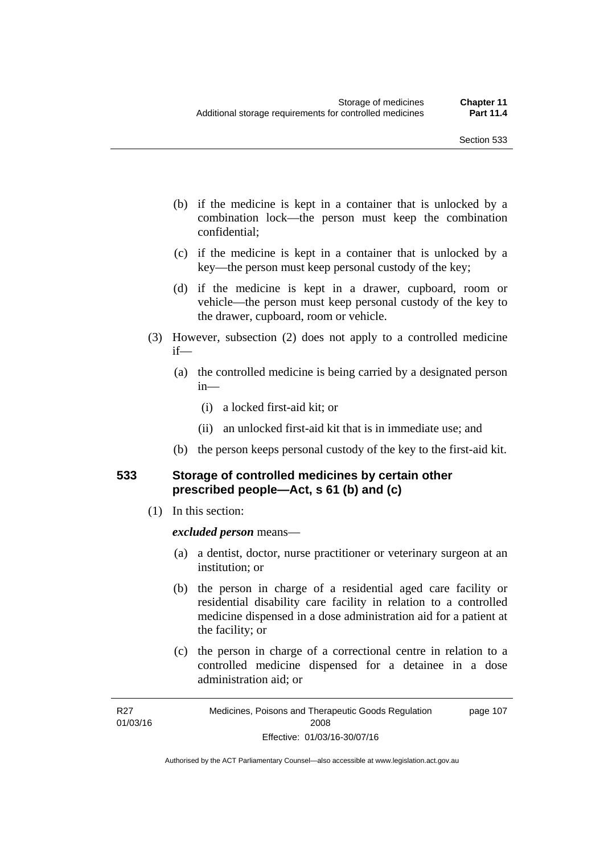- (b) if the medicine is kept in a container that is unlocked by a combination lock—the person must keep the combination confidential;
- (c) if the medicine is kept in a container that is unlocked by a key—the person must keep personal custody of the key;
- (d) if the medicine is kept in a drawer, cupboard, room or vehicle—the person must keep personal custody of the key to the drawer, cupboard, room or vehicle.
- (3) However, subsection (2) does not apply to a controlled medicine if—
	- (a) the controlled medicine is being carried by a designated person in—
		- (i) a locked first-aid kit; or
		- (ii) an unlocked first-aid kit that is in immediate use; and
	- (b) the person keeps personal custody of the key to the first-aid kit.

### **533 Storage of controlled medicines by certain other prescribed people—Act, s 61 (b) and (c)**

(1) In this section:

#### *excluded person* means—

- (a) a dentist, doctor, nurse practitioner or veterinary surgeon at an institution; or
- (b) the person in charge of a residential aged care facility or residential disability care facility in relation to a controlled medicine dispensed in a dose administration aid for a patient at the facility; or
- (c) the person in charge of a correctional centre in relation to a controlled medicine dispensed for a detainee in a dose administration aid; or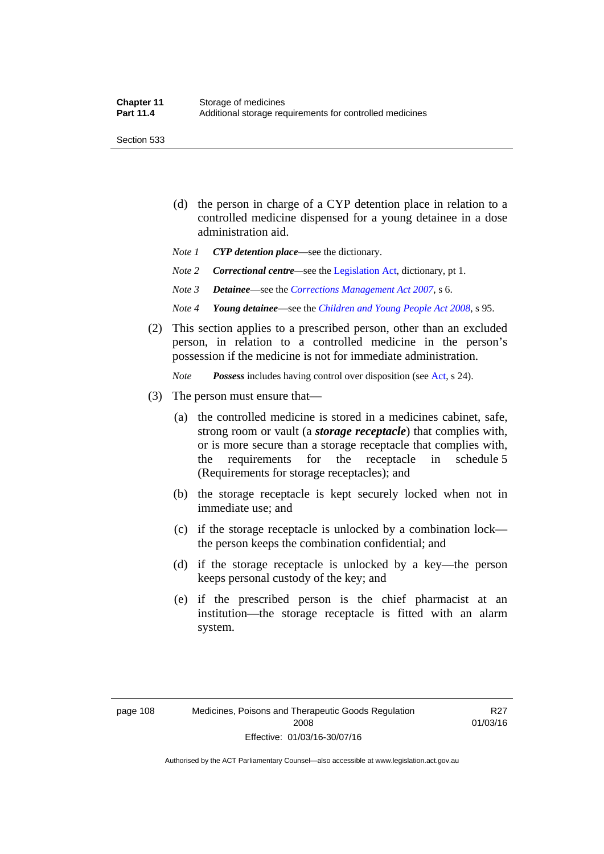Section 533

- (d) the person in charge of a CYP detention place in relation to a controlled medicine dispensed for a young detainee in a dose administration aid.
- *Note 1 CYP detention place*—see the dictionary.
- *Note 2 Correctional centre—see the [Legislation Act](http://www.legislation.act.gov.au/a/2001-14), dictionary, pt 1.*
- *Note 3 Detainee*—see the *[Corrections Management Act 2007](http://www.legislation.act.gov.au/a/2007-15)*, s 6.
- *Note 4 Young detainee*—see the *[Children and Young People Act 2008](http://www.legislation.act.gov.au/a/2008-19)*, s 95.
- (2) This section applies to a prescribed person, other than an excluded person, in relation to a controlled medicine in the person's possession if the medicine is not for immediate administration.

*Note Possess* includes having control over disposition (see [Act,](http://www.legislation.act.gov.au/a/2008-26/default.asp) s 24).

- (3) The person must ensure that—
	- (a) the controlled medicine is stored in a medicines cabinet, safe, strong room or vault (a *storage receptacle*) that complies with, or is more secure than a storage receptacle that complies with, the requirements for the receptacle in schedule 5 (Requirements for storage receptacles); and
	- (b) the storage receptacle is kept securely locked when not in immediate use; and
	- (c) if the storage receptacle is unlocked by a combination lock the person keeps the combination confidential; and
	- (d) if the storage receptacle is unlocked by a key—the person keeps personal custody of the key; and
	- (e) if the prescribed person is the chief pharmacist at an institution—the storage receptacle is fitted with an alarm system.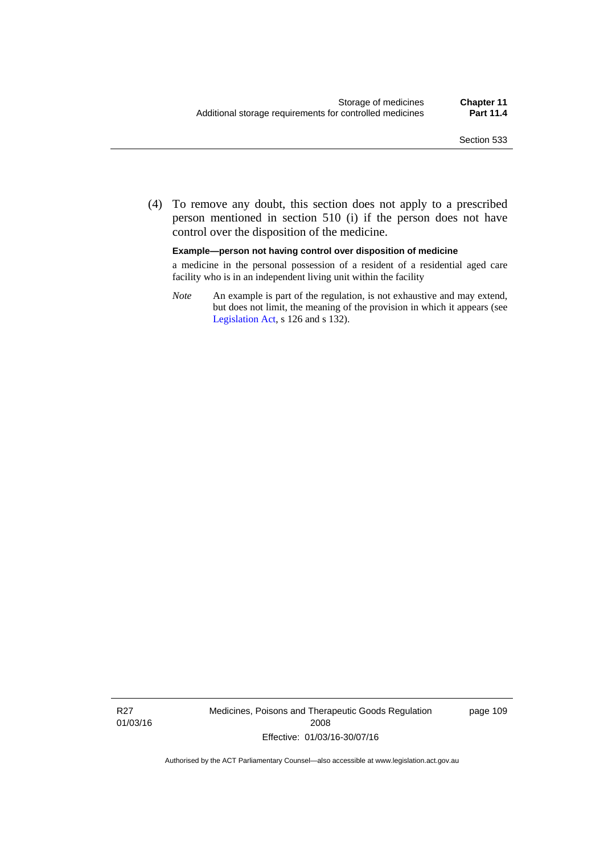(4) To remove any doubt, this section does not apply to a prescribed person mentioned in section 510 (i) if the person does not have control over the disposition of the medicine.

#### **Example—person not having control over disposition of medicine**

a medicine in the personal possession of a resident of a residential aged care facility who is in an independent living unit within the facility

*Note* An example is part of the regulation, is not exhaustive and may extend, but does not limit, the meaning of the provision in which it appears (see [Legislation Act,](http://www.legislation.act.gov.au/a/2001-14) s 126 and s 132).

R27 01/03/16 Medicines, Poisons and Therapeutic Goods Regulation 2008 Effective: 01/03/16-30/07/16

page 109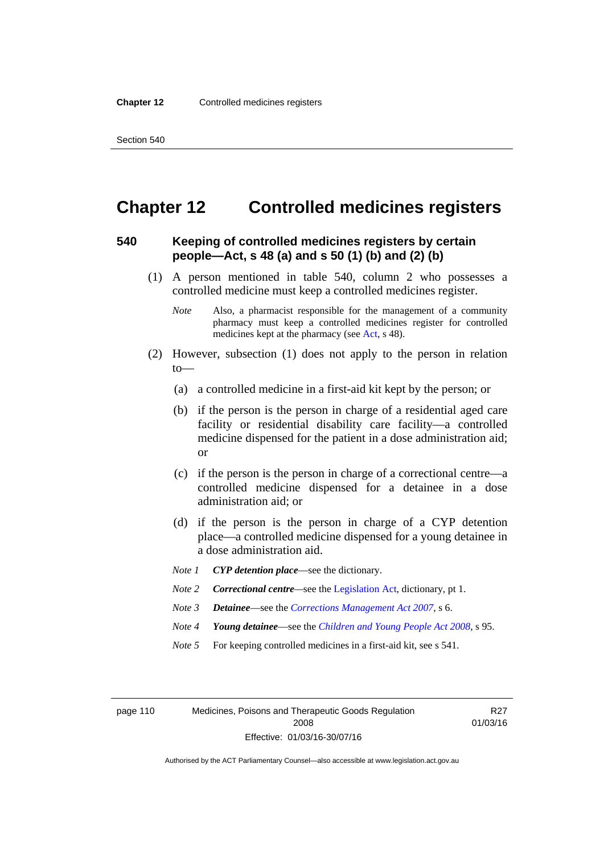### **Chapter 12 Controlled medicines registers**

### **540 Keeping of controlled medicines registers by certain people—Act, s 48 (a) and s 50 (1) (b) and (2) (b)**

- (1) A person mentioned in table 540, column 2 who possesses a controlled medicine must keep a controlled medicines register.
	- *Note* Also, a pharmacist responsible for the management of a community pharmacy must keep a controlled medicines register for controlled medicines kept at the pharmacy (see [Act](http://www.legislation.act.gov.au/a/2008-26/default.asp), s 48).
- (2) However, subsection (1) does not apply to the person in relation  $to$ —
	- (a) a controlled medicine in a first-aid kit kept by the person; or
	- (b) if the person is the person in charge of a residential aged care facility or residential disability care facility—a controlled medicine dispensed for the patient in a dose administration aid; or
	- (c) if the person is the person in charge of a correctional centre—a controlled medicine dispensed for a detainee in a dose administration aid; or
	- (d) if the person is the person in charge of a CYP detention place—a controlled medicine dispensed for a young detainee in a dose administration aid.
	- *Note 1 CYP detention place*—see the dictionary.
	- *Note 2 Correctional centre—see the [Legislation Act](http://www.legislation.act.gov.au/a/2001-14), dictionary, pt 1.*
	- *Note 3 Detainee*—see the *[Corrections Management Act 2007](http://www.legislation.act.gov.au/a/2007-15)*, s 6.
	- *Note 4 Young detainee*—see the *[Children and Young People Act 2008](http://www.legislation.act.gov.au/a/2008-19)*, s 95.
	- *Note* 5 For keeping controlled medicines in a first-aid kit, see s 541.

page 110 Medicines, Poisons and Therapeutic Goods Regulation 2008 Effective: 01/03/16-30/07/16

R27 01/03/16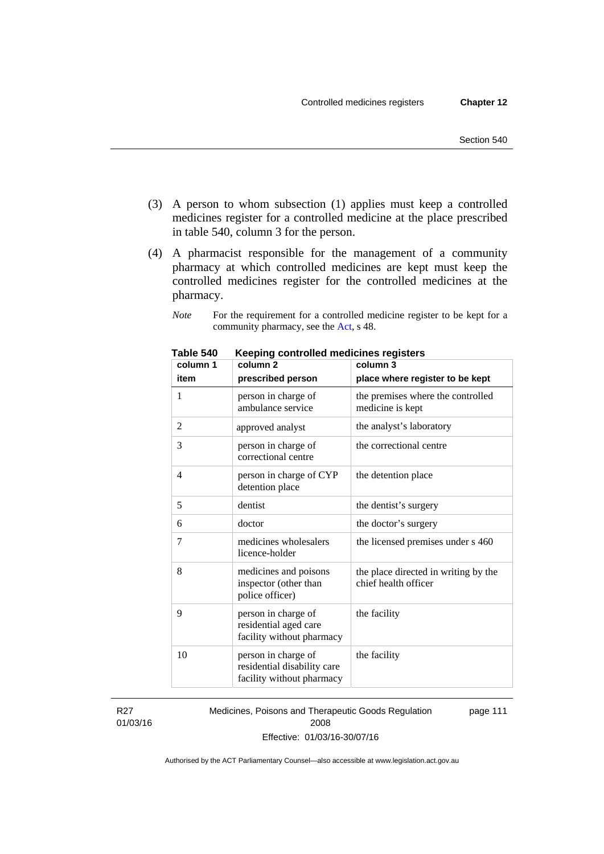- (3) A person to whom subsection (1) applies must keep a controlled medicines register for a controlled medicine at the place prescribed in table 540, column 3 for the person.
- (4) A pharmacist responsible for the management of a community pharmacy at which controlled medicines are kept must keep the controlled medicines register for the controlled medicines at the pharmacy.

*Note* For the requirement for a controlled medicine register to be kept for a community pharmacy, see the [Act,](http://www.legislation.act.gov.au/a/2008-26/default.asp) s 48.

| column 1 | column <sub>2</sub>                                                             | column 3                                                     |  |  |
|----------|---------------------------------------------------------------------------------|--------------------------------------------------------------|--|--|
| item     | prescribed person                                                               | place where register to be kept                              |  |  |
| 1        | person in charge of<br>ambulance service                                        | the premises where the controlled<br>medicine is kept        |  |  |
| 2        | approved analyst                                                                | the analyst's laboratory                                     |  |  |
| 3        | person in charge of<br>correctional centre                                      | the correctional centre                                      |  |  |
| 4        | person in charge of CYP<br>detention place                                      | the detention place                                          |  |  |
| 5        | dentist                                                                         | the dentist's surgery                                        |  |  |
| 6        | doctor                                                                          | the doctor's surgery                                         |  |  |
| 7        | medicines wholesalers<br>licence-holder                                         | the licensed premises under s 460                            |  |  |
| 8        | medicines and poisons<br>inspector (other than<br>police officer)               | the place directed in writing by the<br>chief health officer |  |  |
| 9        | person in charge of<br>residential aged care<br>facility without pharmacy       | the facility                                                 |  |  |
| 10       | person in charge of<br>residential disability care<br>facility without pharmacy | the facility                                                 |  |  |

**Table 540 Keeping controlled medicines registers** 

R27 01/03/16 Medicines, Poisons and Therapeutic Goods Regulation 2008 Effective: 01/03/16-30/07/16 page 111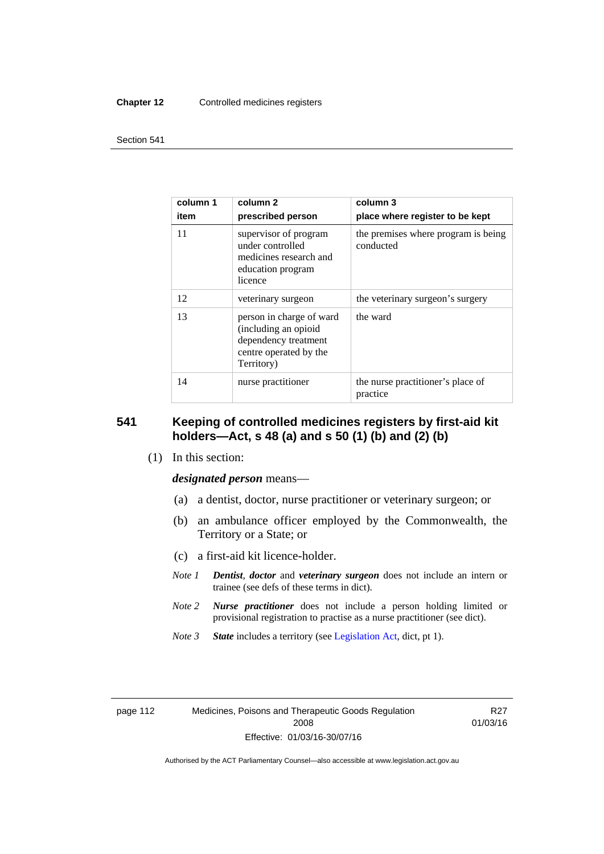#### **Chapter 12** Controlled medicines registers

#### Section 541

| column 1<br>item | column 2<br>prescribed person                                                                                    | column 3<br>place where register to be kept      |  |  |
|------------------|------------------------------------------------------------------------------------------------------------------|--------------------------------------------------|--|--|
| 11               | supervisor of program<br>under controlled<br>medicines research and<br>education program<br>licence              | the premises where program is being<br>conducted |  |  |
| 12               | veterinary surgeon                                                                                               | the veterinary surgeon's surgery                 |  |  |
| 13               | person in charge of ward<br>(including an opioid<br>dependency treatment<br>centre operated by the<br>Territory) | the ward                                         |  |  |
| 14               | nurse practitioner                                                                                               | the nurse practitioner's place of<br>practice    |  |  |

### **541 Keeping of controlled medicines registers by first-aid kit holders—Act, s 48 (a) and s 50 (1) (b) and (2) (b)**

(1) In this section:

*designated person* means—

- (a) a dentist, doctor, nurse practitioner or veterinary surgeon; or
- (b) an ambulance officer employed by the Commonwealth, the Territory or a State; or
- (c) a first-aid kit licence-holder.
- *Note 1 Dentist*, *doctor* and *veterinary surgeon* does not include an intern or trainee (see defs of these terms in dict).
- *Note 2 Nurse practitioner* does not include a person holding limited or provisional registration to practise as a nurse practitioner (see dict).
- *Note 3 State* includes a territory (see [Legislation Act,](http://www.legislation.act.gov.au/a/2001-14) dict, pt 1).

| page |  |  |
|------|--|--|
|------|--|--|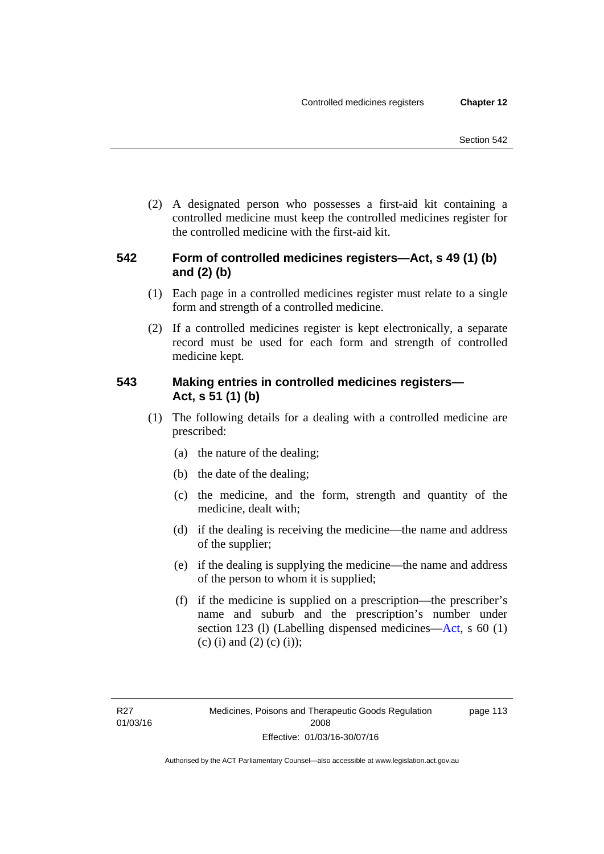(2) A designated person who possesses a first-aid kit containing a controlled medicine must keep the controlled medicines register for the controlled medicine with the first-aid kit.

### **542 Form of controlled medicines registers—Act, s 49 (1) (b) and (2) (b)**

- (1) Each page in a controlled medicines register must relate to a single form and strength of a controlled medicine.
- (2) If a controlled medicines register is kept electronically, a separate record must be used for each form and strength of controlled medicine kept.

### **543 Making entries in controlled medicines registers— Act, s 51 (1) (b)**

- (1) The following details for a dealing with a controlled medicine are prescribed:
	- (a) the nature of the dealing;
	- (b) the date of the dealing;
	- (c) the medicine, and the form, strength and quantity of the medicine, dealt with;
	- (d) if the dealing is receiving the medicine—the name and address of the supplier;
	- (e) if the dealing is supplying the medicine—the name and address of the person to whom it is supplied;
	- (f) if the medicine is supplied on a prescription—the prescriber's name and suburb and the prescription's number under section 123 (l) (Labelling dispensed medicines[—Act,](http://www.legislation.act.gov.au/a/2008-26/default.asp) s 60 (1) (c) (i) and (2) (c) (i));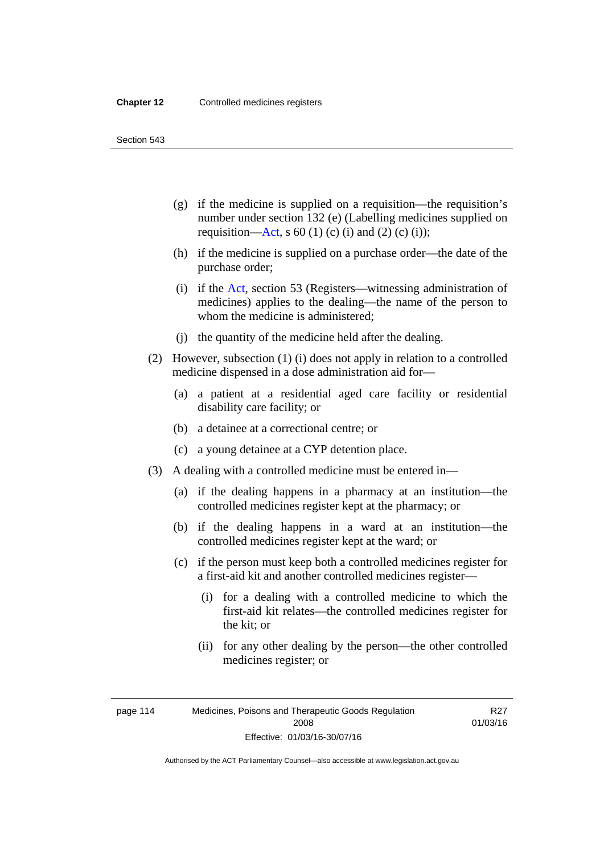Section 543

- (g) if the medicine is supplied on a requisition—the requisition's number under section 132 (e) (Labelling medicines supplied on requisition[—Act,](http://www.legislation.act.gov.au/a/2008-26/default.asp) s 60 (1) (c) (i) and (2) (c) (i));
- (h) if the medicine is supplied on a purchase order—the date of the purchase order;
- (i) if the [Act,](http://www.legislation.act.gov.au/a/2008-26/default.asp) section 53 (Registers—witnessing administration of medicines) applies to the dealing—the name of the person to whom the medicine is administered;
- (j) the quantity of the medicine held after the dealing.
- (2) However, subsection (1) (i) does not apply in relation to a controlled medicine dispensed in a dose administration aid for—
	- (a) a patient at a residential aged care facility or residential disability care facility; or
	- (b) a detainee at a correctional centre; or
	- (c) a young detainee at a CYP detention place.
- (3) A dealing with a controlled medicine must be entered in—
	- (a) if the dealing happens in a pharmacy at an institution—the controlled medicines register kept at the pharmacy; or
	- (b) if the dealing happens in a ward at an institution—the controlled medicines register kept at the ward; or
	- (c) if the person must keep both a controlled medicines register for a first-aid kit and another controlled medicines register—
		- (i) for a dealing with a controlled medicine to which the first-aid kit relates—the controlled medicines register for the kit; or
		- (ii) for any other dealing by the person—the other controlled medicines register; or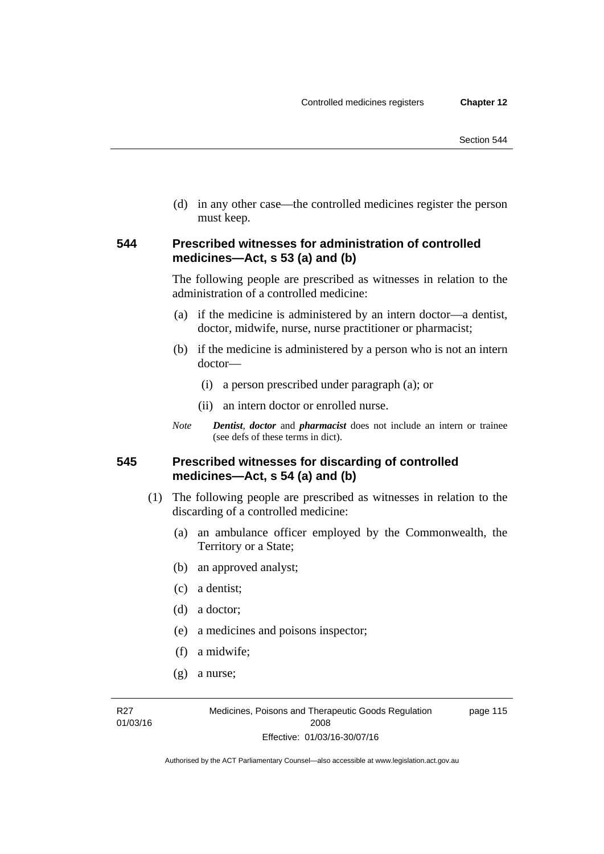(d) in any other case—the controlled medicines register the person must keep.

### **544 Prescribed witnesses for administration of controlled medicines—Act, s 53 (a) and (b)**

The following people are prescribed as witnesses in relation to the administration of a controlled medicine:

- (a) if the medicine is administered by an intern doctor—a dentist, doctor, midwife, nurse, nurse practitioner or pharmacist;
- (b) if the medicine is administered by a person who is not an intern doctor—
	- (i) a person prescribed under paragraph (a); or
	- (ii) an intern doctor or enrolled nurse.
- *Note Dentist*, *doctor* and *pharmacist* does not include an intern or trainee (see defs of these terms in dict).

### **545 Prescribed witnesses for discarding of controlled medicines—Act, s 54 (a) and (b)**

- (1) The following people are prescribed as witnesses in relation to the discarding of a controlled medicine:
	- (a) an ambulance officer employed by the Commonwealth, the Territory or a State;
	- (b) an approved analyst;
	- (c) a dentist;
	- (d) a doctor;
	- (e) a medicines and poisons inspector;
	- (f) a midwife;
	- (g) a nurse;

R27 01/03/16 Medicines, Poisons and Therapeutic Goods Regulation 2008 Effective: 01/03/16-30/07/16

page 115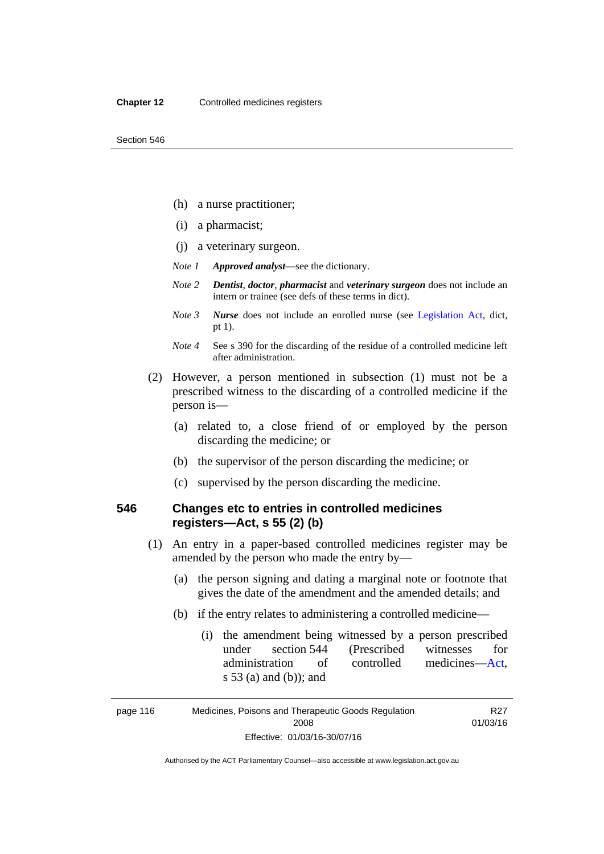- (h) a nurse practitioner;
- (i) a pharmacist;
- (j) a veterinary surgeon.
- *Note 1 Approved analyst*—see the dictionary.
- *Note 2 Dentist*, *doctor*, *pharmacist* and *veterinary surgeon* does not include an intern or trainee (see defs of these terms in dict).
- *Note 3 Nurse* does not include an enrolled nurse (see [Legislation Act,](http://www.legislation.act.gov.au/a/2001-14) dict, pt 1).
- *Note 4* See s 390 for the discarding of the residue of a controlled medicine left after administration.
- (2) However, a person mentioned in subsection (1) must not be a prescribed witness to the discarding of a controlled medicine if the person is—
	- (a) related to, a close friend of or employed by the person discarding the medicine; or
	- (b) the supervisor of the person discarding the medicine; or
	- (c) supervised by the person discarding the medicine.

### **546 Changes etc to entries in controlled medicines registers—Act, s 55 (2) (b)**

- (1) An entry in a paper-based controlled medicines register may be amended by the person who made the entry by—
	- (a) the person signing and dating a marginal note or footnote that gives the date of the amendment and the amended details; and
	- (b) if the entry relates to administering a controlled medicine—
		- (i) the amendment being witnessed by a person prescribed under section 544 (Prescribed witnesses for administration of controlled medicines[—Act](http://www.legislation.act.gov.au/a/2008-26/default.asp), s 53 (a) and (b)); and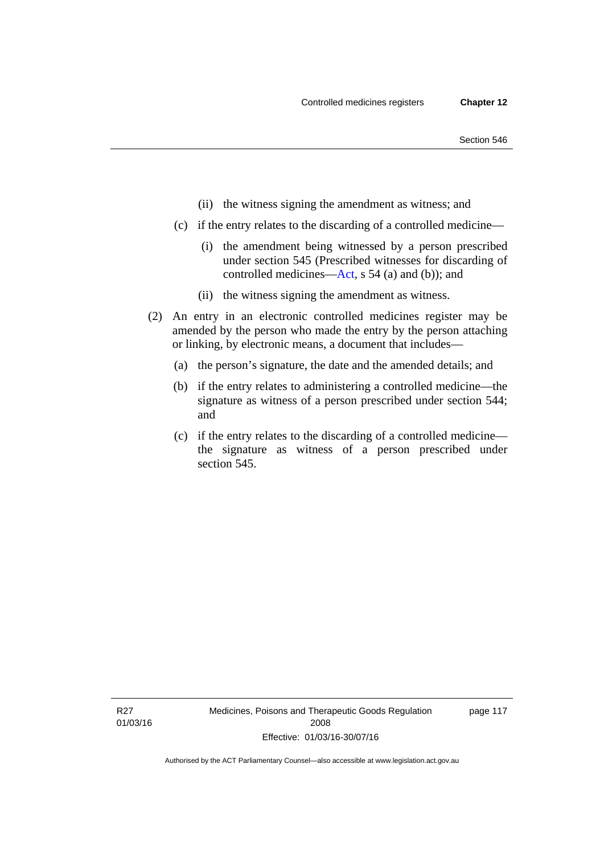- (ii) the witness signing the amendment as witness; and
- (c) if the entry relates to the discarding of a controlled medicine—
	- (i) the amendment being witnessed by a person prescribed under section 545 (Prescribed witnesses for discarding of controlled medicines[—Act,](http://www.legislation.act.gov.au/a/2008-26/default.asp) s 54 (a) and (b)); and
	- (ii) the witness signing the amendment as witness.
- (2) An entry in an electronic controlled medicines register may be amended by the person who made the entry by the person attaching or linking, by electronic means, a document that includes—
	- (a) the person's signature, the date and the amended details; and
	- (b) if the entry relates to administering a controlled medicine—the signature as witness of a person prescribed under section 544; and
	- (c) if the entry relates to the discarding of a controlled medicine the signature as witness of a person prescribed under section 545.

page 117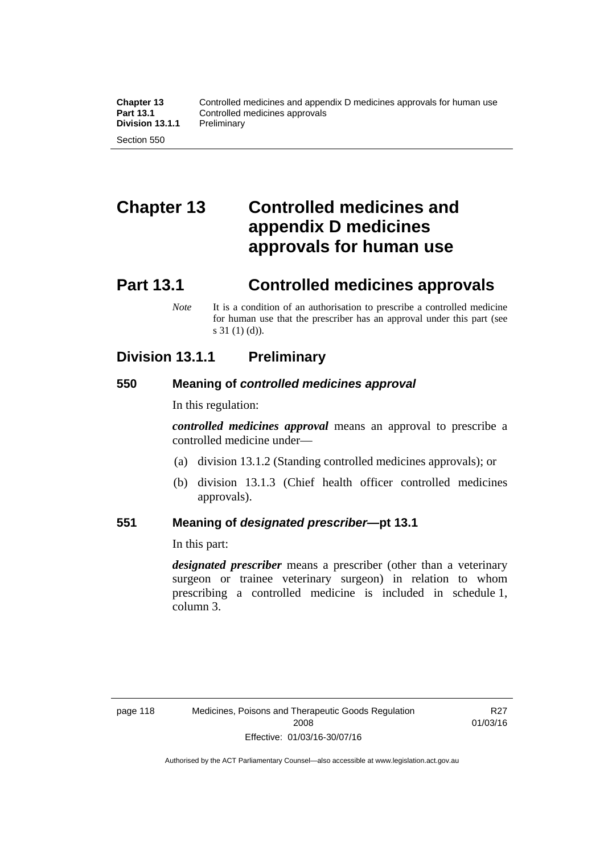# **Chapter 13 Controlled medicines and appendix D medicines approvals for human use**

### **Part 13.1 Controlled medicines approvals**

*Note* It is a condition of an authorisation to prescribe a controlled medicine for human use that the prescriber has an approval under this part (see s 31 (1) (d)).

### **Division 13.1.1 Preliminary**

### **550 Meaning of** *controlled medicines approval*

In this regulation:

*controlled medicines approval* means an approval to prescribe a controlled medicine under—

- (a) division 13.1.2 (Standing controlled medicines approvals); or
- (b) division 13.1.3 (Chief health officer controlled medicines approvals).

### **551 Meaning of** *designated prescriber***—pt 13.1**

In this part:

*designated prescriber* means a prescriber (other than a veterinary surgeon or trainee veterinary surgeon) in relation to whom prescribing a controlled medicine is included in schedule 1, column 3.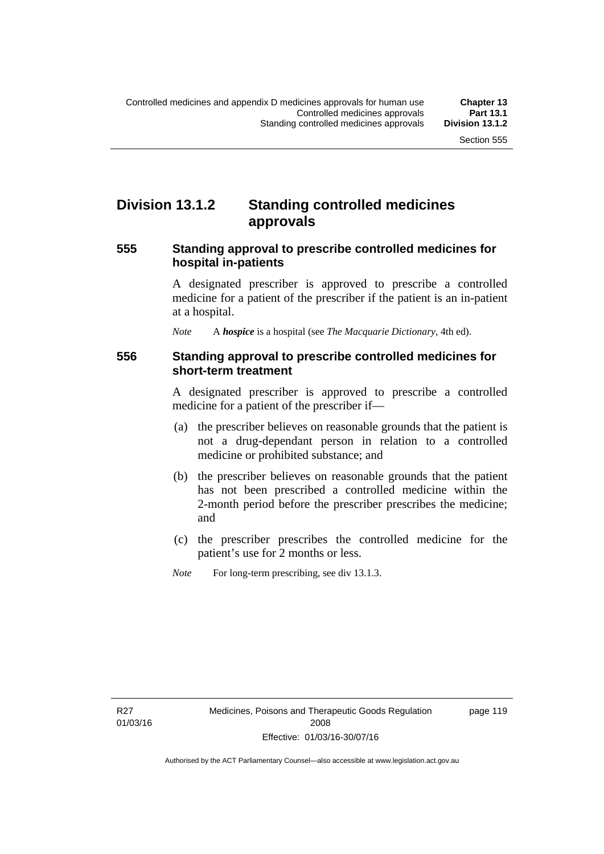### **Division 13.1.2 Standing controlled medicines approvals**

#### **555 Standing approval to prescribe controlled medicines for hospital in-patients**

A designated prescriber is approved to prescribe a controlled medicine for a patient of the prescriber if the patient is an in-patient at a hospital.

*Note* A *hospice* is a hospital (see *The Macquarie Dictionary*, 4th ed).

#### **556 Standing approval to prescribe controlled medicines for short-term treatment**

A designated prescriber is approved to prescribe a controlled medicine for a patient of the prescriber if—

- (a) the prescriber believes on reasonable grounds that the patient is not a drug-dependant person in relation to a controlled medicine or prohibited substance; and
- (b) the prescriber believes on reasonable grounds that the patient has not been prescribed a controlled medicine within the 2-month period before the prescriber prescribes the medicine; and
- (c) the prescriber prescribes the controlled medicine for the patient's use for 2 months or less.
- *Note* For long-term prescribing, see div 13.1.3.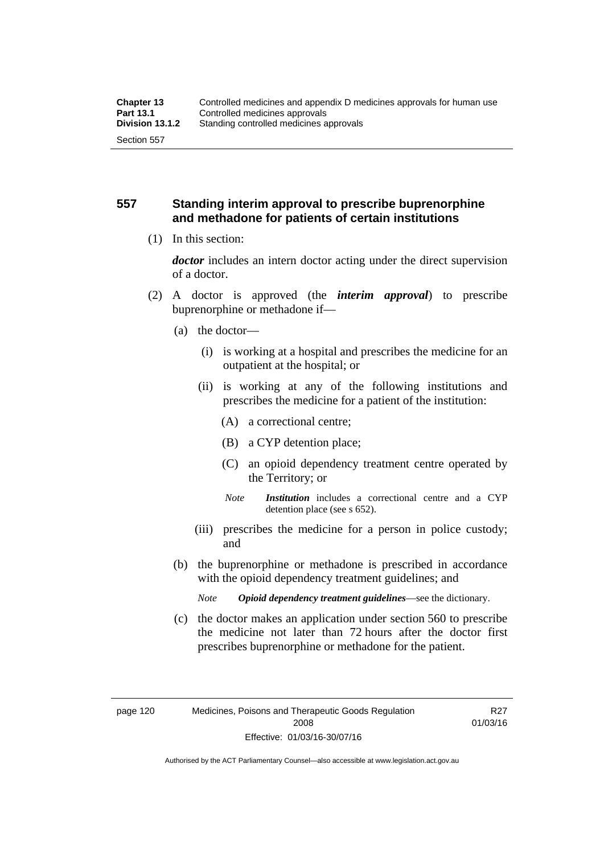### **557 Standing interim approval to prescribe buprenorphine and methadone for patients of certain institutions**

(1) In this section:

*doctor* includes an intern doctor acting under the direct supervision of a doctor.

- (2) A doctor is approved (the *interim approval*) to prescribe buprenorphine or methadone if—
	- (a) the doctor—
		- (i) is working at a hospital and prescribes the medicine for an outpatient at the hospital; or
		- (ii) is working at any of the following institutions and prescribes the medicine for a patient of the institution:
			- (A) a correctional centre;
			- (B) a CYP detention place;
			- (C) an opioid dependency treatment centre operated by the Territory; or
			- *Note Institution* includes a correctional centre and a CYP detention place (see s 652).
		- (iii) prescribes the medicine for a person in police custody; and
	- (b) the buprenorphine or methadone is prescribed in accordance with the opioid dependency treatment guidelines; and
		- *Note Opioid dependency treatment guidelines*—see the dictionary.
	- (c) the doctor makes an application under section 560 to prescribe the medicine not later than 72 hours after the doctor first prescribes buprenorphine or methadone for the patient.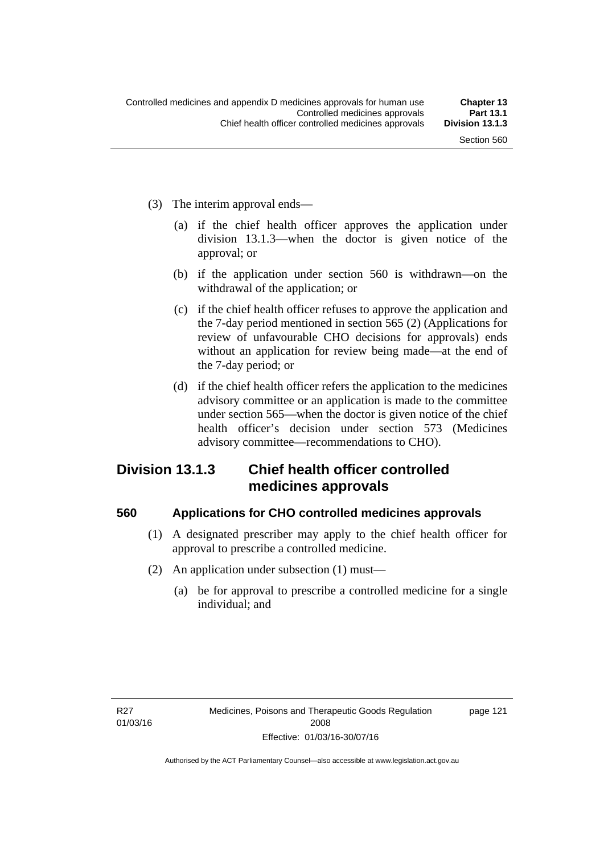- (3) The interim approval ends—
	- (a) if the chief health officer approves the application under division 13.1.3—when the doctor is given notice of the approval; or
	- (b) if the application under section 560 is withdrawn—on the withdrawal of the application; or
	- (c) if the chief health officer refuses to approve the application and the 7-day period mentioned in section 565 (2) (Applications for review of unfavourable CHO decisions for approvals) ends without an application for review being made—at the end of the 7-day period; or
	- (d) if the chief health officer refers the application to the medicines advisory committee or an application is made to the committee under section 565—when the doctor is given notice of the chief health officer's decision under section 573 (Medicines advisory committee—recommendations to CHO).

### **Division 13.1.3 Chief health officer controlled medicines approvals**

#### **560 Applications for CHO controlled medicines approvals**

- (1) A designated prescriber may apply to the chief health officer for approval to prescribe a controlled medicine.
- (2) An application under subsection (1) must—
	- (a) be for approval to prescribe a controlled medicine for a single individual; and

page 121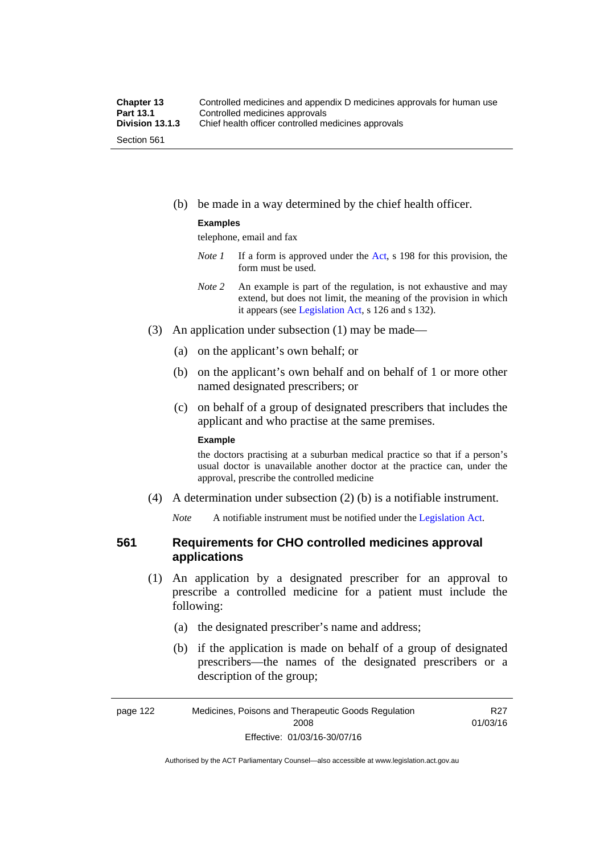(b) be made in a way determined by the chief health officer.

#### **Examples**

telephone, email and fax

- *Note 1* If a form is approved under the [Act](http://www.legislation.act.gov.au/a/2008-26/default.asp), s 198 for this provision, the form must be used.
- *Note 2* An example is part of the regulation, is not exhaustive and may extend, but does not limit, the meaning of the provision in which it appears (see [Legislation Act,](http://www.legislation.act.gov.au/a/2001-14) s 126 and s 132).
- (3) An application under subsection (1) may be made—
	- (a) on the applicant's own behalf; or
	- (b) on the applicant's own behalf and on behalf of 1 or more other named designated prescribers; or
	- (c) on behalf of a group of designated prescribers that includes the applicant and who practise at the same premises.

#### **Example**

the doctors practising at a suburban medical practice so that if a person's usual doctor is unavailable another doctor at the practice can, under the approval, prescribe the controlled medicine

(4) A determination under subsection (2) (b) is a notifiable instrument.

*Note* A notifiable instrument must be notified under the [Legislation Act](http://www.legislation.act.gov.au/a/2001-14).

#### **561 Requirements for CHO controlled medicines approval applications**

- (1) An application by a designated prescriber for an approval to prescribe a controlled medicine for a patient must include the following:
	- (a) the designated prescriber's name and address;
	- (b) if the application is made on behalf of a group of designated prescribers—the names of the designated prescribers or a description of the group;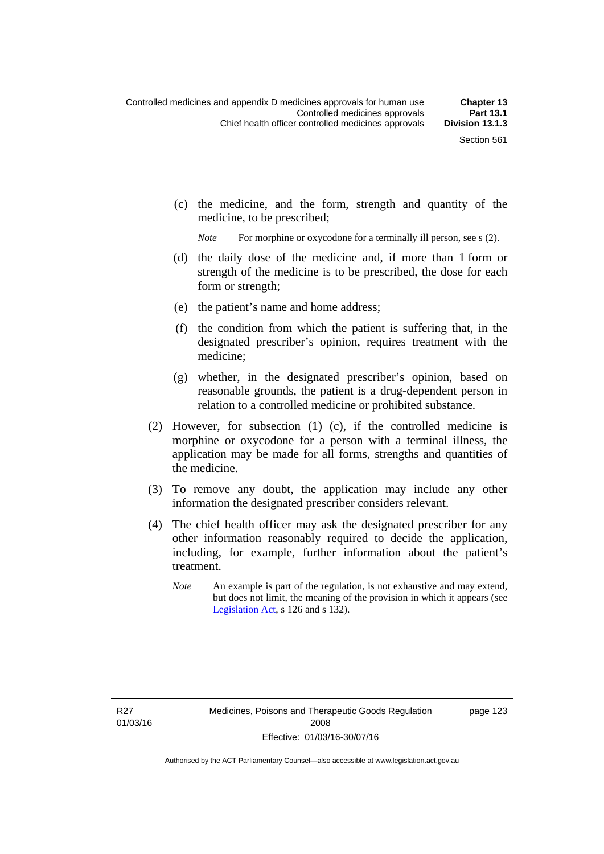(c) the medicine, and the form, strength and quantity of the medicine, to be prescribed;

*Note* For morphine or oxycodone for a terminally ill person, see s (2).

- (d) the daily dose of the medicine and, if more than 1 form or strength of the medicine is to be prescribed, the dose for each form or strength;
- (e) the patient's name and home address;
- (f) the condition from which the patient is suffering that, in the designated prescriber's opinion, requires treatment with the medicine;
- (g) whether, in the designated prescriber's opinion, based on reasonable grounds, the patient is a drug-dependent person in relation to a controlled medicine or prohibited substance.
- (2) However, for subsection (1) (c), if the controlled medicine is morphine or oxycodone for a person with a terminal illness, the application may be made for all forms, strengths and quantities of the medicine.
- (3) To remove any doubt, the application may include any other information the designated prescriber considers relevant.
- (4) The chief health officer may ask the designated prescriber for any other information reasonably required to decide the application, including, for example, further information about the patient's treatment.
	- *Note* An example is part of the regulation, is not exhaustive and may extend, but does not limit, the meaning of the provision in which it appears (see [Legislation Act,](http://www.legislation.act.gov.au/a/2001-14) s 126 and s 132).

R27 01/03/16 page 123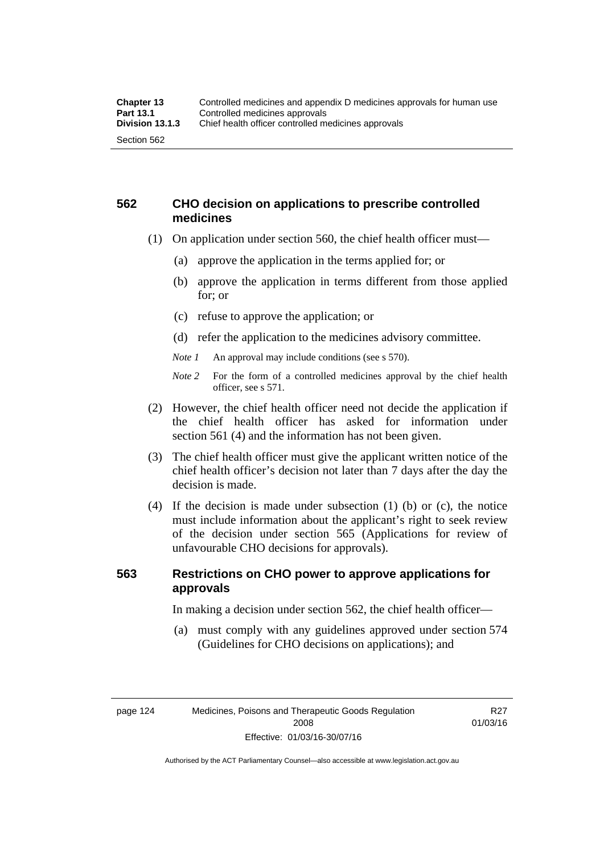#### **562 CHO decision on applications to prescribe controlled medicines**

- (1) On application under section 560, the chief health officer must—
	- (a) approve the application in the terms applied for; or
	- (b) approve the application in terms different from those applied for; or
	- (c) refuse to approve the application; or
	- (d) refer the application to the medicines advisory committee.
	- *Note 1* An approval may include conditions (see s 570).
	- *Note 2* For the form of a controlled medicines approval by the chief health officer, see s 571.
- (2) However, the chief health officer need not decide the application if the chief health officer has asked for information under section 561 (4) and the information has not been given.
- (3) The chief health officer must give the applicant written notice of the chief health officer's decision not later than 7 days after the day the decision is made.
- (4) If the decision is made under subsection (1) (b) or (c), the notice must include information about the applicant's right to seek review of the decision under section 565 (Applications for review of unfavourable CHO decisions for approvals).

### **563 Restrictions on CHO power to approve applications for approvals**

In making a decision under section 562, the chief health officer—

 (a) must comply with any guidelines approved under section 574 (Guidelines for CHO decisions on applications); and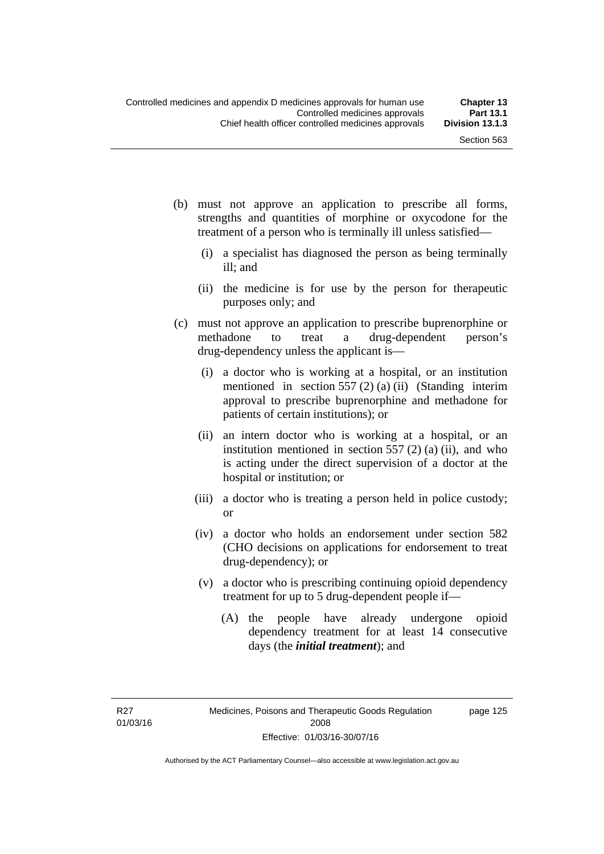- (b) must not approve an application to prescribe all forms, strengths and quantities of morphine or oxycodone for the treatment of a person who is terminally ill unless satisfied—
	- (i) a specialist has diagnosed the person as being terminally ill; and
	- (ii) the medicine is for use by the person for therapeutic purposes only; and
- (c) must not approve an application to prescribe buprenorphine or methadone to treat a drug-dependent person's drug-dependency unless the applicant is—
	- (i) a doctor who is working at a hospital, or an institution mentioned in section 557 (2) (a) (ii) (Standing interim approval to prescribe buprenorphine and methadone for patients of certain institutions); or
	- (ii) an intern doctor who is working at a hospital, or an institution mentioned in section  $557(2)$  (a) (ii), and who is acting under the direct supervision of a doctor at the hospital or institution; or
	- (iii) a doctor who is treating a person held in police custody; or
	- (iv) a doctor who holds an endorsement under section 582 (CHO decisions on applications for endorsement to treat drug-dependency); or
	- (v) a doctor who is prescribing continuing opioid dependency treatment for up to 5 drug-dependent people if—
		- (A) the people have already undergone opioid dependency treatment for at least 14 consecutive days (the *initial treatment*); and

R27 01/03/16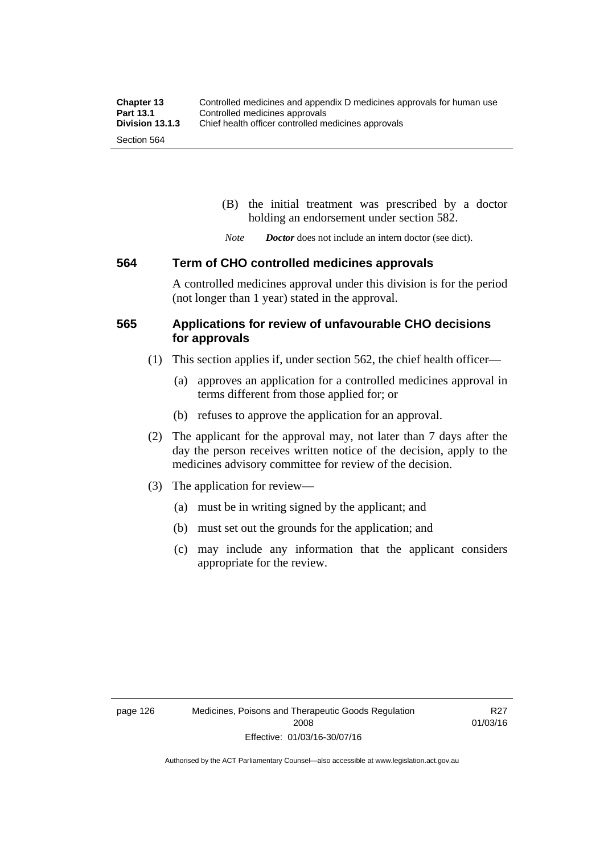(B) the initial treatment was prescribed by a doctor holding an endorsement under section 582.

*Note Doctor* does not include an intern doctor (see dict).

#### **564 Term of CHO controlled medicines approvals**

A controlled medicines approval under this division is for the period (not longer than 1 year) stated in the approval.

#### **565 Applications for review of unfavourable CHO decisions for approvals**

- (1) This section applies if, under section 562, the chief health officer—
	- (a) approves an application for a controlled medicines approval in terms different from those applied for; or
	- (b) refuses to approve the application for an approval.
- (2) The applicant for the approval may, not later than 7 days after the day the person receives written notice of the decision, apply to the medicines advisory committee for review of the decision.
- (3) The application for review—
	- (a) must be in writing signed by the applicant; and
	- (b) must set out the grounds for the application; and
	- (c) may include any information that the applicant considers appropriate for the review.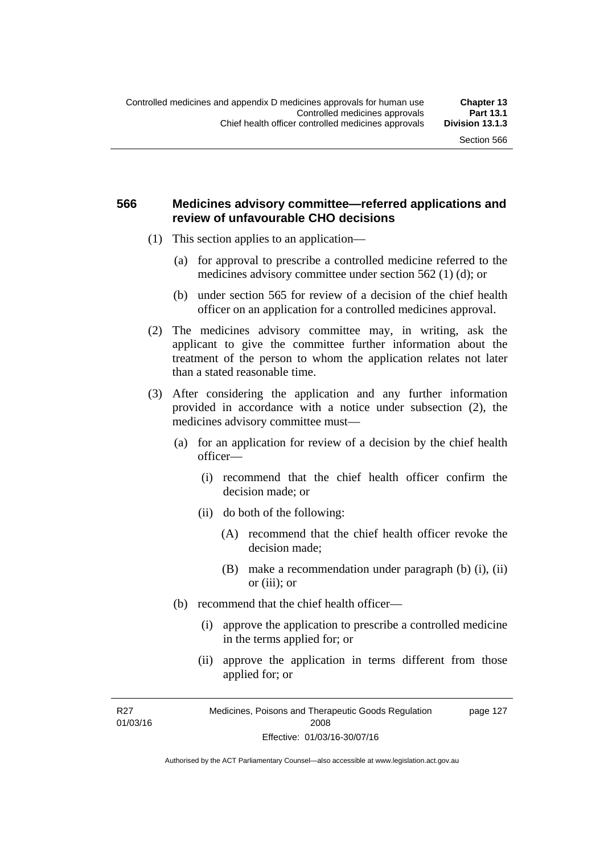#### **566 Medicines advisory committee—referred applications and review of unfavourable CHO decisions**

- (1) This section applies to an application—
	- (a) for approval to prescribe a controlled medicine referred to the medicines advisory committee under section 562 (1) (d); or
	- (b) under section 565 for review of a decision of the chief health officer on an application for a controlled medicines approval.
- (2) The medicines advisory committee may, in writing, ask the applicant to give the committee further information about the treatment of the person to whom the application relates not later than a stated reasonable time.
- (3) After considering the application and any further information provided in accordance with a notice under subsection (2), the medicines advisory committee must—
	- (a) for an application for review of a decision by the chief health officer—
		- (i) recommend that the chief health officer confirm the decision made; or
		- (ii) do both of the following:
			- (A) recommend that the chief health officer revoke the decision made;
			- (B) make a recommendation under paragraph (b) (i), (ii) or (iii); or
	- (b) recommend that the chief health officer—
		- (i) approve the application to prescribe a controlled medicine in the terms applied for; or
		- (ii) approve the application in terms different from those applied for; or

R27 01/03/16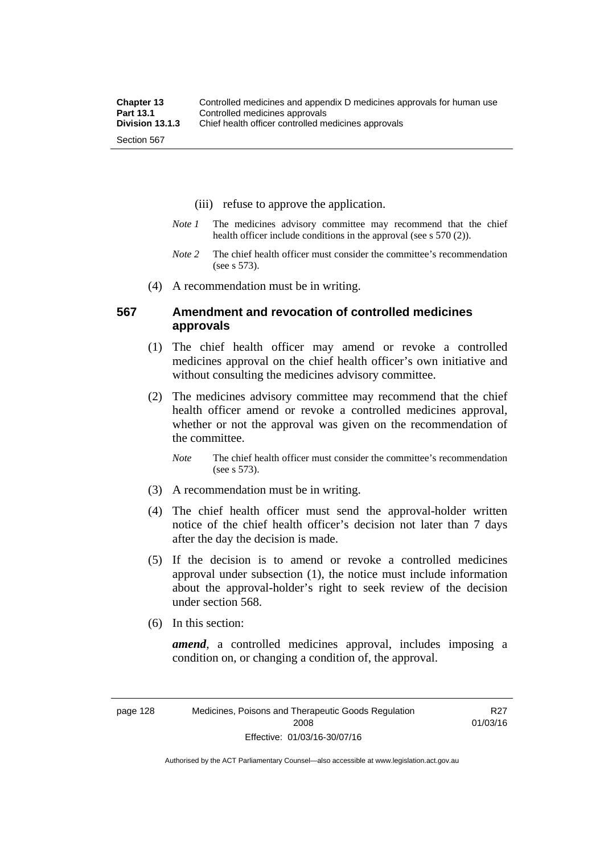- (iii) refuse to approve the application.
- *Note 1* The medicines advisory committee may recommend that the chief health officer include conditions in the approval (see s 570 (2)).
- *Note 2* The chief health officer must consider the committee's recommendation (see s 573).
- (4) A recommendation must be in writing.

#### **567 Amendment and revocation of controlled medicines approvals**

- (1) The chief health officer may amend or revoke a controlled medicines approval on the chief health officer's own initiative and without consulting the medicines advisory committee.
- (2) The medicines advisory committee may recommend that the chief health officer amend or revoke a controlled medicines approval, whether or not the approval was given on the recommendation of the committee.

*Note* The chief health officer must consider the committee's recommendation (see s 573).

- (3) A recommendation must be in writing.
- (4) The chief health officer must send the approval-holder written notice of the chief health officer's decision not later than 7 days after the day the decision is made.
- (5) If the decision is to amend or revoke a controlled medicines approval under subsection (1), the notice must include information about the approval-holder's right to seek review of the decision under section 568.
- (6) In this section:

*amend*, a controlled medicines approval, includes imposing a condition on, or changing a condition of, the approval.

R27 01/03/16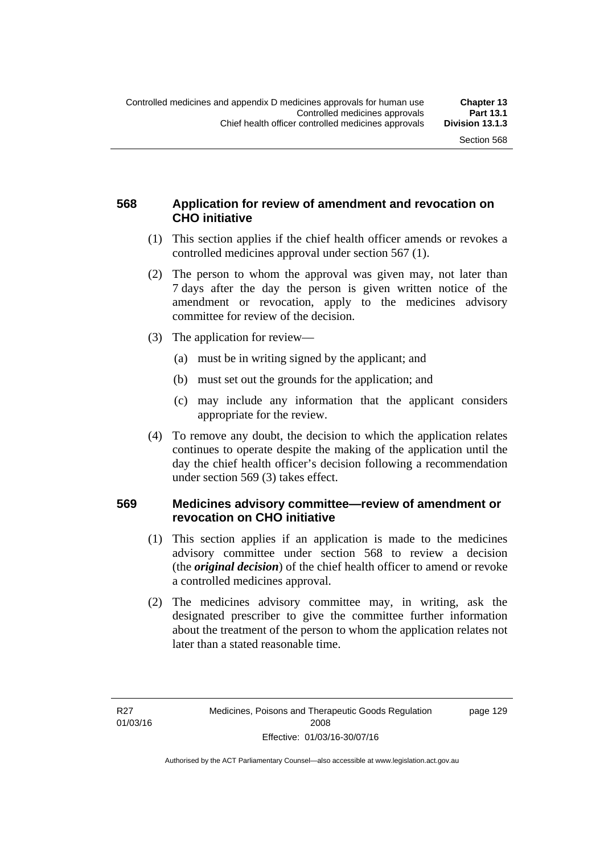### **568 Application for review of amendment and revocation on CHO initiative**

- (1) This section applies if the chief health officer amends or revokes a controlled medicines approval under section 567 (1).
- (2) The person to whom the approval was given may, not later than 7 days after the day the person is given written notice of the amendment or revocation, apply to the medicines advisory committee for review of the decision.
- (3) The application for review—
	- (a) must be in writing signed by the applicant; and
	- (b) must set out the grounds for the application; and
	- (c) may include any information that the applicant considers appropriate for the review.
- (4) To remove any doubt, the decision to which the application relates continues to operate despite the making of the application until the day the chief health officer's decision following a recommendation under section 569 (3) takes effect.

#### **569 Medicines advisory committee—review of amendment or revocation on CHO initiative**

- (1) This section applies if an application is made to the medicines advisory committee under section 568 to review a decision (the *original decision*) of the chief health officer to amend or revoke a controlled medicines approval.
- (2) The medicines advisory committee may, in writing, ask the designated prescriber to give the committee further information about the treatment of the person to whom the application relates not later than a stated reasonable time.

page 129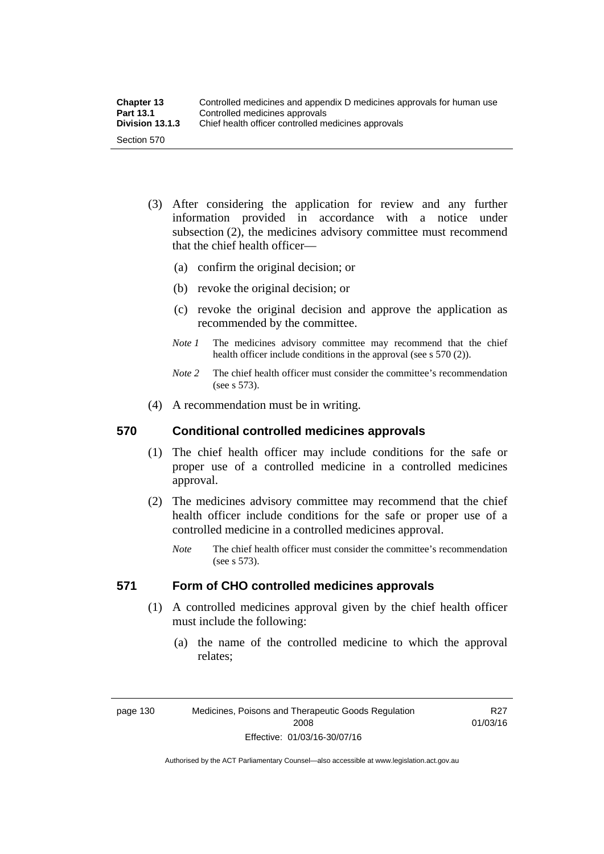| <b>Chapter 13</b> | Controlled medicines and appendix D medicines approvals for human use |
|-------------------|-----------------------------------------------------------------------|
| <b>Part 13.1</b>  | Controlled medicines approvals                                        |
| Division 13.1.3   | Chief health officer controlled medicines approvals                   |
| Section 570       |                                                                       |

- (3) After considering the application for review and any further information provided in accordance with a notice under subsection (2), the medicines advisory committee must recommend that the chief health officer—
	- (a) confirm the original decision; or
	- (b) revoke the original decision; or
	- (c) revoke the original decision and approve the application as recommended by the committee.
	- *Note 1* The medicines advisory committee may recommend that the chief health officer include conditions in the approval (see s 570 (2)).
	- *Note 2* The chief health officer must consider the committee's recommendation (see s 573).
- (4) A recommendation must be in writing.

#### **570 Conditional controlled medicines approvals**

- (1) The chief health officer may include conditions for the safe or proper use of a controlled medicine in a controlled medicines approval.
- (2) The medicines advisory committee may recommend that the chief health officer include conditions for the safe or proper use of a controlled medicine in a controlled medicines approval.
	- *Note* The chief health officer must consider the committee's recommendation (see s 573).

### **571 Form of CHO controlled medicines approvals**

- (1) A controlled medicines approval given by the chief health officer must include the following:
	- (a) the name of the controlled medicine to which the approval relates;

R27 01/03/16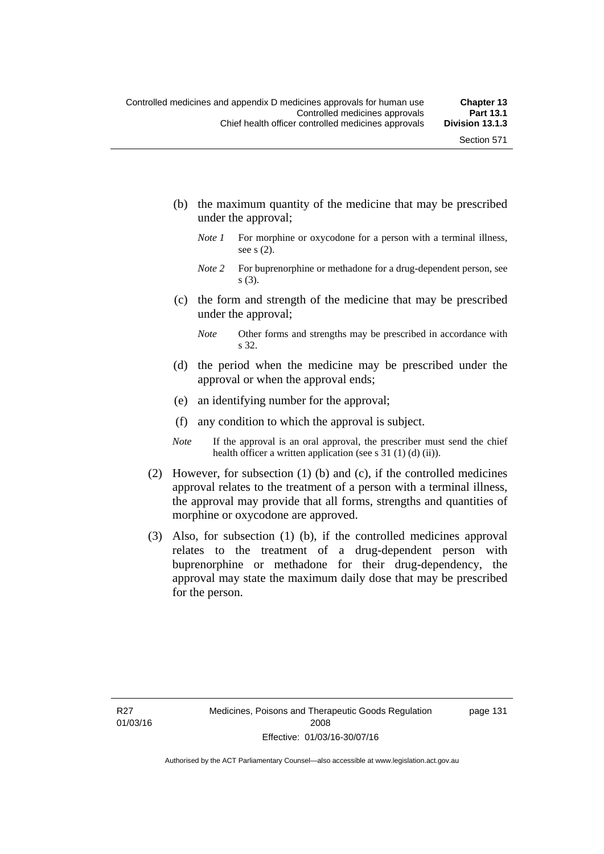- (b) the maximum quantity of the medicine that may be prescribed under the approval;
	- *Note 1* For morphine or oxycodone for a person with a terminal illness, see s (2).
	- *Note 2* For buprenorphine or methadone for a drug-dependent person, see s (3).
- (c) the form and strength of the medicine that may be prescribed under the approval;
	- *Note* Other forms and strengths may be prescribed in accordance with s 32.
- (d) the period when the medicine may be prescribed under the approval or when the approval ends;
- (e) an identifying number for the approval;
- (f) any condition to which the approval is subject.
- *Note* If the approval is an oral approval, the prescriber must send the chief health officer a written application (see s 31 (1) (d) (ii)).
- (2) However, for subsection (1) (b) and (c), if the controlled medicines approval relates to the treatment of a person with a terminal illness, the approval may provide that all forms, strengths and quantities of morphine or oxycodone are approved.
- (3) Also, for subsection (1) (b), if the controlled medicines approval relates to the treatment of a drug-dependent person with buprenorphine or methadone for their drug-dependency, the approval may state the maximum daily dose that may be prescribed for the person.

page 131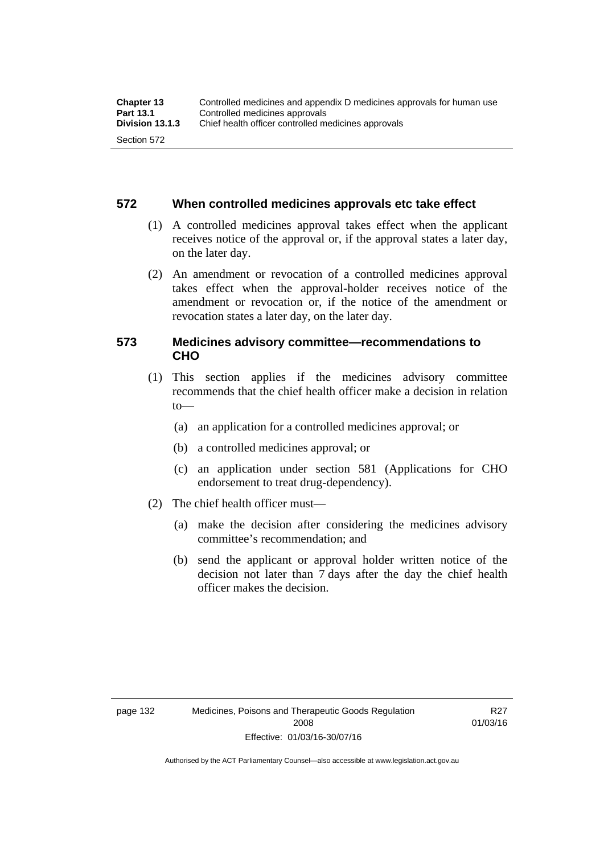#### **572 When controlled medicines approvals etc take effect**

- (1) A controlled medicines approval takes effect when the applicant receives notice of the approval or, if the approval states a later day, on the later day.
- (2) An amendment or revocation of a controlled medicines approval takes effect when the approval-holder receives notice of the amendment or revocation or, if the notice of the amendment or revocation states a later day, on the later day.

#### **573 Medicines advisory committee—recommendations to CHO**

- (1) This section applies if the medicines advisory committee recommends that the chief health officer make a decision in relation  $to$ 
	- (a) an application for a controlled medicines approval; or
	- (b) a controlled medicines approval; or
	- (c) an application under section 581 (Applications for CHO endorsement to treat drug-dependency).
- (2) The chief health officer must—
	- (a) make the decision after considering the medicines advisory committee's recommendation; and
	- (b) send the applicant or approval holder written notice of the decision not later than 7 days after the day the chief health officer makes the decision.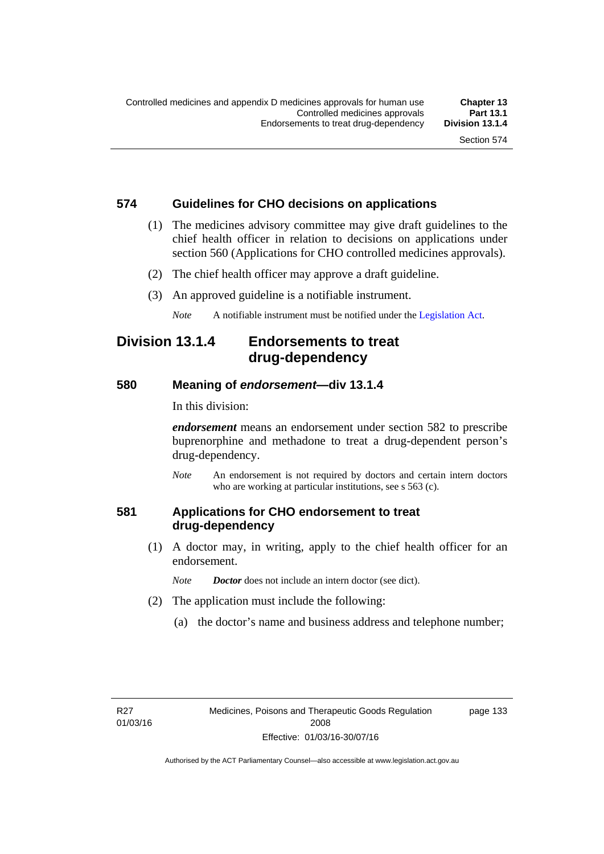#### **574 Guidelines for CHO decisions on applications**

- (1) The medicines advisory committee may give draft guidelines to the chief health officer in relation to decisions on applications under section 560 (Applications for CHO controlled medicines approvals).
- (2) The chief health officer may approve a draft guideline.
- (3) An approved guideline is a notifiable instrument.

*Note* A notifiable instrument must be notified under the [Legislation Act](http://www.legislation.act.gov.au/a/2001-14).

### **Division 13.1.4 Endorsements to treat drug-dependency**

#### **580 Meaning of** *endorsement***—div 13.1.4**

In this division:

*endorsement* means an endorsement under section 582 to prescribe buprenorphine and methadone to treat a drug-dependent person's drug-dependency.

*Note* An endorsement is not required by doctors and certain intern doctors who are working at particular institutions, see s 563 (c).

### **581 Applications for CHO endorsement to treat drug-dependency**

 (1) A doctor may, in writing, apply to the chief health officer for an endorsement.

*Note Doctor* does not include an intern doctor (see dict).

- (2) The application must include the following:
	- (a) the doctor's name and business address and telephone number;

page 133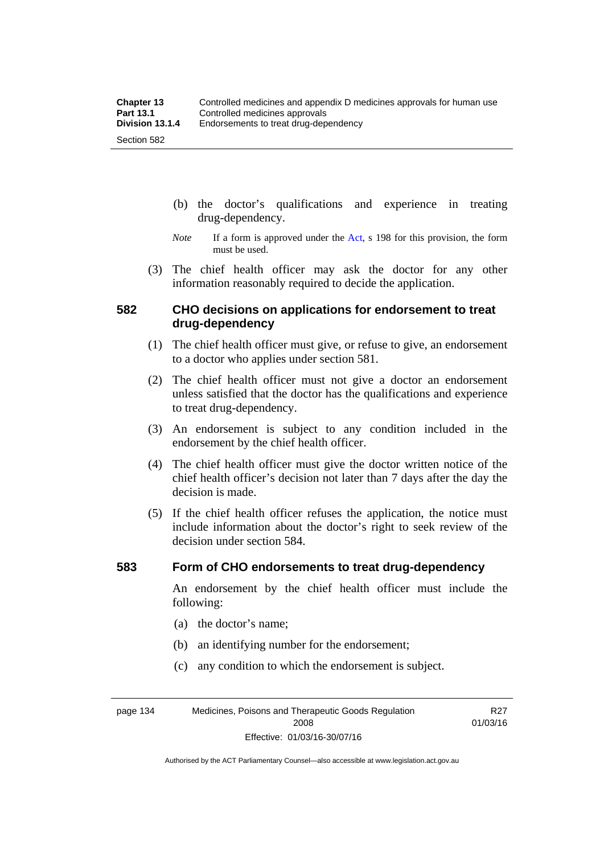- (b) the doctor's qualifications and experience in treating drug-dependency.
- *Note* If a form is approved under the [Act](http://www.legislation.act.gov.au/a/2008-26/default.asp), s 198 for this provision, the form must be used.
- (3) The chief health officer may ask the doctor for any other information reasonably required to decide the application.

#### **582 CHO decisions on applications for endorsement to treat drug-dependency**

- (1) The chief health officer must give, or refuse to give, an endorsement to a doctor who applies under section 581.
- (2) The chief health officer must not give a doctor an endorsement unless satisfied that the doctor has the qualifications and experience to treat drug-dependency.
- (3) An endorsement is subject to any condition included in the endorsement by the chief health officer.
- (4) The chief health officer must give the doctor written notice of the chief health officer's decision not later than 7 days after the day the decision is made.
- (5) If the chief health officer refuses the application, the notice must include information about the doctor's right to seek review of the decision under section 584.

#### **583 Form of CHO endorsements to treat drug-dependency**

An endorsement by the chief health officer must include the following:

- (a) the doctor's name;
- (b) an identifying number for the endorsement;
- (c) any condition to which the endorsement is subject.

page 134 Medicines, Poisons and Therapeutic Goods Regulation 2008 Effective: 01/03/16-30/07/16

R27 01/03/16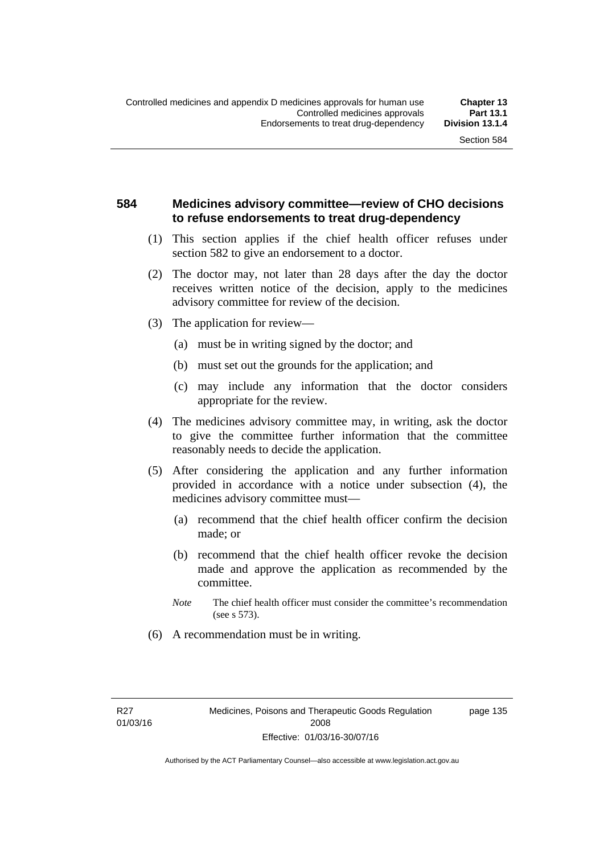#### **584 Medicines advisory committee—review of CHO decisions to refuse endorsements to treat drug-dependency**

- (1) This section applies if the chief health officer refuses under section 582 to give an endorsement to a doctor.
- (2) The doctor may, not later than 28 days after the day the doctor receives written notice of the decision, apply to the medicines advisory committee for review of the decision.
- (3) The application for review—
	- (a) must be in writing signed by the doctor; and
	- (b) must set out the grounds for the application; and
	- (c) may include any information that the doctor considers appropriate for the review.
- (4) The medicines advisory committee may, in writing, ask the doctor to give the committee further information that the committee reasonably needs to decide the application.
- (5) After considering the application and any further information provided in accordance with a notice under subsection (4), the medicines advisory committee must—
	- (a) recommend that the chief health officer confirm the decision made; or
	- (b) recommend that the chief health officer revoke the decision made and approve the application as recommended by the committee.
	- *Note* The chief health officer must consider the committee's recommendation (see s 573).
- (6) A recommendation must be in writing.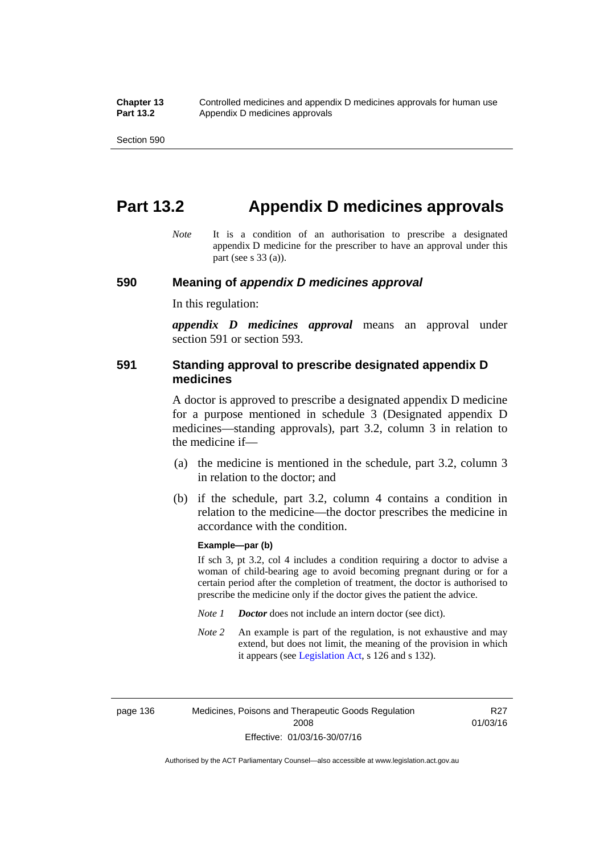# **Part 13.2 Appendix D medicines approvals**

*Note* It is a condition of an authorisation to prescribe a designated appendix D medicine for the prescriber to have an approval under this part (see s 33 (a)).

#### **590 Meaning of** *appendix D medicines approval*

In this regulation:

*appendix D medicines approval* means an approval under section 591 or section 593.

#### **591 Standing approval to prescribe designated appendix D medicines**

A doctor is approved to prescribe a designated appendix D medicine for a purpose mentioned in schedule 3 (Designated appendix D medicines—standing approvals), part 3.2, column 3 in relation to the medicine if—

- (a) the medicine is mentioned in the schedule, part 3.2, column 3 in relation to the doctor; and
- (b) if the schedule, part 3.2, column 4 contains a condition in relation to the medicine—the doctor prescribes the medicine in accordance with the condition.

#### **Example—par (b)**

If sch 3, pt 3.2, col 4 includes a condition requiring a doctor to advise a woman of child-bearing age to avoid becoming pregnant during or for a certain period after the completion of treatment, the doctor is authorised to prescribe the medicine only if the doctor gives the patient the advice.

- *Note 1 Doctor* does not include an intern doctor (see dict).
- *Note 2* An example is part of the regulation, is not exhaustive and may extend, but does not limit, the meaning of the provision in which it appears (see [Legislation Act,](http://www.legislation.act.gov.au/a/2001-14) s 126 and s 132).

page 136 Medicines, Poisons and Therapeutic Goods Regulation 2008 Effective: 01/03/16-30/07/16

R27 01/03/16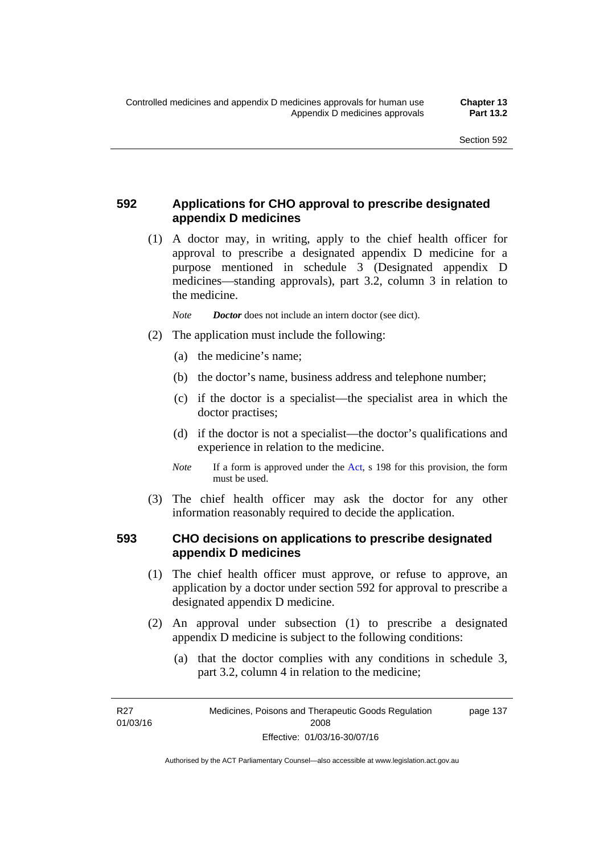### **592 Applications for CHO approval to prescribe designated appendix D medicines**

 (1) A doctor may, in writing, apply to the chief health officer for approval to prescribe a designated appendix D medicine for a purpose mentioned in schedule 3 (Designated appendix D medicines—standing approvals), part 3.2, column 3 in relation to the medicine.

*Note Doctor* does not include an intern doctor (see dict).

- (2) The application must include the following:
	- (a) the medicine's name;
	- (b) the doctor's name, business address and telephone number;
	- (c) if the doctor is a specialist—the specialist area in which the doctor practises;
	- (d) if the doctor is not a specialist—the doctor's qualifications and experience in relation to the medicine.
	- *Note* If a form is approved under the [Act](http://www.legislation.act.gov.au/a/2008-26/default.asp), s 198 for this provision, the form must be used.
- (3) The chief health officer may ask the doctor for any other information reasonably required to decide the application.

#### **593 CHO decisions on applications to prescribe designated appendix D medicines**

- (1) The chief health officer must approve, or refuse to approve, an application by a doctor under section 592 for approval to prescribe a designated appendix D medicine.
- (2) An approval under subsection (1) to prescribe a designated appendix D medicine is subject to the following conditions:
	- (a) that the doctor complies with any conditions in schedule 3, part 3.2, column 4 in relation to the medicine;

R27 01/03/16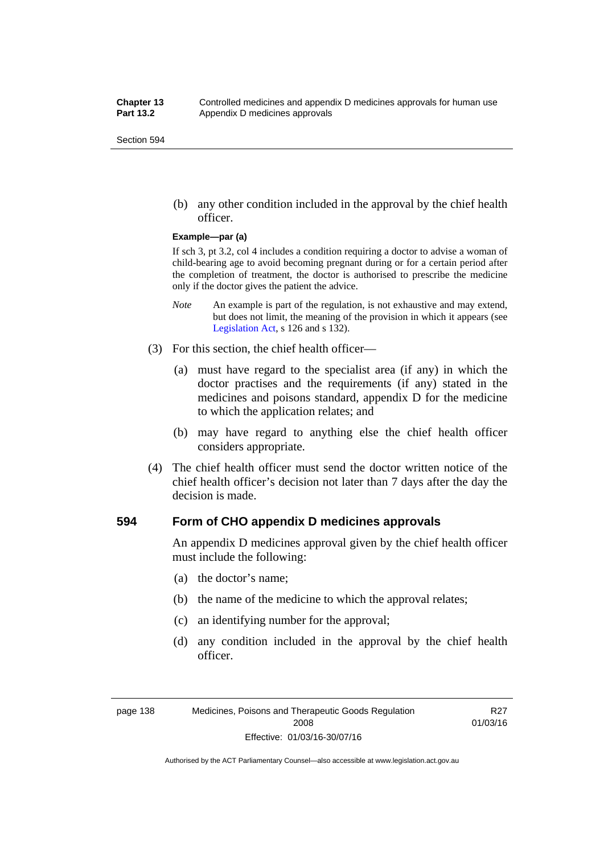(b) any other condition included in the approval by the chief health officer.

#### **Example—par (a)**

If sch 3, pt 3.2, col 4 includes a condition requiring a doctor to advise a woman of child-bearing age to avoid becoming pregnant during or for a certain period after the completion of treatment, the doctor is authorised to prescribe the medicine only if the doctor gives the patient the advice.

- *Note* An example is part of the regulation, is not exhaustive and may extend, but does not limit, the meaning of the provision in which it appears (see [Legislation Act,](http://www.legislation.act.gov.au/a/2001-14) s 126 and s 132).
- (3) For this section, the chief health officer—
	- (a) must have regard to the specialist area (if any) in which the doctor practises and the requirements (if any) stated in the medicines and poisons standard, appendix D for the medicine to which the application relates; and
	- (b) may have regard to anything else the chief health officer considers appropriate.
- (4) The chief health officer must send the doctor written notice of the chief health officer's decision not later than 7 days after the day the decision is made.

#### **594 Form of CHO appendix D medicines approvals**

An appendix D medicines approval given by the chief health officer must include the following:

- (a) the doctor's name;
- (b) the name of the medicine to which the approval relates;
- (c) an identifying number for the approval;
- (d) any condition included in the approval by the chief health officer.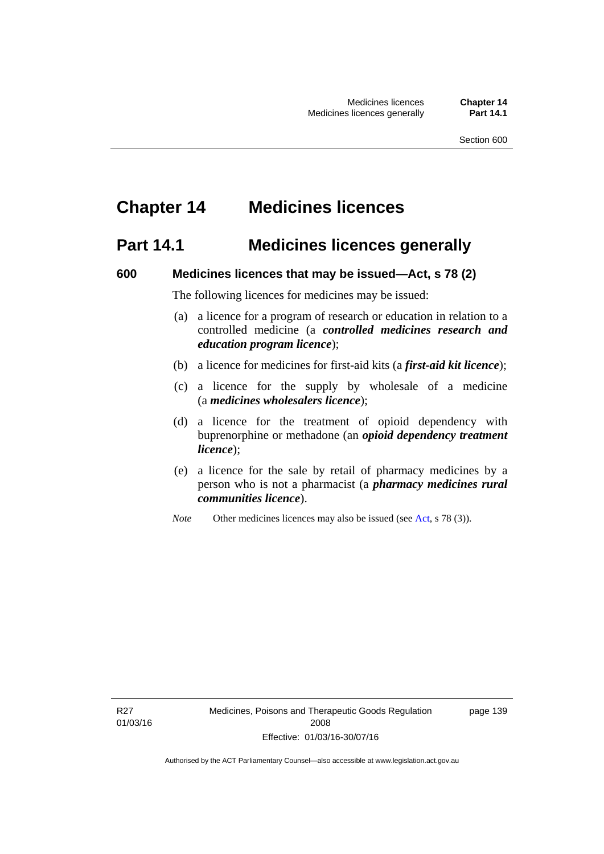# **Chapter 14 Medicines licences**

### **Part 14.1 Medicines licences generally**

#### **600 Medicines licences that may be issued—Act, s 78 (2)**

The following licences for medicines may be issued:

- (a) a licence for a program of research or education in relation to a controlled medicine (a *controlled medicines research and education program licence*);
- (b) a licence for medicines for first-aid kits (a *first-aid kit licence*);
- (c) a licence for the supply by wholesale of a medicine (a *medicines wholesalers licence*);
- (d) a licence for the treatment of opioid dependency with buprenorphine or methadone (an *opioid dependency treatment licence*);
- (e) a licence for the sale by retail of pharmacy medicines by a person who is not a pharmacist (a *pharmacy medicines rural communities licence*).
- *Note* Other medicines licences may also be issued (see [Act,](http://www.legislation.act.gov.au/a/2008-26/default.asp) s 78 (3)).

R27 01/03/16 page 139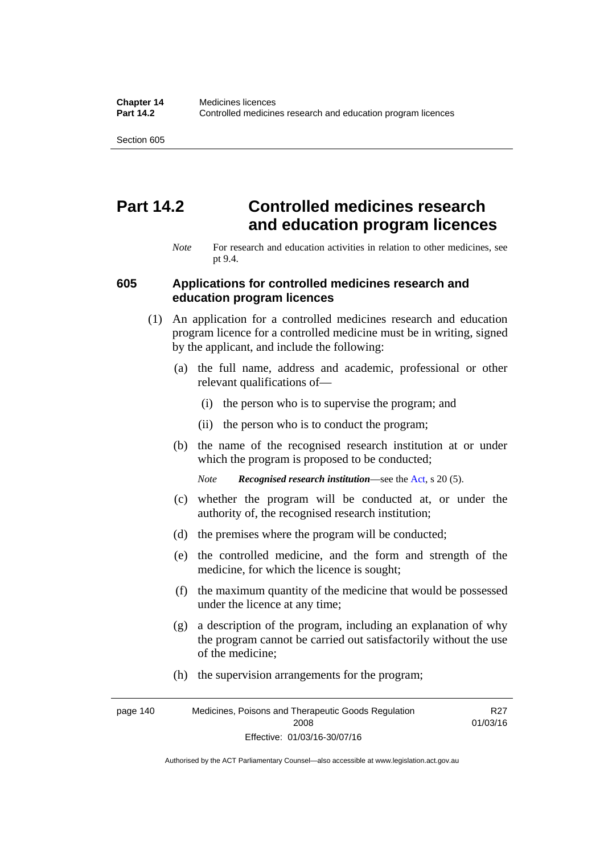# **Part 14.2 Controlled medicines research and education program licences**

*Note* For research and education activities in relation to other medicines, see pt 9.4.

#### **605 Applications for controlled medicines research and education program licences**

- (1) An application for a controlled medicines research and education program licence for a controlled medicine must be in writing, signed by the applicant, and include the following:
	- (a) the full name, address and academic, professional or other relevant qualifications of—
		- (i) the person who is to supervise the program; and
		- (ii) the person who is to conduct the program;
	- (b) the name of the recognised research institution at or under which the program is proposed to be conducted;
		- *Note Recognised research institution*—see the [Act](http://www.legislation.act.gov.au/a/2008-26/default.asp), s 20 (5).
	- (c) whether the program will be conducted at, or under the authority of, the recognised research institution;
	- (d) the premises where the program will be conducted;
	- (e) the controlled medicine, and the form and strength of the medicine, for which the licence is sought;
	- (f) the maximum quantity of the medicine that would be possessed under the licence at any time;
	- (g) a description of the program, including an explanation of why the program cannot be carried out satisfactorily without the use of the medicine;
	- (h) the supervision arrangements for the program;

page 140 Medicines, Poisons and Therapeutic Goods Regulation 2008 Effective: 01/03/16-30/07/16 R27 01/03/16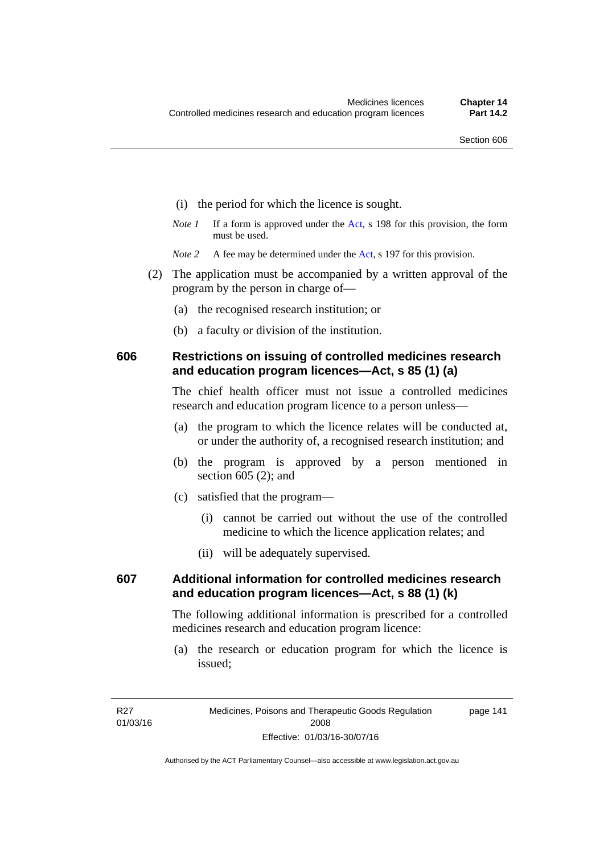- (i) the period for which the licence is sought.
- *Note 1* If a form is approved under the [Act](http://www.legislation.act.gov.au/a/2008-26/default.asp), s 198 for this provision, the form must be used.
- *Note* 2 A fee may be determined under the [Act,](http://www.legislation.act.gov.au/a/2008-26/default.asp) s 197 for this provision.
- (2) The application must be accompanied by a written approval of the program by the person in charge of—
	- (a) the recognised research institution; or
	- (b) a faculty or division of the institution.

#### **606 Restrictions on issuing of controlled medicines research and education program licences—Act, s 85 (1) (a)**

The chief health officer must not issue a controlled medicines research and education program licence to a person unless—

- (a) the program to which the licence relates will be conducted at, or under the authority of, a recognised research institution; and
- (b) the program is approved by a person mentioned in section 605 (2); and
- (c) satisfied that the program—
	- (i) cannot be carried out without the use of the controlled medicine to which the licence application relates; and
	- (ii) will be adequately supervised.

### **607 Additional information for controlled medicines research and education program licences—Act, s 88 (1) (k)**

The following additional information is prescribed for a controlled medicines research and education program licence:

 (a) the research or education program for which the licence is issued;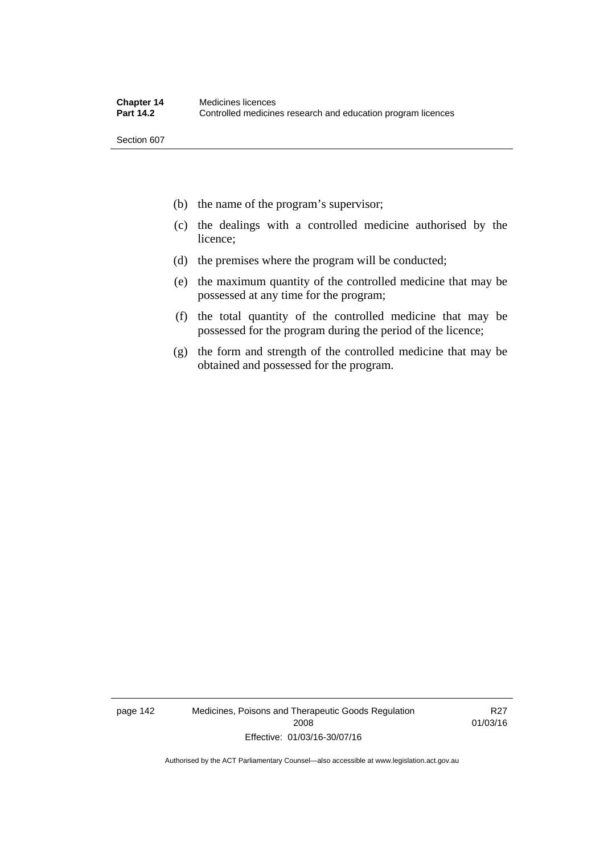- (b) the name of the program's supervisor;
- (c) the dealings with a controlled medicine authorised by the licence;
- (d) the premises where the program will be conducted;
- (e) the maximum quantity of the controlled medicine that may be possessed at any time for the program;
- (f) the total quantity of the controlled medicine that may be possessed for the program during the period of the licence;
- (g) the form and strength of the controlled medicine that may be obtained and possessed for the program.

page 142 Medicines, Poisons and Therapeutic Goods Regulation 2008 Effective: 01/03/16-30/07/16

R27 01/03/16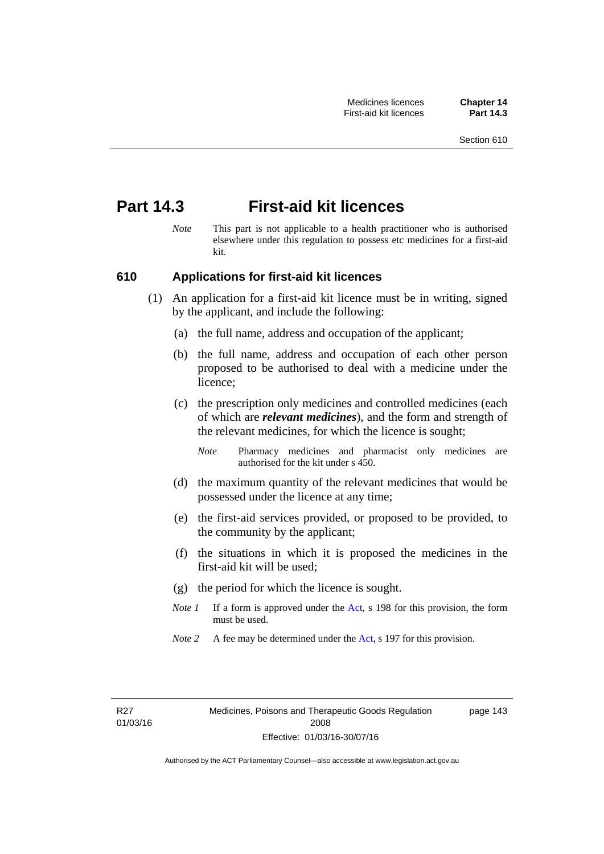# **Part 14.3 First-aid kit licences**

*Note* This part is not applicable to a health practitioner who is authorised elsewhere under this regulation to possess etc medicines for a first-aid kit.

#### **610 Applications for first-aid kit licences**

- (1) An application for a first-aid kit licence must be in writing, signed by the applicant, and include the following:
	- (a) the full name, address and occupation of the applicant;
	- (b) the full name, address and occupation of each other person proposed to be authorised to deal with a medicine under the licence;
	- (c) the prescription only medicines and controlled medicines (each of which are *relevant medicines*), and the form and strength of the relevant medicines, for which the licence is sought;
		- *Note* Pharmacy medicines and pharmacist only medicines are authorised for the kit under s 450.
	- (d) the maximum quantity of the relevant medicines that would be possessed under the licence at any time;
	- (e) the first-aid services provided, or proposed to be provided, to the community by the applicant;
	- (f) the situations in which it is proposed the medicines in the first-aid kit will be used;
	- (g) the period for which the licence is sought.
	- *Note 1* If a form is approved under the [Act](http://www.legislation.act.gov.au/a/2008-26/default.asp), s 198 for this provision, the form must be used.
	- *Note 2* A fee may be determined under the [Act,](http://www.legislation.act.gov.au/a/2008-26/default.asp) s 197 for this provision.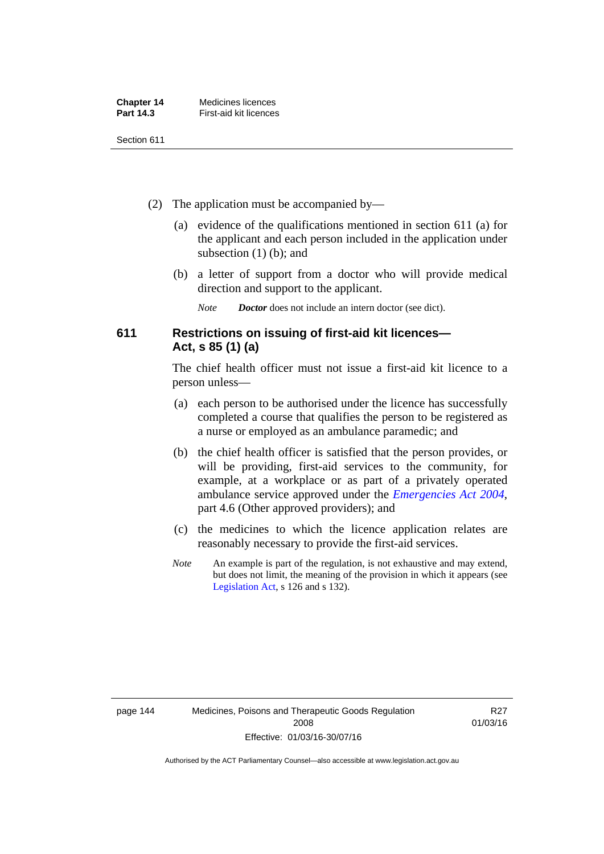| <b>Chapter 14</b> | Medicines licences     |
|-------------------|------------------------|
| <b>Part 14.3</b>  | First-aid kit licences |

- (2) The application must be accompanied by—
	- (a) evidence of the qualifications mentioned in section 611 (a) for the applicant and each person included in the application under subsection (1) (b); and
	- (b) a letter of support from a doctor who will provide medical direction and support to the applicant.
		- *Note Doctor* does not include an intern doctor (see dict).

#### **611 Restrictions on issuing of first-aid kit licences— Act, s 85 (1) (a)**

The chief health officer must not issue a first-aid kit licence to a person unless—

- (a) each person to be authorised under the licence has successfully completed a course that qualifies the person to be registered as a nurse or employed as an ambulance paramedic; and
- (b) the chief health officer is satisfied that the person provides, or will be providing, first-aid services to the community, for example, at a workplace or as part of a privately operated ambulance service approved under the *[Emergencies Act 2004](http://www.legislation.act.gov.au/a/2004-28)*, part 4.6 (Other approved providers); and
- (c) the medicines to which the licence application relates are reasonably necessary to provide the first-aid services.
- *Note* An example is part of the regulation, is not exhaustive and may extend, but does not limit, the meaning of the provision in which it appears (see [Legislation Act,](http://www.legislation.act.gov.au/a/2001-14) s 126 and s 132).

R27 01/03/16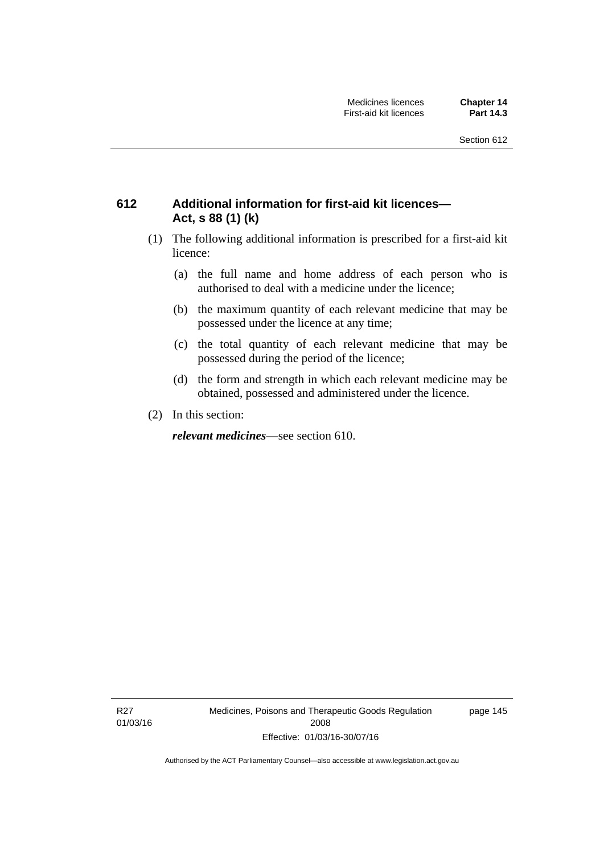### **612 Additional information for first-aid kit licences— Act, s 88 (1) (k)**

- (1) The following additional information is prescribed for a first-aid kit licence:
	- (a) the full name and home address of each person who is authorised to deal with a medicine under the licence;
	- (b) the maximum quantity of each relevant medicine that may be possessed under the licence at any time;
	- (c) the total quantity of each relevant medicine that may be possessed during the period of the licence;
	- (d) the form and strength in which each relevant medicine may be obtained, possessed and administered under the licence.
- (2) In this section:

*relevant medicines*—see section 610.

R27 01/03/16 Medicines, Poisons and Therapeutic Goods Regulation 2008 Effective: 01/03/16-30/07/16

page 145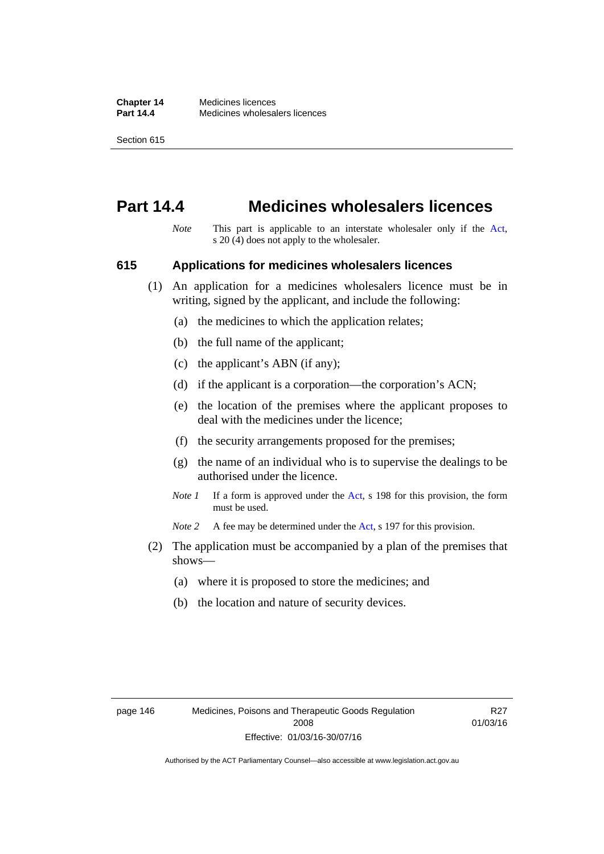### **Part 14.4 Medicines wholesalers licences**

*Note* This part is applicable to an interstate wholesaler only if the [Act,](http://www.legislation.act.gov.au/a/2008-26/default.asp) s 20 (4) does not apply to the wholesaler.

#### **615 Applications for medicines wholesalers licences**

- (1) An application for a medicines wholesalers licence must be in writing, signed by the applicant, and include the following:
	- (a) the medicines to which the application relates;
	- (b) the full name of the applicant;
	- (c) the applicant's ABN (if any);
	- (d) if the applicant is a corporation—the corporation's ACN;
	- (e) the location of the premises where the applicant proposes to deal with the medicines under the licence;
	- (f) the security arrangements proposed for the premises;
	- (g) the name of an individual who is to supervise the dealings to be authorised under the licence.
	- *Note 1* If a form is approved under the [Act](http://www.legislation.act.gov.au/a/2008-26/default.asp), s 198 for this provision, the form must be used.

*Note* 2 A fee may be determined under the [Act,](http://www.legislation.act.gov.au/a/2008-26/default.asp) s 197 for this provision.

- (2) The application must be accompanied by a plan of the premises that shows—
	- (a) where it is proposed to store the medicines; and
	- (b) the location and nature of security devices.

R27 01/03/16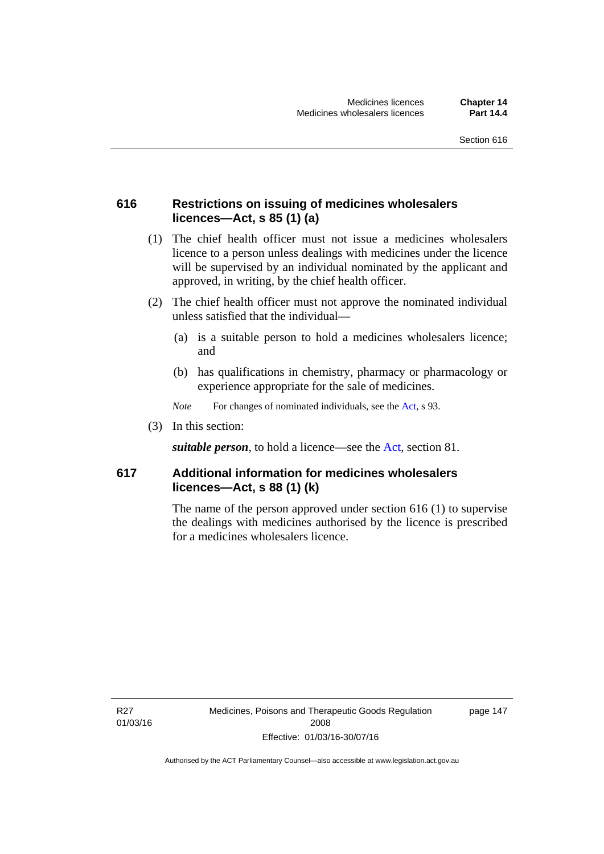### **616 Restrictions on issuing of medicines wholesalers licences—Act, s 85 (1) (a)**

- (1) The chief health officer must not issue a medicines wholesalers licence to a person unless dealings with medicines under the licence will be supervised by an individual nominated by the applicant and approved, in writing, by the chief health officer.
- (2) The chief health officer must not approve the nominated individual unless satisfied that the individual—
	- (a) is a suitable person to hold a medicines wholesalers licence; and
	- (b) has qualifications in chemistry, pharmacy or pharmacology or experience appropriate for the sale of medicines.
	- *Note* For changes of nominated individuals, see the [Act,](http://www.legislation.act.gov.au/a/2008-26/default.asp) s 93.
- (3) In this section:

*suitable person*, to hold a licence—see the [Act](http://www.legislation.act.gov.au/a/2008-26/default.asp), section 81.

#### **617 Additional information for medicines wholesalers licences—Act, s 88 (1) (k)**

The name of the person approved under section 616 (1) to supervise the dealings with medicines authorised by the licence is prescribed for a medicines wholesalers licence.

R27 01/03/16 page 147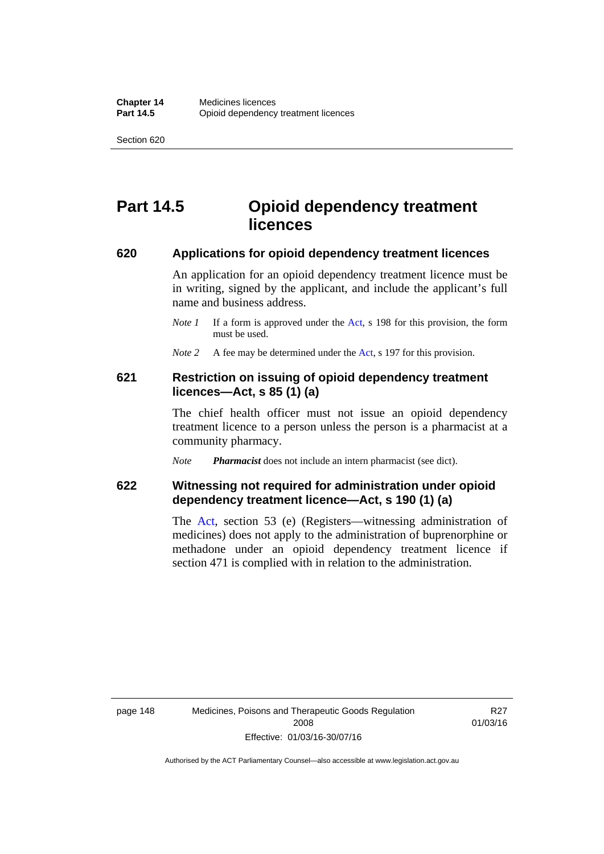# **Part 14.5 Opioid dependency treatment licences**

#### **620 Applications for opioid dependency treatment licences**

An application for an opioid dependency treatment licence must be in writing, signed by the applicant, and include the applicant's full name and business address.

- *Note 1* If a form is approved under the [Act](http://www.legislation.act.gov.au/a/2008-26/default.asp), s 198 for this provision, the form must be used.
- *Note 2* A fee may be determined under the [Act,](http://www.legislation.act.gov.au/a/2008-26/default.asp) s 197 for this provision.

#### **621 Restriction on issuing of opioid dependency treatment licences—Act, s 85 (1) (a)**

The chief health officer must not issue an opioid dependency treatment licence to a person unless the person is a pharmacist at a community pharmacy.

*Note Pharmacist* does not include an intern pharmacist (see dict).

#### **622 Witnessing not required for administration under opioid dependency treatment licence—Act, s 190 (1) (a)**

The [Act,](http://www.legislation.act.gov.au/a/2008-26/default.asp) section 53 (e) (Registers—witnessing administration of medicines) does not apply to the administration of buprenorphine or methadone under an opioid dependency treatment licence if section 471 is complied with in relation to the administration.

R27 01/03/16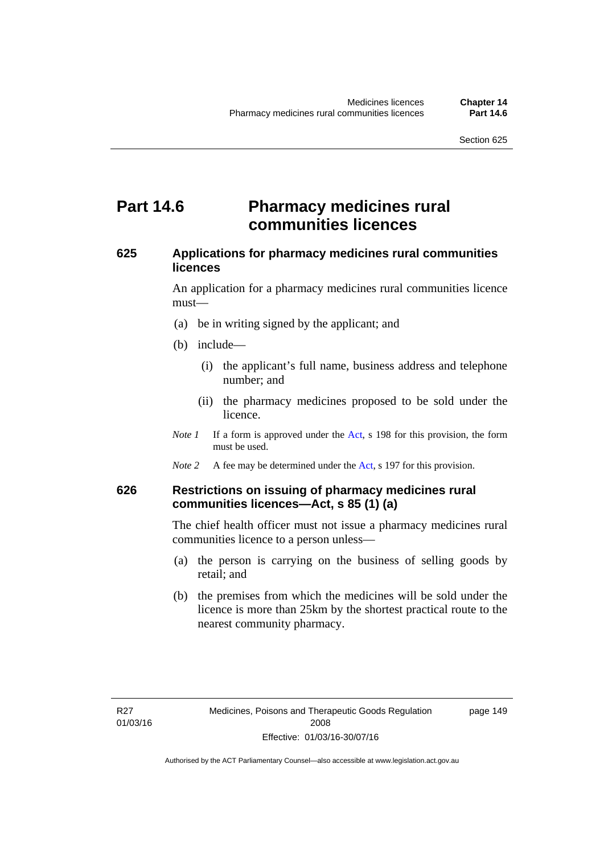### **Part 14.6 Pharmacy medicines rural communities licences**

#### **625 Applications for pharmacy medicines rural communities licences**

An application for a pharmacy medicines rural communities licence must—

- (a) be in writing signed by the applicant; and
- (b) include—
	- (i) the applicant's full name, business address and telephone number; and
	- (ii) the pharmacy medicines proposed to be sold under the licence.
- *Note 1* If a form is approved under the [Act](http://www.legislation.act.gov.au/a/2008-26/default.asp), s 198 for this provision, the form must be used.
- *Note 2* A fee may be determined under the [Act,](http://www.legislation.act.gov.au/a/2008-26/default.asp) s 197 for this provision.

#### **626 Restrictions on issuing of pharmacy medicines rural communities licences—Act, s 85 (1) (a)**

The chief health officer must not issue a pharmacy medicines rural communities licence to a person unless—

- (a) the person is carrying on the business of selling goods by retail; and
- (b) the premises from which the medicines will be sold under the licence is more than 25km by the shortest practical route to the nearest community pharmacy.

page 149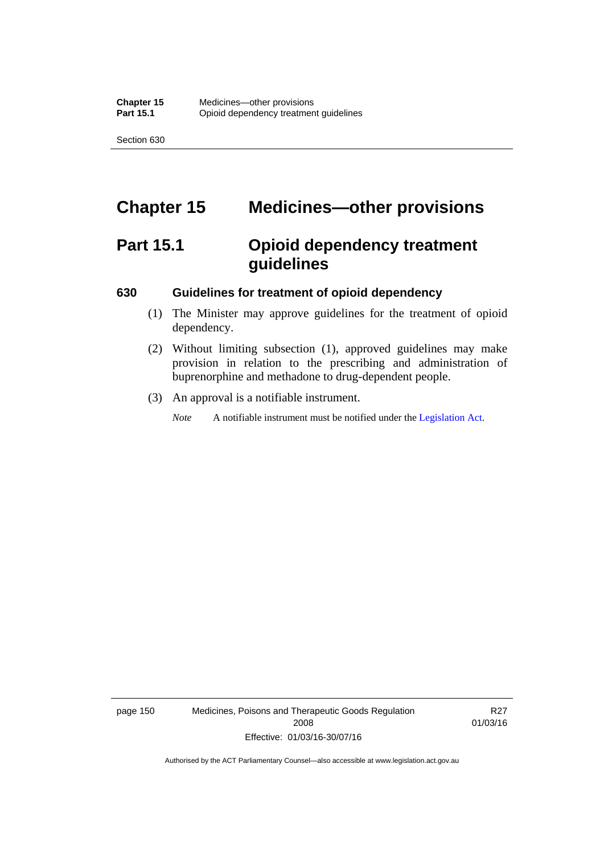# **Chapter 15 Medicines—other provisions**

# **Part 15.1 Opioid dependency treatment guidelines**

#### **630 Guidelines for treatment of opioid dependency**

- (1) The Minister may approve guidelines for the treatment of opioid dependency.
- (2) Without limiting subsection (1), approved guidelines may make provision in relation to the prescribing and administration of buprenorphine and methadone to drug-dependent people.
- (3) An approval is a notifiable instrument.

*Note* A notifiable instrument must be notified under the [Legislation Act](http://www.legislation.act.gov.au/a/2001-14).

page 150 Medicines, Poisons and Therapeutic Goods Regulation 2008 Effective: 01/03/16-30/07/16

R27 01/03/16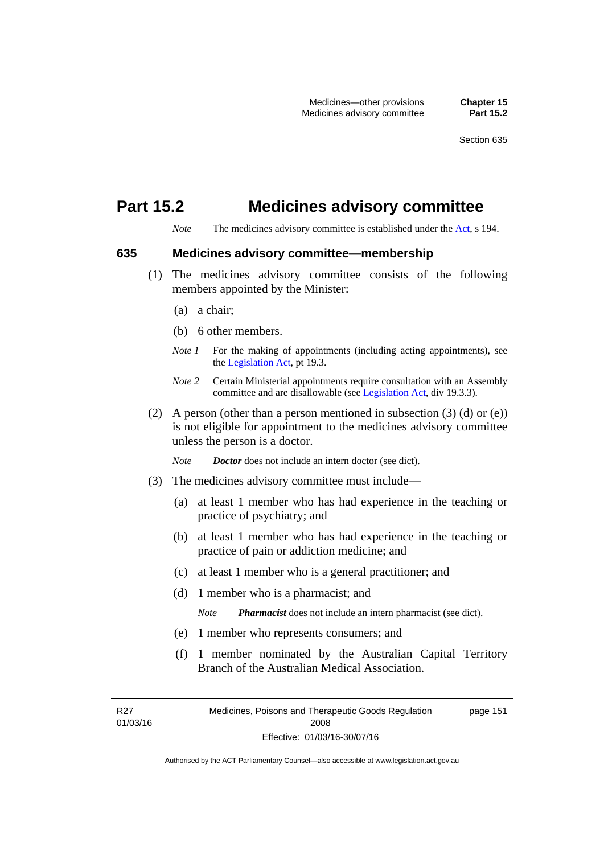# **Part 15.2 Medicines advisory committee**

*Note* The medicines advisory committee is established under the [Act](http://www.legislation.act.gov.au/a/2008-26/default.asp), s 194.

#### **635 Medicines advisory committee—membership**

- (1) The medicines advisory committee consists of the following members appointed by the Minister:
	- (a) a chair;
	- (b) 6 other members.
	- *Note 1* For the making of appointments (including acting appointments), see the [Legislation Act,](http://www.legislation.act.gov.au/a/2001-14) pt 19.3.
	- *Note 2* Certain Ministerial appointments require consultation with an Assembly committee and are disallowable (see [Legislation Act,](http://www.legislation.act.gov.au/a/2001-14) div 19.3.3).
- (2) A person (other than a person mentioned in subsection  $(3)$  (d) or  $(e)$ ) is not eligible for appointment to the medicines advisory committee unless the person is a doctor.

*Note Doctor* does not include an intern doctor (see dict).

- (3) The medicines advisory committee must include—
	- (a) at least 1 member who has had experience in the teaching or practice of psychiatry; and
	- (b) at least 1 member who has had experience in the teaching or practice of pain or addiction medicine; and
	- (c) at least 1 member who is a general practitioner; and
	- (d) 1 member who is a pharmacist; and

*Note Pharmacist* does not include an intern pharmacist (see dict).

- (e) 1 member who represents consumers; and
- (f) 1 member nominated by the Australian Capital Territory Branch of the Australian Medical Association.

R27 01/03/16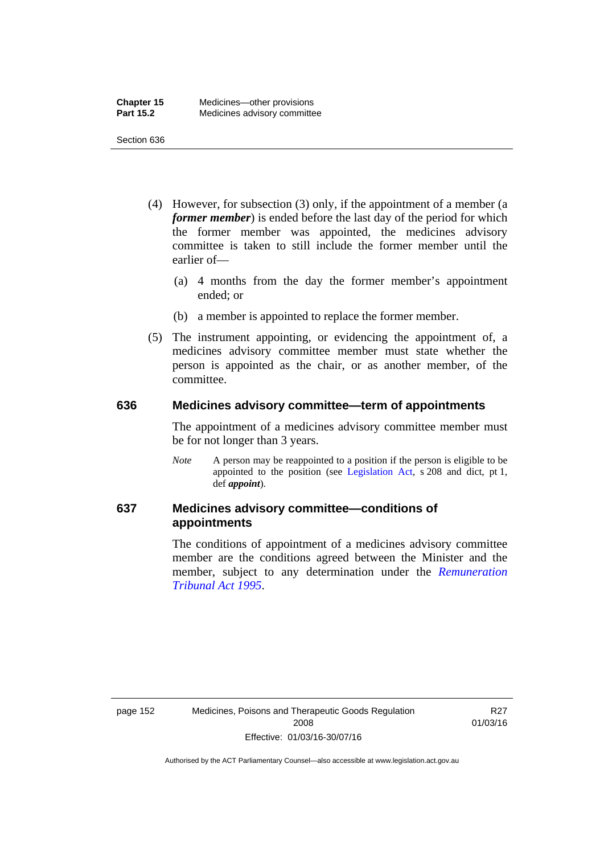- (4) However, for subsection (3) only, if the appointment of a member (a *former member*) is ended before the last day of the period for which the former member was appointed, the medicines advisory committee is taken to still include the former member until the earlier of—
	- (a) 4 months from the day the former member's appointment ended; or
	- (b) a member is appointed to replace the former member.
- (5) The instrument appointing, or evidencing the appointment of, a medicines advisory committee member must state whether the person is appointed as the chair, or as another member, of the committee.

#### **636 Medicines advisory committee—term of appointments**

The appointment of a medicines advisory committee member must be for not longer than 3 years.

*Note* A person may be reappointed to a position if the person is eligible to be appointed to the position (see [Legislation Act,](http://www.legislation.act.gov.au/a/2001-14) s 208 and dict, pt 1, def *appoint*).

### **637 Medicines advisory committee—conditions of appointments**

The conditions of appointment of a medicines advisory committee member are the conditions agreed between the Minister and the member, subject to any determination under the *[Remuneration](http://www.legislation.act.gov.au/a/1995-55)  [Tribunal Act 1995](http://www.legislation.act.gov.au/a/1995-55)*.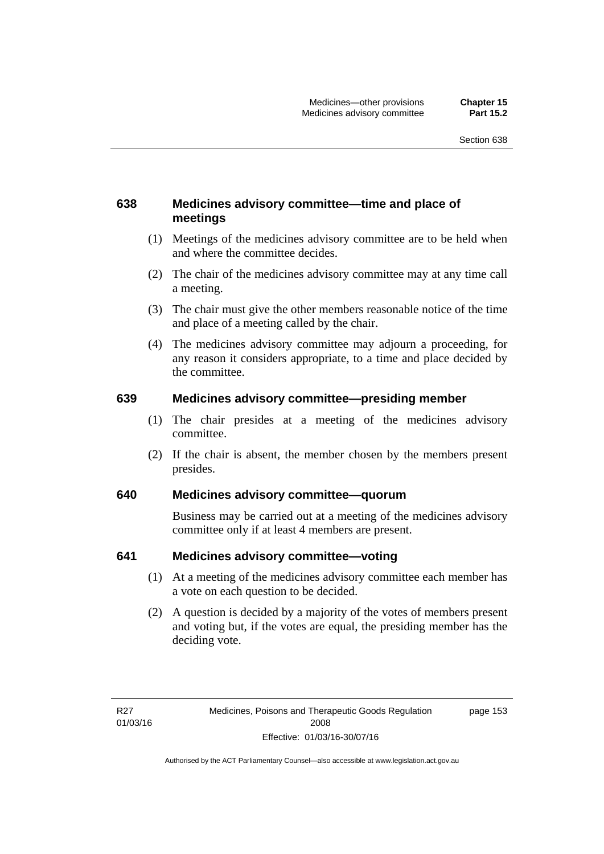### **638 Medicines advisory committee—time and place of meetings**

- (1) Meetings of the medicines advisory committee are to be held when and where the committee decides.
- (2) The chair of the medicines advisory committee may at any time call a meeting.
- (3) The chair must give the other members reasonable notice of the time and place of a meeting called by the chair.
- (4) The medicines advisory committee may adjourn a proceeding, for any reason it considers appropriate, to a time and place decided by the committee.

#### **639 Medicines advisory committee—presiding member**

- (1) The chair presides at a meeting of the medicines advisory committee.
- (2) If the chair is absent, the member chosen by the members present presides.

#### **640 Medicines advisory committee—quorum**

Business may be carried out at a meeting of the medicines advisory committee only if at least 4 members are present.

#### **641 Medicines advisory committee—voting**

- (1) At a meeting of the medicines advisory committee each member has a vote on each question to be decided.
- (2) A question is decided by a majority of the votes of members present and voting but, if the votes are equal, the presiding member has the deciding vote.

page 153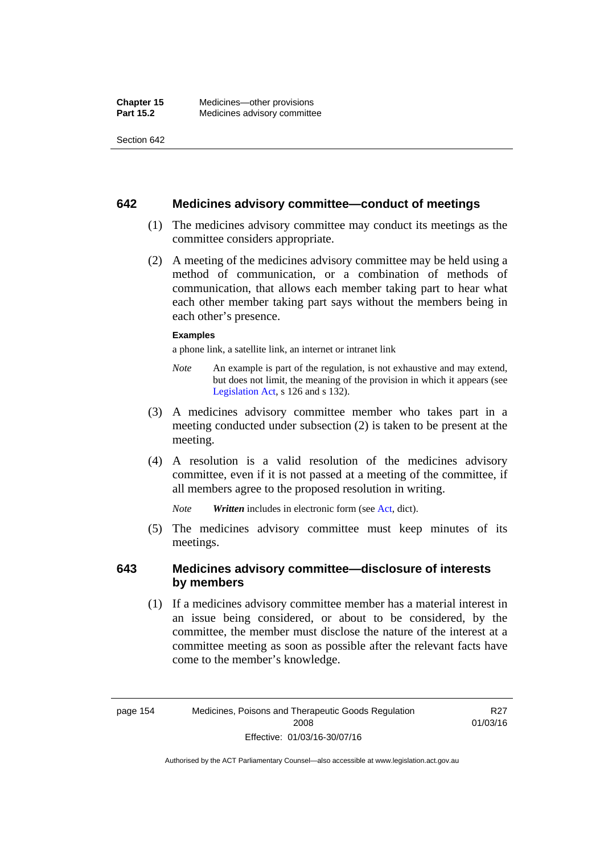#### **642 Medicines advisory committee—conduct of meetings**

- (1) The medicines advisory committee may conduct its meetings as the committee considers appropriate.
- (2) A meeting of the medicines advisory committee may be held using a method of communication, or a combination of methods of communication, that allows each member taking part to hear what each other member taking part says without the members being in each other's presence.

#### **Examples**

a phone link, a satellite link, an internet or intranet link

- *Note* An example is part of the regulation, is not exhaustive and may extend, but does not limit, the meaning of the provision in which it appears (see [Legislation Act,](http://www.legislation.act.gov.au/a/2001-14) s 126 and s 132).
- (3) A medicines advisory committee member who takes part in a meeting conducted under subsection (2) is taken to be present at the meeting.
- (4) A resolution is a valid resolution of the medicines advisory committee, even if it is not passed at a meeting of the committee, if all members agree to the proposed resolution in writing.

*Note Written* includes in electronic form (see [Act,](http://www.legislation.act.gov.au/a/2008-26/default.asp) dict).

 (5) The medicines advisory committee must keep minutes of its meetings.

#### **643 Medicines advisory committee—disclosure of interests by members**

 (1) If a medicines advisory committee member has a material interest in an issue being considered, or about to be considered, by the committee, the member must disclose the nature of the interest at a committee meeting as soon as possible after the relevant facts have come to the member's knowledge.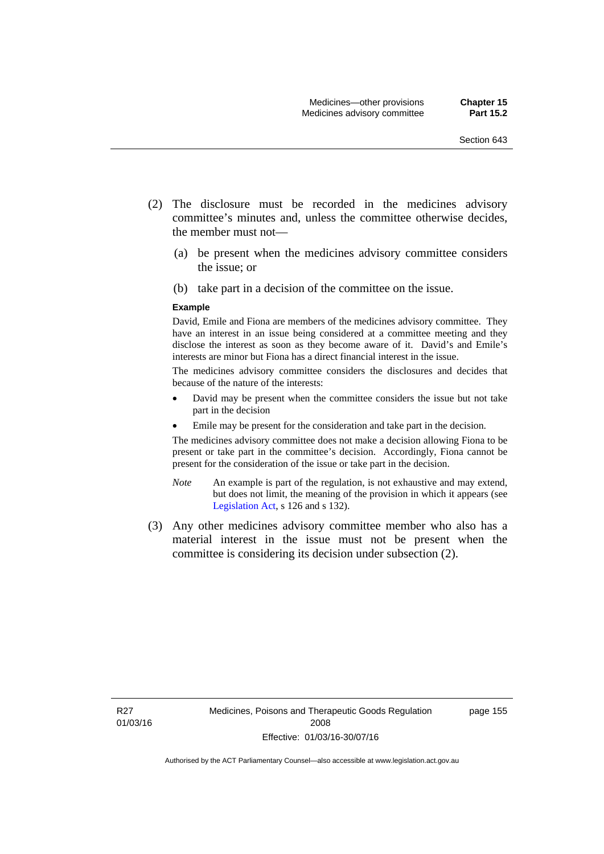- (2) The disclosure must be recorded in the medicines advisory committee's minutes and, unless the committee otherwise decides, the member must not—
	- (a) be present when the medicines advisory committee considers the issue; or
	- (b) take part in a decision of the committee on the issue.

#### **Example**

David, Emile and Fiona are members of the medicines advisory committee. They have an interest in an issue being considered at a committee meeting and they disclose the interest as soon as they become aware of it. David's and Emile's interests are minor but Fiona has a direct financial interest in the issue.

The medicines advisory committee considers the disclosures and decides that because of the nature of the interests:

- David may be present when the committee considers the issue but not take part in the decision
- Emile may be present for the consideration and take part in the decision.

The medicines advisory committee does not make a decision allowing Fiona to be present or take part in the committee's decision. Accordingly, Fiona cannot be present for the consideration of the issue or take part in the decision.

- *Note* An example is part of the regulation, is not exhaustive and may extend, but does not limit, the meaning of the provision in which it appears (see [Legislation Act,](http://www.legislation.act.gov.au/a/2001-14) s 126 and s 132).
- (3) Any other medicines advisory committee member who also has a material interest in the issue must not be present when the committee is considering its decision under subsection (2).

page 155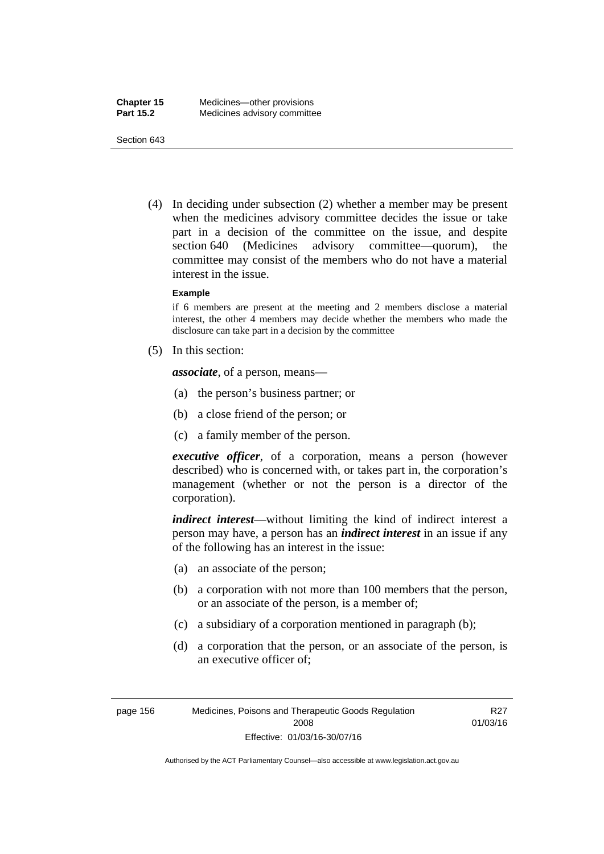(4) In deciding under subsection (2) whether a member may be present when the medicines advisory committee decides the issue or take part in a decision of the committee on the issue, and despite section 640 (Medicines advisory committee—quorum), the committee may consist of the members who do not have a material interest in the issue.

#### **Example**

if 6 members are present at the meeting and 2 members disclose a material interest, the other 4 members may decide whether the members who made the disclosure can take part in a decision by the committee

(5) In this section:

*associate*, of a person, means—

- (a) the person's business partner; or
- (b) a close friend of the person; or
- (c) a family member of the person.

*executive officer*, of a corporation, means a person (however described) who is concerned with, or takes part in, the corporation's management (whether or not the person is a director of the corporation).

*indirect interest*—without limiting the kind of indirect interest a person may have, a person has an *indirect interest* in an issue if any of the following has an interest in the issue:

- (a) an associate of the person;
- (b) a corporation with not more than 100 members that the person, or an associate of the person, is a member of;
- (c) a subsidiary of a corporation mentioned in paragraph (b);
- (d) a corporation that the person, or an associate of the person, is an executive officer of;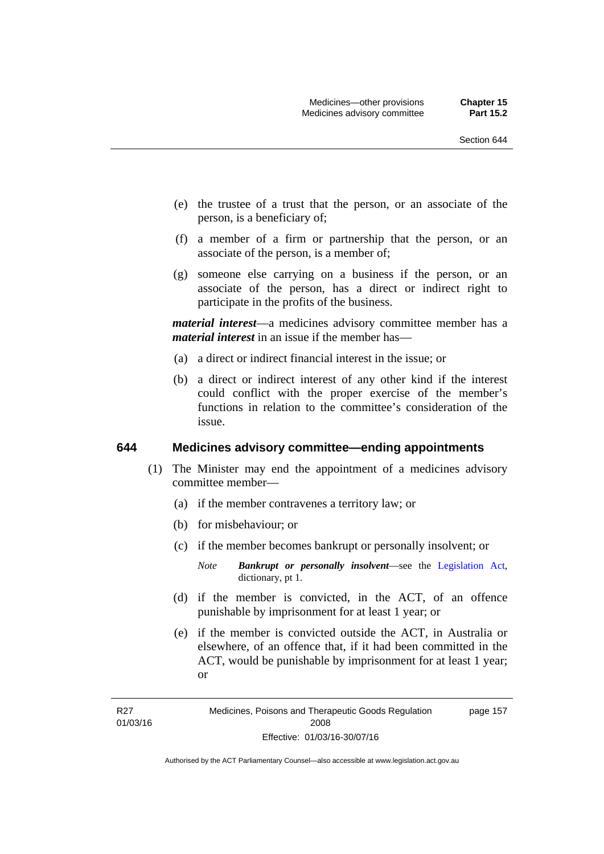- (e) the trustee of a trust that the person, or an associate of the person, is a beneficiary of;
- (f) a member of a firm or partnership that the person, or an associate of the person, is a member of;
- (g) someone else carrying on a business if the person, or an associate of the person, has a direct or indirect right to participate in the profits of the business.

*material interest*—a medicines advisory committee member has a *material interest* in an issue if the member has—

- (a) a direct or indirect financial interest in the issue; or
- (b) a direct or indirect interest of any other kind if the interest could conflict with the proper exercise of the member's functions in relation to the committee's consideration of the issue.

#### **644 Medicines advisory committee—ending appointments**

- (1) The Minister may end the appointment of a medicines advisory committee member—
	- (a) if the member contravenes a territory law; or
	- (b) for misbehaviour; or
	- (c) if the member becomes bankrupt or personally insolvent; or
		- *Note Bankrupt or personally insolvent*—see the [Legislation Act,](http://www.legislation.act.gov.au/a/2001-14) dictionary, pt 1.
	- (d) if the member is convicted, in the ACT, of an offence punishable by imprisonment for at least 1 year; or
	- (e) if the member is convicted outside the ACT, in Australia or elsewhere, of an offence that, if it had been committed in the ACT, would be punishable by imprisonment for at least 1 year; or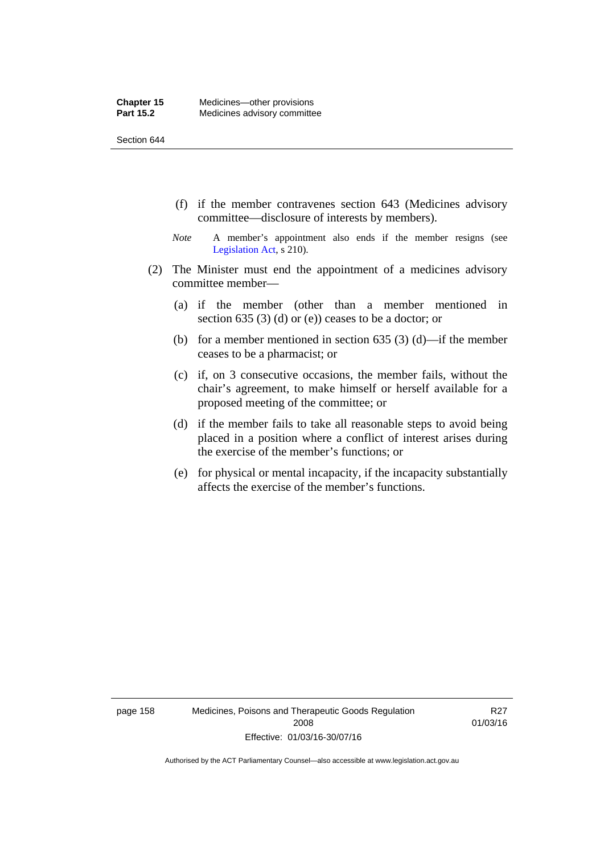- (f) if the member contravenes section 643 (Medicines advisory committee—disclosure of interests by members).
- *Note* A member's appointment also ends if the member resigns (see [Legislation Act,](http://www.legislation.act.gov.au/a/2001-14) s 210).
- (2) The Minister must end the appointment of a medicines advisory committee member—
	- (a) if the member (other than a member mentioned in section 635 (3) (d) or (e)) ceases to be a doctor; or
	- (b) for a member mentioned in section 635 (3) (d)—if the member ceases to be a pharmacist; or
	- (c) if, on 3 consecutive occasions, the member fails, without the chair's agreement, to make himself or herself available for a proposed meeting of the committee; or
	- (d) if the member fails to take all reasonable steps to avoid being placed in a position where a conflict of interest arises during the exercise of the member's functions; or
	- (e) for physical or mental incapacity, if the incapacity substantially affects the exercise of the member's functions.

page 158 Medicines, Poisons and Therapeutic Goods Regulation 2008 Effective: 01/03/16-30/07/16

R27 01/03/16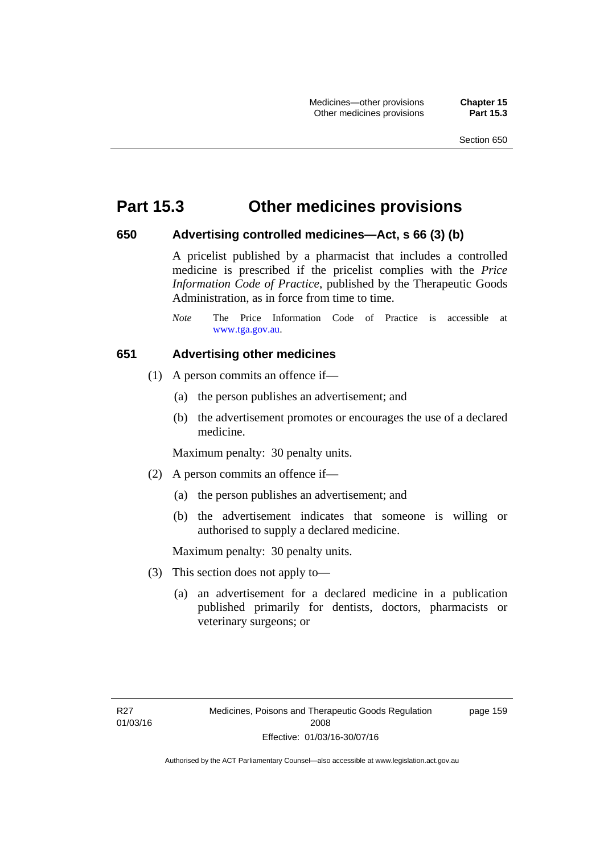### **Part 15.3 Other medicines provisions**

#### **650 Advertising controlled medicines—Act, s 66 (3) (b)**

A pricelist published by a pharmacist that includes a controlled medicine is prescribed if the pricelist complies with the *Price Information Code of Practice*, published by the Therapeutic Goods Administration, as in force from time to time.

#### **651 Advertising other medicines**

- (1) A person commits an offence if—
	- (a) the person publishes an advertisement; and
	- (b) the advertisement promotes or encourages the use of a declared medicine.

Maximum penalty: 30 penalty units.

- (2) A person commits an offence if—
	- (a) the person publishes an advertisement; and
	- (b) the advertisement indicates that someone is willing or authorised to supply a declared medicine.

Maximum penalty: 30 penalty units.

- (3) This section does not apply to—
	- (a) an advertisement for a declared medicine in a publication published primarily for dentists, doctors, pharmacists or veterinary surgeons; or

page 159

*Note* The Price Information Code of Practice is accessible at [www.tga.gov.au.](http://www.tga.gov.au/)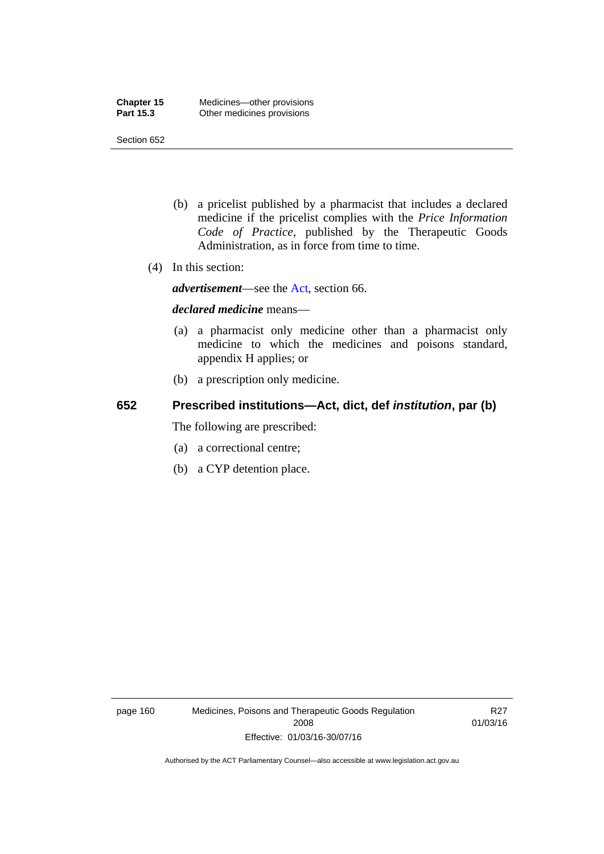- (b) a pricelist published by a pharmacist that includes a declared medicine if the pricelist complies with the *Price Information Code of Practice*, published by the Therapeutic Goods Administration, as in force from time to time.
- (4) In this section:

*advertisement*—see the [Act,](http://www.legislation.act.gov.au/a/2008-26/default.asp) section 66.

#### *declared medicine* means—

- (a) a pharmacist only medicine other than a pharmacist only medicine to which the medicines and poisons standard, appendix H applies; or
- (b) a prescription only medicine.

### **652 Prescribed institutions—Act, dict, def** *institution***, par (b)**

The following are prescribed:

- (a) a correctional centre;
- (b) a CYP detention place.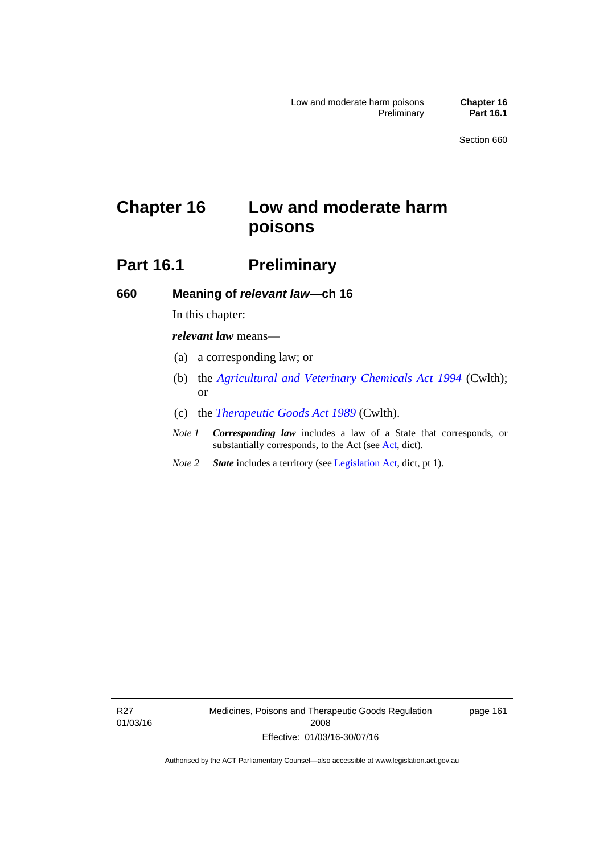# **Chapter 16 Low and moderate harm poisons**

# **Part 16.1** Preliminary

**660 Meaning of** *relevant law***—ch 16** 

In this chapter:

*relevant law* means—

- (a) a corresponding law; or
- (b) the *[Agricultural and Veterinary Chemicals Act 1994](http://www.comlaw.gov.au/Series/C2004A04712)* (Cwlth); or
- (c) the *[Therapeutic Goods Act 1989](http://www.comlaw.gov.au/Series/C2004A03952)* (Cwlth).
- *Note 1 Corresponding law* includes a law of a State that corresponds, or substantially corresponds, to the Act (see [Act](http://www.legislation.act.gov.au/a/2008-26/default.asp), dict).
- *Note 2 State* includes a territory (see [Legislation Act,](http://www.legislation.act.gov.au/a/2001-14) dict, pt 1).

R27 01/03/16 Medicines, Poisons and Therapeutic Goods Regulation 2008 Effective: 01/03/16-30/07/16

page 161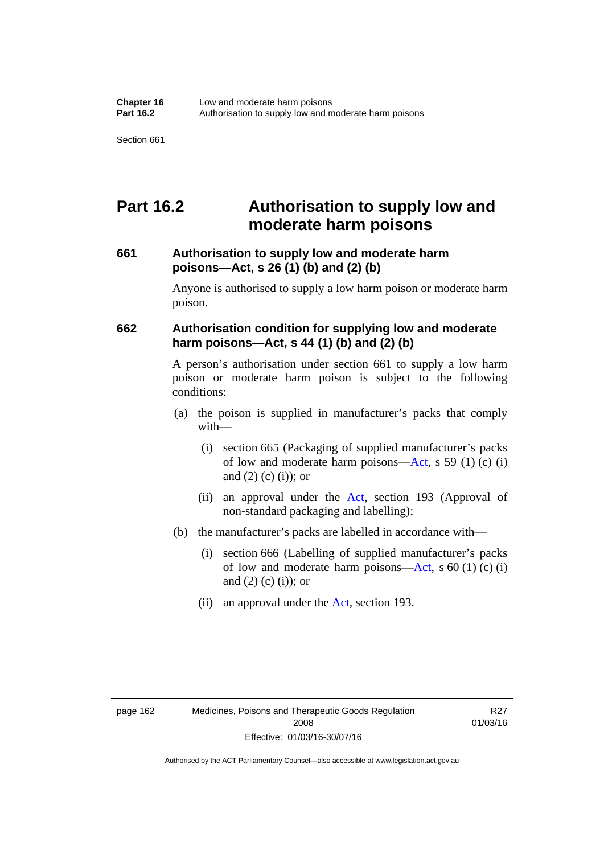## **Part 16.2 Authorisation to supply low and moderate harm poisons**

#### **661 Authorisation to supply low and moderate harm poisons—Act, s 26 (1) (b) and (2) (b)**

Anyone is authorised to supply a low harm poison or moderate harm poison.

#### **662 Authorisation condition for supplying low and moderate harm poisons—Act, s 44 (1) (b) and (2) (b)**

A person's authorisation under section 661 to supply a low harm poison or moderate harm poison is subject to the following conditions:

- (a) the poison is supplied in manufacturer's packs that comply with—
	- (i) section 665 (Packaging of supplied manufacturer's packs of low and moderate harm poisons—[Act](http://www.legislation.act.gov.au/a/2008-26/default.asp), s 59 (1) (c) (i) and  $(2)$  (c) (i)); or
	- (ii) an approval under the [Act](http://www.legislation.act.gov.au/a/2008-26/default.asp), section 193 (Approval of non-standard packaging and labelling);
- (b) the manufacturer's packs are labelled in accordance with—
	- (i) section 666 (Labelling of supplied manufacturer's packs of low and moderate harm poisons—[Act](http://www.legislation.act.gov.au/a/2008-26/default.asp), s  $60(1)(c)(i)$ and  $(2)$  (c)  $(i)$ ; or
	- (ii) an approval under the [Act,](http://www.legislation.act.gov.au/a/2008-26/default.asp) section 193.

R27 01/03/16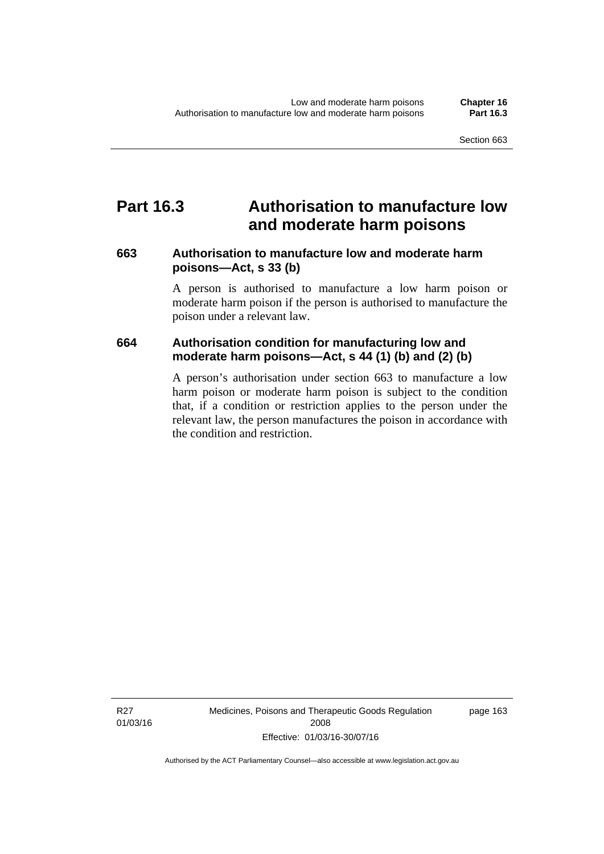### **Part 16.3 Authorisation to manufacture low and moderate harm poisons**

#### **663 Authorisation to manufacture low and moderate harm poisons—Act, s 33 (b)**

A person is authorised to manufacture a low harm poison or moderate harm poison if the person is authorised to manufacture the poison under a relevant law.

#### **664 Authorisation condition for manufacturing low and moderate harm poisons—Act, s 44 (1) (b) and (2) (b)**

A person's authorisation under section 663 to manufacture a low harm poison or moderate harm poison is subject to the condition that, if a condition or restriction applies to the person under the relevant law, the person manufactures the poison in accordance with the condition and restriction.

Medicines, Poisons and Therapeutic Goods Regulation 2008 Effective: 01/03/16-30/07/16

page 163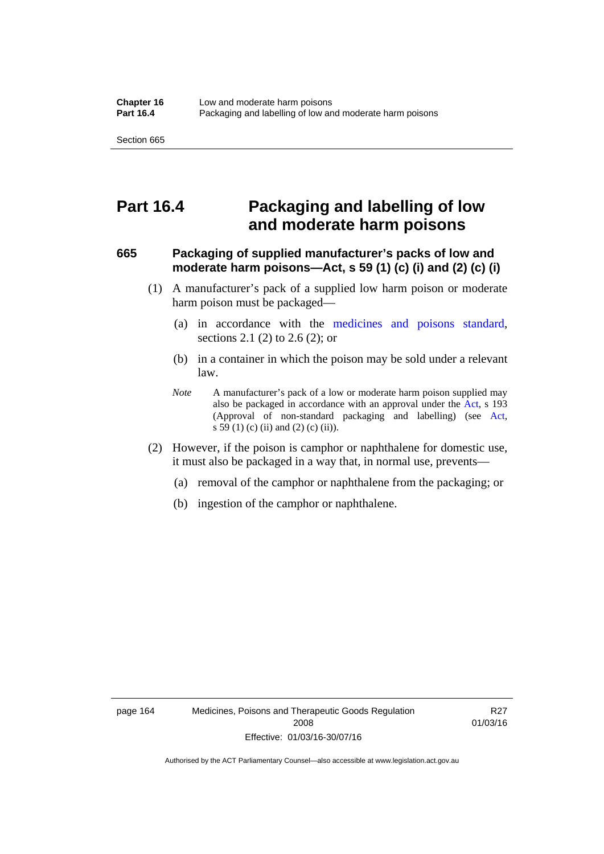### **Part 16.4 Packaging and labelling of low and moderate harm poisons**

#### **665 Packaging of supplied manufacturer's packs of low and moderate harm poisons—Act, s 59 (1) (c) (i) and (2) (c) (i)**

- (1) A manufacturer's pack of a supplied low harm poison or moderate harm poison must be packaged—
	- (a) in accordance with the [medicines and poisons standard](http://www.comlaw.gov.au/Series/F2012L01200), sections 2.1 (2) to 2.6 (2); or
	- (b) in a container in which the poison may be sold under a relevant law.
	- *Note* A manufacturer's pack of a low or moderate harm poison supplied may also be packaged in accordance with an approval under the [Act](http://www.legislation.act.gov.au/a/2008-26/default.asp), s 193 (Approval of non-standard packaging and labelling) (see [Act,](http://www.legislation.act.gov.au/a/2008-26/default.asp) s 59 (1) (c) (ii) and (2) (c) (ii)).
- (2) However, if the poison is camphor or naphthalene for domestic use, it must also be packaged in a way that, in normal use, prevents—
	- (a) removal of the camphor or naphthalene from the packaging; or
	- (b) ingestion of the camphor or naphthalene.

R27 01/03/16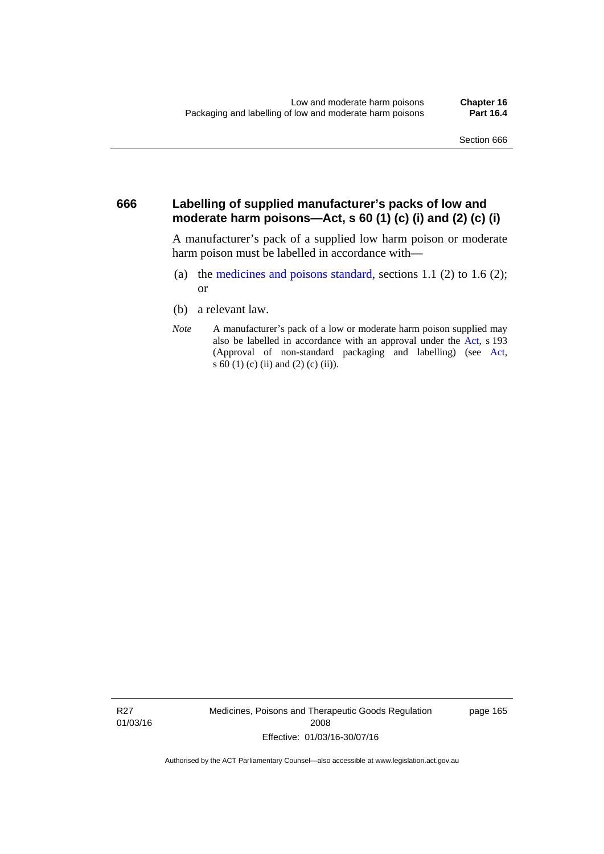#### **666 Labelling of supplied manufacturer's packs of low and moderate harm poisons—Act, s 60 (1) (c) (i) and (2) (c) (i)**

A manufacturer's pack of a supplied low harm poison or moderate harm poison must be labelled in accordance with—

- (a) the [medicines and poisons standard](http://www.comlaw.gov.au/Series/F2012L01200), sections 1.1 (2) to 1.6 (2); or
- (b) a relevant law.
- *Note* A manufacturer's pack of a low or moderate harm poison supplied may also be labelled in accordance with an approval under the [Act](http://www.legislation.act.gov.au/a/2008-26/default.asp), s 193 (Approval of non-standard packaging and labelling) (see [Act,](http://www.legislation.act.gov.au/a/2008-26/default.asp) s 60 (1) (c) (ii) and (2) (c) (ii)).

R27 01/03/16 Medicines, Poisons and Therapeutic Goods Regulation 2008 Effective: 01/03/16-30/07/16

page 165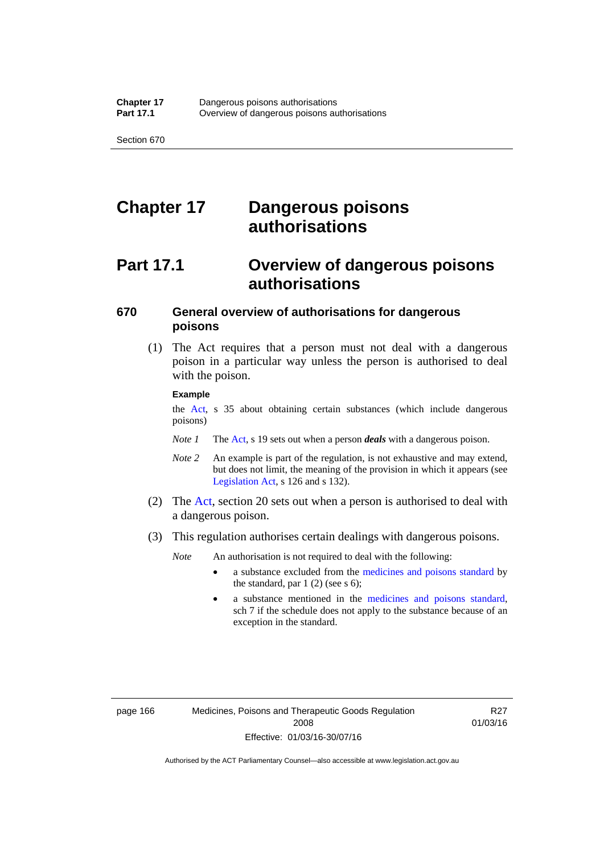# **Chapter 17 Dangerous poisons authorisations**

# **Part 17.1 Overview of dangerous poisons authorisations**

### **670 General overview of authorisations for dangerous poisons**

 (1) The Act requires that a person must not deal with a dangerous poison in a particular way unless the person is authorised to deal with the poison.

#### **Example**

the [Act,](http://www.legislation.act.gov.au/a/2008-26/default.asp) s 35 about obtaining certain substances (which include dangerous poisons)

- *Note 1* The [Act,](http://www.legislation.act.gov.au/a/2008-26/default.asp) s 19 sets out when a person *deals* with a dangerous poison.
- *Note 2* An example is part of the regulation, is not exhaustive and may extend, but does not limit, the meaning of the provision in which it appears (see [Legislation Act,](http://www.legislation.act.gov.au/a/2001-14) s 126 and s 132).
- (2) The [Act](http://www.legislation.act.gov.au/a/2008-26/default.asp), section 20 sets out when a person is authorised to deal with a dangerous poison.
- (3) This regulation authorises certain dealings with dangerous poisons.

*Note* An authorisation is not required to deal with the following:

- a substance excluded from the [medicines and poisons standard](http://www.comlaw.gov.au/Series/F2012L01200) by the standard, par  $1(2)$  (see s 6);
- a substance mentioned in the [medicines and poisons standard,](http://www.comlaw.gov.au/Series/F2012L01200) sch 7 if the schedule does not apply to the substance because of an exception in the standard.

R27 01/03/16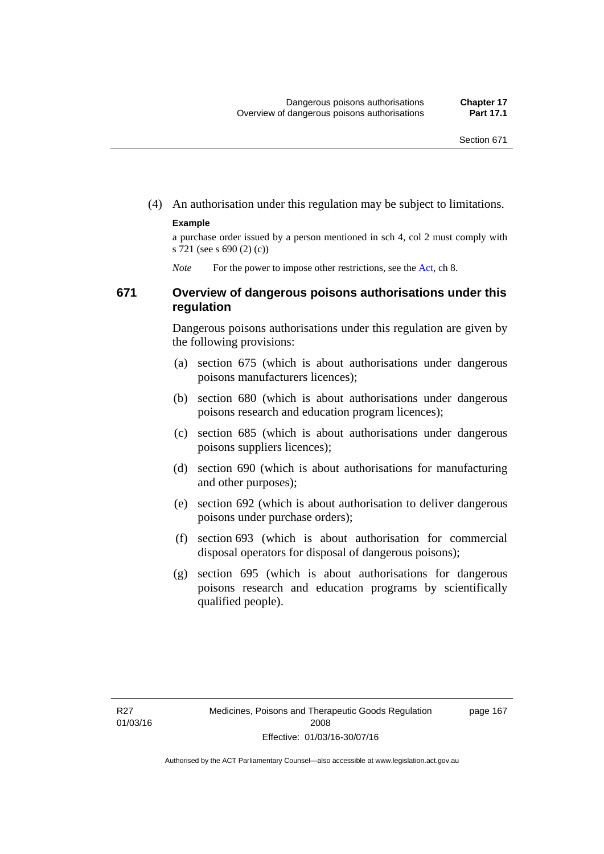(4) An authorisation under this regulation may be subject to limitations.

#### **Example**

a purchase order issued by a person mentioned in sch 4, col 2 must comply with s 721 (see s 690 (2) (c))

*Note* For the power to impose other restrictions, see the [Act](http://www.legislation.act.gov.au/a/2008-26/default.asp), ch 8.

#### **671 Overview of dangerous poisons authorisations under this regulation**

Dangerous poisons authorisations under this regulation are given by the following provisions:

- (a) section 675 (which is about authorisations under dangerous poisons manufacturers licences);
- (b) section 680 (which is about authorisations under dangerous poisons research and education program licences);
- (c) section 685 (which is about authorisations under dangerous poisons suppliers licences);
- (d) section 690 (which is about authorisations for manufacturing and other purposes);
- (e) section 692 (which is about authorisation to deliver dangerous poisons under purchase orders);
- (f) section 693 (which is about authorisation for commercial disposal operators for disposal of dangerous poisons);
- (g) section 695 (which is about authorisations for dangerous poisons research and education programs by scientifically qualified people).

page 167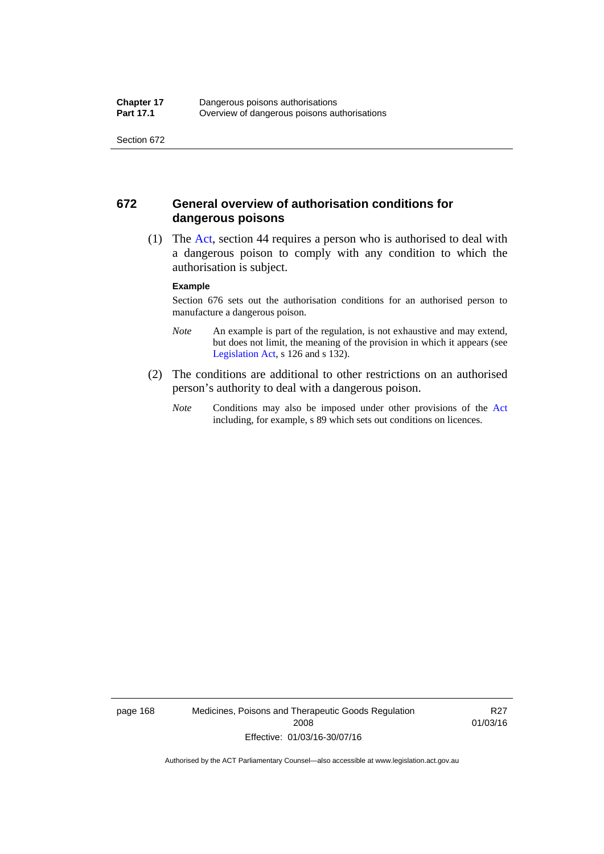#### **672 General overview of authorisation conditions for dangerous poisons**

 (1) The [Act](http://www.legislation.act.gov.au/a/2008-26/default.asp), section 44 requires a person who is authorised to deal with a dangerous poison to comply with any condition to which the authorisation is subject.

#### **Example**

Section 676 sets out the authorisation conditions for an authorised person to manufacture a dangerous poison.

- *Note* An example is part of the regulation, is not exhaustive and may extend, but does not limit, the meaning of the provision in which it appears (see [Legislation Act,](http://www.legislation.act.gov.au/a/2001-14) s 126 and s 132).
- (2) The conditions are additional to other restrictions on an authorised person's authority to deal with a dangerous poison.
	- *Note* Conditions may also be imposed under other provisions of the [Act](http://www.legislation.act.gov.au/a/2008-26/default.asp) including, for example, s 89 which sets out conditions on licences.

page 168 Medicines, Poisons and Therapeutic Goods Regulation 2008 Effective: 01/03/16-30/07/16

R27 01/03/16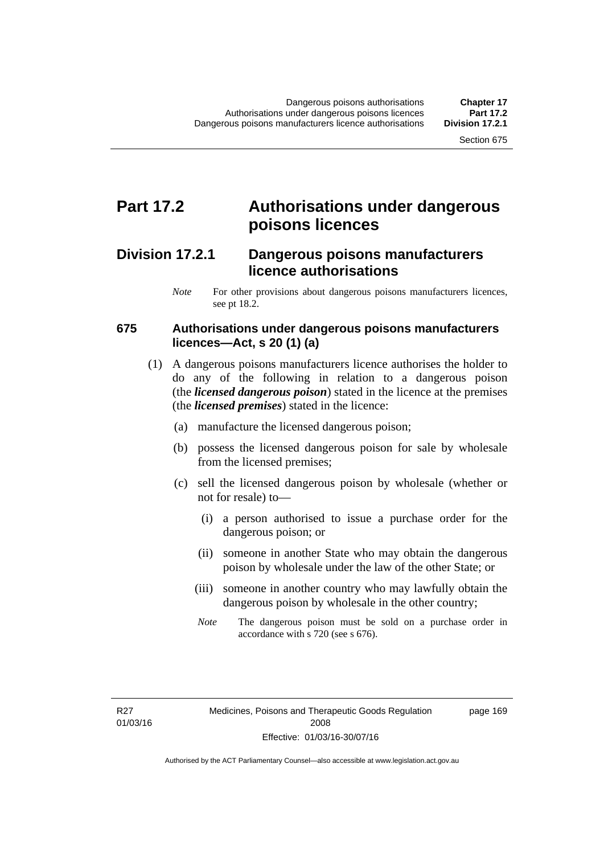## **Part 17.2 Authorisations under dangerous poisons licences**

### **Division 17.2.1 Dangerous poisons manufacturers licence authorisations**

*Note* For other provisions about dangerous poisons manufacturers licences, see pt 18.2.

#### **675 Authorisations under dangerous poisons manufacturers licences—Act, s 20 (1) (a)**

- (1) A dangerous poisons manufacturers licence authorises the holder to do any of the following in relation to a dangerous poison (the *licensed dangerous poison*) stated in the licence at the premises (the *licensed premises*) stated in the licence:
	- (a) manufacture the licensed dangerous poison;
	- (b) possess the licensed dangerous poison for sale by wholesale from the licensed premises;
	- (c) sell the licensed dangerous poison by wholesale (whether or not for resale) to—
		- (i) a person authorised to issue a purchase order for the dangerous poison; or
		- (ii) someone in another State who may obtain the dangerous poison by wholesale under the law of the other State; or
		- (iii) someone in another country who may lawfully obtain the dangerous poison by wholesale in the other country;
		- *Note* The dangerous poison must be sold on a purchase order in accordance with s 720 (see s 676).

R27 01/03/16 page 169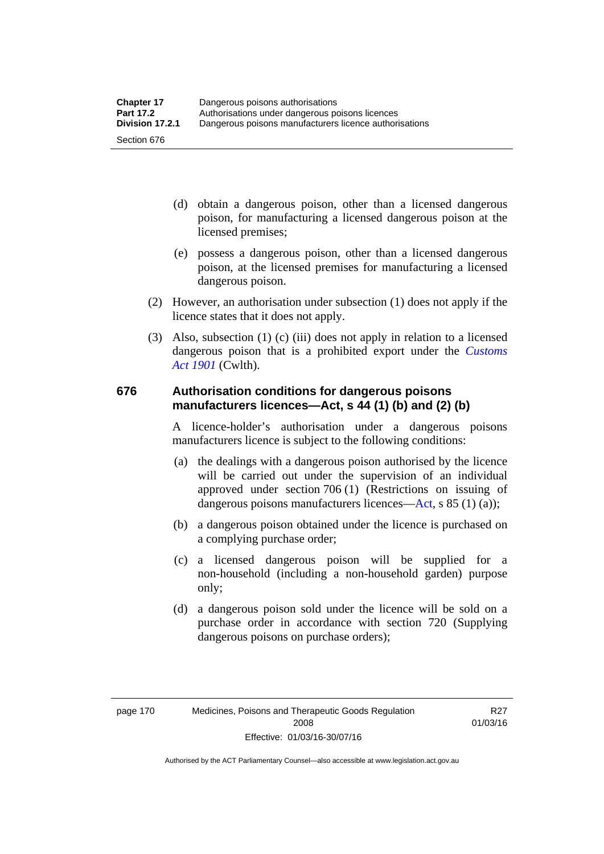- (d) obtain a dangerous poison, other than a licensed dangerous poison, for manufacturing a licensed dangerous poison at the licensed premises;
- (e) possess a dangerous poison, other than a licensed dangerous poison, at the licensed premises for manufacturing a licensed dangerous poison.
- (2) However, an authorisation under subsection (1) does not apply if the licence states that it does not apply.
- (3) Also, subsection (1) (c) (iii) does not apply in relation to a licensed dangerous poison that is a prohibited export under the *[Customs](http://www.comlaw.gov.au/Series/C1901A00006)  [Act 1901](http://www.comlaw.gov.au/Series/C1901A00006)* (Cwlth).

#### **676 Authorisation conditions for dangerous poisons manufacturers licences—Act, s 44 (1) (b) and (2) (b)**

A licence-holder's authorisation under a dangerous poisons manufacturers licence is subject to the following conditions:

- (a) the dealings with a dangerous poison authorised by the licence will be carried out under the supervision of an individual approved under section 706 (1) (Restrictions on issuing of dangerous poisons manufacturers licences[—Act,](http://www.legislation.act.gov.au/a/2008-26/default.asp) s 85 (1) (a));
- (b) a dangerous poison obtained under the licence is purchased on a complying purchase order;
- (c) a licensed dangerous poison will be supplied for a non-household (including a non-household garden) purpose only;
- (d) a dangerous poison sold under the licence will be sold on a purchase order in accordance with section 720 (Supplying dangerous poisons on purchase orders);

R27 01/03/16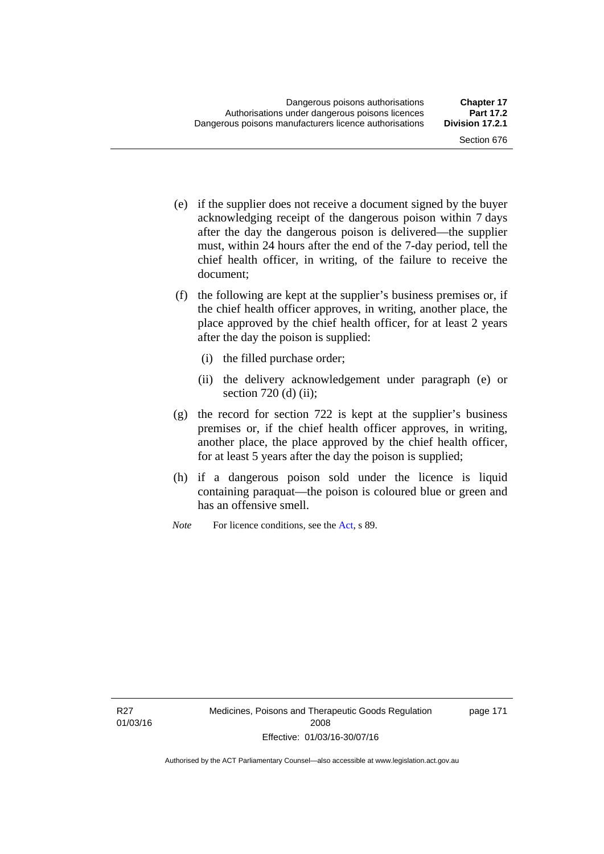- (e) if the supplier does not receive a document signed by the buyer acknowledging receipt of the dangerous poison within 7 days after the day the dangerous poison is delivered—the supplier must, within 24 hours after the end of the 7-day period, tell the chief health officer, in writing, of the failure to receive the document;
- (f) the following are kept at the supplier's business premises or, if the chief health officer approves, in writing, another place, the place approved by the chief health officer, for at least 2 years after the day the poison is supplied:
	- (i) the filled purchase order;
	- (ii) the delivery acknowledgement under paragraph (e) or section 720 (d) (ii);
- (g) the record for section 722 is kept at the supplier's business premises or, if the chief health officer approves, in writing, another place, the place approved by the chief health officer, for at least 5 years after the day the poison is supplied;
- (h) if a dangerous poison sold under the licence is liquid containing paraquat—the poison is coloured blue or green and has an offensive smell.
- *Note* For licence conditions, see the [Act](http://www.legislation.act.gov.au/a/2008-26/default.asp), s 89.

R27 01/03/16 page 171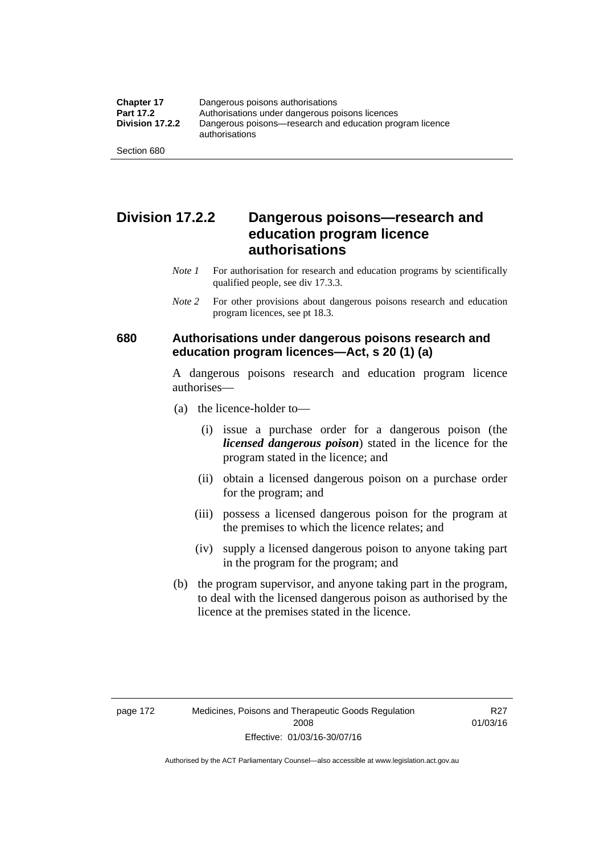### **Division 17.2.2 Dangerous poisons—research and education program licence authorisations**

- *Note 1* For authorisation for research and education programs by scientifically qualified people, see div 17.3.3.
- *Note 2* For other provisions about dangerous poisons research and education program licences, see pt 18.3.

#### **680 Authorisations under dangerous poisons research and education program licences—Act, s 20 (1) (a)**

A dangerous poisons research and education program licence authorises—

- (a) the licence-holder to—
	- (i) issue a purchase order for a dangerous poison (the *licensed dangerous poison*) stated in the licence for the program stated in the licence; and
	- (ii) obtain a licensed dangerous poison on a purchase order for the program; and
	- (iii) possess a licensed dangerous poison for the program at the premises to which the licence relates; and
	- (iv) supply a licensed dangerous poison to anyone taking part in the program for the program; and
- (b) the program supervisor, and anyone taking part in the program, to deal with the licensed dangerous poison as authorised by the licence at the premises stated in the licence.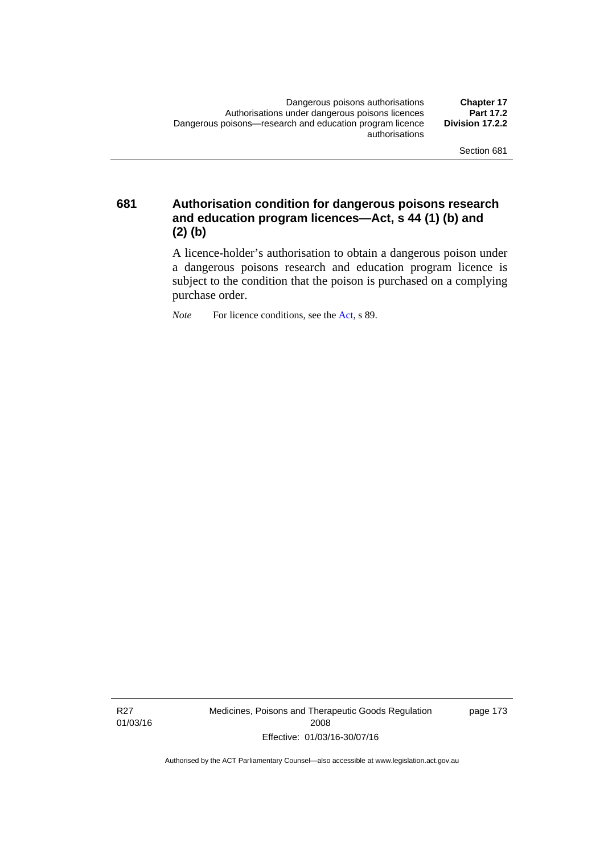**681 Authorisation condition for dangerous poisons research and education program licences—Act, s 44 (1) (b) and (2) (b)** 

> A licence-holder's authorisation to obtain a dangerous poison under a dangerous poisons research and education program licence is subject to the condition that the poison is purchased on a complying purchase order.

*Note* For licence conditions, see the [Act](http://www.legislation.act.gov.au/a/2008-26/default.asp), s 89.

R27 01/03/16 Medicines, Poisons and Therapeutic Goods Regulation 2008 Effective: 01/03/16-30/07/16

page 173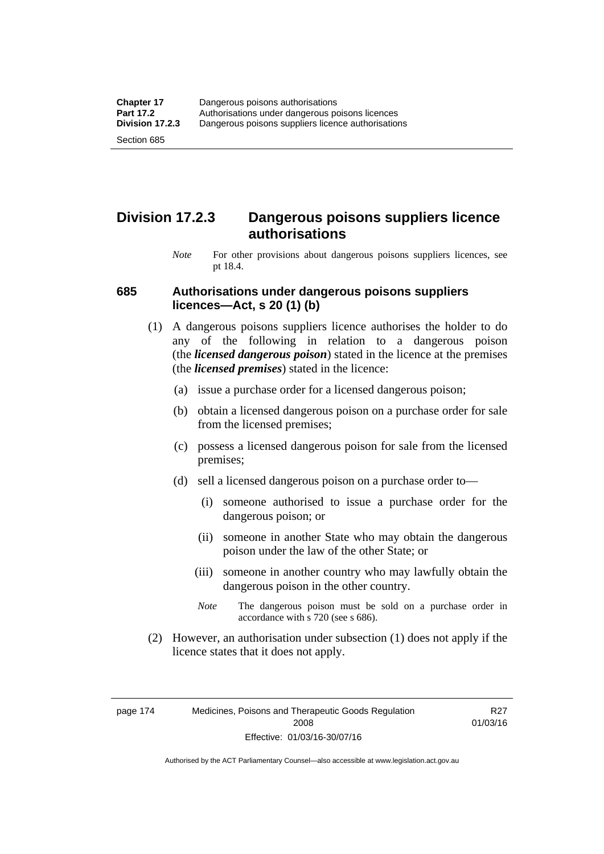### **Division 17.2.3 Dangerous poisons suppliers licence authorisations**

*Note* For other provisions about dangerous poisons suppliers licences, see pt 18.4.

#### **685 Authorisations under dangerous poisons suppliers licences—Act, s 20 (1) (b)**

- (1) A dangerous poisons suppliers licence authorises the holder to do any of the following in relation to a dangerous poison (the *licensed dangerous poison*) stated in the licence at the premises (the *licensed premises*) stated in the licence:
	- (a) issue a purchase order for a licensed dangerous poison;
	- (b) obtain a licensed dangerous poison on a purchase order for sale from the licensed premises;
	- (c) possess a licensed dangerous poison for sale from the licensed premises;
	- (d) sell a licensed dangerous poison on a purchase order to—
		- (i) someone authorised to issue a purchase order for the dangerous poison; or
		- (ii) someone in another State who may obtain the dangerous poison under the law of the other State; or
		- (iii) someone in another country who may lawfully obtain the dangerous poison in the other country.
		- *Note* The dangerous poison must be sold on a purchase order in accordance with s 720 (see s 686).
- (2) However, an authorisation under subsection (1) does not apply if the licence states that it does not apply.

page 174 Medicines, Poisons and Therapeutic Goods Regulation 2008 Effective: 01/03/16-30/07/16

R27 01/03/16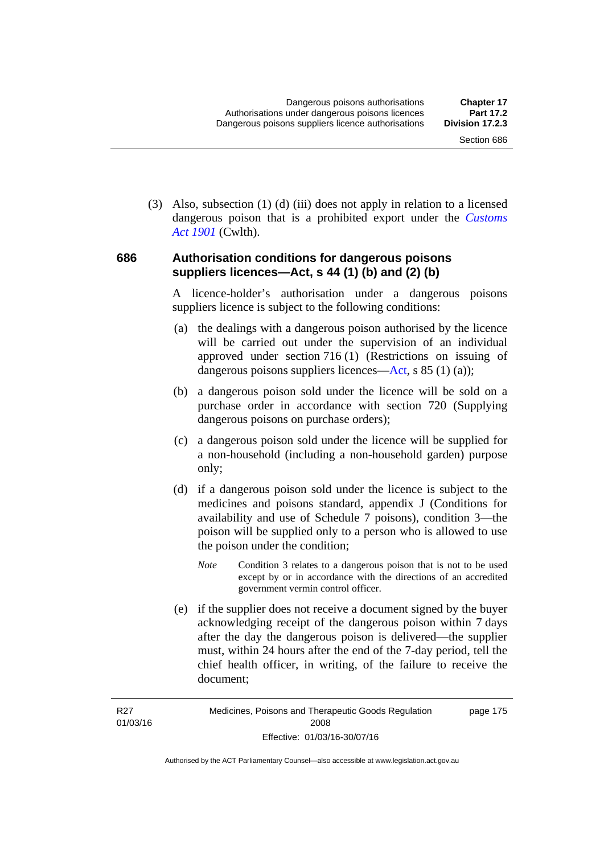(3) Also, subsection (1) (d) (iii) does not apply in relation to a licensed dangerous poison that is a prohibited export under the *[Customs](http://www.comlaw.gov.au/Series/C1901A00006)  [Act 1901](http://www.comlaw.gov.au/Series/C1901A00006)* (Cwlth).

#### **686 Authorisation conditions for dangerous poisons suppliers licences—Act, s 44 (1) (b) and (2) (b)**

A licence-holder's authorisation under a dangerous poisons suppliers licence is subject to the following conditions:

- (a) the dealings with a dangerous poison authorised by the licence will be carried out under the supervision of an individual approved under section 716 (1) (Restrictions on issuing of dangerous poisons suppliers licences—[Act](http://www.legislation.act.gov.au/a/2008-26/default.asp), s 85 (1) (a));
- (b) a dangerous poison sold under the licence will be sold on a purchase order in accordance with section 720 (Supplying dangerous poisons on purchase orders);
- (c) a dangerous poison sold under the licence will be supplied for a non-household (including a non-household garden) purpose only;
- (d) if a dangerous poison sold under the licence is subject to the medicines and poisons standard, appendix J (Conditions for availability and use of Schedule 7 poisons), condition 3—the poison will be supplied only to a person who is allowed to use the poison under the condition;
	- *Note* Condition 3 relates to a dangerous poison that is not to be used except by or in accordance with the directions of an accredited government vermin control officer.
- (e) if the supplier does not receive a document signed by the buyer acknowledging receipt of the dangerous poison within 7 days after the day the dangerous poison is delivered—the supplier must, within 24 hours after the end of the 7-day period, tell the chief health officer, in writing, of the failure to receive the document;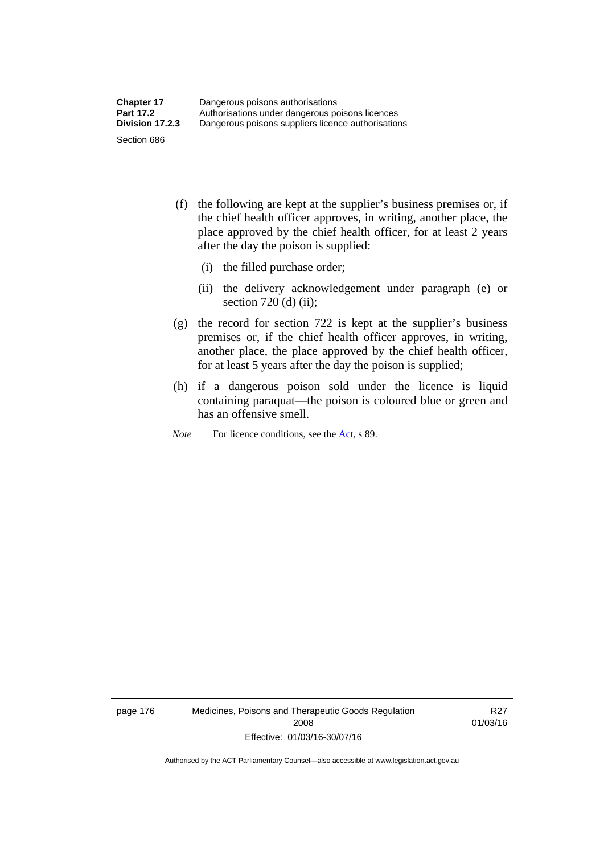- (f) the following are kept at the supplier's business premises or, if the chief health officer approves, in writing, another place, the place approved by the chief health officer, for at least 2 years after the day the poison is supplied:
	- (i) the filled purchase order;
	- (ii) the delivery acknowledgement under paragraph (e) or section 720 (d) (ii);
- (g) the record for section 722 is kept at the supplier's business premises or, if the chief health officer approves, in writing, another place, the place approved by the chief health officer, for at least 5 years after the day the poison is supplied;
- (h) if a dangerous poison sold under the licence is liquid containing paraquat—the poison is coloured blue or green and has an offensive smell.
- *Note* For licence conditions, see the [Act](http://www.legislation.act.gov.au/a/2008-26/default.asp), s 89.

page 176 Medicines, Poisons and Therapeutic Goods Regulation 2008 Effective: 01/03/16-30/07/16

R27 01/03/16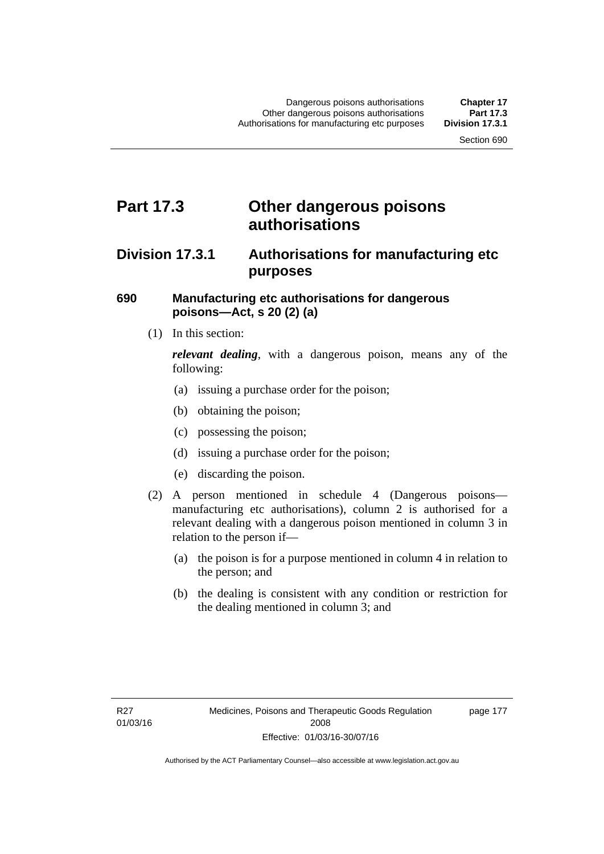## **Part 17.3 Other dangerous poisons authorisations**

### **Division 17.3.1 Authorisations for manufacturing etc purposes**

#### **690 Manufacturing etc authorisations for dangerous poisons—Act, s 20 (2) (a)**

(1) In this section:

*relevant dealing*, with a dangerous poison, means any of the following:

- (a) issuing a purchase order for the poison;
- (b) obtaining the poison;
- (c) possessing the poison;
- (d) issuing a purchase order for the poison;
- (e) discarding the poison.
- (2) A person mentioned in schedule 4 (Dangerous poisons manufacturing etc authorisations), column 2 is authorised for a relevant dealing with a dangerous poison mentioned in column 3 in relation to the person if—
	- (a) the poison is for a purpose mentioned in column 4 in relation to the person; and
	- (b) the dealing is consistent with any condition or restriction for the dealing mentioned in column 3; and

page 177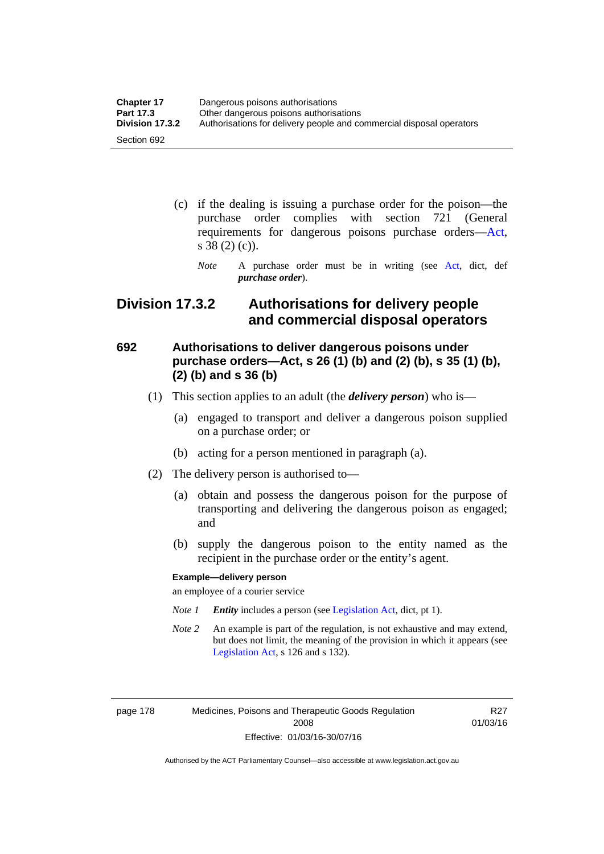| <b>Chapter 17</b> | Dangerous poisons authorisations                                     |
|-------------------|----------------------------------------------------------------------|
| <b>Part 17.3</b>  | Other dangerous poisons authorisations                               |
| Division 17.3.2   | Authorisations for delivery people and commercial disposal operators |
| Section 692       |                                                                      |

- (c) if the dealing is issuing a purchase order for the poison—the purchase order complies with section 721 (General requirements for dangerous poisons purchase orders[—Act](http://www.legislation.act.gov.au/a/2008-26/default.asp), s 38 (2) (c)).
	- *Note* A purchase order must be in writing (see [Act](http://www.legislation.act.gov.au/a/2008-26/default.asp), dict, def *purchase order*).

### **Division 17.3.2 Authorisations for delivery people and commercial disposal operators**

### **692 Authorisations to deliver dangerous poisons under purchase orders—Act, s 26 (1) (b) and (2) (b), s 35 (1) (b), (2) (b) and s 36 (b)**

- (1) This section applies to an adult (the *delivery person*) who is—
	- (a) engaged to transport and deliver a dangerous poison supplied on a purchase order; or
	- (b) acting for a person mentioned in paragraph (a).
- (2) The delivery person is authorised to—
	- (a) obtain and possess the dangerous poison for the purpose of transporting and delivering the dangerous poison as engaged; and
	- (b) supply the dangerous poison to the entity named as the recipient in the purchase order or the entity's agent.

#### **Example—delivery person**

an employee of a courier service

- *Note 1 Entity* includes a person (see [Legislation Act,](http://www.legislation.act.gov.au/a/2001-14) dict, pt 1).
- *Note 2* An example is part of the regulation, is not exhaustive and may extend, but does not limit, the meaning of the provision in which it appears (see [Legislation Act,](http://www.legislation.act.gov.au/a/2001-14) s 126 and s 132).

page 178 Medicines, Poisons and Therapeutic Goods Regulation 2008 Effective: 01/03/16-30/07/16

R27 01/03/16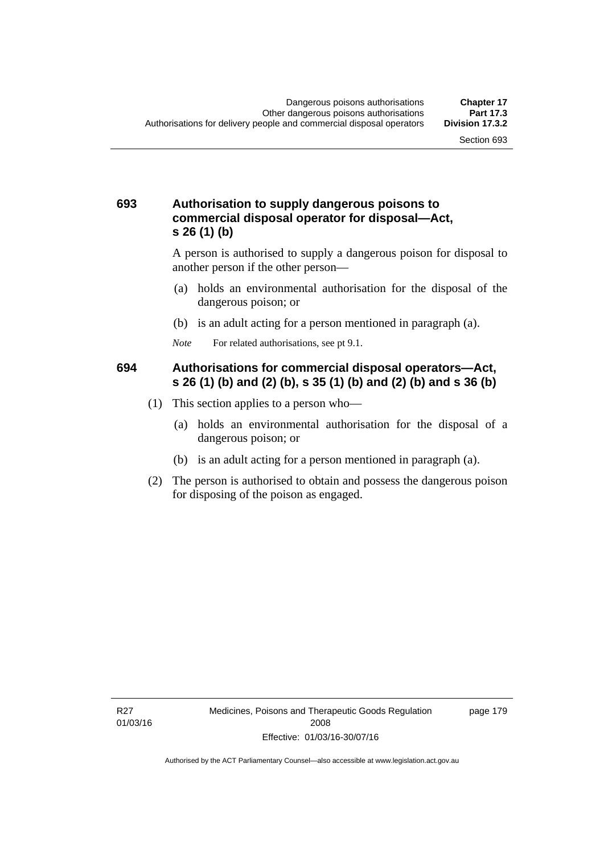#### **693 Authorisation to supply dangerous poisons to commercial disposal operator for disposal—Act, s 26 (1) (b)**

A person is authorised to supply a dangerous poison for disposal to another person if the other person—

- (a) holds an environmental authorisation for the disposal of the dangerous poison; or
- (b) is an adult acting for a person mentioned in paragraph (a).
- *Note* For related authorisations, see pt 9.1.

#### **694 Authorisations for commercial disposal operators—Act, s 26 (1) (b) and (2) (b), s 35 (1) (b) and (2) (b) and s 36 (b)**

- (1) This section applies to a person who—
	- (a) holds an environmental authorisation for the disposal of a dangerous poison; or
	- (b) is an adult acting for a person mentioned in paragraph (a).
- (2) The person is authorised to obtain and possess the dangerous poison for disposing of the poison as engaged.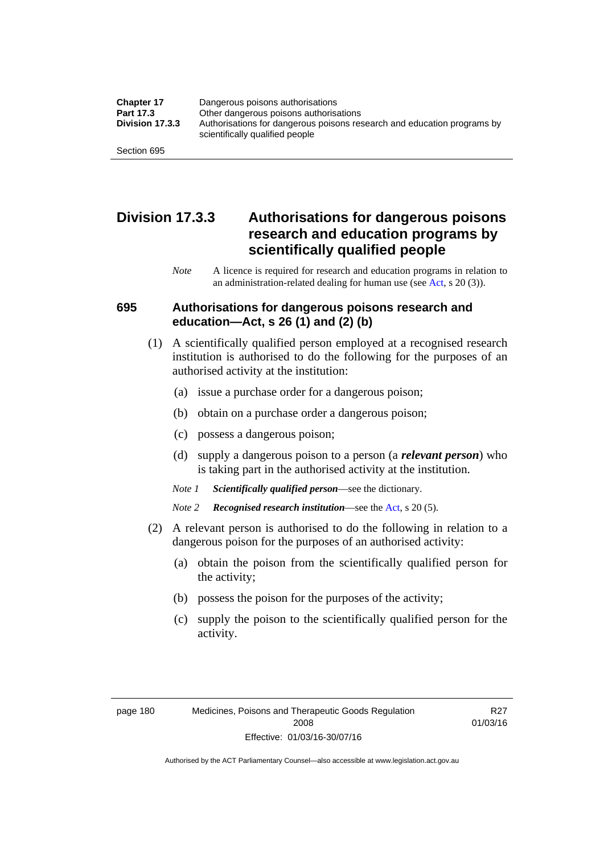| <b>Chapter 17</b> | Dangerous poisons authorisations                                                                           |
|-------------------|------------------------------------------------------------------------------------------------------------|
| Part 17.3         | Other dangerous poisons authorisations                                                                     |
| Division 17.3.3   | Authorisations for dangerous poisons research and education programs by<br>scientifically qualified people |
| Section 695       |                                                                                                            |

### **Division 17.3.3 Authorisations for dangerous poisons research and education programs by scientifically qualified people**

*Note* A licence is required for research and education programs in relation to an administration-related dealing for human use (see [Act](http://www.legislation.act.gov.au/a/2008-26/default.asp), s 20 (3)).

#### **695 Authorisations for dangerous poisons research and education—Act, s 26 (1) and (2) (b)**

- (1) A scientifically qualified person employed at a recognised research institution is authorised to do the following for the purposes of an authorised activity at the institution:
	- (a) issue a purchase order for a dangerous poison;
	- (b) obtain on a purchase order a dangerous poison;
	- (c) possess a dangerous poison;
	- (d) supply a dangerous poison to a person (a *relevant person*) who is taking part in the authorised activity at the institution.
	- *Note 1 Scientifically qualified person*—see the dictionary.
	- *Note 2 Recognised research institution*—see the [Act](http://www.legislation.act.gov.au/a/2008-26/default.asp), s 20 (5).
- (2) A relevant person is authorised to do the following in relation to a dangerous poison for the purposes of an authorised activity:
	- (a) obtain the poison from the scientifically qualified person for the activity;
	- (b) possess the poison for the purposes of the activity;
	- (c) supply the poison to the scientifically qualified person for the activity.

R27 01/03/16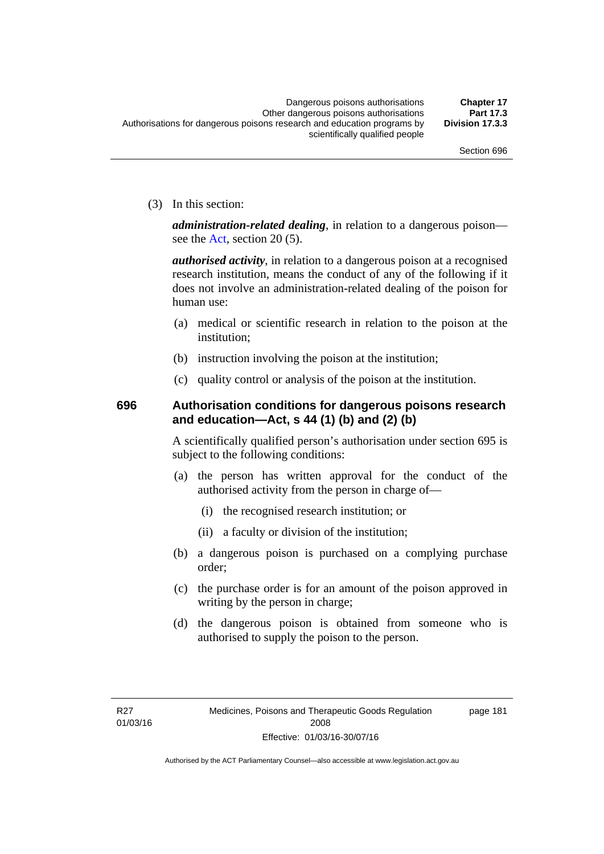(3) In this section:

*administration-related dealing*, in relation to a dangerous poison— see the [Act](http://www.legislation.act.gov.au/a/2008-26/default.asp), section 20 (5).

*authorised activity*, in relation to a dangerous poison at a recognised research institution, means the conduct of any of the following if it does not involve an administration-related dealing of the poison for human use:

- (a) medical or scientific research in relation to the poison at the institution;
- (b) instruction involving the poison at the institution;
- (c) quality control or analysis of the poison at the institution.

### **696 Authorisation conditions for dangerous poisons research and education—Act, s 44 (1) (b) and (2) (b)**

A scientifically qualified person's authorisation under section 695 is subject to the following conditions:

- (a) the person has written approval for the conduct of the authorised activity from the person in charge of—
	- (i) the recognised research institution; or
	- (ii) a faculty or division of the institution;
- (b) a dangerous poison is purchased on a complying purchase order;
- (c) the purchase order is for an amount of the poison approved in writing by the person in charge;
- (d) the dangerous poison is obtained from someone who is authorised to supply the poison to the person.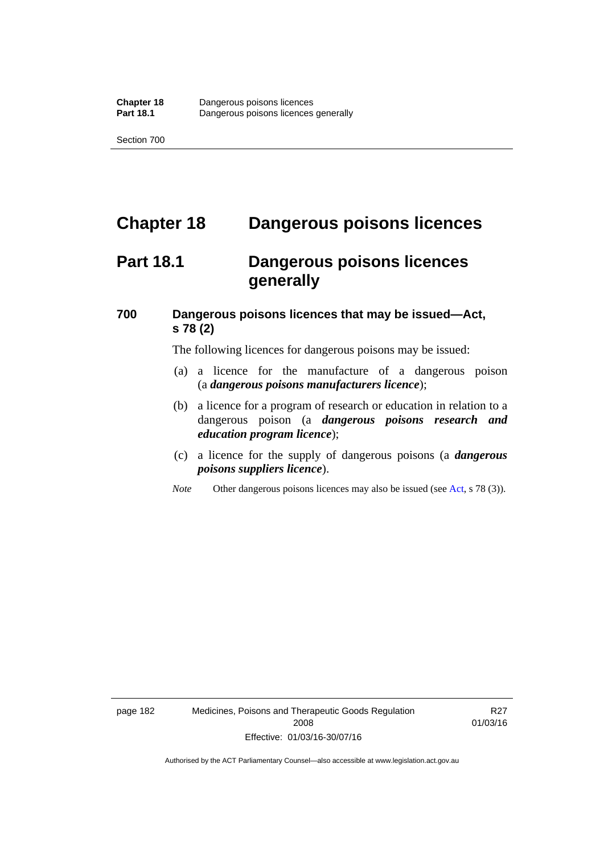# **Chapter 18 Dangerous poisons licences**

## **Part 18.1 Dangerous poisons licences generally**

### **700 Dangerous poisons licences that may be issued—Act, s 78 (2)**

The following licences for dangerous poisons may be issued:

- (a) a licence for the manufacture of a dangerous poison (a *dangerous poisons manufacturers licence*);
- (b) a licence for a program of research or education in relation to a dangerous poison (a *dangerous poisons research and education program licence*);
- (c) a licence for the supply of dangerous poisons (a *dangerous poisons suppliers licence*).
- *Note* Other dangerous poisons licences may also be issued (see [Act](http://www.legislation.act.gov.au/a/2008-26/default.asp), s 78 (3)).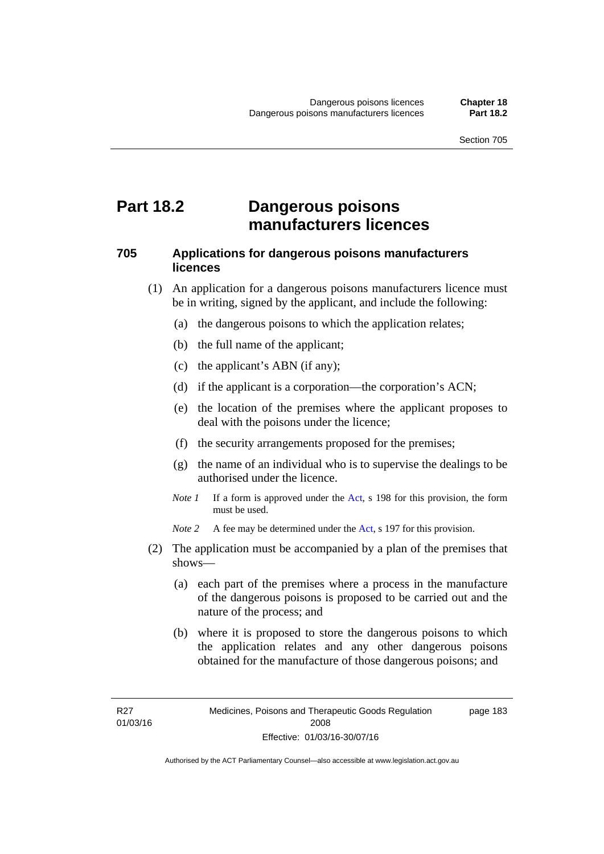## **Part 18.2 Dangerous poisons manufacturers licences**

#### **705 Applications for dangerous poisons manufacturers licences**

- (1) An application for a dangerous poisons manufacturers licence must be in writing, signed by the applicant, and include the following:
	- (a) the dangerous poisons to which the application relates;
	- (b) the full name of the applicant;
	- (c) the applicant's ABN (if any);
	- (d) if the applicant is a corporation—the corporation's ACN;
	- (e) the location of the premises where the applicant proposes to deal with the poisons under the licence;
	- (f) the security arrangements proposed for the premises;
	- (g) the name of an individual who is to supervise the dealings to be authorised under the licence.
	- *Note 1* If a form is approved under the [Act](http://www.legislation.act.gov.au/a/2008-26/default.asp), s 198 for this provision, the form must be used.

*Note 2* A fee may be determined under the [Act,](http://www.legislation.act.gov.au/a/2008-26/default.asp) s 197 for this provision.

- (2) The application must be accompanied by a plan of the premises that shows—
	- (a) each part of the premises where a process in the manufacture of the dangerous poisons is proposed to be carried out and the nature of the process; and
	- (b) where it is proposed to store the dangerous poisons to which the application relates and any other dangerous poisons obtained for the manufacture of those dangerous poisons; and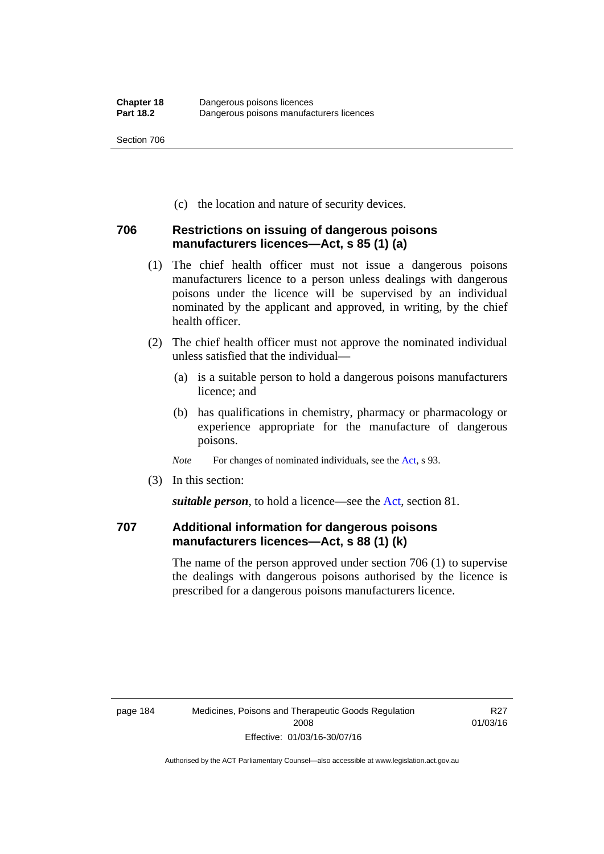(c) the location and nature of security devices.

#### **706 Restrictions on issuing of dangerous poisons manufacturers licences—Act, s 85 (1) (a)**

- (1) The chief health officer must not issue a dangerous poisons manufacturers licence to a person unless dealings with dangerous poisons under the licence will be supervised by an individual nominated by the applicant and approved, in writing, by the chief health officer.
- (2) The chief health officer must not approve the nominated individual unless satisfied that the individual—
	- (a) is a suitable person to hold a dangerous poisons manufacturers licence; and
	- (b) has qualifications in chemistry, pharmacy or pharmacology or experience appropriate for the manufacture of dangerous poisons.
	- *Note* For changes of nominated individuals, see the [Act,](http://www.legislation.act.gov.au/a/2008-26/default.asp) s 93.
- (3) In this section:

*suitable person*, to hold a licence—see the [Act](http://www.legislation.act.gov.au/a/2008-26/default.asp), section 81.

### **707 Additional information for dangerous poisons manufacturers licences—Act, s 88 (1) (k)**

The name of the person approved under section 706 (1) to supervise the dealings with dangerous poisons authorised by the licence is prescribed for a dangerous poisons manufacturers licence.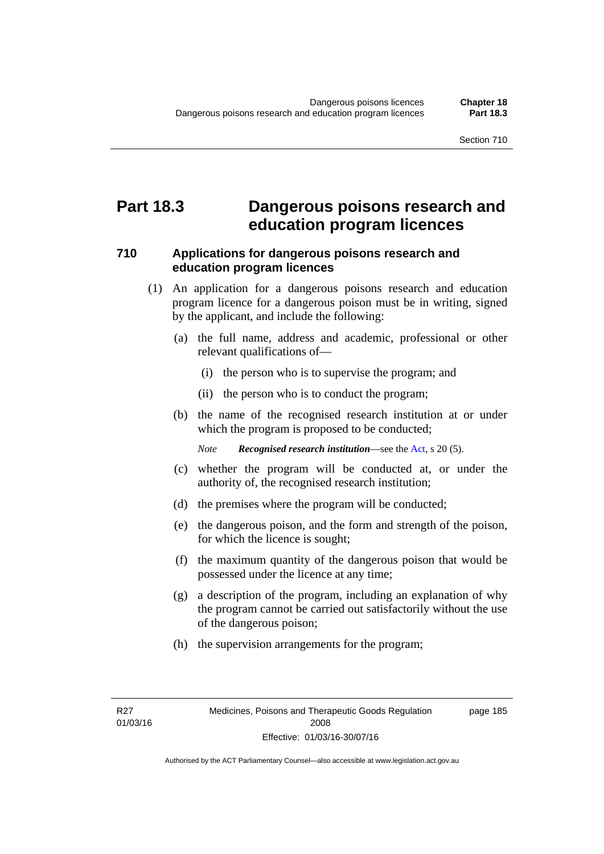### **Part 18.3 Dangerous poisons research and education program licences**

#### **710 Applications for dangerous poisons research and education program licences**

- (1) An application for a dangerous poisons research and education program licence for a dangerous poison must be in writing, signed by the applicant, and include the following:
	- (a) the full name, address and academic, professional or other relevant qualifications of—
		- (i) the person who is to supervise the program; and
		- (ii) the person who is to conduct the program;
	- (b) the name of the recognised research institution at or under which the program is proposed to be conducted;

*Note Recognised research institution*—see the [Act](http://www.legislation.act.gov.au/a/2008-26/default.asp), s 20 (5).

- (c) whether the program will be conducted at, or under the authority of, the recognised research institution;
- (d) the premises where the program will be conducted;
- (e) the dangerous poison, and the form and strength of the poison, for which the licence is sought;
- (f) the maximum quantity of the dangerous poison that would be possessed under the licence at any time;
- (g) a description of the program, including an explanation of why the program cannot be carried out satisfactorily without the use of the dangerous poison;
- (h) the supervision arrangements for the program;

page 185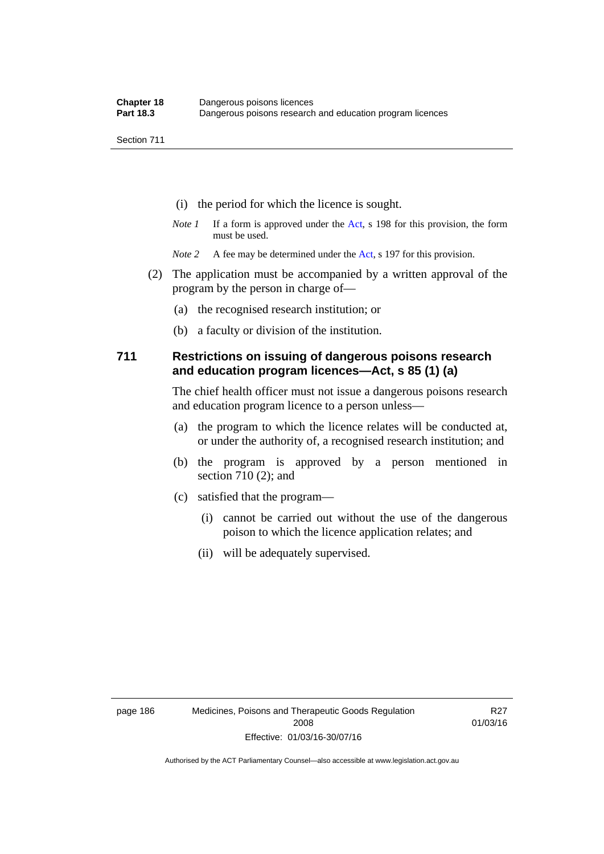- (i) the period for which the licence is sought.
- *Note 1* If a form is approved under the [Act](http://www.legislation.act.gov.au/a/2008-26/default.asp), s 198 for this provision, the form must be used.
- *Note* 2 A fee may be determined under the [Act,](http://www.legislation.act.gov.au/a/2008-26/default.asp) s 197 for this provision.
- (2) The application must be accompanied by a written approval of the program by the person in charge of—
	- (a) the recognised research institution; or
	- (b) a faculty or division of the institution.

#### **711 Restrictions on issuing of dangerous poisons research and education program licences—Act, s 85 (1) (a)**

The chief health officer must not issue a dangerous poisons research and education program licence to a person unless—

- (a) the program to which the licence relates will be conducted at, or under the authority of, a recognised research institution; and
- (b) the program is approved by a person mentioned in section 710 (2); and
- (c) satisfied that the program—
	- (i) cannot be carried out without the use of the dangerous poison to which the licence application relates; and
	- (ii) will be adequately supervised.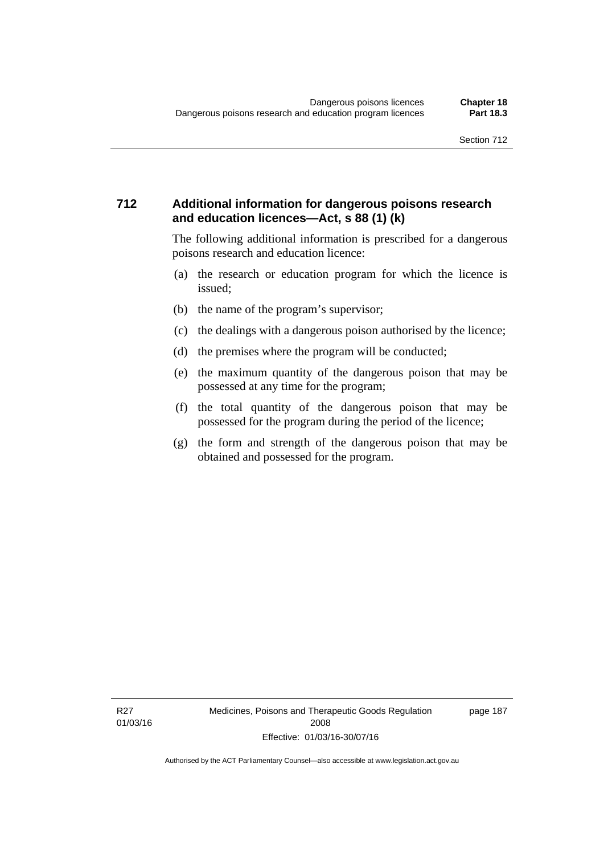#### **712 Additional information for dangerous poisons research and education licences—Act, s 88 (1) (k)**

The following additional information is prescribed for a dangerous poisons research and education licence:

- (a) the research or education program for which the licence is issued;
- (b) the name of the program's supervisor;
- (c) the dealings with a dangerous poison authorised by the licence;
- (d) the premises where the program will be conducted;
- (e) the maximum quantity of the dangerous poison that may be possessed at any time for the program;
- (f) the total quantity of the dangerous poison that may be possessed for the program during the period of the licence;
- (g) the form and strength of the dangerous poison that may be obtained and possessed for the program.

page 187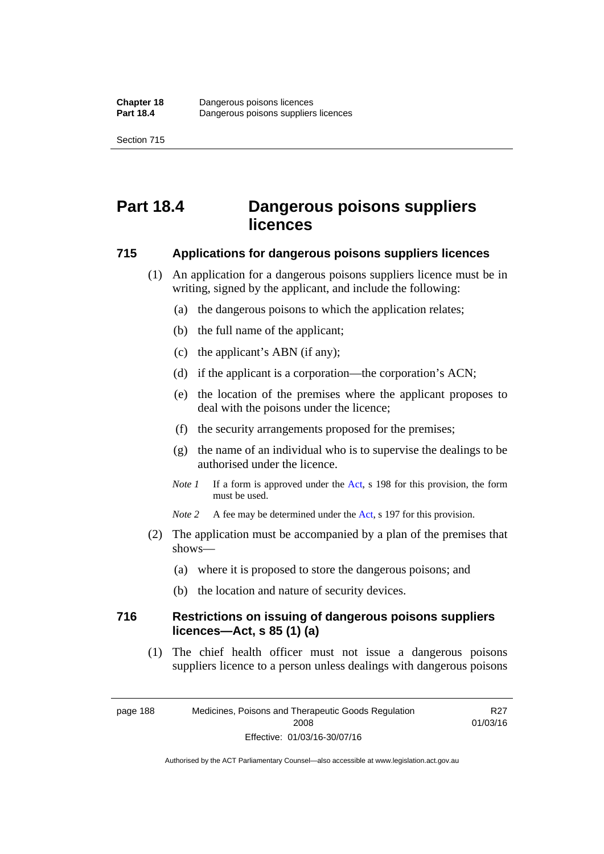# **Part 18.4 Dangerous poisons suppliers licences**

#### **715 Applications for dangerous poisons suppliers licences**

- (1) An application for a dangerous poisons suppliers licence must be in writing, signed by the applicant, and include the following:
	- (a) the dangerous poisons to which the application relates;
	- (b) the full name of the applicant;
	- (c) the applicant's ABN (if any);
	- (d) if the applicant is a corporation—the corporation's ACN;
	- (e) the location of the premises where the applicant proposes to deal with the poisons under the licence;
	- (f) the security arrangements proposed for the premises;
	- (g) the name of an individual who is to supervise the dealings to be authorised under the licence.
	- *Note 1* If a form is approved under the [Act](http://www.legislation.act.gov.au/a/2008-26/default.asp), s 198 for this provision, the form must be used.
	- *Note* 2 A fee may be determined under the [Act,](http://www.legislation.act.gov.au/a/2008-26/default.asp) s 197 for this provision.
- (2) The application must be accompanied by a plan of the premises that shows—
	- (a) where it is proposed to store the dangerous poisons; and
	- (b) the location and nature of security devices.

#### **716 Restrictions on issuing of dangerous poisons suppliers licences—Act, s 85 (1) (a)**

(1) The chief health officer must not issue a dangerous poisons suppliers licence to a person unless dealings with dangerous poisons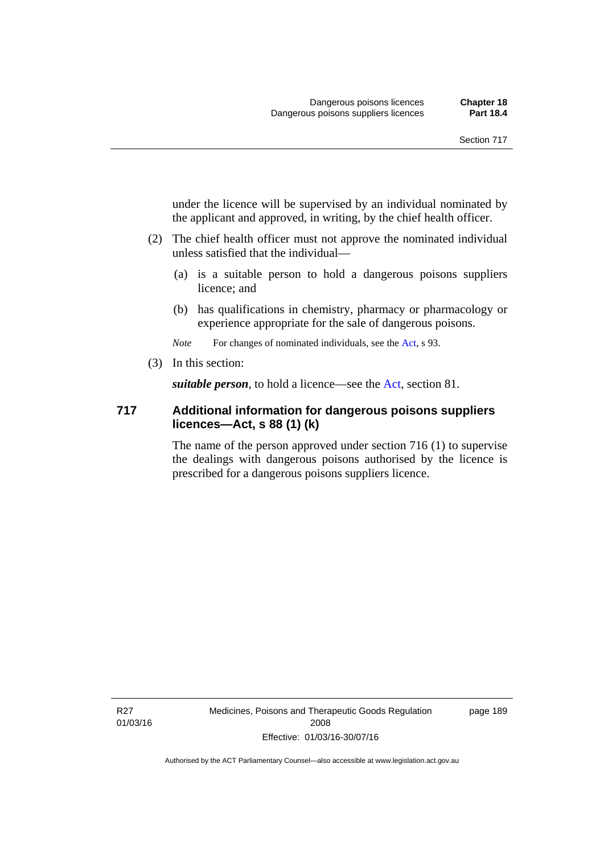under the licence will be supervised by an individual nominated by the applicant and approved, in writing, by the chief health officer.

- (2) The chief health officer must not approve the nominated individual unless satisfied that the individual—
	- (a) is a suitable person to hold a dangerous poisons suppliers licence; and
	- (b) has qualifications in chemistry, pharmacy or pharmacology or experience appropriate for the sale of dangerous poisons.

*Note* For changes of nominated individuals, see the [Act,](http://www.legislation.act.gov.au/a/2008-26/default.asp) s 93.

(3) In this section:

*suitable person*, to hold a licence—see the [Act](http://www.legislation.act.gov.au/a/2008-26/default.asp), section 81.

#### **717 Additional information for dangerous poisons suppliers licences—Act, s 88 (1) (k)**

The name of the person approved under section 716 (1) to supervise the dealings with dangerous poisons authorised by the licence is prescribed for a dangerous poisons suppliers licence.

R27 01/03/16 Medicines, Poisons and Therapeutic Goods Regulation 2008 Effective: 01/03/16-30/07/16

page 189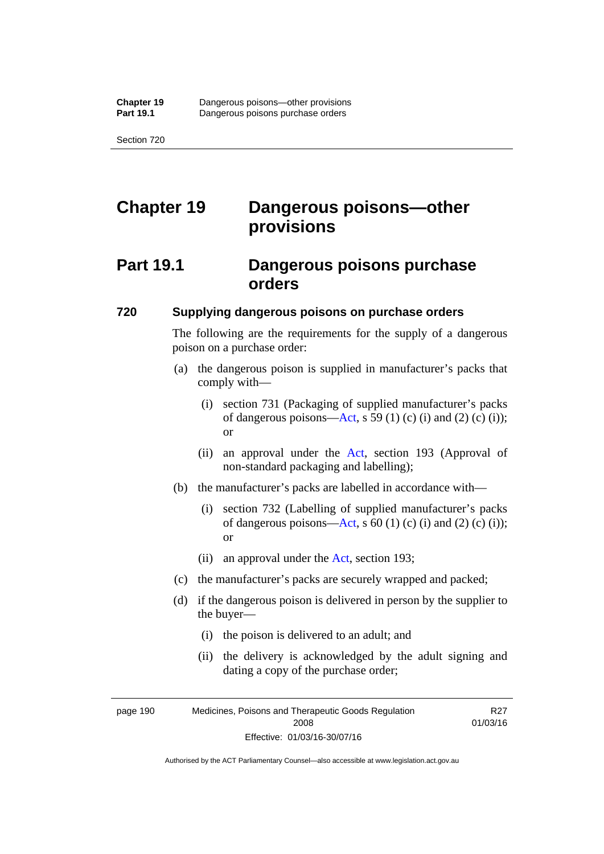# **Chapter 19 Dangerous poisons—other provisions**

## **Part 19.1 Dangerous poisons purchase orders**

#### **720 Supplying dangerous poisons on purchase orders**

The following are the requirements for the supply of a dangerous poison on a purchase order:

- (a) the dangerous poison is supplied in manufacturer's packs that comply with—
	- (i) section 731 (Packaging of supplied manufacturer's packs of dangerous poisons[—Act](http://www.legislation.act.gov.au/a/2008-26/default.asp), s 59 (1) (c) (i) and (2) (c) (i)); or
	- (ii) an approval under the [Act](http://www.legislation.act.gov.au/a/2008-26/default.asp), section 193 (Approval of non-standard packaging and labelling);
- (b) the manufacturer's packs are labelled in accordance with—
	- (i) section 732 (Labelling of supplied manufacturer's packs of dangerous poisons[—Act](http://www.legislation.act.gov.au/a/2008-26/default.asp), s  $60$  (1) (c) (i) and (2) (c) (i)); or
	- (ii) an approval under the [Act,](http://www.legislation.act.gov.au/a/2008-26/default.asp) section 193;
- (c) the manufacturer's packs are securely wrapped and packed;
- (d) if the dangerous poison is delivered in person by the supplier to the buyer—
	- (i) the poison is delivered to an adult; and
	- (ii) the delivery is acknowledged by the adult signing and dating a copy of the purchase order;

page 190 Medicines, Poisons and Therapeutic Goods Regulation 2008 Effective: 01/03/16-30/07/16

R27 01/03/16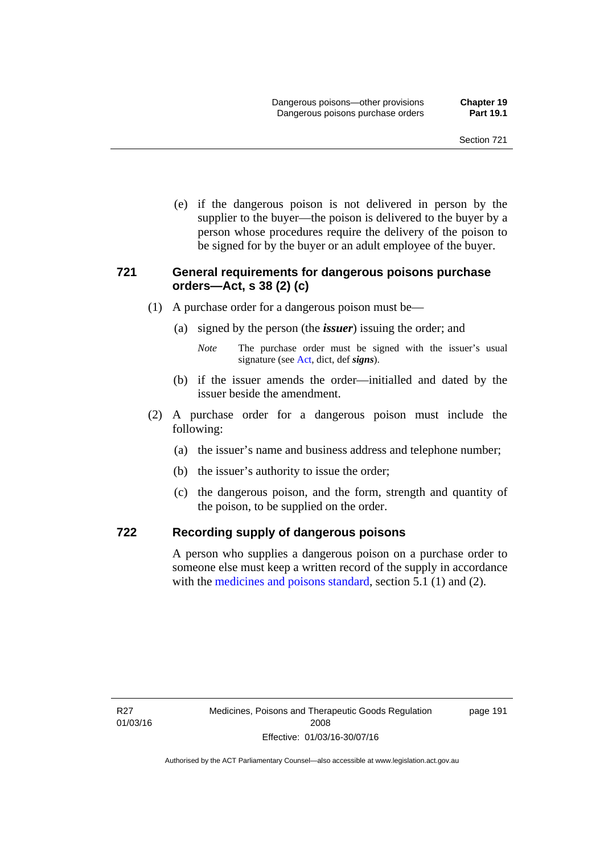(e) if the dangerous poison is not delivered in person by the supplier to the buyer—the poison is delivered to the buyer by a person whose procedures require the delivery of the poison to be signed for by the buyer or an adult employee of the buyer.

#### **721 General requirements for dangerous poisons purchase orders—Act, s 38 (2) (c)**

- (1) A purchase order for a dangerous poison must be—
	- (a) signed by the person (the *issuer*) issuing the order; and
		- *Note* The purchase order must be signed with the issuer's usual signature (see [Act](http://www.legislation.act.gov.au/a/2008-26/default.asp), dict, def *signs*).
	- (b) if the issuer amends the order—initialled and dated by the issuer beside the amendment.
- (2) A purchase order for a dangerous poison must include the following:
	- (a) the issuer's name and business address and telephone number;
	- (b) the issuer's authority to issue the order;
	- (c) the dangerous poison, and the form, strength and quantity of the poison, to be supplied on the order.

#### **722 Recording supply of dangerous poisons**

A person who supplies a dangerous poison on a purchase order to someone else must keep a written record of the supply in accordance with the [medicines and poisons standard](http://www.comlaw.gov.au/Series/F2012L01200), section 5.1 (1) and (2).

page 191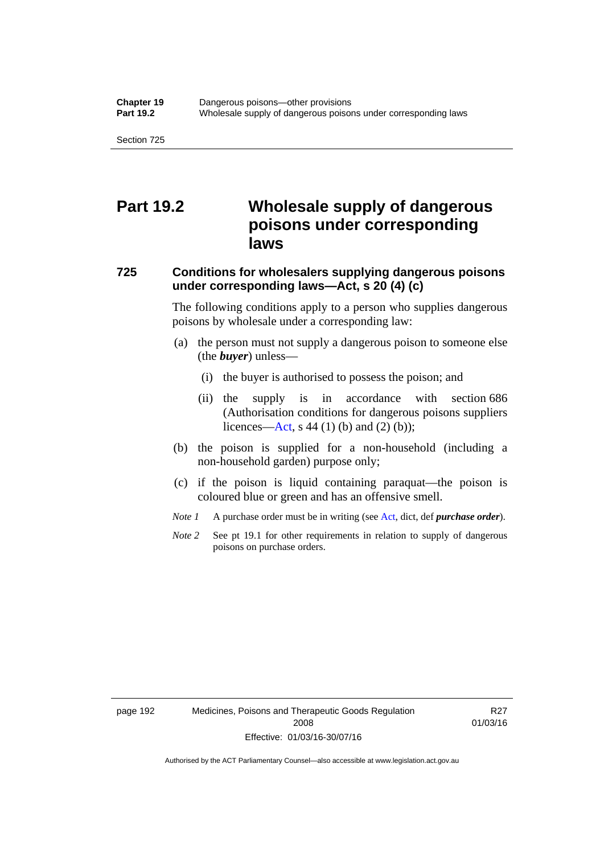## **Part 19.2 Wholesale supply of dangerous poisons under corresponding laws**

### **725 Conditions for wholesalers supplying dangerous poisons under corresponding laws—Act, s 20 (4) (c)**

The following conditions apply to a person who supplies dangerous poisons by wholesale under a corresponding law:

- (a) the person must not supply a dangerous poison to someone else (the *buyer*) unless—
	- (i) the buyer is authorised to possess the poison; and
	- (ii) the supply is in accordance with section 686 (Authorisation conditions for dangerous poisons suppliers licences—[Act,](http://www.legislation.act.gov.au/a/2008-26/default.asp) s 44 (1) (b) and (2) (b));
- (b) the poison is supplied for a non-household (including a non-household garden) purpose only;
- (c) if the poison is liquid containing paraquat—the poison is coloured blue or green and has an offensive smell.
- *Note 1* A purchase order must be in writing (see [Act,](http://www.legislation.act.gov.au/a/2008-26/default.asp) dict, def *purchase order*).
- *Note* 2 See pt 19.1 for other requirements in relation to supply of dangerous poisons on purchase orders.

R27 01/03/16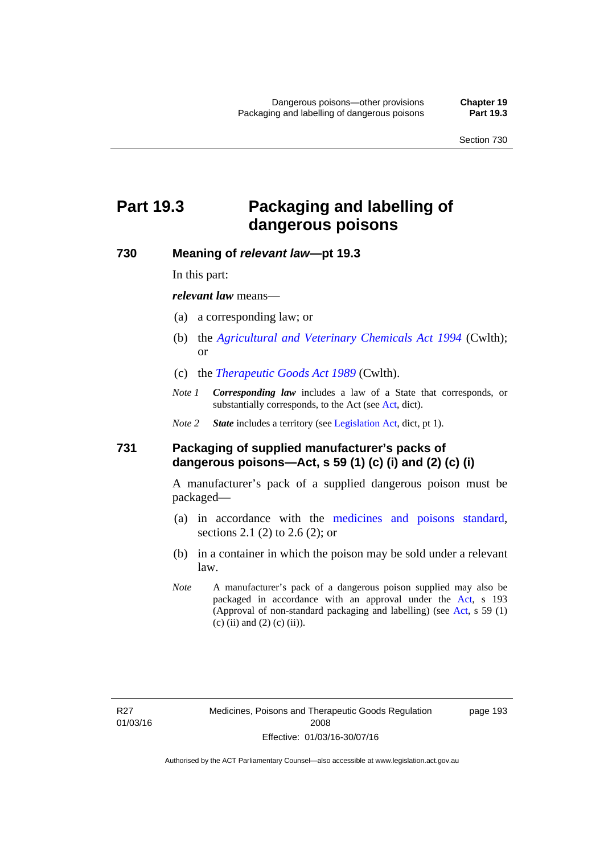# **Part 19.3 Packaging and labelling of dangerous poisons**

#### **730 Meaning of** *relevant law***—pt 19.3**

In this part:

*relevant law* means—

- (a) a corresponding law; or
- (b) the *[Agricultural and Veterinary Chemicals Act 1994](http://www.comlaw.gov.au/Series/C2004A04712)* (Cwlth); or
- (c) the *[Therapeutic Goods Act 1989](http://www.comlaw.gov.au/Series/C2004A03952)* (Cwlth).
- *Note 1 Corresponding law* includes a law of a State that corresponds, or substantially corresponds, to the [Act](http://www.legislation.act.gov.au/a/2008-26/default.asp) (see Act, dict).

*Note 2 State* includes a territory (see [Legislation Act,](http://www.legislation.act.gov.au/a/2001-14) dict, pt 1).

#### **731 Packaging of supplied manufacturer's packs of dangerous poisons—Act, s 59 (1) (c) (i) and (2) (c) (i)**

A manufacturer's pack of a supplied dangerous poison must be packaged—

- (a) in accordance with the [medicines and poisons standard](http://www.comlaw.gov.au/Series/F2012L01200), sections 2.1 (2) to 2.6 (2); or
- (b) in a container in which the poison may be sold under a relevant law.
- *Note* A manufacturer's pack of a dangerous poison supplied may also be packaged in accordance with an approval under the [Act,](http://www.legislation.act.gov.au/a/2008-26/default.asp) s 193 (Approval of non-standard packaging and labelling) (see [Act](http://www.legislation.act.gov.au/a/2008-26/default.asp), s 59 (1) (c) (ii) and (2) (c) (ii)).

page 193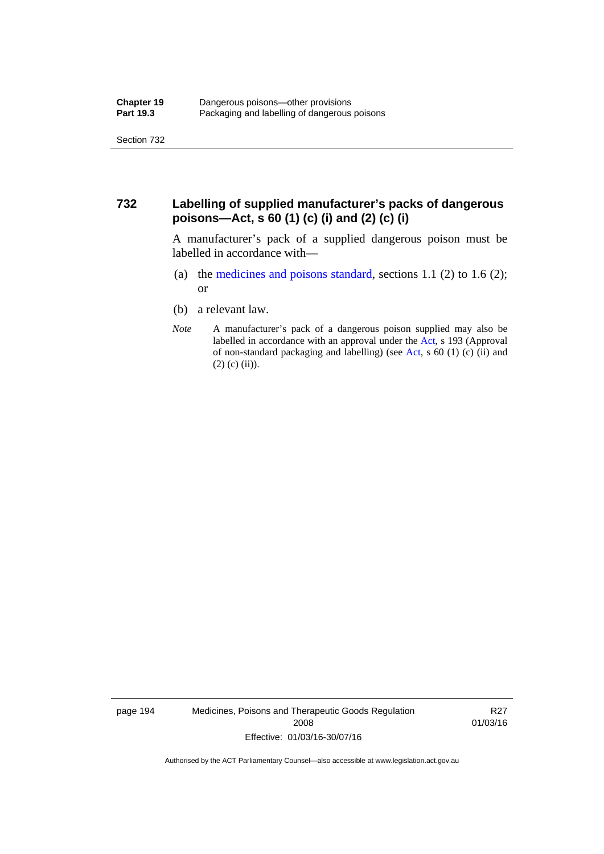#### **732 Labelling of supplied manufacturer's packs of dangerous poisons—Act, s 60 (1) (c) (i) and (2) (c) (i)**

A manufacturer's pack of a supplied dangerous poison must be labelled in accordance with—

- (a) the [medicines and poisons standard](http://www.comlaw.gov.au/Series/F2012L01200), sections 1.1 (2) to 1.6 (2); or
- (b) a relevant law.
- *Note* A manufacturer's pack of a dangerous poison supplied may also be labelled in accordance with an approval under the [Act](http://www.legislation.act.gov.au/a/2008-26/default.asp), s 193 (Approval of non-standard packaging and labelling) (see [Act,](http://www.legislation.act.gov.au/a/2008-26/default.asp) s 60 (1) (c) (ii) and  $(2)$  (c) (ii)).

page 194 Medicines, Poisons and Therapeutic Goods Regulation 2008 Effective: 01/03/16-30/07/16

R27 01/03/16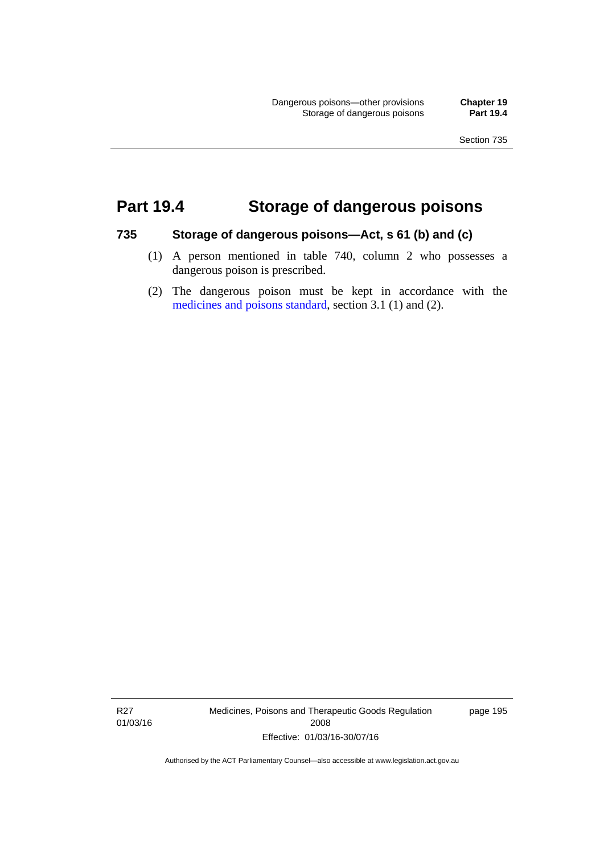# **Part 19.4 Storage of dangerous poisons**

#### **735 Storage of dangerous poisons—Act, s 61 (b) and (c)**

- (1) A person mentioned in table 740, column 2 who possesses a dangerous poison is prescribed.
- (2) The dangerous poison must be kept in accordance with the [medicines and poisons standard](http://www.comlaw.gov.au/Series/F2012L01200), section 3.1 (1) and (2).

R27 01/03/16 Medicines, Poisons and Therapeutic Goods Regulation 2008 Effective: 01/03/16-30/07/16

page 195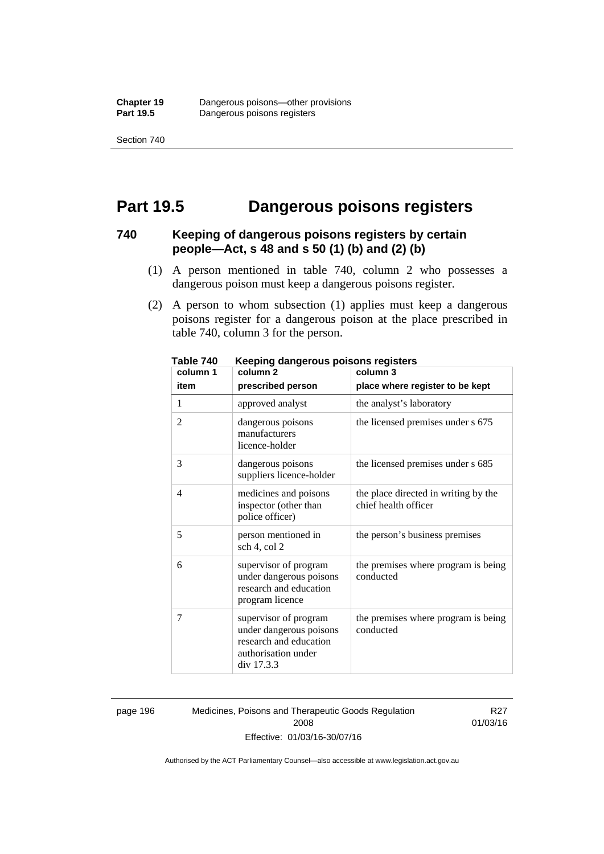Section 740

# **Part 19.5 Dangerous poisons registers**

#### **740 Keeping of dangerous poisons registers by certain people—Act, s 48 and s 50 (1) (b) and (2) (b)**

- (1) A person mentioned in table 740, column 2 who possesses a dangerous poison must keep a dangerous poisons register.
- (2) A person to whom subsection (1) applies must keep a dangerous poisons register for a dangerous poison at the place prescribed in table 740, column 3 for the person.

| 1 ANIC 140<br>column 1 | <u>Reepiriy dariyerous poisons registers</u><br>column <sub>2</sub>                                             | column 3                                                     |
|------------------------|-----------------------------------------------------------------------------------------------------------------|--------------------------------------------------------------|
| item                   | prescribed person                                                                                               | place where register to be kept                              |
| 1                      | approved analyst                                                                                                | the analyst's laboratory                                     |
| $\overline{2}$         | dangerous poisons<br>manufacturers<br>licence-holder                                                            | the licensed premises under s 675                            |
| 3                      | dangerous poisons<br>suppliers licence-holder                                                                   | the licensed premises under s 685                            |
| 4                      | medicines and poisons<br>inspector (other than<br>police officer)                                               | the place directed in writing by the<br>chief health officer |
| 5                      | person mentioned in<br>sch 4, col 2                                                                             | the person's business premises                               |
| 6                      | supervisor of program<br>under dangerous poisons<br>research and education<br>program licence                   | the premises where program is being<br>conducted             |
| 7                      | supervisor of program<br>under dangerous poisons<br>research and education<br>authorisation under<br>div 17.3.3 | the premises where program is being<br>conducted             |

**Table 740 Keeping dangerous poisons registers** 

page 196 Medicines, Poisons and Therapeutic Goods Regulation 2008 Effective: 01/03/16-30/07/16

R27 01/03/16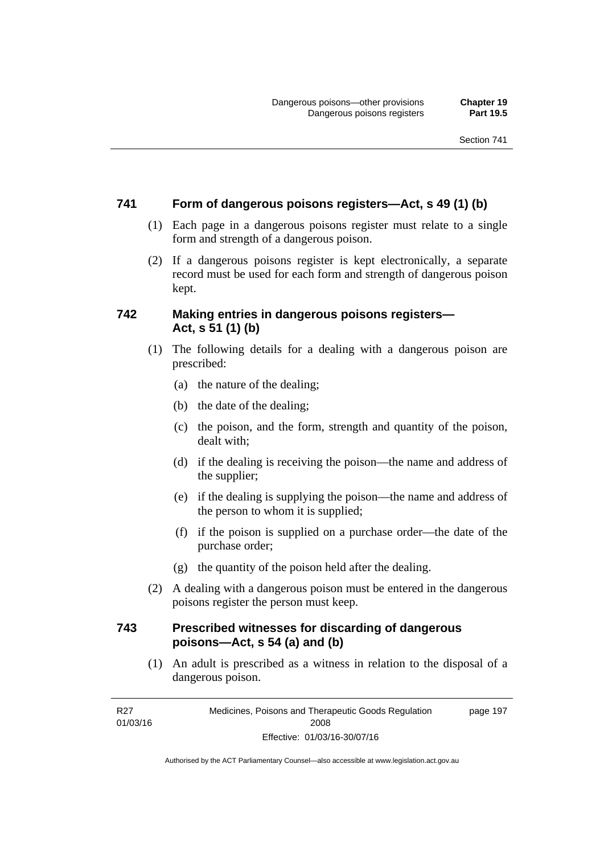#### **741 Form of dangerous poisons registers—Act, s 49 (1) (b)**

- (1) Each page in a dangerous poisons register must relate to a single form and strength of a dangerous poison.
- (2) If a dangerous poisons register is kept electronically, a separate record must be used for each form and strength of dangerous poison kept.

#### **742 Making entries in dangerous poisons registers— Act, s 51 (1) (b)**

- (1) The following details for a dealing with a dangerous poison are prescribed:
	- (a) the nature of the dealing;
	- (b) the date of the dealing;
	- (c) the poison, and the form, strength and quantity of the poison, dealt with;
	- (d) if the dealing is receiving the poison—the name and address of the supplier;
	- (e) if the dealing is supplying the poison—the name and address of the person to whom it is supplied;
	- (f) if the poison is supplied on a purchase order—the date of the purchase order;
	- (g) the quantity of the poison held after the dealing.
- (2) A dealing with a dangerous poison must be entered in the dangerous poisons register the person must keep.

#### **743 Prescribed witnesses for discarding of dangerous poisons—Act, s 54 (a) and (b)**

 (1) An adult is prescribed as a witness in relation to the disposal of a dangerous poison.

R27 01/03/16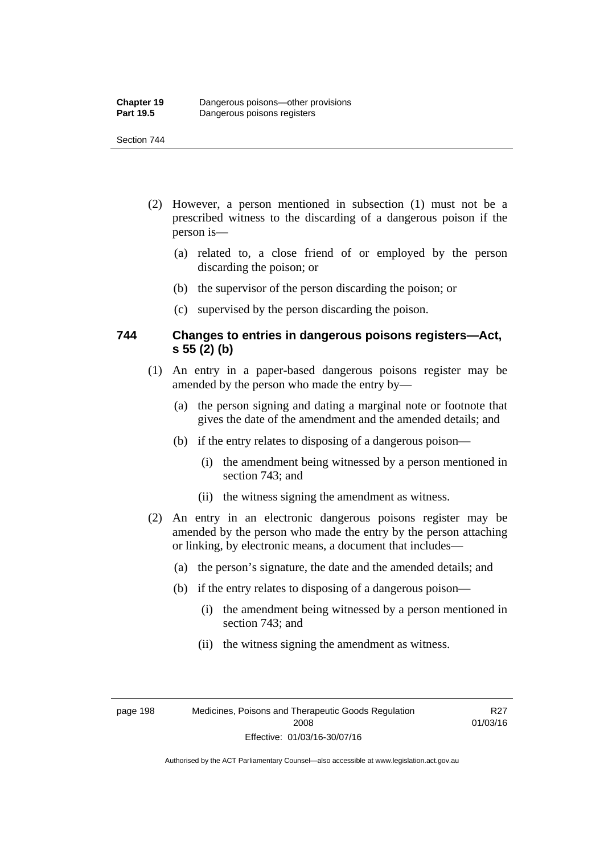#### Section 744

- (2) However, a person mentioned in subsection (1) must not be a prescribed witness to the discarding of a dangerous poison if the person is—
	- (a) related to, a close friend of or employed by the person discarding the poison; or
	- (b) the supervisor of the person discarding the poison; or
	- (c) supervised by the person discarding the poison.

#### **744 Changes to entries in dangerous poisons registers—Act, s 55 (2) (b)**

- (1) An entry in a paper-based dangerous poisons register may be amended by the person who made the entry by—
	- (a) the person signing and dating a marginal note or footnote that gives the date of the amendment and the amended details; and
	- (b) if the entry relates to disposing of a dangerous poison—
		- (i) the amendment being witnessed by a person mentioned in section 743; and
		- (ii) the witness signing the amendment as witness.
- (2) An entry in an electronic dangerous poisons register may be amended by the person who made the entry by the person attaching or linking, by electronic means, a document that includes—
	- (a) the person's signature, the date and the amended details; and
	- (b) if the entry relates to disposing of a dangerous poison—
		- (i) the amendment being witnessed by a person mentioned in section 743; and
		- (ii) the witness signing the amendment as witness.

page 198 Medicines, Poisons and Therapeutic Goods Regulation 2008 Effective: 01/03/16-30/07/16

R27 01/03/16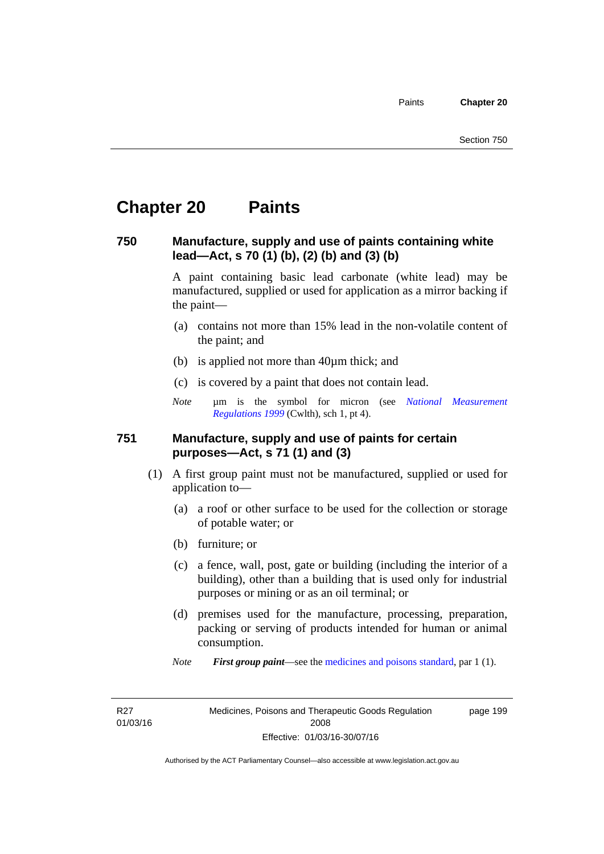# **Chapter 20 Paints**

#### **750 Manufacture, supply and use of paints containing white lead—Act, s 70 (1) (b), (2) (b) and (3) (b)**

A paint containing basic lead carbonate (white lead) may be manufactured, supplied or used for application as a mirror backing if the paint—

- (a) contains not more than 15% lead in the non-volatile content of the paint; and
- (b) is applied not more than 40µm thick; and
- (c) is covered by a paint that does not contain lead.
- *Note* um is the symbol for micron (see *National Measurement [Regulations 1999](http://www.comlaw.gov.au/Series/F1999B00110)* (Cwlth), sch 1, pt 4).

#### **751 Manufacture, supply and use of paints for certain purposes—Act, s 71 (1) and (3)**

- (1) A first group paint must not be manufactured, supplied or used for application to—
	- (a) a roof or other surface to be used for the collection or storage of potable water; or
	- (b) furniture; or
	- (c) a fence, wall, post, gate or building (including the interior of a building), other than a building that is used only for industrial purposes or mining or as an oil terminal; or
	- (d) premises used for the manufacture, processing, preparation, packing or serving of products intended for human or animal consumption.
	- *Note First group paint*—see the [medicines and poisons standard](http://www.comlaw.gov.au/Series/F2012L01200), par 1 (1).

R27 01/03/16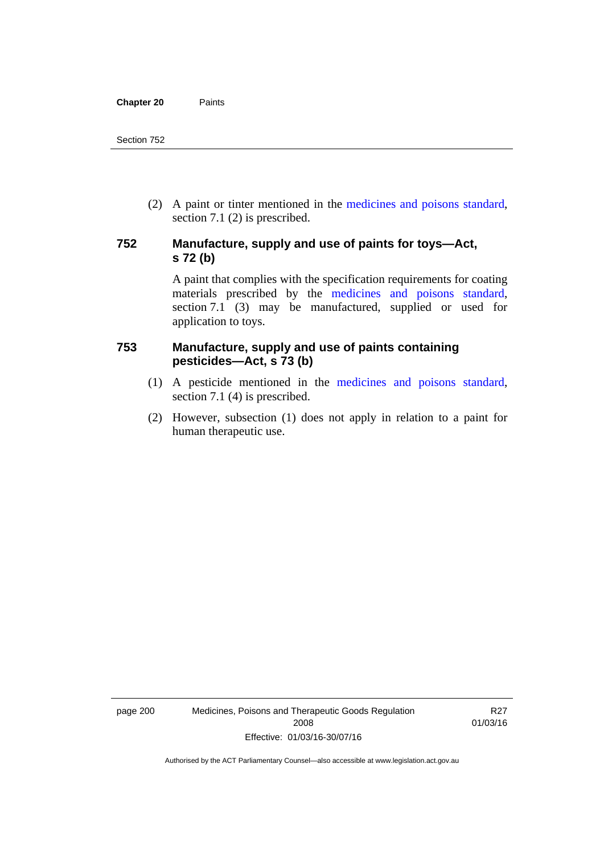(2) A paint or tinter mentioned in the [medicines and poisons standard,](http://www.comlaw.gov.au/Series/F2012L01200) section 7.1 (2) is prescribed.

#### **752 Manufacture, supply and use of paints for toys—Act, s 72 (b)**

A paint that complies with the specification requirements for coating materials prescribed by the [medicines and poisons standard](http://www.comlaw.gov.au/Series/F2012L01200), section 7.1 (3) may be manufactured, supplied or used for application to toys.

#### **753 Manufacture, supply and use of paints containing pesticides—Act, s 73 (b)**

- (1) A pesticide mentioned in the [medicines and poisons standard](http://www.comlaw.gov.au/Series/F2012L01200), section 7.1 (4) is prescribed.
- (2) However, subsection (1) does not apply in relation to a paint for human therapeutic use.

page 200 Medicines, Poisons and Therapeutic Goods Regulation 2008 Effective: 01/03/16-30/07/16

R27 01/03/16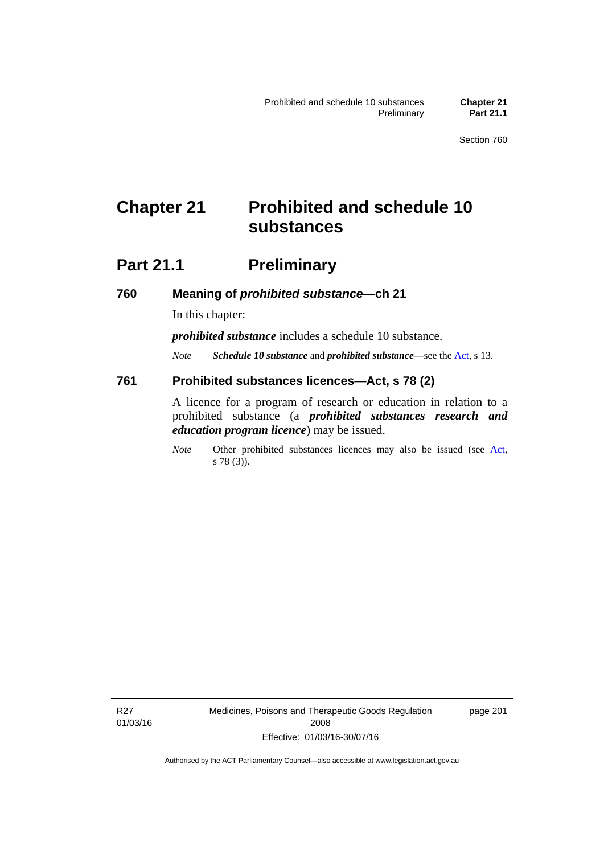# **Chapter 21 Prohibited and schedule 10 substances**

# **Part 21.1 Preliminary**

**760 Meaning of** *prohibited substance***—ch 21** 

In this chapter:

*prohibited substance* includes a schedule 10 substance.

*Note Schedule 10 substance* and *prohibited substance*—see the [Act](http://www.legislation.act.gov.au/a/2008-26/default.asp), s 13.

#### **761 Prohibited substances licences—Act, s 78 (2)**

A licence for a program of research or education in relation to a prohibited substance (a *prohibited substances research and education program licence*) may be issued.

*Note* Other prohibited substances licences may also be issued (see [Act,](http://www.legislation.act.gov.au/a/2008-26/default.asp) s 78 (3)).

R27 01/03/16 Medicines, Poisons and Therapeutic Goods Regulation 2008 Effective: 01/03/16-30/07/16

page 201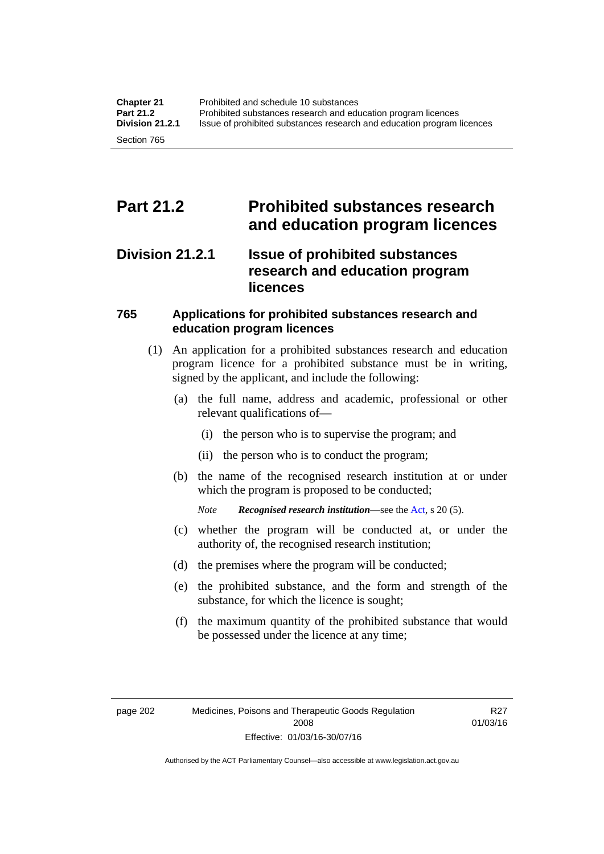# **Part 21.2 Prohibited substances research and education program licences**

### **Division 21.2.1 Issue of prohibited substances research and education program licences**

#### **765 Applications for prohibited substances research and education program licences**

- (1) An application for a prohibited substances research and education program licence for a prohibited substance must be in writing, signed by the applicant, and include the following:
	- (a) the full name, address and academic, professional or other relevant qualifications of—
		- (i) the person who is to supervise the program; and
		- (ii) the person who is to conduct the program;
	- (b) the name of the recognised research institution at or under which the program is proposed to be conducted;
		- *Note Recognised research institution*—see the [Act](http://www.legislation.act.gov.au/a/2008-26/default.asp), s 20 (5).
	- (c) whether the program will be conducted at, or under the authority of, the recognised research institution;
	- (d) the premises where the program will be conducted;
	- (e) the prohibited substance, and the form and strength of the substance, for which the licence is sought;
	- (f) the maximum quantity of the prohibited substance that would be possessed under the licence at any time;

R27 01/03/16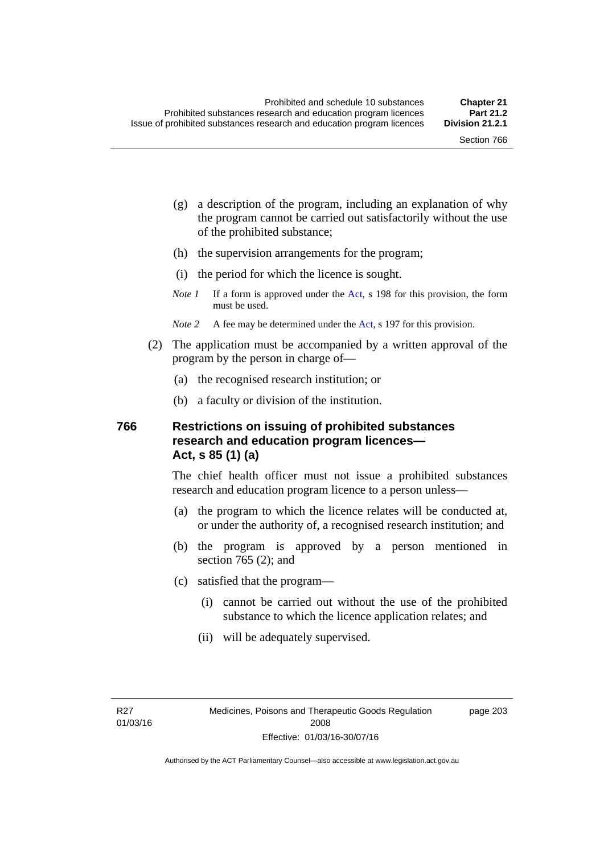page 203

- (g) a description of the program, including an explanation of why the program cannot be carried out satisfactorily without the use of the prohibited substance;
- (h) the supervision arrangements for the program;
- (i) the period for which the licence is sought.
- *Note 1* If a form is approved under the [Act](http://www.legislation.act.gov.au/a/2008-26/default.asp), s 198 for this provision, the form must be used.
- *Note* 2 A fee may be determined under the [Act,](http://www.legislation.act.gov.au/a/2008-26/default.asp) s 197 for this provision.
- (2) The application must be accompanied by a written approval of the program by the person in charge of—
	- (a) the recognised research institution; or
	- (b) a faculty or division of the institution.

#### **766 Restrictions on issuing of prohibited substances research and education program licences— Act, s 85 (1) (a)**

The chief health officer must not issue a prohibited substances research and education program licence to a person unless—

- (a) the program to which the licence relates will be conducted at, or under the authority of, a recognised research institution; and
- (b) the program is approved by a person mentioned in section 765 (2); and
- (c) satisfied that the program—
	- (i) cannot be carried out without the use of the prohibited substance to which the licence application relates; and
	- (ii) will be adequately supervised.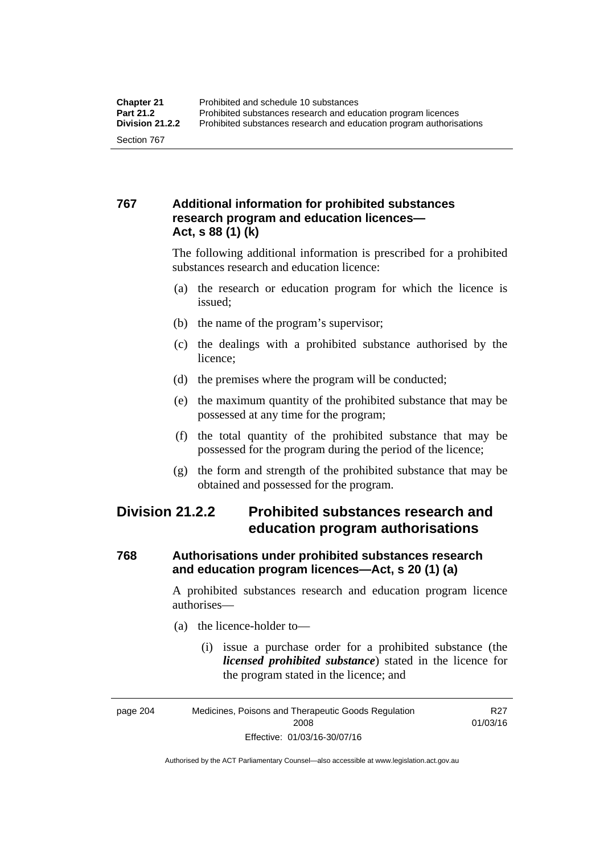#### **767 Additional information for prohibited substances research program and education licences— Act, s 88 (1) (k)**

The following additional information is prescribed for a prohibited substances research and education licence:

- (a) the research or education program for which the licence is issued;
- (b) the name of the program's supervisor;
- (c) the dealings with a prohibited substance authorised by the licence;
- (d) the premises where the program will be conducted;
- (e) the maximum quantity of the prohibited substance that may be possessed at any time for the program;
- (f) the total quantity of the prohibited substance that may be possessed for the program during the period of the licence;
- (g) the form and strength of the prohibited substance that may be obtained and possessed for the program.

### **Division 21.2.2 Prohibited substances research and education program authorisations**

#### **768 Authorisations under prohibited substances research and education program licences—Act, s 20 (1) (a)**

A prohibited substances research and education program licence authorises—

- (a) the licence-holder to—
	- (i) issue a purchase order for a prohibited substance (the *licensed prohibited substance*) stated in the licence for the program stated in the licence; and

R27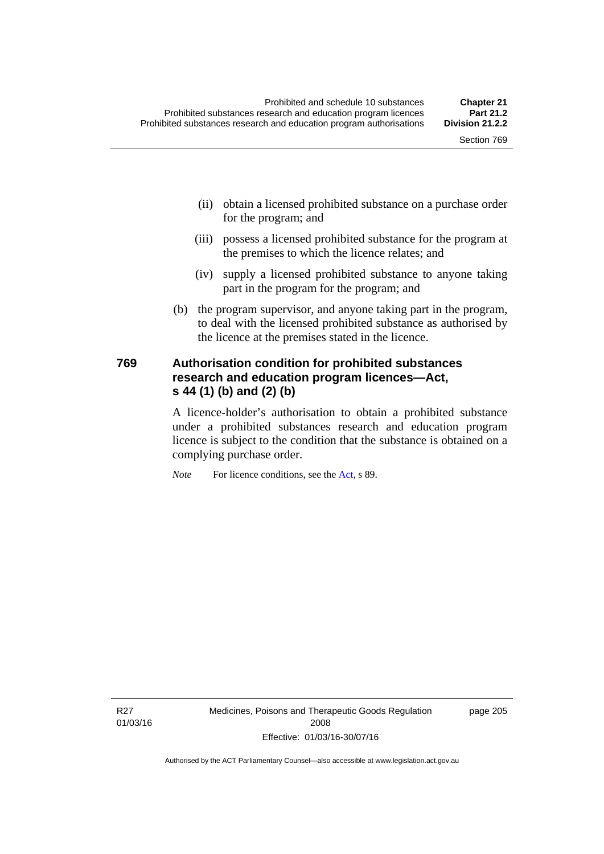- (ii) obtain a licensed prohibited substance on a purchase order for the program; and
- (iii) possess a licensed prohibited substance for the program at the premises to which the licence relates; and
- (iv) supply a licensed prohibited substance to anyone taking part in the program for the program; and
- (b) the program supervisor, and anyone taking part in the program, to deal with the licensed prohibited substance as authorised by the licence at the premises stated in the licence.

#### **769 Authorisation condition for prohibited substances research and education program licences—Act, s 44 (1) (b) and (2) (b)**

A licence-holder's authorisation to obtain a prohibited substance under a prohibited substances research and education program licence is subject to the condition that the substance is obtained on a complying purchase order.

*Note* For licence conditions, see the [Act](http://www.legislation.act.gov.au/a/2008-26/default.asp), s 89.

R27 01/03/16 page 205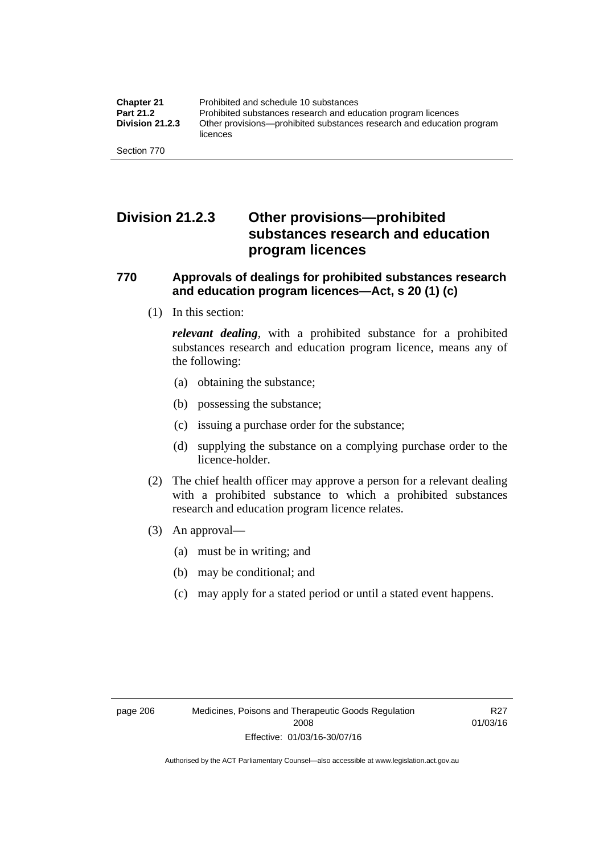## **Division 21.2.3 Other provisions—prohibited substances research and education program licences**

#### **770 Approvals of dealings for prohibited substances research and education program licences—Act, s 20 (1) (c)**

(1) In this section:

*relevant dealing*, with a prohibited substance for a prohibited substances research and education program licence, means any of the following:

- (a) obtaining the substance;
- (b) possessing the substance;
- (c) issuing a purchase order for the substance;
- (d) supplying the substance on a complying purchase order to the licence-holder.
- (2) The chief health officer may approve a person for a relevant dealing with a prohibited substance to which a prohibited substances research and education program licence relates.
- (3) An approval—
	- (a) must be in writing; and
	- (b) may be conditional; and
	- (c) may apply for a stated period or until a stated event happens.

R27 01/03/16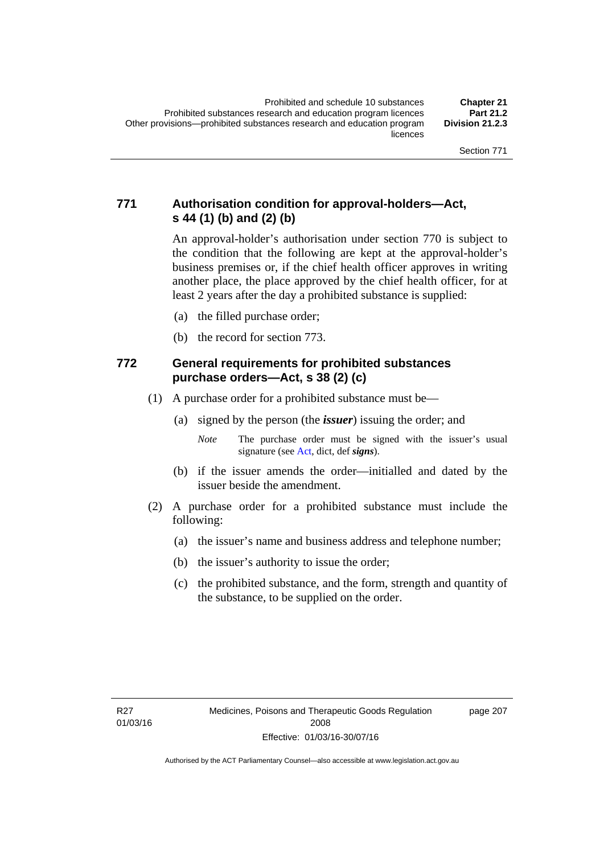#### **771 Authorisation condition for approval-holders—Act, s 44 (1) (b) and (2) (b)**

An approval-holder's authorisation under section 770 is subject to the condition that the following are kept at the approval-holder's business premises or, if the chief health officer approves in writing another place, the place approved by the chief health officer, for at least 2 years after the day a prohibited substance is supplied:

- (a) the filled purchase order;
- (b) the record for section 773.

#### **772 General requirements for prohibited substances purchase orders—Act, s 38 (2) (c)**

- (1) A purchase order for a prohibited substance must be—
	- (a) signed by the person (the *issuer*) issuing the order; and
		- *Note* The purchase order must be signed with the issuer's usual signature (see [Act](http://www.legislation.act.gov.au/a/2008-26/default.asp), dict, def *signs*).
	- (b) if the issuer amends the order—initialled and dated by the issuer beside the amendment.
- (2) A purchase order for a prohibited substance must include the following:
	- (a) the issuer's name and business address and telephone number;
	- (b) the issuer's authority to issue the order;
	- (c) the prohibited substance, and the form, strength and quantity of the substance, to be supplied on the order.

page 207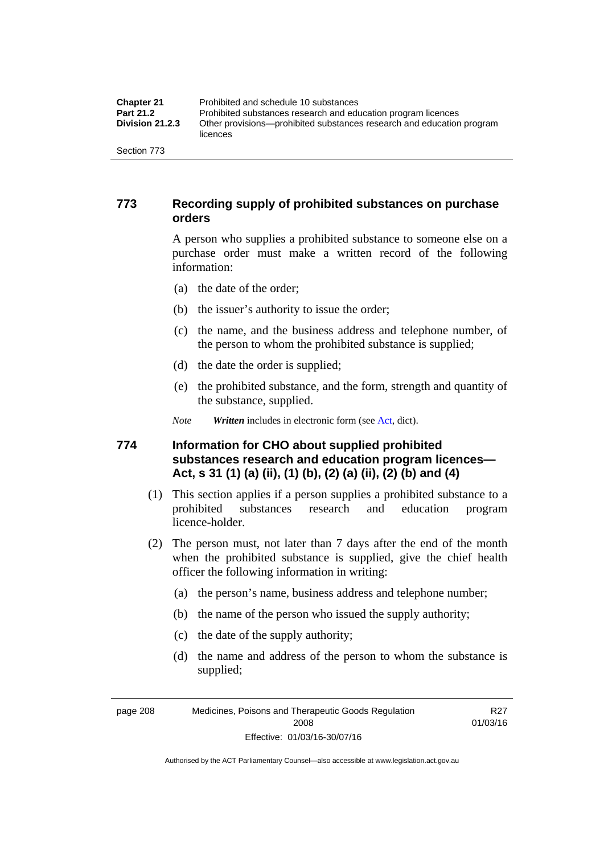| <b>Chapter 21</b>      | Prohibited and schedule 10 substances                                             |
|------------------------|-----------------------------------------------------------------------------------|
| <b>Part 21.2</b>       | Prohibited substances research and education program licences                     |
| <b>Division 21.2.3</b> | Other provisions—prohibited substances research and education program<br>licences |
| Section 773            |                                                                                   |

#### **773 Recording supply of prohibited substances on purchase orders**

A person who supplies a prohibited substance to someone else on a purchase order must make a written record of the following information:

- (a) the date of the order;
- (b) the issuer's authority to issue the order;
- (c) the name, and the business address and telephone number, of the person to whom the prohibited substance is supplied;
- (d) the date the order is supplied;
- (e) the prohibited substance, and the form, strength and quantity of the substance, supplied.
- *Note Written* includes in electronic form (see [Act,](http://www.legislation.act.gov.au/a/2008-26/default.asp) dict).

#### **774 Information for CHO about supplied prohibited substances research and education program licences— Act, s 31 (1) (a) (ii), (1) (b), (2) (a) (ii), (2) (b) and (4)**

- (1) This section applies if a person supplies a prohibited substance to a prohibited substances research and education program licence-holder.
- (2) The person must, not later than 7 days after the end of the month when the prohibited substance is supplied, give the chief health officer the following information in writing:
	- (a) the person's name, business address and telephone number;
	- (b) the name of the person who issued the supply authority;
	- (c) the date of the supply authority;
	- (d) the name and address of the person to whom the substance is supplied;

page 208 Medicines, Poisons and Therapeutic Goods Regulation 2008 Effective: 01/03/16-30/07/16

R27 01/03/16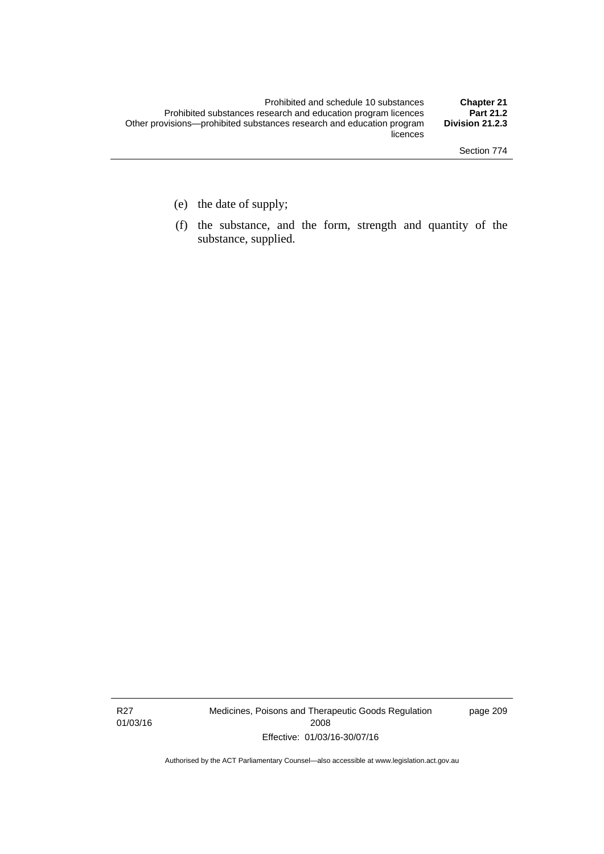- (e) the date of supply;
- (f) the substance, and the form, strength and quantity of the substance, supplied.

R27 01/03/16 Medicines, Poisons and Therapeutic Goods Regulation 2008 Effective: 01/03/16-30/07/16

page 209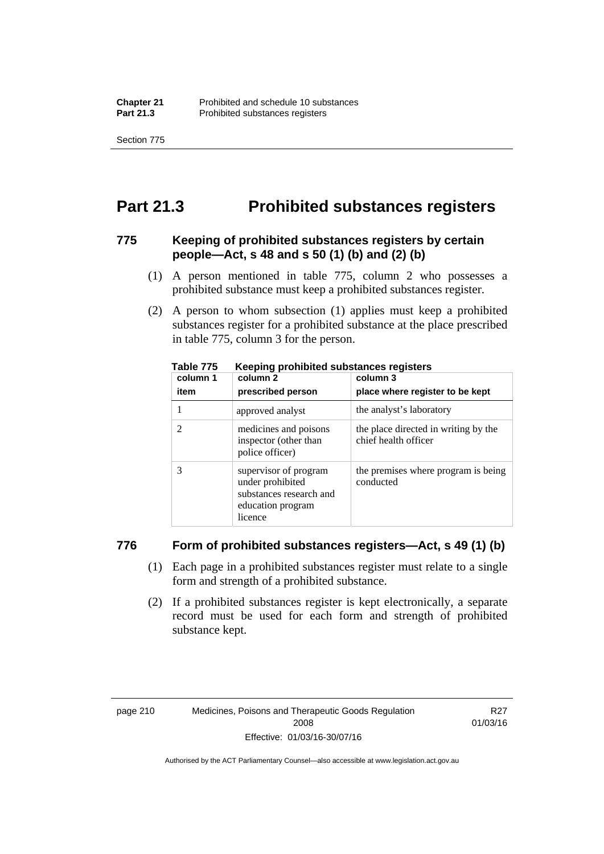Section 775

# **Part 21.3 Prohibited substances registers**

#### **775 Keeping of prohibited substances registers by certain people—Act, s 48 and s 50 (1) (b) and (2) (b)**

- (1) A person mentioned in table 775, column 2 who possesses a prohibited substance must keep a prohibited substances register.
- (2) A person to whom subsection (1) applies must keep a prohibited substances register for a prohibited substance at the place prescribed in table 775, column 3 for the person.

| column 1 | .<br>column 2                                                                                        | column 3                                                     |
|----------|------------------------------------------------------------------------------------------------------|--------------------------------------------------------------|
| item     | prescribed person                                                                                    | place where register to be kept                              |
|          | approved analyst                                                                                     | the analyst's laboratory                                     |
|          | medicines and poisons<br>inspector (other than<br>police officer)                                    | the place directed in writing by the<br>chief health officer |
|          | supervisor of program<br>under prohibited<br>substances research and<br>education program<br>licence | the premises where program is being<br>conducted             |

**Table 775 Keeping prohibited substances registers** 

#### **776 Form of prohibited substances registers—Act, s 49 (1) (b)**

- (1) Each page in a prohibited substances register must relate to a single form and strength of a prohibited substance.
- (2) If a prohibited substances register is kept electronically, a separate record must be used for each form and strength of prohibited substance kept.

R27 01/03/16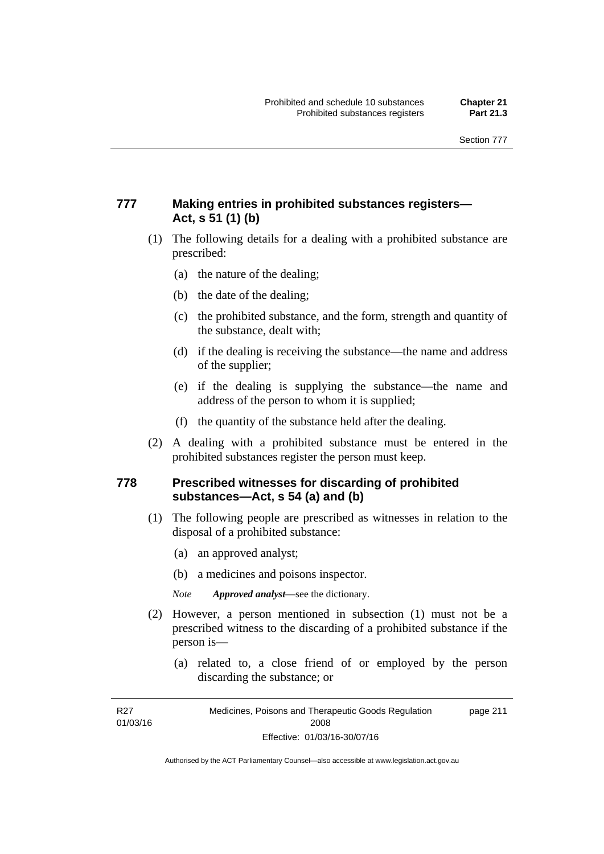#### **777 Making entries in prohibited substances registers— Act, s 51 (1) (b)**

- (1) The following details for a dealing with a prohibited substance are prescribed:
	- (a) the nature of the dealing;
	- (b) the date of the dealing;
	- (c) the prohibited substance, and the form, strength and quantity of the substance, dealt with;
	- (d) if the dealing is receiving the substance—the name and address of the supplier;
	- (e) if the dealing is supplying the substance—the name and address of the person to whom it is supplied;
	- (f) the quantity of the substance held after the dealing.
- (2) A dealing with a prohibited substance must be entered in the prohibited substances register the person must keep.

#### **778 Prescribed witnesses for discarding of prohibited substances—Act, s 54 (a) and (b)**

- (1) The following people are prescribed as witnesses in relation to the disposal of a prohibited substance:
	- (a) an approved analyst;
	- (b) a medicines and poisons inspector.

*Note Approved analyst*—see the dictionary.

- (2) However, a person mentioned in subsection (1) must not be a prescribed witness to the discarding of a prohibited substance if the person is—
	- (a) related to, a close friend of or employed by the person discarding the substance; or

R27 01/03/16

Medicines, Poisons and Therapeutic Goods Regulation 2008 Effective: 01/03/16-30/07/16 page 211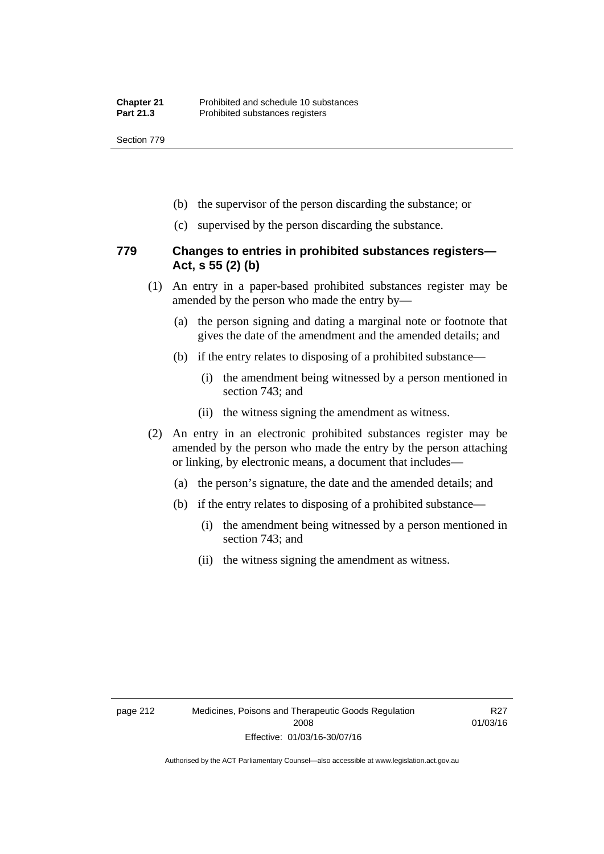Section 779

- (b) the supervisor of the person discarding the substance; or
- (c) supervised by the person discarding the substance.

#### **779 Changes to entries in prohibited substances registers— Act, s 55 (2) (b)**

- (1) An entry in a paper-based prohibited substances register may be amended by the person who made the entry by—
	- (a) the person signing and dating a marginal note or footnote that gives the date of the amendment and the amended details; and
	- (b) if the entry relates to disposing of a prohibited substance—
		- (i) the amendment being witnessed by a person mentioned in section 743; and
		- (ii) the witness signing the amendment as witness.
- (2) An entry in an electronic prohibited substances register may be amended by the person who made the entry by the person attaching or linking, by electronic means, a document that includes—
	- (a) the person's signature, the date and the amended details; and
	- (b) if the entry relates to disposing of a prohibited substance—
		- (i) the amendment being witnessed by a person mentioned in section 743; and
		- (ii) the witness signing the amendment as witness.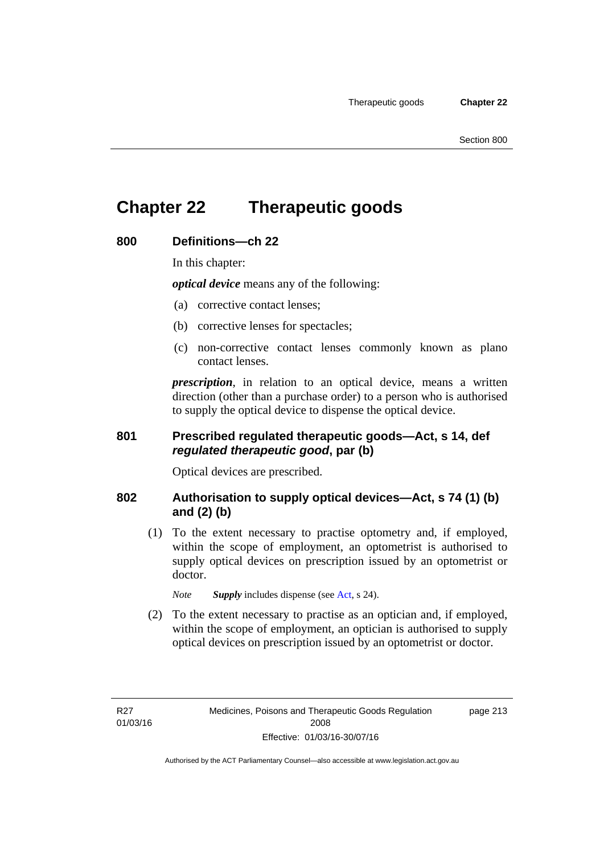# **Chapter 22 Therapeutic goods**

#### **800 Definitions—ch 22**

In this chapter:

*optical device* means any of the following:

- (a) corrective contact lenses;
- (b) corrective lenses for spectacles;
- (c) non-corrective contact lenses commonly known as plano contact lenses.

*prescription*, in relation to an optical device, means a written direction (other than a purchase order) to a person who is authorised to supply the optical device to dispense the optical device.

#### **801 Prescribed regulated therapeutic goods—Act, s 14, def**  *regulated therapeutic good***, par (b)**

Optical devices are prescribed.

#### **802 Authorisation to supply optical devices—Act, s 74 (1) (b) and (2) (b)**

 (1) To the extent necessary to practise optometry and, if employed, within the scope of employment, an optometrist is authorised to supply optical devices on prescription issued by an optometrist or doctor.

*Note Supply* includes dispense (see [Act,](http://www.legislation.act.gov.au/a/2008-26/default.asp) s 24).

 (2) To the extent necessary to practise as an optician and, if employed, within the scope of employment, an optician is authorised to supply optical devices on prescription issued by an optometrist or doctor.

page 213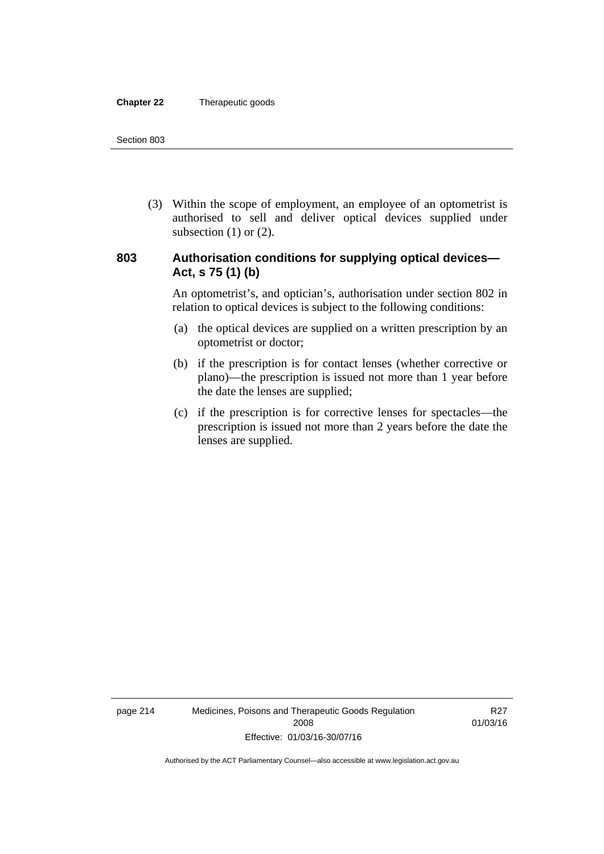#### **Chapter 22** Therapeutic goods

 (3) Within the scope of employment, an employee of an optometrist is authorised to sell and deliver optical devices supplied under subsection  $(1)$  or  $(2)$ .

#### **803 Authorisation conditions for supplying optical devices— Act, s 75 (1) (b)**

An optometrist's, and optician's, authorisation under section 802 in relation to optical devices is subject to the following conditions:

- (a) the optical devices are supplied on a written prescription by an optometrist or doctor;
- (b) if the prescription is for contact lenses (whether corrective or plano)—the prescription is issued not more than 1 year before the date the lenses are supplied;
- (c) if the prescription is for corrective lenses for spectacles—the prescription is issued not more than 2 years before the date the lenses are supplied.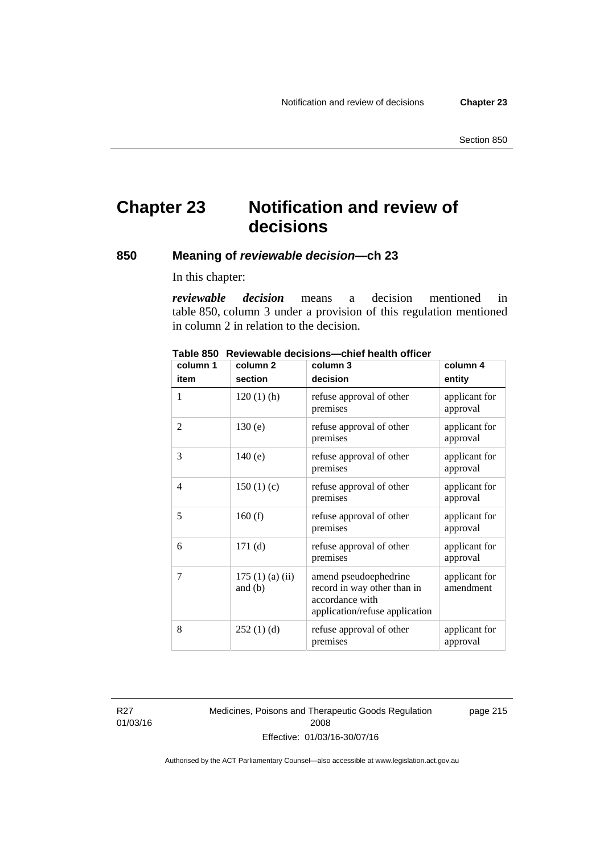# **Chapter 23 Notification and review of decisions**

#### **850 Meaning of** *reviewable decision—***ch 23**

In this chapter:

*reviewable decision* means a decision mentioned in table 850, column 3 under a provision of this regulation mentioned in column 2 in relation to the decision.

| column 1 | column <sub>2</sub>        | column 3                                                                                                  | column 4                   |
|----------|----------------------------|-----------------------------------------------------------------------------------------------------------|----------------------------|
| item     | section                    | decision                                                                                                  | entity                     |
| 1        | $120(1)$ (h)               | refuse approval of other<br>premises                                                                      | applicant for<br>approval  |
| 2        | 130(e)                     | refuse approval of other<br>premises                                                                      | applicant for<br>approval  |
| 3        | 140(e)                     | refuse approval of other<br>premises                                                                      | applicant for<br>approval  |
| 4        | 150(1)(c)                  | refuse approval of other<br>premises                                                                      | applicant for<br>approval  |
| 5        | 160(f)                     | refuse approval of other<br>premises                                                                      | applicant for<br>approval  |
| 6        | 171(d)                     | refuse approval of other<br>premises                                                                      | applicant for<br>approval  |
| 7        | 175(1)(a)(ii)<br>and $(b)$ | amend pseudoephedrine<br>record in way other than in<br>accordance with<br>application/refuse application | applicant for<br>amendment |
| 8        | 252(1)(d)                  | refuse approval of other<br>premises                                                                      | applicant for<br>approval  |

**Table 850 Reviewable decisions—chief health officer** 

R27 01/03/16 Medicines, Poisons and Therapeutic Goods Regulation 2008 Effective: 01/03/16-30/07/16

page 215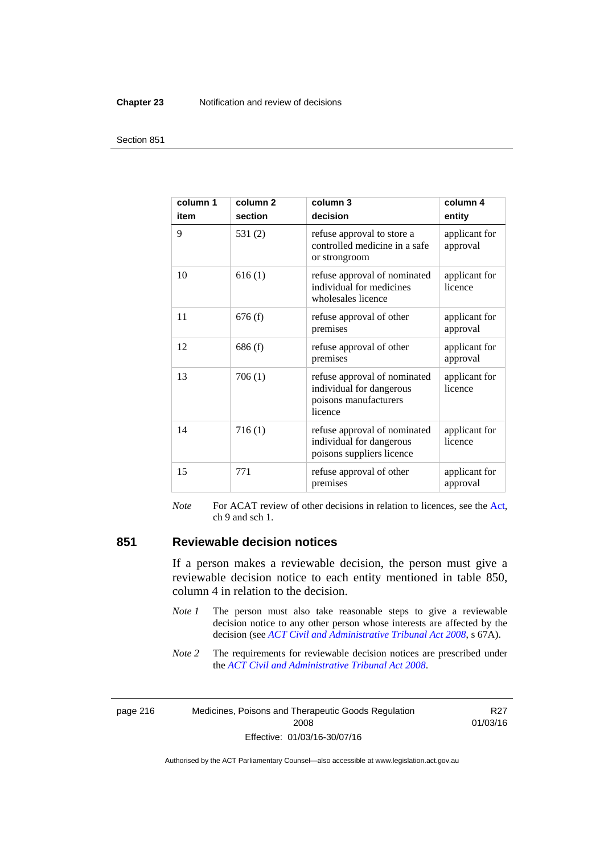#### **Chapter 23** Notification and review of decisions

#### Section 851

| column 1<br>item | column <sub>2</sub><br>section | column 3<br>decision                                                                         | column 4<br>entity        |
|------------------|--------------------------------|----------------------------------------------------------------------------------------------|---------------------------|
| 9                | 531(2)                         | refuse approval to store a<br>controlled medicine in a safe<br>or strongroom                 | applicant for<br>approval |
| 10               | 616(1)                         | refuse approval of nominated<br>individual for medicines<br>wholesales licence               | applicant for<br>licence  |
| 11               | 676(f)                         | refuse approval of other<br>premises                                                         | applicant for<br>approval |
| 12               | 686(f)                         | refuse approval of other<br>premises                                                         | applicant for<br>approval |
| 13               | 706(1)                         | refuse approval of nominated<br>individual for dangerous<br>poisons manufacturers<br>licence | applicant for<br>licence  |
| 14               | 716(1)                         | refuse approval of nominated<br>individual for dangerous<br>poisons suppliers licence        | applicant for<br>licence  |
| 15               | 771                            | refuse approval of other<br>premises                                                         | applicant for<br>approval |

*Note* For ACAT review of other decisions in relation to licences, see the [Act,](http://www.legislation.act.gov.au/a/2008-26/default.asp) ch 9 and sch 1.

#### **851 Reviewable decision notices**

If a person makes a reviewable decision, the person must give a reviewable decision notice to each entity mentioned in table 850, column 4 in relation to the decision.

- *Note 1* The person must also take reasonable steps to give a reviewable decision notice to any other person whose interests are affected by the decision (see *[ACT Civil and Administrative Tribunal Act 2008](http://www.legislation.act.gov.au/a/2008-35)*, s 67A).
- *Note* 2 The requirements for reviewable decision notices are prescribed under the *[ACT Civil and Administrative Tribunal Act 2008](http://www.legislation.act.gov.au/a/2008-35)*.

page 216 Medicines, Poisons and Therapeutic Goods Regulation 2008 Effective: 01/03/16-30/07/16

R27 01/03/16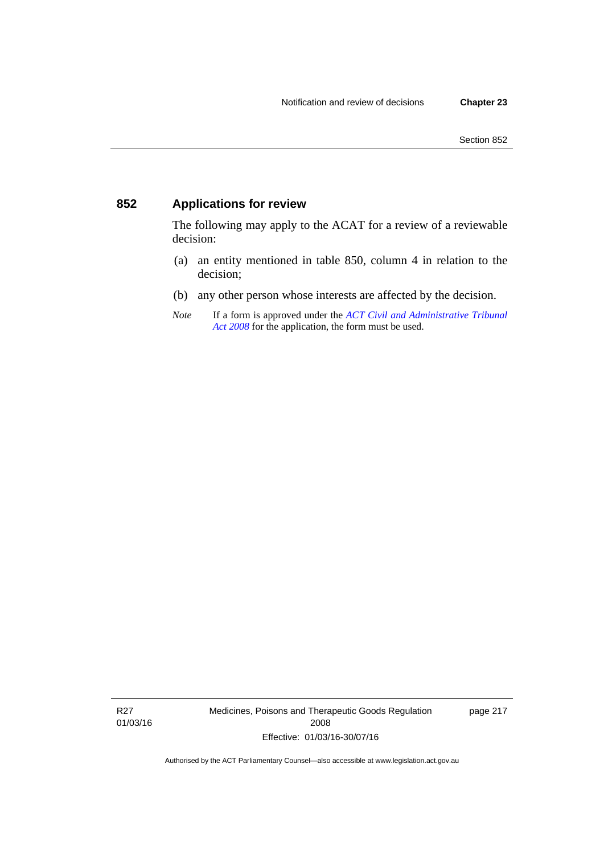### **852 Applications for review**

The following may apply to the ACAT for a review of a reviewable decision:

- (a) an entity mentioned in table 850, column 4 in relation to the decision;
- (b) any other person whose interests are affected by the decision.
- *Note* If a form is approved under the *[ACT Civil and Administrative Tribunal](http://www.legislation.act.gov.au/a/2008-35)  [Act 2008](http://www.legislation.act.gov.au/a/2008-35)* for the application, the form must be used.

R27 01/03/16 Medicines, Poisons and Therapeutic Goods Regulation 2008 Effective: 01/03/16-30/07/16

page 217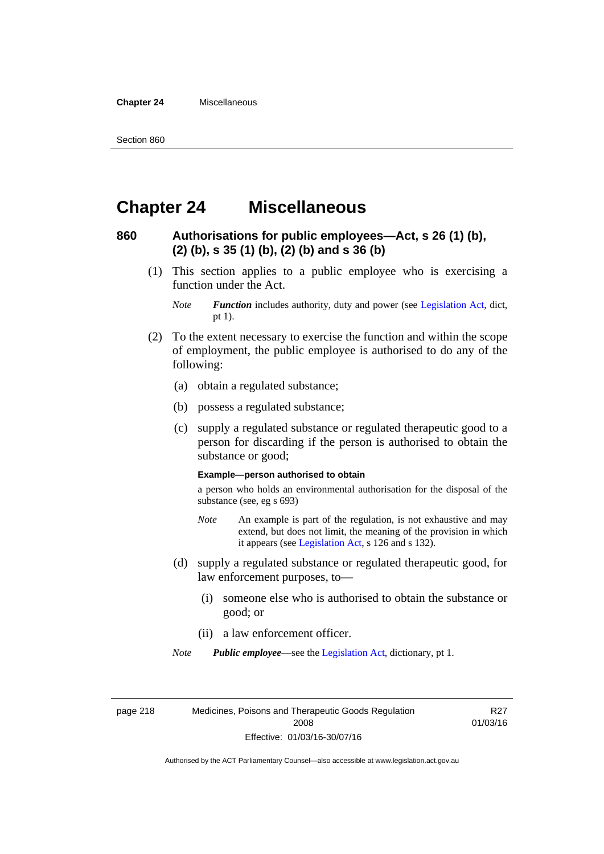**Chapter 24** Miscellaneous

# **Chapter 24 Miscellaneous**

#### **860 Authorisations for public employees—Act, s 26 (1) (b), (2) (b), s 35 (1) (b), (2) (b) and s 36 (b)**

 (1) This section applies to a public employee who is exercising a function under the Act.

- (2) To the extent necessary to exercise the function and within the scope of employment, the public employee is authorised to do any of the following:
	- (a) obtain a regulated substance;
	- (b) possess a regulated substance;
	- (c) supply a regulated substance or regulated therapeutic good to a person for discarding if the person is authorised to obtain the substance or good;

#### **Example—person authorised to obtain**

a person who holds an environmental authorisation for the disposal of the substance (see, eg s 693)

- *Note* An example is part of the regulation, is not exhaustive and may extend, but does not limit, the meaning of the provision in which it appears (see [Legislation Act,](http://www.legislation.act.gov.au/a/2001-14) s 126 and s 132).
- (d) supply a regulated substance or regulated therapeutic good, for law enforcement purposes, to—
	- (i) someone else who is authorised to obtain the substance or good; or
	- (ii) a law enforcement officer.

*Note Public employee*—see the [Legislation Act,](http://www.legislation.act.gov.au/a/2001-14) dictionary, pt 1.

page 218 Medicines, Poisons and Therapeutic Goods Regulation 2008 Effective: 01/03/16-30/07/16

R27 01/03/16

*Note Function* includes authority, duty and power (see [Legislation Act](http://www.legislation.act.gov.au/a/2001-14), dict, pt 1).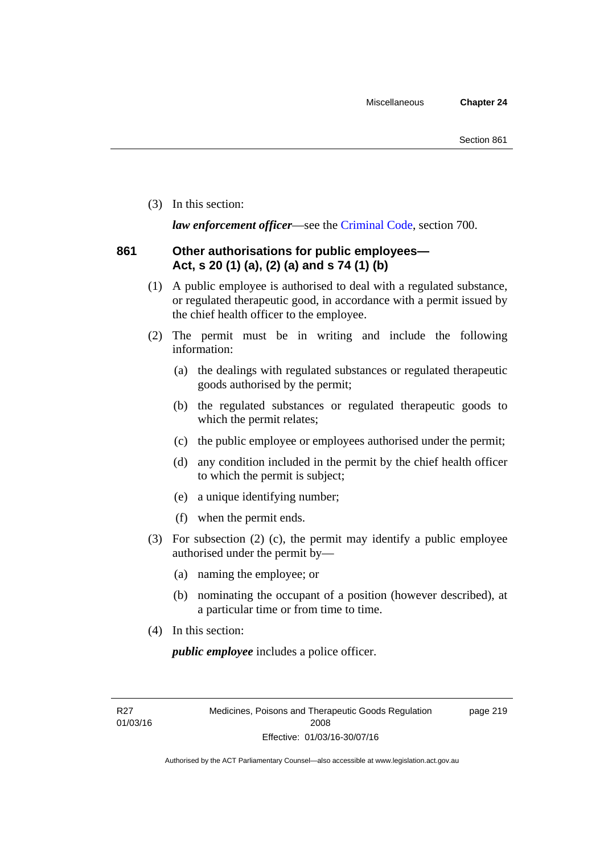(3) In this section:

*law enforcement officer*—see the [Criminal Code,](http://www.legislation.act.gov.au/a/2002-51) section 700.

#### **861 Other authorisations for public employees— Act, s 20 (1) (a), (2) (a) and s 74 (1) (b)**

- (1) A public employee is authorised to deal with a regulated substance, or regulated therapeutic good, in accordance with a permit issued by the chief health officer to the employee.
- (2) The permit must be in writing and include the following information:
	- (a) the dealings with regulated substances or regulated therapeutic goods authorised by the permit;
	- (b) the regulated substances or regulated therapeutic goods to which the permit relates;
	- (c) the public employee or employees authorised under the permit;
	- (d) any condition included in the permit by the chief health officer to which the permit is subject;
	- (e) a unique identifying number;
	- (f) when the permit ends.
- (3) For subsection (2) (c), the permit may identify a public employee authorised under the permit by—
	- (a) naming the employee; or
	- (b) nominating the occupant of a position (however described), at a particular time or from time to time.
- (4) In this section:

*public employee* includes a police officer.

R27 01/03/16 page 219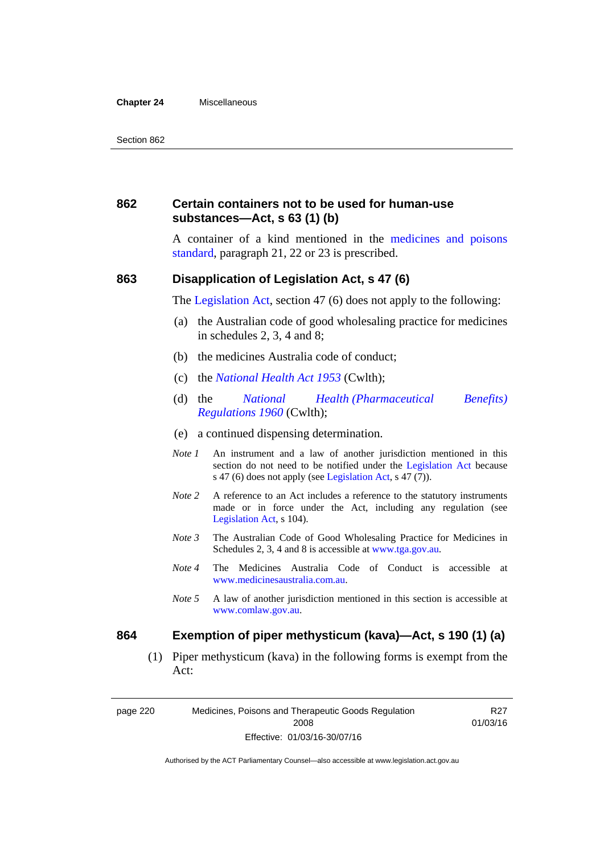#### **Chapter 24** Miscellaneous

#### **862 Certain containers not to be used for human-use substances—Act, s 63 (1) (b)**

A container of a kind mentioned in the [medicines and poisons](http://www.comlaw.gov.au/Series/F2012L01200)  [standard,](http://www.comlaw.gov.au/Series/F2012L01200) paragraph 21, 22 or 23 is prescribed.

#### **863 Disapplication of Legislation Act, s 47 (6)**

The [Legislation Act](http://www.legislation.act.gov.au/a/2001-14), section 47 (6) does not apply to the following:

- (a) the Australian code of good wholesaling practice for medicines in schedules 2, 3, 4 and 8;
- (b) the medicines Australia code of conduct;
- (c) the *[National Health Act 1953](http://www.comlaw.gov.au/Series/C1953A00095)* (Cwlth);
- (d) the *[National Health \(Pharmaceutical Benefits\)](http://www.comlaw.gov.au/Series/F1996B02844)  [Regulations 1960](http://www.comlaw.gov.au/Series/F1996B02844)* (Cwlth);
- (e) a continued dispensing determination.
- *Note 1* An instrument and a law of another jurisdiction mentioned in this section do not need to be notified under the [Legislation Act](http://www.legislation.act.gov.au/a/2001-14) because s 47 (6) does not apply (see [Legislation Act](http://www.legislation.act.gov.au/a/2001-14), s 47 (7)).
- *Note 2* A reference to an Act includes a reference to the statutory instruments made or in force under the Act, including any regulation (see [Legislation Act,](http://www.legislation.act.gov.au/a/2001-14) s 104).
- *Note 3* The Australian Code of Good Wholesaling Practice for Medicines in Schedules 2, 3, 4 and 8 is accessible at [www.tga.gov.au.](http://www.tga.gov.au/)
- *Note 4* The Medicines Australia Code of Conduct is accessible at [www.medicinesaustralia.com.au](http://www.medicinesaustralia.com.au/).
- *Note 5* A law of another jurisdiction mentioned in this section is accessible at [www.comlaw.gov.au](http://www.comlaw.gov.au/).

#### **864 Exemption of piper methysticum (kava)—Act, s 190 (1) (a)**

 (1) Piper methysticum (kava) in the following forms is exempt from the Act:

page 220 Medicines, Poisons and Therapeutic Goods Regulation 2008 Effective: 01/03/16-30/07/16

R27 01/03/16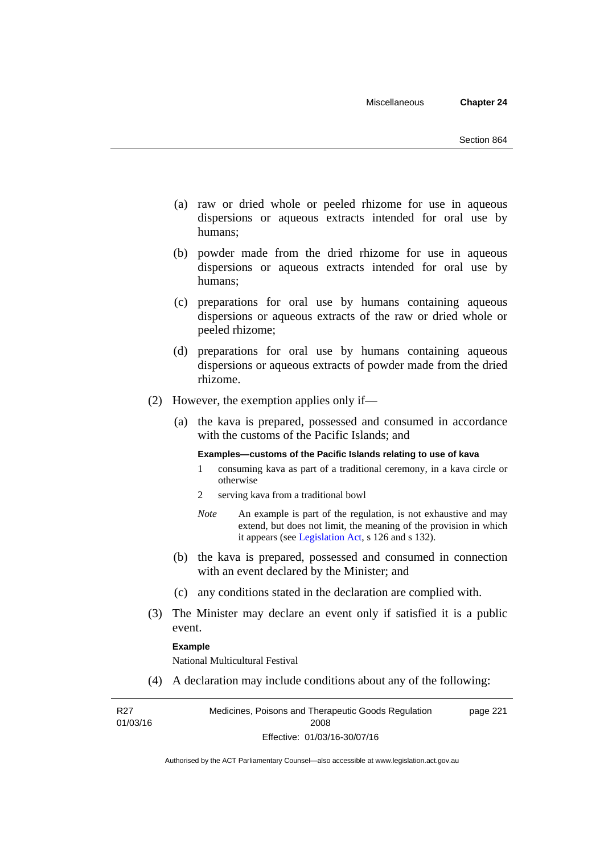- (a) raw or dried whole or peeled rhizome for use in aqueous dispersions or aqueous extracts intended for oral use by humans;
- (b) powder made from the dried rhizome for use in aqueous dispersions or aqueous extracts intended for oral use by humans;
- (c) preparations for oral use by humans containing aqueous dispersions or aqueous extracts of the raw or dried whole or peeled rhizome;
- (d) preparations for oral use by humans containing aqueous dispersions or aqueous extracts of powder made from the dried rhizome.
- (2) However, the exemption applies only if—
	- (a) the kava is prepared, possessed and consumed in accordance with the customs of the Pacific Islands; and

#### **Examples—customs of the Pacific Islands relating to use of kava**

- 1 consuming kava as part of a traditional ceremony, in a kava circle or otherwise
- 2 serving kava from a traditional bowl
- *Note* An example is part of the regulation, is not exhaustive and may extend, but does not limit, the meaning of the provision in which it appears (see [Legislation Act,](http://www.legislation.act.gov.au/a/2001-14) s 126 and s 132).
- (b) the kava is prepared, possessed and consumed in connection with an event declared by the Minister; and
- (c) any conditions stated in the declaration are complied with.
- (3) The Minister may declare an event only if satisfied it is a public event.

#### **Example**

National Multicultural Festival

(4) A declaration may include conditions about any of the following:

R27 01/03/16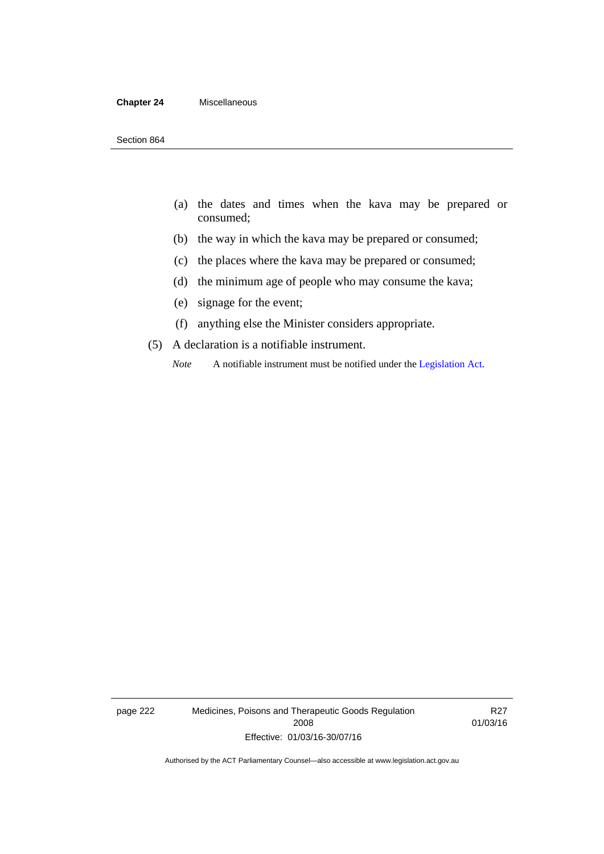#### **Chapter 24** Miscellaneous

- (a) the dates and times when the kava may be prepared or consumed;
- (b) the way in which the kava may be prepared or consumed;
- (c) the places where the kava may be prepared or consumed;
- (d) the minimum age of people who may consume the kava;
- (e) signage for the event;
- (f) anything else the Minister considers appropriate.
- (5) A declaration is a notifiable instrument.
	- *Note* A notifiable instrument must be notified under the [Legislation Act](http://www.legislation.act.gov.au/a/2001-14).

page 222 Medicines, Poisons and Therapeutic Goods Regulation 2008 Effective: 01/03/16-30/07/16

R27 01/03/16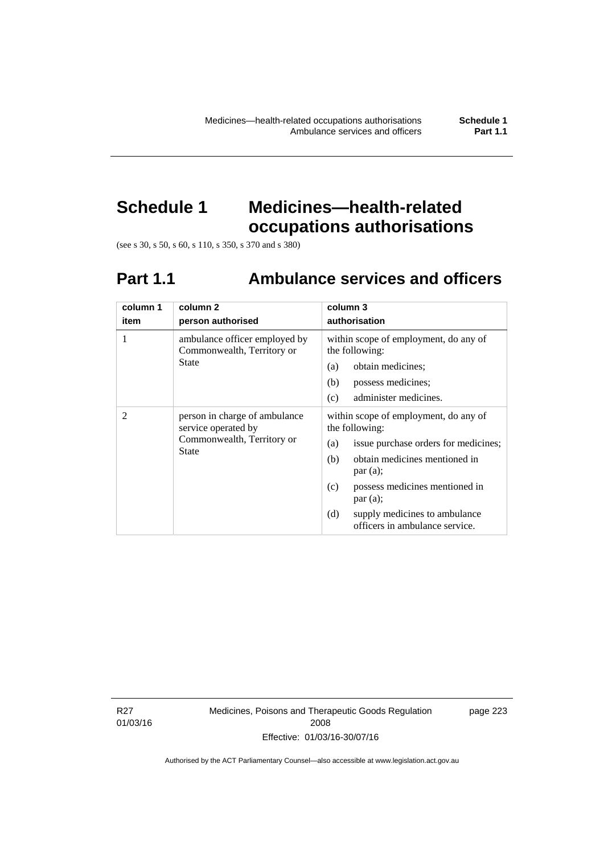# **Schedule 1 Medicines—health-related occupations authorisations**

(see s 30, s 50, s 60, s 110, s 350, s 370 and s 380)

# **Part 1.1 Ambulance services and officers**

| column 1<br>item | column <sub>2</sub><br>person authorised                                                           | column 3<br>authorisation                                                                                                                                                                                                                                                               |
|------------------|----------------------------------------------------------------------------------------------------|-----------------------------------------------------------------------------------------------------------------------------------------------------------------------------------------------------------------------------------------------------------------------------------------|
| 1                | ambulance officer employed by<br>Commonwealth, Territory or<br>State                               | within scope of employment, do any of<br>the following:<br>obtain medicines;<br>(a)<br>possess medicines;<br>(b)<br>administer medicines.<br>(c)                                                                                                                                        |
| $\mathfrak{D}$   | person in charge of ambulance<br>service operated by<br>Commonwealth, Territory or<br><b>State</b> | within scope of employment, do any of<br>the following:<br>issue purchase orders for medicines;<br>(a)<br>obtain medicines mentioned in<br>(b)<br>par(a);<br>possess medicines mentioned in<br>(c)<br>par(a);<br>(d)<br>supply medicines to ambulance<br>officers in ambulance service. |

R27 01/03/16 Medicines, Poisons and Therapeutic Goods Regulation 2008 Effective: 01/03/16-30/07/16

page 223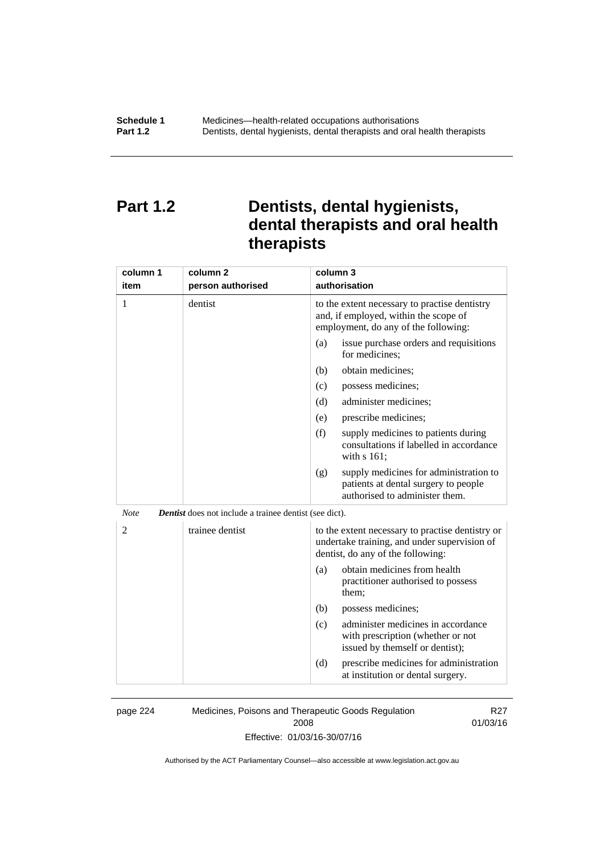# **Part 1.2 Dentists, dental hygienists, dental therapists and oral health therapists**

| column 1<br>item | column <sub>2</sub><br>person authorised                      | column 3<br>authorisation                                                                                                             |
|------------------|---------------------------------------------------------------|---------------------------------------------------------------------------------------------------------------------------------------|
| 1                | dentist                                                       | to the extent necessary to practise dentistry<br>and, if employed, within the scope of<br>employment, do any of the following:        |
|                  |                                                               | issue purchase orders and requisitions<br>(a)<br>for medicines;                                                                       |
|                  |                                                               | obtain medicines;<br>(b)                                                                                                              |
|                  |                                                               | (c)<br>possess medicines;                                                                                                             |
|                  |                                                               | administer medicines;<br>(d)                                                                                                          |
|                  |                                                               | prescribe medicines;<br>(e)                                                                                                           |
|                  |                                                               | (f)<br>supply medicines to patients during<br>consultations if labelled in accordance<br>with s 161;                                  |
|                  |                                                               | supply medicines for administration to<br>(g)<br>patients at dental surgery to people<br>authorised to administer them.               |
| <b>Note</b>      | <b>Dentist</b> does not include a trainee dentist (see dict). |                                                                                                                                       |
| $\overline{2}$   | trainee dentist                                               | to the extent necessary to practise dentistry or<br>undertake training, and under supervision of<br>dentist, do any of the following: |
|                  |                                                               | obtain medicines from health<br>(a)<br>practitioner authorised to possess<br>them;                                                    |
|                  |                                                               | (b)<br>possess medicines;                                                                                                             |
|                  |                                                               | administer medicines in accordance<br>(c)<br>with prescription (whether or not<br>issued by themself or dentist);                     |
|                  |                                                               | (d)<br>prescribe medicines for administration<br>at institution or dental surgery.                                                    |

page 224 Medicines, Poisons and Therapeutic Goods Regulation 2008 Effective: 01/03/16-30/07/16

R27 01/03/16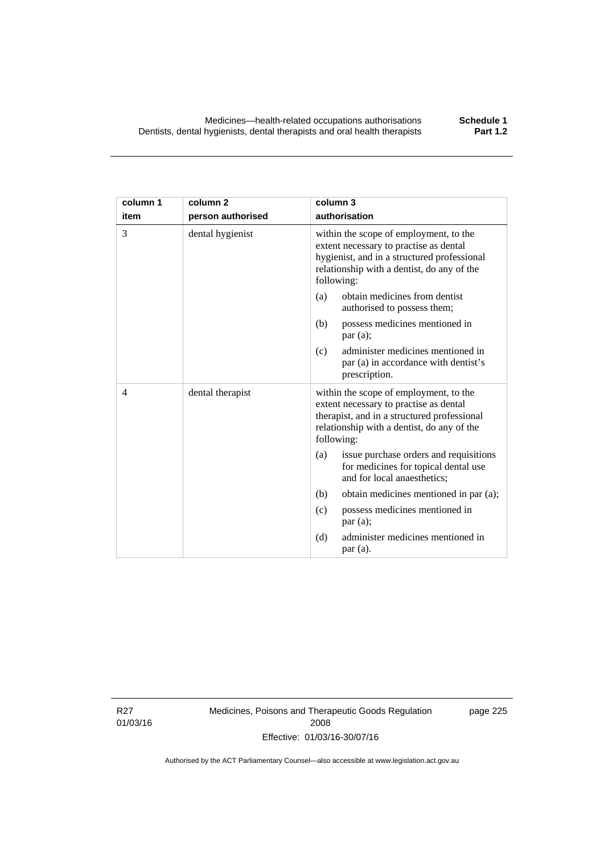| column 1<br>item | column <sub>2</sub><br>person authorised | column 3<br>authorisation                                                                                                                                                                   |
|------------------|------------------------------------------|---------------------------------------------------------------------------------------------------------------------------------------------------------------------------------------------|
| 3                | dental hygienist                         | within the scope of employment, to the<br>extent necessary to practise as dental<br>hygienist, and in a structured professional<br>relationship with a dentist, do any of the<br>following: |
|                  |                                          | obtain medicines from dentist<br>(a)<br>authorised to possess them;                                                                                                                         |
|                  |                                          | possess medicines mentioned in<br>(b)<br>par(a);                                                                                                                                            |
|                  |                                          | administer medicines mentioned in<br>(c)<br>par (a) in accordance with dentist's<br>prescription.                                                                                           |
| $\overline{4}$   | dental therapist                         | within the scope of employment, to the<br>extent necessary to practise as dental<br>therapist, and in a structured professional<br>relationship with a dentist, do any of the<br>following: |
|                  |                                          | issue purchase orders and requisitions<br>(a)<br>for medicines for topical dental use<br>and for local anaesthetics;                                                                        |
|                  |                                          | (b)<br>obtain medicines mentioned in par (a);                                                                                                                                               |
|                  |                                          | possess medicines mentioned in<br>(c)<br>par(a);                                                                                                                                            |
|                  |                                          | (d)<br>administer medicines mentioned in<br>par(a).                                                                                                                                         |

R27 01/03/16 Medicines, Poisons and Therapeutic Goods Regulation 2008 Effective: 01/03/16-30/07/16

page 225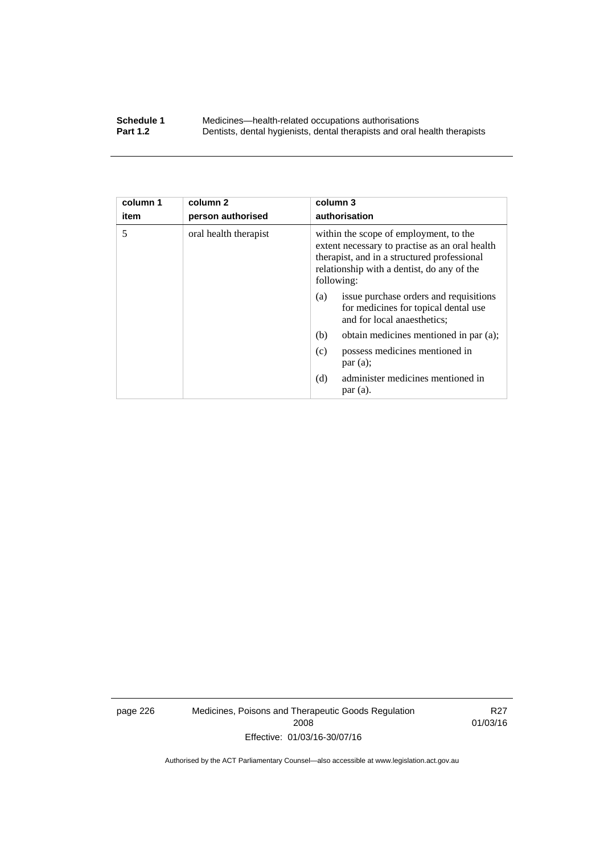#### **Schedule 1** Medicines—health-related occupations authorisations<br>**Part 1.2** Dentists, dental hygienists, dental therapists and oral health **Part 1.2** Dentists, dental hygienists, dental therapists and oral health therapists

| column 1<br>item | column 2<br>person authorised | column 3<br>authorisation                                                                                                                                                                           |
|------------------|-------------------------------|-----------------------------------------------------------------------------------------------------------------------------------------------------------------------------------------------------|
| 5                | oral health therapist         | within the scope of employment, to the<br>extent necessary to practise as an oral health<br>therapist, and in a structured professional<br>relationship with a dentist, do any of the<br>following: |
|                  |                               | issue purchase orders and requisitions<br>(a)<br>for medicines for topical dental use<br>and for local anaesthetics;                                                                                |
|                  |                               | obtain medicines mentioned in par (a);<br>(b)                                                                                                                                                       |
|                  |                               | possess medicines mentioned in<br>(c)<br>par(a);                                                                                                                                                    |
|                  |                               | administer medicines mentioned in<br>(d)<br>par(a).                                                                                                                                                 |

page 226 Medicines, Poisons and Therapeutic Goods Regulation 2008 Effective: 01/03/16-30/07/16

R27 01/03/16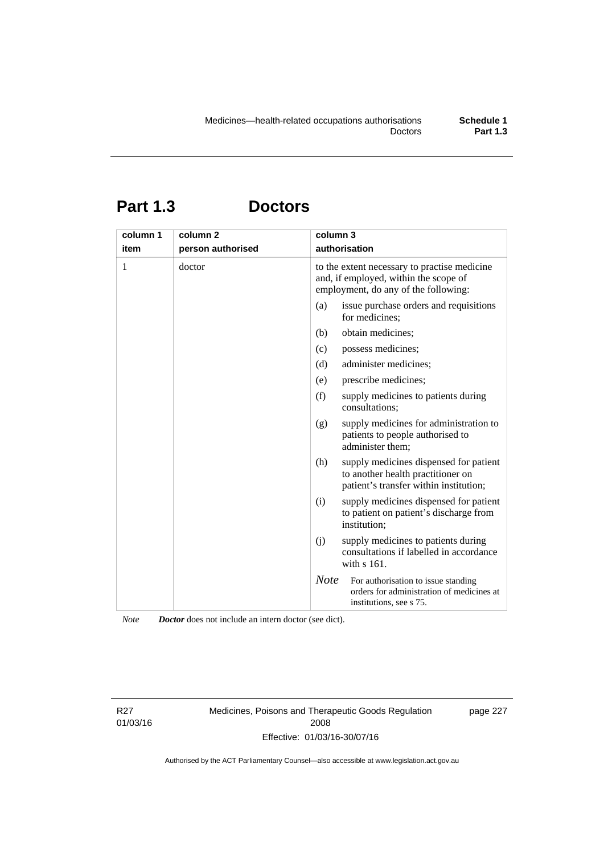# **Part 1.3 Doctors**

| column 1<br>item | column <sub>2</sub><br>person authorised | column 3<br>authorisation                                                                                                     |
|------------------|------------------------------------------|-------------------------------------------------------------------------------------------------------------------------------|
| 1                | doctor                                   | to the extent necessary to practise medicine<br>and, if employed, within the scope of<br>employment, do any of the following: |
|                  |                                          | issue purchase orders and requisitions<br>(a)<br>for medicines;                                                               |
|                  |                                          | obtain medicines;<br>(b)                                                                                                      |
|                  |                                          | possess medicines;<br>(c)                                                                                                     |
|                  |                                          | administer medicines;<br>(d)                                                                                                  |
|                  |                                          | prescribe medicines;<br>(e)                                                                                                   |
|                  |                                          | (f)<br>supply medicines to patients during<br>consultations;                                                                  |
|                  |                                          | supply medicines for administration to<br>(g)<br>patients to people authorised to<br>administer them;                         |
|                  |                                          | supply medicines dispensed for patient<br>(h)<br>to another health practitioner on<br>patient's transfer within institution;  |
|                  |                                          | (i)<br>supply medicines dispensed for patient<br>to patient on patient's discharge from<br>institution;                       |
|                  |                                          | (j)<br>supply medicines to patients during<br>consultations if labelled in accordance<br>with s 161.                          |
|                  |                                          | <b>Note</b><br>For authorisation to issue standing<br>orders for administration of medicines at<br>institutions, see s 75.    |

*Note Doctor* does not include an intern doctor (see dict).

R27 01/03/16 Medicines, Poisons and Therapeutic Goods Regulation 2008 Effective: 01/03/16-30/07/16

page 227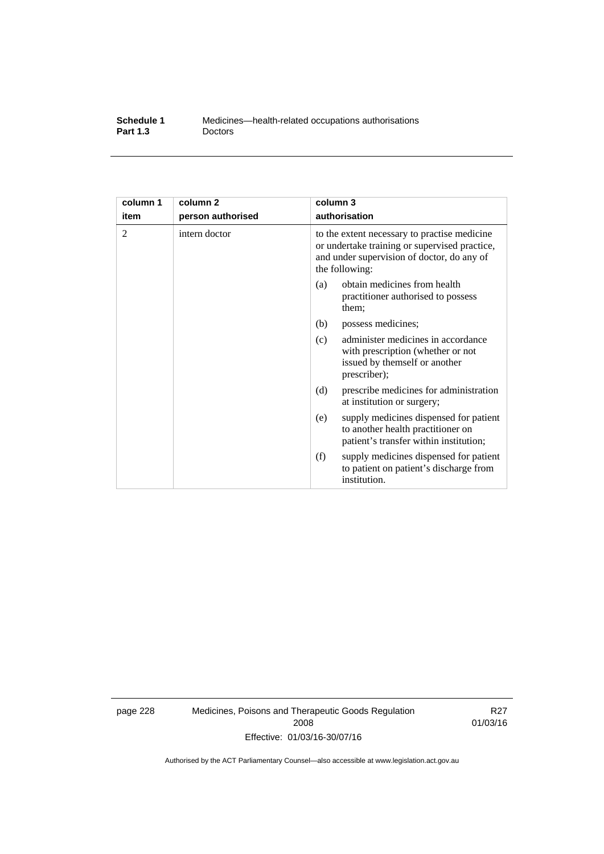| Schedule 1      | Medicines—health-related occupations authorisations |
|-----------------|-----------------------------------------------------|
| <b>Part 1.3</b> | <b>Doctors</b>                                      |

| column 1 | column <sub>2</sub> | column 3                                                                                                                                                      |
|----------|---------------------|---------------------------------------------------------------------------------------------------------------------------------------------------------------|
| item     | person authorised   | authorisation                                                                                                                                                 |
| 2        | intern doctor       | to the extent necessary to practise medicine<br>or undertake training or supervised practice,<br>and under supervision of doctor, do any of<br>the following: |
|          |                     | obtain medicines from health<br>(a)<br>practitioner authorised to possess<br>them:                                                                            |
|          |                     | (b)<br>possess medicines;                                                                                                                                     |
|          |                     | administer medicines in accordance<br>(c)<br>with prescription (whether or not<br>issued by themself or another<br>prescriber);                               |
|          |                     | (d)<br>prescribe medicines for administration<br>at institution or surgery;                                                                                   |
|          |                     | supply medicines dispensed for patient<br>(e)<br>to another health practitioner on<br>patient's transfer within institution;                                  |
|          |                     | (f)<br>supply medicines dispensed for patient<br>to patient on patient's discharge from<br>institution.                                                       |

page 228 Medicines, Poisons and Therapeutic Goods Regulation 2008 Effective: 01/03/16-30/07/16

R27 01/03/16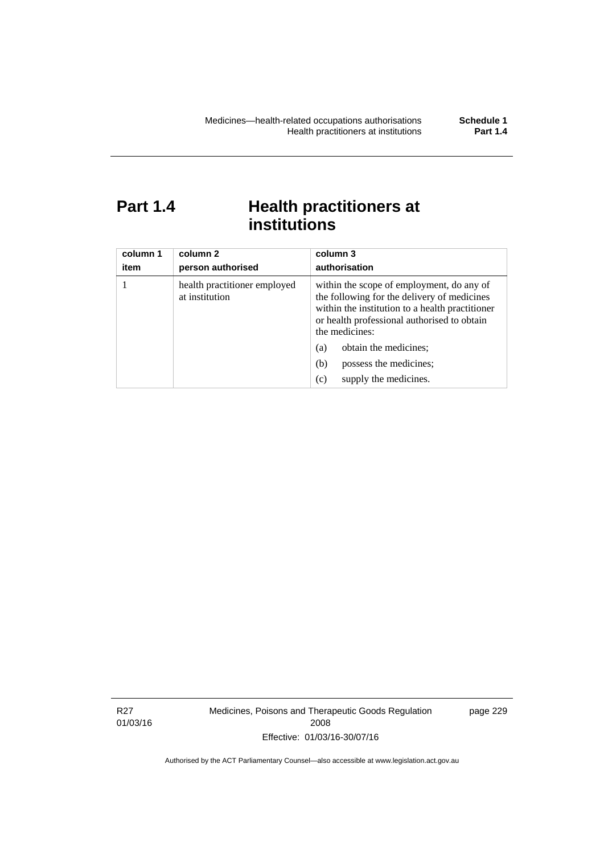### **Part 1.4 Health practitioners at institutions**

| column 1<br>item | column 2<br>person authorised                  | column 3<br>authorisation                                                                                                                                                                                                                    |
|------------------|------------------------------------------------|----------------------------------------------------------------------------------------------------------------------------------------------------------------------------------------------------------------------------------------------|
|                  | health practitioner employed<br>at institution | within the scope of employment, do any of<br>the following for the delivery of medicines<br>within the institution to a health practitioner<br>or health professional authorised to obtain<br>the medicines:<br>obtain the medicines;<br>(a) |
|                  |                                                | possess the medicines;<br>(b)                                                                                                                                                                                                                |
|                  |                                                | supply the medicines.<br>(c)                                                                                                                                                                                                                 |

R27 01/03/16 Medicines, Poisons and Therapeutic Goods Regulation 2008 Effective: 01/03/16-30/07/16

page 229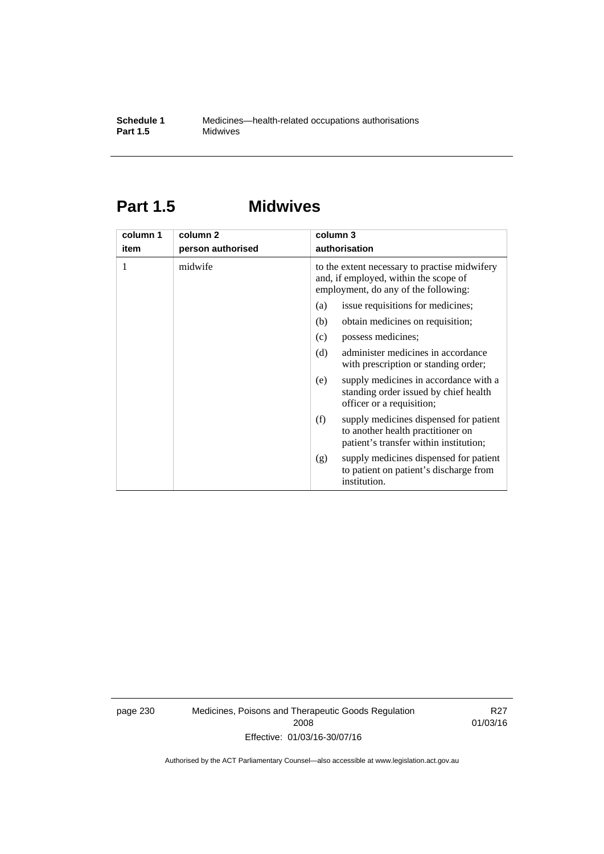### **Part 1.5 Midwives**

| column 1 | column 2          | column 3                                                                                                                       |  |  |
|----------|-------------------|--------------------------------------------------------------------------------------------------------------------------------|--|--|
| item     | person authorised | authorisation                                                                                                                  |  |  |
| 1        | midwife           | to the extent necessary to practise midwifery<br>and, if employed, within the scope of<br>employment, do any of the following: |  |  |
|          |                   | issue requisitions for medicines;<br>(a)                                                                                       |  |  |
|          |                   | (b)<br>obtain medicines on requisition;                                                                                        |  |  |
|          |                   | possess medicines;<br>(c)                                                                                                      |  |  |
|          |                   | administer medicines in accordance<br>(d)<br>with prescription or standing order;                                              |  |  |
|          |                   | supply medicines in accordance with a<br>(e)<br>standing order issued by chief health<br>officer or a requisition;             |  |  |
|          |                   | supply medicines dispensed for patient<br>(f)<br>to another health practitioner on<br>patient's transfer within institution;   |  |  |
|          |                   | supply medicines dispensed for patient<br>(g)<br>to patient on patient's discharge from<br>institution.                        |  |  |

page 230 Medicines, Poisons and Therapeutic Goods Regulation 2008 Effective: 01/03/16-30/07/16

R27 01/03/16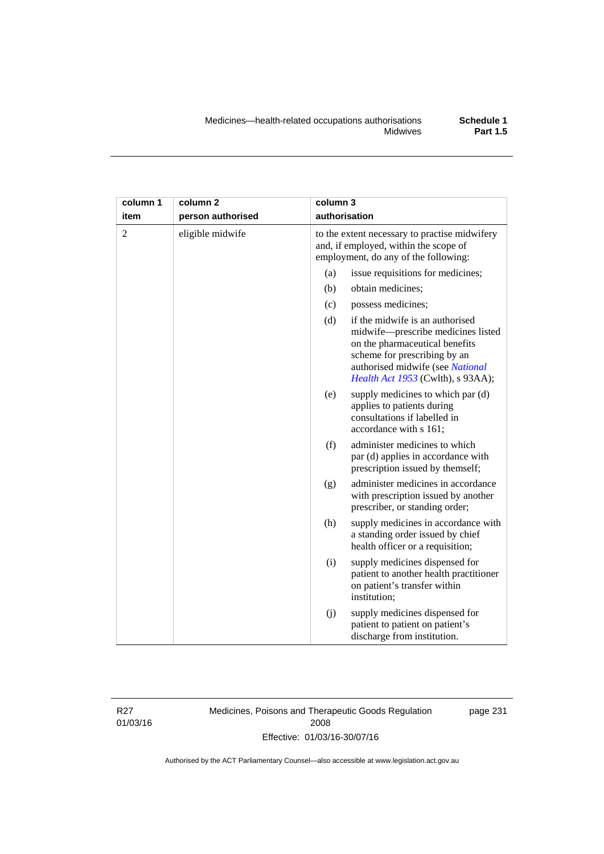| column 1       | column <sub>2</sub> | column 3 |                                                                                                                                                                                                                  |  |  |
|----------------|---------------------|----------|------------------------------------------------------------------------------------------------------------------------------------------------------------------------------------------------------------------|--|--|
| item           | person authorised   |          | authorisation                                                                                                                                                                                                    |  |  |
| $\overline{2}$ | eligible midwife    |          | to the extent necessary to practise midwifery<br>and, if employed, within the scope of<br>employment, do any of the following:                                                                                   |  |  |
|                |                     | (a)      | issue requisitions for medicines;                                                                                                                                                                                |  |  |
|                |                     | (b)      | obtain medicines;                                                                                                                                                                                                |  |  |
|                |                     | (c)      | possess medicines;                                                                                                                                                                                               |  |  |
|                |                     | (d)      | if the midwife is an authorised<br>midwife-prescribe medicines listed<br>on the pharmaceutical benefits<br>scheme for prescribing by an<br>authorised midwife (see National<br>Health Act 1953 (Cwlth), s 93AA); |  |  |
|                |                     | (e)      | supply medicines to which par (d)<br>applies to patients during<br>consultations if labelled in<br>accordance with s 161;                                                                                        |  |  |
|                |                     | (f)      | administer medicines to which<br>par (d) applies in accordance with<br>prescription issued by themself;                                                                                                          |  |  |
|                |                     | (g)      | administer medicines in accordance<br>with prescription issued by another<br>prescriber, or standing order;                                                                                                      |  |  |
|                |                     | (h)      | supply medicines in accordance with<br>a standing order issued by chief<br>health officer or a requisition;                                                                                                      |  |  |
|                |                     | (i)      | supply medicines dispensed for<br>patient to another health practitioner<br>on patient's transfer within<br>institution;                                                                                         |  |  |
|                |                     | (j)      | supply medicines dispensed for<br>patient to patient on patient's<br>discharge from institution.                                                                                                                 |  |  |

R27 01/03/16 Medicines, Poisons and Therapeutic Goods Regulation 2008 Effective: 01/03/16-30/07/16

page 231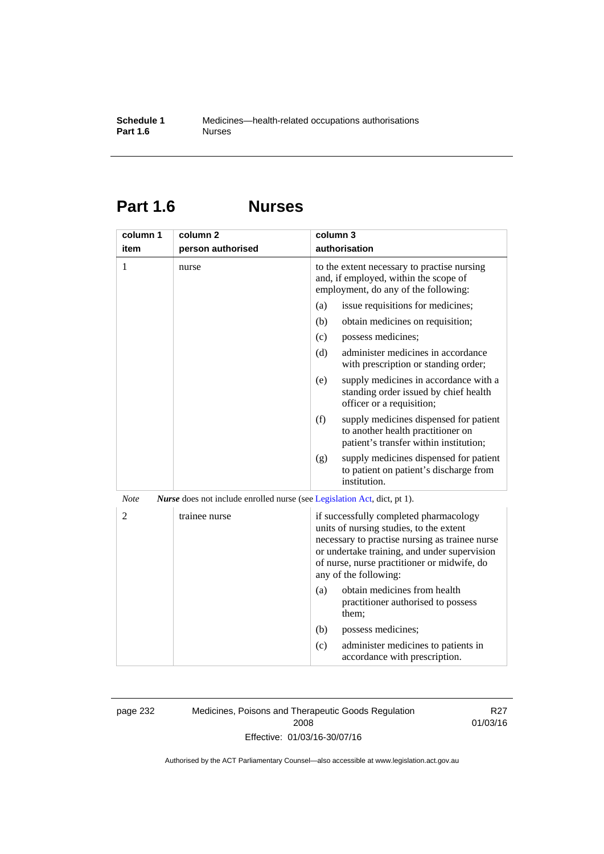### **Part 1.6 Nurses**

| column 1       | column <sub>2</sub>                                                             | column 3                                                                                                                                                                                                                                                    |
|----------------|---------------------------------------------------------------------------------|-------------------------------------------------------------------------------------------------------------------------------------------------------------------------------------------------------------------------------------------------------------|
| item           | person authorised                                                               | authorisation                                                                                                                                                                                                                                               |
| 1              | nurse                                                                           | to the extent necessary to practise nursing<br>and, if employed, within the scope of<br>employment, do any of the following:                                                                                                                                |
|                |                                                                                 | issue requisitions for medicines;<br>(a)                                                                                                                                                                                                                    |
|                |                                                                                 | (b)<br>obtain medicines on requisition;                                                                                                                                                                                                                     |
|                |                                                                                 | (c)<br>possess medicines;                                                                                                                                                                                                                                   |
|                |                                                                                 | administer medicines in accordance<br>(d)<br>with prescription or standing order;                                                                                                                                                                           |
|                |                                                                                 | supply medicines in accordance with a<br>(e)<br>standing order issued by chief health<br>officer or a requisition;                                                                                                                                          |
|                |                                                                                 | (f)<br>supply medicines dispensed for patient<br>to another health practitioner on<br>patient's transfer within institution;                                                                                                                                |
|                |                                                                                 | supply medicines dispensed for patient<br>(g)<br>to patient on patient's discharge from<br>institution.                                                                                                                                                     |
| <b>Note</b>    | <i>Nurse</i> does not include enrolled nurse (see Legislation Act, dict, pt 1). |                                                                                                                                                                                                                                                             |
| $\overline{2}$ | trainee nurse                                                                   | if successfully completed pharmacology<br>units of nursing studies, to the extent<br>necessary to practise nursing as trainee nurse<br>or undertake training, and under supervision<br>of nurse, nurse practitioner or midwife, do<br>any of the following: |
|                |                                                                                 | obtain medicines from health<br>(a)<br>practitioner authorised to possess<br>them;                                                                                                                                                                          |
|                |                                                                                 | (b)<br>possess medicines;                                                                                                                                                                                                                                   |
|                |                                                                                 | administer medicines to patients in<br>(c)<br>accordance with prescription.                                                                                                                                                                                 |

page 232 Medicines, Poisons and Therapeutic Goods Regulation 2008 Effective: 01/03/16-30/07/16

R27 01/03/16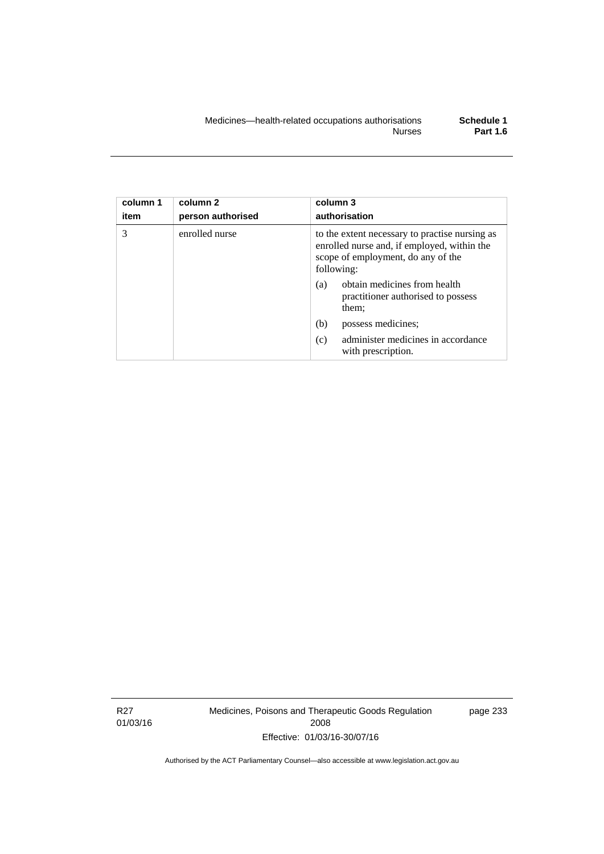| column 1<br>item | column <sub>2</sub><br>person authorised | column 3<br>authorisation                                                                                                                         |
|------------------|------------------------------------------|---------------------------------------------------------------------------------------------------------------------------------------------------|
| 3                | enrolled nurse                           | to the extent necessary to practise nursing as<br>enrolled nurse and, if employed, within the<br>scope of employment, do any of the<br>following: |
|                  |                                          | obtain medicines from health<br>(a)<br>practitioner authorised to possess<br>them;                                                                |
|                  |                                          | (b)<br>possess medicines;                                                                                                                         |
|                  |                                          | administer medicines in accordance<br>(c)<br>with prescription.                                                                                   |

R27 01/03/16 Medicines, Poisons and Therapeutic Goods Regulation 2008 Effective: 01/03/16-30/07/16

page 233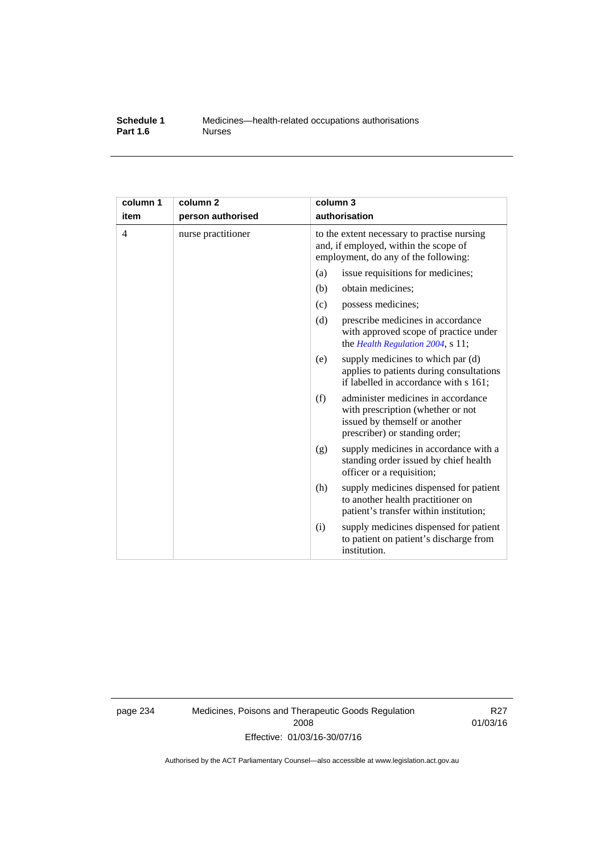#### **Schedule 1** Medicines—health-related occupations authorisations<br>**Part 1.6** Murses **Part 1.6**

| column 1<br>item | column <sub>2</sub><br>person authorised | column 3<br>authorisation                                                                                                                         |  |
|------------------|------------------------------------------|---------------------------------------------------------------------------------------------------------------------------------------------------|--|
| 4                | nurse practitioner                       | to the extent necessary to practise nursing<br>and, if employed, within the scope of<br>employment, do any of the following:                      |  |
|                  |                                          | issue requisitions for medicines;<br>(a)                                                                                                          |  |
|                  |                                          | obtain medicines;<br>(b)                                                                                                                          |  |
|                  |                                          | possess medicines;<br>(c)                                                                                                                         |  |
|                  |                                          | (d)<br>prescribe medicines in accordance<br>with approved scope of practice under<br>the Health Regulation 2004, s 11;                            |  |
|                  |                                          | supply medicines to which par (d)<br>(e)<br>applies to patients during consultations<br>if labelled in accordance with s 161;                     |  |
|                  |                                          | (f)<br>administer medicines in accordance<br>with prescription (whether or not<br>issued by themself or another<br>prescriber) or standing order; |  |
|                  |                                          | supply medicines in accordance with a<br>(g)<br>standing order issued by chief health<br>officer or a requisition;                                |  |
|                  |                                          | supply medicines dispensed for patient<br>(h)<br>to another health practitioner on<br>patient's transfer within institution;                      |  |
|                  |                                          | supply medicines dispensed for patient<br>(i)<br>to patient on patient's discharge from<br>institution.                                           |  |

page 234 Medicines, Poisons and Therapeutic Goods Regulation 2008 Effective: 01/03/16-30/07/16

R27 01/03/16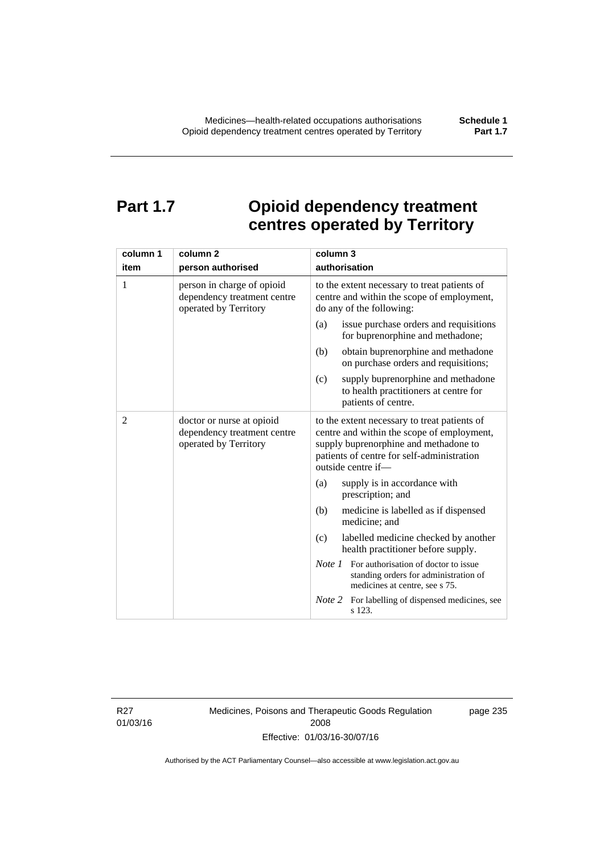### **Part 1.7 Opioid dependency treatment centres operated by Territory**

| column 1       | column <sub>2</sub>                                                                | column 3                                                                                                                                                                                                |
|----------------|------------------------------------------------------------------------------------|---------------------------------------------------------------------------------------------------------------------------------------------------------------------------------------------------------|
| item           | person authorised                                                                  | authorisation                                                                                                                                                                                           |
| 1              | person in charge of opioid<br>dependency treatment centre<br>operated by Territory | to the extent necessary to treat patients of<br>centre and within the scope of employment,<br>do any of the following:                                                                                  |
|                |                                                                                    | issue purchase orders and requisitions<br>(a)<br>for buprenorphine and methadone;                                                                                                                       |
|                |                                                                                    | obtain buprenorphine and methadone<br>(b)<br>on purchase orders and requisitions;                                                                                                                       |
|                |                                                                                    | supply buprenorphine and methadone<br>(c)<br>to health practitioners at centre for<br>patients of centre.                                                                                               |
| $\overline{2}$ | doctor or nurse at opioid<br>dependency treatment centre<br>operated by Territory  | to the extent necessary to treat patients of<br>centre and within the scope of employment,<br>supply buprenorphine and methadone to<br>patients of centre for self-administration<br>outside centre if- |
|                |                                                                                    | supply is in accordance with<br>(a)<br>prescription; and                                                                                                                                                |
|                |                                                                                    | (b)<br>medicine is labelled as if dispensed<br>medicine; and                                                                                                                                            |
|                |                                                                                    | labelled medicine checked by another<br>(c)<br>health practitioner before supply.                                                                                                                       |
|                |                                                                                    | <i>Note 1</i> For authorisation of doctor to issue<br>standing orders for administration of<br>medicines at centre, see s 75.                                                                           |
|                |                                                                                    | Note 2<br>For labelling of dispensed medicines, see<br>s 123.                                                                                                                                           |

R27 01/03/16 Medicines, Poisons and Therapeutic Goods Regulation 2008 Effective: 01/03/16-30/07/16

page 235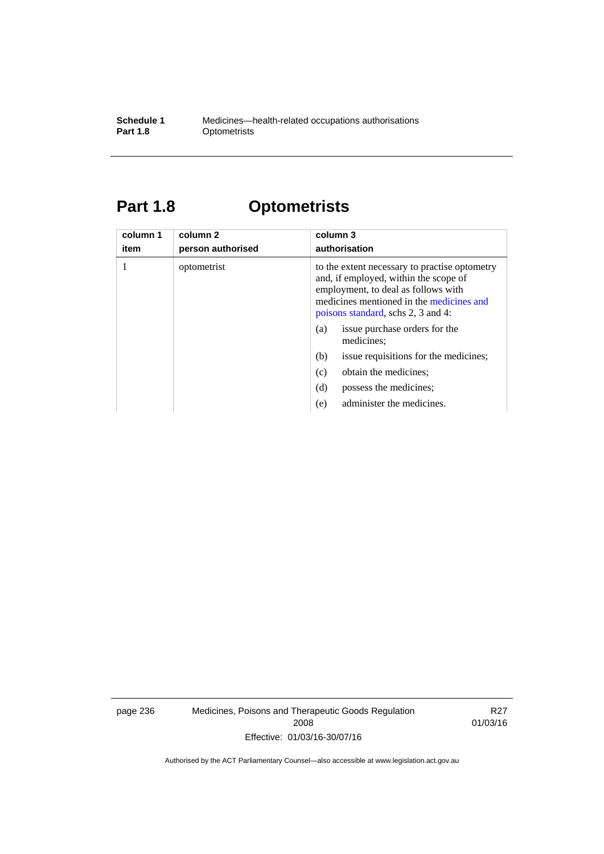#### **Schedule 1** Medicines—health-related occupations authorisations<br>**Part 1.8** Optometrists **Optometrists**

## **Part 1.8 Optometrists**

| column 1<br>item | column 2<br>person authorised | column 3<br>authorisation                                                                                                                                                                                       |
|------------------|-------------------------------|-----------------------------------------------------------------------------------------------------------------------------------------------------------------------------------------------------------------|
|                  | optometrist                   | to the extent necessary to practise optometry<br>and, if employed, within the scope of<br>employment, to deal as follows with<br>medicines mentioned in the medicines and<br>poisons standard, schs 2, 3 and 4: |
|                  |                               | issue purchase orders for the<br>(a)<br>medicines;                                                                                                                                                              |
|                  |                               | issue requisitions for the medicines;<br>(b)                                                                                                                                                                    |
|                  |                               | obtain the medicines;<br>(c)                                                                                                                                                                                    |
|                  |                               | (d)<br>possess the medicines;                                                                                                                                                                                   |
|                  |                               | administer the medicines.<br>(e)                                                                                                                                                                                |

page 236 Medicines, Poisons and Therapeutic Goods Regulation 2008 Effective: 01/03/16-30/07/16

R27 01/03/16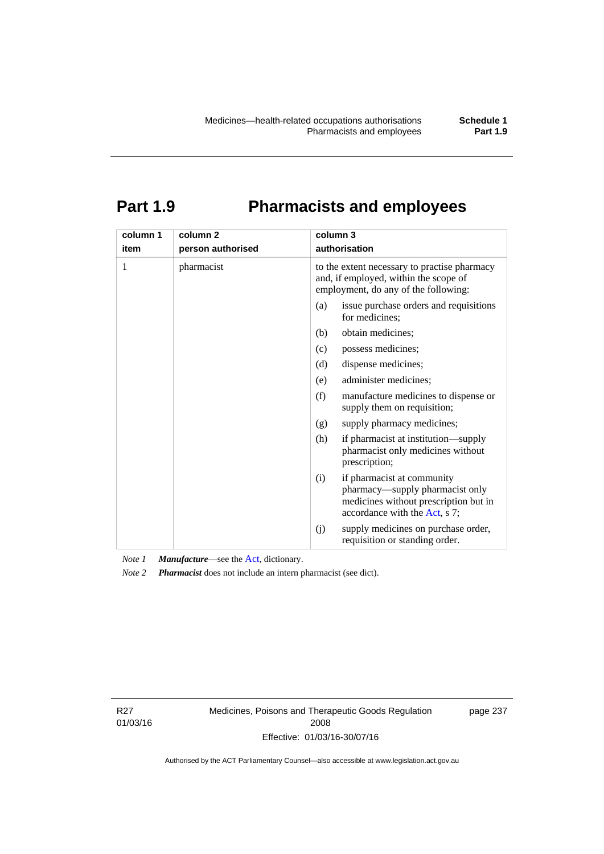# **Part 1.9 Pharmacists and employees**

| column 1<br>item | column <sub>2</sub> | column 3<br>authorisation                                                                                                                      |
|------------------|---------------------|------------------------------------------------------------------------------------------------------------------------------------------------|
|                  | person authorised   |                                                                                                                                                |
| 1                | pharmacist          | to the extent necessary to practise pharmacy<br>and, if employed, within the scope of<br>employment, do any of the following:                  |
|                  |                     | issue purchase orders and requisitions<br>(a)<br>for medicines;                                                                                |
|                  |                     | obtain medicines;<br>(b)                                                                                                                       |
|                  |                     | possess medicines;<br>(c)                                                                                                                      |
|                  |                     | dispense medicines;<br>(d)                                                                                                                     |
|                  |                     | administer medicines;<br>(e)                                                                                                                   |
|                  |                     | (f)<br>manufacture medicines to dispense or<br>supply them on requisition;                                                                     |
|                  |                     | supply pharmacy medicines;<br>(g)                                                                                                              |
|                  |                     | (h)<br>if pharmacist at institution—supply<br>pharmacist only medicines without<br>prescription;                                               |
|                  |                     | if pharmacist at community<br>(i)<br>pharmacy—supply pharmacist only<br>medicines without prescription but in<br>accordance with the Act, s 7; |
|                  |                     | supply medicines on purchase order,<br>(j)<br>requisition or standing order.                                                                   |

*Note 1 Manufacture*—see the [Act,](http://www.legislation.act.gov.au/a/2008-26/default.asp) dictionary.

*Note 2 Pharmacist* does not include an intern pharmacist (see dict).

R27 01/03/16 Medicines, Poisons and Therapeutic Goods Regulation 2008 Effective: 01/03/16-30/07/16

page 237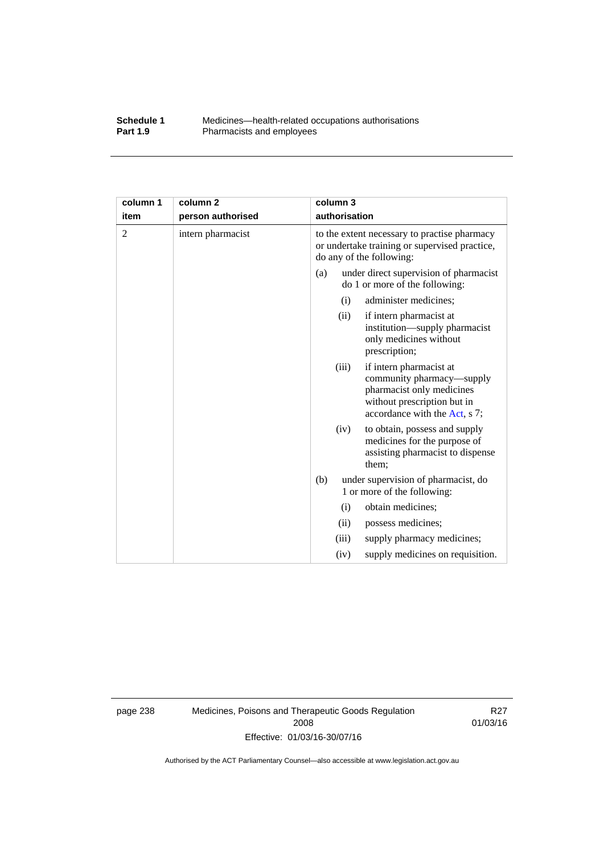#### **Schedule 1** Medicines—health-related occupations authorisations<br>**Part 1.9** Pharmacists and employees Pharmacists and employees

| column 1       | column 2          |                                                                                                                           | column 3      |                                                                                                                                                   |
|----------------|-------------------|---------------------------------------------------------------------------------------------------------------------------|---------------|---------------------------------------------------------------------------------------------------------------------------------------------------|
| item           | person authorised |                                                                                                                           | authorisation |                                                                                                                                                   |
| $\overline{2}$ | intern pharmacist | to the extent necessary to practise pharmacy<br>or undertake training or supervised practice,<br>do any of the following: |               |                                                                                                                                                   |
|                |                   | (a)                                                                                                                       |               | under direct supervision of pharmacist<br>do 1 or more of the following:                                                                          |
|                |                   |                                                                                                                           | (i)           | administer medicines;                                                                                                                             |
|                |                   |                                                                                                                           | (ii)          | if intern pharmacist at<br>institution—supply pharmacist<br>only medicines without<br>prescription;                                               |
|                |                   |                                                                                                                           | (iii)         | if intern pharmacist at<br>community pharmacy—supply<br>pharmacist only medicines<br>without prescription but in<br>accordance with the Act, s 7; |
|                |                   |                                                                                                                           | (iv)          | to obtain, possess and supply<br>medicines for the purpose of<br>assisting pharmacist to dispense<br>them;                                        |
|                |                   | (b)                                                                                                                       |               | under supervision of pharmacist, do<br>1 or more of the following:                                                                                |
|                |                   |                                                                                                                           | (i)           | obtain medicines;                                                                                                                                 |
|                |                   |                                                                                                                           | (ii)          | possess medicines;                                                                                                                                |
|                |                   |                                                                                                                           | (iii)         | supply pharmacy medicines;                                                                                                                        |
|                |                   |                                                                                                                           | (iv)          | supply medicines on requisition.                                                                                                                  |

page 238 Medicines, Poisons and Therapeutic Goods Regulation 2008 Effective: 01/03/16-30/07/16

R27 01/03/16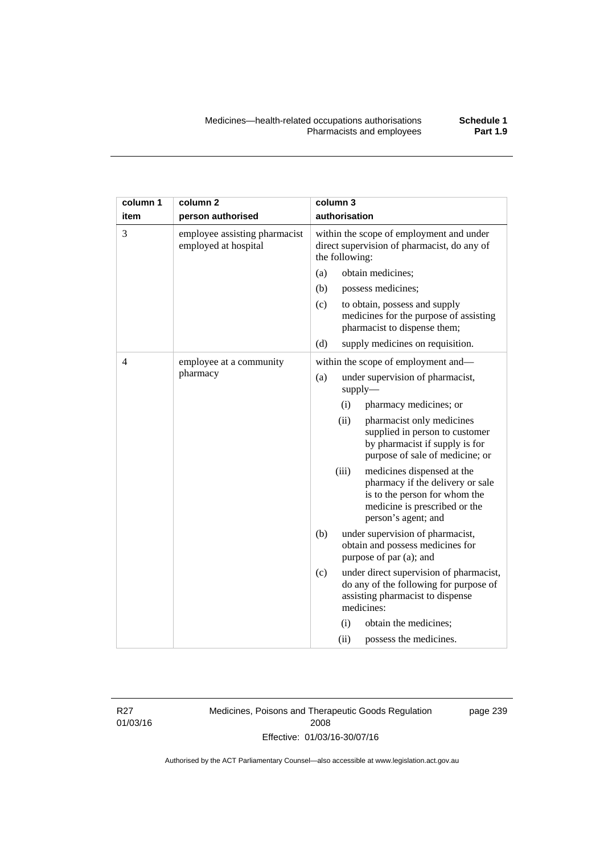| column 1 | column <sub>2</sub>                                   |                                                                                                           | column 3                                                                                                                                                |                                                                                                                                     |
|----------|-------------------------------------------------------|-----------------------------------------------------------------------------------------------------------|---------------------------------------------------------------------------------------------------------------------------------------------------------|-------------------------------------------------------------------------------------------------------------------------------------|
| item     | person authorised                                     | authorisation                                                                                             |                                                                                                                                                         |                                                                                                                                     |
| 3        | employee assisting pharmacist<br>employed at hospital | within the scope of employment and under<br>direct supervision of pharmacist, do any of<br>the following: |                                                                                                                                                         |                                                                                                                                     |
|          |                                                       | (a)                                                                                                       |                                                                                                                                                         | obtain medicines;                                                                                                                   |
|          |                                                       | (b)                                                                                                       |                                                                                                                                                         | possess medicines;                                                                                                                  |
|          |                                                       | (c)                                                                                                       |                                                                                                                                                         | to obtain, possess and supply<br>medicines for the purpose of assisting<br>pharmacist to dispense them;                             |
|          |                                                       | (d)                                                                                                       |                                                                                                                                                         | supply medicines on requisition.                                                                                                    |
| 4        | employee at a community                               |                                                                                                           |                                                                                                                                                         | within the scope of employment and-                                                                                                 |
| pharmacy |                                                       | (a)                                                                                                       |                                                                                                                                                         | under supervision of pharmacist,<br>supply-                                                                                         |
|          |                                                       |                                                                                                           | (i)                                                                                                                                                     | pharmacy medicines; or                                                                                                              |
|          |                                                       |                                                                                                           | (ii)                                                                                                                                                    | pharmacist only medicines<br>supplied in person to customer<br>by pharmacist if supply is for<br>purpose of sale of medicine; or    |
|          |                                                       | (iii)                                                                                                     | medicines dispensed at the<br>pharmacy if the delivery or sale<br>is to the person for whom the<br>medicine is prescribed or the<br>person's agent; and |                                                                                                                                     |
|          |                                                       | (b)                                                                                                       |                                                                                                                                                         | under supervision of pharmacist,<br>obtain and possess medicines for<br>purpose of par (a); and                                     |
|          |                                                       | (c)                                                                                                       |                                                                                                                                                         | under direct supervision of pharmacist,<br>do any of the following for purpose of<br>assisting pharmacist to dispense<br>medicines: |
|          |                                                       |                                                                                                           | (i)                                                                                                                                                     | obtain the medicines;                                                                                                               |
|          |                                                       |                                                                                                           | (ii)                                                                                                                                                    | possess the medicines.                                                                                                              |

R27 01/03/16 Medicines, Poisons and Therapeutic Goods Regulation 2008 Effective: 01/03/16-30/07/16

page 239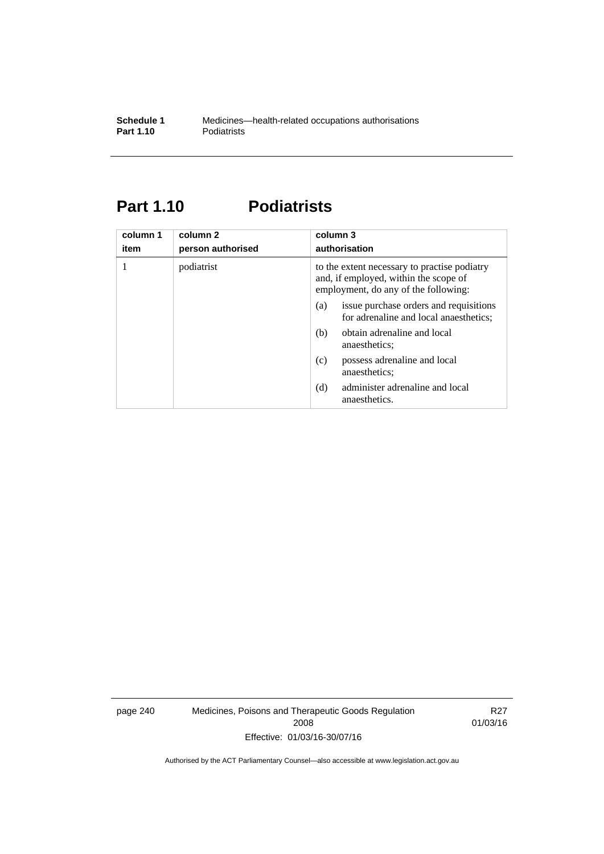### **Part 1.10 Podiatrists**

| column 1<br>item | column 2<br>person authorised | column 3<br>authorisation                                                                                                     |  |
|------------------|-------------------------------|-------------------------------------------------------------------------------------------------------------------------------|--|
|                  | podiatrist                    | to the extent necessary to practise podiatry<br>and, if employed, within the scope of<br>employment, do any of the following: |  |
|                  |                               | issue purchase orders and requisitions<br>(a)<br>for adrenaline and local anaesthetics;                                       |  |
|                  |                               | obtain adrenaline and local<br>(b)<br>anaesthetics:                                                                           |  |
|                  |                               | possess adrenaline and local<br>(c)<br>anaesthetics;                                                                          |  |
|                  |                               | administer adrenaline and local<br>(d)<br>anaesthetics.                                                                       |  |

page 240 Medicines, Poisons and Therapeutic Goods Regulation 2008 Effective: 01/03/16-30/07/16

R27 01/03/16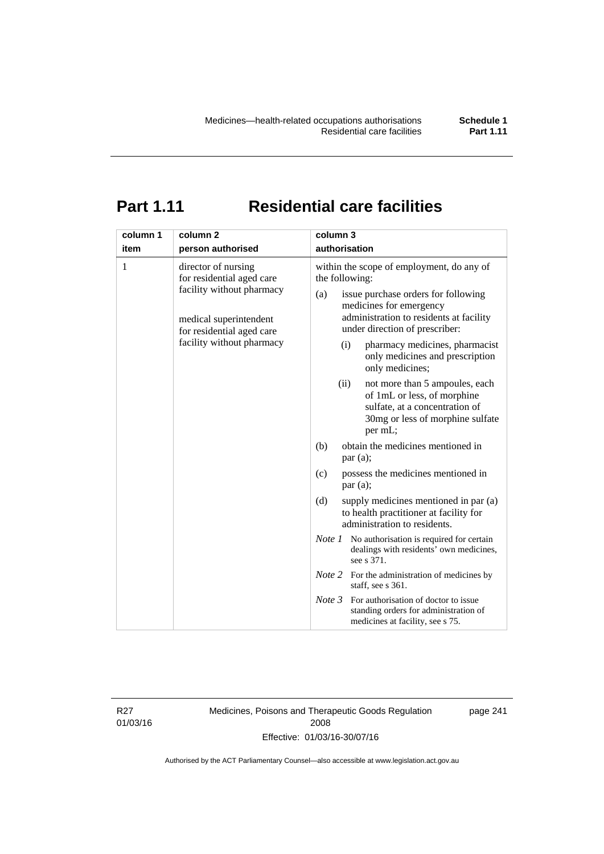## **Part 1.11 Residential care facilities**

| column 1 | column <sub>2</sub>                                                                                                                                               | column 3                                                                                                                                                                                                                                                                                                                                                                                  |
|----------|-------------------------------------------------------------------------------------------------------------------------------------------------------------------|-------------------------------------------------------------------------------------------------------------------------------------------------------------------------------------------------------------------------------------------------------------------------------------------------------------------------------------------------------------------------------------------|
| item     | person authorised                                                                                                                                                 | authorisation                                                                                                                                                                                                                                                                                                                                                                             |
| 1        | director of nursing<br>for residential aged care<br>facility without pharmacy<br>medical superintendent<br>for residential aged care<br>facility without pharmacy | within the scope of employment, do any of<br>the following:<br>issue purchase orders for following<br>(a)<br>medicines for emergency<br>administration to residents at facility<br>under direction of prescriber:<br>pharmacy medicines, pharmacist<br>(i)<br>only medicines and prescription<br>only medicines;<br>(ii)<br>not more than 5 ampoules, each<br>of 1mL or less, of morphine |
|          |                                                                                                                                                                   | sulfate, at a concentration of<br>30mg or less of morphine sulfate<br>per mL;                                                                                                                                                                                                                                                                                                             |
|          |                                                                                                                                                                   | obtain the medicines mentioned in<br>(b)<br>par(a);                                                                                                                                                                                                                                                                                                                                       |
|          |                                                                                                                                                                   | possess the medicines mentioned in<br>(c)<br>par(a);                                                                                                                                                                                                                                                                                                                                      |
|          |                                                                                                                                                                   | (d)<br>supply medicines mentioned in par (a)<br>to health practitioner at facility for<br>administration to residents.                                                                                                                                                                                                                                                                    |
|          |                                                                                                                                                                   | <i>Note 1</i> No authorisation is required for certain<br>dealings with residents' own medicines,<br>see s 371.                                                                                                                                                                                                                                                                           |
|          |                                                                                                                                                                   | <i>Note</i> 2 For the administration of medicines by<br>staff, see s 361.                                                                                                                                                                                                                                                                                                                 |
|          |                                                                                                                                                                   | Note 3<br>For authorisation of doctor to issue<br>standing orders for administration of<br>medicines at facility, see s 75.                                                                                                                                                                                                                                                               |

R27 01/03/16 Medicines, Poisons and Therapeutic Goods Regulation 2008 Effective: 01/03/16-30/07/16

page 241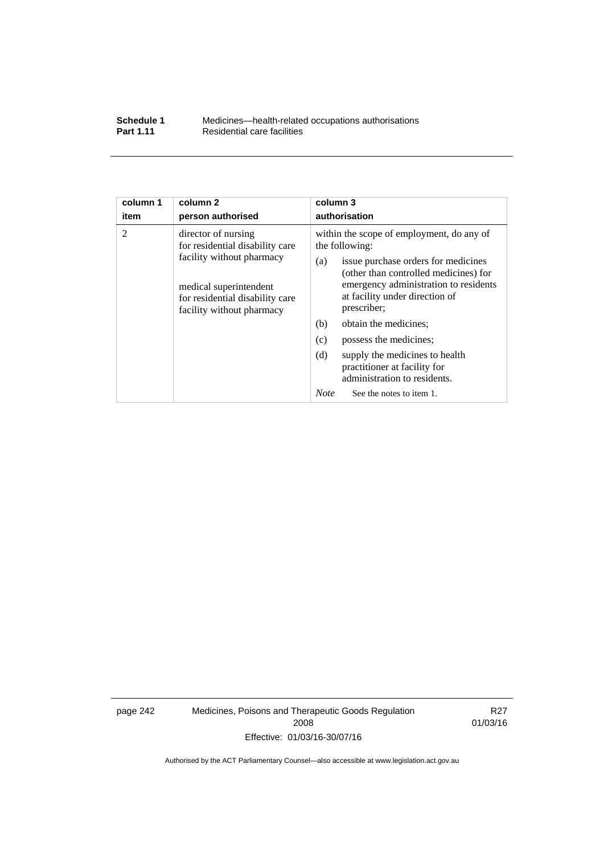| Schedule 1       | Medicines—health-related occupations authorisations |
|------------------|-----------------------------------------------------|
| <b>Part 1.11</b> | Residential care facilities                         |

| column 1       | column <sub>2</sub>                                                                                                                                                           | column 3                                                                                                                                                                                                                                                                                                                                                                                                                                                          |  |  |
|----------------|-------------------------------------------------------------------------------------------------------------------------------------------------------------------------------|-------------------------------------------------------------------------------------------------------------------------------------------------------------------------------------------------------------------------------------------------------------------------------------------------------------------------------------------------------------------------------------------------------------------------------------------------------------------|--|--|
| item           | person authorised                                                                                                                                                             | authorisation                                                                                                                                                                                                                                                                                                                                                                                                                                                     |  |  |
| $\overline{2}$ | director of nursing<br>for residential disability care<br>facility without pharmacy<br>medical superintendent<br>for residential disability care<br>facility without pharmacy | within the scope of employment, do any of<br>the following:<br>issue purchase orders for medicines<br>(a)<br>(other than controlled medicines) for<br>emergency administration to residents<br>at facility under direction of<br>prescriber;<br>(b)<br>obtain the medicines;<br>(c)<br>possess the medicines;<br>(d)<br>supply the medicines to health<br>practitioner at facility for<br>administration to residents.<br><b>Note</b><br>See the notes to item 1. |  |  |
|                |                                                                                                                                                                               |                                                                                                                                                                                                                                                                                                                                                                                                                                                                   |  |  |

page 242 Medicines, Poisons and Therapeutic Goods Regulation 2008 Effective: 01/03/16-30/07/16

R27 01/03/16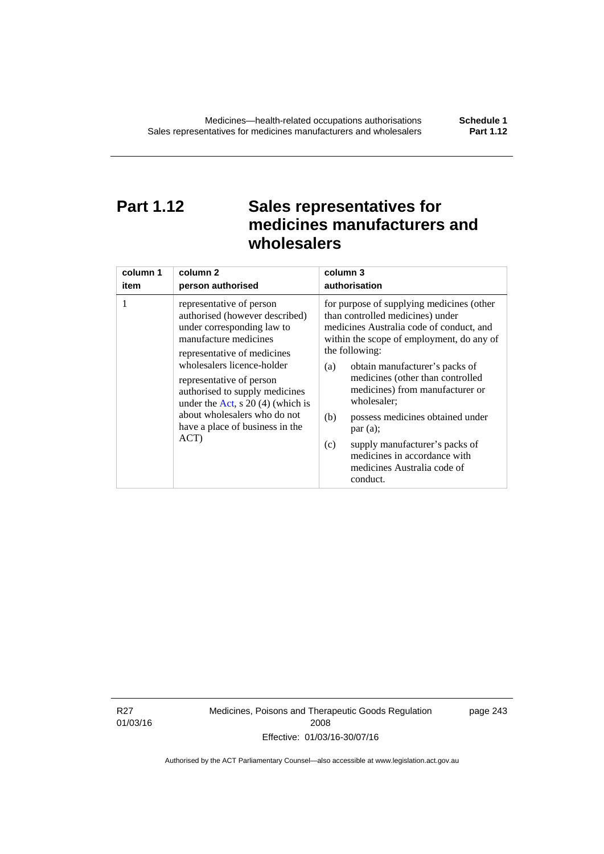### **Part 1.12 Sales representatives for medicines manufacturers and wholesalers**

| column 1 | column 2                                                                                                                                                                                                                                                                                                                                                      | column 3                                                                                                                                                                                                                                                                                                                                                                                                                                                                                          |  |
|----------|---------------------------------------------------------------------------------------------------------------------------------------------------------------------------------------------------------------------------------------------------------------------------------------------------------------------------------------------------------------|---------------------------------------------------------------------------------------------------------------------------------------------------------------------------------------------------------------------------------------------------------------------------------------------------------------------------------------------------------------------------------------------------------------------------------------------------------------------------------------------------|--|
| item     | person authorised                                                                                                                                                                                                                                                                                                                                             | authorisation                                                                                                                                                                                                                                                                                                                                                                                                                                                                                     |  |
| 1        | representative of person<br>authorised (however described)<br>under corresponding law to<br>manufacture medicines<br>representative of medicines<br>wholesalers licence-holder<br>representative of person<br>authorised to supply medicines<br>under the Act, s $20(4)$ (which is<br>about wholesalers who do not<br>have a place of business in the<br>ACT) | for purpose of supplying medicines (other<br>than controlled medicines) under<br>medicines Australia code of conduct, and<br>within the scope of employment, do any of<br>the following:<br>obtain manufacturer's packs of<br>(a)<br>medicines (other than controlled<br>medicines) from manufacturer or<br>wholesaler;<br>(b)<br>possess medicines obtained under<br>par(a);<br>supply manufacturer's packs of<br>(c)<br>medicines in accordance with<br>medicines Australia code of<br>conduct. |  |

R27 01/03/16 Medicines, Poisons and Therapeutic Goods Regulation 2008 Effective: 01/03/16-30/07/16

page 243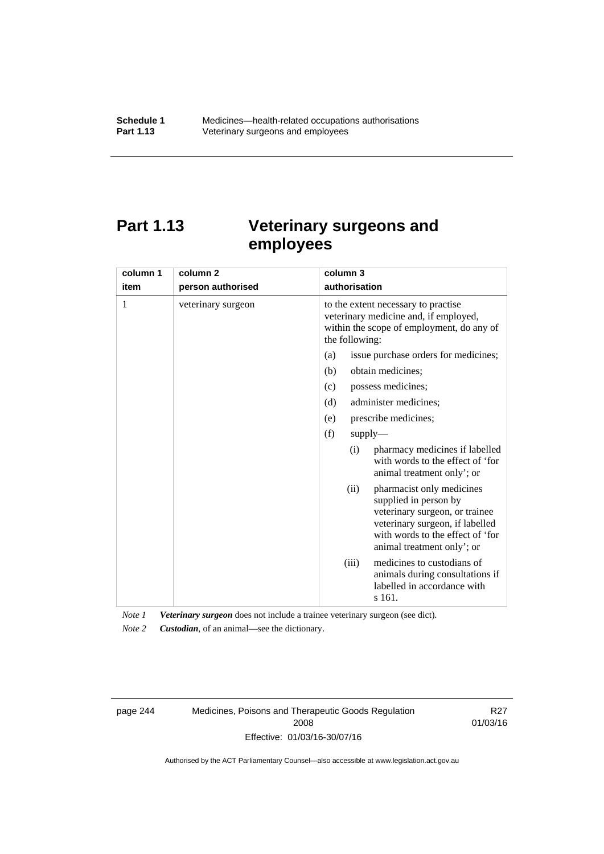## **Part 1.13 Veterinary surgeons and employees**

| column 1 | column <sub>2</sub> | column 3                                                                                                                                                                                          |  |
|----------|---------------------|---------------------------------------------------------------------------------------------------------------------------------------------------------------------------------------------------|--|
| item     | person authorised   | authorisation                                                                                                                                                                                     |  |
| 1        | veterinary surgeon  | to the extent necessary to practise<br>veterinary medicine and, if employed,<br>within the scope of employment, do any of<br>the following:                                                       |  |
|          |                     | issue purchase orders for medicines;<br>(a)                                                                                                                                                       |  |
|          |                     | (b)<br>obtain medicines:                                                                                                                                                                          |  |
|          |                     | possess medicines;<br>(c)                                                                                                                                                                         |  |
|          |                     | (d)<br>administer medicines;                                                                                                                                                                      |  |
|          |                     | prescribe medicines;<br>(e)                                                                                                                                                                       |  |
|          |                     | (f)<br>supply                                                                                                                                                                                     |  |
|          |                     | pharmacy medicines if labelled<br>(i)<br>with words to the effect of 'for<br>animal treatment only'; or                                                                                           |  |
|          |                     | pharmacist only medicines<br>(ii)<br>supplied in person by<br>veterinary surgeon, or trainee<br>veterinary surgeon, if labelled<br>with words to the effect of 'for<br>animal treatment only'; or |  |
|          |                     | medicines to custodians of<br>(iii)<br>animals during consultations if<br>labelled in accordance with<br>s 161.                                                                                   |  |

*Note 1 Veterinary surgeon* does not include a trainee veterinary surgeon (see dict).

*Note 2 Custodian*, of an animal—see the dictionary.

page 244 Medicines, Poisons and Therapeutic Goods Regulation 2008 Effective: 01/03/16-30/07/16

R27 01/03/16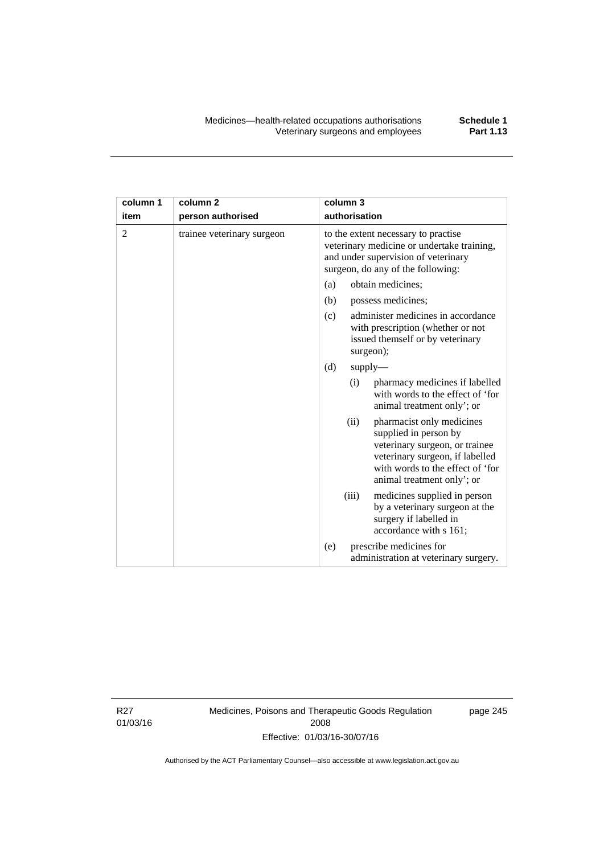| column 1       | column <sub>2</sub>        | column 3                                                                                                                                                                                          |  |  |
|----------------|----------------------------|---------------------------------------------------------------------------------------------------------------------------------------------------------------------------------------------------|--|--|
| item           | person authorised          | authorisation                                                                                                                                                                                     |  |  |
| $\overline{2}$ | trainee veterinary surgeon | to the extent necessary to practise<br>veterinary medicine or undertake training,<br>and under supervision of veterinary<br>surgeon, do any of the following:                                     |  |  |
|                |                            | obtain medicines;<br>(a)                                                                                                                                                                          |  |  |
|                |                            | (b)<br>possess medicines;                                                                                                                                                                         |  |  |
|                |                            | administer medicines in accordance<br>(c)<br>with prescription (whether or not<br>issued themself or by veterinary<br>surgeon);                                                                   |  |  |
|                |                            | (d)<br>supply                                                                                                                                                                                     |  |  |
|                |                            | pharmacy medicines if labelled<br>(i)<br>with words to the effect of 'for<br>animal treatment only'; or                                                                                           |  |  |
|                |                            | (ii)<br>pharmacist only medicines<br>supplied in person by<br>veterinary surgeon, or trainee<br>veterinary surgeon, if labelled<br>with words to the effect of 'for<br>animal treatment only'; or |  |  |
|                |                            | (iii)<br>medicines supplied in person<br>by a veterinary surgeon at the<br>surgery if labelled in<br>accordance with s 161;                                                                       |  |  |
|                |                            | prescribe medicines for<br>(e)<br>administration at veterinary surgery.                                                                                                                           |  |  |

R27 01/03/16 Medicines, Poisons and Therapeutic Goods Regulation 2008 Effective: 01/03/16-30/07/16

page 245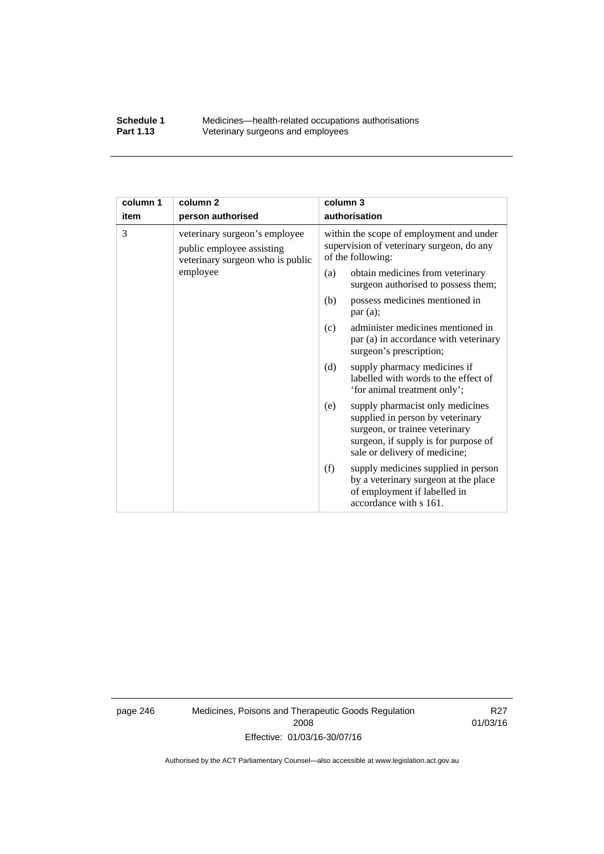#### **Schedule 1** Medicines—health-related occupations authorisations<br>**Part 1.13** Veterinary surgeons and employees Veterinary surgeons and employees

| column 1 | column <sub>2</sub>                                                                            | column 3                                                                                                                                                                               |  |
|----------|------------------------------------------------------------------------------------------------|----------------------------------------------------------------------------------------------------------------------------------------------------------------------------------------|--|
| item     | person authorised                                                                              | authorisation                                                                                                                                                                          |  |
| 3        | veterinary surgeon's employee<br>public employee assisting<br>veterinary surgeon who is public | within the scope of employment and under<br>supervision of veterinary surgeon, do any<br>of the following:                                                                             |  |
|          | employee                                                                                       | obtain medicines from veterinary<br>(a)<br>surgeon authorised to possess them;                                                                                                         |  |
|          |                                                                                                | possess medicines mentioned in<br>(b)<br>par(a);                                                                                                                                       |  |
|          |                                                                                                | administer medicines mentioned in<br>(c)<br>par (a) in accordance with veterinary<br>surgeon's prescription;                                                                           |  |
|          |                                                                                                | (d)<br>supply pharmacy medicines if<br>labelled with words to the effect of<br>'for animal treatment only';                                                                            |  |
|          |                                                                                                | supply pharmacist only medicines<br>(e)<br>supplied in person by veterinary<br>surgeon, or trainee veterinary<br>surgeon, if supply is for purpose of<br>sale or delivery of medicine; |  |
|          |                                                                                                | supply medicines supplied in person<br>(f)<br>by a veterinary surgeon at the place<br>of employment if labelled in<br>accordance with s 161.                                           |  |

page 246 Medicines, Poisons and Therapeutic Goods Regulation 2008 Effective: 01/03/16-30/07/16

R27 01/03/16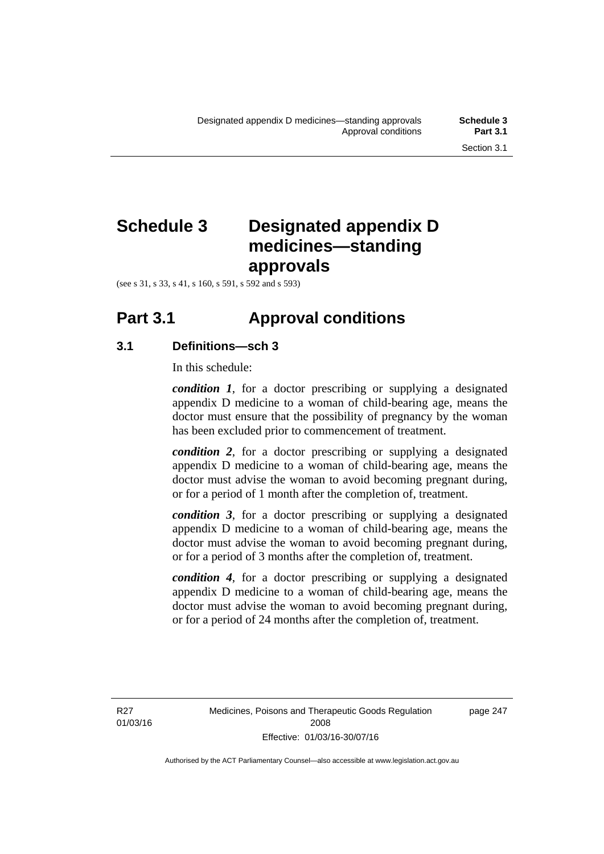## **Schedule 3 Designated appendix D medicines—standing approvals**

(see s 31, s 33, s 41, s 160, s 591, s 592 and s 593)

## **Part 3.1 Approval conditions**

#### **3.1 Definitions—sch 3**

In this schedule:

*condition 1*, for a doctor prescribing or supplying a designated appendix D medicine to a woman of child-bearing age, means the doctor must ensure that the possibility of pregnancy by the woman has been excluded prior to commencement of treatment.

*condition 2*, for a doctor prescribing or supplying a designated appendix D medicine to a woman of child-bearing age, means the doctor must advise the woman to avoid becoming pregnant during, or for a period of 1 month after the completion of, treatment.

*condition 3*, for a doctor prescribing or supplying a designated appendix D medicine to a woman of child-bearing age, means the doctor must advise the woman to avoid becoming pregnant during, or for a period of 3 months after the completion of, treatment.

*condition 4*, for a doctor prescribing or supplying a designated appendix D medicine to a woman of child-bearing age, means the doctor must advise the woman to avoid becoming pregnant during, or for a period of 24 months after the completion of, treatment.

R27 01/03/16 page 247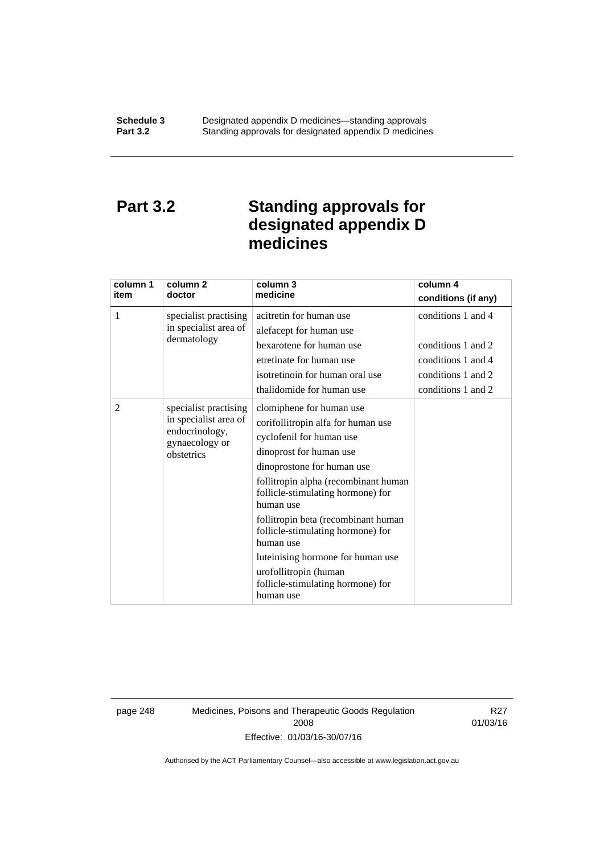### **Part 3.2 Standing approvals for designated appendix D medicines**

| column 1<br>item | column <sub>2</sub><br>doctor                  | column 3<br>medicine                                                                                                                                                                                                                   | column 4<br>conditions (if any) |
|------------------|------------------------------------------------|----------------------------------------------------------------------------------------------------------------------------------------------------------------------------------------------------------------------------------------|---------------------------------|
|                  |                                                |                                                                                                                                                                                                                                        |                                 |
| 1                | specialist practising<br>in specialist area of | acitretin for human use                                                                                                                                                                                                                | conditions 1 and 4              |
|                  | dermatology                                    | alefacept for human use                                                                                                                                                                                                                |                                 |
|                  |                                                | bexarotene for human use                                                                                                                                                                                                               | conditions 1 and 2              |
|                  |                                                | etretinate for human use                                                                                                                                                                                                               | conditions 1 and 4              |
|                  |                                                | isotretinoin for human oral use                                                                                                                                                                                                        | conditions 1 and 2              |
|                  |                                                | thalidomide for human use                                                                                                                                                                                                              | conditions 1 and 2              |
| 2                | specialist practising                          | clomiphene for human use                                                                                                                                                                                                               |                                 |
|                  | in specialist area of                          | corifollitropin alfa for human use                                                                                                                                                                                                     |                                 |
|                  | endocrinology,<br>gynaecology or<br>obstetrics |                                                                                                                                                                                                                                        |                                 |
|                  |                                                |                                                                                                                                                                                                                                        |                                 |
|                  |                                                |                                                                                                                                                                                                                                        |                                 |
|                  |                                                | follitropin alpha (recombinant human                                                                                                                                                                                                   |                                 |
|                  |                                                | follicle-stimulating hormone) for                                                                                                                                                                                                      |                                 |
|                  |                                                | human use                                                                                                                                                                                                                              |                                 |
|                  |                                                | follitropin beta (recombinant human                                                                                                                                                                                                    |                                 |
|                  |                                                |                                                                                                                                                                                                                                        |                                 |
|                  |                                                |                                                                                                                                                                                                                                        |                                 |
|                  |                                                |                                                                                                                                                                                                                                        |                                 |
|                  |                                                |                                                                                                                                                                                                                                        |                                 |
|                  |                                                | human use                                                                                                                                                                                                                              |                                 |
|                  |                                                | cyclofenil for human use<br>dinoprost for human use<br>dinoprostone for human use<br>follicle-stimulating hormone) for<br>human use<br>luteinising hormone for human use<br>urofollitropin (human<br>follicle-stimulating hormone) for |                                 |

page 248 Medicines, Poisons and Therapeutic Goods Regulation 2008 Effective: 01/03/16-30/07/16

R27 01/03/16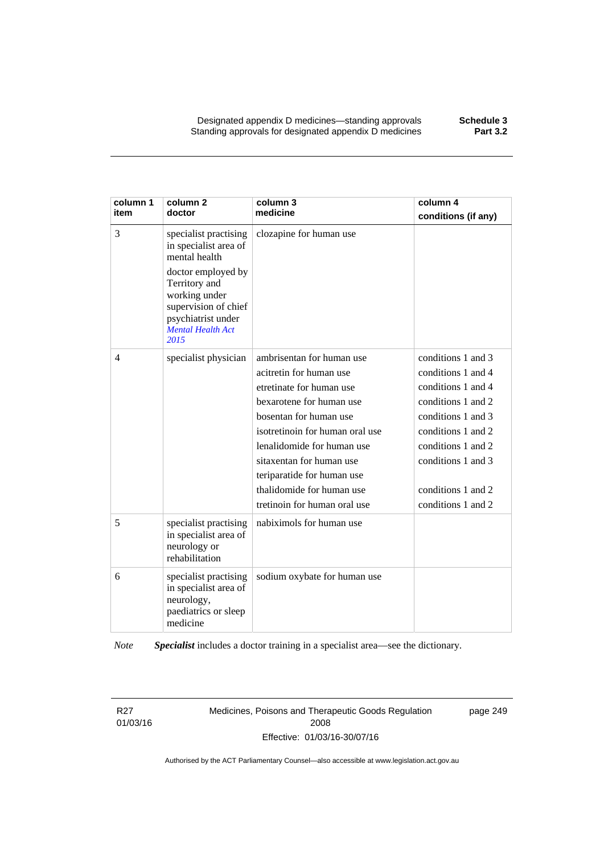| column 1<br>item | column <sub>2</sub><br>doctor                                                                                    | column 3<br>medicine            | column 4<br>conditions (if any) |
|------------------|------------------------------------------------------------------------------------------------------------------|---------------------------------|---------------------------------|
| 3                | specialist practising<br>in specialist area of<br>mental health<br>doctor employed by                            | clozapine for human use         |                                 |
|                  | Territory and<br>working under<br>supervision of chief<br>psychiatrist under<br><b>Mental Health Act</b><br>2015 |                                 |                                 |
| 4                | specialist physician                                                                                             | ambrisentan for human use       | conditions 1 and 3              |
|                  |                                                                                                                  | acitretin for human use         | conditions 1 and 4              |
|                  |                                                                                                                  | etretinate for human use        | conditions 1 and 4              |
|                  |                                                                                                                  | bexarotene for human use        | conditions 1 and 2              |
|                  |                                                                                                                  | bosentan for human use          | conditions 1 and 3              |
|                  |                                                                                                                  | isotretinoin for human oral use | conditions 1 and 2              |
|                  |                                                                                                                  | lenalidomide for human use      | conditions 1 and 2              |
|                  |                                                                                                                  | sitaxentan for human use        | conditions 1 and 3              |
|                  |                                                                                                                  | teriparatide for human use      |                                 |
|                  |                                                                                                                  | thalidomide for human use       | conditions 1 and 2              |
|                  |                                                                                                                  | tretinoin for human oral use    | conditions 1 and 2              |
| 5                | specialist practising<br>in specialist area of<br>neurology or<br>rehabilitation                                 | nabiximols for human use        |                                 |
| 6                | specialist practising<br>in specialist area of<br>neurology,<br>paediatrics or sleep<br>medicine                 | sodium oxybate for human use    |                                 |

*Note Specialist* includes a doctor training in a specialist area—see the dictionary.

R27 01/03/16 Medicines, Poisons and Therapeutic Goods Regulation 2008 Effective: 01/03/16-30/07/16

page 249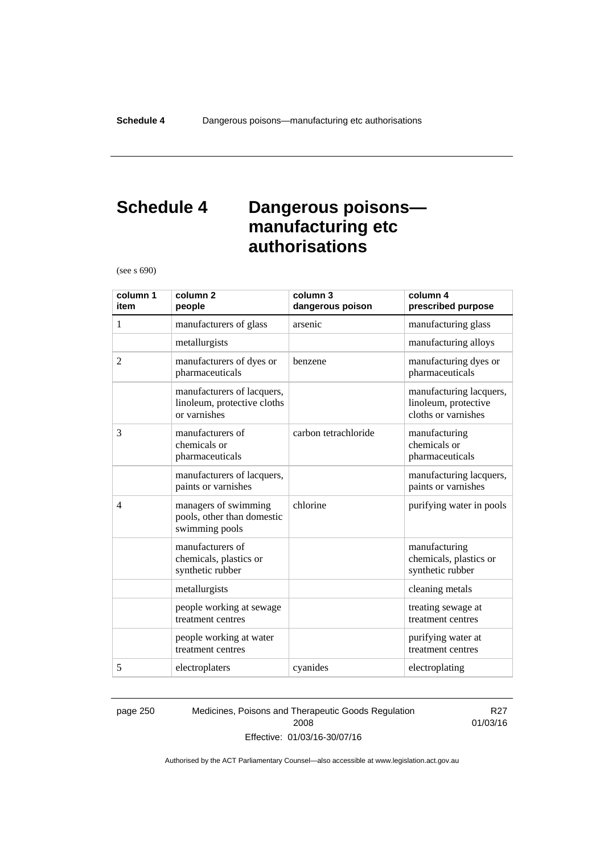### **Schedule 4 Dangerous poisons manufacturing etc authorisations**

(see s 690)

| column 1<br>item | column <sub>2</sub><br>people                                             | column 3<br>dangerous poison | column 4<br>prescribed purpose                                         |
|------------------|---------------------------------------------------------------------------|------------------------------|------------------------------------------------------------------------|
| 1                | manufacturers of glass                                                    | arsenic                      | manufacturing glass                                                    |
|                  | metallurgists                                                             |                              | manufacturing alloys                                                   |
| $\overline{2}$   | manufacturers of dyes or<br>pharmaceuticals                               | benzene                      | manufacturing dyes or<br>pharmaceuticals                               |
|                  | manufacturers of lacquers,<br>linoleum, protective cloths<br>or varnishes |                              | manufacturing lacquers,<br>linoleum, protective<br>cloths or varnishes |
| 3                | manufacturers of<br>chemicals or<br>pharmaceuticals                       | carbon tetrachloride         | manufacturing<br>chemicals or<br>pharmaceuticals                       |
|                  | manufacturers of lacquers,<br>paints or varnishes                         |                              | manufacturing lacquers,<br>paints or varnishes                         |
| $\overline{4}$   | managers of swimming<br>pools, other than domestic<br>swimming pools      | chlorine                     | purifying water in pools                                               |
|                  | manufacturers of<br>chemicals, plastics or<br>synthetic rubber            |                              | manufacturing<br>chemicals, plastics or<br>synthetic rubber            |
|                  | metallurgists                                                             |                              | cleaning metals                                                        |
|                  | people working at sewage<br>treatment centres                             |                              | treating sewage at<br>treatment centres                                |
|                  | people working at water<br>treatment centres                              |                              | purifying water at<br>treatment centres                                |
| 5                | electroplaters                                                            | cyanides                     | electroplating                                                         |

page 250 Medicines, Poisons and Therapeutic Goods Regulation 2008 Effective: 01/03/16-30/07/16

R27 01/03/16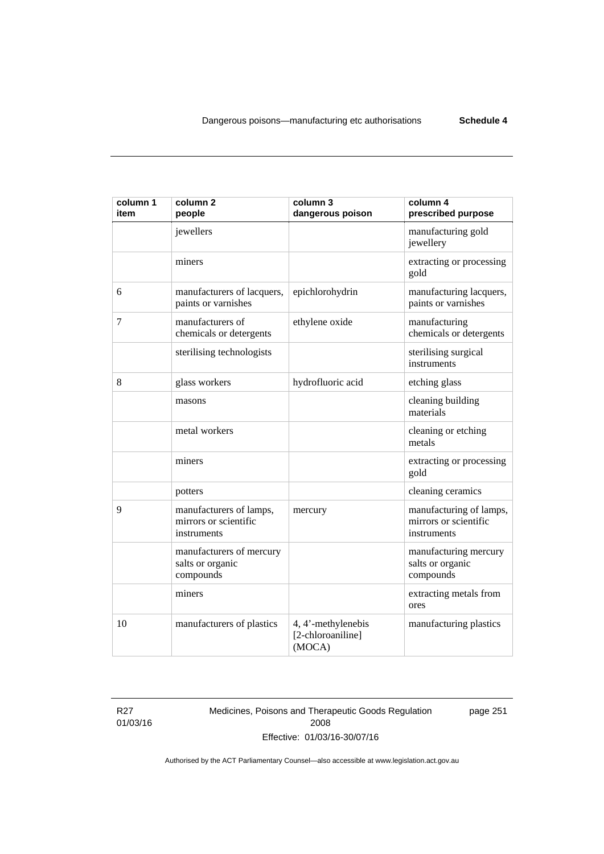| column 1<br>item | column <sub>2</sub><br>people                                   | column 3<br>dangerous poison                      | column 4<br>prescribed purpose                                  |
|------------------|-----------------------------------------------------------------|---------------------------------------------------|-----------------------------------------------------------------|
|                  | jewellers                                                       |                                                   | manufacturing gold<br>jewellery                                 |
|                  | miners                                                          |                                                   | extracting or processing<br>gold                                |
| 6                | manufacturers of lacquers,<br>paints or varnishes               | epichlorohydrin                                   | manufacturing lacquers,<br>paints or varnishes                  |
| 7                | manufacturers of<br>chemicals or detergents                     | ethylene oxide                                    | manufacturing<br>chemicals or detergents                        |
|                  | sterilising technologists                                       |                                                   | sterilising surgical<br>instruments                             |
| 8                | glass workers                                                   | hydrofluoric acid                                 | etching glass                                                   |
|                  | masons                                                          |                                                   | cleaning building<br>materials                                  |
|                  | metal workers                                                   |                                                   | cleaning or etching<br>metals                                   |
|                  | miners                                                          |                                                   | extracting or processing<br>gold                                |
|                  | potters                                                         |                                                   | cleaning ceramics                                               |
| 9                | manufacturers of lamps,<br>mirrors or scientific<br>instruments | mercury                                           | manufacturing of lamps,<br>mirrors or scientific<br>instruments |
|                  | manufacturers of mercury<br>salts or organic<br>compounds       |                                                   | manufacturing mercury<br>salts or organic<br>compounds          |
|                  | miners                                                          |                                                   | extracting metals from<br>ores                                  |
| 10               | manufacturers of plastics                                       | 4, 4'-methylenebis<br>[2-chloroaniline]<br>(MOCA) | manufacturing plastics                                          |

R27 01/03/16 Medicines, Poisons and Therapeutic Goods Regulation 2008 Effective: 01/03/16-30/07/16

page 251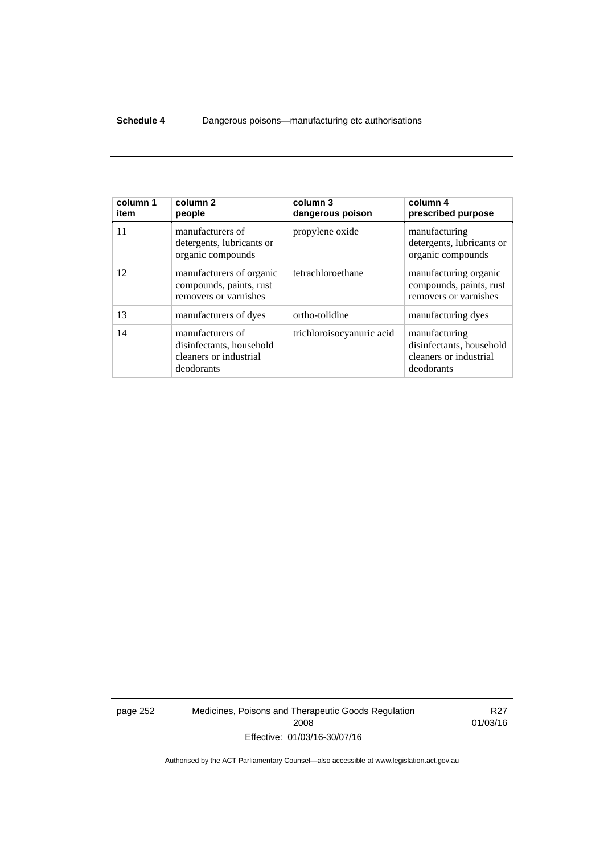#### **Schedule 4** Dangerous poisons—manufacturing etc authorisations

| column 1<br>item | column <sub>2</sub><br>people                                                        | column 3<br>dangerous poison | column 4<br>prescribed purpose                                                    |
|------------------|--------------------------------------------------------------------------------------|------------------------------|-----------------------------------------------------------------------------------|
| 11               | manufacturers of<br>detergents, lubricants or<br>organic compounds                   | propylene oxide              | manufacturing<br>detergents, lubricants or<br>organic compounds                   |
| 12               | manufacturers of organic<br>compounds, paints, rust<br>removers or varnishes         | tetrachloroethane            | manufacturing organic<br>compounds, paints, rust<br>removers or varnishes         |
| 13               | manufacturers of dyes                                                                | ortho-tolidine               | manufacturing dyes                                                                |
| 14               | manufacturers of<br>disinfectants, household<br>cleaners or industrial<br>deodorants | trichloroisocyanuric acid    | manufacturing<br>disinfectants, household<br>cleaners or industrial<br>deodorants |

page 252 Medicines, Poisons and Therapeutic Goods Regulation 2008 Effective: 01/03/16-30/07/16

R27 01/03/16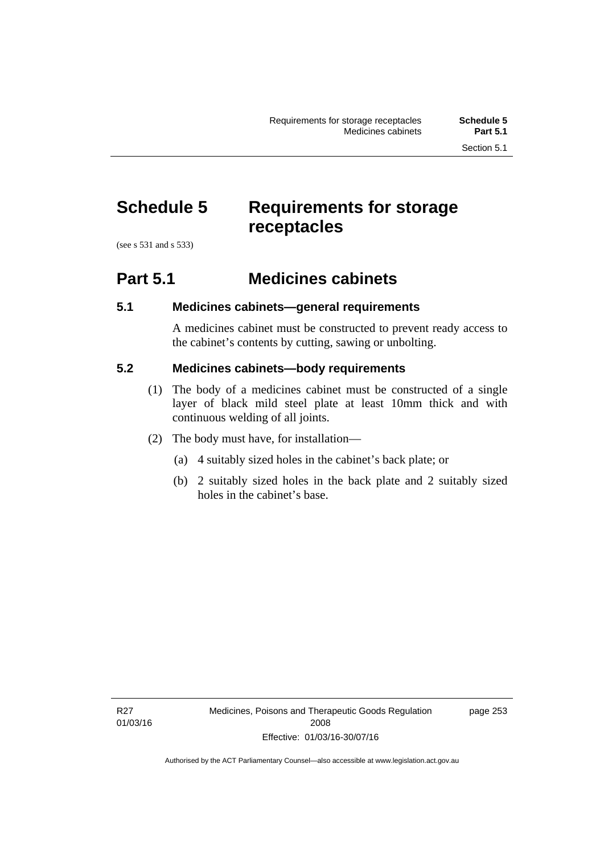### **Schedule 5 Requirements for storage receptacles**

(see s 531 and s 533)

#### **Part 5.1 Medicines cabinets**

#### **5.1 Medicines cabinets—general requirements**

A medicines cabinet must be constructed to prevent ready access to the cabinet's contents by cutting, sawing or unbolting.

#### **5.2 Medicines cabinets—body requirements**

- (1) The body of a medicines cabinet must be constructed of a single layer of black mild steel plate at least 10mm thick and with continuous welding of all joints.
- (2) The body must have, for installation—
	- (a) 4 suitably sized holes in the cabinet's back plate; or
	- (b) 2 suitably sized holes in the back plate and 2 suitably sized holes in the cabinet's base.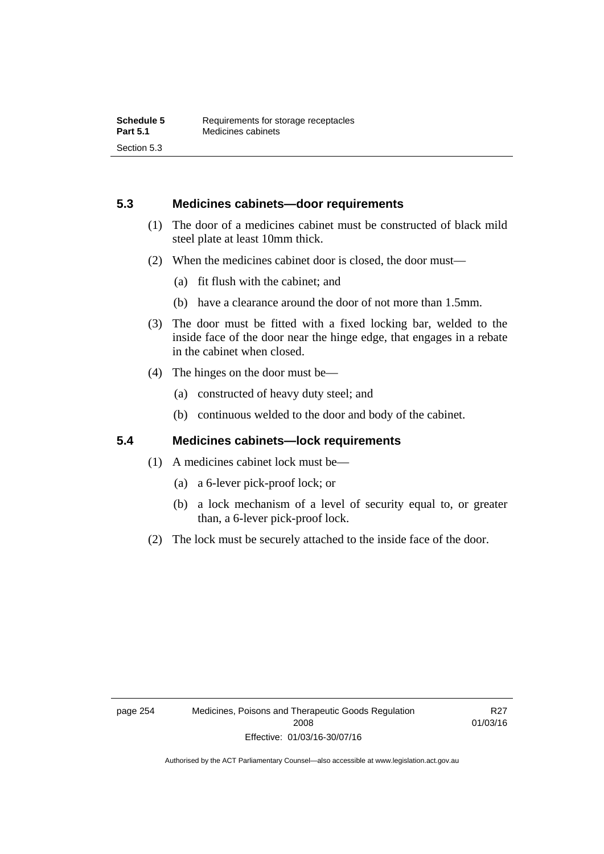#### **5.3 Medicines cabinets—door requirements**

- (1) The door of a medicines cabinet must be constructed of black mild steel plate at least 10mm thick.
- (2) When the medicines cabinet door is closed, the door must—
	- (a) fit flush with the cabinet; and
	- (b) have a clearance around the door of not more than 1.5mm.
- (3) The door must be fitted with a fixed locking bar, welded to the inside face of the door near the hinge edge, that engages in a rebate in the cabinet when closed.
- (4) The hinges on the door must be—
	- (a) constructed of heavy duty steel; and
	- (b) continuous welded to the door and body of the cabinet.

#### **5.4 Medicines cabinets—lock requirements**

- (1) A medicines cabinet lock must be—
	- (a) a 6-lever pick-proof lock; or
	- (b) a lock mechanism of a level of security equal to, or greater than, a 6-lever pick-proof lock.
- (2) The lock must be securely attached to the inside face of the door.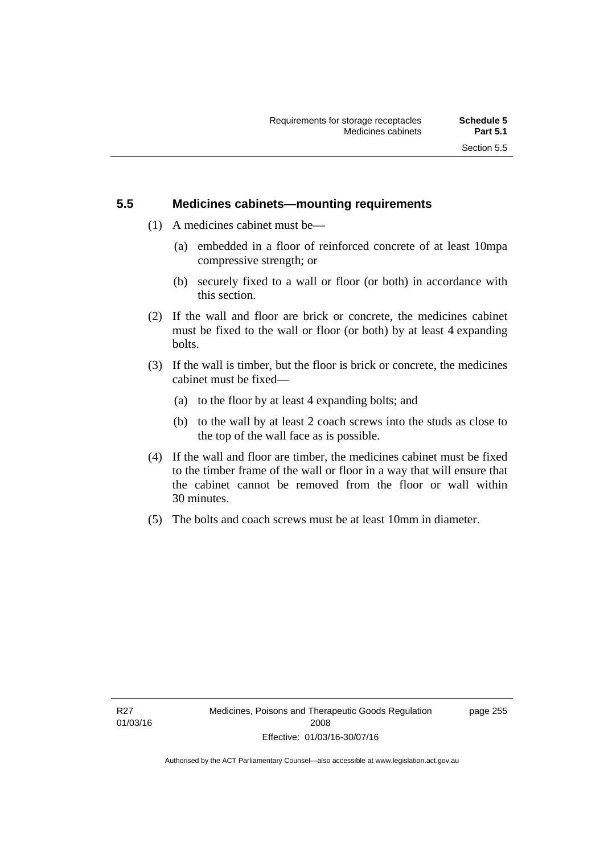#### **5.5 Medicines cabinets—mounting requirements**

- (1) A medicines cabinet must be—
	- (a) embedded in a floor of reinforced concrete of at least 10mpa compressive strength; or
	- (b) securely fixed to a wall or floor (or both) in accordance with this section.
- (2) If the wall and floor are brick or concrete, the medicines cabinet must be fixed to the wall or floor (or both) by at least 4 expanding bolts.
- (3) If the wall is timber, but the floor is brick or concrete, the medicines cabinet must be fixed—
	- (a) to the floor by at least 4 expanding bolts; and
	- (b) to the wall by at least 2 coach screws into the studs as close to the top of the wall face as is possible.
- (4) If the wall and floor are timber, the medicines cabinet must be fixed to the timber frame of the wall or floor in a way that will ensure that the cabinet cannot be removed from the floor or wall within 30 minutes.
- (5) The bolts and coach screws must be at least 10mm in diameter.

page 255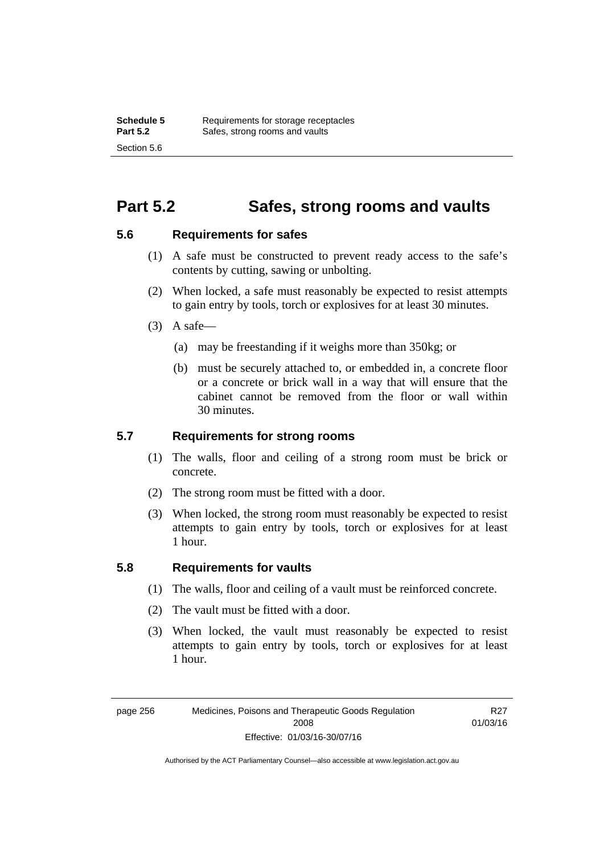### **Part 5.2 Safes, strong rooms and vaults**

#### **5.6 Requirements for safes**

- (1) A safe must be constructed to prevent ready access to the safe's contents by cutting, sawing or unbolting.
- (2) When locked, a safe must reasonably be expected to resist attempts to gain entry by tools, torch or explosives for at least 30 minutes.
- $(3)$  A safe-
	- (a) may be freestanding if it weighs more than 350kg; or
	- (b) must be securely attached to, or embedded in, a concrete floor or a concrete or brick wall in a way that will ensure that the cabinet cannot be removed from the floor or wall within 30 minutes.

#### **5.7 Requirements for strong rooms**

- (1) The walls, floor and ceiling of a strong room must be brick or concrete.
- (2) The strong room must be fitted with a door.
- (3) When locked, the strong room must reasonably be expected to resist attempts to gain entry by tools, torch or explosives for at least 1 hour.

#### **5.8 Requirements for vaults**

- (1) The walls, floor and ceiling of a vault must be reinforced concrete.
- (2) The vault must be fitted with a door.
- (3) When locked, the vault must reasonably be expected to resist attempts to gain entry by tools, torch or explosives for at least 1 hour.

R27 01/03/16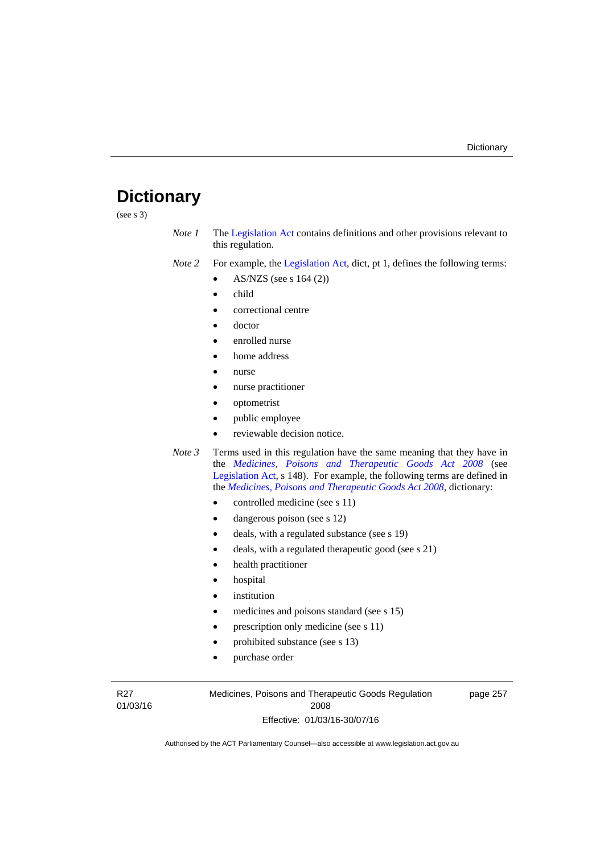### **Dictionary**

(see s 3)

- *Note 1* The [Legislation Act](http://www.legislation.act.gov.au/a/2001-14) contains definitions and other provisions relevant to this regulation.
- *Note 2* For example, the [Legislation Act,](http://www.legislation.act.gov.au/a/2001-14) dict, pt 1, defines the following terms:
	- AS/NZS (see s 164 (2))
	- child
	- correctional centre
	- doctor
	- enrolled nurse
	- home address
	- nurse
	- nurse practitioner
	- optometrist
	- public employee
	- reviewable decision notice.
- *Note 3* Terms used in this regulation have the same meaning that they have in the *[Medicines, Poisons and Therapeutic Goods Act 2008](http://www.legislation.act.gov.au/a/2008-26)* (see [Legislation Act,](http://www.legislation.act.gov.au/a/2001-14) s 148). For example, the following terms are defined in the *[Medicines, Poisons and Therapeutic Goods Act 2008](http://www.legislation.act.gov.au/a/2008-26)*, dictionary:
	- controlled medicine (see s 11)
	- dangerous poison (see s 12)
	- deals, with a regulated substance (see s 19)
	- deals, with a regulated therapeutic good (see s 21)
	- health practitioner
	- hospital
	- institution
	- medicines and poisons standard (see s 15)
	- prescription only medicine (see s 11)
	- prohibited substance (see s 13)
	- purchase order

R27 01/03/16 Medicines, Poisons and Therapeutic Goods Regulation 2008 Effective: 01/03/16-30/07/16

page 257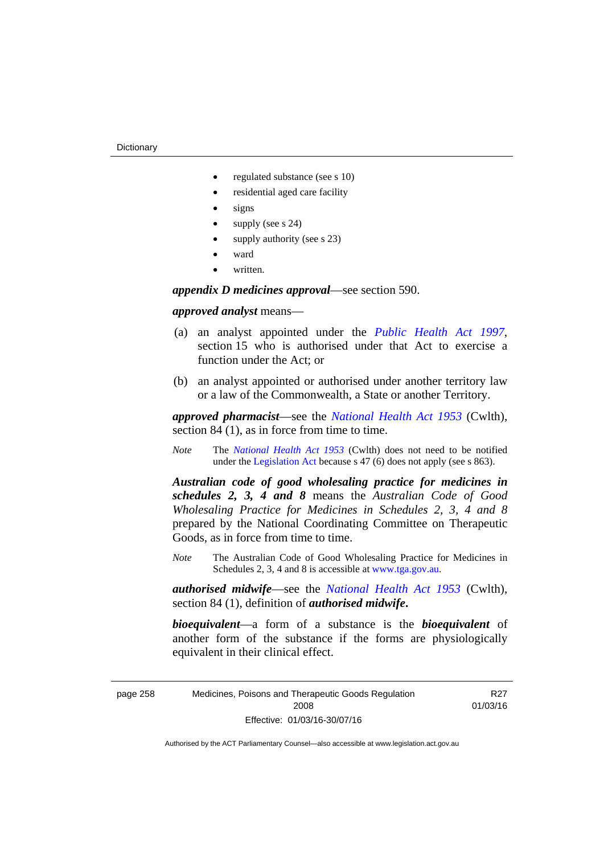- regulated substance (see s 10)
- residential aged care facility
- signs
- supply (see s 24)
- supply authority (see s 23)
- ward
- written.

*appendix D medicines approval*—see section 590.

#### *approved analyst* means—

- (a) an analyst appointed under the *[Public Health Act 1997](http://www.legislation.act.gov.au/a/1997-69)*, section 15 who is authorised under that Act to exercise a function under the Act; or
- (b) an analyst appointed or authorised under another territory law or a law of the Commonwealth, a State or another Territory.

*approved pharmacist*––see the *[National Health Act 1953](http://www.comlaw.gov.au/Series/C1953A00095)* (Cwlth), section 84 (1), as in force from time to time.

*Note* The *[National Health Act 1953](http://www.comlaw.gov.au/Series/C1953A00095)* (Cwlth) does not need to be notified under the [Legislation Act](http://www.legislation.act.gov.au/a/2001-14) because s 47 (6) does not apply (see s 863).

*Australian code of good wholesaling practice for medicines in schedules 2, 3, 4 and 8* means the *Australian Code of Good Wholesaling Practice for Medicines in Schedules 2, 3, 4 and 8* prepared by the National Coordinating Committee on Therapeutic Goods, as in force from time to time.

*Note* The Australian Code of Good Wholesaling Practice for Medicines in Schedules 2, 3, 4 and 8 is accessible at [www.tga.gov.au.](http://www.tga.gov.au/)

*authorised midwife*—see the *[National Health Act 1953](http://www.comlaw.gov.au/Series/C1953A00095)* (Cwlth), section 84 (1), definition of *authorised midwife***.**

*bioequivalent*—a form of a substance is the *bioequivalent* of another form of the substance if the forms are physiologically equivalent in their clinical effect.

page 258 Medicines, Poisons and Therapeutic Goods Regulation 2008 Effective: 01/03/16-30/07/16

R27 01/03/16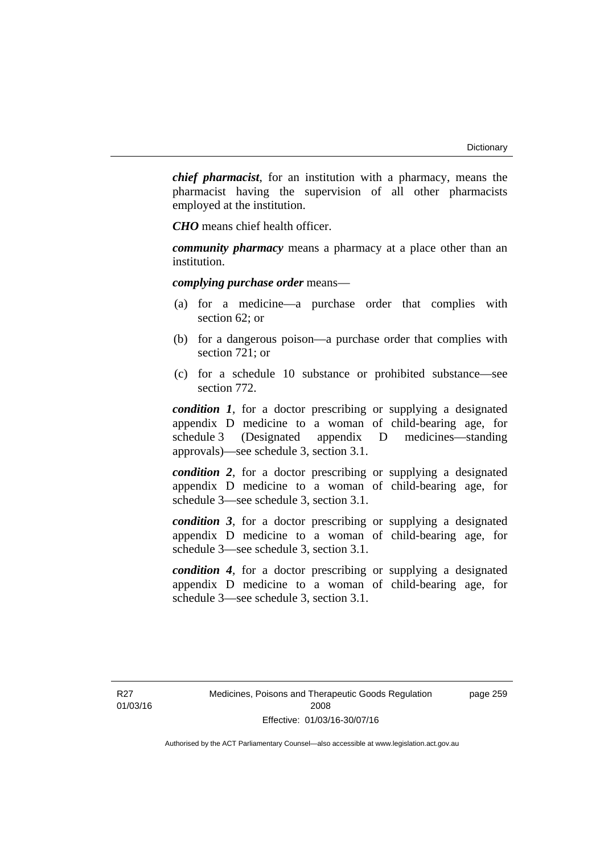*chief pharmacist*, for an institution with a pharmacy, means the pharmacist having the supervision of all other pharmacists employed at the institution.

*CHO* means chief health officer.

*community pharmacy* means a pharmacy at a place other than an institution.

*complying purchase order* means—

- (a) for a medicine—a purchase order that complies with section 62; or
- (b) for a dangerous poison—a purchase order that complies with section 721; or
- (c) for a schedule 10 substance or prohibited substance—see section 772.

*condition 1*, for a doctor prescribing or supplying a designated appendix D medicine to a woman of child-bearing age, for schedule 3 (Designated appendix D medicines—standing approvals)—see schedule 3, section 3.1.

*condition 2*, for a doctor prescribing or supplying a designated appendix D medicine to a woman of child-bearing age, for schedule 3—see schedule 3, section 3.1.

*condition 3*, for a doctor prescribing or supplying a designated appendix D medicine to a woman of child-bearing age, for schedule 3—see schedule 3, section 3.1.

*condition 4*, for a doctor prescribing or supplying a designated appendix D medicine to a woman of child-bearing age, for schedule 3—see schedule 3, section 3.1.

page 259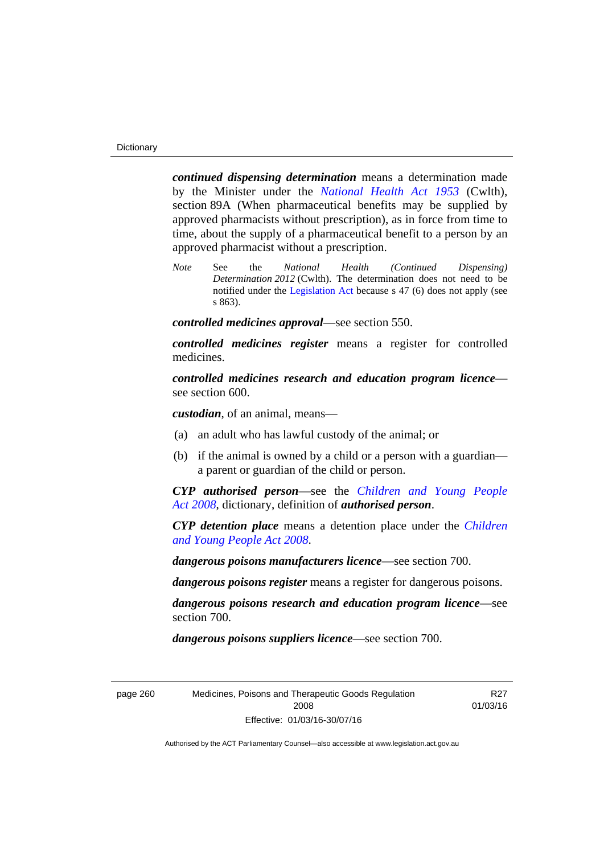*continued dispensing determination* means a determination made by the Minister under the *[National Health Act 1953](http://www.comlaw.gov.au/Series/C1953A00095)* (Cwlth), section 89A (When pharmaceutical benefits may be supplied by approved pharmacists without prescription), as in force from time to time, about the supply of a pharmaceutical benefit to a person by an approved pharmacist without a prescription.

*Note* See the *National Health (Continued Dispensing) Determination 2012* (Cwlth). The determination does not need to be notified under the [Legislation Act](http://www.legislation.act.gov.au/a/2001-14) because s 47 (6) does not apply (see s 863).

*controlled medicines approval*—see section 550.

*controlled medicines register* means a register for controlled medicines.

*controlled medicines research and education program licence* see section 600.

*custodian*, of an animal, means—

- (a) an adult who has lawful custody of the animal; or
- (b) if the animal is owned by a child or a person with a guardian a parent or guardian of the child or person.

*CYP authorised person*—see the *[Children and Young People](http://www.legislation.act.gov.au/a/2008-19)  [Act 2008](http://www.legislation.act.gov.au/a/2008-19)*, dictionary, definition of *authorised person*.

*CYP detention place* means a detention place under the *[Children](http://www.legislation.act.gov.au/a/2008-19)  [and Young People Act 2008](http://www.legislation.act.gov.au/a/2008-19)*.

*dangerous poisons manufacturers licence*—see section 700.

*dangerous poisons register* means a register for dangerous poisons.

*dangerous poisons research and education program licence*—see section 700.

*dangerous poisons suppliers licence*—see section 700.

page 260 Medicines, Poisons and Therapeutic Goods Regulation 2008 Effective: 01/03/16-30/07/16

R27 01/03/16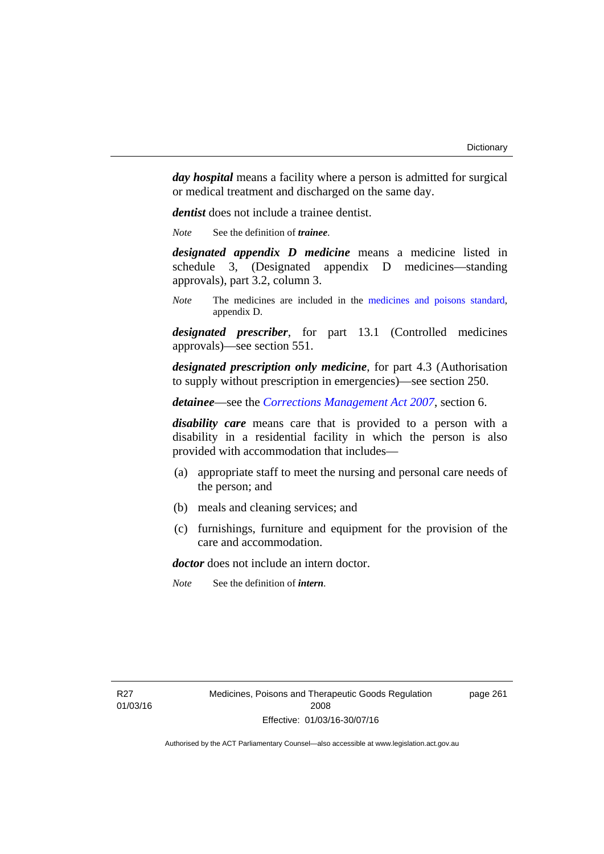*day hospital* means a facility where a person is admitted for surgical or medical treatment and discharged on the same day.

*dentist* does not include a trainee dentist.

*Note* See the definition of *trainee*.

*designated appendix D medicine* means a medicine listed in schedule 3, (Designated appendix D medicines—standing approvals), part 3.2, column 3.

*Note* The medicines are included in the [medicines and poisons standard,](http://www.comlaw.gov.au/Series/F2012L01200) appendix D.

*designated prescriber*, for part 13.1 (Controlled medicines approvals)—see section 551.

*designated prescription only medicine*, for part 4.3 (Authorisation to supply without prescription in emergencies)—see section 250.

*detainee*—see the *[Corrections Management Act 2007](http://www.legislation.act.gov.au/a/2007-15)*, section 6.

*disability care* means care that is provided to a person with a disability in a residential facility in which the person is also provided with accommodation that includes—

- (a) appropriate staff to meet the nursing and personal care needs of the person; and
- (b) meals and cleaning services; and
- (c) furnishings, furniture and equipment for the provision of the care and accommodation.

*doctor* does not include an intern doctor.

*Note* See the definition of *intern*.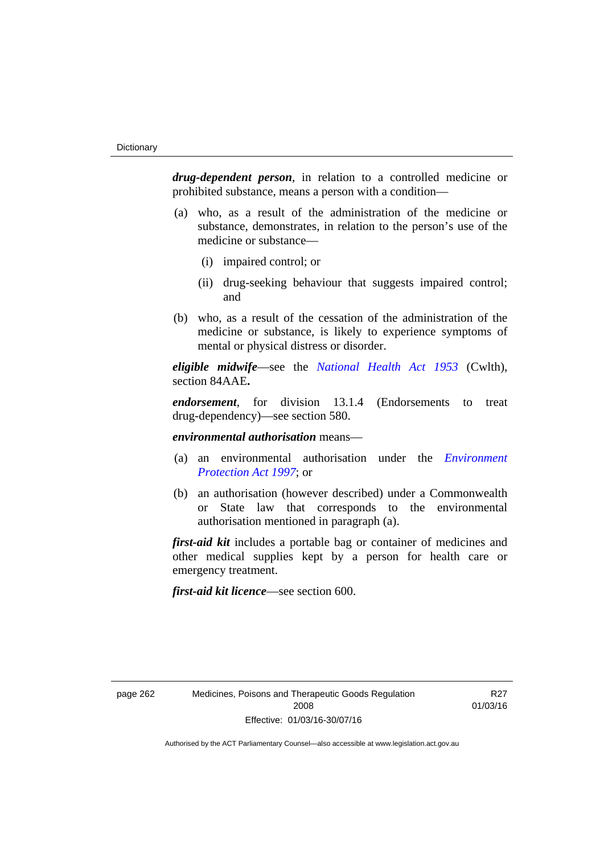*drug-dependent person*, in relation to a controlled medicine or prohibited substance, means a person with a condition—

- (a) who, as a result of the administration of the medicine or substance, demonstrates, in relation to the person's use of the medicine or substance—
	- (i) impaired control; or
	- (ii) drug-seeking behaviour that suggests impaired control; and
- (b) who, as a result of the cessation of the administration of the medicine or substance, is likely to experience symptoms of mental or physical distress or disorder.

*eligible midwife*—see the *[National Health Act 1953](http://www.comlaw.gov.au/Series/C1953A00095)* (Cwlth), section 84AAE**.**

*endorsement*, for division 13.1.4 (Endorsements to treat drug-dependency)—see section 580.

*environmental authorisation* means—

- (a) an environmental authorisation under the *[Environment](http://www.legislation.act.gov.au/a/1997-92)  [Protection Act 1997](http://www.legislation.act.gov.au/a/1997-92)*; or
- (b) an authorisation (however described) under a Commonwealth or State law that corresponds to the environmental authorisation mentioned in paragraph (a).

*first-aid kit* includes a portable bag or container of medicines and other medical supplies kept by a person for health care or emergency treatment.

*first-aid kit licence*—see section 600.

R27 01/03/16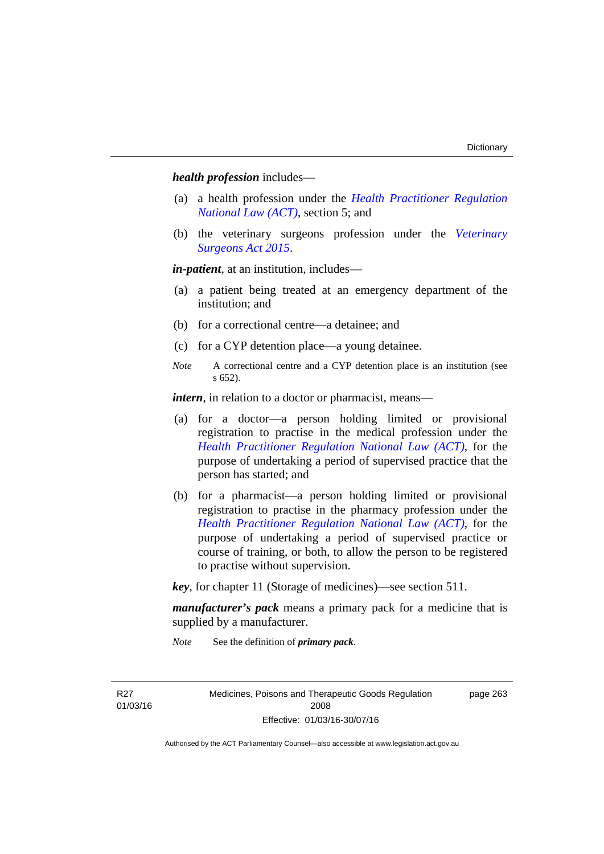*health profession* includes—

- (a) a health profession under the *[Health Practitioner Regulation](http://www.legislation.act.gov.au/a/db_39269/default.asp)  [National Law \(ACT\)](http://www.legislation.act.gov.au/a/db_39269/default.asp)*, section 5; and
- (b) the veterinary surgeons profession under the *[Veterinary](http://www.legislation.act.gov.au/a/2015-29/default.asp)  [Surgeons Act 2015](http://www.legislation.act.gov.au/a/2015-29/default.asp)*.

*in-patient*, at an institution, includes—

- (a) a patient being treated at an emergency department of the institution; and
- (b) for a correctional centre—a detainee; and
- (c) for a CYP detention place—a young detainee.
- *Note* A correctional centre and a CYP detention place is an institution (see s 652).

*intern*, in relation to a doctor or pharmacist, means—

- (a) for a doctor—a person holding limited or provisional registration to practise in the medical profession under the *[Health Practitioner Regulation National Law \(ACT\)](http://www.legislation.act.gov.au/a/db_39269/default.asp)*, for the purpose of undertaking a period of supervised practice that the person has started; and
- (b) for a pharmacist—a person holding limited or provisional registration to practise in the pharmacy profession under the *[Health Practitioner Regulation National Law \(ACT\)](http://www.legislation.act.gov.au/a/db_39269/default.asp)*, for the purpose of undertaking a period of supervised practice or course of training, or both, to allow the person to be registered to practise without supervision.

*key*, for chapter 11 (Storage of medicines)—see section 511.

*manufacturer's pack* means a primary pack for a medicine that is supplied by a manufacturer.

*Note* See the definition of *primary pack*.

R27 01/03/16 Medicines, Poisons and Therapeutic Goods Regulation 2008 Effective: 01/03/16-30/07/16

page 263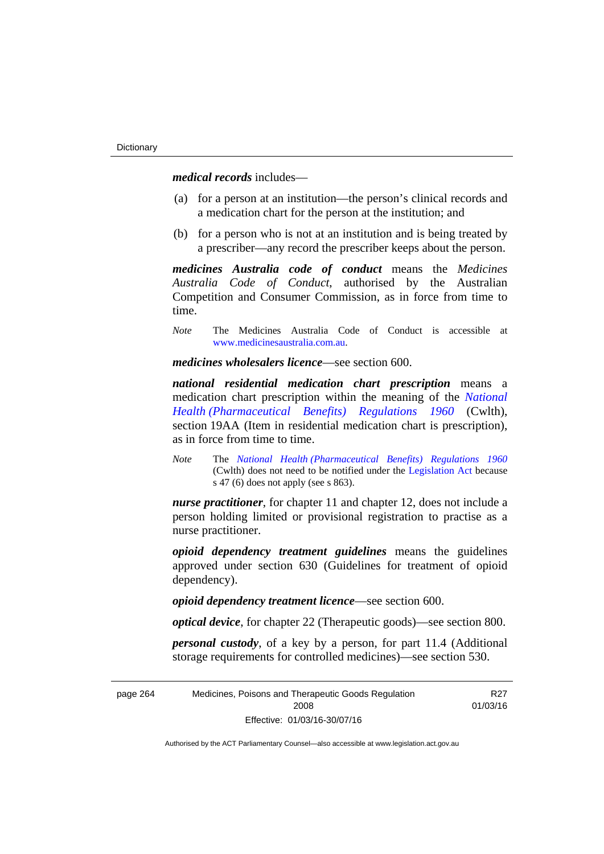*medical records* includes—

- (a) for a person at an institution—the person's clinical records and a medication chart for the person at the institution; and
- (b) for a person who is not at an institution and is being treated by a prescriber—any record the prescriber keeps about the person.

*medicines Australia code of conduct* means the *Medicines Australia Code of Conduct*, authorised by the Australian Competition and Consumer Commission, as in force from time to time.

*Note* The Medicines Australia Code of Conduct is accessible at [www.medicinesaustralia.com.au](http://www.medicinesaustralia.com.au/).

*medicines wholesalers licence*—see section 600.

*national residential medication chart prescription* means a medication chart prescription within the meaning of the *[National](http://www.comlaw.gov.au/Series/F1996B02844)  [Health \(Pharmaceutical Benefits\) Regulations 1960](http://www.comlaw.gov.au/Series/F1996B02844)* (Cwlth), section 19AA (Item in residential medication chart is prescription), as in force from time to time.

*Note* The *[National Health \(Pharmaceutical Benefits\) Regulations 1960](http://www.comlaw.gov.au/Series/F1996B02844)* (Cwlth) does not need to be notified under the [Legislation Act](http://www.legislation.act.gov.au/a/2001-14) because s 47 (6) does not apply (see s 863).

*nurse practitioner*, for chapter 11 and chapter 12, does not include a person holding limited or provisional registration to practise as a nurse practitioner.

*opioid dependency treatment guidelines* means the guidelines approved under section 630 (Guidelines for treatment of opioid dependency).

*opioid dependency treatment licence*—see section 600.

*optical device*, for chapter 22 (Therapeutic goods)—see section 800.

*personal custody*, of a key by a person, for part 11.4 (Additional storage requirements for controlled medicines)—see section 530.

| page 264 | Medicines, Poisons and Therapeutic Goods Regulation | R27      |
|----------|-----------------------------------------------------|----------|
|          | 2008                                                | 01/03/16 |
|          | Effective: 01/03/16-30/07/16                        |          |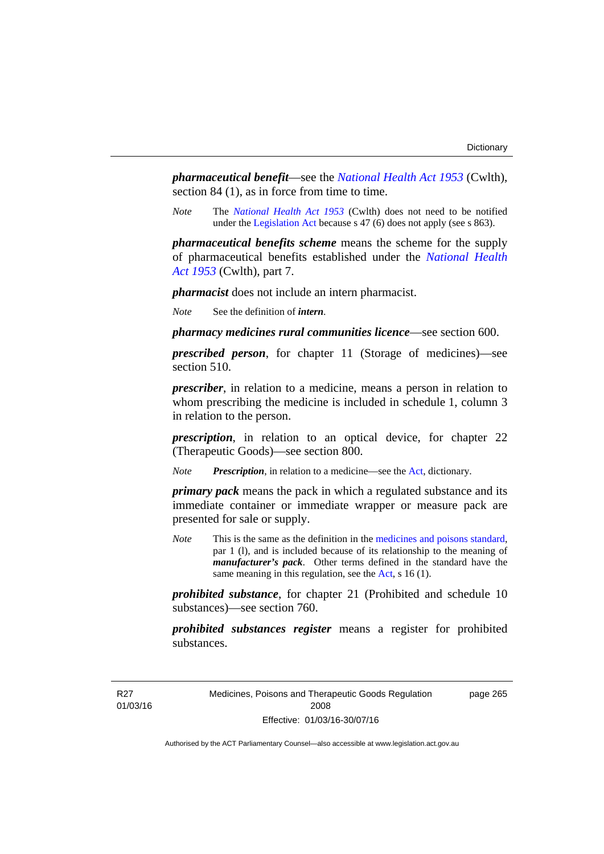*pharmaceutical benefit*—see the *[National Health Act 1953](http://www.comlaw.gov.au/Series/C1953A00095)* (Cwlth), section 84 (1), as in force from time to time.

*Note* The *[National Health Act 1953](http://www.comlaw.gov.au/Series/C1953A00095)* (Cwlth) does not need to be notified under the [Legislation Act](http://www.legislation.act.gov.au/a/2001-14) because s 47 (6) does not apply (see s 863).

*pharmaceutical benefits scheme* means the scheme for the supply of pharmaceutical benefits established under the *[National Health](http://www.comlaw.gov.au/Series/C1953A00095)  [Act 1953](http://www.comlaw.gov.au/Series/C1953A00095)* (Cwlth), part 7.

*pharmacist* does not include an intern pharmacist.

*Note* See the definition of *intern*.

*pharmacy medicines rural communities licence*—see section 600.

*prescribed person*, for chapter 11 (Storage of medicines)—see section 510.

*prescriber*, in relation to a medicine, means a person in relation to whom prescribing the medicine is included in schedule 1, column 3 in relation to the person.

*prescription*, in relation to an optical device, for chapter 22 (Therapeutic Goods)—see section 800.

*Note Prescription*, in relation to a medicine—see the [Act](http://www.legislation.act.gov.au/a/2008-26/default.asp), dictionary.

*primary pack* means the pack in which a regulated substance and its immediate container or immediate wrapper or measure pack are presented for sale or supply.

*Note* This is the same as the definition in the [medicines and poisons standard,](http://www.comlaw.gov.au/Series/F2012L01200) par 1 (l), and is included because of its relationship to the meaning of *manufacturer's pack*. Other terms defined in the standard have the same meaning in this regulation, see the [Act](http://www.legislation.act.gov.au/a/2008-26/default.asp), s 16 (1).

*prohibited substance*, for chapter 21 (Prohibited and schedule 10 substances)—see section 760.

*prohibited substances register* means a register for prohibited substances.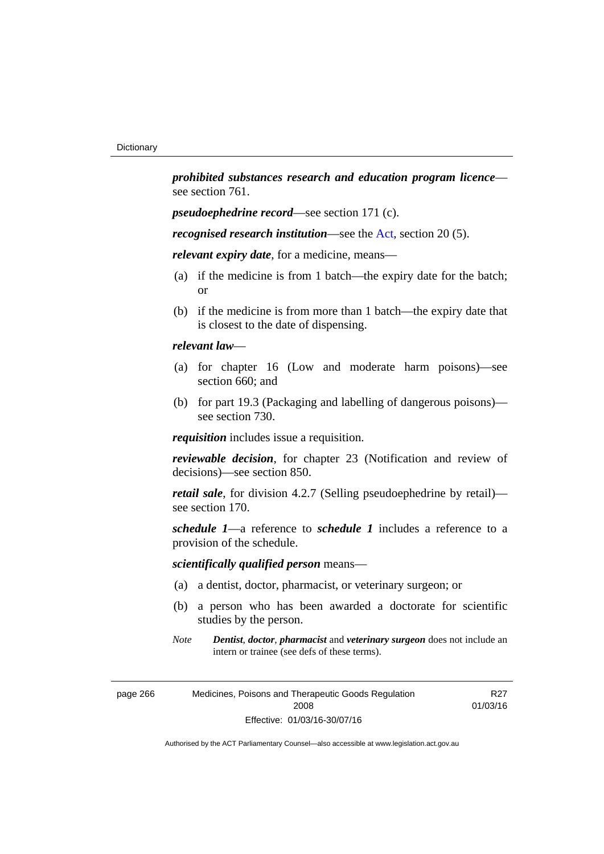*prohibited substances research and education program licence* see section 761.

*pseudoephedrine record*—see section 171 (c).

*recognised research institution*—see the [Act](http://www.legislation.act.gov.au/a/2008-26/default.asp), section 20 (5).

*relevant expiry date*, for a medicine, means—

- (a) if the medicine is from 1 batch—the expiry date for the batch; or
- (b) if the medicine is from more than 1 batch—the expiry date that is closest to the date of dispensing.

## *relevant law*—

- (a) for chapter 16 (Low and moderate harm poisons)—see section 660; and
- (b) for part 19.3 (Packaging and labelling of dangerous poisons) see section 730.

*requisition* includes issue a requisition.

*reviewable decision*, for chapter 23 (Notification and review of decisions)—see section 850.

*retail sale*, for division 4.2.7 (Selling pseudoephedrine by retail) see section 170.

*schedule 1*—a reference to *schedule 1* includes a reference to a provision of the schedule.

## *scientifically qualified person* means—

- (a) a dentist, doctor, pharmacist, or veterinary surgeon; or
- (b) a person who has been awarded a doctorate for scientific studies by the person.
- *Note Dentist*, *doctor*, *pharmacist* and *veterinary surgeon* does not include an intern or trainee (see defs of these terms).

| page 266 | Medicines, Poisons and Therapeutic Goods Regulation |
|----------|-----------------------------------------------------|
|          | 2008                                                |
|          | Effective: 01/03/16-30/07/16                        |

R27 01/03/16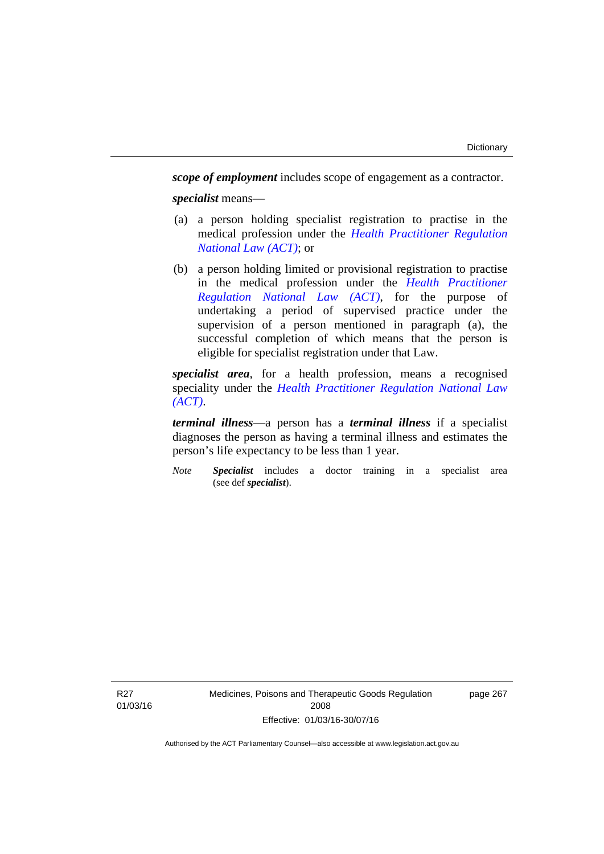*scope of employment* includes scope of engagement as a contractor. *specialist* means—

- (a) a person holding specialist registration to practise in the medical profession under the *[Health Practitioner Regulation](http://www.legislation.act.gov.au/a/db_39269/default.asp)  [National Law \(ACT\)](http://www.legislation.act.gov.au/a/db_39269/default.asp)*; or
- (b) a person holding limited or provisional registration to practise in the medical profession under the *[Health Practitioner](http://www.legislation.act.gov.au/a/db_39269/default.asp)  [Regulation National Law \(ACT\)](http://www.legislation.act.gov.au/a/db_39269/default.asp)*, for the purpose of undertaking a period of supervised practice under the supervision of a person mentioned in paragraph (a), the successful completion of which means that the person is eligible for specialist registration under that Law.

*specialist area*, for a health profession, means a recognised speciality under the *[Health Practitioner Regulation National Law](http://www.legislation.act.gov.au/a/db_39269/default.asp)  [\(ACT\)](http://www.legislation.act.gov.au/a/db_39269/default.asp)*.

*terminal illness*—a person has a *terminal illness* if a specialist diagnoses the person as having a terminal illness and estimates the person's life expectancy to be less than 1 year.

*Note Specialist* includes a doctor training in a specialist area (see def *specialist*).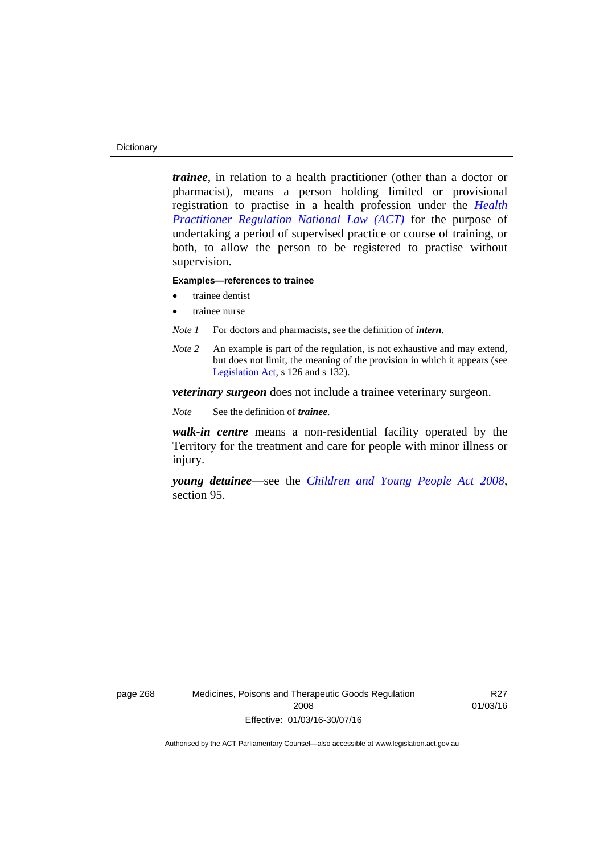#### **Dictionary**

*trainee*, in relation to a health practitioner (other than a doctor or pharmacist), means a person holding limited or provisional registration to practise in a health profession under the *[Health](http://www.legislation.act.gov.au/a/db_39269/default.asp)  [Practitioner Regulation National Law \(ACT\)](http://www.legislation.act.gov.au/a/db_39269/default.asp)* for the purpose of undertaking a period of supervised practice or course of training, or both, to allow the person to be registered to practise without supervision.

#### **Examples—references to trainee**

- trainee dentist
- trainee nurse
- *Note 1* For doctors and pharmacists, see the definition of *intern*.
- *Note 2* An example is part of the regulation, is not exhaustive and may extend, but does not limit, the meaning of the provision in which it appears (see [Legislation Act,](http://www.legislation.act.gov.au/a/2001-14) s 126 and s 132).

*veterinary surgeon* does not include a trainee veterinary surgeon.

*Note* See the definition of *trainee*.

*walk-in centre* means a non-residential facility operated by the Territory for the treatment and care for people with minor illness or injury.

*young detainee*—see the *[Children and Young People Act 2008](http://www.legislation.act.gov.au/a/2008-19)*, section 95.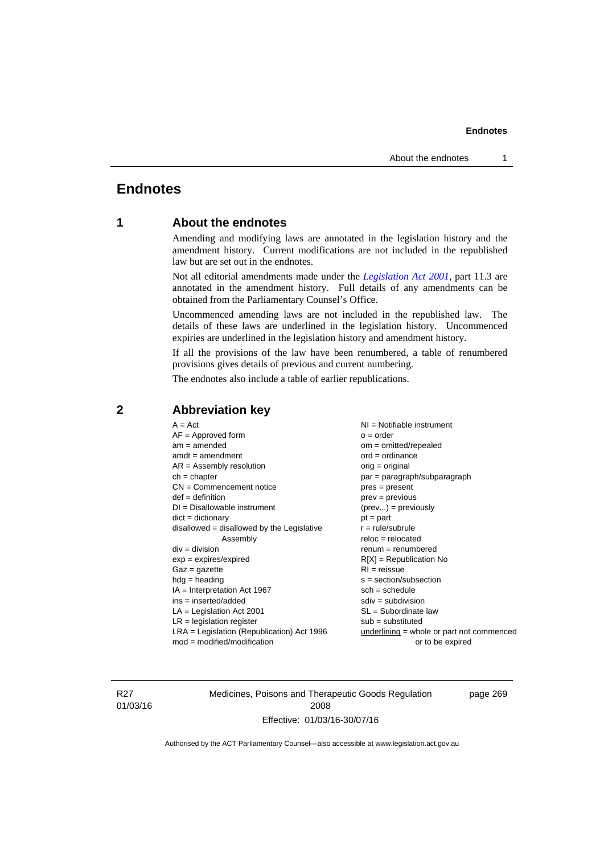# **Endnotes**

# **1 About the endnotes**

Amending and modifying laws are annotated in the legislation history and the amendment history. Current modifications are not included in the republished law but are set out in the endnotes.

Not all editorial amendments made under the *[Legislation Act 2001](http://www.legislation.act.gov.au/a/2001-14)*, part 11.3 are annotated in the amendment history. Full details of any amendments can be obtained from the Parliamentary Counsel's Office.

Uncommenced amending laws are not included in the republished law. The details of these laws are underlined in the legislation history. Uncommenced expiries are underlined in the legislation history and amendment history.

If all the provisions of the law have been renumbered, a table of renumbered provisions gives details of previous and current numbering.

The endnotes also include a table of earlier republications.

| $A = Act$<br>$AF =$ Approved form<br>$am = amended$<br>$amdt = amendment$<br>$AR = Assembly resolution$<br>$ch = chapter$<br>$CN =$ Commencement notice<br>$def = definition$<br>$DI = Disallowable instrument$<br>$dict = dictionary$<br>disallowed = disallowed by the Legislative<br>Assembly<br>$div = division$<br>$exp = expires/expired$<br>$Gaz = gazette$<br>$hdg = heading$<br>$IA = Interpretation Act 1967$<br>$ins = inserted/added$<br>$LA =$ Legislation Act 2001<br>$LR =$ legislation register | NI = Notifiable instrument<br>$o = order$<br>$om = omitted/repealed$<br>$ord = ordinance$<br>$orig = original$<br>par = paragraph/subparagraph<br>$pres = present$<br>$prev = previous$<br>$(\text{prev}) = \text{previously}$<br>$pt = part$<br>$r = rule/subrule$<br>$reloc = relocated$<br>$remum = renumbered$<br>$R[X]$ = Republication No<br>$RI = reissue$<br>$s = section/subsection$<br>$sch = schedule$<br>$sdiv = subdivision$<br>$SL = Subordinate$ law<br>$sub =$ substituted |
|-----------------------------------------------------------------------------------------------------------------------------------------------------------------------------------------------------------------------------------------------------------------------------------------------------------------------------------------------------------------------------------------------------------------------------------------------------------------------------------------------------------------|--------------------------------------------------------------------------------------------------------------------------------------------------------------------------------------------------------------------------------------------------------------------------------------------------------------------------------------------------------------------------------------------------------------------------------------------------------------------------------------------|
|                                                                                                                                                                                                                                                                                                                                                                                                                                                                                                                 |                                                                                                                                                                                                                                                                                                                                                                                                                                                                                            |
| $LRA =$ Legislation (Republication) Act 1996<br>$mod = modified/modification$                                                                                                                                                                                                                                                                                                                                                                                                                                   | $underlining = whole or part not commenced$<br>or to be expired                                                                                                                                                                                                                                                                                                                                                                                                                            |
|                                                                                                                                                                                                                                                                                                                                                                                                                                                                                                                 |                                                                                                                                                                                                                                                                                                                                                                                                                                                                                            |

## **2 Abbreviation key**

R27 01/03/16 Medicines, Poisons and Therapeutic Goods Regulation 2008 Effective: 01/03/16-30/07/16

page 269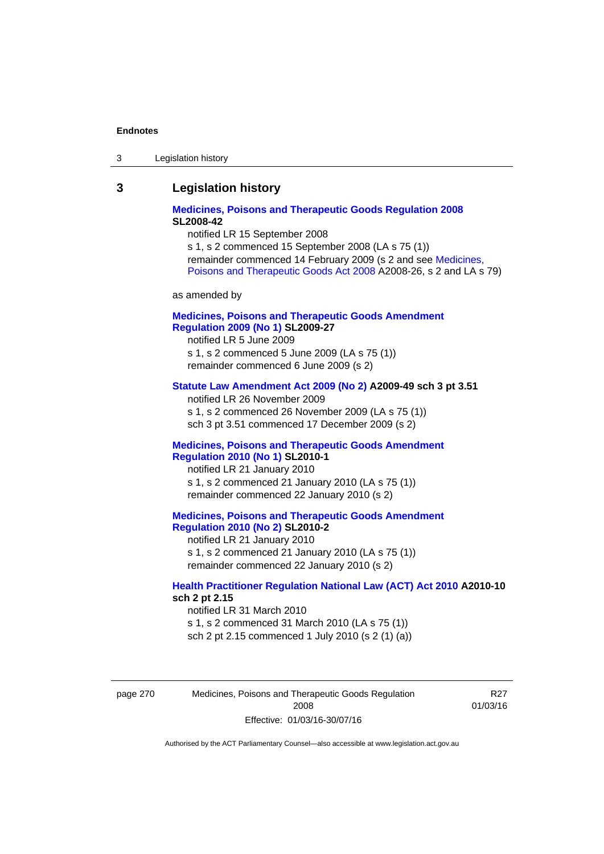| Legislation history<br>-3 |
|---------------------------|
|---------------------------|

## **3 Legislation history**

## **[Medicines, Poisons and Therapeutic Goods Regulation 2008](http://www.legislation.act.gov.au/sl/2008-42) SL2008-42**

notified LR 15 September 2008

s 1, s 2 commenced 15 September 2008 (LA s 75 (1)) remainder commenced 14 February 2009 (s 2 and see [Medicines,](http://www.legislation.act.gov.au/a/2008-26)  [Poisons and Therapeutic Goods Act 2008](http://www.legislation.act.gov.au/a/2008-26) A2008-26, s 2 and LA s 79)

as amended by

## **[Medicines, Poisons and Therapeutic Goods Amendment](http://www.legislation.act.gov.au/sl/2009-27)  [Regulation 2009 \(No 1\)](http://www.legislation.act.gov.au/sl/2009-27) SL2009-27**

notified LR 5 June 2009 s 1, s 2 commenced 5 June 2009 (LA s 75 (1)) remainder commenced 6 June 2009 (s 2)

#### **[Statute Law Amendment Act 2009 \(No 2\)](http://www.legislation.act.gov.au/a/2009-49) A2009-49 sch 3 pt 3.51**

notified LR 26 November 2009 s 1, s 2 commenced 26 November 2009 (LA s 75 (1)) sch 3 pt 3.51 commenced 17 December 2009 (s 2)

#### **[Medicines, Poisons and Therapeutic Goods Amendment](http://www.legislation.act.gov.au/sl/2010-1)  [Regulation 2010 \(No 1\)](http://www.legislation.act.gov.au/sl/2010-1) SL2010-1**

notified LR 21 January 2010 s 1, s 2 commenced 21 January 2010 (LA s 75 (1)) remainder commenced 22 January 2010 (s 2)

### **[Medicines, Poisons and Therapeutic Goods Amendment](http://www.legislation.act.gov.au/sl/2010-2)  [Regulation 2010 \(No 2\)](http://www.legislation.act.gov.au/sl/2010-2) SL2010-2**

notified LR 21 January 2010 s 1, s 2 commenced 21 January 2010 (LA s 75 (1)) remainder commenced 22 January 2010 (s 2)

## **[Health Practitioner Regulation National Law \(ACT\) Act 2010](http://www.legislation.act.gov.au/a/2010-10) A2010-10 sch 2 pt 2.15**

notified LR 31 March 2010 s 1, s 2 commenced 31 March 2010 (LA s 75 (1)) sch 2 pt 2.15 commenced 1 July 2010 (s 2 (1) (a))

page 270 Medicines, Poisons and Therapeutic Goods Regulation 2008 Effective: 01/03/16-30/07/16

R27 01/03/16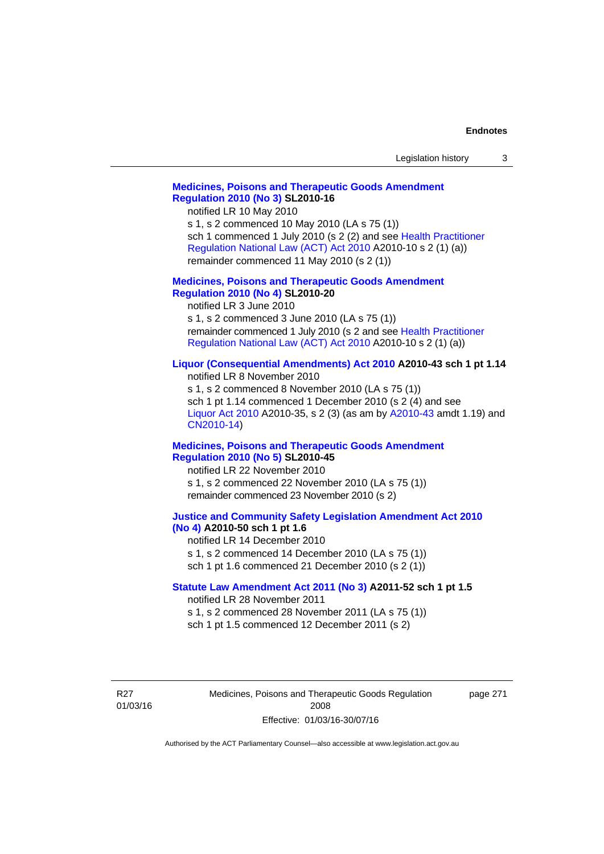|  | Legislation history |  |
|--|---------------------|--|
|--|---------------------|--|

## **[Medicines, Poisons and Therapeutic Goods Amendment](http://www.legislation.act.gov.au/sl/2010-16)  [Regulation 2010 \(No 3\)](http://www.legislation.act.gov.au/sl/2010-16) SL2010-16**

notified LR 10 May 2010

s 1, s 2 commenced 10 May 2010 (LA s 75 (1)) sch 1 commenced 1 July 2010 (s 2 (2) and see [Health Practitioner](http://www.legislation.act.gov.au/a/2010-10)  [Regulation National Law \(ACT\) Act 2010](http://www.legislation.act.gov.au/a/2010-10) A2010-10 s 2 (1) (a)) remainder commenced 11 May 2010 (s 2 (1))

#### **[Medicines, Poisons and Therapeutic Goods Amendment](http://www.legislation.act.gov.au/sl/2010-20)  [Regulation 2010 \(No 4\)](http://www.legislation.act.gov.au/sl/2010-20) SL2010-20**

notified LR 3 June 2010 s 1, s 2 commenced 3 June 2010 (LA s 75 (1)) remainder commenced 1 July 2010 (s 2 and see [Health Practitioner](http://www.legislation.act.gov.au/a/2010-10)  [Regulation National Law \(ACT\) Act 2010](http://www.legislation.act.gov.au/a/2010-10) A2010-10 s 2 (1) (a))

### **[Liquor \(Consequential Amendments\) Act 2010](http://www.legislation.act.gov.au/a/2010-43) A2010-43 sch 1 pt 1.14**

notified LR 8 November 2010 s 1, s 2 commenced 8 November 2010 (LA s 75 (1)) sch 1 pt 1.14 commenced 1 December 2010 (s 2 (4) and see [Liquor Act 2010](http://www.legislation.act.gov.au/a/2010-35) A2010-35, s 2 (3) (as am by [A2010-43](http://www.legislation.act.gov.au/a/2010-43) amdt 1.19) and [CN2010-14](http://www.legislation.act.gov.au/cn/2010-14/default.asp))

#### **[Medicines, Poisons and Therapeutic Goods Amendment](http://www.legislation.act.gov.au/sl/2010-45)  [Regulation 2010 \(No 5\)](http://www.legislation.act.gov.au/sl/2010-45) SL2010-45**

notified LR 22 November 2010 s 1, s 2 commenced 22 November 2010 (LA s 75 (1)) remainder commenced 23 November 2010 (s 2)

#### **[Justice and Community Safety Legislation Amendment Act 2010](http://www.legislation.act.gov.au/a/2010-50)  [\(No 4\)](http://www.legislation.act.gov.au/a/2010-50) A2010-50 sch 1 pt 1.6**

notified LR 14 December 2010 s 1, s 2 commenced 14 December 2010 (LA s 75 (1)) sch 1 pt 1.6 commenced 21 December 2010 (s 2 (1))

### **[Statute Law Amendment Act 2011 \(No 3\)](http://www.legislation.act.gov.au/a/2011-52) A2011-52 sch 1 pt 1.5**  notified LR 28 November 2011

s 1, s 2 commenced 28 November 2011 (LA s 75 (1))

sch 1 pt 1.5 commenced 12 December 2011 (s 2)

R27 01/03/16 Medicines, Poisons and Therapeutic Goods Regulation 2008 Effective: 01/03/16-30/07/16

page 271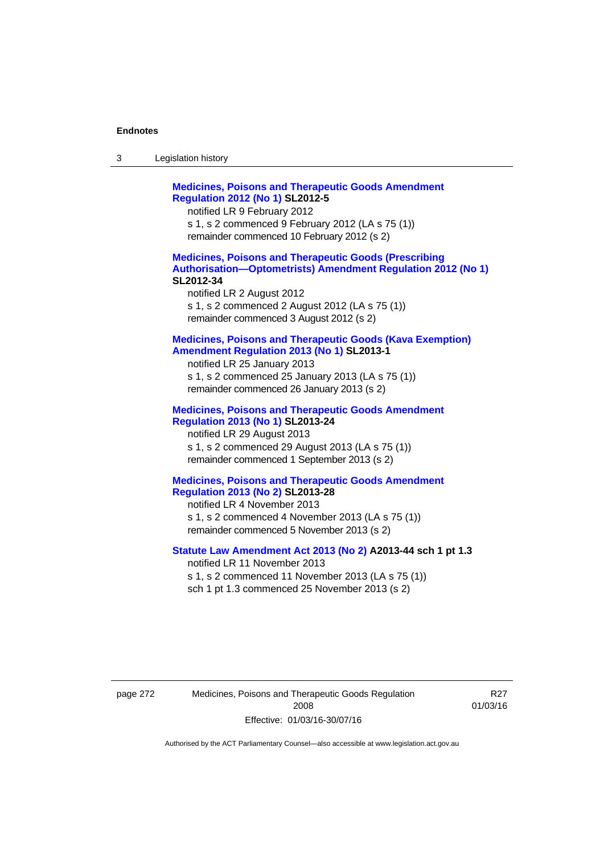| -3 | Legislation history |  |
|----|---------------------|--|
|----|---------------------|--|

**[Medicines, Poisons and Therapeutic Goods Amendment](http://www.legislation.act.gov.au/sl/2012-5)  [Regulation 2012 \(No 1\)](http://www.legislation.act.gov.au/sl/2012-5) SL2012-5**  notified LR 9 February 2012 s 1, s 2 commenced 9 February 2012 (LA s 75 (1)) remainder commenced 10 February 2012 (s 2) **[Medicines, Poisons and Therapeutic Goods \(Prescribing](http://www.legislation.act.gov.au/sl/2012-34)  [Authorisation—Optometrists\) Amendment Regulation 2012 \(No 1\)](http://www.legislation.act.gov.au/sl/2012-34) SL2012-34**  notified LR 2 August 2012 s 1, s 2 commenced 2 August 2012 (LA s 75 (1)) remainder commenced 3 August 2012 (s 2) **[Medicines, Poisons and Therapeutic Goods \(Kava Exemption\)](http://www.legislation.act.gov.au/sl/2013-1/default.asp)  [Amendment Regulation 2013 \(No 1\)](http://www.legislation.act.gov.au/sl/2013-1/default.asp) SL2013-1**  notified LR 25 January 2013 s 1, s 2 commenced 25 January 2013 (LA s 75 (1)) remainder commenced 26 January 2013 (s 2) **[Medicines, Poisons and Therapeutic Goods Amendment](http://www.legislation.act.gov.au/sl/2013-24/default.asp)  [Regulation 2013 \(No 1\)](http://www.legislation.act.gov.au/sl/2013-24/default.asp) SL2013-24**  notified LR 29 August 2013 s 1, s 2 commenced 29 August 2013 (LA s 75 (1)) remainder commenced 1 September 2013 (s 2) **[Medicines, Poisons and Therapeutic Goods Amendment](http://www.legislation.act.gov.au/sl/2013-28)  [Regulation 2013 \(No 2\)](http://www.legislation.act.gov.au/sl/2013-28) SL2013-28**  notified LR 4 November 2013 s 1, s 2 commenced 4 November 2013 (LA s 75 (1)) remainder commenced 5 November 2013 (s 2) **[Statute Law Amendment Act 2013 \(No 2\)](http://www.legislation.act.gov.au/a/2013-44) A2013-44 sch 1 pt 1.3**  notified LR 11 November 2013 s 1, s 2 commenced 11 November 2013 (LA s 75 (1)) sch 1 pt 1.3 commenced 25 November 2013 (s 2)

page 272 Medicines, Poisons and Therapeutic Goods Regulation 2008 Effective: 01/03/16-30/07/16

R27 01/03/16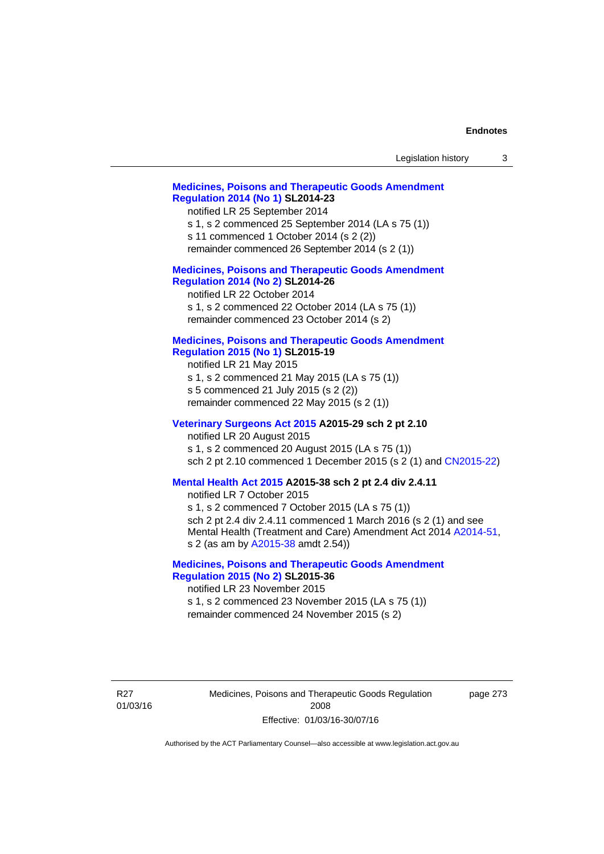| Legislation history<br>3                                                                                                                                                                                                                                                                                             |
|----------------------------------------------------------------------------------------------------------------------------------------------------------------------------------------------------------------------------------------------------------------------------------------------------------------------|
| <b>Medicines, Poisons and Therapeutic Goods Amendment</b><br><b>Regulation 2014 (No 1) SL2014-23</b><br>notified LR 25 September 2014<br>s 1, s 2 commenced 25 September 2014 (LA s 75 (1))<br>s 11 commenced 1 October 2014 (s 2 (2))<br>remainder commenced 26 September 2014 (s 2 (1))                            |
| <b>Medicines, Poisons and Therapeutic Goods Amendment</b><br><b>Regulation 2014 (No 2) SL2014-26</b><br>notified LR 22 October 2014<br>s 1, s 2 commenced 22 October 2014 (LA s 75 (1))<br>remainder commenced 23 October 2014 (s 2)                                                                                 |
| <b>Medicines, Poisons and Therapeutic Goods Amendment</b><br><b>Regulation 2015 (No 1) SL2015-19</b><br>notified LR 21 May 2015<br>s 1, s 2 commenced 21 May 2015 (LA s 75 (1))<br>s 5 commenced 21 July 2015 (s 2 (2))<br>remainder commenced 22 May 2015 (s 2 (1))                                                 |
| Veterinary Surgeons Act 2015 A2015-29 sch 2 pt 2.10<br>notified LR 20 August 2015<br>s 1, s 2 commenced 20 August 2015 (LA s 75 (1))<br>sch 2 pt 2.10 commenced 1 December 2015 (s 2 (1) and CN2015-22)                                                                                                              |
| Mental Health Act 2015 A2015-38 sch 2 pt 2.4 div 2.4.11<br>notified LR 7 October 2015<br>s 1, s 2 commenced 7 October 2015 (LA s 75 (1))<br>sch 2 pt 2.4 div 2.4.11 commenced 1 March 2016 (s 2 (1) and see<br>Mental Health (Treatment and Care) Amendment Act 2014 A2014-51,<br>s 2 (as am by A2015-38 amdt 2.54)) |
| <b>Medicines, Poisons and Therapeutic Goods Amendment</b><br><b>Regulation 2015 (No 2) SL2015-36</b><br>notified LR 23 November 2015<br>s 1, s 2 commenced 23 November 2015 (LA s 75 (1))<br>remainder commenced 24 November 2015 (s 2)                                                                              |
| Medicines, Poisons and Therapeutic Goods Regulation<br>page 273<br>2008<br>Effective: 01/03/16-30/07/16                                                                                                                                                                                                              |

Authorised by the ACT Parliamentary Counsel—also accessible at www.legislation.act.gov.au

R27 01/03/16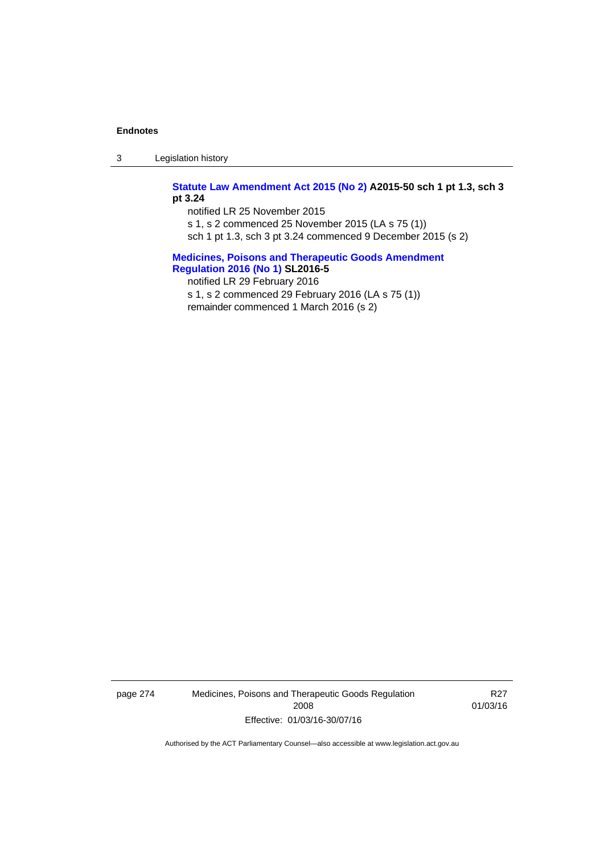3 Legislation history

**[Statute Law Amendment Act 2015 \(No 2\)](http://www.legislation.act.gov.au/a/2015-50) A2015-50 sch 1 pt 1.3, sch 3 pt 3.24** 

notified LR 25 November 2015 s 1, s 2 commenced 25 November 2015 (LA s 75 (1)) sch 1 pt 1.3, sch 3 pt 3.24 commenced 9 December 2015 (s 2)

**[Medicines, Poisons and Therapeutic Goods Amendment](http://www.legislation.act.gov.au/sl/2016-5)  [Regulation 2016 \(No 1\)](http://www.legislation.act.gov.au/sl/2016-5) SL2016-5**  notified LR 29 February 2016

s 1, s 2 commenced 29 February 2016 (LA s 75 (1)) remainder commenced 1 March 2016 (s 2)

page 274 Medicines, Poisons and Therapeutic Goods Regulation 2008 Effective: 01/03/16-30/07/16

R27 01/03/16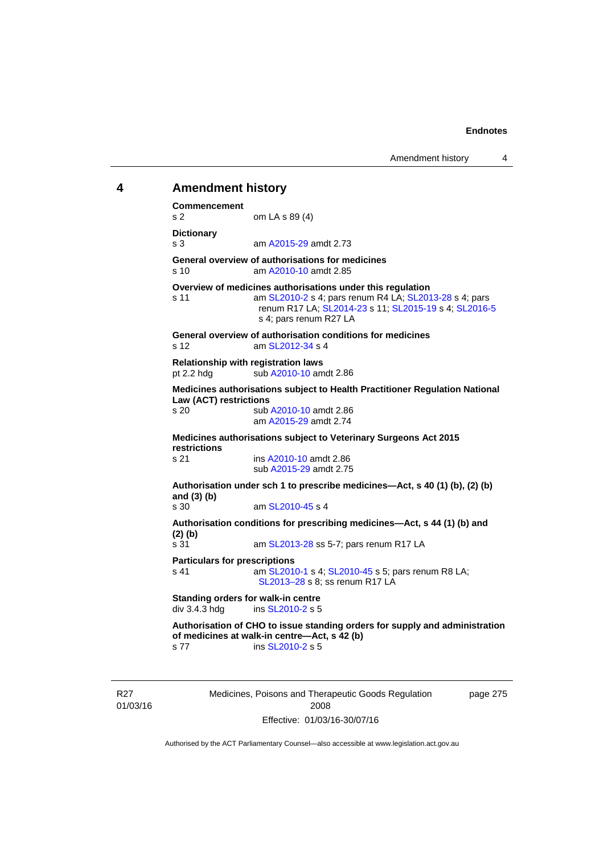# **4 Amendment history Commencement**  s 2 om LA s 89 (4) **Dictionary**  s 3 am [A2015-29](http://www.legislation.act.gov.au/a/2015-29) amdt 2.73 **General overview of authorisations for medicines**  s 10 am [A2010-10](http://www.legislation.act.gov.au/a/2010-10) amdt 2.85 **Overview of medicines authorisations under this regulation**  s 11 am [SL2010-2](http://www.legislation.act.gov.au/sl/2010-2) s 4; pars renum R4 LA; [SL2013-28](http://www.legislation.act.gov.au/sl/2013-28) s 4; pars renum R17 LA; [SL2014-23](http://www.legislation.act.gov.au/sl/2014-23) s 11; [SL2015-19](http://www.legislation.act.gov.au/sl/2015-19) s 4; [SL2016-5](http://www.legislation.act.gov.au/sl/2016-5) s 4; pars renum R27 LA **General overview of authorisation conditions for medicines**  s 12  $\frac{12}{12}$  am SI  $\frac{2012-34}{54}$  s 4 **Relationship with registration laws**  pt 2.2 hdg sub  $A2010-10$  amdt 2.86 **Medicines authorisations subject to Health Practitioner Regulation National Law (ACT) restrictions**  s 20 sub [A2010-10](http://www.legislation.act.gov.au/a/2010-10) amdt 2.86 am [A2015-29](http://www.legislation.act.gov.au/a/2015-29) amdt 2.74 **Medicines authorisations subject to Veterinary Surgeons Act 2015 restrictions**  s 21 ins [A2010-10](http://www.legislation.act.gov.au/a/2010-10) amdt 2.86 sub [A2015-29](http://www.legislation.act.gov.au/a/2015-29) amdt 2.75 **Authorisation under sch 1 to prescribe medicines—Act, s 40 (1) (b), (2) (b) and (3) (b)**  am [SL2010-45](http://www.legislation.act.gov.au/sl/2010-45) s 4 **Authorisation conditions for prescribing medicines—Act, s 44 (1) (b) and (2) (b)**  s 31 **am [SL2013-28](http://www.legislation.act.gov.au/sl/2013-28) ss 5-7; pars renum R17 LA Particulars for prescriptions**  s 41 **am [SL2010-1](http://www.legislation.act.gov.au/sl/2010-1) s 4; [SL2010-45](http://www.legislation.act.gov.au/sl/2010-45) s 5; pars renum R8 LA;** [SL2013–28](http://www.legislation.act.gov.au/sl/2013-28) s 8; ss renum R17 LA **Standing orders for walk-in centre**  div 3.4.3 hdg ins [SL2010-2](http://www.legislation.act.gov.au/sl/2010-2) s 5 **Authorisation of CHO to issue standing orders for supply and administration of medicines at walk-in centre—Act, s 42 (b)**  s 77 ins [SL2010-2](http://www.legislation.act.gov.au/sl/2010-2) s 5

R27 01/03/16 Medicines, Poisons and Therapeutic Goods Regulation 2008 Effective: 01/03/16-30/07/16

page 275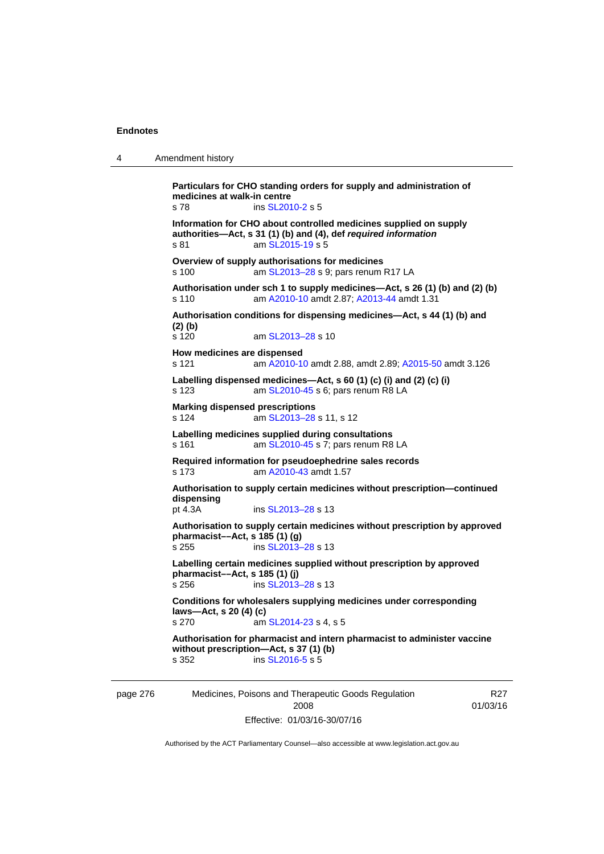| $\boldsymbol{\Lambda}$ | Amendment history |
|------------------------|-------------------|
|------------------------|-------------------|

**Particulars for CHO standing orders for supply and administration of medicines at walk-in centre**  s 78 ins [SL2010-2](http://www.legislation.act.gov.au/sl/2010-2) s 5 **Information for CHO about controlled medicines supplied on supply authorities—Act, s 31 (1) (b) and (4), def** *required information*  s 81 am [SL2015-19](http://www.legislation.act.gov.au/sl/2015-19) s 5 **Overview of supply authorisations for medicines**  s 100 am SL2013-28 s 9; pars renum R17 LA **Authorisation under sch 1 to supply medicines—Act, s 26 (1) (b) and (2) (b)**  s 110 am [A2010-10](http://www.legislation.act.gov.au/a/2010-10) amdt 2.87; [A2013-44](http://www.legislation.act.gov.au/a/2013-44) amdt 1.31 **Authorisation conditions for dispensing medicines—Act, s 44 (1) (b) and (2) (b)**  s 120 am [SL2013–28](http://www.legislation.act.gov.au/sl/2013-28) s 10 **How medicines are dispensed**  s 121 am [A2010-10](http://www.legislation.act.gov.au/a/2010-10) amdt 2.88, amdt 2.89; [A2015-50](http://www.legislation.act.gov.au/a/2015-50) amdt 3.126 **Labelling dispensed medicines—Act, s 60 (1) (c) (i) and (2) (c) (i)**  s 123 am [SL2010-45](http://www.legislation.act.gov.au/sl/2010-45) s 6; pars renum R8 LA **Marking dispensed prescriptions**  s 124 am [SL2013–28](http://www.legislation.act.gov.au/sl/2013-28) s 11, s 12 **Labelling medicines supplied during consultations**  s 161 **am [SL2010-45](http://www.legislation.act.gov.au/sl/2010-45) s 7; pars renum R8 LA Required information for pseudoephedrine sales records**  s 173 am [A2010-43](http://www.legislation.act.gov.au/a/2010-43) amdt 1.57 **Authorisation to supply certain medicines without prescription—continued dispensing**  pt 4.3A ins [SL2013–28](http://www.legislation.act.gov.au/sl/2013-28) s 13 **Authorisation to supply certain medicines without prescription by approved pharmacist––Act, s 185 (1) (g)**  s 255 ins [SL2013–28](http://www.legislation.act.gov.au/sl/2013-28) s 13 **Labelling certain medicines supplied without prescription by approved pharmacist––Act, s 185 (1) (j)**  s 256 ins [SL2013–28](http://www.legislation.act.gov.au/sl/2013-28) s 13 **Conditions for wholesalers supplying medicines under corresponding laws—Act, s 20 (4) (c)**  s 270 am [SL2014-23](http://www.legislation.act.gov.au/sl/2014-23) s 4, s 5 **Authorisation for pharmacist and intern pharmacist to administer vaccine without prescription—Act, s 37 (1) (b)**  s 352 ins [SL2016-5](http://www.legislation.act.gov.au/sl/2016-5) s 5

page 276 Medicines, Poisons and Therapeutic Goods Regulation 2008 Effective: 01/03/16-30/07/16

R27 01/03/16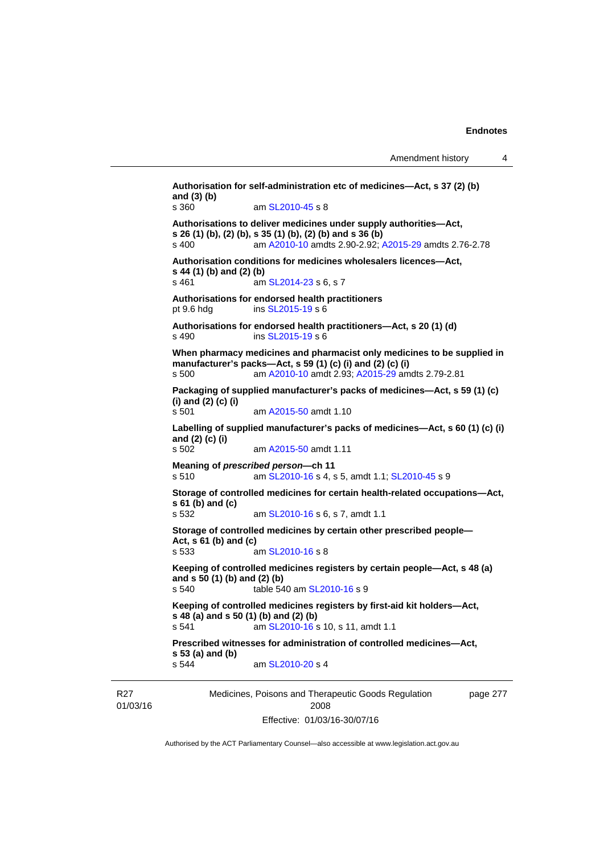```
Medicines, Poisons and Therapeutic Goods Regulation 
                                                                page 277 
Authorisation for self-administration etc of medicines—Act, s 37 (2) (b) 
and (3) (b) 
s 360 am SL2010-45 s 8 
Authorisations to deliver medicines under supply authorities—Act, 
s 26 (1) (b), (2) (b), s 35 (1) (b), (2) (b) and s 36 (b) 
s 400 am A2010-10 amdts 2.90-2.92; A2015-29 amdts 2.76-2.78 
Authorisation conditions for medicines wholesalers licences—Act, 
s 44 (1) (b) and (2) (b)<br>s 461 am
                  SL2014-23 s 6, s 7
Authorisations for endorsed health practitioners 
pt 9.6 hdg ins SL2015-19 s 6 
Authorisations for endorsed health practitioners—Act, s 20 (1) (d) 
s 490 ins SL2015-19 s 6 
When pharmacy medicines and pharmacist only medicines to be supplied in 
manufacturer's packs—Act, s 59 (1) (c) (i) and (2) (c) (i) 
s 500 am A2010-10 amdt 2.93; A2015-29 amdts 2.79-2.81 
Packaging of supplied manufacturer's packs of medicines—Act, s 59 (1) (c) 
(i) and (2) (c) (i) 
s 501 am A2015-50 amdt 1.10
Labelling of supplied manufacturer's packs of medicines—Act, s 60 (1) (c) (i) 
and (2) (c) (i) 
s 502 am A2015-50 amdt 1.11
Meaning of prescribed person—ch 11 
s 510 am SL2010-16 s 4, s 5, amdt 1.1; SL2010-45 s 9 
Storage of controlled medicines for certain health-related occupations—Act, 
s 61 (b) and (c) 
s 532 am SL2010-16 s 6, s 7, amdt 1.1 
Storage of controlled medicines by certain other prescribed people—
Act, s 61 (b) and (c) 
s 533 am SL2010-16 s 8 
Keeping of controlled medicines registers by certain people—Act, s 48 (a) 
and s 50 (1) (b) and (2) (b) 
s 540 table 540 am SL2010-16 s 9 
Keeping of controlled medicines registers by first-aid kit holders—Act, 
s 48 (a) and s 50 (1) (b) and (2) (b) 
s 541 SL2010-16 s 10, s 11, amdt 1.1
Prescribed witnesses for administration of controlled medicines—Act, 
s 53 (a) and (b) 
s 544 am SL2010-20 s 4
```
Authorised by the ACT Parliamentary Counsel—also accessible at www.legislation.act.gov.au

2008 Effective: 01/03/16-30/07/16

R27 01/03/16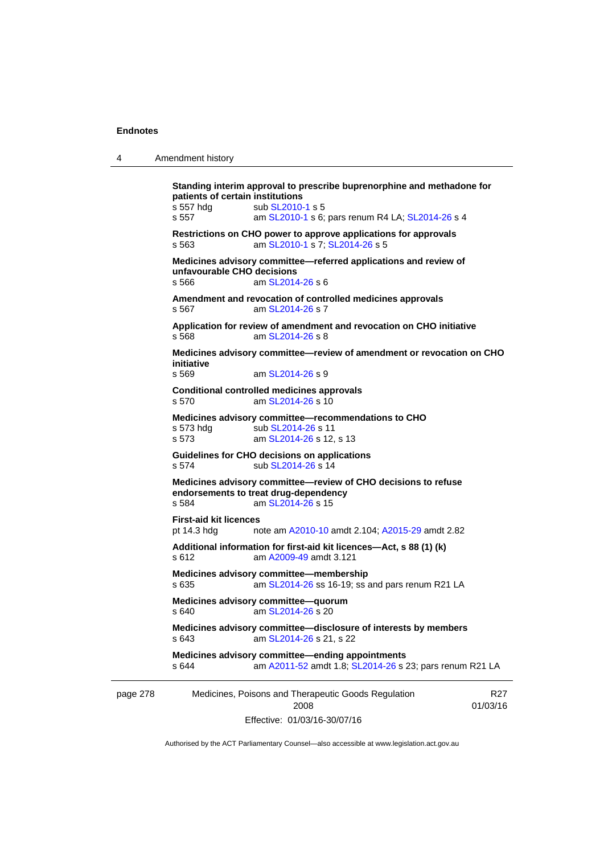| 4        | Amendment history                                                                                                                                                                                        |  |  |  |  |
|----------|----------------------------------------------------------------------------------------------------------------------------------------------------------------------------------------------------------|--|--|--|--|
|          | Standing interim approval to prescribe buprenorphine and methadone for<br>patients of certain institutions<br>s 557 hdg<br>sub SL2010-1 s 5<br>s 557<br>am SL2010-1 s 6; pars renum R4 LA; SL2014-26 s 4 |  |  |  |  |
|          | Restrictions on CHO power to approve applications for approvals<br>am SL2010-1 s 7; SL2014-26 s 5<br>s 563                                                                                               |  |  |  |  |
|          | Medicines advisory committee-referred applications and review of<br>unfavourable CHO decisions<br>s 566<br>am SL2014-26 s 6                                                                              |  |  |  |  |
|          | Amendment and revocation of controlled medicines approvals<br>am SL2014-26 s 7<br>s 567                                                                                                                  |  |  |  |  |
|          | Application for review of amendment and revocation on CHO initiative<br>am SL2014-26 s 8<br>s 568                                                                                                        |  |  |  |  |
|          | Medicines advisory committee-review of amendment or revocation on CHO<br>initiative<br>s 569<br>am SL2014-26 s 9                                                                                         |  |  |  |  |
|          | <b>Conditional controlled medicines approvals</b><br>am SL2014-26 s 10<br>s 570                                                                                                                          |  |  |  |  |
|          | Medicines advisory committee-recommendations to CHO<br>s 573 hdg<br>sub SL2014-26 s 11<br>s 573<br>am SL2014-26 s 12, s 13                                                                               |  |  |  |  |
|          | Guidelines for CHO decisions on applications<br>sub SL2014-26 s 14<br>s 574                                                                                                                              |  |  |  |  |
|          | Medicines advisory committee-review of CHO decisions to refuse<br>endorsements to treat drug-dependency<br>s 584<br>am SL2014-26 s 15                                                                    |  |  |  |  |
|          | <b>First-aid kit licences</b><br>pt 14.3 hdg<br>note am A2010-10 amdt 2.104; A2015-29 amdt 2.82                                                                                                          |  |  |  |  |
|          | Additional information for first-aid kit licences-Act, s 88 (1) (k)<br>s 612<br>am A2009-49 amdt 3.121                                                                                                   |  |  |  |  |
|          | Medicines advisory committee-membership<br>s 635<br>am SL2014-26 ss 16-19; ss and pars renum R21 LA                                                                                                      |  |  |  |  |
|          | Medicines advisory committee-quorum<br>am SL2014-26 s 20<br>s 640                                                                                                                                        |  |  |  |  |
|          | Medicines advisory committee-disclosure of interests by members<br>s 643<br>am SL2014-26 s 21, s 22                                                                                                      |  |  |  |  |
|          | Medicines advisory committee-ending appointments<br>am A2011-52 amdt 1.8; SL2014-26 s 23; pars renum R21 LA<br>s 644                                                                                     |  |  |  |  |
| page 278 | Medicines, Poisons and Therapeutic Goods Regulation<br>R27<br>2008<br>01/03/16<br>Effective: 01/03/16-30/07/16                                                                                           |  |  |  |  |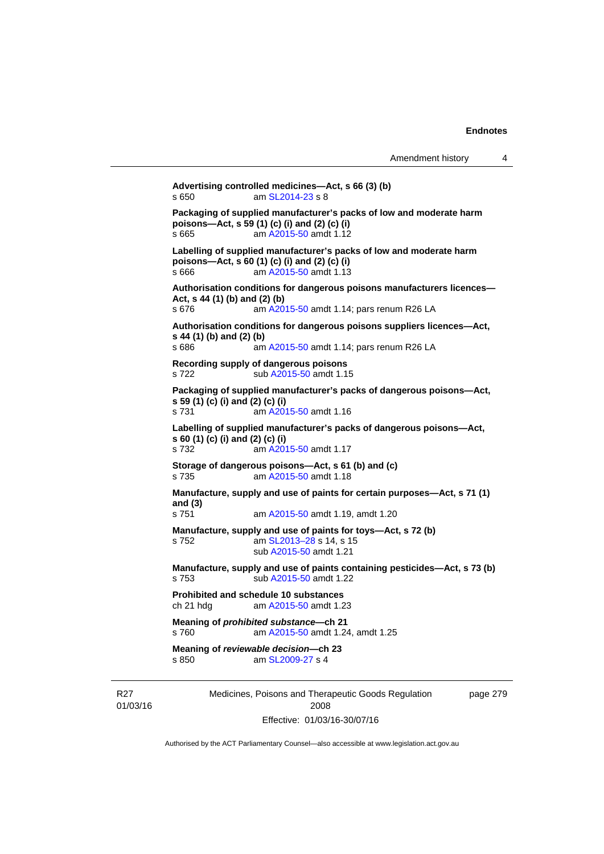```
Medicines, Poisons and Therapeutic Goods Regulation 
                                                             page 279 
Advertising controlled medicines—Act, s 66 (3) (b) 
s 650 am SL2014-23 s 8 
Packaging of supplied manufacturer's packs of low and moderate harm 
poisons—Act, s 59 (1) (c) (i) and (2) (c) (i) 
s 665 am A2015-50 amdt 1.12
Labelling of supplied manufacturer's packs of low and moderate harm 
poisons—Act, s 60 (1) (c) (i) and (2) (c) (i) 
s 666 am A2015-50 amdt 1.13
Authorisation conditions for dangerous poisons manufacturers licences—
Act, s 44 (1) (b) and (2) (b) 
s 676 am A2015-50 amdt 1.14; pars renum R26 LA 
Authorisation conditions for dangerous poisons suppliers licences—Act, 
s 44 (1) (b) and (2) (b) 
s 686 am A2015-50 amdt 1.14; pars renum R26 LA 
Recording supply of dangerous poisons 
A2015-50 amdt 1.15
Packaging of supplied manufacturer's packs of dangerous poisons—Act, 
s 59 (1) (c) (i) and (2) (c) (i) 
s 731 am A2015-50 amdt 1.16
Labelling of supplied manufacturer's packs of dangerous poisons—Act, 
s 60 (1) (c) (i) and (2) (c) (i) 
s 732 am A2015-50 amdt 1.17
Storage of dangerous poisons—Act, s 61 (b) and (c) 
s 735 am A2015-50 amdt 1.18
Manufacture, supply and use of paints for certain purposes—Act, s 71 (1) 
and (3) 
s 751 am A2015-50 amdt 1.19, amdt 1.20 
Manufacture, supply and use of paints for toys—Act, s 72 (b) 
s 752 am SL2013–28 s 14, s 15 
                 sub A2015-50 amdt 1.21 
Manufacture, supply and use of paints containing pesticides—Act, s 73 (b) 
s 753 sub A2015-50 amdt 1.22 
Prohibited and schedule 10 substances 
ch 21 hdg am A2015-50 amdt 1.23
Meaning of prohibited substance—ch 21 
s 760 am A2015-50 amdt 1.24, amdt 1.25 
Meaning of reviewable decision—ch 23 
s 850 am SL2009-27 s 4
```
Authorised by the ACT Parliamentary Counsel—also accessible at www.legislation.act.gov.au

2008 Effective: 01/03/16-30/07/16

R27 01/03/16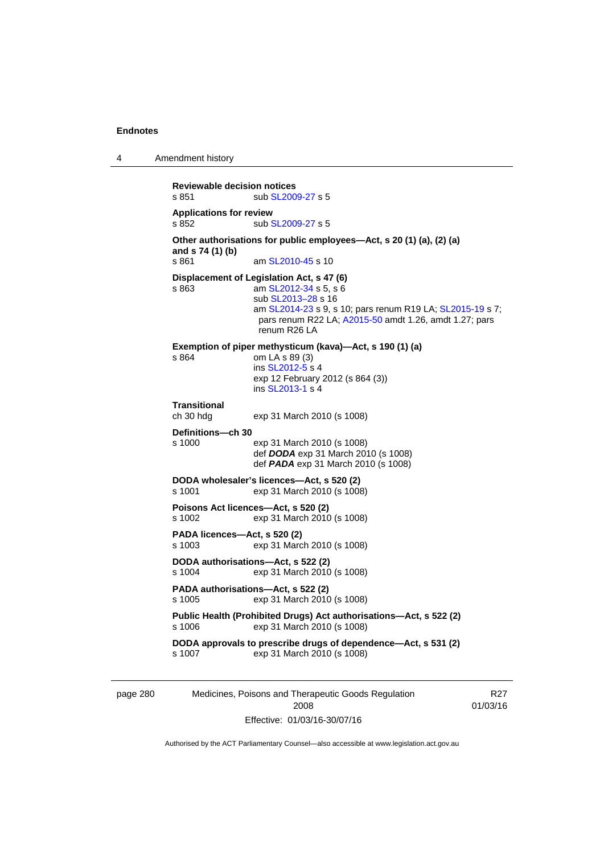4 Amendment history

```
Reviewable decision notices 
SL2009-27 s 5
Applications for review 
SL2009-27 s 5
Other authorisations for public employees—Act, s 20 (1) (a), (2) (a) 
and s 74 (1) (b) 
s 861 SL2010-45 s 10
Displacement of Legislation Act, s 47 (6) 
s 863 am SL2012-34 s 5, s 6
                  sub SL2013–28 s 16 
                  am SL2014-23 s 9, s 10; pars renum R19 LA; SL2015-19 s 7; 
                 pars renum R22 LA; A2015-50 amdt 1.26, amdt 1.27; pars 
                 renum R26 LA 
Exemption of piper methysticum (kava)—Act, s 190 (1) (a) 
s 864 om LA s 89 (3) 
                  ins SL2012-5 s 4
                 exp 12 February 2012 (s 864 (3)) 
                  ins SL2013-1 s 4
Transitional 
                 exp 31 March 2010 (s 1008)
Definitions—ch 30 
s 1000 exp 31 March 2010 (s 1008) 
                  def DODA exp 31 March 2010 (s 1008) 
                  def PADA exp 31 March 2010 (s 1008) 
DODA wholesaler's licences—Act, s 520 (2) 
s 1001 exp 31 March 2010 (s 1008) 
Poisons Act licences—Act, s 520 (2) 
                exp 31 March 2010 (s 1008)
PADA licences—Act, s 520 (2) 
s 1003 exp 31 March 2010 (s 1008) 
DODA authorisations—Act, s 522 (2) 
s 1004 exp 31 March 2010 (s 1008) 
PADA authorisations—Act, s 522 (2) 
s 1005 exp 31 March 2010 (s 1008) 
Public Health (Prohibited Drugs) Act authorisations—Act, s 522 (2) 
s 1006 exp 31 March 2010 (s 1008) 
DODA approvals to prescribe drugs of dependence—Act, s 531 (2) 
s 1007 exp 31 March 2010 (s 1008)
```
page 280 Medicines, Poisons and Therapeutic Goods Regulation 2008 Effective: 01/03/16-30/07/16

R27 01/03/16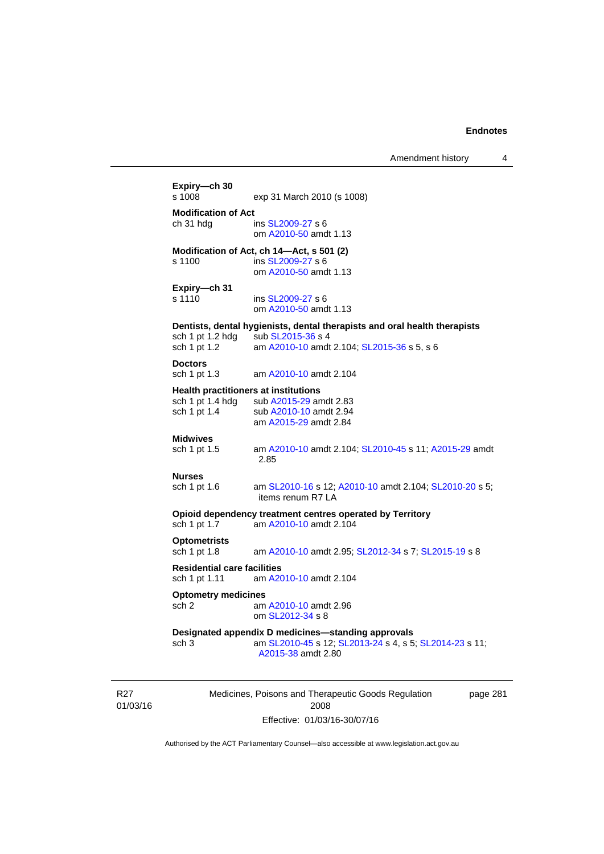Amendment history 4

| <b>Modification of Act</b><br>ch 31 hdg<br>ins SL2009-27 s 6<br>om A2010-50 amdt 1.13<br>Modification of Act, ch 14—Act, s 501 (2)<br>s 1100<br>ins SL2009-27 s 6<br>om A2010-50 amdt 1.13<br>Expiry-ch 31<br>s 1110<br>ins SL2009-27 s 6<br>om A2010-50 amdt 1.13<br>Dentists, dental hygienists, dental therapists and oral health therapists<br>sch 1 pt 1.2 hdg<br>sub SL2015-36 s 4<br>sch 1 pt 1.2<br>am A2010-10 amdt 2.104; SL2015-36 s 5, s 6<br><b>Doctors</b><br>sch 1 pt 1.3<br>am A2010-10 amdt 2.104<br><b>Health practitioners at institutions</b><br>sch 1 pt 1.4 hdg sub A2015-29 amdt 2.83<br>sch 1 pt 1.4<br>sub A2010-10 amdt 2.94<br>am A2015-29 amdt 2.84<br><b>Midwives</b><br>sch 1 pt 1.5<br>am A2010-10 amdt 2.104; SL2010-45 s 11; A2015-29 amdt<br>2.85<br><b>Nurses</b><br>sch 1 pt 1.6<br>items renum R7 LA<br>Opioid dependency treatment centres operated by Territory<br>sch 1 pt 1.7<br>am A2010-10 amdt 2.104<br><b>Optometrists</b><br>sch 1 pt 1.8<br>am A2010-10 amdt 2.95; SL2012-34 s 7; SL2015-19 s 8<br><b>Residential care facilities</b><br>am A2010-10 amdt 2.104<br>sch 1 pt 1.11<br><b>Optometry medicines</b><br>sch 2<br>am A2010-10 amdt 2.96<br>om SL2012-34 s 8<br>Designated appendix D medicines-standing approvals<br>sch <sub>3</sub><br>am SL2010-45 s 12; SL2013-24 s 4, s 5; SL2014-23 s 11; |                                                        |
|---------------------------------------------------------------------------------------------------------------------------------------------------------------------------------------------------------------------------------------------------------------------------------------------------------------------------------------------------------------------------------------------------------------------------------------------------------------------------------------------------------------------------------------------------------------------------------------------------------------------------------------------------------------------------------------------------------------------------------------------------------------------------------------------------------------------------------------------------------------------------------------------------------------------------------------------------------------------------------------------------------------------------------------------------------------------------------------------------------------------------------------------------------------------------------------------------------------------------------------------------------------------------------------------------------------------------------------------------------|--------------------------------------------------------|
|                                                                                                                                                                                                                                                                                                                                                                                                                                                                                                                                                                                                                                                                                                                                                                                                                                                                                                                                                                                                                                                                                                                                                                                                                                                                                                                                                         |                                                        |
|                                                                                                                                                                                                                                                                                                                                                                                                                                                                                                                                                                                                                                                                                                                                                                                                                                                                                                                                                                                                                                                                                                                                                                                                                                                                                                                                                         |                                                        |
|                                                                                                                                                                                                                                                                                                                                                                                                                                                                                                                                                                                                                                                                                                                                                                                                                                                                                                                                                                                                                                                                                                                                                                                                                                                                                                                                                         |                                                        |
|                                                                                                                                                                                                                                                                                                                                                                                                                                                                                                                                                                                                                                                                                                                                                                                                                                                                                                                                                                                                                                                                                                                                                                                                                                                                                                                                                         |                                                        |
|                                                                                                                                                                                                                                                                                                                                                                                                                                                                                                                                                                                                                                                                                                                                                                                                                                                                                                                                                                                                                                                                                                                                                                                                                                                                                                                                                         |                                                        |
|                                                                                                                                                                                                                                                                                                                                                                                                                                                                                                                                                                                                                                                                                                                                                                                                                                                                                                                                                                                                                                                                                                                                                                                                                                                                                                                                                         |                                                        |
|                                                                                                                                                                                                                                                                                                                                                                                                                                                                                                                                                                                                                                                                                                                                                                                                                                                                                                                                                                                                                                                                                                                                                                                                                                                                                                                                                         |                                                        |
|                                                                                                                                                                                                                                                                                                                                                                                                                                                                                                                                                                                                                                                                                                                                                                                                                                                                                                                                                                                                                                                                                                                                                                                                                                                                                                                                                         |                                                        |
|                                                                                                                                                                                                                                                                                                                                                                                                                                                                                                                                                                                                                                                                                                                                                                                                                                                                                                                                                                                                                                                                                                                                                                                                                                                                                                                                                         |                                                        |
|                                                                                                                                                                                                                                                                                                                                                                                                                                                                                                                                                                                                                                                                                                                                                                                                                                                                                                                                                                                                                                                                                                                                                                                                                                                                                                                                                         |                                                        |
|                                                                                                                                                                                                                                                                                                                                                                                                                                                                                                                                                                                                                                                                                                                                                                                                                                                                                                                                                                                                                                                                                                                                                                                                                                                                                                                                                         |                                                        |
|                                                                                                                                                                                                                                                                                                                                                                                                                                                                                                                                                                                                                                                                                                                                                                                                                                                                                                                                                                                                                                                                                                                                                                                                                                                                                                                                                         |                                                        |
|                                                                                                                                                                                                                                                                                                                                                                                                                                                                                                                                                                                                                                                                                                                                                                                                                                                                                                                                                                                                                                                                                                                                                                                                                                                                                                                                                         |                                                        |
|                                                                                                                                                                                                                                                                                                                                                                                                                                                                                                                                                                                                                                                                                                                                                                                                                                                                                                                                                                                                                                                                                                                                                                                                                                                                                                                                                         |                                                        |
|                                                                                                                                                                                                                                                                                                                                                                                                                                                                                                                                                                                                                                                                                                                                                                                                                                                                                                                                                                                                                                                                                                                                                                                                                                                                                                                                                         |                                                        |
|                                                                                                                                                                                                                                                                                                                                                                                                                                                                                                                                                                                                                                                                                                                                                                                                                                                                                                                                                                                                                                                                                                                                                                                                                                                                                                                                                         |                                                        |
|                                                                                                                                                                                                                                                                                                                                                                                                                                                                                                                                                                                                                                                                                                                                                                                                                                                                                                                                                                                                                                                                                                                                                                                                                                                                                                                                                         |                                                        |
|                                                                                                                                                                                                                                                                                                                                                                                                                                                                                                                                                                                                                                                                                                                                                                                                                                                                                                                                                                                                                                                                                                                                                                                                                                                                                                                                                         |                                                        |
|                                                                                                                                                                                                                                                                                                                                                                                                                                                                                                                                                                                                                                                                                                                                                                                                                                                                                                                                                                                                                                                                                                                                                                                                                                                                                                                                                         |                                                        |
|                                                                                                                                                                                                                                                                                                                                                                                                                                                                                                                                                                                                                                                                                                                                                                                                                                                                                                                                                                                                                                                                                                                                                                                                                                                                                                                                                         |                                                        |
|                                                                                                                                                                                                                                                                                                                                                                                                                                                                                                                                                                                                                                                                                                                                                                                                                                                                                                                                                                                                                                                                                                                                                                                                                                                                                                                                                         | am SL2010-16 s 12; A2010-10 amdt 2.104; SL2010-20 s 5; |
|                                                                                                                                                                                                                                                                                                                                                                                                                                                                                                                                                                                                                                                                                                                                                                                                                                                                                                                                                                                                                                                                                                                                                                                                                                                                                                                                                         |                                                        |
|                                                                                                                                                                                                                                                                                                                                                                                                                                                                                                                                                                                                                                                                                                                                                                                                                                                                                                                                                                                                                                                                                                                                                                                                                                                                                                                                                         |                                                        |
|                                                                                                                                                                                                                                                                                                                                                                                                                                                                                                                                                                                                                                                                                                                                                                                                                                                                                                                                                                                                                                                                                                                                                                                                                                                                                                                                                         |                                                        |
|                                                                                                                                                                                                                                                                                                                                                                                                                                                                                                                                                                                                                                                                                                                                                                                                                                                                                                                                                                                                                                                                                                                                                                                                                                                                                                                                                         |                                                        |
|                                                                                                                                                                                                                                                                                                                                                                                                                                                                                                                                                                                                                                                                                                                                                                                                                                                                                                                                                                                                                                                                                                                                                                                                                                                                                                                                                         |                                                        |
|                                                                                                                                                                                                                                                                                                                                                                                                                                                                                                                                                                                                                                                                                                                                                                                                                                                                                                                                                                                                                                                                                                                                                                                                                                                                                                                                                         |                                                        |
|                                                                                                                                                                                                                                                                                                                                                                                                                                                                                                                                                                                                                                                                                                                                                                                                                                                                                                                                                                                                                                                                                                                                                                                                                                                                                                                                                         |                                                        |
|                                                                                                                                                                                                                                                                                                                                                                                                                                                                                                                                                                                                                                                                                                                                                                                                                                                                                                                                                                                                                                                                                                                                                                                                                                                                                                                                                         |                                                        |
|                                                                                                                                                                                                                                                                                                                                                                                                                                                                                                                                                                                                                                                                                                                                                                                                                                                                                                                                                                                                                                                                                                                                                                                                                                                                                                                                                         |                                                        |
|                                                                                                                                                                                                                                                                                                                                                                                                                                                                                                                                                                                                                                                                                                                                                                                                                                                                                                                                                                                                                                                                                                                                                                                                                                                                                                                                                         |                                                        |
|                                                                                                                                                                                                                                                                                                                                                                                                                                                                                                                                                                                                                                                                                                                                                                                                                                                                                                                                                                                                                                                                                                                                                                                                                                                                                                                                                         |                                                        |
|                                                                                                                                                                                                                                                                                                                                                                                                                                                                                                                                                                                                                                                                                                                                                                                                                                                                                                                                                                                                                                                                                                                                                                                                                                                                                                                                                         | A2015-38 amdt 2.80                                     |
|                                                                                                                                                                                                                                                                                                                                                                                                                                                                                                                                                                                                                                                                                                                                                                                                                                                                                                                                                                                                                                                                                                                                                                                                                                                                                                                                                         |                                                        |

R27 01/03/16

Medicines, Poisons and Therapeutic Goods Regulation 2008 Effective: 01/03/16-30/07/16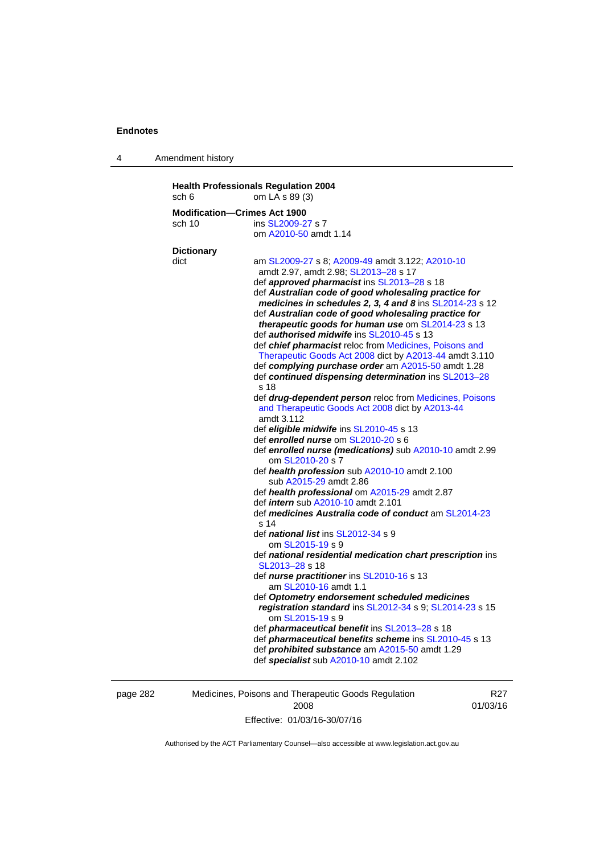4 Amendment history

| sch 6             | om LA s 89 (3)                                                               |
|-------------------|------------------------------------------------------------------------------|
|                   | <b>Modification-Crimes Act 1900</b>                                          |
| sch 10            | ins SL2009-27 s 7                                                            |
|                   | om A2010-50 amdt 1.14                                                        |
| <b>Dictionary</b> |                                                                              |
| dict              | am SL2009-27 s 8; A2009-49 amdt 3.122; A2010-10                              |
|                   | amdt 2.97, amdt 2.98; SL2013-28 s 17                                         |
|                   | def approved pharmacist ins SL2013-28 s 18                                   |
|                   | def Australian code of good wholesaling practice for                         |
|                   | medicines in schedules 2, 3, 4 and 8 ins SL2014-23 s 12                      |
|                   | def Australian code of good wholesaling practice for                         |
|                   | therapeutic goods for human use om SL2014-23 s 13                            |
|                   | def authorised midwife ins SL2010-45 s 13                                    |
|                   | def chief pharmacist reloc from Medicines, Poisons and                       |
|                   | Therapeutic Goods Act 2008 dict by A2013-44 amdt 3.110                       |
|                   | def complying purchase order am A2015-50 amdt 1.28                           |
|                   | def continued dispensing determination ins SL2013-28                         |
|                   | s 18                                                                         |
|                   | def drug-dependent person reloc from Medicines, Poisons                      |
|                   | and Therapeutic Goods Act 2008 dict by A2013-44                              |
|                   | amdt 3.112                                                                   |
|                   | def eligible midwife ins SL2010-45 s 13                                      |
|                   | def enrolled nurse om SL2010-20 s 6                                          |
|                   | def enrolled nurse (medications) sub A2010-10 amdt 2.99<br>om SL2010-20 s 7  |
|                   | def health profession sub A2010-10 amdt 2.100                                |
|                   | sub A2015-29 amdt 2.86                                                       |
|                   | def health professional om A2015-29 amdt 2.87                                |
|                   | def <i>intern</i> sub A2010-10 amdt 2.101                                    |
|                   | def medicines Australia code of conduct am SL2014-23                         |
|                   | s 14                                                                         |
|                   | def national list ins SL2012-34 s 9                                          |
|                   | om SL2015-19 s 9                                                             |
|                   | def national residential medication chart prescription ins<br>SL2013-28 s 18 |
|                   | def nurse practitioner ins SL2010-16 s 13                                    |
|                   | am SL2010-16 amdt 1.1                                                        |
|                   | def Optometry endorsement scheduled medicines                                |
|                   | registration standard ins SL2012-34 s 9; SL2014-23 s 15                      |
|                   | om SL2015-19 s 9                                                             |
|                   | def <i>pharmaceutical benefit</i> ins SL2013-28 s 18                         |
|                   | def pharmaceutical benefits scheme ins SL2010-45 s 13                        |
|                   | def prohibited substance am A2015-50 amdt 1.29                               |
|                   | def specialist sub A2010-10 amdt 2.102                                       |

page 282 Medicines, Poisons and Therapeutic Goods Regulation 2008 Effective: 01/03/16-30/07/16

R27 01/03/16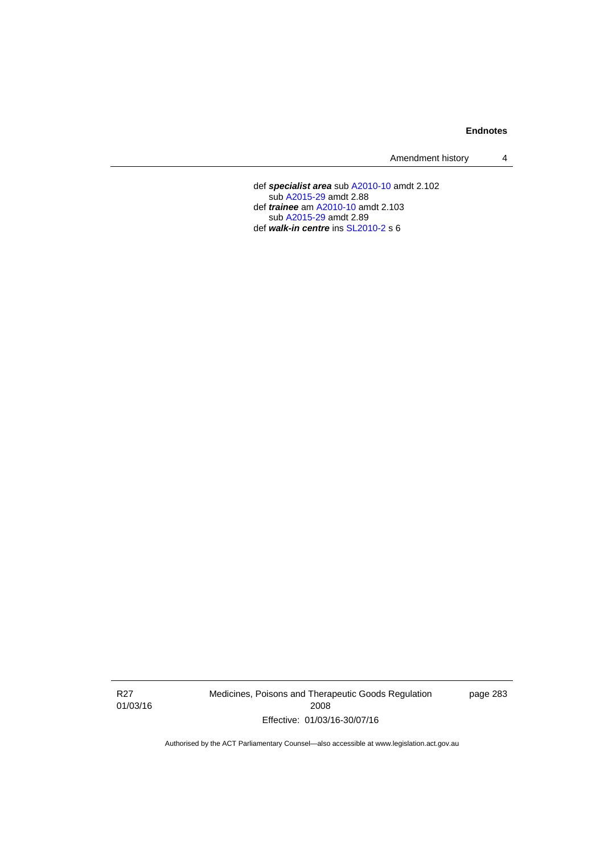Amendment history 4

 def *specialist area* sub [A2010-10](http://www.legislation.act.gov.au/a/2010-10) amdt 2.102 sub [A2015-29](http://www.legislation.act.gov.au/a/2015-29) amdt 2.88 def *trainee* am [A2010-10](http://www.legislation.act.gov.au/a/2010-10) amdt 2.103 sub [A2015-29](http://www.legislation.act.gov.au/a/2015-29) amdt 2.89 def *walk-in centre* ins [SL2010-2](http://www.legislation.act.gov.au/sl/2010-2) s 6

R27 01/03/16 Medicines, Poisons and Therapeutic Goods Regulation 2008 Effective: 01/03/16-30/07/16

page 283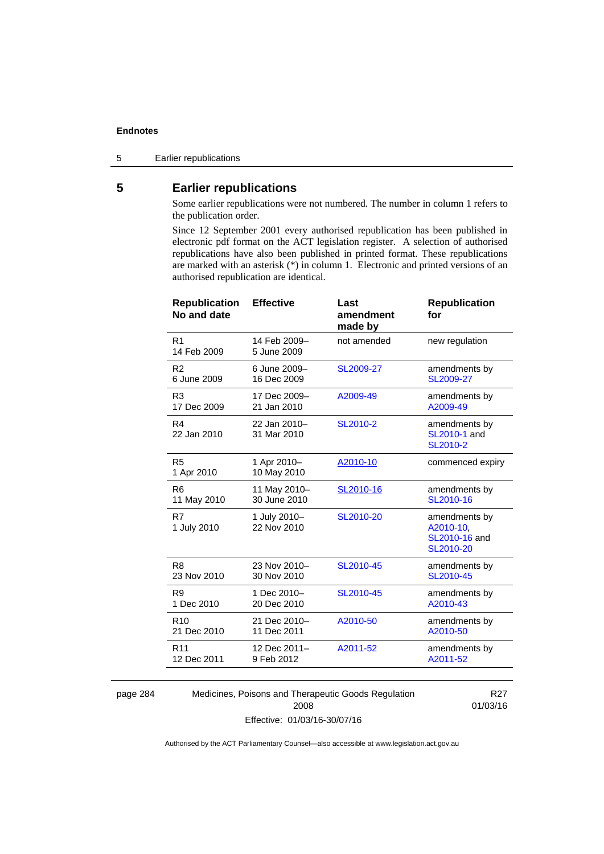5 Earlier republications

# **5 Earlier republications**

Some earlier republications were not numbered. The number in column 1 refers to the publication order.

Since 12 September 2001 every authorised republication has been published in electronic pdf format on the ACT legislation register. A selection of authorised republications have also been published in printed format. These republications are marked with an asterisk (\*) in column 1. Electronic and printed versions of an authorised republication are identical.

| <b>Republication</b><br>No and date | <b>Effective</b>            | Last<br>amendment<br>made by | <b>Republication</b><br>for                              |
|-------------------------------------|-----------------------------|------------------------------|----------------------------------------------------------|
| R <sub>1</sub><br>14 Feb 2009       | 14 Feb 2009-<br>5 June 2009 | not amended                  | new regulation                                           |
| R <sub>2</sub>                      | 6 June 2009-                | SL2009-27                    | amendments by                                            |
| 6 June 2009                         | 16 Dec 2009                 |                              | SL2009-27                                                |
| R3                                  | 17 Dec 2009-                | A2009-49                     | amendments by                                            |
| 17 Dec 2009                         | 21 Jan 2010                 |                              | A2009-49                                                 |
| R <sub>4</sub><br>22 Jan 2010       | 22 Jan 2010-<br>31 Mar 2010 | SL2010-2                     | amendments by<br>SL2010-1 and<br>SL2010-2                |
| R <sub>5</sub><br>1 Apr 2010        | 1 Apr 2010-<br>10 May 2010  | A2010-10                     | commenced expiry                                         |
| R <sub>6</sub>                      | 11 May 2010-                | SL2010-16                    | amendments by                                            |
| 11 May 2010                         | 30 June 2010                |                              | SL2010-16                                                |
| R7<br>1 July 2010                   | 1 July 2010-<br>22 Nov 2010 | SL2010-20                    | amendments by<br>A2010-10,<br>SL2010-16 and<br>SL2010-20 |
| R <sub>8</sub>                      | 23 Nov 2010-                | SL2010-45                    | amendments by                                            |
| 23 Nov 2010                         | 30 Nov 2010                 |                              | SL2010-45                                                |
| R <sub>9</sub>                      | 1 Dec 2010-                 | SL2010-45                    | amendments by                                            |
| 1 Dec 2010                          | 20 Dec 2010                 |                              | A2010-43                                                 |
| R <sub>10</sub>                     | 21 Dec 2010-                | A2010-50                     | amendments by                                            |
| 21 Dec 2010                         | 11 Dec 2011                 |                              | A2010-50                                                 |
| R <sub>11</sub>                     | 12 Dec 2011-                | A2011-52                     | amendments by                                            |
| 12 Dec 2011                         | 9 Feb 2012                  |                              | A2011-52                                                 |
|                                     |                             |                              |                                                          |

page 284 Medicines, Poisons and Therapeutic Goods Regulation 2008 Effective: 01/03/16-30/07/16

R27 01/03/16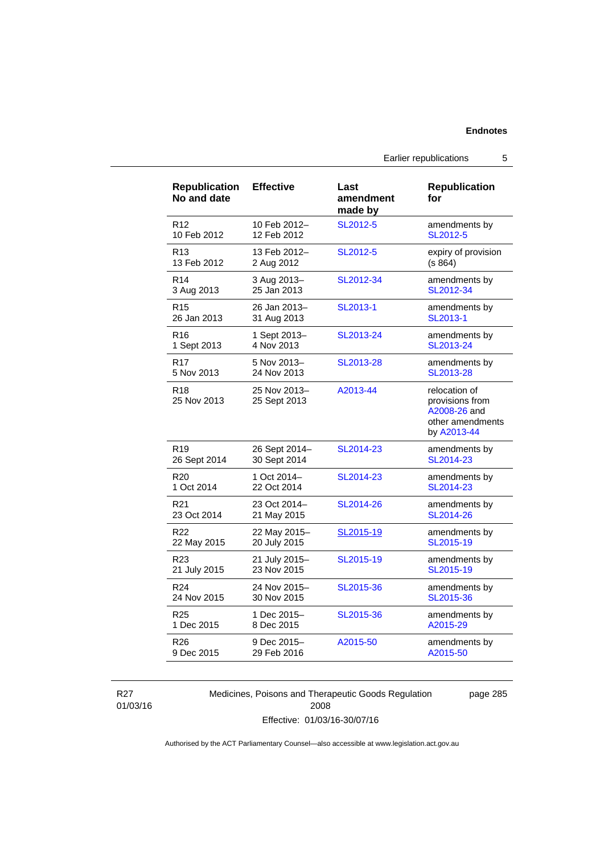| <b>Republication</b><br>No and date | <b>Effective</b>             | Last<br>amendment<br>made by | <b>Republication</b><br>for                                                         |
|-------------------------------------|------------------------------|------------------------------|-------------------------------------------------------------------------------------|
| R <sub>12</sub>                     | 10 Feb 2012-                 | SL2012-5                     | amendments by                                                                       |
| 10 Feb 2012                         | 12 Feb 2012                  |                              | SL2012-5                                                                            |
| R <sub>13</sub>                     | 13 Feb 2012-                 | SL2012-5                     | expiry of provision                                                                 |
| 13 Feb 2012                         | 2 Aug 2012                   |                              | (s 864)                                                                             |
| R <sub>14</sub>                     | 3 Aug 2013-                  | SL2012-34                    | amendments by                                                                       |
| 3 Aug 2013                          | 25 Jan 2013                  |                              | SL2012-34                                                                           |
| R <sub>15</sub>                     | 26 Jan 2013-                 | SL2013-1                     | amendments by                                                                       |
| 26 Jan 2013                         | 31 Aug 2013                  |                              | SL2013-1                                                                            |
| R <sub>16</sub>                     | 1 Sept 2013-                 | SL2013-24                    | amendments by                                                                       |
| 1 Sept 2013                         | 4 Nov 2013                   |                              | SL2013-24                                                                           |
| R <sub>17</sub>                     | 5 Nov 2013-                  | SL2013-28                    | amendments by                                                                       |
| 5 Nov 2013                          | 24 Nov 2013                  |                              | SL2013-28                                                                           |
| R <sub>18</sub><br>25 Nov 2013      | 25 Nov 2013-<br>25 Sept 2013 | A2013-44                     | relocation of<br>provisions from<br>A2008-26 and<br>other amendments<br>by A2013-44 |
| R <sub>19</sub>                     | 26 Sept 2014-                | SL2014-23                    | amendments by                                                                       |
| 26 Sept 2014                        | 30 Sept 2014                 |                              | SL2014-23                                                                           |
| R <sub>20</sub>                     | 1 Oct 2014-                  | SL2014-23                    | amendments by                                                                       |
| 1 Oct 2014                          | 22 Oct 2014                  |                              | SL2014-23                                                                           |
| R <sub>21</sub>                     | 23 Oct 2014-                 | SL2014-26                    | amendments by                                                                       |
| 23 Oct 2014                         | 21 May 2015                  |                              | SL2014-26                                                                           |
| R <sub>22</sub>                     | 22 May 2015-                 | SL2015-19                    | amendments by                                                                       |
| 22 May 2015                         | 20 July 2015                 |                              | SL2015-19                                                                           |
| R23                                 | 21 July 2015-                | SL2015-19                    | amendments by                                                                       |
| 21 July 2015                        | 23 Nov 2015                  |                              | SL2015-19                                                                           |
| R <sub>24</sub>                     | 24 Nov 2015-                 | SL2015-36                    | amendments by                                                                       |
| 24 Nov 2015                         | 30 Nov 2015                  |                              | SL2015-36                                                                           |
| R <sub>25</sub>                     | 1 Dec 2015-                  | SL2015-36                    | amendments by                                                                       |
| 1 Dec 2015                          | 8 Dec 2015                   |                              | A2015-29                                                                            |
| R <sub>26</sub>                     | 9 Dec 2015-                  | A2015-50                     | amendments by                                                                       |
| 9 Dec 2015                          | 29 Feb 2016                  |                              | A2015-50                                                                            |

R27 01/03/16 Medicines, Poisons and Therapeutic Goods Regulation 2008 Effective: 01/03/16-30/07/16

page 285